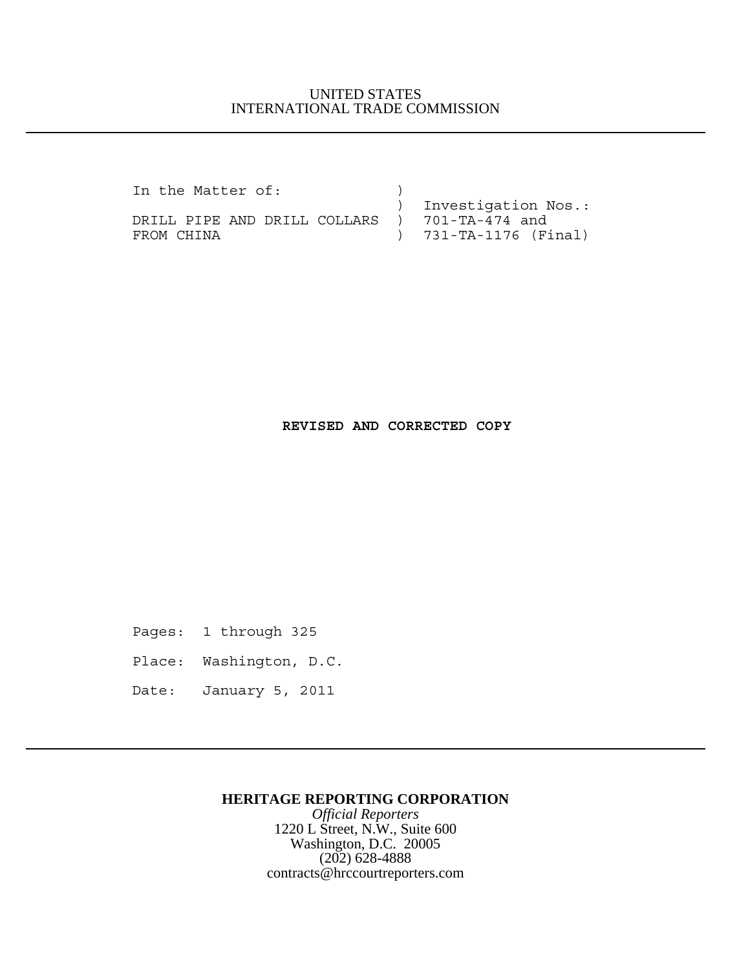### UNITED STATES INTERNATIONAL TRADE COMMISSION

In the Matter of:  $\qquad \qquad$  )

 ) Investigation Nos.: DRILL PIPE AND DRILL COLLARS ) 701-TA-474 and FROM CHINA ) 731-TA-1176 (Final)

### **REVISED AND CORRECTED COPY**

Pages: 1 through 325

Place: Washington, D.C.

Date: January 5, 2011

#### **HERITAGE REPORTING CORPORATION**

*Official Reporters* 1220 L Street, N.W., Suite 600 Washington, D.C. 20005 (202) 628-4888 contracts@hrccourtreporters.com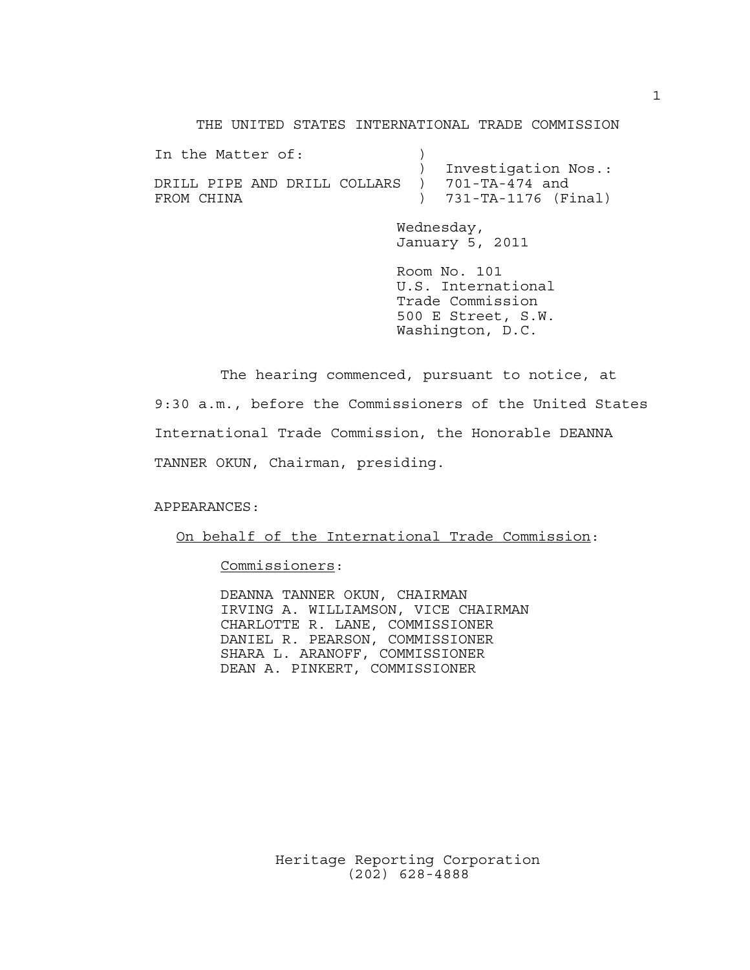THE UNITED STATES INTERNATIONAL TRADE COMMISSION

| In the Matter of:                                           |                                                  |
|-------------------------------------------------------------|--------------------------------------------------|
| DRILL PIPE AND DRILL COLLARS ) 701-TA-474 and<br>FROM CHINA | ) Investigation Nos.:<br>$) 731-TA-1176 (Final)$ |
|                                                             |                                                  |

Wednesday, January 5, 2011

Room No. 101 U.S. International Trade Commission 500 E Street, S.W. Washington, D.C.

The hearing commenced, pursuant to notice, at 9:30 a.m., before the Commissioners of the United States International Trade Commission, the Honorable DEANNA TANNER OKUN, Chairman, presiding.

APPEARANCES:

On behalf of the International Trade Commission:

Commissioners:

 DEANNA TANNER OKUN, CHAIRMAN IRVING A. WILLIAMSON, VICE CHAIRMAN CHARLOTTE R. LANE, COMMISSIONER DANIEL R. PEARSON, COMMISSIONER SHARA L. ARANOFF, COMMISSIONER DEAN A. PINKERT, COMMISSIONER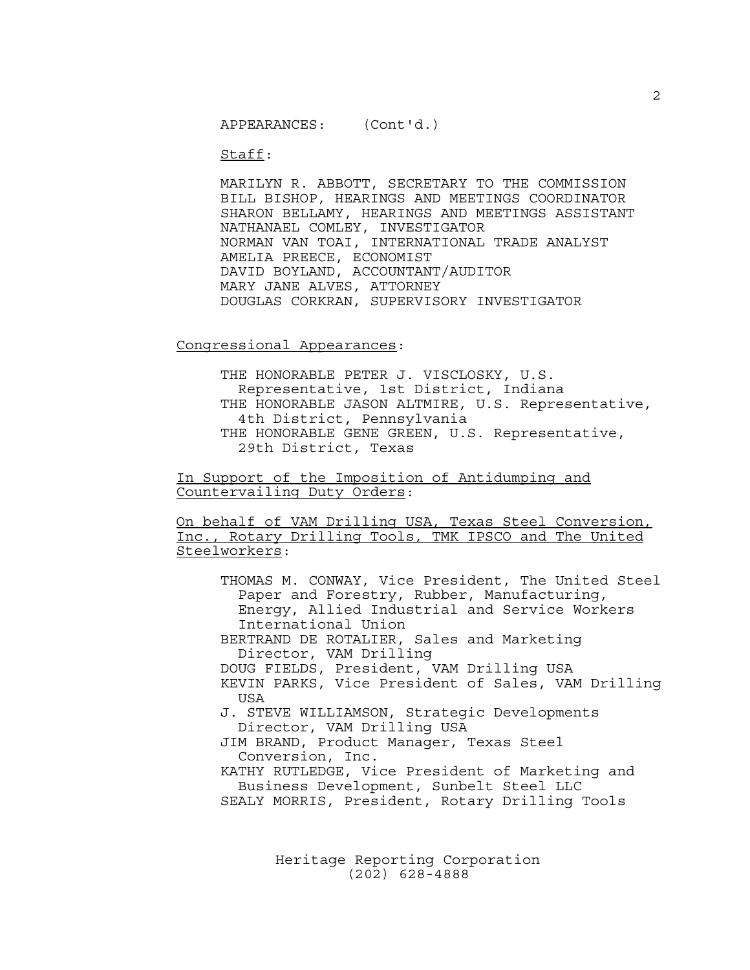Staff:

MARILYN R. ABBOTT, SECRETARY TO THE COMMISSION BILL BISHOP, HEARINGS AND MEETINGS COORDINATOR SHARON BELLAMY, HEARINGS AND MEETINGS ASSISTANT NATHANAEL COMLEY, INVESTIGATOR NORMAN VAN TOAI, INTERNATIONAL TRADE ANALYST AMELIA PREECE, ECONOMIST DAVID BOYLAND, ACCOUNTANT/AUDITOR MARY JANE ALVES, ATTORNEY DOUGLAS CORKRAN, SUPERVISORY INVESTIGATOR

Congressional Appearances:

THE HONORABLE PETER J. VISCLOSKY, U.S. Representative, 1st District, Indiana THE HONORABLE JASON ALTMIRE, U.S. Representative, 4th District, Pennsylvania THE HONORABLE GENE GREEN, U.S. Representative, 29th District, Texas

In Support of the Imposition of Antidumping and Countervailing Duty Orders:

On behalf of VAM Drilling USA, Texas Steel Conversion, Inc., Rotary Drilling Tools, TMK IPSCO and The United Steelworkers:

THOMAS M. CONWAY, Vice President, The United Steel Paper and Forestry, Rubber, Manufacturing, Energy, Allied Industrial and Service Workers International Union BERTRAND DE ROTALIER, Sales and Marketing Director, VAM Drilling DOUG FIELDS, President, VAM Drilling USA KEVIN PARKS, Vice President of Sales, VAM Drilling USA J. STEVE WILLIAMSON, Strategic Developments Director, VAM Drilling USA JIM BRAND, Product Manager, Texas Steel Conversion, Inc. KATHY RUTLEDGE, Vice President of Marketing and Business Development, Sunbelt Steel LLC SEALY MORRIS, President, Rotary Drilling Tools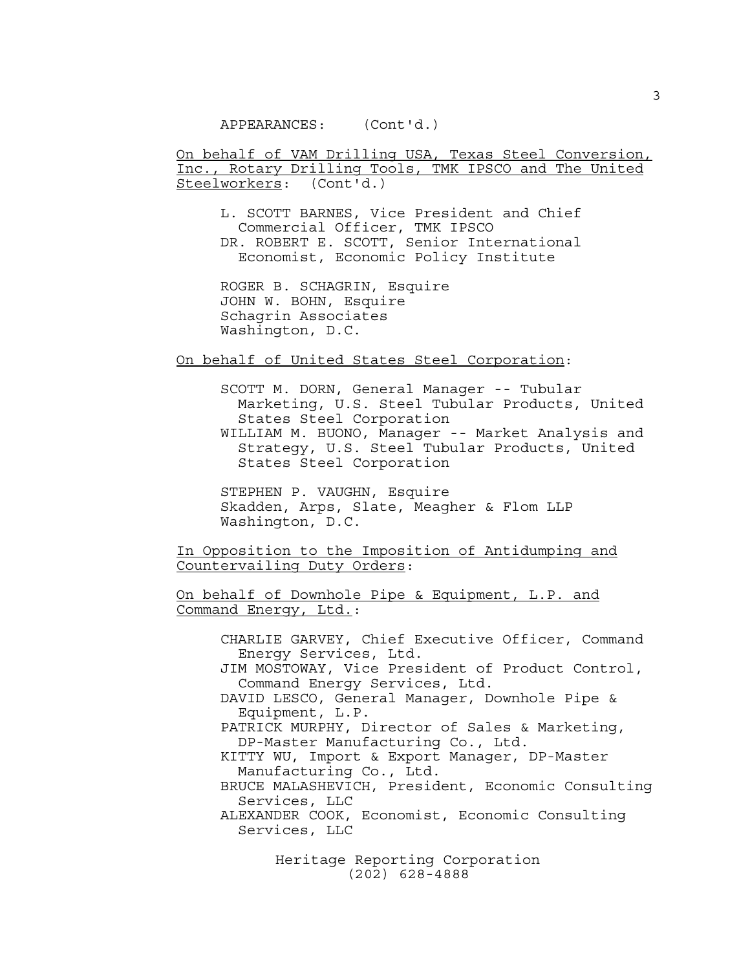On behalf of VAM Drilling USA, Texas Steel Conversion, Inc., Rotary Drilling Tools, TMK IPSCO and The United Steelworkers: (Cont'd.)

L. SCOTT BARNES, Vice President and Chief Commercial Officer, TMK IPSCO DR. ROBERT E. SCOTT, Senior International Economist, Economic Policy Institute

ROGER B. SCHAGRIN, Esquire JOHN W. BOHN, Esquire Schagrin Associates Washington, D.C.

On behalf of United States Steel Corporation:

SCOTT M. DORN, General Manager -- Tubular Marketing, U.S. Steel Tubular Products, United States Steel Corporation WILLIAM M. BUONO, Manager -- Market Analysis and Strategy, U.S. Steel Tubular Products, United States Steel Corporation

STEPHEN P. VAUGHN, Esquire Skadden, Arps, Slate, Meagher & Flom LLP Washington, D.C.

In Opposition to the Imposition of Antidumping and Countervailing Duty Orders:

On behalf of Downhole Pipe & Equipment, L.P. and Command Energy, Ltd.:

CHARLIE GARVEY, Chief Executive Officer, Command Energy Services, Ltd. JIM MOSTOWAY, Vice President of Product Control, Command Energy Services, Ltd. DAVID LESCO, General Manager, Downhole Pipe & Equipment, L.P. PATRICK MURPHY, Director of Sales & Marketing, DP-Master Manufacturing Co., Ltd. KITTY WU, Import & Export Manager, DP-Master Manufacturing Co., Ltd. BRUCE MALASHEVICH, President, Economic Consulting Services, LLC ALEXANDER COOK, Economist, Economic Consulting Services, LLC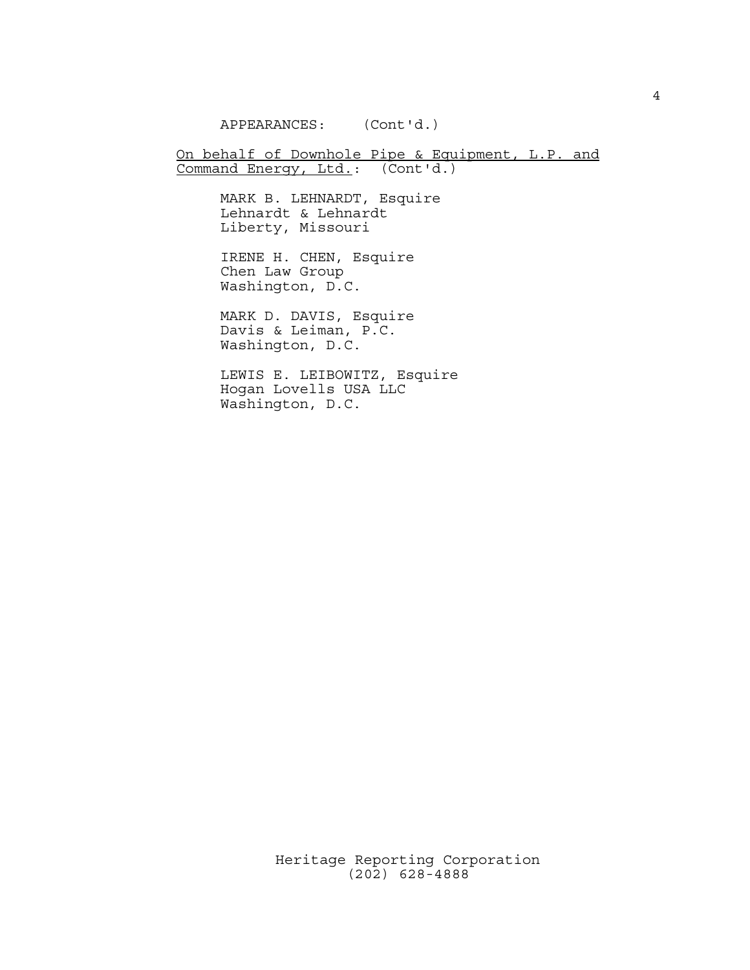APPEARANCES: (Cont'd.)

On behalf of Downhole Pipe & Equipment, L.P. and Command Energy, Ltd.: (Cont'd.)

> MARK B. LEHNARDT, Esquire Lehnardt & Lehnardt Liberty, Missouri

IRENE H. CHEN, Esquire Chen Law Group Washington, D.C.

MARK D. DAVIS, Esquire Davis & Leiman, P.C. Washington, D.C.

LEWIS E. LEIBOWITZ, Esquire Hogan Lovells USA LLC Washington, D.C.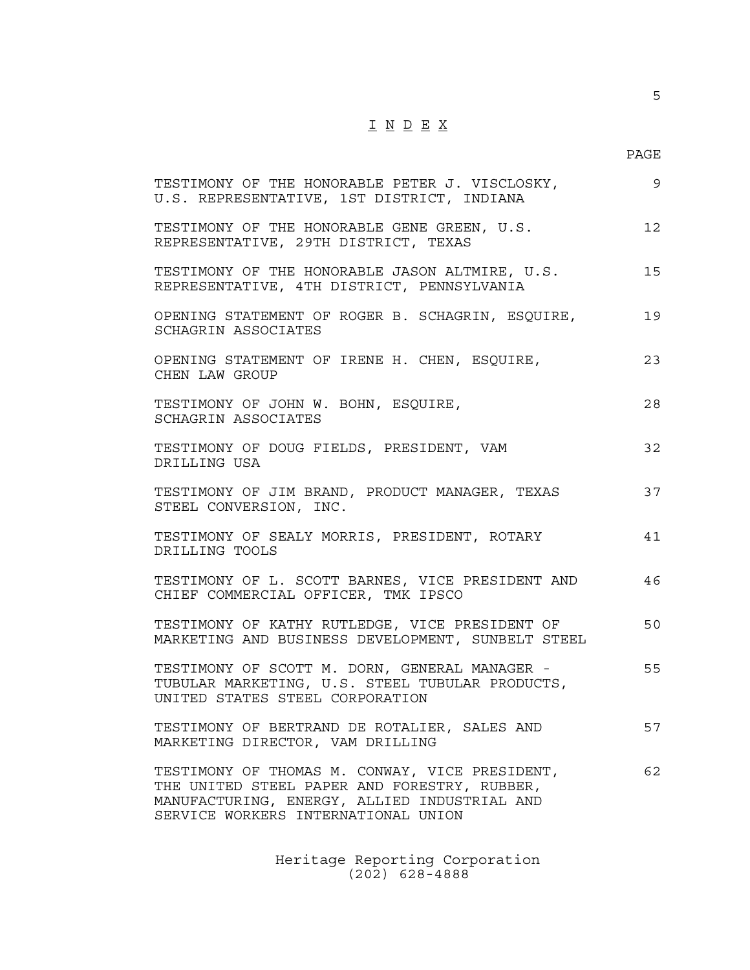# $\underline{\texttt{I}} \ \underline{\texttt{N}} \ \underline{\texttt{D}} \ \underline{\texttt{E}} \ \underline{\texttt{X}}$

5

| TESTIMONY OF THE HONORABLE PETER J. VISCLOSKY,<br>U.S. REPRESENTATIVE, 1ST DISTRICT, INDIANA                                                                                          | 9  |
|---------------------------------------------------------------------------------------------------------------------------------------------------------------------------------------|----|
| TESTIMONY OF THE HONORABLE GENE GREEN, U.S.<br>REPRESENTATIVE, 29TH DISTRICT, TEXAS                                                                                                   | 12 |
| TESTIMONY OF THE HONORABLE JASON ALTMIRE, U.S.<br>REPRESENTATIVE, 4TH DISTRICT, PENNSYLVANIA                                                                                          | 15 |
| OPENING STATEMENT OF ROGER B. SCHAGRIN, ESQUIRE,<br>SCHAGRIN ASSOCIATES                                                                                                               | 19 |
| OPENING STATEMENT OF IRENE H. CHEN, ESQUIRE,<br>CHEN LAW GROUP                                                                                                                        | 23 |
| TESTIMONY OF JOHN W. BOHN, ESQUIRE,<br>SCHAGRIN ASSOCIATES                                                                                                                            | 28 |
| TESTIMONY OF DOUG FIELDS, PRESIDENT, VAM<br>DRILLING USA                                                                                                                              | 32 |
| TESTIMONY OF JIM BRAND, PRODUCT MANAGER, TEXAS<br>STEEL CONVERSION, INC.                                                                                                              | 37 |
| TESTIMONY OF SEALY MORRIS, PRESIDENT, ROTARY<br>DRILLING TOOLS                                                                                                                        | 41 |
| TESTIMONY OF L. SCOTT BARNES, VICE PRESIDENT AND<br>CHIEF COMMERCIAL OFFICER, TMK IPSCO                                                                                               | 46 |
| TESTIMONY OF KATHY RUTLEDGE, VICE PRESIDENT OF<br>MARKETING AND BUSINESS DEVELOPMENT, SUNBELT STEEL                                                                                   | 50 |
| TESTIMONY OF SCOTT M. DORN, GENERAL MANAGER -<br>TUBULAR MARKETING, U.S. STEEL TUBULAR PRODUCTS,<br>UNITED STATES STEEL CORPORATION                                                   | 55 |
| TESTIMONY OF BERTRAND DE ROTALIER, SALES AND<br>MARKETING DIRECTOR, VAM DRILLING                                                                                                      | 57 |
| TESTIMONY OF THOMAS M. CONWAY, VICE PRESIDENT,<br>THE UNITED STEEL PAPER AND FORESTRY, RUBBER,<br>MANUFACTURING, ENERGY, ALLIED INDUSTRIAL AND<br>SERVICE WORKERS INTERNATIONAL UNION | 62 |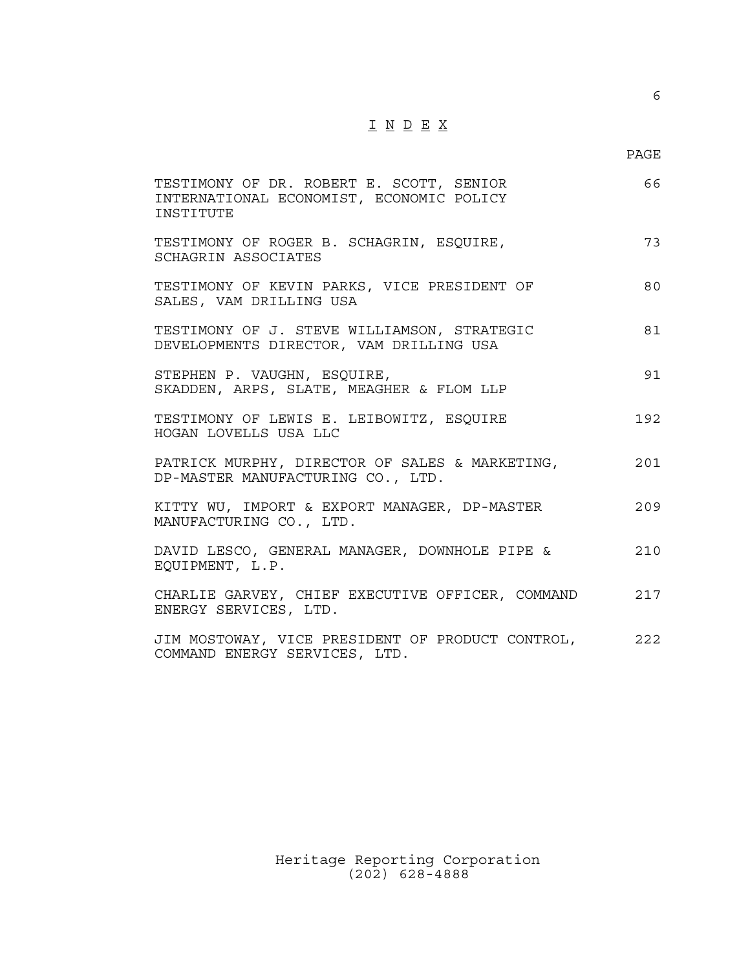# $\underline{\texttt{I}} \ \underline{\texttt{N}} \ \underline{\texttt{D}} \ \underline{\texttt{E}} \ \underline{\texttt{X}}$

6

| TESTIMONY OF DR. ROBERT E. SCOTT, SENIOR<br>INTERNATIONAL ECONOMIST, ECONOMIC POLICY<br><b>TNSTITUTE</b> | 66  |
|----------------------------------------------------------------------------------------------------------|-----|
| TESTIMONY OF ROGER B. SCHAGRIN, ESQUIRE,<br>SCHAGRIN ASSOCIATES                                          | 73  |
| TESTIMONY OF KEVIN PARKS, VICE PRESIDENT OF<br>SALES, VAM DRILLING USA                                   | 80  |
| TESTIMONY OF J. STEVE WILLIAMSON, STRATEGIC<br>DEVELOPMENTS DIRECTOR, VAM DRILLING USA                   | 81  |
| STEPHEN P. VAUGHN, ESQUIRE,<br>SKADDEN, ARPS, SLATE, MEAGHER & FLOM LLP                                  | 91  |
| TESTIMONY OF LEWIS E. LEIBOWITZ, ESQUIRE<br>HOGAN LOVELLS USA LLC                                        | 192 |
| PATRICK MURPHY, DIRECTOR OF SALES & MARKETING,<br>DP-MASTER MANUFACTURING CO., LTD.                      | 201 |
| KITTY WU, IMPORT & EXPORT MANAGER, DP-MASTER<br>MANUFACTURING CO., LTD.                                  | 209 |
| DAVID LESCO, GENERAL MANAGER, DOWNHOLE PIPE &<br>EOUIPMENT, L.P.                                         | 210 |
| CHARLIE GARVEY, CHIEF EXECUTIVE OFFICER, COMMAND<br>ENERGY SERVICES, LTD.                                | 217 |
| JIM MOSTOWAY, VICE PRESIDENT OF PRODUCT CONTROL,<br>COMMAND ENERGY SERVICES, LTD.                        | 222 |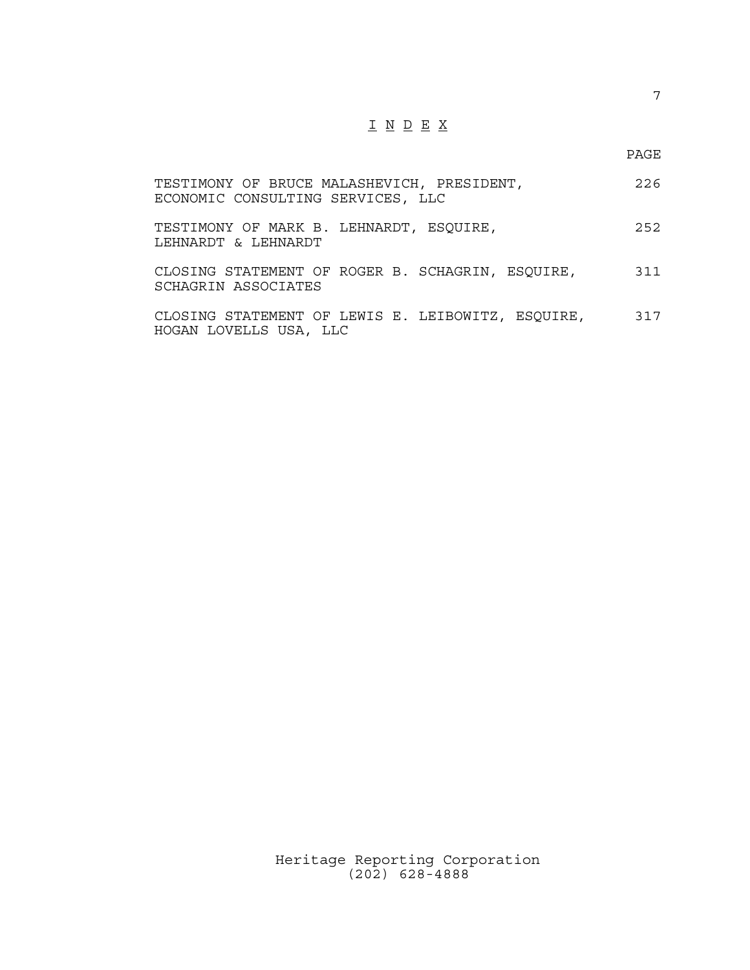## I N D E X

7

| TESTIMONY OF BRUCE MALASHEVICH, PRESIDENT,<br>ECONOMIC CONSULTING SERVICES, LLC | 226 |
|---------------------------------------------------------------------------------|-----|
| TESTIMONY OF MARK B. LEHNARDT, ESQUIRE,<br>LEHNARDT & LEHNARDT                  | 252 |
| CLOSING STATEMENT OF ROGER B. SCHAGRIN, ESQUIRE,<br>SCHAGRIN ASSOCIATES         | 311 |
| CLOSING STATEMENT OF LEWIS E. LEIBOWITZ, ESOUIRE,<br>HOGAN LOVELLS USA, LLC     | 317 |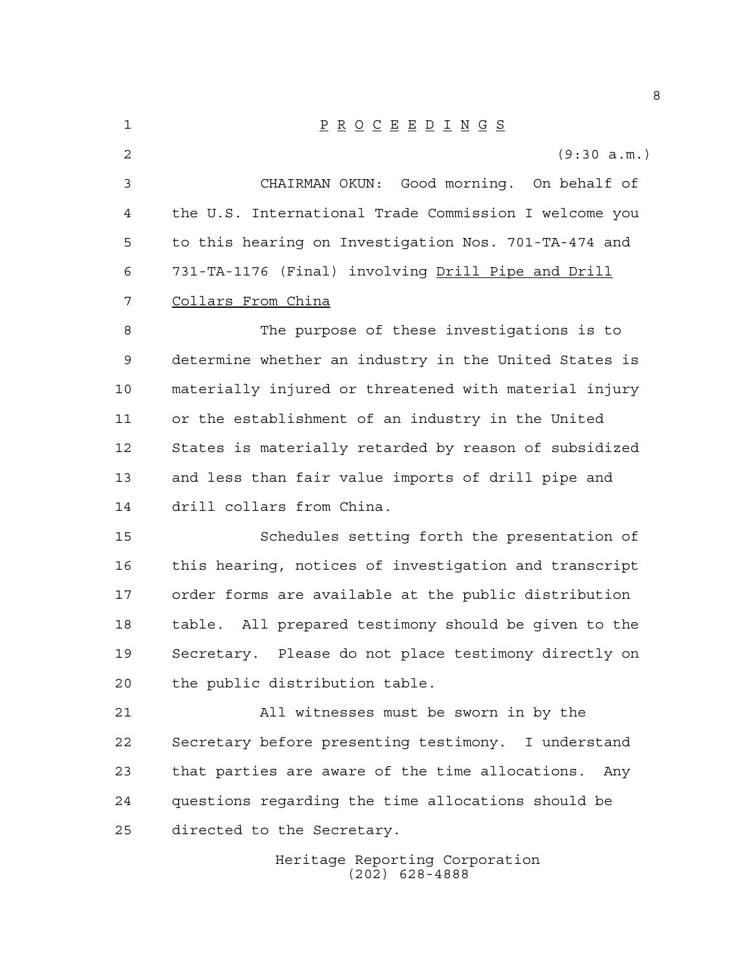| 1  | $\underline{P} \underline{R} \underline{O} \underline{C} \underline{E} \underline{E} \underline{D} \underline{I} \underline{N} \underline{G} \underline{S}$ |
|----|-------------------------------------------------------------------------------------------------------------------------------------------------------------|
| 2  | (9:30 a.m.)                                                                                                                                                 |
| 3  | CHAIRMAN OKUN: Good morning. On behalf of                                                                                                                   |
| 4  | the U.S. International Trade Commission I welcome you                                                                                                       |
| 5  | to this hearing on Investigation Nos. 701-TA-474 and                                                                                                        |
| 6  | 731-TA-1176 (Final) involving Drill Pipe and Drill                                                                                                          |
| 7  | Collars From China                                                                                                                                          |
| 8  | The purpose of these investigations is to                                                                                                                   |
| 9  | determine whether an industry in the United States is                                                                                                       |
| 10 | materially injured or threatened with material injury                                                                                                       |
| 11 | or the establishment of an industry in the United                                                                                                           |
| 12 | States is materially retarded by reason of subsidized                                                                                                       |
| 13 | and less than fair value imports of drill pipe and                                                                                                          |
| 14 | drill collars from China.                                                                                                                                   |
| 15 | Schedules setting forth the presentation of                                                                                                                 |
| 16 | this hearing, notices of investigation and transcript                                                                                                       |
| 17 | order forms are available at the public distribution                                                                                                        |
| 18 | table. All prepared testimony should be given to the                                                                                                        |
| 19 | Secretary. Please do not place testimony directly on                                                                                                        |
| 20 | the public distribution table.                                                                                                                              |
| 21 | All witnesses must be sworn in by the                                                                                                                       |
| 22 | Secretary before presenting testimony. I understand                                                                                                         |
| 23 | that parties are aware of the time allocations.<br>Any                                                                                                      |
| 24 | questions regarding the time allocations should be                                                                                                          |
| 25 | directed to the Secretary.                                                                                                                                  |
|    | Heritage Reporting Corporation<br>$(202)$ 628-4888                                                                                                          |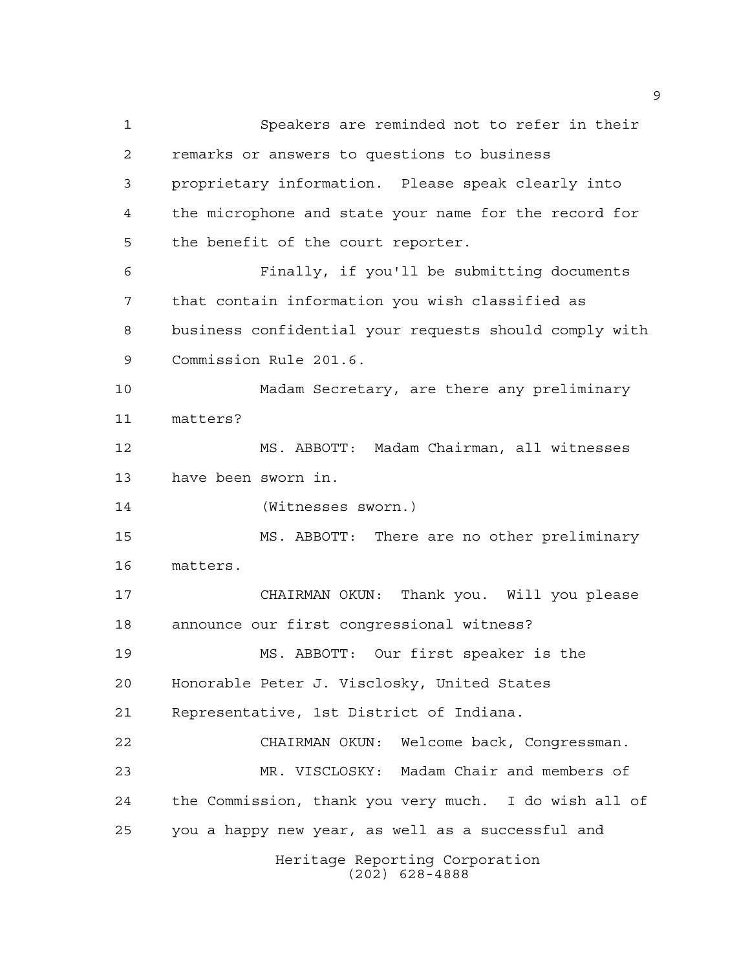Speakers are reminded not to refer in their remarks or answers to questions to business proprietary information. Please speak clearly into the microphone and state your name for the record for the benefit of the court reporter. Finally, if you'll be submitting documents that contain information you wish classified as business confidential your requests should comply with Commission Rule 201.6. Madam Secretary, are there any preliminary matters? MS. ABBOTT: Madam Chairman, all witnesses have been sworn in. (Witnesses sworn.) MS. ABBOTT: There are no other preliminary matters. CHAIRMAN OKUN: Thank you. Will you please announce our first congressional witness? MS. ABBOTT: Our first speaker is the Honorable Peter J. Visclosky, United States Representative, 1st District of Indiana. CHAIRMAN OKUN: Welcome back, Congressman. MR. VISCLOSKY: Madam Chair and members of the Commission, thank you very much. I do wish all of you a happy new year, as well as a successful and Heritage Reporting Corporation (202) 628-4888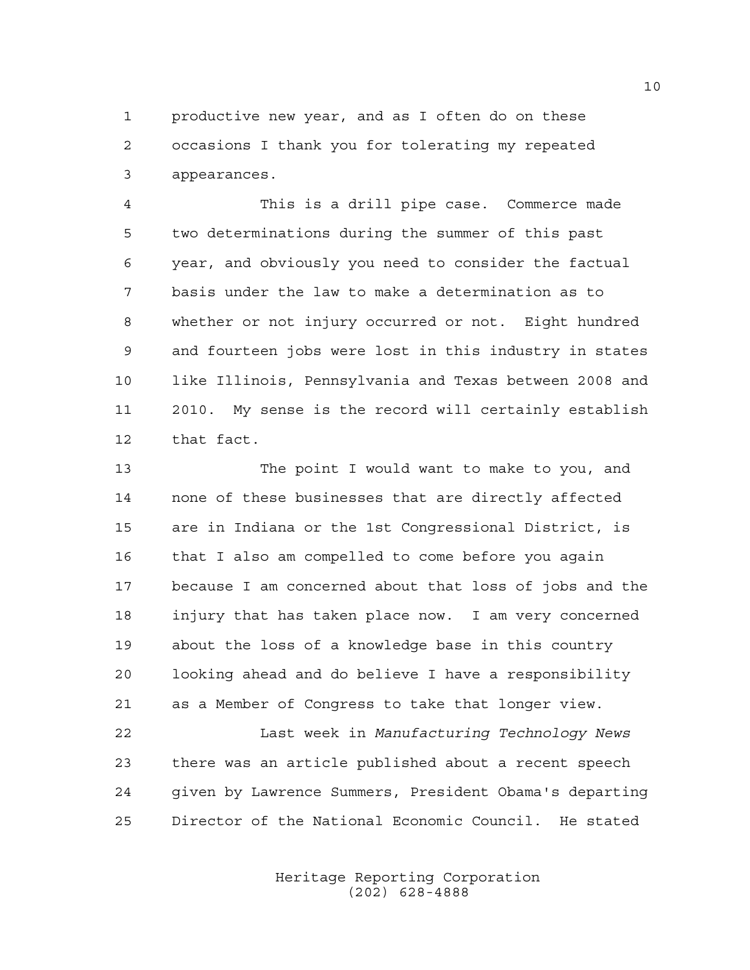productive new year, and as I often do on these occasions I thank you for tolerating my repeated appearances.

 This is a drill pipe case. Commerce made two determinations during the summer of this past year, and obviously you need to consider the factual basis under the law to make a determination as to whether or not injury occurred or not. Eight hundred and fourteen jobs were lost in this industry in states like Illinois, Pennsylvania and Texas between 2008 and 2010. My sense is the record will certainly establish that fact.

 The point I would want to make to you, and none of these businesses that are directly affected are in Indiana or the 1st Congressional District, is that I also am compelled to come before you again because I am concerned about that loss of jobs and the injury that has taken place now. I am very concerned about the loss of a knowledge base in this country looking ahead and do believe I have a responsibility as a Member of Congress to take that longer view.

 Last week in *Manufacturing Technology News* there was an article published about a recent speech given by Lawrence Summers, President Obama's departing Director of the National Economic Council. He stated

> Heritage Reporting Corporation (202) 628-4888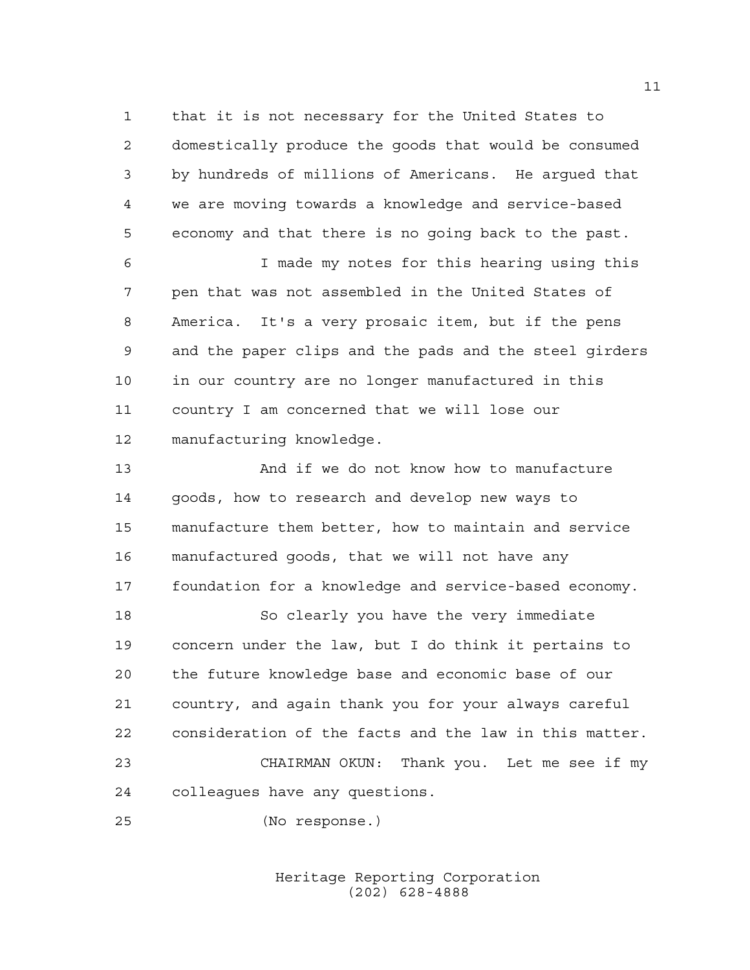that it is not necessary for the United States to domestically produce the goods that would be consumed by hundreds of millions of Americans. He argued that we are moving towards a knowledge and service-based economy and that there is no going back to the past.

 I made my notes for this hearing using this pen that was not assembled in the United States of America. It's a very prosaic item, but if the pens and the paper clips and the pads and the steel girders in our country are no longer manufactured in this country I am concerned that we will lose our manufacturing knowledge.

 And if we do not know how to manufacture goods, how to research and develop new ways to manufacture them better, how to maintain and service manufactured goods, that we will not have any foundation for a knowledge and service-based economy.

 So clearly you have the very immediate concern under the law, but I do think it pertains to the future knowledge base and economic base of our country, and again thank you for your always careful consideration of the facts and the law in this matter. CHAIRMAN OKUN: Thank you. Let me see if my colleagues have any questions.

(No response.)

Heritage Reporting Corporation (202) 628-4888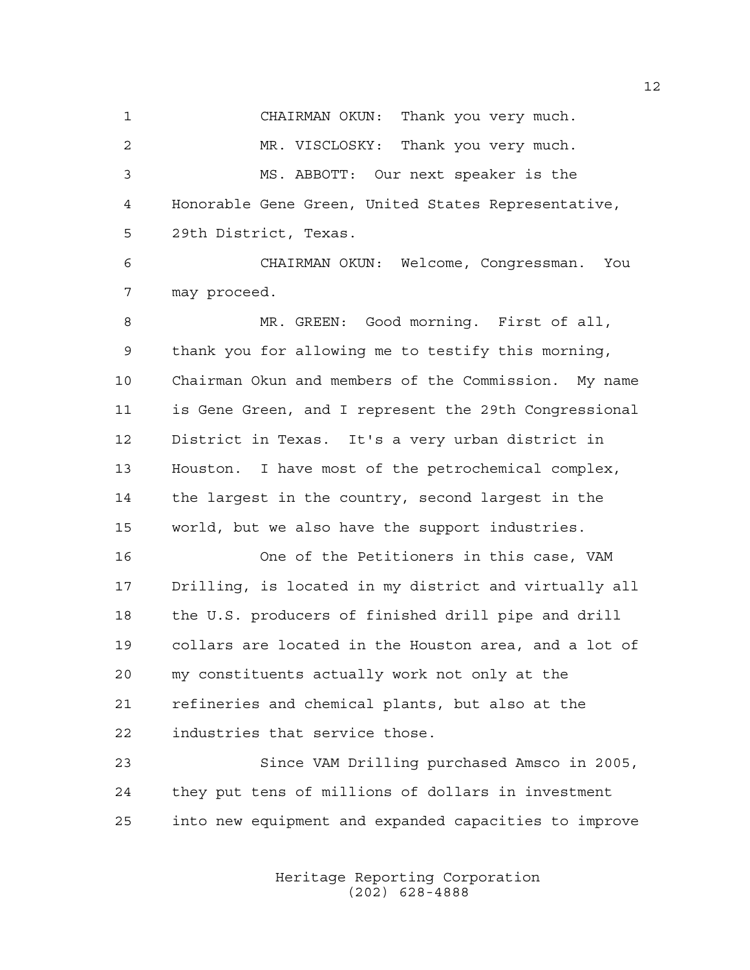CHAIRMAN OKUN: Thank you very much. MR. VISCLOSKY: Thank you very much. MS. ABBOTT: Our next speaker is the Honorable Gene Green, United States Representative, 29th District, Texas.

 CHAIRMAN OKUN: Welcome, Congressman. You may proceed.

 MR. GREEN: Good morning. First of all, thank you for allowing me to testify this morning, Chairman Okun and members of the Commission. My name is Gene Green, and I represent the 29th Congressional District in Texas. It's a very urban district in Houston. I have most of the petrochemical complex, the largest in the country, second largest in the world, but we also have the support industries.

 One of the Petitioners in this case, VAM Drilling, is located in my district and virtually all the U.S. producers of finished drill pipe and drill collars are located in the Houston area, and a lot of my constituents actually work not only at the refineries and chemical plants, but also at the industries that service those.

 Since VAM Drilling purchased Amsco in 2005, they put tens of millions of dollars in investment into new equipment and expanded capacities to improve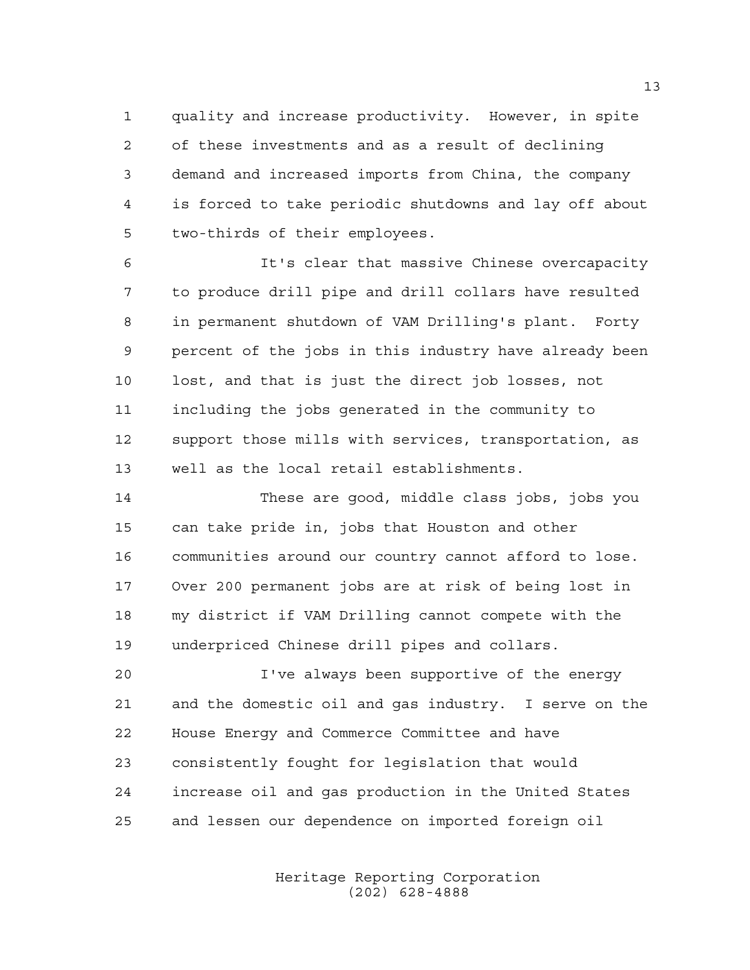quality and increase productivity. However, in spite of these investments and as a result of declining demand and increased imports from China, the company is forced to take periodic shutdowns and lay off about two-thirds of their employees.

 It's clear that massive Chinese overcapacity to produce drill pipe and drill collars have resulted in permanent shutdown of VAM Drilling's plant. Forty percent of the jobs in this industry have already been lost, and that is just the direct job losses, not including the jobs generated in the community to support those mills with services, transportation, as well as the local retail establishments.

 These are good, middle class jobs, jobs you can take pride in, jobs that Houston and other communities around our country cannot afford to lose. Over 200 permanent jobs are at risk of being lost in my district if VAM Drilling cannot compete with the underpriced Chinese drill pipes and collars.

 I've always been supportive of the energy and the domestic oil and gas industry. I serve on the House Energy and Commerce Committee and have consistently fought for legislation that would increase oil and gas production in the United States and lessen our dependence on imported foreign oil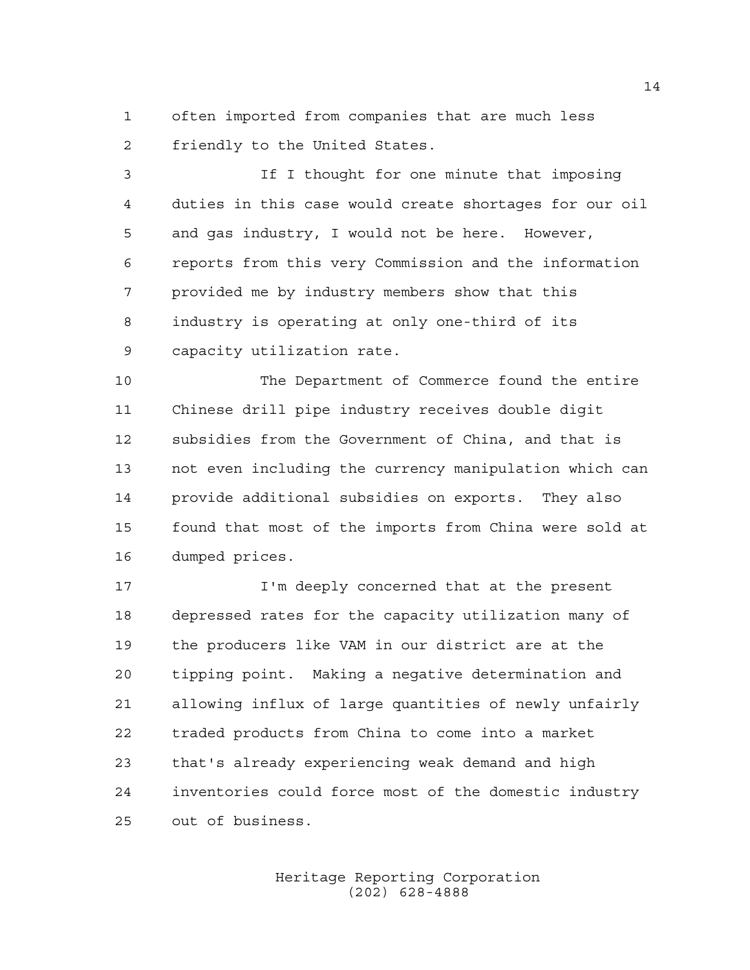often imported from companies that are much less friendly to the United States.

 If I thought for one minute that imposing duties in this case would create shortages for our oil and gas industry, I would not be here. However, reports from this very Commission and the information provided me by industry members show that this industry is operating at only one-third of its capacity utilization rate.

 The Department of Commerce found the entire Chinese drill pipe industry receives double digit subsidies from the Government of China, and that is not even including the currency manipulation which can provide additional subsidies on exports. They also found that most of the imports from China were sold at dumped prices.

 I'm deeply concerned that at the present depressed rates for the capacity utilization many of the producers like VAM in our district are at the tipping point. Making a negative determination and allowing influx of large quantities of newly unfairly traded products from China to come into a market that's already experiencing weak demand and high inventories could force most of the domestic industry out of business.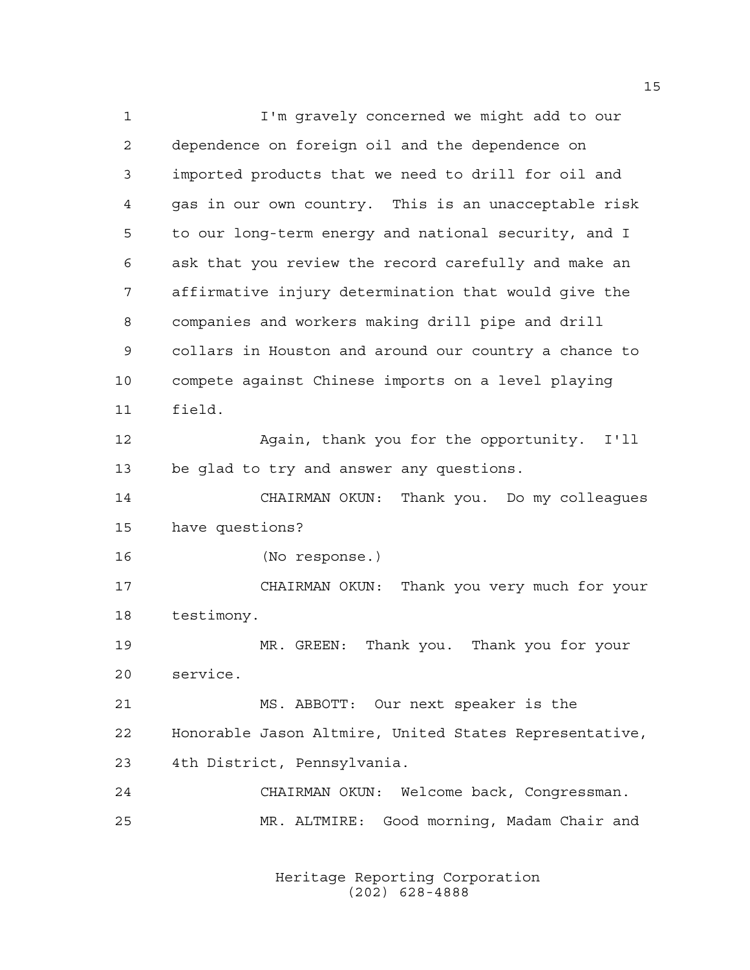I'm gravely concerned we might add to our dependence on foreign oil and the dependence on imported products that we need to drill for oil and gas in our own country. This is an unacceptable risk to our long-term energy and national security, and I ask that you review the record carefully and make an affirmative injury determination that would give the companies and workers making drill pipe and drill collars in Houston and around our country a chance to compete against Chinese imports on a level playing field. Again, thank you for the opportunity. I'll be glad to try and answer any questions. CHAIRMAN OKUN: Thank you. Do my colleagues have questions? (No response.) CHAIRMAN OKUN: Thank you very much for your testimony. MR. GREEN: Thank you. Thank you for your service. MS. ABBOTT: Our next speaker is the Honorable Jason Altmire, United States Representative, 4th District, Pennsylvania. CHAIRMAN OKUN: Welcome back, Congressman. MR. ALTMIRE: Good morning, Madam Chair and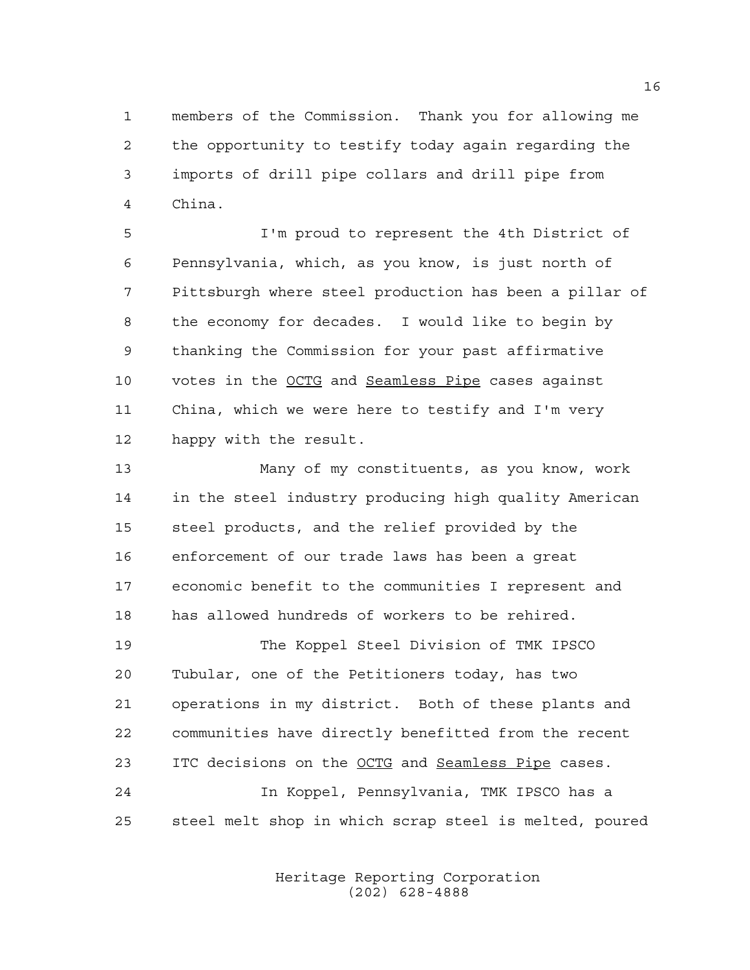members of the Commission. Thank you for allowing me the opportunity to testify today again regarding the imports of drill pipe collars and drill pipe from China.

 I'm proud to represent the 4th District of Pennsylvania, which, as you know, is just north of Pittsburgh where steel production has been a pillar of the economy for decades. I would like to begin by thanking the Commission for your past affirmative votes in the OCTG and Seamless Pipe cases against China, which we were here to testify and I'm very happy with the result.

 Many of my constituents, as you know, work in the steel industry producing high quality American steel products, and the relief provided by the enforcement of our trade laws has been a great economic benefit to the communities I represent and has allowed hundreds of workers to be rehired.

 The Koppel Steel Division of TMK IPSCO Tubular, one of the Petitioners today, has two operations in my district. Both of these plants and communities have directly benefitted from the recent ITC decisions on the OCTG and Seamless Pipe cases.

 In Koppel, Pennsylvania, TMK IPSCO has a steel melt shop in which scrap steel is melted, poured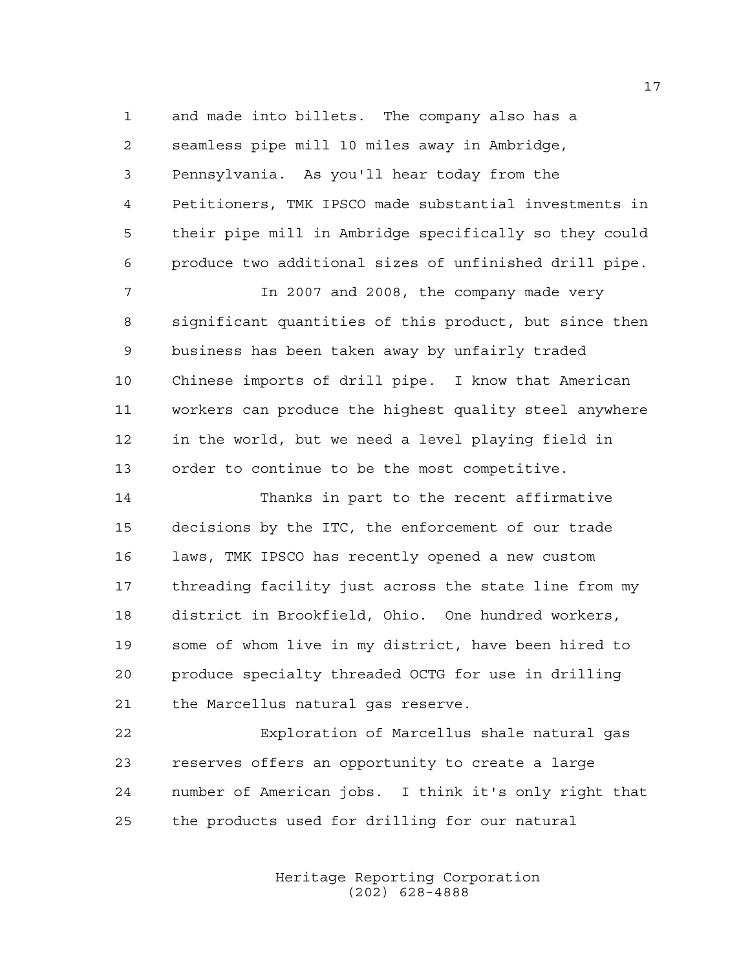and made into billets. The company also has a seamless pipe mill 10 miles away in Ambridge, Pennsylvania. As you'll hear today from the Petitioners, TMK IPSCO made substantial investments in their pipe mill in Ambridge specifically so they could produce two additional sizes of unfinished drill pipe.

 In 2007 and 2008, the company made very significant quantities of this product, but since then business has been taken away by unfairly traded Chinese imports of drill pipe. I know that American workers can produce the highest quality steel anywhere in the world, but we need a level playing field in order to continue to be the most competitive.

 Thanks in part to the recent affirmative decisions by the ITC, the enforcement of our trade laws, TMK IPSCO has recently opened a new custom threading facility just across the state line from my district in Brookfield, Ohio. One hundred workers, some of whom live in my district, have been hired to produce specialty threaded OCTG for use in drilling the Marcellus natural gas reserve.

 Exploration of Marcellus shale natural gas reserves offers an opportunity to create a large number of American jobs. I think it's only right that the products used for drilling for our natural

> Heritage Reporting Corporation (202) 628-4888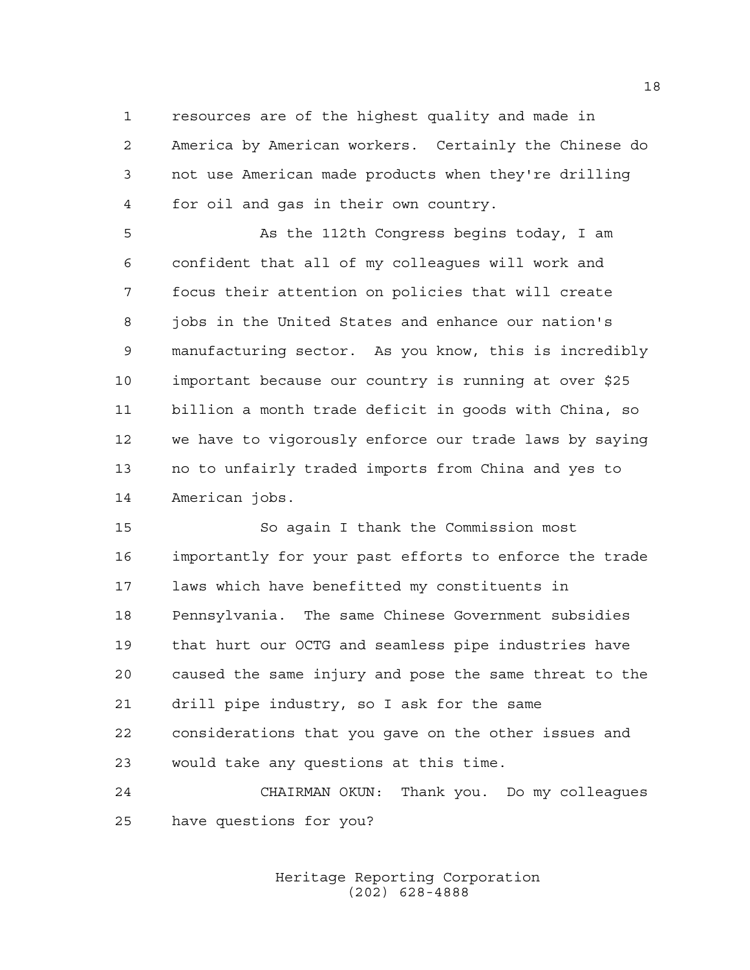resources are of the highest quality and made in America by American workers. Certainly the Chinese do not use American made products when they're drilling for oil and gas in their own country.

 As the 112th Congress begins today, I am confident that all of my colleagues will work and focus their attention on policies that will create jobs in the United States and enhance our nation's manufacturing sector. As you know, this is incredibly important because our country is running at over \$25 billion a month trade deficit in goods with China, so we have to vigorously enforce our trade laws by saying no to unfairly traded imports from China and yes to American jobs.

 So again I thank the Commission most importantly for your past efforts to enforce the trade laws which have benefitted my constituents in Pennsylvania. The same Chinese Government subsidies that hurt our OCTG and seamless pipe industries have caused the same injury and pose the same threat to the drill pipe industry, so I ask for the same considerations that you gave on the other issues and would take any questions at this time.

 CHAIRMAN OKUN: Thank you. Do my colleagues have questions for you?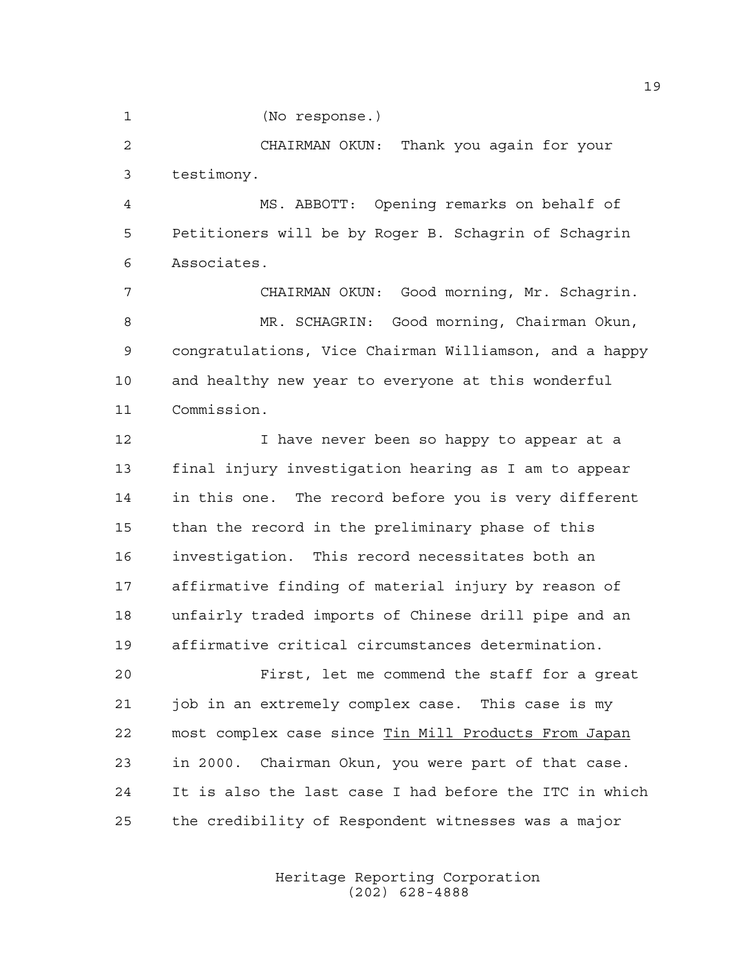(No response.)

 CHAIRMAN OKUN: Thank you again for your testimony.

 MS. ABBOTT: Opening remarks on behalf of Petitioners will be by Roger B. Schagrin of Schagrin Associates.

 CHAIRMAN OKUN: Good morning, Mr. Schagrin. MR. SCHAGRIN: Good morning, Chairman Okun, congratulations, Vice Chairman Williamson, and a happy and healthy new year to everyone at this wonderful Commission.

12 I have never been so happy to appear at a final injury investigation hearing as I am to appear in this one. The record before you is very different than the record in the preliminary phase of this investigation. This record necessitates both an affirmative finding of material injury by reason of unfairly traded imports of Chinese drill pipe and an affirmative critical circumstances determination.

 First, let me commend the staff for a great job in an extremely complex case. This case is my most complex case since Tin Mill Products From Japan in 2000. Chairman Okun, you were part of that case. It is also the last case I had before the ITC in which the credibility of Respondent witnesses was a major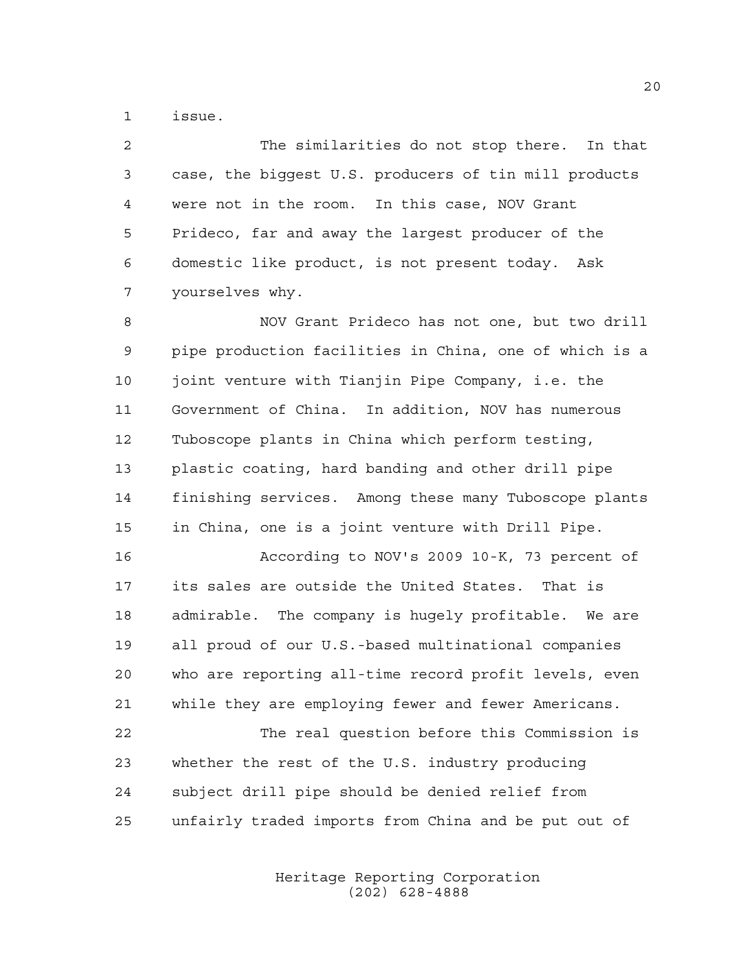issue.

 The similarities do not stop there. In that case, the biggest U.S. producers of tin mill products were not in the room. In this case, NOV Grant Prideco, far and away the largest producer of the domestic like product, is not present today. Ask yourselves why.

 NOV Grant Prideco has not one, but two drill pipe production facilities in China, one of which is a 10 joint venture with Tianjin Pipe Company, i.e. the Government of China. In addition, NOV has numerous Tuboscope plants in China which perform testing, plastic coating, hard banding and other drill pipe finishing services. Among these many Tuboscope plants in China, one is a joint venture with Drill Pipe.

 According to NOV's 2009 10-K, 73 percent of its sales are outside the United States. That is admirable. The company is hugely profitable. We are all proud of our U.S.-based multinational companies who are reporting all-time record profit levels, even while they are employing fewer and fewer Americans.

 The real question before this Commission is whether the rest of the U.S. industry producing subject drill pipe should be denied relief from unfairly traded imports from China and be put out of

> Heritage Reporting Corporation (202) 628-4888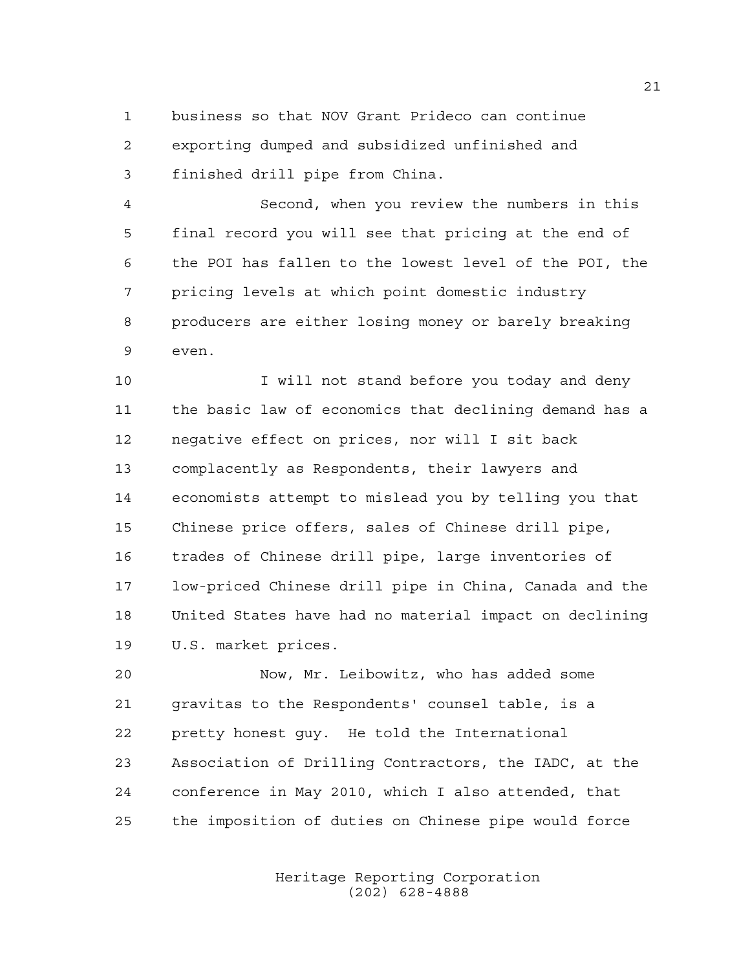business so that NOV Grant Prideco can continue exporting dumped and subsidized unfinished and finished drill pipe from China.

 Second, when you review the numbers in this final record you will see that pricing at the end of the POI has fallen to the lowest level of the POI, the pricing levels at which point domestic industry producers are either losing money or barely breaking even.

10 I will not stand before you today and deny the basic law of economics that declining demand has a negative effect on prices, nor will I sit back complacently as Respondents, their lawyers and economists attempt to mislead you by telling you that Chinese price offers, sales of Chinese drill pipe, trades of Chinese drill pipe, large inventories of low-priced Chinese drill pipe in China, Canada and the United States have had no material impact on declining U.S. market prices.

 Now, Mr. Leibowitz, who has added some gravitas to the Respondents' counsel table, is a pretty honest guy. He told the International Association of Drilling Contractors, the IADC, at the conference in May 2010, which I also attended, that the imposition of duties on Chinese pipe would force

> Heritage Reporting Corporation (202) 628-4888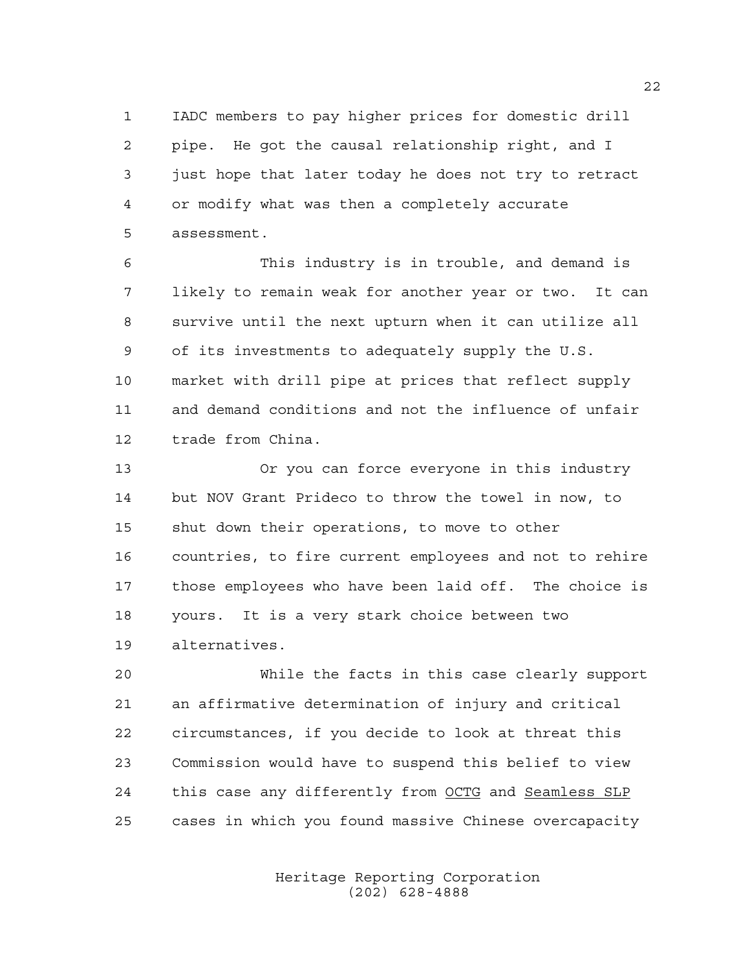IADC members to pay higher prices for domestic drill pipe. He got the causal relationship right, and I just hope that later today he does not try to retract or modify what was then a completely accurate assessment.

 This industry is in trouble, and demand is likely to remain weak for another year or two. It can survive until the next upturn when it can utilize all of its investments to adequately supply the U.S. market with drill pipe at prices that reflect supply and demand conditions and not the influence of unfair trade from China.

 Or you can force everyone in this industry but NOV Grant Prideco to throw the towel in now, to shut down their operations, to move to other countries, to fire current employees and not to rehire those employees who have been laid off. The choice is yours. It is a very stark choice between two alternatives.

 While the facts in this case clearly support an affirmative determination of injury and critical circumstances, if you decide to look at threat this Commission would have to suspend this belief to view this case any differently from OCTG and Seamless SLP cases in which you found massive Chinese overcapacity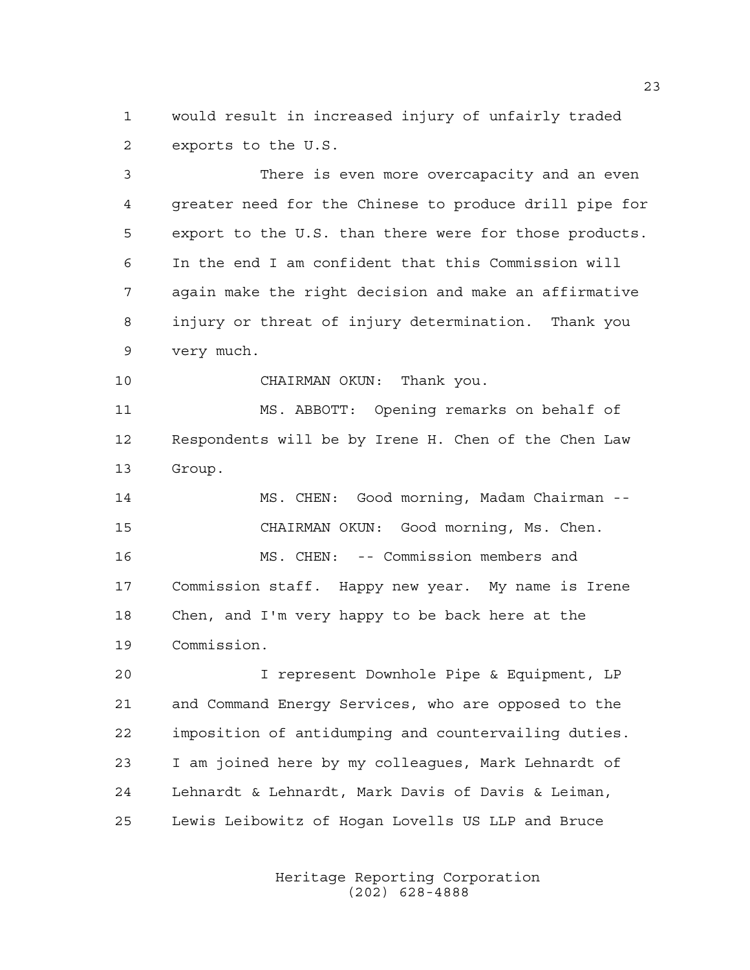would result in increased injury of unfairly traded exports to the U.S.

 There is even more overcapacity and an even greater need for the Chinese to produce drill pipe for export to the U.S. than there were for those products. In the end I am confident that this Commission will again make the right decision and make an affirmative injury or threat of injury determination. Thank you very much.

CHAIRMAN OKUN: Thank you.

 MS. ABBOTT: Opening remarks on behalf of Respondents will be by Irene H. Chen of the Chen Law Group.

 MS. CHEN: Good morning, Madam Chairman -- CHAIRMAN OKUN: Good morning, Ms. Chen. MS. CHEN: -- Commission members and Commission staff. Happy new year. My name is Irene Chen, and I'm very happy to be back here at the Commission.

 I represent Downhole Pipe & Equipment, LP and Command Energy Services, who are opposed to the imposition of antidumping and countervailing duties. I am joined here by my colleagues, Mark Lehnardt of Lehnardt & Lehnardt, Mark Davis of Davis & Leiman, Lewis Leibowitz of Hogan Lovells US LLP and Bruce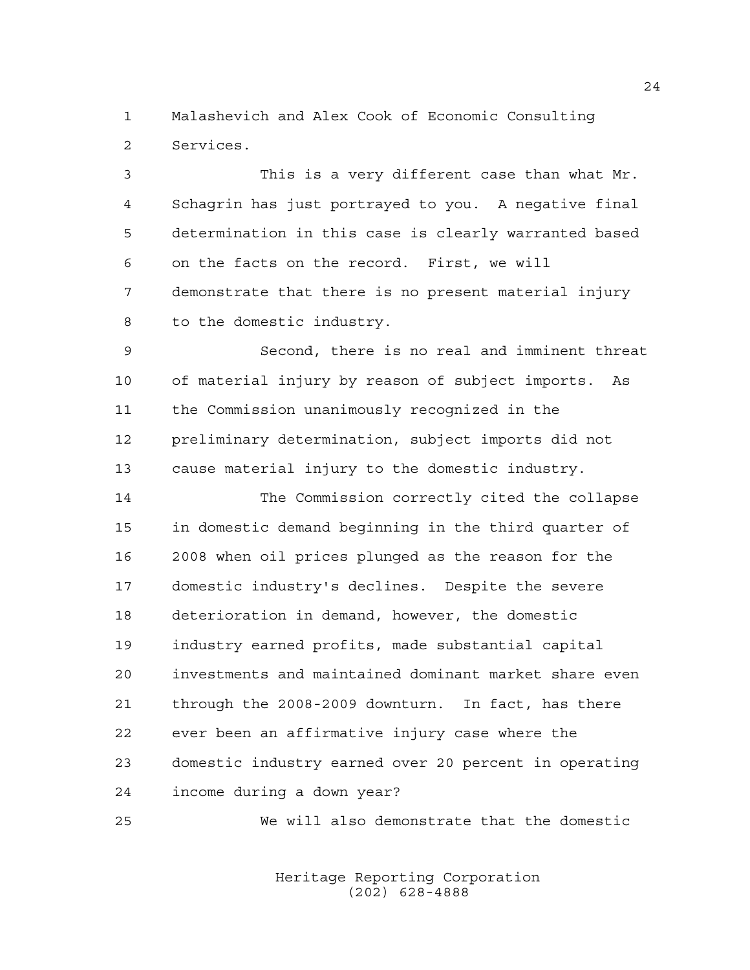Malashevich and Alex Cook of Economic Consulting Services.

 This is a very different case than what Mr. Schagrin has just portrayed to you. A negative final determination in this case is clearly warranted based on the facts on the record. First, we will demonstrate that there is no present material injury to the domestic industry.

 Second, there is no real and imminent threat of material injury by reason of subject imports. As the Commission unanimously recognized in the preliminary determination, subject imports did not cause material injury to the domestic industry.

 The Commission correctly cited the collapse in domestic demand beginning in the third quarter of 2008 when oil prices plunged as the reason for the domestic industry's declines. Despite the severe deterioration in demand, however, the domestic industry earned profits, made substantial capital investments and maintained dominant market share even through the 2008-2009 downturn. In fact, has there ever been an affirmative injury case where the domestic industry earned over 20 percent in operating income during a down year?

We will also demonstrate that the domestic

Heritage Reporting Corporation (202) 628-4888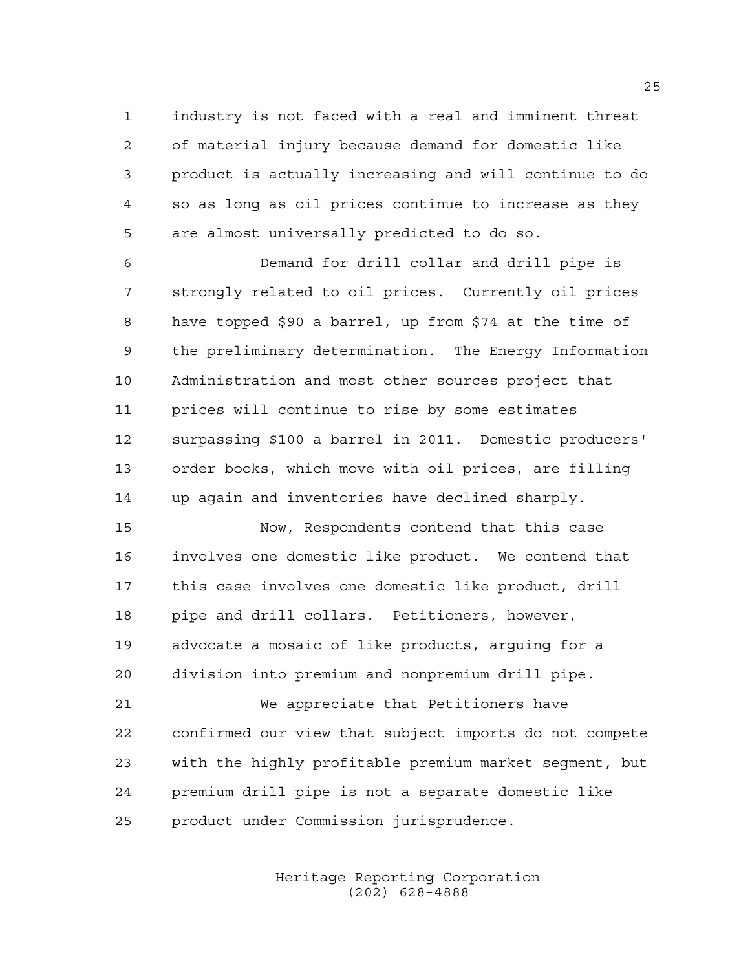industry is not faced with a real and imminent threat of material injury because demand for domestic like product is actually increasing and will continue to do so as long as oil prices continue to increase as they are almost universally predicted to do so.

 Demand for drill collar and drill pipe is strongly related to oil prices. Currently oil prices have topped \$90 a barrel, up from \$74 at the time of the preliminary determination. The Energy Information Administration and most other sources project that prices will continue to rise by some estimates surpassing \$100 a barrel in 2011. Domestic producers' order books, which move with oil prices, are filling up again and inventories have declined sharply.

 Now, Respondents contend that this case involves one domestic like product. We contend that this case involves one domestic like product, drill pipe and drill collars. Petitioners, however, advocate a mosaic of like products, arguing for a division into premium and nonpremium drill pipe.

 We appreciate that Petitioners have confirmed our view that subject imports do not compete with the highly profitable premium market segment, but premium drill pipe is not a separate domestic like product under Commission jurisprudence.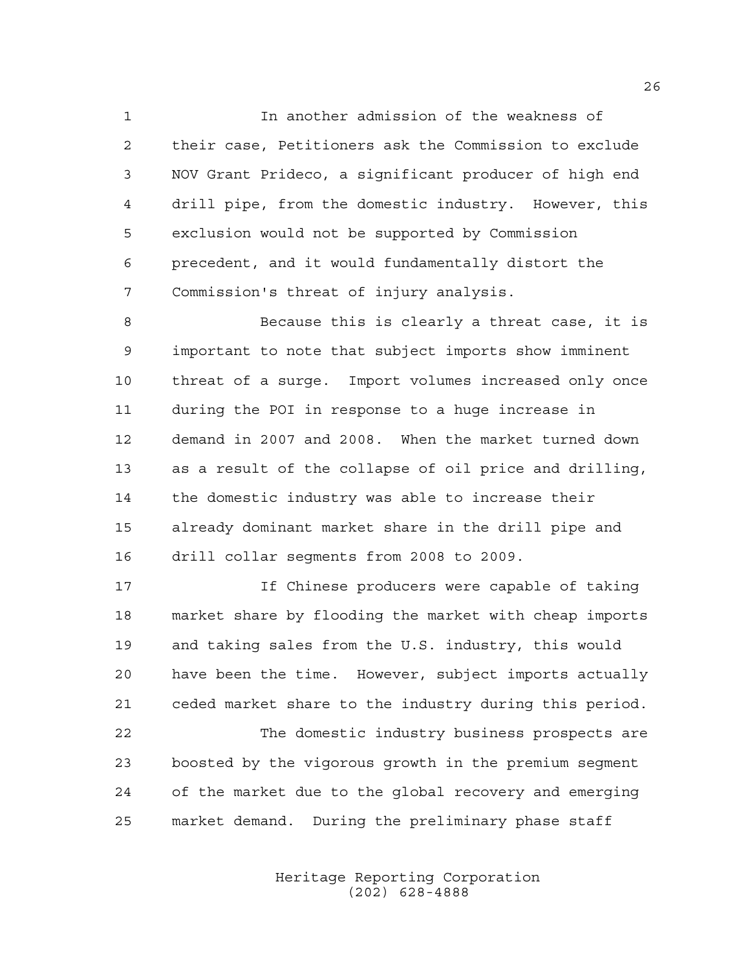In another admission of the weakness of their case, Petitioners ask the Commission to exclude NOV Grant Prideco, a significant producer of high end drill pipe, from the domestic industry. However, this exclusion would not be supported by Commission precedent, and it would fundamentally distort the Commission's threat of injury analysis.

 Because this is clearly a threat case, it is important to note that subject imports show imminent threat of a surge. Import volumes increased only once during the POI in response to a huge increase in demand in 2007 and 2008. When the market turned down as a result of the collapse of oil price and drilling, the domestic industry was able to increase their already dominant market share in the drill pipe and drill collar segments from 2008 to 2009.

 If Chinese producers were capable of taking market share by flooding the market with cheap imports and taking sales from the U.S. industry, this would have been the time. However, subject imports actually ceded market share to the industry during this period.

 The domestic industry business prospects are boosted by the vigorous growth in the premium segment of the market due to the global recovery and emerging market demand. During the preliminary phase staff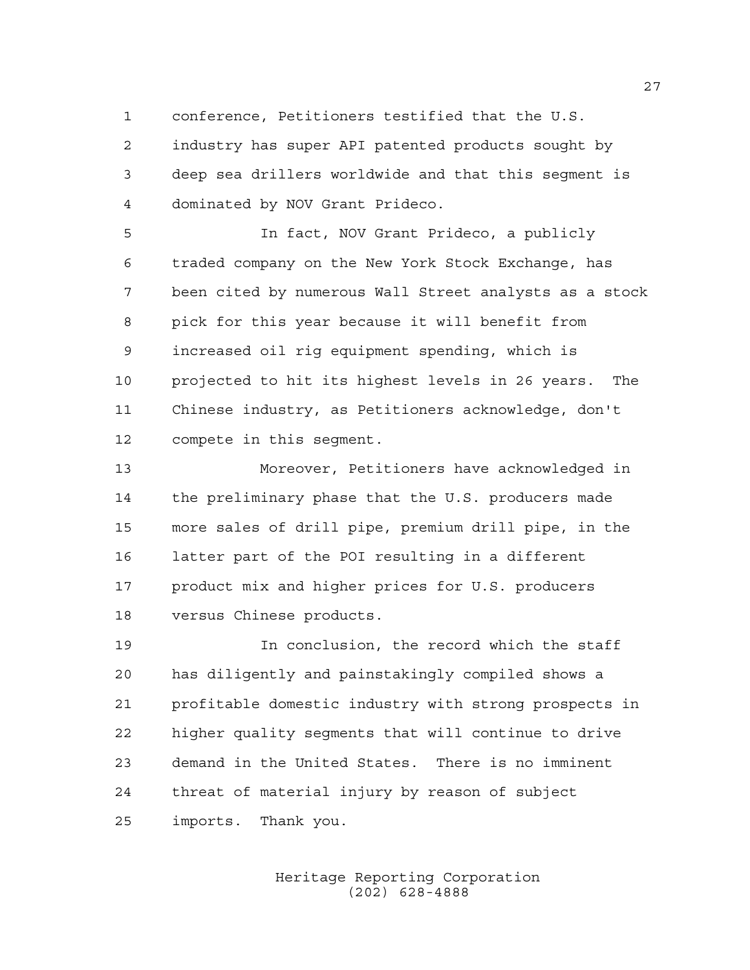conference, Petitioners testified that the U.S.

 industry has super API patented products sought by deep sea drillers worldwide and that this segment is dominated by NOV Grant Prideco.

 In fact, NOV Grant Prideco, a publicly traded company on the New York Stock Exchange, has been cited by numerous Wall Street analysts as a stock pick for this year because it will benefit from increased oil rig equipment spending, which is projected to hit its highest levels in 26 years. The Chinese industry, as Petitioners acknowledge, don't compete in this segment.

 Moreover, Petitioners have acknowledged in the preliminary phase that the U.S. producers made more sales of drill pipe, premium drill pipe, in the latter part of the POI resulting in a different product mix and higher prices for U.S. producers versus Chinese products.

 In conclusion, the record which the staff has diligently and painstakingly compiled shows a profitable domestic industry with strong prospects in higher quality segments that will continue to drive demand in the United States. There is no imminent threat of material injury by reason of subject imports. Thank you.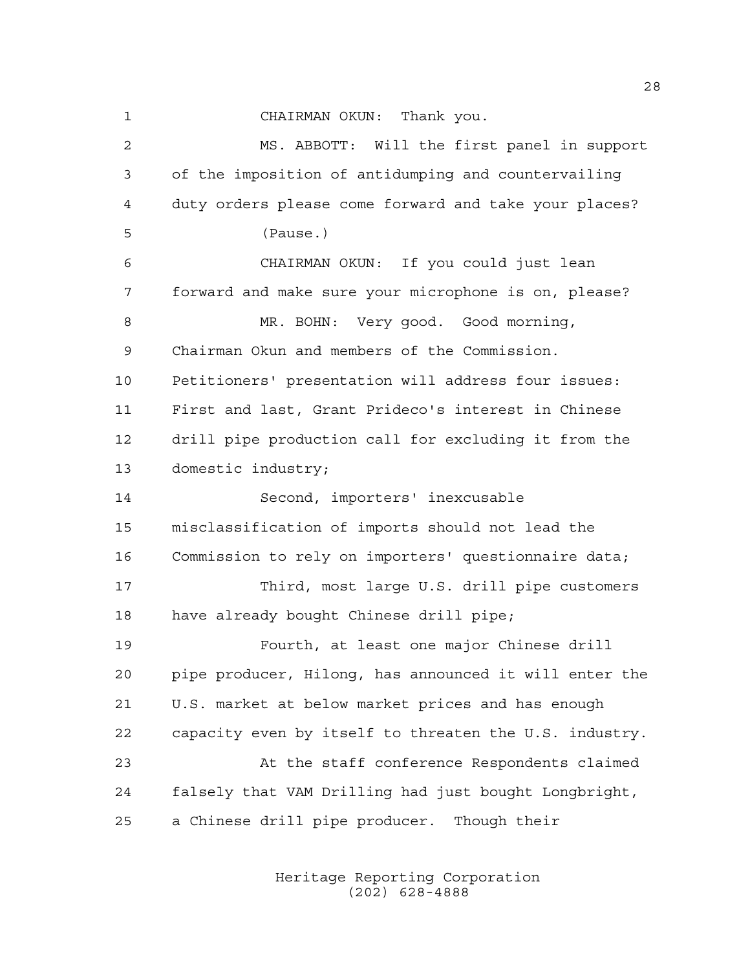CHAIRMAN OKUN: Thank you. MS. ABBOTT: Will the first panel in support of the imposition of antidumping and countervailing duty orders please come forward and take your places? (Pause.) CHAIRMAN OKUN: If you could just lean forward and make sure your microphone is on, please? 8 MR. BOHN: Very good. Good morning, Chairman Okun and members of the Commission. Petitioners' presentation will address four issues: First and last, Grant Prideco's interest in Chinese drill pipe production call for excluding it from the domestic industry; Second, importers' inexcusable misclassification of imports should not lead the Commission to rely on importers' questionnaire data; Third, most large U.S. drill pipe customers have already bought Chinese drill pipe; Fourth, at least one major Chinese drill pipe producer, Hilong, has announced it will enter the U.S. market at below market prices and has enough capacity even by itself to threaten the U.S. industry. At the staff conference Respondents claimed falsely that VAM Drilling had just bought Longbright, a Chinese drill pipe producer. Though their

> Heritage Reporting Corporation (202) 628-4888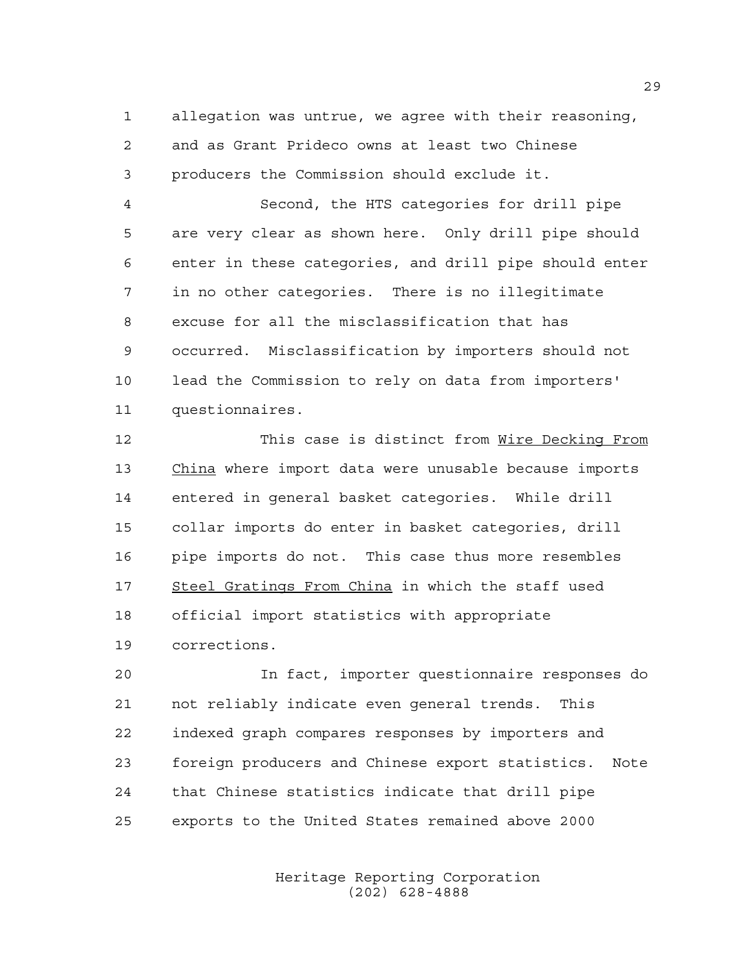allegation was untrue, we agree with their reasoning, and as Grant Prideco owns at least two Chinese producers the Commission should exclude it.

 Second, the HTS categories for drill pipe are very clear as shown here. Only drill pipe should enter in these categories, and drill pipe should enter in no other categories. There is no illegitimate excuse for all the misclassification that has occurred. Misclassification by importers should not lead the Commission to rely on data from importers' questionnaires.

 This case is distinct from Wire Decking From China where import data were unusable because imports entered in general basket categories. While drill collar imports do enter in basket categories, drill pipe imports do not. This case thus more resembles Steel Gratings From China in which the staff used official import statistics with appropriate corrections.

 In fact, importer questionnaire responses do not reliably indicate even general trends. This indexed graph compares responses by importers and foreign producers and Chinese export statistics. Note that Chinese statistics indicate that drill pipe exports to the United States remained above 2000

> Heritage Reporting Corporation (202) 628-4888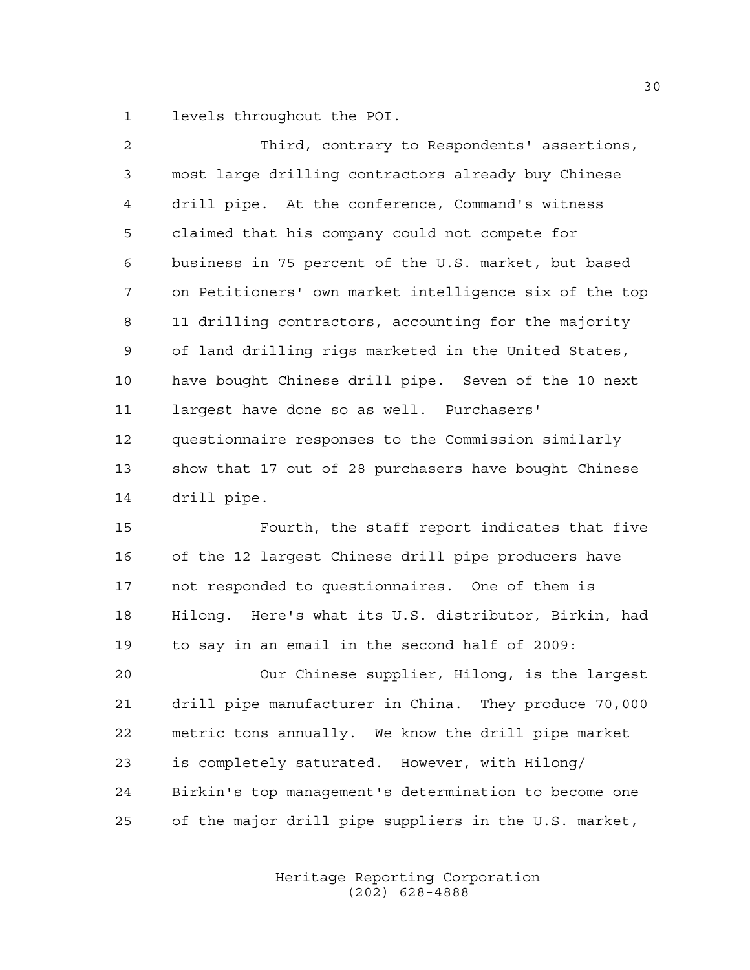levels throughout the POI.

| 2              | Third, contrary to Respondents' assertions,            |
|----------------|--------------------------------------------------------|
| $\mathbf{3}$   | most large drilling contractors already buy Chinese    |
| $\overline{4}$ | drill pipe. At the conference, Command's witness       |
| 5              | claimed that his company could not compete for         |
| 6              | business in 75 percent of the U.S. market, but based   |
| 7              | on Petitioners' own market intelligence six of the top |
| 8              | 11 drilling contractors, accounting for the majority   |
| 9              | of land drilling rigs marketed in the United States,   |
| 10             | have bought Chinese drill pipe. Seven of the 10 next   |
| 11             | largest have done so as well. Purchasers'              |
| 12             | questionnaire responses to the Commission similarly    |
| 13             | show that 17 out of 28 purchasers have bought Chinese  |
| 14             | drill pipe.                                            |

 Fourth, the staff report indicates that five of the 12 largest Chinese drill pipe producers have not responded to questionnaires. One of them is Hilong. Here's what its U.S. distributor, Birkin, had to say in an email in the second half of 2009:

 Our Chinese supplier, Hilong, is the largest drill pipe manufacturer in China. They produce 70,000 metric tons annually. We know the drill pipe market is completely saturated. However, with Hilong/ Birkin's top management's determination to become one of the major drill pipe suppliers in the U.S. market,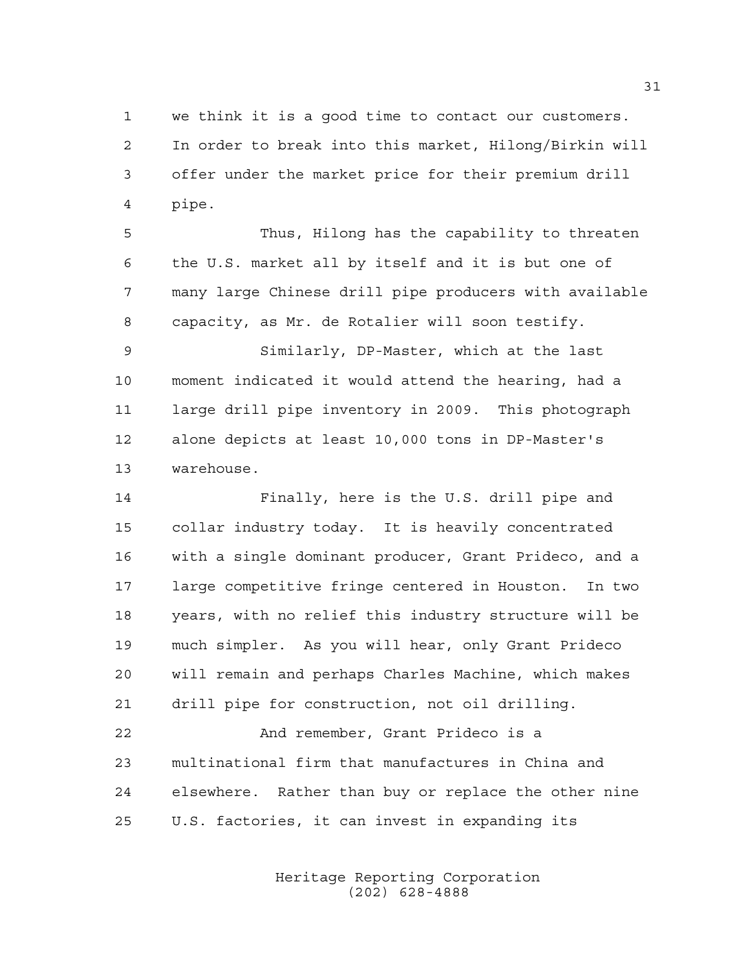we think it is a good time to contact our customers. In order to break into this market, Hilong/Birkin will offer under the market price for their premium drill pipe.

 Thus, Hilong has the capability to threaten the U.S. market all by itself and it is but one of many large Chinese drill pipe producers with available capacity, as Mr. de Rotalier will soon testify.

 Similarly, DP-Master, which at the last moment indicated it would attend the hearing, had a large drill pipe inventory in 2009. This photograph alone depicts at least 10,000 tons in DP-Master's warehouse.

 Finally, here is the U.S. drill pipe and collar industry today. It is heavily concentrated with a single dominant producer, Grant Prideco, and a large competitive fringe centered in Houston. In two years, with no relief this industry structure will be much simpler. As you will hear, only Grant Prideco will remain and perhaps Charles Machine, which makes drill pipe for construction, not oil drilling.

 And remember, Grant Prideco is a multinational firm that manufactures in China and elsewhere. Rather than buy or replace the other nine U.S. factories, it can invest in expanding its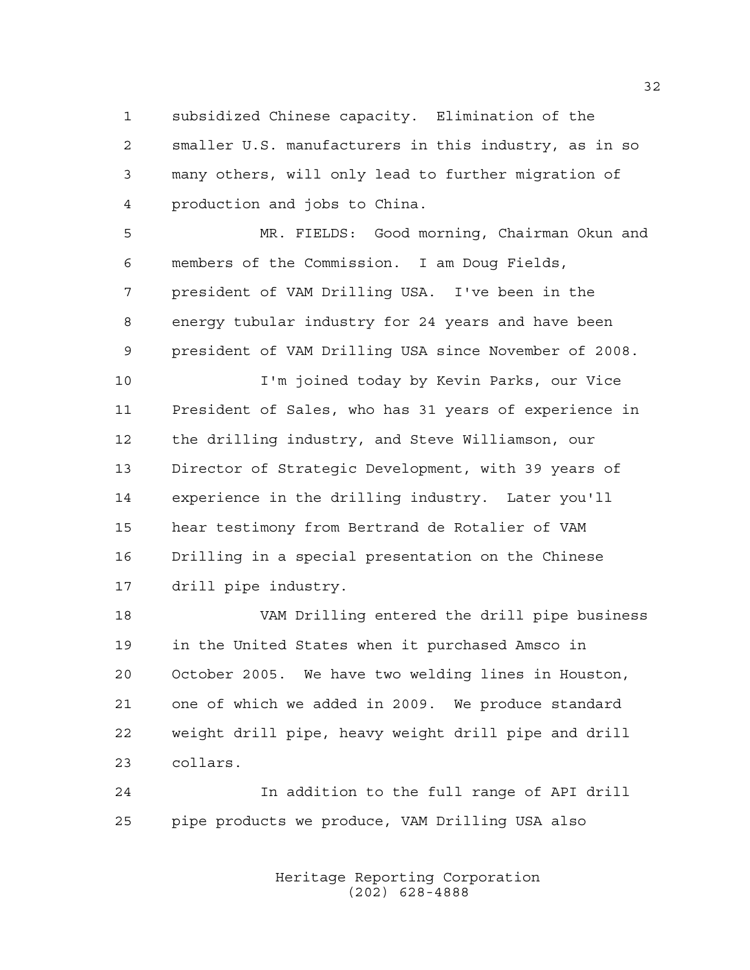subsidized Chinese capacity. Elimination of the smaller U.S. manufacturers in this industry, as in so many others, will only lead to further migration of production and jobs to China.

 MR. FIELDS: Good morning, Chairman Okun and members of the Commission. I am Doug Fields, president of VAM Drilling USA. I've been in the energy tubular industry for 24 years and have been president of VAM Drilling USA since November of 2008.

 I'm joined today by Kevin Parks, our Vice President of Sales, who has 31 years of experience in the drilling industry, and Steve Williamson, our Director of Strategic Development, with 39 years of experience in the drilling industry. Later you'll hear testimony from Bertrand de Rotalier of VAM Drilling in a special presentation on the Chinese drill pipe industry.

 VAM Drilling entered the drill pipe business in the United States when it purchased Amsco in October 2005. We have two welding lines in Houston, one of which we added in 2009. We produce standard weight drill pipe, heavy weight drill pipe and drill collars.

 In addition to the full range of API drill pipe products we produce, VAM Drilling USA also

> Heritage Reporting Corporation (202) 628-4888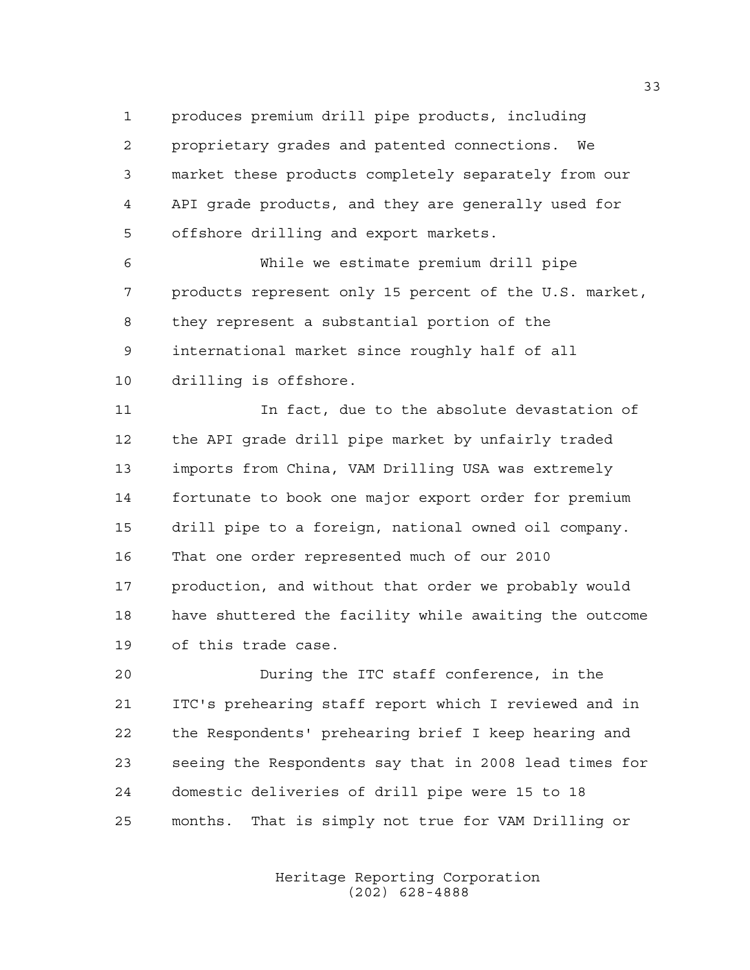produces premium drill pipe products, including proprietary grades and patented connections. We market these products completely separately from our API grade products, and they are generally used for offshore drilling and export markets.

 While we estimate premium drill pipe products represent only 15 percent of the U.S. market, they represent a substantial portion of the international market since roughly half of all drilling is offshore.

 In fact, due to the absolute devastation of the API grade drill pipe market by unfairly traded imports from China, VAM Drilling USA was extremely fortunate to book one major export order for premium drill pipe to a foreign, national owned oil company. That one order represented much of our 2010 production, and without that order we probably would have shuttered the facility while awaiting the outcome of this trade case.

 During the ITC staff conference, in the ITC's prehearing staff report which I reviewed and in the Respondents' prehearing brief I keep hearing and seeing the Respondents say that in 2008 lead times for domestic deliveries of drill pipe were 15 to 18 months. That is simply not true for VAM Drilling or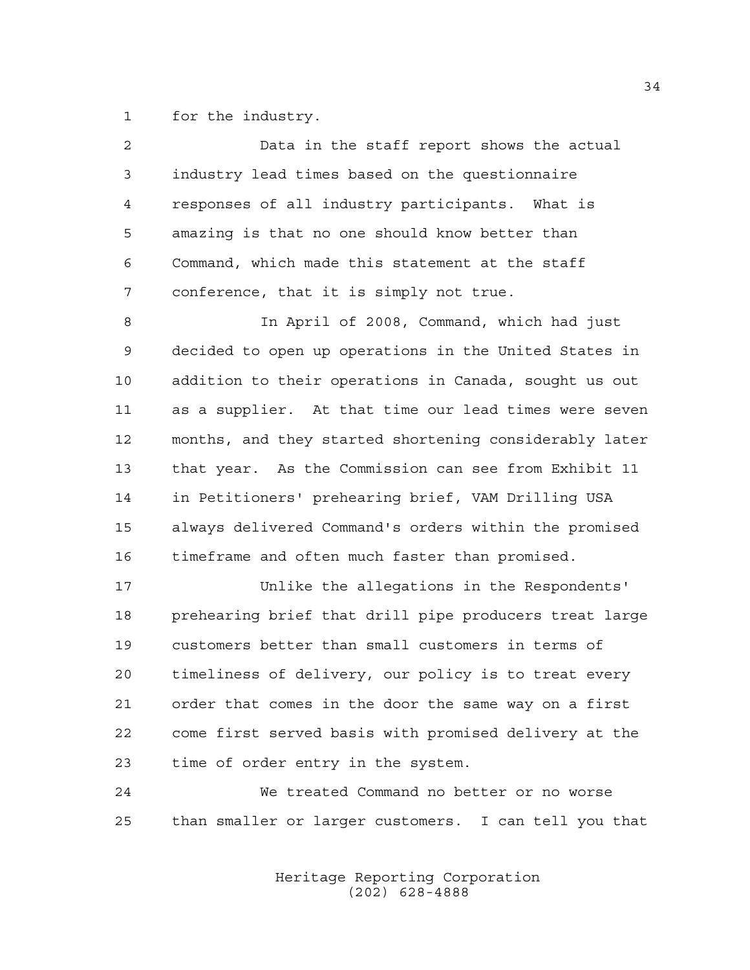for the industry.

| $\overline{a}$ | Data in the staff report shows the actual              |
|----------------|--------------------------------------------------------|
| 3              | industry lead times based on the questionnaire         |
| 4              | responses of all industry participants. What is        |
| 5              | amazing is that no one should know better than         |
| 6              | Command, which made this statement at the staff        |
| 7              | conference, that it is simply not true.                |
| 8              | In April of 2008, Command, which had just              |
| $\mathsf 9$    | decided to open up operations in the United States in  |
| 10             | addition to their operations in Canada, sought us out  |
| 11             | as a supplier. At that time our lead times were seven  |
| 12             | months, and they started shortening considerably later |
| 13             | that year. As the Commission can see from Exhibit 11   |
| 14             | in Petitioners' prehearing brief, VAM Drilling USA     |
| 15             | always delivered Command's orders within the promised  |
| 16             | timeframe and often much faster than promised.         |
| 17             | Unlike the allegations in the Respondents'             |
| 18             | prehearing brief that drill pipe producers treat large |
| 19             | customers better than small customers in terms of      |
| 20             | timeliness of delivery, our policy is to treat every   |
| 21             | order that comes in the door the same way on a first   |
| 22             | come first served basis with promised delivery at the  |
| 23             | time of order entry in the system.                     |
| 24             | We treated Command no better or no worse               |
| 25             | than smaller or larger customers. I can tell you that  |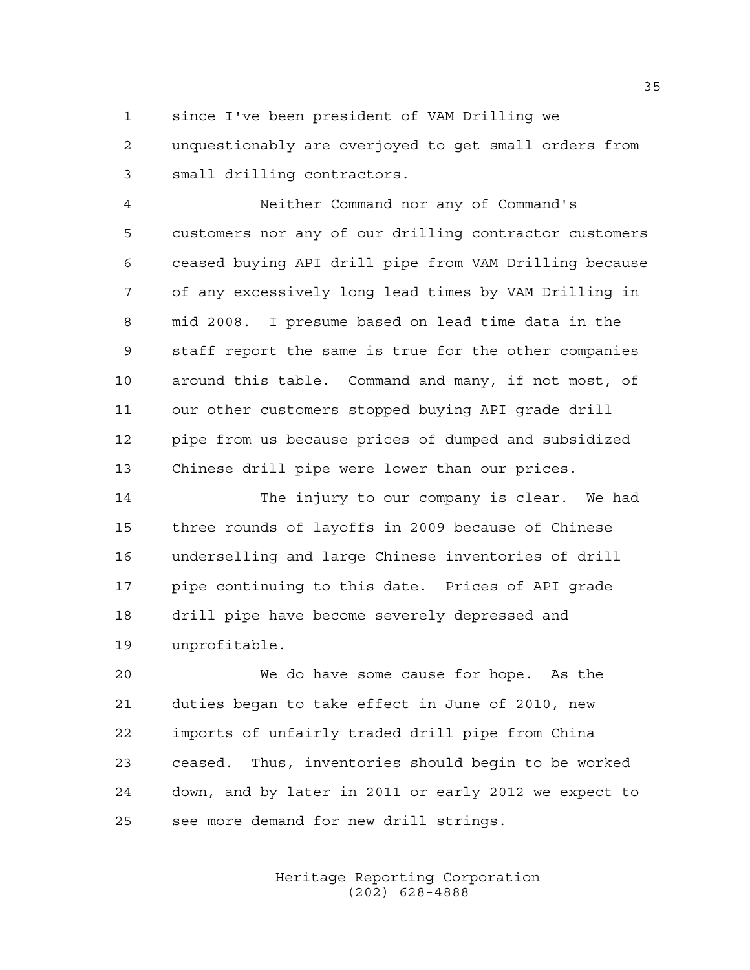since I've been president of VAM Drilling we

 unquestionably are overjoyed to get small orders from small drilling contractors.

 Neither Command nor any of Command's customers nor any of our drilling contractor customers ceased buying API drill pipe from VAM Drilling because of any excessively long lead times by VAM Drilling in mid 2008. I presume based on lead time data in the staff report the same is true for the other companies around this table. Command and many, if not most, of our other customers stopped buying API grade drill pipe from us because prices of dumped and subsidized Chinese drill pipe were lower than our prices.

14 The injury to our company is clear. We had three rounds of layoffs in 2009 because of Chinese underselling and large Chinese inventories of drill pipe continuing to this date. Prices of API grade drill pipe have become severely depressed and unprofitable.

 We do have some cause for hope. As the duties began to take effect in June of 2010, new imports of unfairly traded drill pipe from China ceased. Thus, inventories should begin to be worked down, and by later in 2011 or early 2012 we expect to see more demand for new drill strings.

> Heritage Reporting Corporation (202) 628-4888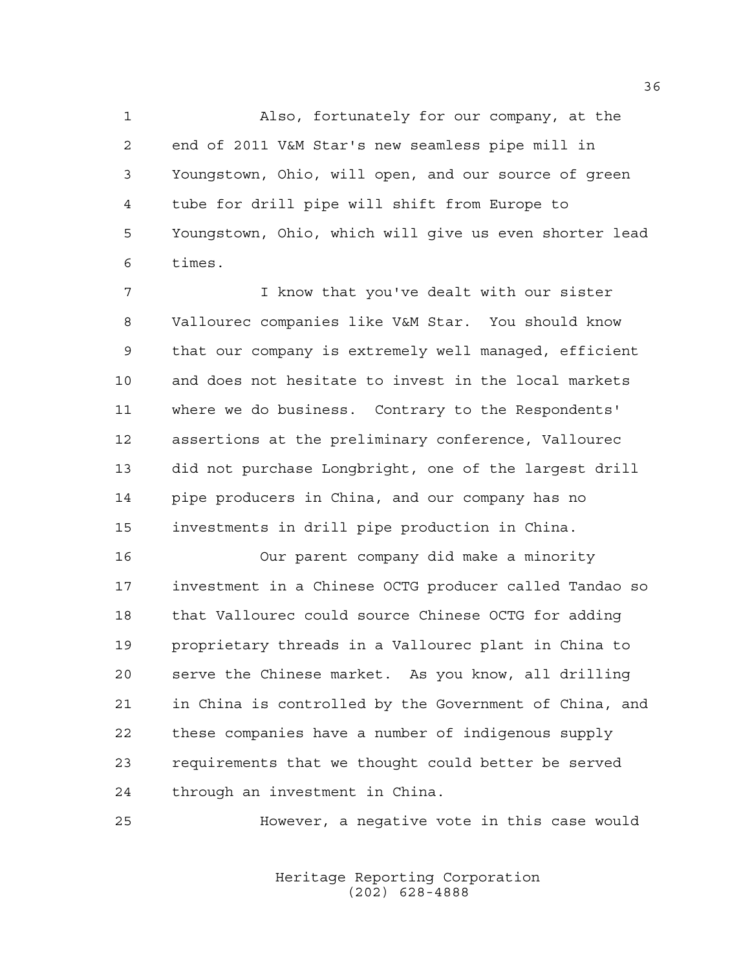Also, fortunately for our company, at the end of 2011 V&M Star's new seamless pipe mill in Youngstown, Ohio, will open, and our source of green tube for drill pipe will shift from Europe to Youngstown, Ohio, which will give us even shorter lead times.

 I know that you've dealt with our sister Vallourec companies like V&M Star. You should know that our company is extremely well managed, efficient and does not hesitate to invest in the local markets where we do business. Contrary to the Respondents' assertions at the preliminary conference, Vallourec did not purchase Longbright, one of the largest drill pipe producers in China, and our company has no investments in drill pipe production in China.

 Our parent company did make a minority investment in a Chinese OCTG producer called Tandao so that Vallourec could source Chinese OCTG for adding proprietary threads in a Vallourec plant in China to serve the Chinese market. As you know, all drilling in China is controlled by the Government of China, and these companies have a number of indigenous supply requirements that we thought could better be served through an investment in China.

However, a negative vote in this case would

Heritage Reporting Corporation (202) 628-4888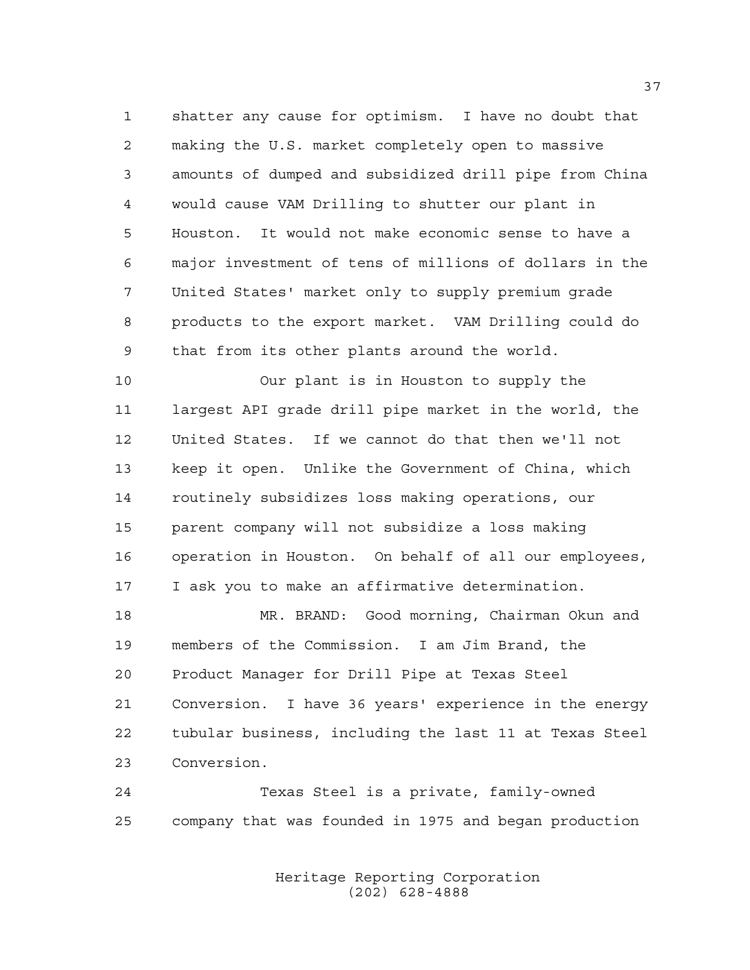shatter any cause for optimism. I have no doubt that making the U.S. market completely open to massive amounts of dumped and subsidized drill pipe from China would cause VAM Drilling to shutter our plant in Houston. It would not make economic sense to have a major investment of tens of millions of dollars in the United States' market only to supply premium grade products to the export market. VAM Drilling could do that from its other plants around the world.

 Our plant is in Houston to supply the largest API grade drill pipe market in the world, the United States. If we cannot do that then we'll not keep it open. Unlike the Government of China, which routinely subsidizes loss making operations, our parent company will not subsidize a loss making operation in Houston. On behalf of all our employees, I ask you to make an affirmative determination.

 MR. BRAND: Good morning, Chairman Okun and members of the Commission. I am Jim Brand, the Product Manager for Drill Pipe at Texas Steel Conversion. I have 36 years' experience in the energy tubular business, including the last 11 at Texas Steel Conversion.

 Texas Steel is a private, family-owned company that was founded in 1975 and began production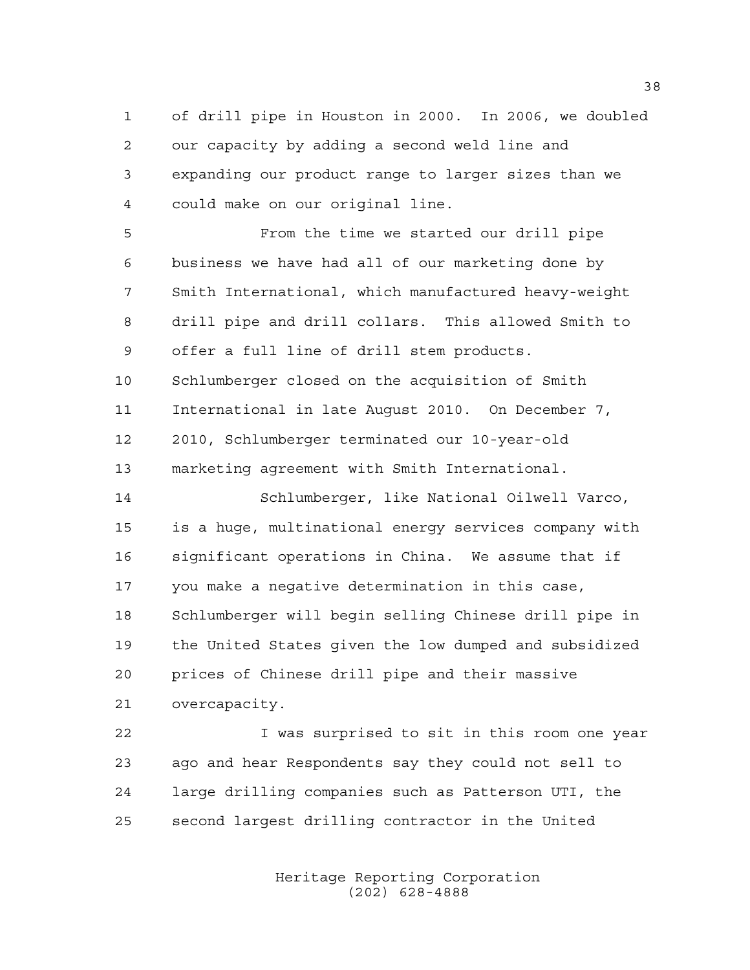of drill pipe in Houston in 2000. In 2006, we doubled our capacity by adding a second weld line and expanding our product range to larger sizes than we could make on our original line.

 From the time we started our drill pipe business we have had all of our marketing done by Smith International, which manufactured heavy-weight drill pipe and drill collars. This allowed Smith to offer a full line of drill stem products. Schlumberger closed on the acquisition of Smith International in late August 2010. On December 7, 2010, Schlumberger terminated our 10-year-old marketing agreement with Smith International.

 Schlumberger, like National Oilwell Varco, is a huge, multinational energy services company with significant operations in China. We assume that if you make a negative determination in this case, Schlumberger will begin selling Chinese drill pipe in the United States given the low dumped and subsidized prices of Chinese drill pipe and their massive overcapacity.

 I was surprised to sit in this room one year ago and hear Respondents say they could not sell to large drilling companies such as Patterson UTI, the second largest drilling contractor in the United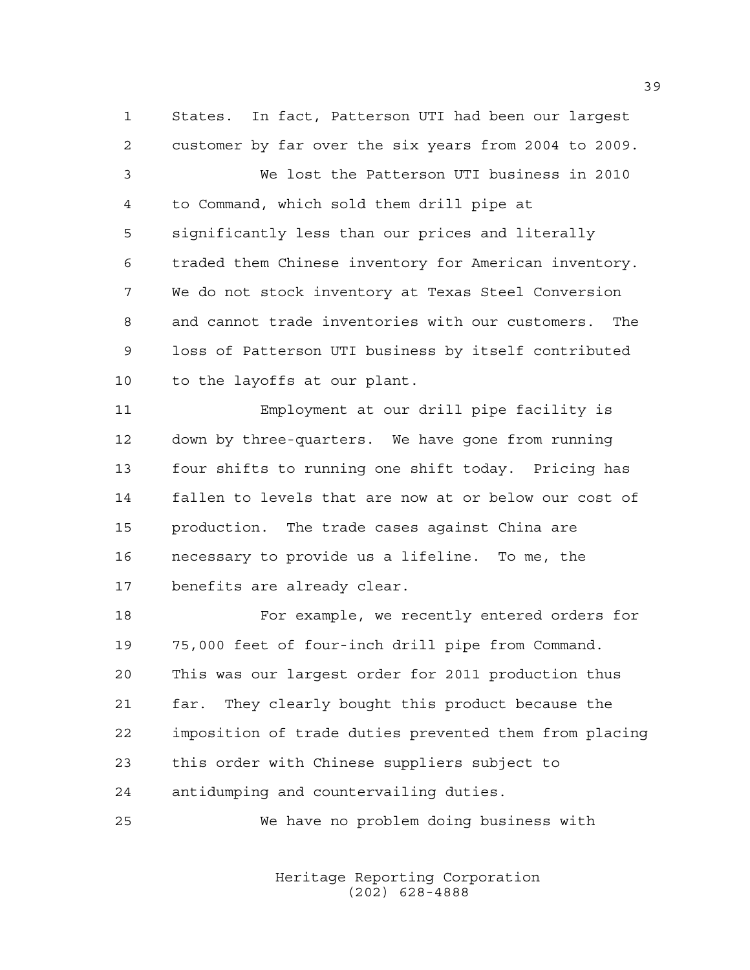States. In fact, Patterson UTI had been our largest customer by far over the six years from 2004 to 2009. We lost the Patterson UTI business in 2010 to Command, which sold them drill pipe at significantly less than our prices and literally traded them Chinese inventory for American inventory. We do not stock inventory at Texas Steel Conversion and cannot trade inventories with our customers. The loss of Patterson UTI business by itself contributed to the layoffs at our plant.

 Employment at our drill pipe facility is down by three-quarters. We have gone from running four shifts to running one shift today. Pricing has fallen to levels that are now at or below our cost of production. The trade cases against China are necessary to provide us a lifeline. To me, the benefits are already clear.

 For example, we recently entered orders for 75,000 feet of four-inch drill pipe from Command. This was our largest order for 2011 production thus far. They clearly bought this product because the imposition of trade duties prevented them from placing this order with Chinese suppliers subject to antidumping and countervailing duties.

We have no problem doing business with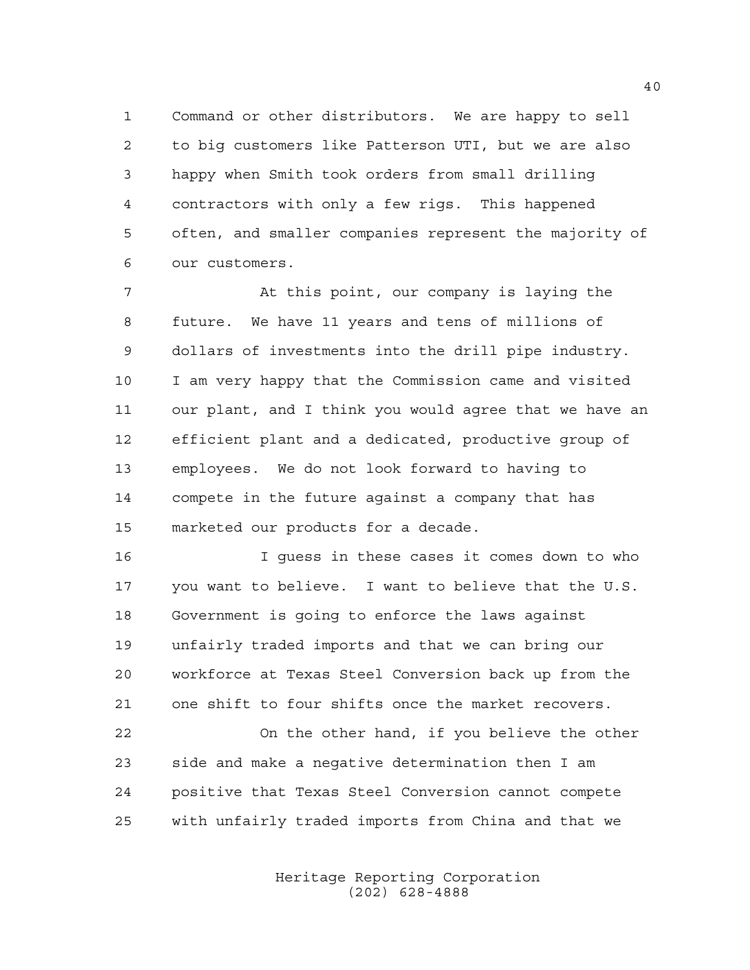Command or other distributors. We are happy to sell to big customers like Patterson UTI, but we are also happy when Smith took orders from small drilling contractors with only a few rigs. This happened often, and smaller companies represent the majority of our customers.

 At this point, our company is laying the future. We have 11 years and tens of millions of dollars of investments into the drill pipe industry. I am very happy that the Commission came and visited our plant, and I think you would agree that we have an efficient plant and a dedicated, productive group of employees. We do not look forward to having to compete in the future against a company that has marketed our products for a decade.

 I guess in these cases it comes down to who you want to believe. I want to believe that the U.S. Government is going to enforce the laws against unfairly traded imports and that we can bring our workforce at Texas Steel Conversion back up from the one shift to four shifts once the market recovers.

 On the other hand, if you believe the other side and make a negative determination then I am positive that Texas Steel Conversion cannot compete with unfairly traded imports from China and that we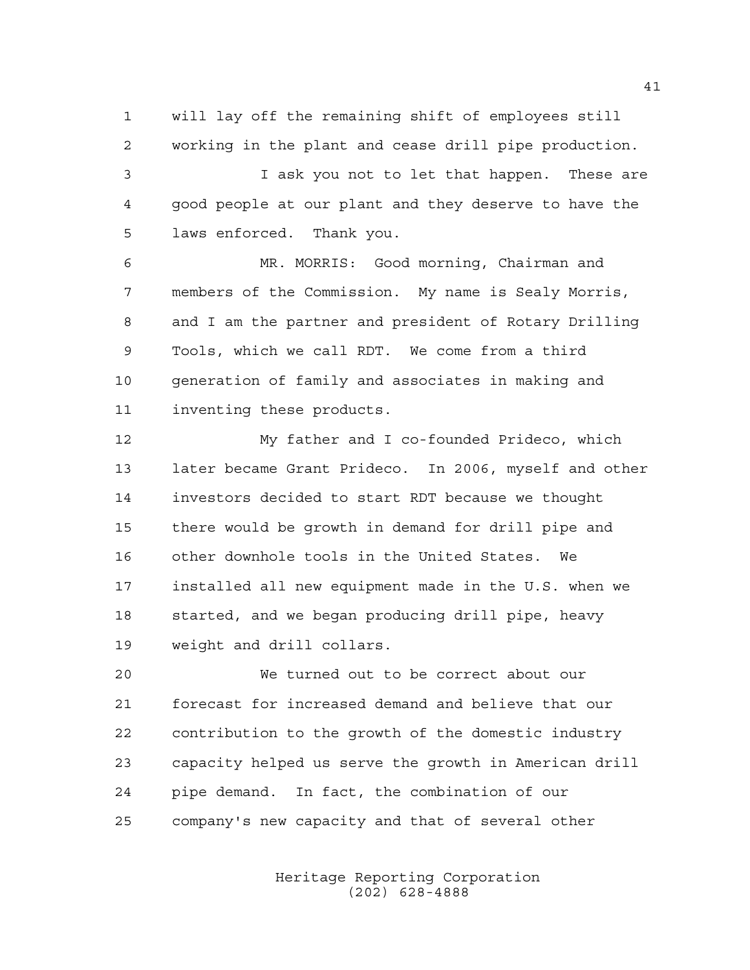will lay off the remaining shift of employees still working in the plant and cease drill pipe production.

 I ask you not to let that happen. These are good people at our plant and they deserve to have the laws enforced. Thank you.

 MR. MORRIS: Good morning, Chairman and members of the Commission. My name is Sealy Morris, and I am the partner and president of Rotary Drilling Tools, which we call RDT. We come from a third generation of family and associates in making and inventing these products.

 My father and I co-founded Prideco, which later became Grant Prideco. In 2006, myself and other investors decided to start RDT because we thought there would be growth in demand for drill pipe and other downhole tools in the United States. We installed all new equipment made in the U.S. when we started, and we began producing drill pipe, heavy weight and drill collars.

 We turned out to be correct about our forecast for increased demand and believe that our contribution to the growth of the domestic industry capacity helped us serve the growth in American drill pipe demand. In fact, the combination of our company's new capacity and that of several other

> Heritage Reporting Corporation (202) 628-4888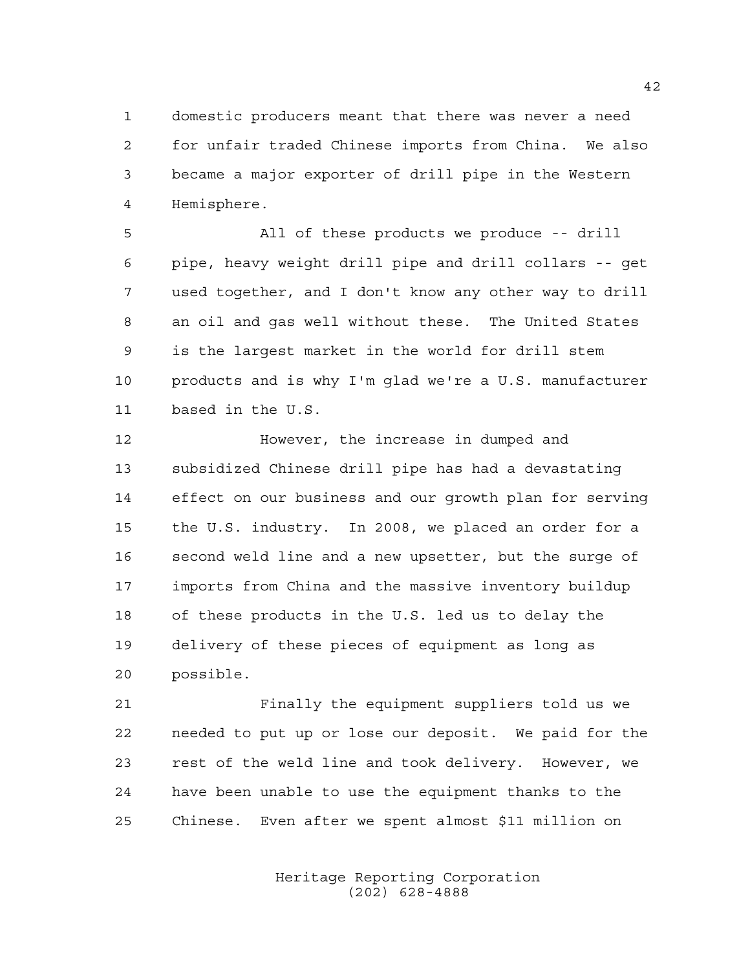domestic producers meant that there was never a need for unfair traded Chinese imports from China. We also became a major exporter of drill pipe in the Western Hemisphere.

 All of these products we produce -- drill pipe, heavy weight drill pipe and drill collars -- get used together, and I don't know any other way to drill an oil and gas well without these. The United States is the largest market in the world for drill stem products and is why I'm glad we're a U.S. manufacturer based in the U.S.

 However, the increase in dumped and subsidized Chinese drill pipe has had a devastating effect on our business and our growth plan for serving the U.S. industry. In 2008, we placed an order for a second weld line and a new upsetter, but the surge of imports from China and the massive inventory buildup of these products in the U.S. led us to delay the delivery of these pieces of equipment as long as possible.

 Finally the equipment suppliers told us we needed to put up or lose our deposit. We paid for the rest of the weld line and took delivery. However, we have been unable to use the equipment thanks to the Chinese. Even after we spent almost \$11 million on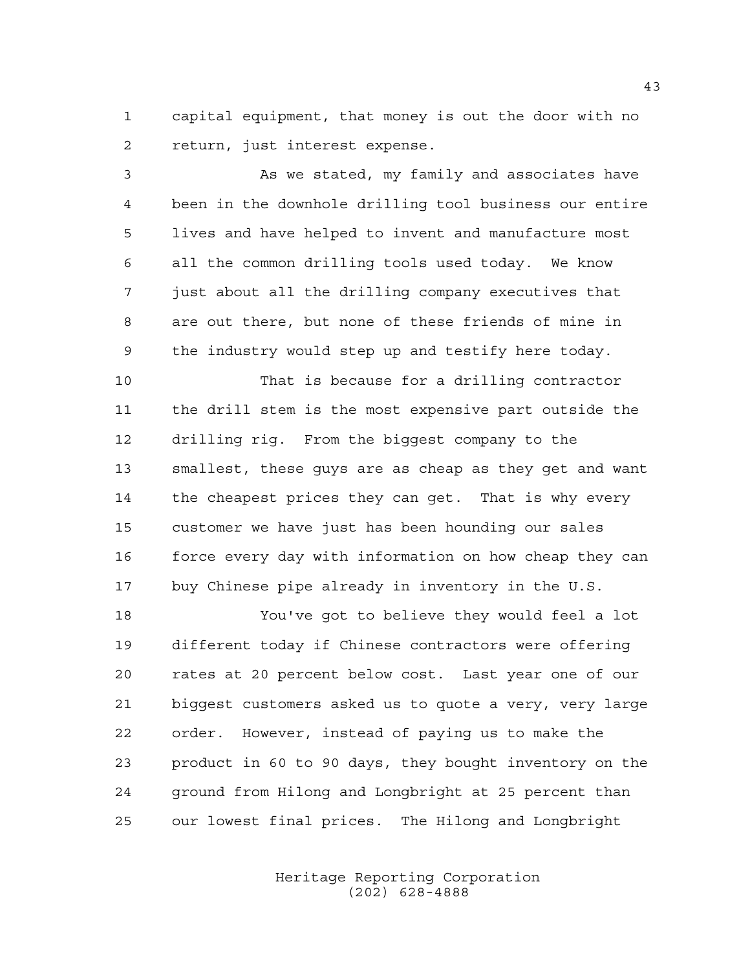capital equipment, that money is out the door with no return, just interest expense.

 As we stated, my family and associates have been in the downhole drilling tool business our entire lives and have helped to invent and manufacture most all the common drilling tools used today. We know just about all the drilling company executives that are out there, but none of these friends of mine in the industry would step up and testify here today.

 That is because for a drilling contractor the drill stem is the most expensive part outside the drilling rig. From the biggest company to the smallest, these guys are as cheap as they get and want the cheapest prices they can get. That is why every customer we have just has been hounding our sales 16 force every day with information on how cheap they can buy Chinese pipe already in inventory in the U.S.

 You've got to believe they would feel a lot different today if Chinese contractors were offering rates at 20 percent below cost. Last year one of our biggest customers asked us to quote a very, very large order. However, instead of paying us to make the product in 60 to 90 days, they bought inventory on the ground from Hilong and Longbright at 25 percent than our lowest final prices. The Hilong and Longbright

> Heritage Reporting Corporation (202) 628-4888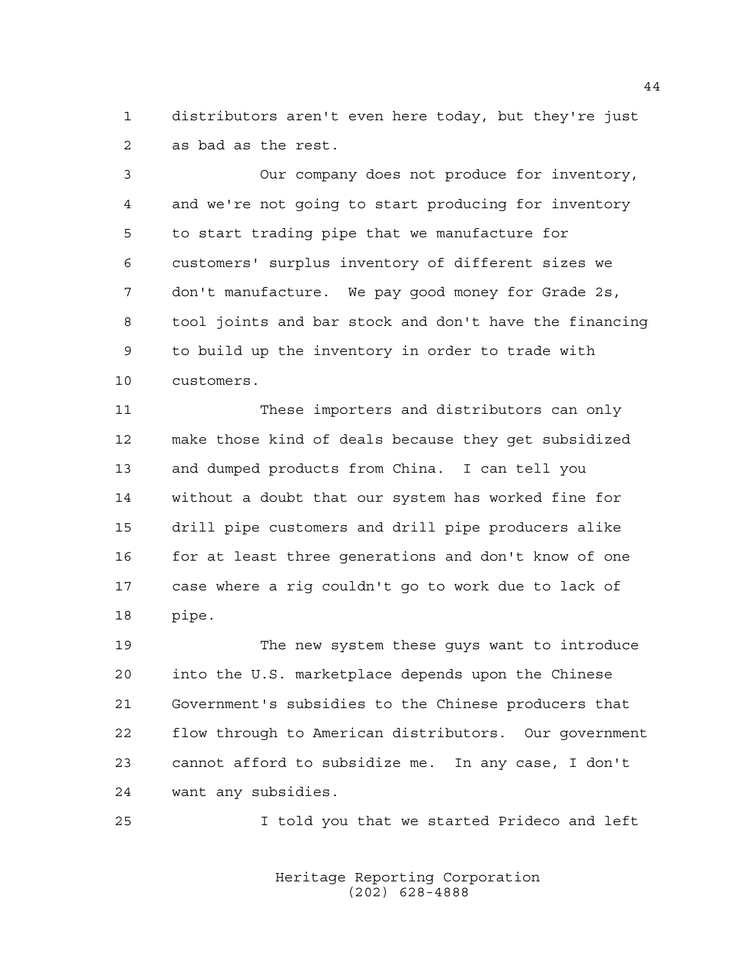distributors aren't even here today, but they're just as bad as the rest.

 Our company does not produce for inventory, and we're not going to start producing for inventory to start trading pipe that we manufacture for customers' surplus inventory of different sizes we don't manufacture. We pay good money for Grade 2s, tool joints and bar stock and don't have the financing to build up the inventory in order to trade with customers.

 These importers and distributors can only make those kind of deals because they get subsidized and dumped products from China. I can tell you without a doubt that our system has worked fine for drill pipe customers and drill pipe producers alike 16 for at least three generations and don't know of one case where a rig couldn't go to work due to lack of pipe.

 The new system these guys want to introduce into the U.S. marketplace depends upon the Chinese Government's subsidies to the Chinese producers that flow through to American distributors. Our government cannot afford to subsidize me. In any case, I don't want any subsidies.

I told you that we started Prideco and left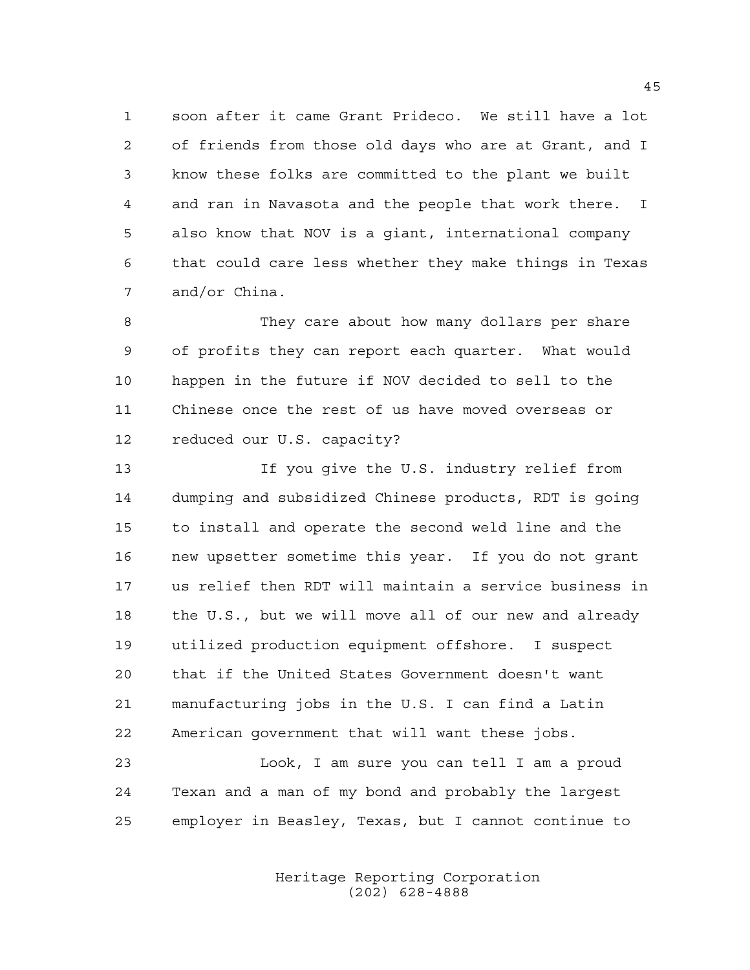soon after it came Grant Prideco. We still have a lot of friends from those old days who are at Grant, and I know these folks are committed to the plant we built and ran in Navasota and the people that work there. I also know that NOV is a giant, international company that could care less whether they make things in Texas and/or China.

 They care about how many dollars per share of profits they can report each quarter. What would happen in the future if NOV decided to sell to the Chinese once the rest of us have moved overseas or reduced our U.S. capacity?

 If you give the U.S. industry relief from dumping and subsidized Chinese products, RDT is going to install and operate the second weld line and the new upsetter sometime this year. If you do not grant us relief then RDT will maintain a service business in the U.S., but we will move all of our new and already utilized production equipment offshore. I suspect that if the United States Government doesn't want manufacturing jobs in the U.S. I can find a Latin American government that will want these jobs.

 Look, I am sure you can tell I am a proud Texan and a man of my bond and probably the largest employer in Beasley, Texas, but I cannot continue to

> Heritage Reporting Corporation (202) 628-4888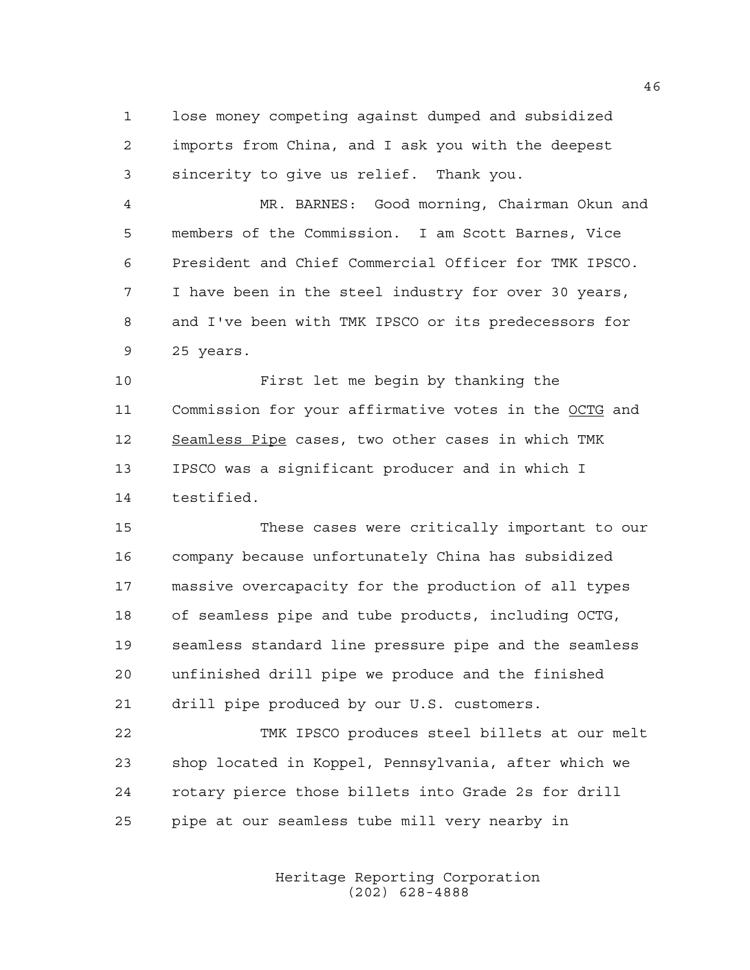lose money competing against dumped and subsidized imports from China, and I ask you with the deepest sincerity to give us relief. Thank you.

 MR. BARNES: Good morning, Chairman Okun and members of the Commission. I am Scott Barnes, Vice President and Chief Commercial Officer for TMK IPSCO. I have been in the steel industry for over 30 years, and I've been with TMK IPSCO or its predecessors for 25 years.

 First let me begin by thanking the Commission for your affirmative votes in the OCTG and Seamless Pipe cases, two other cases in which TMK IPSCO was a significant producer and in which I testified.

 These cases were critically important to our company because unfortunately China has subsidized massive overcapacity for the production of all types of seamless pipe and tube products, including OCTG, seamless standard line pressure pipe and the seamless unfinished drill pipe we produce and the finished drill pipe produced by our U.S. customers.

 TMK IPSCO produces steel billets at our melt shop located in Koppel, Pennsylvania, after which we rotary pierce those billets into Grade 2s for drill pipe at our seamless tube mill very nearby in

> Heritage Reporting Corporation (202) 628-4888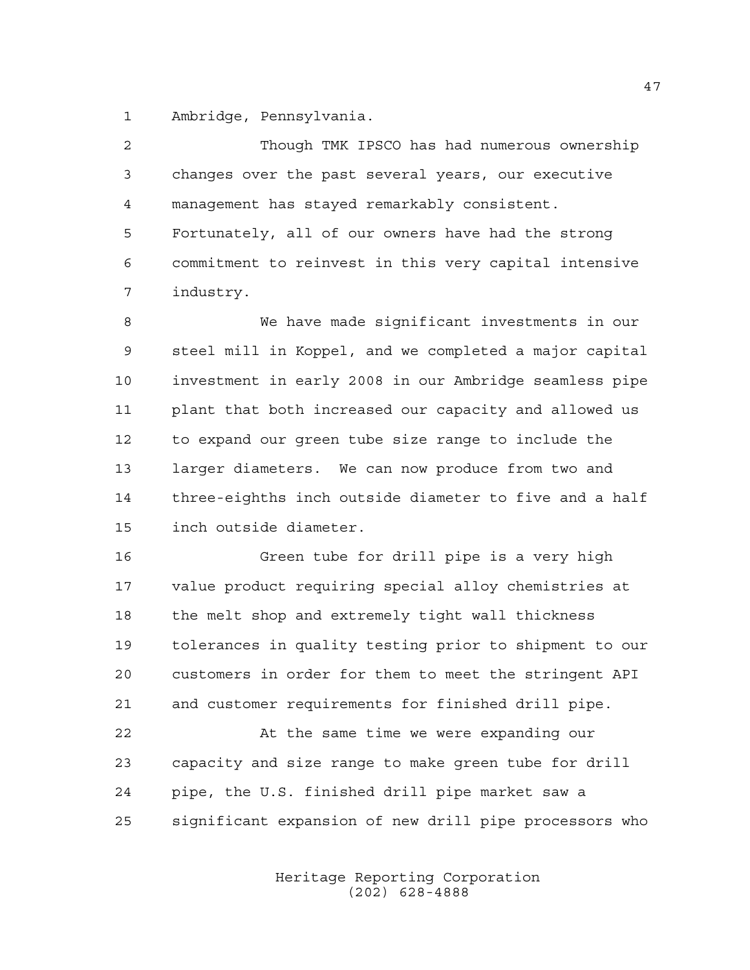Ambridge, Pennsylvania.

| $\overline{2}$ | Though TMK IPSCO has had numerous ownership            |
|----------------|--------------------------------------------------------|
| $\mathfrak{Z}$ | changes over the past several years, our executive     |
| 4              | management has stayed remarkably consistent.           |
| 5              | Fortunately, all of our owners have had the strong     |
| 6              | commitment to reinvest in this very capital intensive  |
| 7              | industry.                                              |
| 8              | We have made significant investments in our            |
| 9              | steel mill in Koppel, and we completed a major capital |
| 10             | investment in early 2008 in our Ambridge seamless pipe |
| 11             | plant that both increased our capacity and allowed us  |
| 12             | to expand our green tube size range to include the     |
| 13             | larger diameters. We can now produce from two and      |
| 14             | three-eighths inch outside diameter to five and a half |
| 15             | inch outside diameter.                                 |
| 16             | Green tube for drill pipe is a very high               |
| 17             | value product requiring special alloy chemistries at   |
| 18             | the melt shop and extremely tight wall thickness       |
| 19             | tolerances in quality testing prior to shipment to our |
| 20             | customers in order for them to meet the stringent API  |
| 21             | and customer requirements for finished drill pipe.     |
| 22             | At the same time we were expanding our                 |
| 23             | capacity and size range to make green tube for drill   |
| 24             | pipe, the U.S. finished drill pipe market saw a        |
| 25             | significant expansion of new drill pipe processors who |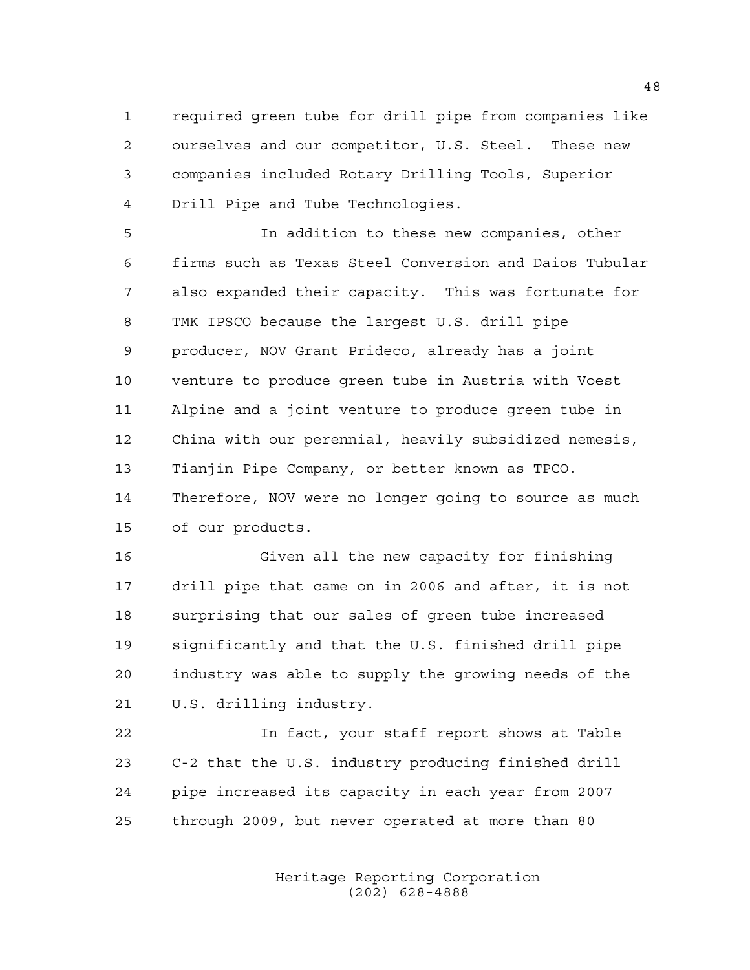required green tube for drill pipe from companies like ourselves and our competitor, U.S. Steel. These new companies included Rotary Drilling Tools, Superior Drill Pipe and Tube Technologies.

 In addition to these new companies, other firms such as Texas Steel Conversion and Daios Tubular also expanded their capacity. This was fortunate for TMK IPSCO because the largest U.S. drill pipe producer, NOV Grant Prideco, already has a joint venture to produce green tube in Austria with Voest Alpine and a joint venture to produce green tube in China with our perennial, heavily subsidized nemesis, Tianjin Pipe Company, or better known as TPCO. Therefore, NOV were no longer going to source as much of our products.

 Given all the new capacity for finishing drill pipe that came on in 2006 and after, it is not surprising that our sales of green tube increased significantly and that the U.S. finished drill pipe industry was able to supply the growing needs of the U.S. drilling industry.

 In fact, your staff report shows at Table C-2 that the U.S. industry producing finished drill pipe increased its capacity in each year from 2007 through 2009, but never operated at more than 80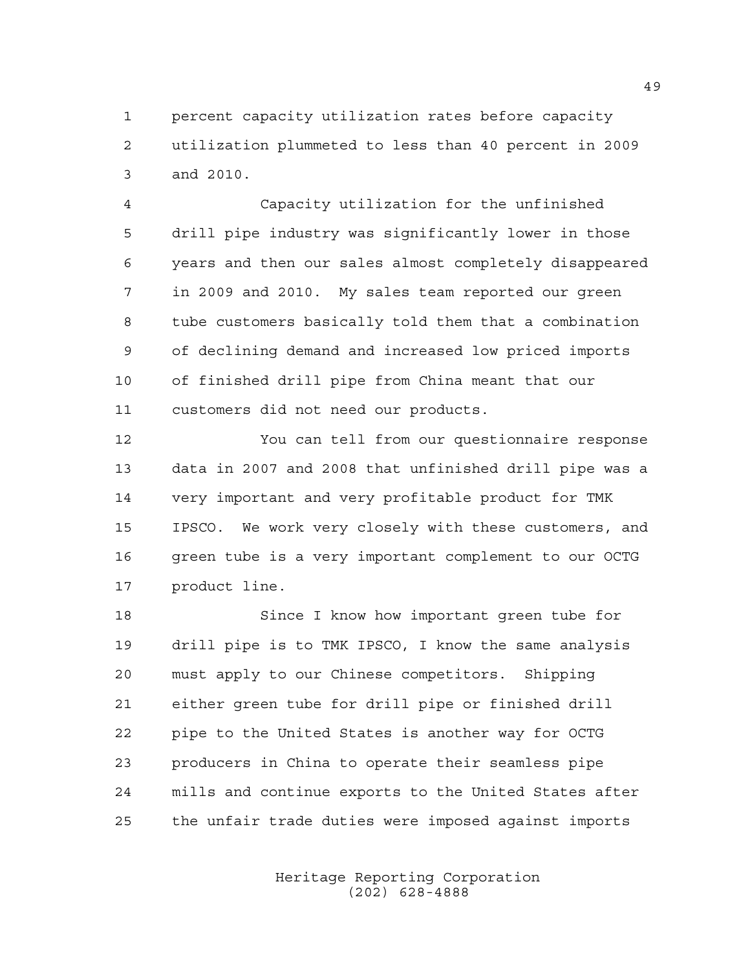percent capacity utilization rates before capacity utilization plummeted to less than 40 percent in 2009 and 2010.

 Capacity utilization for the unfinished drill pipe industry was significantly lower in those years and then our sales almost completely disappeared in 2009 and 2010. My sales team reported our green tube customers basically told them that a combination of declining demand and increased low priced imports of finished drill pipe from China meant that our customers did not need our products.

 You can tell from our questionnaire response data in 2007 and 2008 that unfinished drill pipe was a very important and very profitable product for TMK IPSCO. We work very closely with these customers, and green tube is a very important complement to our OCTG product line.

 Since I know how important green tube for drill pipe is to TMK IPSCO, I know the same analysis must apply to our Chinese competitors. Shipping either green tube for drill pipe or finished drill pipe to the United States is another way for OCTG producers in China to operate their seamless pipe mills and continue exports to the United States after the unfair trade duties were imposed against imports

> Heritage Reporting Corporation (202) 628-4888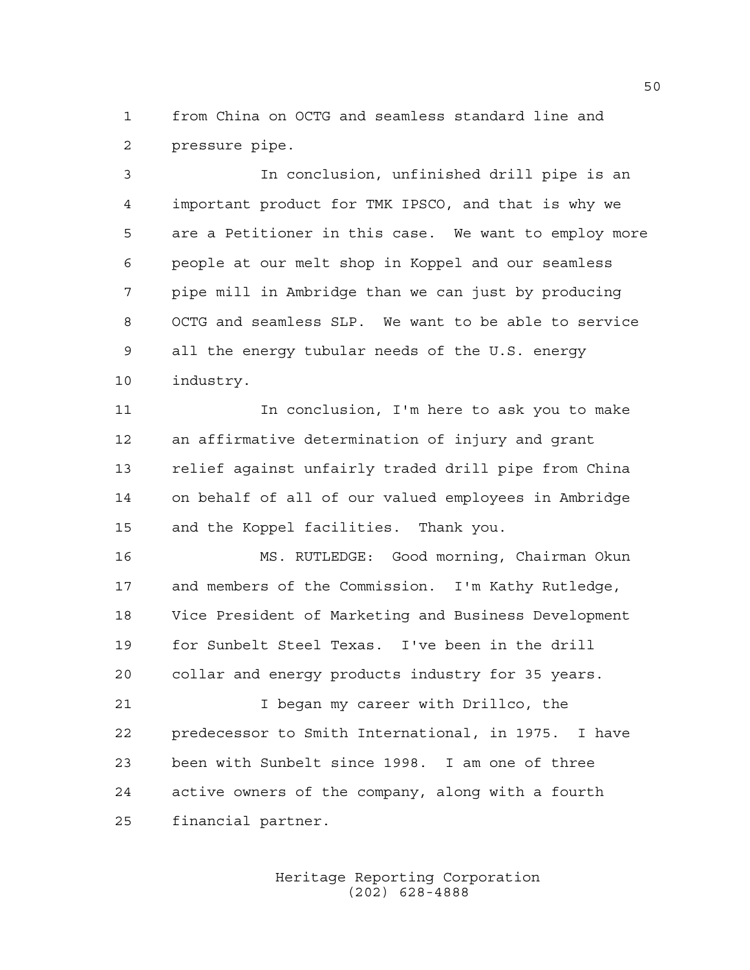from China on OCTG and seamless standard line and pressure pipe.

 In conclusion, unfinished drill pipe is an important product for TMK IPSCO, and that is why we are a Petitioner in this case. We want to employ more people at our melt shop in Koppel and our seamless pipe mill in Ambridge than we can just by producing OCTG and seamless SLP. We want to be able to service all the energy tubular needs of the U.S. energy industry.

 In conclusion, I'm here to ask you to make an affirmative determination of injury and grant relief against unfairly traded drill pipe from China on behalf of all of our valued employees in Ambridge and the Koppel facilities. Thank you.

 MS. RUTLEDGE: Good morning, Chairman Okun and members of the Commission. I'm Kathy Rutledge, Vice President of Marketing and Business Development for Sunbelt Steel Texas. I've been in the drill collar and energy products industry for 35 years.

 I began my career with Drillco, the predecessor to Smith International, in 1975. I have been with Sunbelt since 1998. I am one of three active owners of the company, along with a fourth financial partner.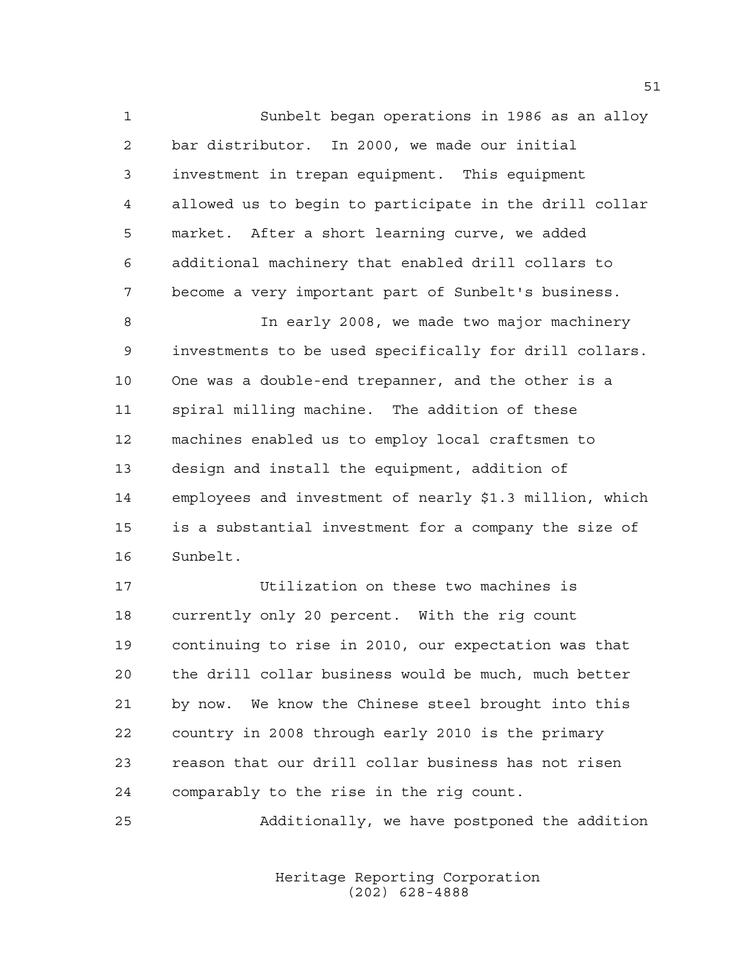Sunbelt began operations in 1986 as an alloy bar distributor. In 2000, we made our initial investment in trepan equipment. This equipment allowed us to begin to participate in the drill collar market. After a short learning curve, we added additional machinery that enabled drill collars to become a very important part of Sunbelt's business.

 In early 2008, we made two major machinery investments to be used specifically for drill collars. One was a double-end trepanner, and the other is a spiral milling machine. The addition of these machines enabled us to employ local craftsmen to design and install the equipment, addition of employees and investment of nearly \$1.3 million, which is a substantial investment for a company the size of Sunbelt.

 Utilization on these two machines is currently only 20 percent. With the rig count continuing to rise in 2010, our expectation was that the drill collar business would be much, much better by now. We know the Chinese steel brought into this country in 2008 through early 2010 is the primary reason that our drill collar business has not risen comparably to the rise in the rig count.

Additionally, we have postponed the addition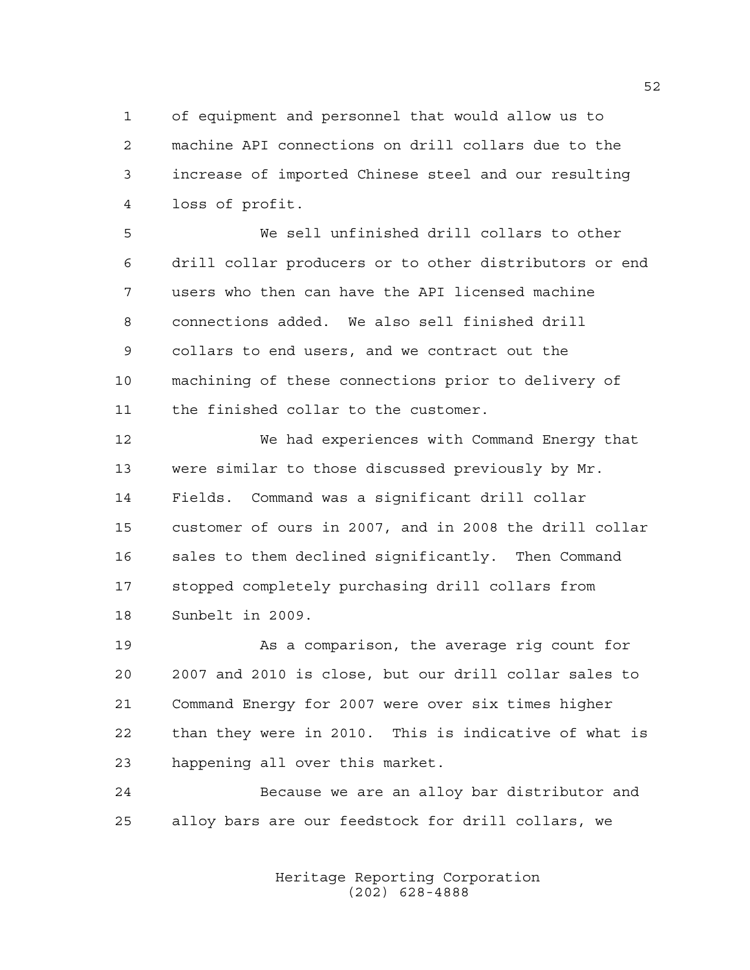of equipment and personnel that would allow us to machine API connections on drill collars due to the increase of imported Chinese steel and our resulting loss of profit.

 We sell unfinished drill collars to other drill collar producers or to other distributors or end users who then can have the API licensed machine connections added. We also sell finished drill collars to end users, and we contract out the machining of these connections prior to delivery of the finished collar to the customer.

 We had experiences with Command Energy that were similar to those discussed previously by Mr. Fields. Command was a significant drill collar customer of ours in 2007, and in 2008 the drill collar sales to them declined significantly. Then Command stopped completely purchasing drill collars from Sunbelt in 2009.

 As a comparison, the average rig count for 2007 and 2010 is close, but our drill collar sales to Command Energy for 2007 were over six times higher than they were in 2010. This is indicative of what is happening all over this market.

 Because we are an alloy bar distributor and alloy bars are our feedstock for drill collars, we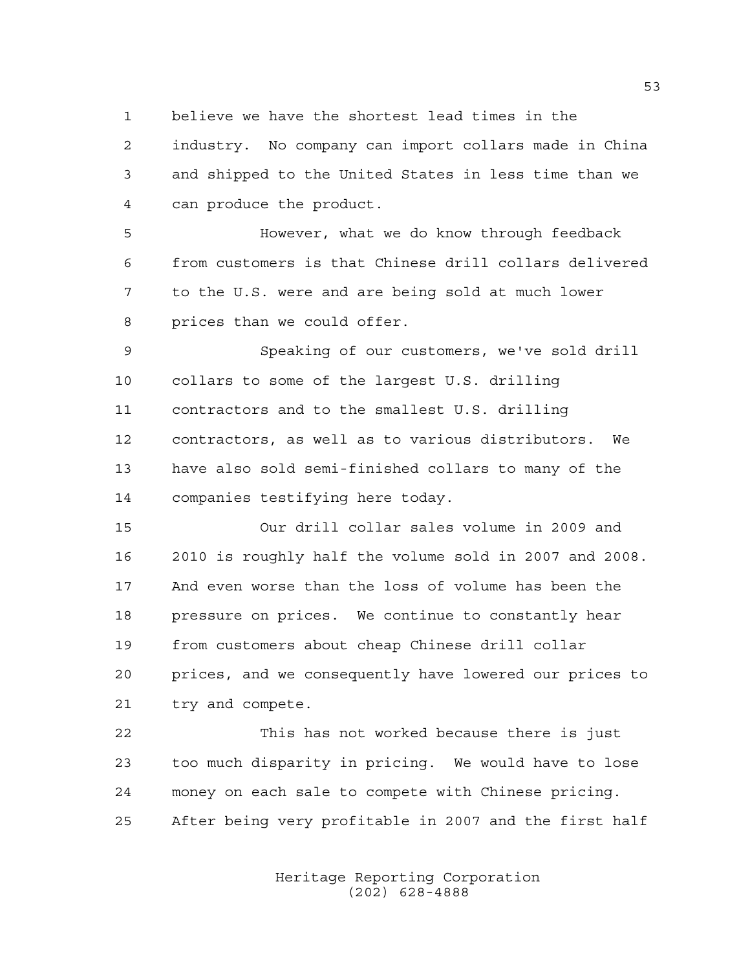believe we have the shortest lead times in the

 industry. No company can import collars made in China and shipped to the United States in less time than we can produce the product.

 However, what we do know through feedback from customers is that Chinese drill collars delivered to the U.S. were and are being sold at much lower prices than we could offer.

 Speaking of our customers, we've sold drill collars to some of the largest U.S. drilling contractors and to the smallest U.S. drilling contractors, as well as to various distributors. We have also sold semi-finished collars to many of the companies testifying here today.

 Our drill collar sales volume in 2009 and 2010 is roughly half the volume sold in 2007 and 2008. And even worse than the loss of volume has been the pressure on prices. We continue to constantly hear from customers about cheap Chinese drill collar prices, and we consequently have lowered our prices to try and compete.

 This has not worked because there is just too much disparity in pricing. We would have to lose money on each sale to compete with Chinese pricing. After being very profitable in 2007 and the first half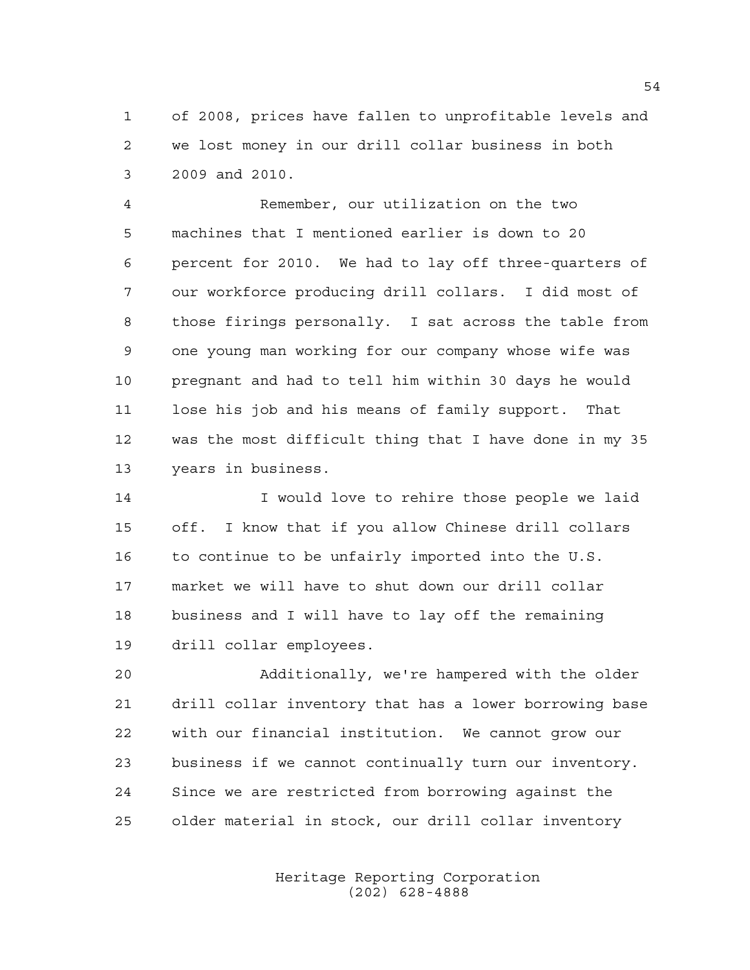of 2008, prices have fallen to unprofitable levels and we lost money in our drill collar business in both 2009 and 2010.

 Remember, our utilization on the two machines that I mentioned earlier is down to 20 percent for 2010. We had to lay off three-quarters of our workforce producing drill collars. I did most of those firings personally. I sat across the table from one young man working for our company whose wife was pregnant and had to tell him within 30 days he would lose his job and his means of family support. That was the most difficult thing that I have done in my 35 years in business.

14 I would love to rehire those people we laid off. I know that if you allow Chinese drill collars to continue to be unfairly imported into the U.S. market we will have to shut down our drill collar business and I will have to lay off the remaining drill collar employees.

 Additionally, we're hampered with the older drill collar inventory that has a lower borrowing base with our financial institution. We cannot grow our business if we cannot continually turn our inventory. Since we are restricted from borrowing against the older material in stock, our drill collar inventory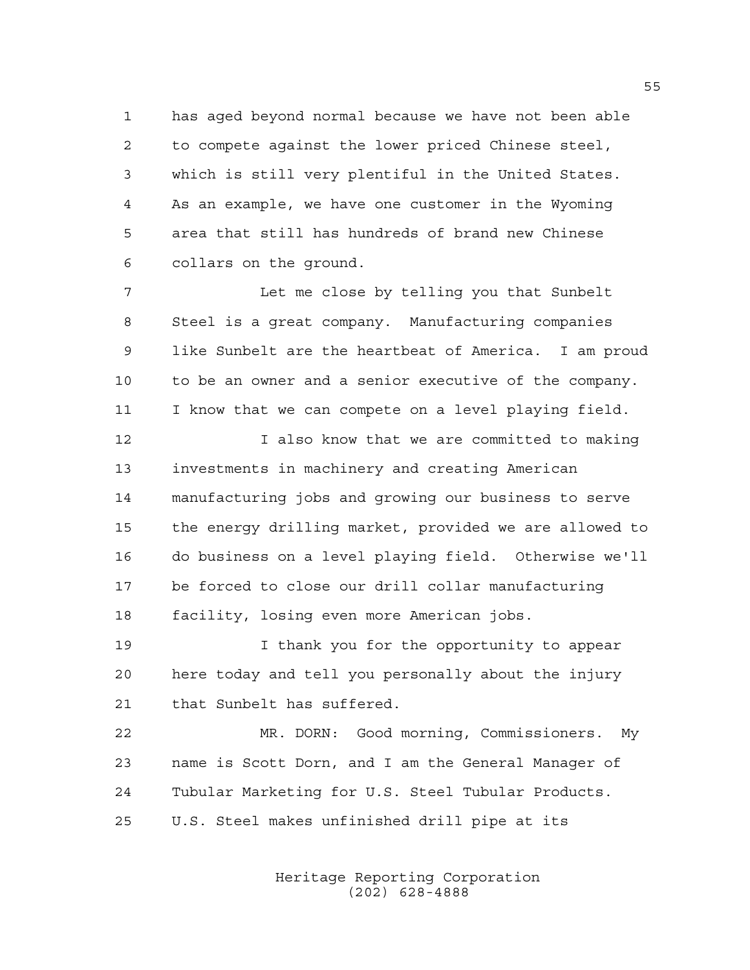has aged beyond normal because we have not been able to compete against the lower priced Chinese steel, which is still very plentiful in the United States. As an example, we have one customer in the Wyoming area that still has hundreds of brand new Chinese collars on the ground.

 Let me close by telling you that Sunbelt Steel is a great company. Manufacturing companies like Sunbelt are the heartbeat of America. I am proud to be an owner and a senior executive of the company. I know that we can compete on a level playing field.

 I also know that we are committed to making investments in machinery and creating American manufacturing jobs and growing our business to serve the energy drilling market, provided we are allowed to do business on a level playing field. Otherwise we'll be forced to close our drill collar manufacturing facility, losing even more American jobs.

 I thank you for the opportunity to appear here today and tell you personally about the injury that Sunbelt has suffered.

 MR. DORN: Good morning, Commissioners. My name is Scott Dorn, and I am the General Manager of Tubular Marketing for U.S. Steel Tubular Products. U.S. Steel makes unfinished drill pipe at its

> Heritage Reporting Corporation (202) 628-4888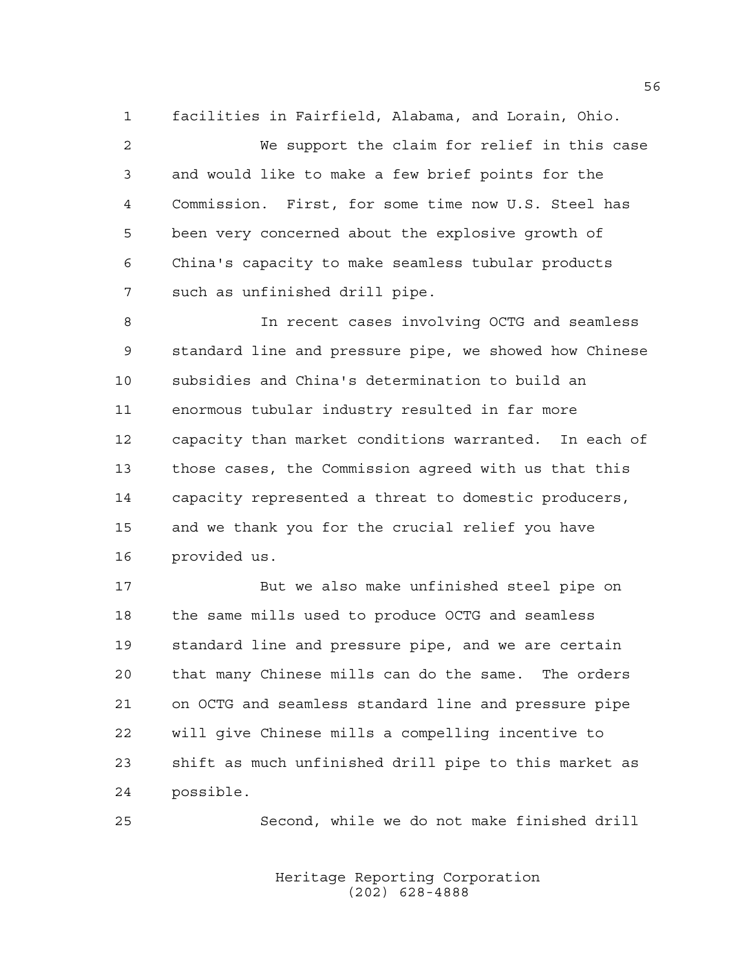facilities in Fairfield, Alabama, and Lorain, Ohio.

 We support the claim for relief in this case and would like to make a few brief points for the Commission. First, for some time now U.S. Steel has been very concerned about the explosive growth of China's capacity to make seamless tubular products such as unfinished drill pipe.

 In recent cases involving OCTG and seamless standard line and pressure pipe, we showed how Chinese subsidies and China's determination to build an enormous tubular industry resulted in far more capacity than market conditions warranted. In each of those cases, the Commission agreed with us that this capacity represented a threat to domestic producers, and we thank you for the crucial relief you have provided us.

 But we also make unfinished steel pipe on the same mills used to produce OCTG and seamless standard line and pressure pipe, and we are certain that many Chinese mills can do the same. The orders on OCTG and seamless standard line and pressure pipe will give Chinese mills a compelling incentive to shift as much unfinished drill pipe to this market as possible.

Second, while we do not make finished drill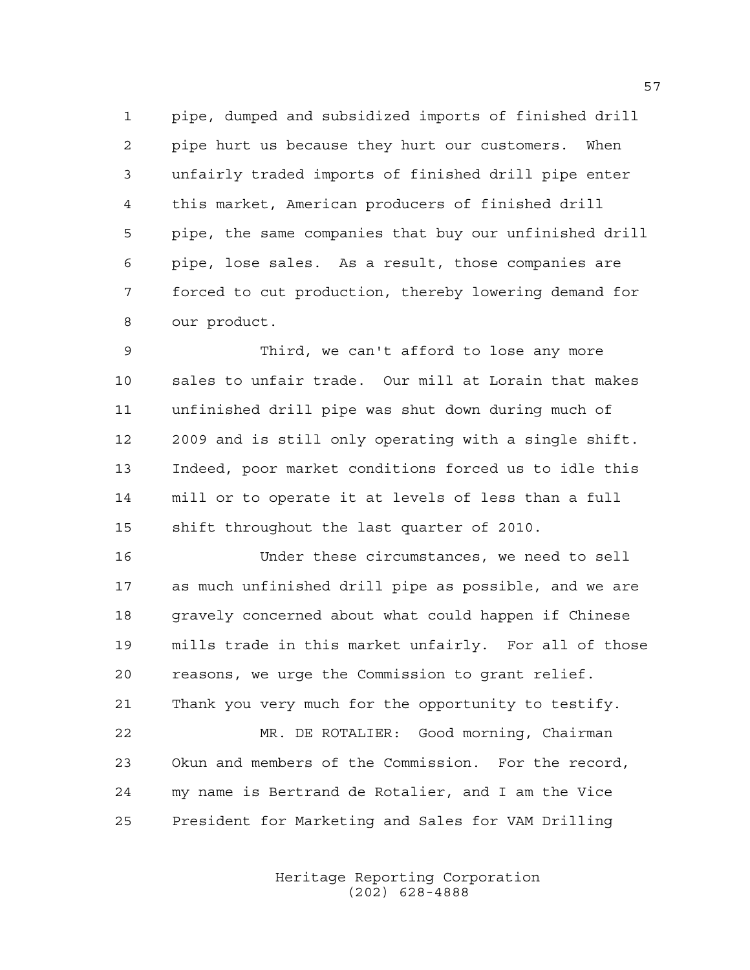pipe, dumped and subsidized imports of finished drill pipe hurt us because they hurt our customers. When unfairly traded imports of finished drill pipe enter this market, American producers of finished drill pipe, the same companies that buy our unfinished drill pipe, lose sales. As a result, those companies are forced to cut production, thereby lowering demand for our product.

 Third, we can't afford to lose any more sales to unfair trade. Our mill at Lorain that makes unfinished drill pipe was shut down during much of 2009 and is still only operating with a single shift. Indeed, poor market conditions forced us to idle this mill or to operate it at levels of less than a full shift throughout the last quarter of 2010.

 Under these circumstances, we need to sell as much unfinished drill pipe as possible, and we are gravely concerned about what could happen if Chinese mills trade in this market unfairly. For all of those reasons, we urge the Commission to grant relief. Thank you very much for the opportunity to testify.

 MR. DE ROTALIER: Good morning, Chairman Okun and members of the Commission. For the record, my name is Bertrand de Rotalier, and I am the Vice President for Marketing and Sales for VAM Drilling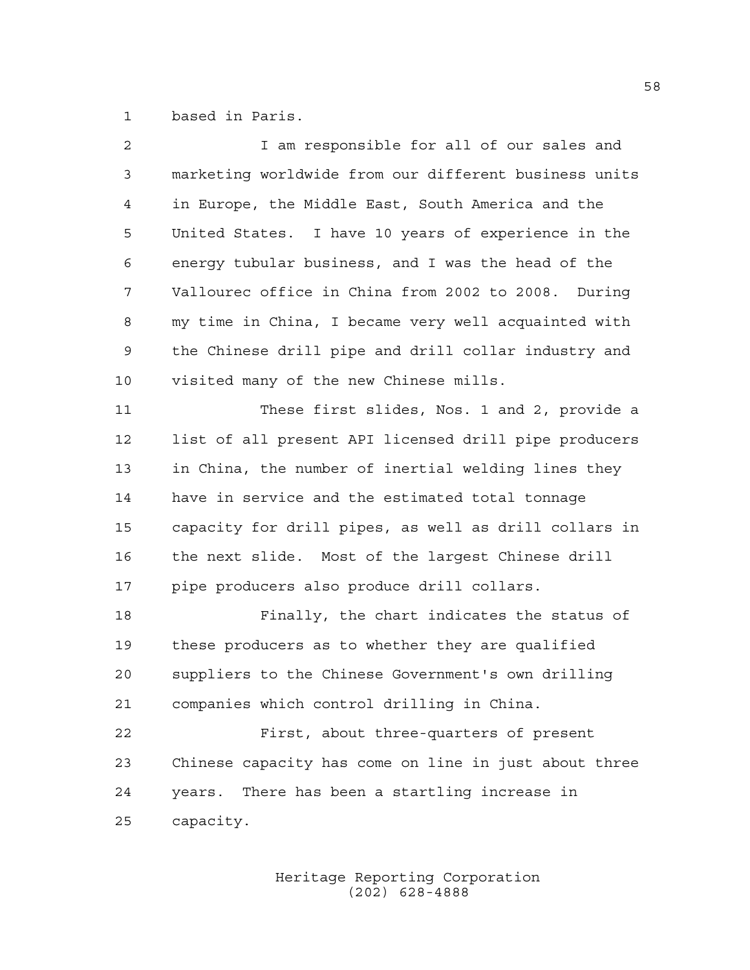based in Paris.

| $\overline{2}$ | I am responsible for all of our sales and             |
|----------------|-------------------------------------------------------|
| 3              | marketing worldwide from our different business units |
| $\overline{4}$ | in Europe, the Middle East, South America and the     |
| 5              | United States. I have 10 years of experience in the   |
| 6              | energy tubular business, and I was the head of the    |
| 7              | Vallourec office in China from 2002 to 2008. During   |
| 8              | my time in China, I became very well acquainted with  |
| 9              | the Chinese drill pipe and drill collar industry and  |
| 10             | visited many of the new Chinese mills.                |
| 11             | These first slides, Nos. 1 and 2, provide a           |
| 12             | list of all present API licensed drill pipe producers |
| 13             | in China, the number of inertial welding lines they   |
| 14             | have in service and the estimated total tonnage       |
| 15             | capacity for drill pipes, as well as drill collars in |
| 16             | the next slide. Most of the largest Chinese drill     |
| 17             | pipe producers also produce drill collars.            |
| 18             | Finally, the chart indicates the status of            |
| 19             | these producers as to whether they are qualified      |
| 20             | suppliers to the Chinese Government's own drilling    |
| 21             | companies which control drilling in China.            |
| 22             | First, about three-quarters of present                |
| 23             | Chinese capacity has come on line in just about three |
| 24             | years. There has been a startling increase in         |
| 25             | capacity.                                             |
|                |                                                       |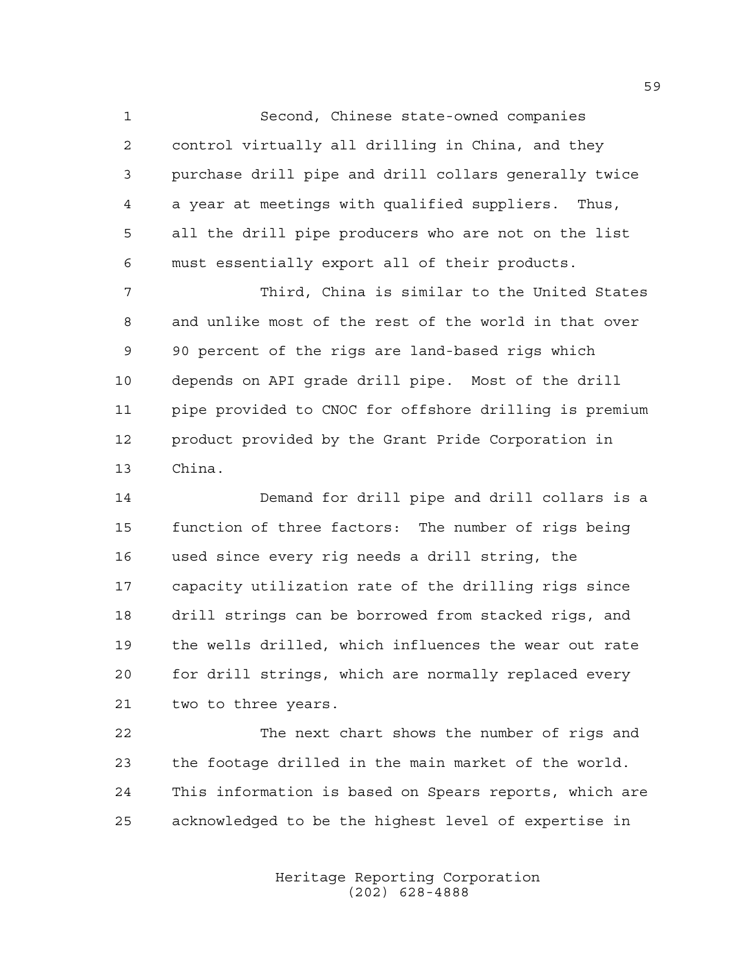Second, Chinese state-owned companies control virtually all drilling in China, and they purchase drill pipe and drill collars generally twice a year at meetings with qualified suppliers. Thus, all the drill pipe producers who are not on the list must essentially export all of their products.

 Third, China is similar to the United States and unlike most of the rest of the world in that over 90 percent of the rigs are land-based rigs which depends on API grade drill pipe. Most of the drill pipe provided to CNOC for offshore drilling is premium product provided by the Grant Pride Corporation in China.

 Demand for drill pipe and drill collars is a function of three factors: The number of rigs being used since every rig needs a drill string, the capacity utilization rate of the drilling rigs since drill strings can be borrowed from stacked rigs, and the wells drilled, which influences the wear out rate for drill strings, which are normally replaced every two to three years.

 The next chart shows the number of rigs and the footage drilled in the main market of the world. This information is based on Spears reports, which are acknowledged to be the highest level of expertise in

> Heritage Reporting Corporation (202) 628-4888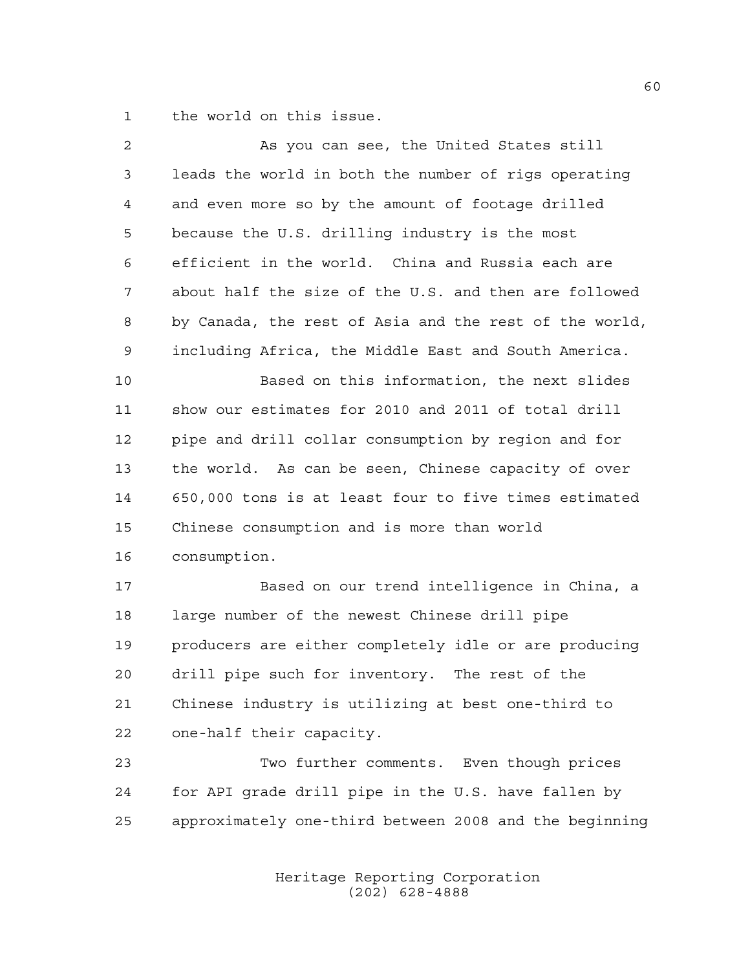the world on this issue.

| $\overline{a}$ | As you can see, the United States still                |
|----------------|--------------------------------------------------------|
| 3              | leads the world in both the number of rigs operating   |
| 4              | and even more so by the amount of footage drilled      |
| 5              | because the U.S. drilling industry is the most         |
| 6              | efficient in the world. China and Russia each are      |
| 7              | about half the size of the U.S. and then are followed  |
| 8              | by Canada, the rest of Asia and the rest of the world, |
| $\mathsf 9$    | including Africa, the Middle East and South America.   |
| 10             | Based on this information, the next slides             |
| 11             | show our estimates for 2010 and 2011 of total drill    |
| 12             | pipe and drill collar consumption by region and for    |
| 13             | the world. As can be seen, Chinese capacity of over    |
| 14             | 650,000 tons is at least four to five times estimated  |
| 15             | Chinese consumption and is more than world             |
| 16             | consumption.                                           |
| 17             | Based on our trend intelligence in China, a            |
| 18             | large number of the newest Chinese drill pipe          |
| 19             | producers are either completely idle or are producing  |
| 20             | drill pipe such for inventory. The rest of the         |
| 21             | Chinese industry is utilizing at best one-third to     |
| 22             | one-half their capacity.                               |
| 23             | Two further comments. Even though prices               |
| 24             | for API grade drill pipe in the U.S. have fallen by    |
| 25             | approximately one-third between 2008 and the beginning |
|                |                                                        |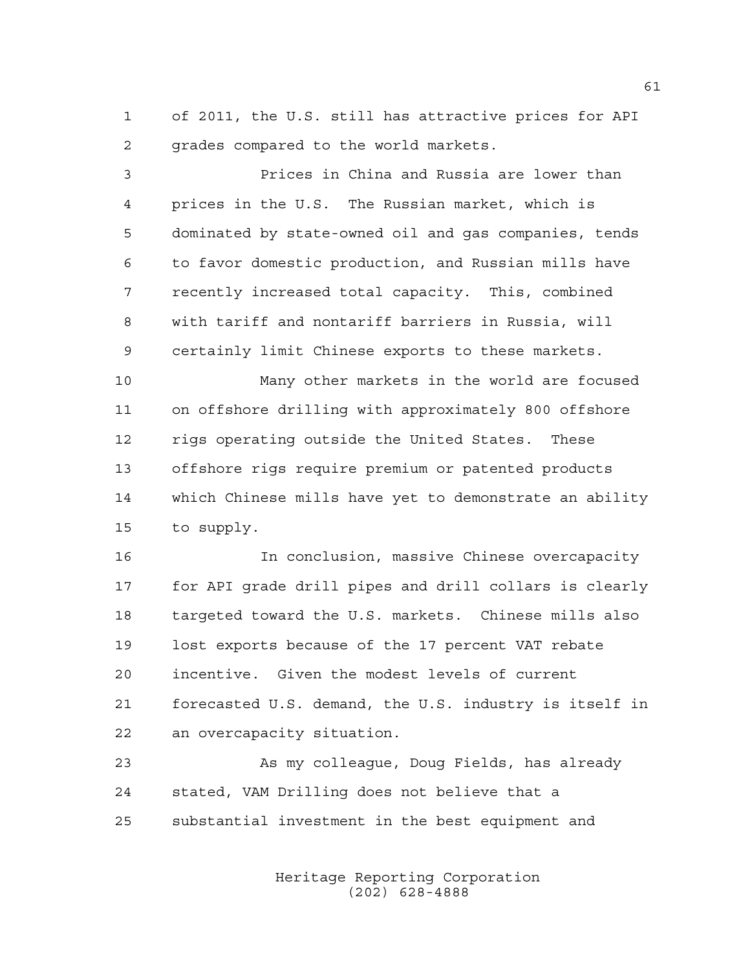of 2011, the U.S. still has attractive prices for API grades compared to the world markets.

 Prices in China and Russia are lower than prices in the U.S. The Russian market, which is dominated by state-owned oil and gas companies, tends to favor domestic production, and Russian mills have recently increased total capacity. This, combined with tariff and nontariff barriers in Russia, will certainly limit Chinese exports to these markets.

 Many other markets in the world are focused on offshore drilling with approximately 800 offshore rigs operating outside the United States. These offshore rigs require premium or patented products which Chinese mills have yet to demonstrate an ability to supply.

 In conclusion, massive Chinese overcapacity for API grade drill pipes and drill collars is clearly targeted toward the U.S. markets. Chinese mills also lost exports because of the 17 percent VAT rebate incentive. Given the modest levels of current forecasted U.S. demand, the U.S. industry is itself in an overcapacity situation.

 As my colleague, Doug Fields, has already stated, VAM Drilling does not believe that a substantial investment in the best equipment and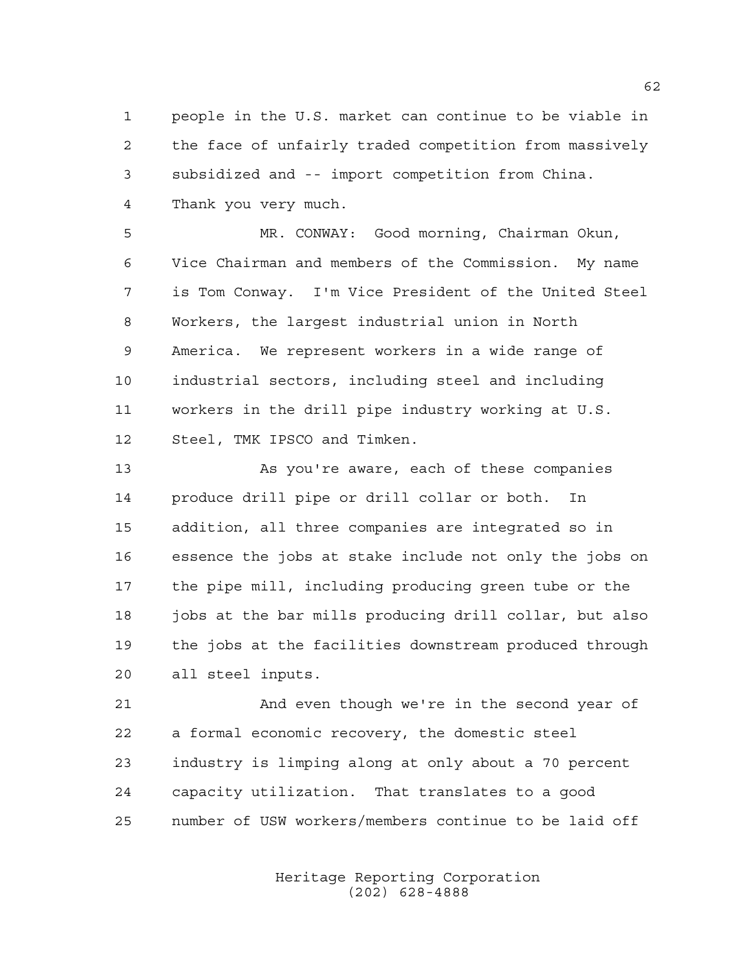people in the U.S. market can continue to be viable in the face of unfairly traded competition from massively subsidized and -- import competition from China. Thank you very much.

 MR. CONWAY: Good morning, Chairman Okun, Vice Chairman and members of the Commission. My name is Tom Conway. I'm Vice President of the United Steel Workers, the largest industrial union in North America. We represent workers in a wide range of industrial sectors, including steel and including workers in the drill pipe industry working at U.S. Steel, TMK IPSCO and Timken.

 As you're aware, each of these companies produce drill pipe or drill collar or both. In addition, all three companies are integrated so in essence the jobs at stake include not only the jobs on the pipe mill, including producing green tube or the 18 jobs at the bar mills producing drill collar, but also the jobs at the facilities downstream produced through all steel inputs.

 And even though we're in the second year of a formal economic recovery, the domestic steel industry is limping along at only about a 70 percent capacity utilization. That translates to a good number of USW workers/members continue to be laid off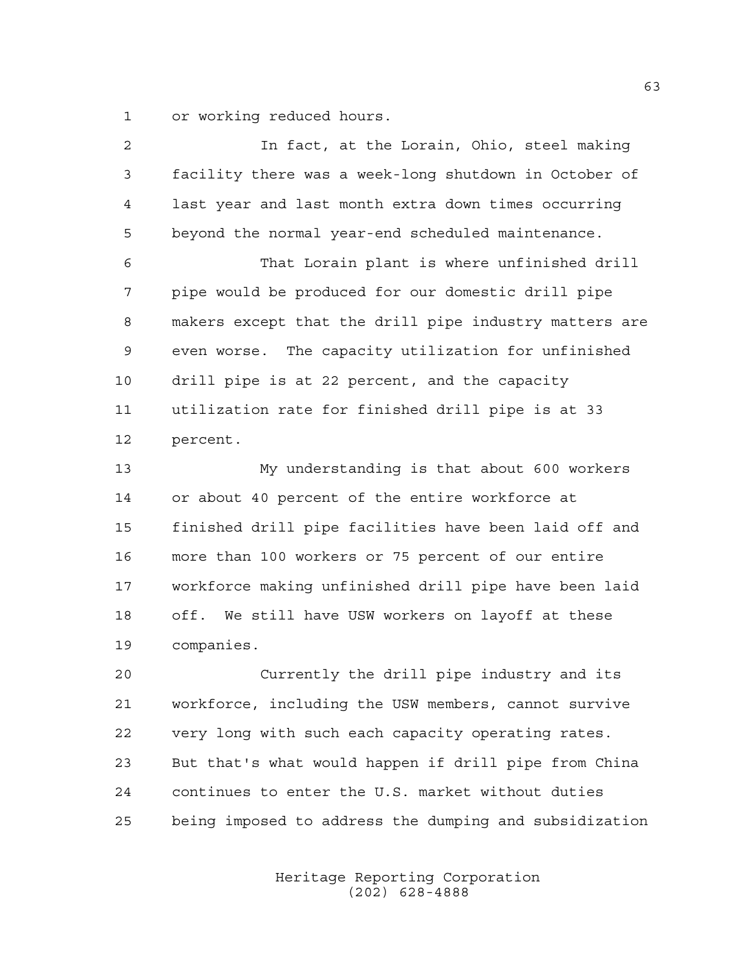or working reduced hours.

| $\overline{2}$ | In fact, at the Lorain, Ohio, steel making             |
|----------------|--------------------------------------------------------|
| 3              | facility there was a week-long shutdown in October of  |
| 4              | last year and last month extra down times occurring    |
| 5              | beyond the normal year-end scheduled maintenance.      |
| 6              | That Lorain plant is where unfinished drill            |
| 7              | pipe would be produced for our domestic drill pipe     |
| 8              | makers except that the drill pipe industry matters are |
| 9              | even worse. The capacity utilization for unfinished    |
| 10             | drill pipe is at 22 percent, and the capacity          |
| 11             | utilization rate for finished drill pipe is at 33      |
| 12             | percent.                                               |
| 13             | My understanding is that about 600 workers             |
| 14             | or about 40 percent of the entire workforce at         |
| 15             | finished drill pipe facilities have been laid off and  |
| 16             | more than 100 workers or 75 percent of our entire      |
| 17             | workforce making unfinished drill pipe have been laid  |
| 18             | off. We still have USW workers on layoff at these      |
| 19             | companies.                                             |
| 20             | Currently the drill pipe industry and its              |
| 21             | workforce, including the USW members, cannot survive   |
| 22             | very long with such each capacity operating rates.     |

being imposed to address the dumping and subsidization

But that's what would happen if drill pipe from China

continues to enter the U.S. market without duties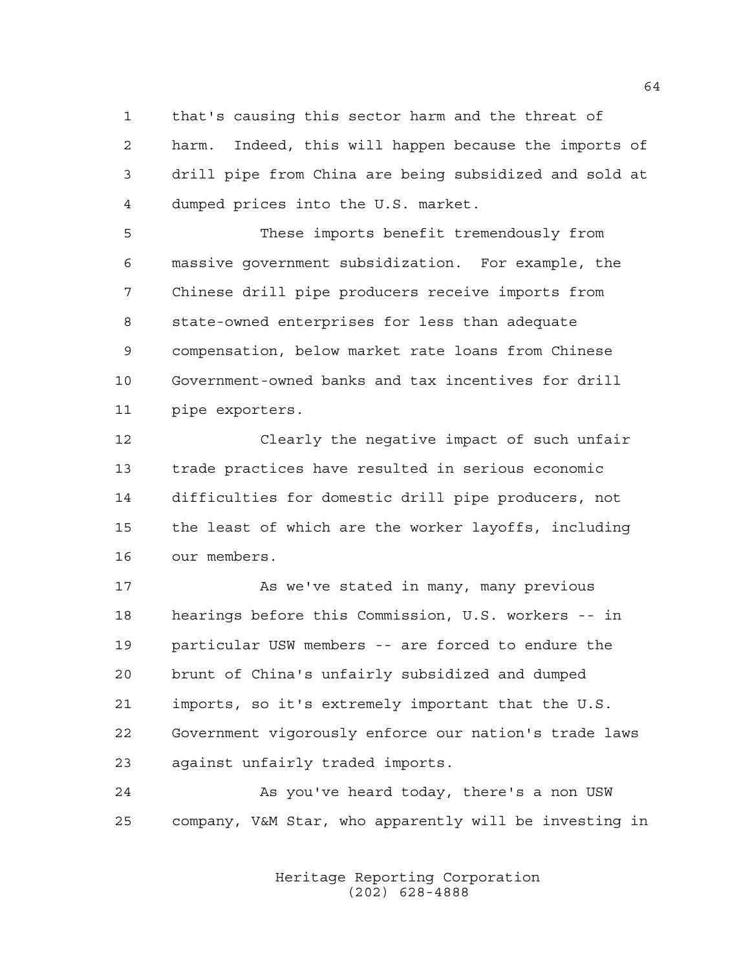that's causing this sector harm and the threat of harm. Indeed, this will happen because the imports of drill pipe from China are being subsidized and sold at dumped prices into the U.S. market.

 These imports benefit tremendously from massive government subsidization. For example, the Chinese drill pipe producers receive imports from state-owned enterprises for less than adequate compensation, below market rate loans from Chinese Government-owned banks and tax incentives for drill pipe exporters.

 Clearly the negative impact of such unfair trade practices have resulted in serious economic difficulties for domestic drill pipe producers, not the least of which are the worker layoffs, including our members.

17 As we've stated in many, many previous hearings before this Commission, U.S. workers -- in particular USW members -- are forced to endure the brunt of China's unfairly subsidized and dumped imports, so it's extremely important that the U.S. Government vigorously enforce our nation's trade laws against unfairly traded imports.

 As you've heard today, there's a non USW company, V&M Star, who apparently will be investing in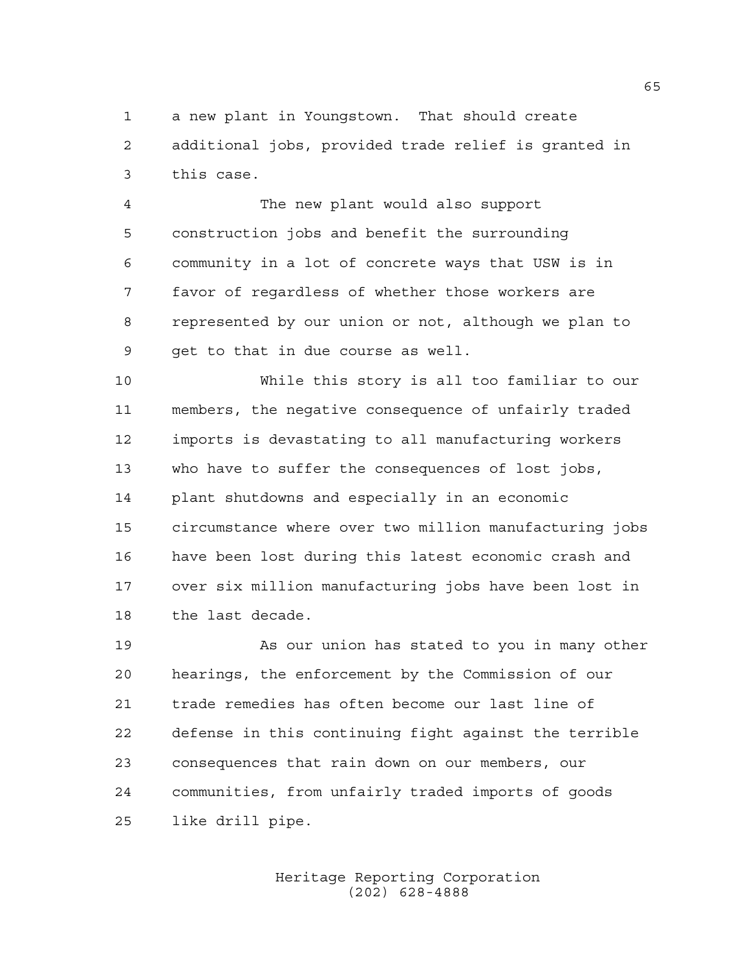a new plant in Youngstown. That should create additional jobs, provided trade relief is granted in this case.

 The new plant would also support construction jobs and benefit the surrounding community in a lot of concrete ways that USW is in favor of regardless of whether those workers are represented by our union or not, although we plan to get to that in due course as well.

 While this story is all too familiar to our members, the negative consequence of unfairly traded imports is devastating to all manufacturing workers who have to suffer the consequences of lost jobs, plant shutdowns and especially in an economic circumstance where over two million manufacturing jobs have been lost during this latest economic crash and over six million manufacturing jobs have been lost in the last decade.

 As our union has stated to you in many other hearings, the enforcement by the Commission of our trade remedies has often become our last line of defense in this continuing fight against the terrible consequences that rain down on our members, our communities, from unfairly traded imports of goods like drill pipe.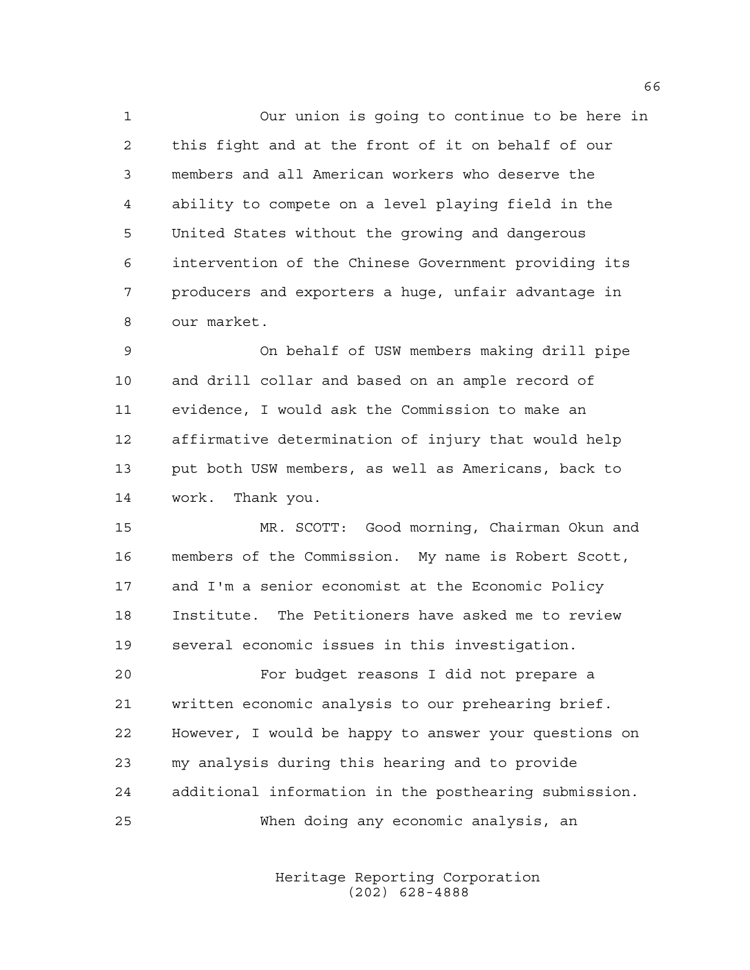Our union is going to continue to be here in this fight and at the front of it on behalf of our members and all American workers who deserve the ability to compete on a level playing field in the United States without the growing and dangerous intervention of the Chinese Government providing its producers and exporters a huge, unfair advantage in our market.

 On behalf of USW members making drill pipe and drill collar and based on an ample record of evidence, I would ask the Commission to make an affirmative determination of injury that would help put both USW members, as well as Americans, back to work. Thank you.

 MR. SCOTT: Good morning, Chairman Okun and members of the Commission. My name is Robert Scott, and I'm a senior economist at the Economic Policy Institute. The Petitioners have asked me to review several economic issues in this investigation.

 For budget reasons I did not prepare a written economic analysis to our prehearing brief. However, I would be happy to answer your questions on my analysis during this hearing and to provide additional information in the posthearing submission. When doing any economic analysis, an

> Heritage Reporting Corporation (202) 628-4888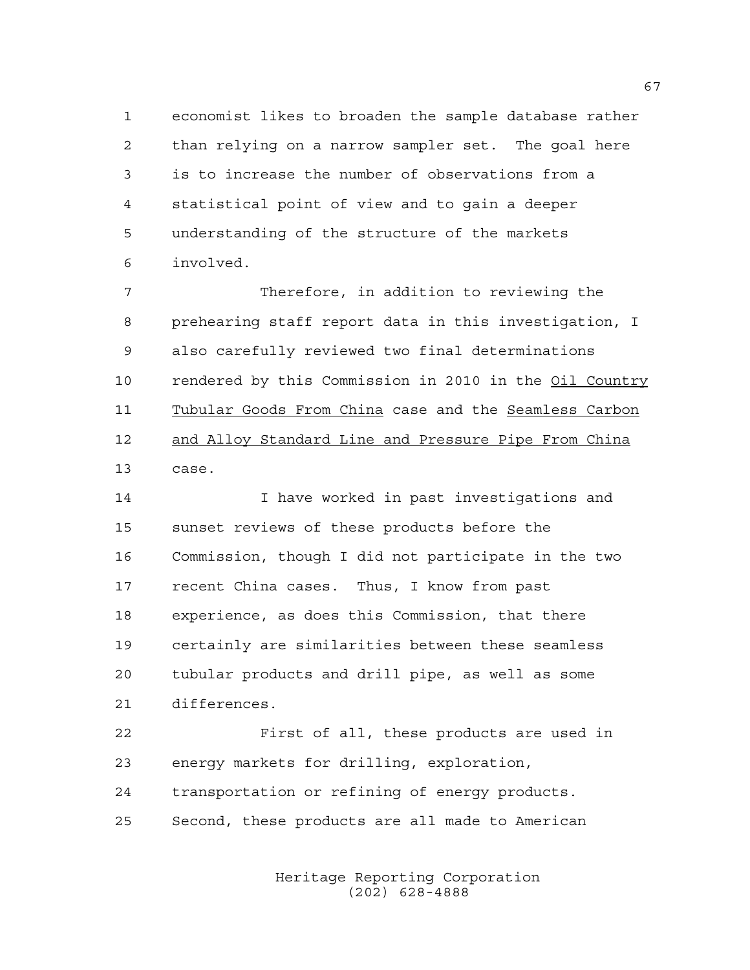economist likes to broaden the sample database rather than relying on a narrow sampler set. The goal here is to increase the number of observations from a statistical point of view and to gain a deeper understanding of the structure of the markets involved.

 Therefore, in addition to reviewing the prehearing staff report data in this investigation, I also carefully reviewed two final determinations rendered by this Commission in 2010 in the Oil Country Tubular Goods From China case and the Seamless Carbon 12 and Alloy Standard Line and Pressure Pipe From China case.

 I have worked in past investigations and sunset reviews of these products before the Commission, though I did not participate in the two recent China cases. Thus, I know from past experience, as does this Commission, that there certainly are similarities between these seamless tubular products and drill pipe, as well as some differences.

 First of all, these products are used in energy markets for drilling, exploration, transportation or refining of energy products. Second, these products are all made to American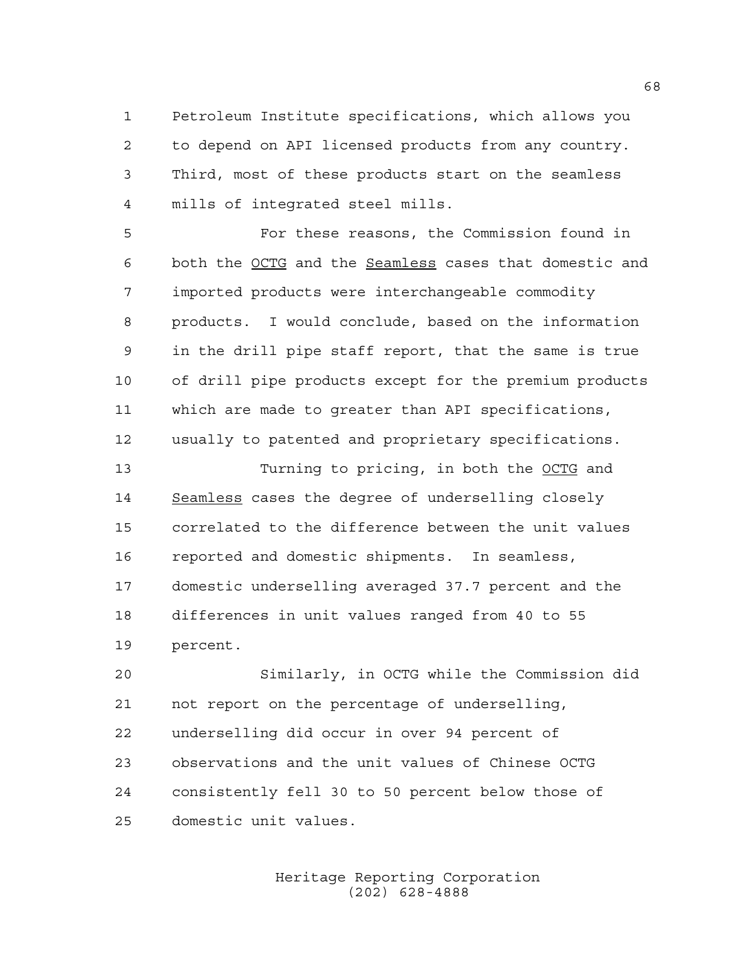Petroleum Institute specifications, which allows you to depend on API licensed products from any country. Third, most of these products start on the seamless mills of integrated steel mills.

 For these reasons, the Commission found in both the OCTG and the Seamless cases that domestic and imported products were interchangeable commodity products. I would conclude, based on the information in the drill pipe staff report, that the same is true of drill pipe products except for the premium products which are made to greater than API specifications, usually to patented and proprietary specifications.

 Turning to pricing, in both the OCTG and 14 Seamless cases the degree of underselling closely correlated to the difference between the unit values reported and domestic shipments. In seamless, domestic underselling averaged 37.7 percent and the differences in unit values ranged from 40 to 55 percent.

 Similarly, in OCTG while the Commission did not report on the percentage of underselling, underselling did occur in over 94 percent of observations and the unit values of Chinese OCTG consistently fell 30 to 50 percent below those of domestic unit values.

> Heritage Reporting Corporation (202) 628-4888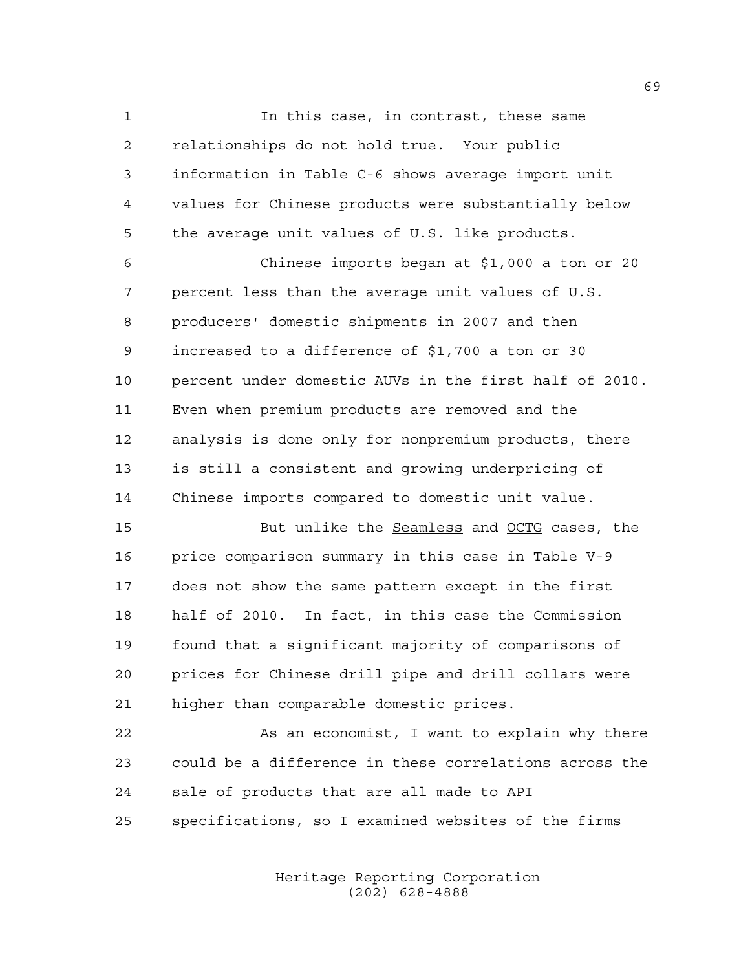In this case, in contrast, these same relationships do not hold true. Your public information in Table C-6 shows average import unit values for Chinese products were substantially below the average unit values of U.S. like products.

 Chinese imports began at \$1,000 a ton or 20 percent less than the average unit values of U.S. producers' domestic shipments in 2007 and then increased to a difference of \$1,700 a ton or 30 percent under domestic AUVs in the first half of 2010. Even when premium products are removed and the analysis is done only for nonpremium products, there is still a consistent and growing underpricing of Chinese imports compared to domestic unit value.

 But unlike the Seamless and OCTG cases, the price comparison summary in this case in Table V-9 does not show the same pattern except in the first half of 2010. In fact, in this case the Commission found that a significant majority of comparisons of prices for Chinese drill pipe and drill collars were higher than comparable domestic prices.

 As an economist, I want to explain why there could be a difference in these correlations across the sale of products that are all made to API specifications, so I examined websites of the firms

> Heritage Reporting Corporation (202) 628-4888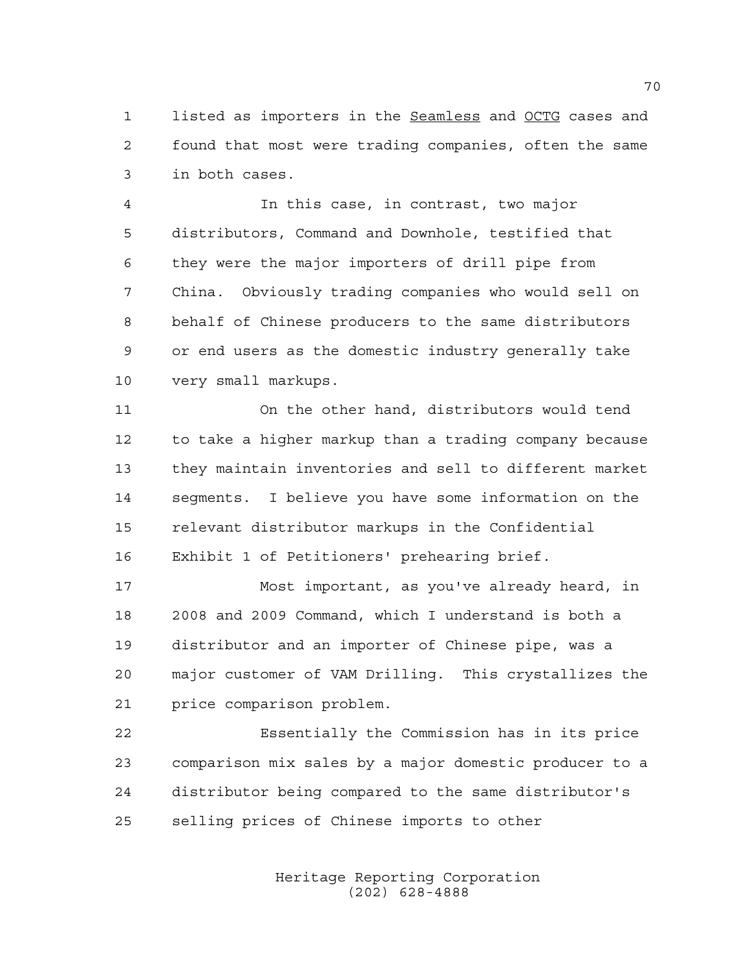listed as importers in the Seamless and OCTG cases and found that most were trading companies, often the same in both cases.

 In this case, in contrast, two major distributors, Command and Downhole, testified that they were the major importers of drill pipe from China. Obviously trading companies who would sell on behalf of Chinese producers to the same distributors or end users as the domestic industry generally take very small markups.

 On the other hand, distributors would tend to take a higher markup than a trading company because they maintain inventories and sell to different market segments. I believe you have some information on the relevant distributor markups in the Confidential Exhibit 1 of Petitioners' prehearing brief.

 Most important, as you've already heard, in 2008 and 2009 Command, which I understand is both a distributor and an importer of Chinese pipe, was a major customer of VAM Drilling. This crystallizes the price comparison problem.

 Essentially the Commission has in its price comparison mix sales by a major domestic producer to a distributor being compared to the same distributor's selling prices of Chinese imports to other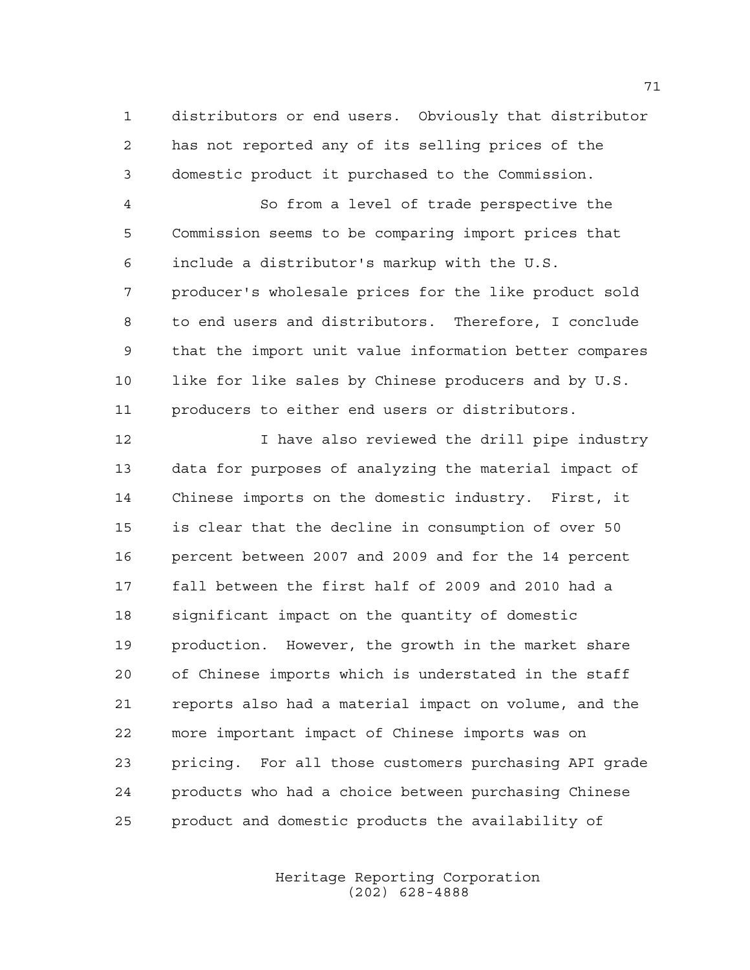distributors or end users. Obviously that distributor has not reported any of its selling prices of the domestic product it purchased to the Commission.

 So from a level of trade perspective the Commission seems to be comparing import prices that include a distributor's markup with the U.S. producer's wholesale prices for the like product sold to end users and distributors. Therefore, I conclude that the import unit value information better compares like for like sales by Chinese producers and by U.S. producers to either end users or distributors.

12 12 I have also reviewed the drill pipe industry data for purposes of analyzing the material impact of Chinese imports on the domestic industry. First, it is clear that the decline in consumption of over 50 percent between 2007 and 2009 and for the 14 percent fall between the first half of 2009 and 2010 had a significant impact on the quantity of domestic production. However, the growth in the market share of Chinese imports which is understated in the staff reports also had a material impact on volume, and the more important impact of Chinese imports was on pricing. For all those customers purchasing API grade products who had a choice between purchasing Chinese product and domestic products the availability of

> Heritage Reporting Corporation (202) 628-4888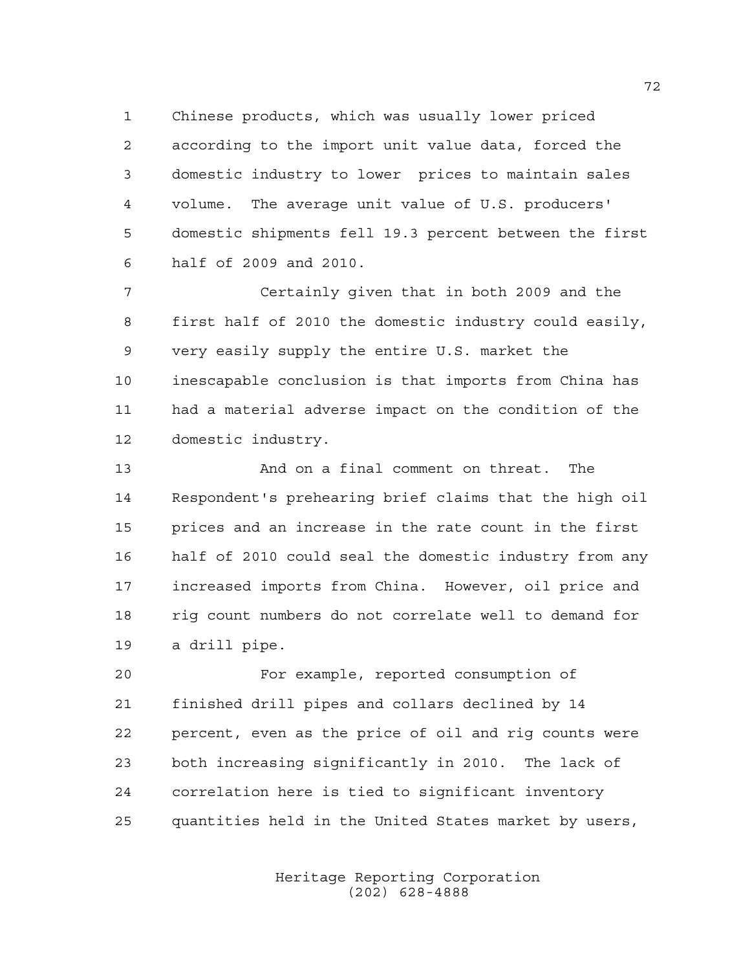Chinese products, which was usually lower priced according to the import unit value data, forced the domestic industry to lower prices to maintain sales volume. The average unit value of U.S. producers' domestic shipments fell 19.3 percent between the first half of 2009 and 2010.

 Certainly given that in both 2009 and the first half of 2010 the domestic industry could easily, very easily supply the entire U.S. market the inescapable conclusion is that imports from China has had a material adverse impact on the condition of the domestic industry.

 And on a final comment on threat. The Respondent's prehearing brief claims that the high oil prices and an increase in the rate count in the first half of 2010 could seal the domestic industry from any increased imports from China. However, oil price and rig count numbers do not correlate well to demand for a drill pipe.

 For example, reported consumption of finished drill pipes and collars declined by 14 percent, even as the price of oil and rig counts were both increasing significantly in 2010. The lack of correlation here is tied to significant inventory quantities held in the United States market by users,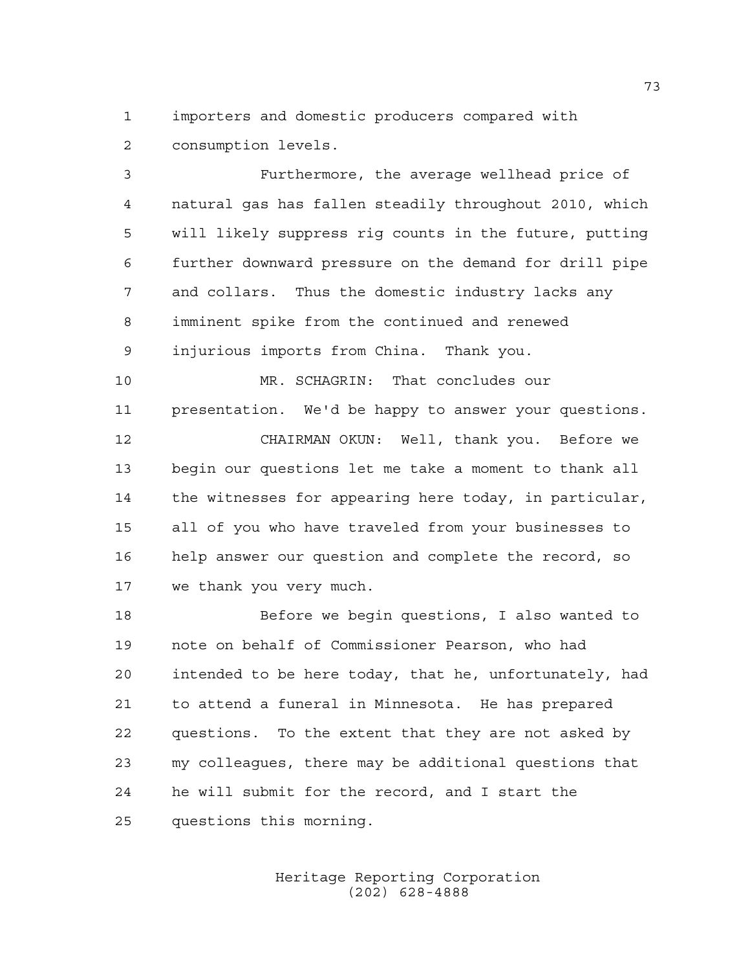importers and domestic producers compared with consumption levels.

 Furthermore, the average wellhead price of natural gas has fallen steadily throughout 2010, which will likely suppress rig counts in the future, putting further downward pressure on the demand for drill pipe and collars. Thus the domestic industry lacks any imminent spike from the continued and renewed injurious imports from China. Thank you.

 MR. SCHAGRIN: That concludes our presentation. We'd be happy to answer your questions. CHAIRMAN OKUN: Well, thank you. Before we begin our questions let me take a moment to thank all the witnesses for appearing here today, in particular, all of you who have traveled from your businesses to help answer our question and complete the record, so we thank you very much.

 Before we begin questions, I also wanted to note on behalf of Commissioner Pearson, who had intended to be here today, that he, unfortunately, had to attend a funeral in Minnesota. He has prepared questions. To the extent that they are not asked by my colleagues, there may be additional questions that he will submit for the record, and I start the questions this morning.

> Heritage Reporting Corporation (202) 628-4888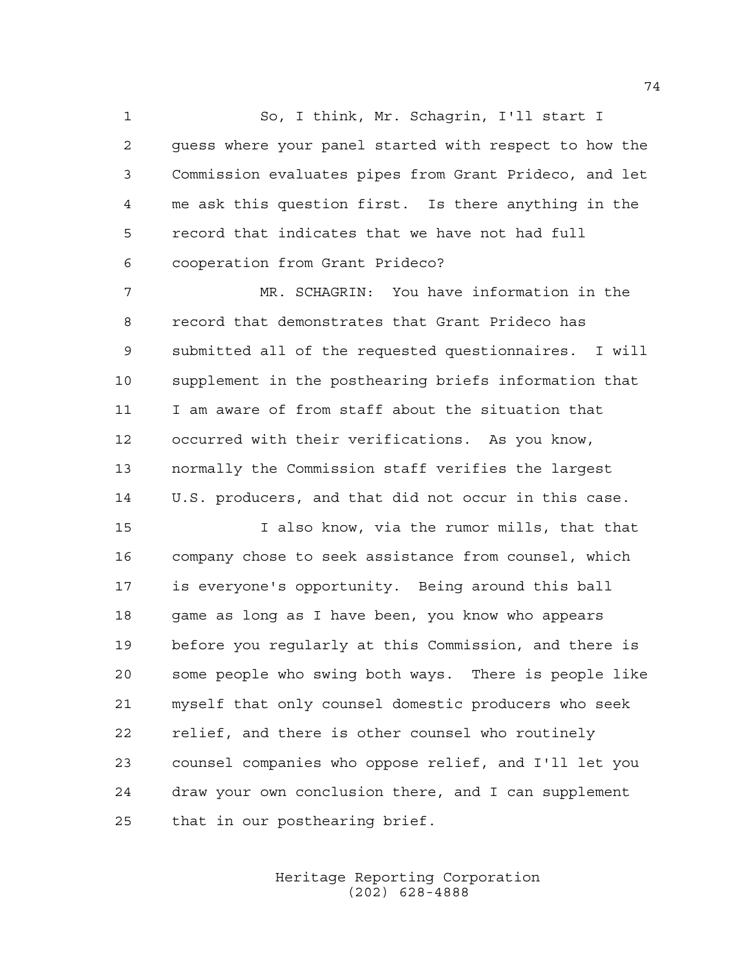So, I think, Mr. Schagrin, I'll start I guess where your panel started with respect to how the Commission evaluates pipes from Grant Prideco, and let me ask this question first. Is there anything in the record that indicates that we have not had full cooperation from Grant Prideco?

 MR. SCHAGRIN: You have information in the record that demonstrates that Grant Prideco has submitted all of the requested questionnaires. I will supplement in the posthearing briefs information that I am aware of from staff about the situation that occurred with their verifications. As you know, normally the Commission staff verifies the largest U.S. producers, and that did not occur in this case.

 I also know, via the rumor mills, that that company chose to seek assistance from counsel, which is everyone's opportunity. Being around this ball 18 game as long as I have been, you know who appears before you regularly at this Commission, and there is some people who swing both ways. There is people like myself that only counsel domestic producers who seek relief, and there is other counsel who routinely counsel companies who oppose relief, and I'll let you draw your own conclusion there, and I can supplement that in our posthearing brief.

> Heritage Reporting Corporation (202) 628-4888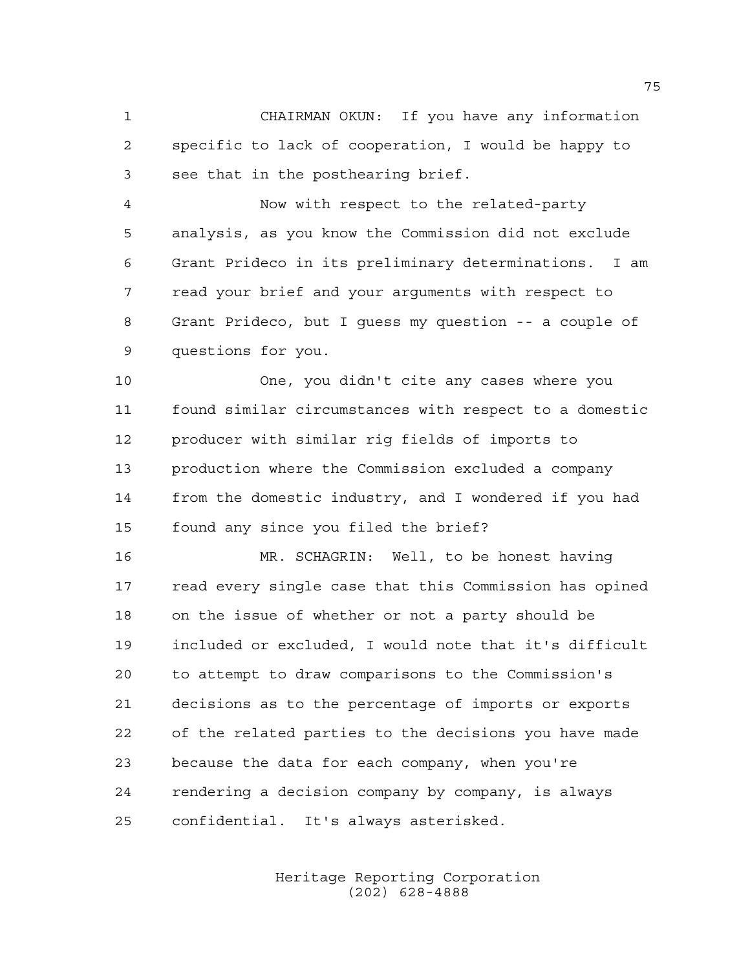CHAIRMAN OKUN: If you have any information specific to lack of cooperation, I would be happy to see that in the posthearing brief.

 Now with respect to the related-party analysis, as you know the Commission did not exclude Grant Prideco in its preliminary determinations. I am read your brief and your arguments with respect to Grant Prideco, but I guess my question -- a couple of questions for you.

 One, you didn't cite any cases where you found similar circumstances with respect to a domestic producer with similar rig fields of imports to production where the Commission excluded a company from the domestic industry, and I wondered if you had found any since you filed the brief?

 MR. SCHAGRIN: Well, to be honest having read every single case that this Commission has opined on the issue of whether or not a party should be included or excluded, I would note that it's difficult to attempt to draw comparisons to the Commission's decisions as to the percentage of imports or exports of the related parties to the decisions you have made because the data for each company, when you're rendering a decision company by company, is always confidential. It's always asterisked.

> Heritage Reporting Corporation (202) 628-4888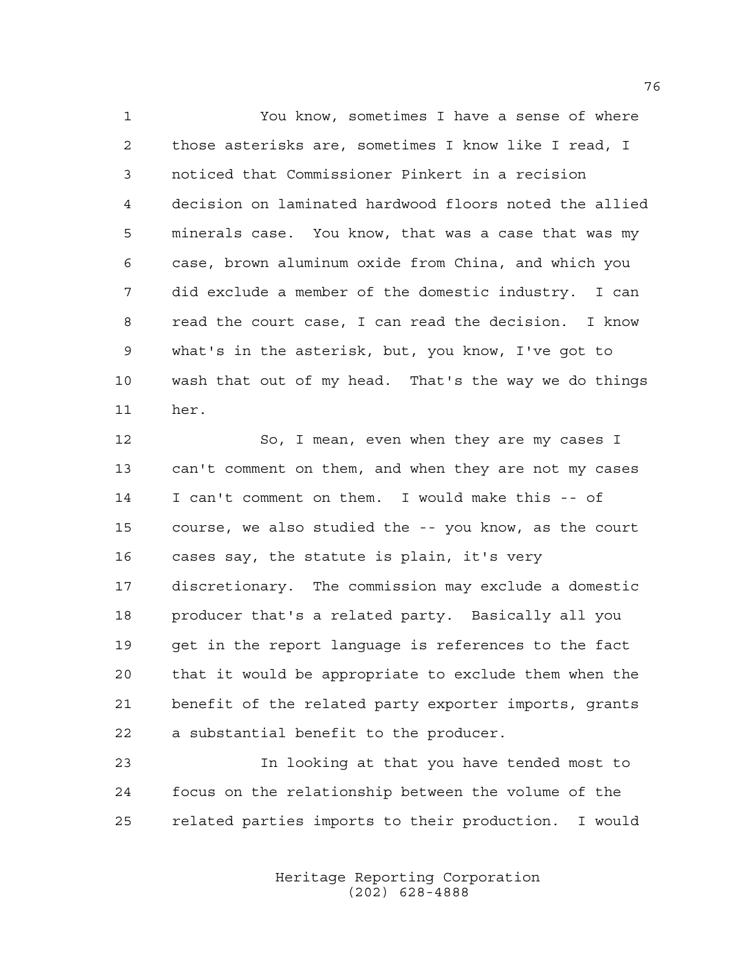You know, sometimes I have a sense of where those asterisks are, sometimes I know like I read, I noticed that Commissioner Pinkert in a recision decision on laminated hardwood floors noted the allied minerals case. You know, that was a case that was my case, brown aluminum oxide from China, and which you did exclude a member of the domestic industry. I can read the court case, I can read the decision. I know what's in the asterisk, but, you know, I've got to wash that out of my head. That's the way we do things her.

 So, I mean, even when they are my cases I can't comment on them, and when they are not my cases I can't comment on them. I would make this -- of course, we also studied the -- you know, as the court cases say, the statute is plain, it's very discretionary. The commission may exclude a domestic producer that's a related party. Basically all you get in the report language is references to the fact that it would be appropriate to exclude them when the benefit of the related party exporter imports, grants a substantial benefit to the producer.

 In looking at that you have tended most to focus on the relationship between the volume of the related parties imports to their production. I would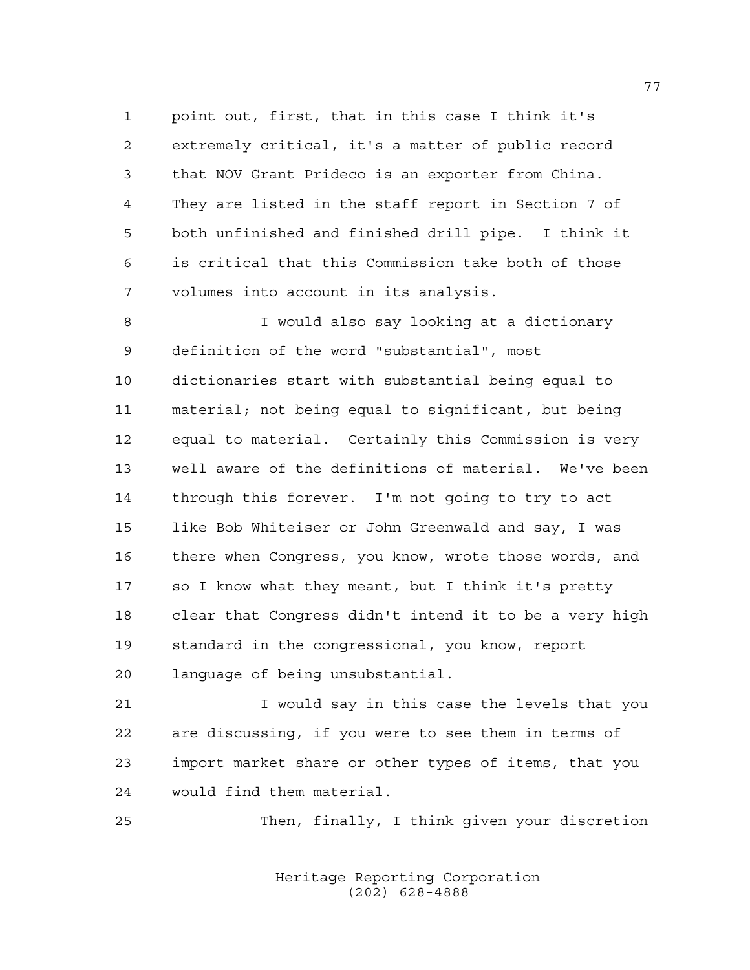point out, first, that in this case I think it's extremely critical, it's a matter of public record that NOV Grant Prideco is an exporter from China. They are listed in the staff report in Section 7 of both unfinished and finished drill pipe. I think it is critical that this Commission take both of those volumes into account in its analysis.

 I would also say looking at a dictionary definition of the word "substantial", most dictionaries start with substantial being equal to material; not being equal to significant, but being equal to material. Certainly this Commission is very well aware of the definitions of material. We've been through this forever. I'm not going to try to act like Bob Whiteiser or John Greenwald and say, I was there when Congress, you know, wrote those words, and so I know what they meant, but I think it's pretty clear that Congress didn't intend it to be a very high standard in the congressional, you know, report language of being unsubstantial.

 I would say in this case the levels that you are discussing, if you were to see them in terms of import market share or other types of items, that you would find them material.

Then, finally, I think given your discretion

Heritage Reporting Corporation (202) 628-4888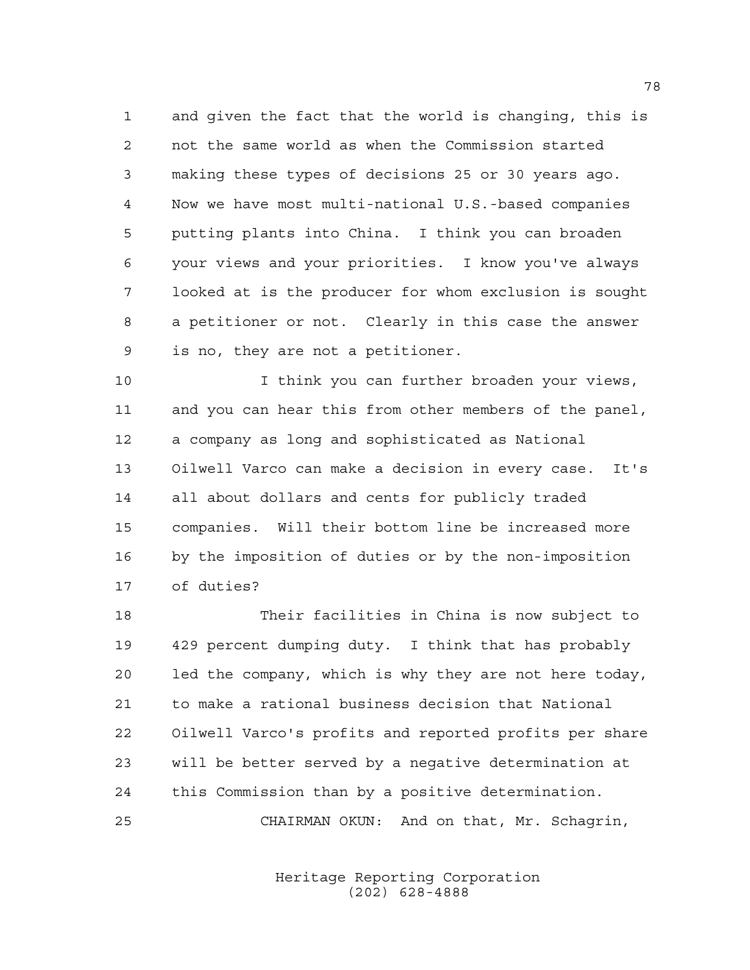and given the fact that the world is changing, this is not the same world as when the Commission started making these types of decisions 25 or 30 years ago. Now we have most multi-national U.S.-based companies putting plants into China. I think you can broaden your views and your priorities. I know you've always looked at is the producer for whom exclusion is sought a petitioner or not. Clearly in this case the answer is no, they are not a petitioner.

 I think you can further broaden your views, and you can hear this from other members of the panel, a company as long and sophisticated as National Oilwell Varco can make a decision in every case. It's all about dollars and cents for publicly traded companies. Will their bottom line be increased more by the imposition of duties or by the non-imposition of duties?

 Their facilities in China is now subject to 429 percent dumping duty. I think that has probably led the company, which is why they are not here today, to make a rational business decision that National Oilwell Varco's profits and reported profits per share will be better served by a negative determination at this Commission than by a positive determination. CHAIRMAN OKUN: And on that, Mr. Schagrin,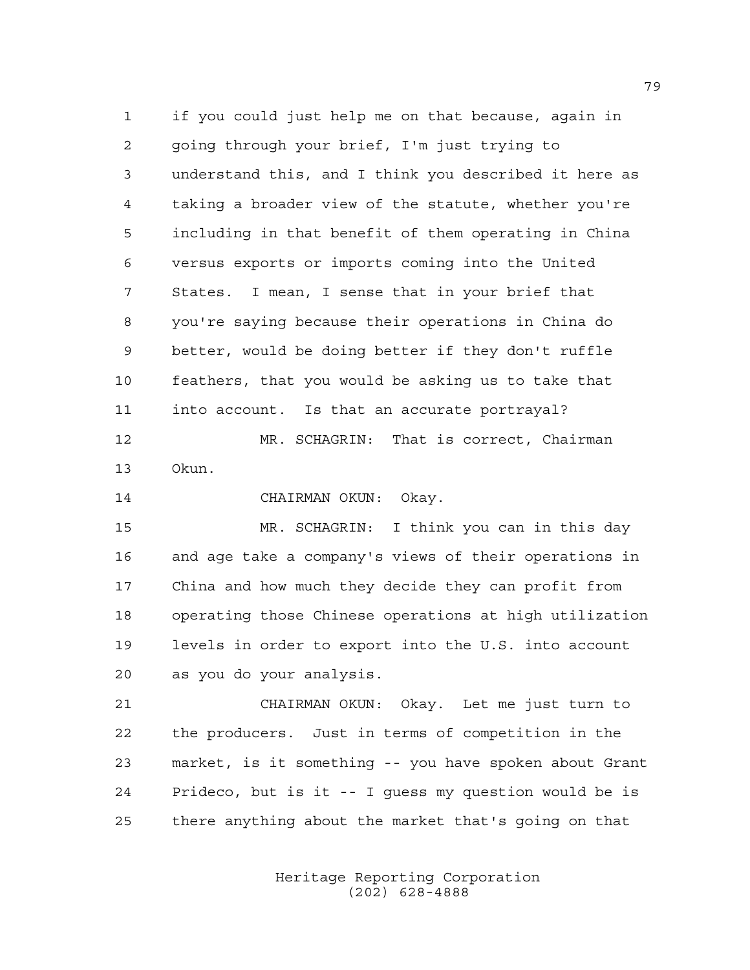if you could just help me on that because, again in going through your brief, I'm just trying to understand this, and I think you described it here as taking a broader view of the statute, whether you're including in that benefit of them operating in China versus exports or imports coming into the United States. I mean, I sense that in your brief that you're saying because their operations in China do better, would be doing better if they don't ruffle feathers, that you would be asking us to take that into account. Is that an accurate portrayal?

 MR. SCHAGRIN: That is correct, Chairman Okun.

CHAIRMAN OKUN: Okay.

 MR. SCHAGRIN: I think you can in this day and age take a company's views of their operations in China and how much they decide they can profit from operating those Chinese operations at high utilization levels in order to export into the U.S. into account as you do your analysis.

 CHAIRMAN OKUN: Okay. Let me just turn to the producers. Just in terms of competition in the market, is it something -- you have spoken about Grant Prideco, but is it -- I guess my question would be is there anything about the market that's going on that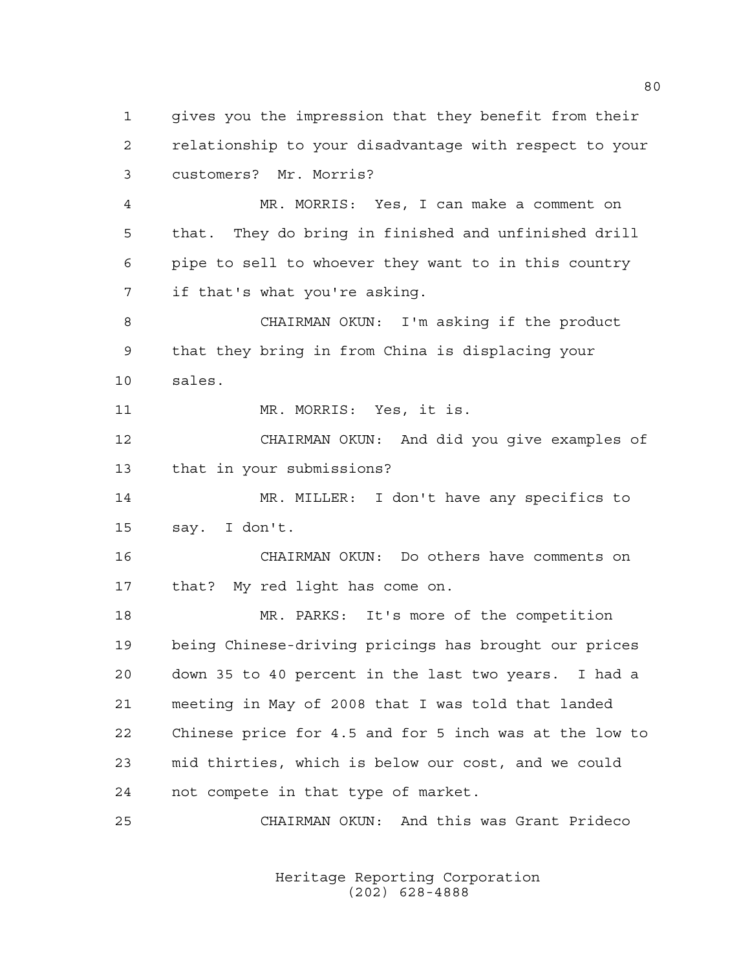gives you the impression that they benefit from their relationship to your disadvantage with respect to your customers? Mr. Morris?

 MR. MORRIS: Yes, I can make a comment on that. They do bring in finished and unfinished drill pipe to sell to whoever they want to in this country if that's what you're asking.

 CHAIRMAN OKUN: I'm asking if the product that they bring in from China is displacing your sales.

MR. MORRIS: Yes, it is.

 CHAIRMAN OKUN: And did you give examples of that in your submissions?

 MR. MILLER: I don't have any specifics to say. I don't.

 CHAIRMAN OKUN: Do others have comments on that? My red light has come on.

 MR. PARKS: It's more of the competition being Chinese-driving pricings has brought our prices down 35 to 40 percent in the last two years. I had a meeting in May of 2008 that I was told that landed Chinese price for 4.5 and for 5 inch was at the low to mid thirties, which is below our cost, and we could not compete in that type of market.

CHAIRMAN OKUN: And this was Grant Prideco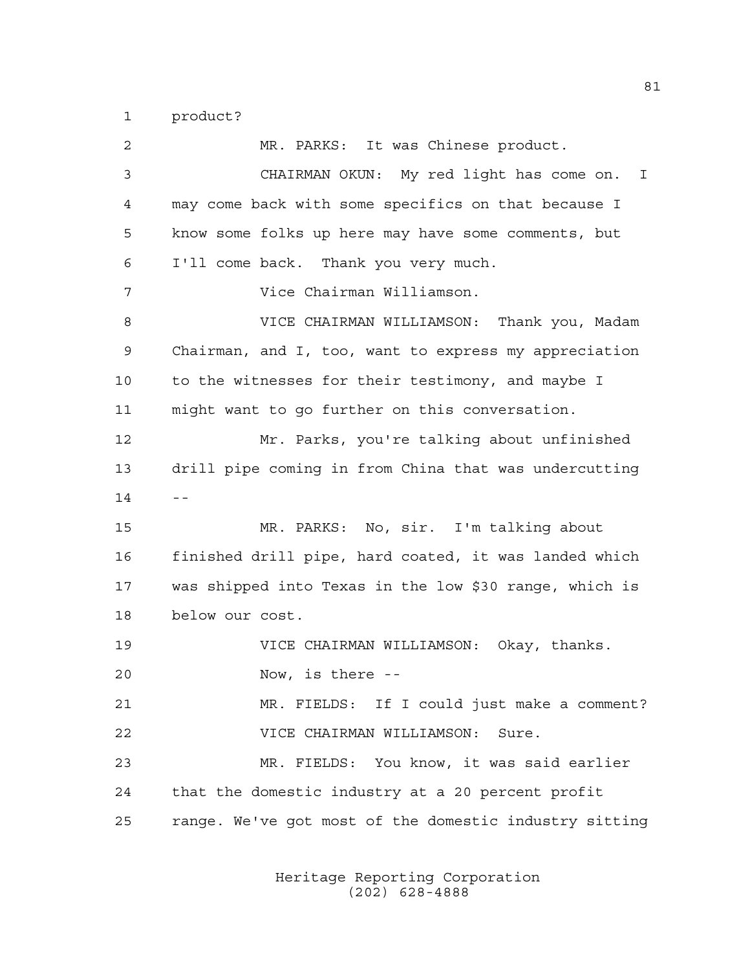product?

 MR. PARKS: It was Chinese product. CHAIRMAN OKUN: My red light has come on. I may come back with some specifics on that because I know some folks up here may have some comments, but I'll come back. Thank you very much. Vice Chairman Williamson. VICE CHAIRMAN WILLIAMSON: Thank you, Madam Chairman, and I, too, want to express my appreciation to the witnesses for their testimony, and maybe I might want to go further on this conversation. Mr. Parks, you're talking about unfinished drill pipe coming in from China that was undercutting  $14 - -$  MR. PARKS: No, sir. I'm talking about finished drill pipe, hard coated, it was landed which was shipped into Texas in the low \$30 range, which is below our cost. VICE CHAIRMAN WILLIAMSON: Okay, thanks. Now, is there -- MR. FIELDS: If I could just make a comment? VICE CHAIRMAN WILLIAMSON: Sure. MR. FIELDS: You know, it was said earlier that the domestic industry at a 20 percent profit range. We've got most of the domestic industry sitting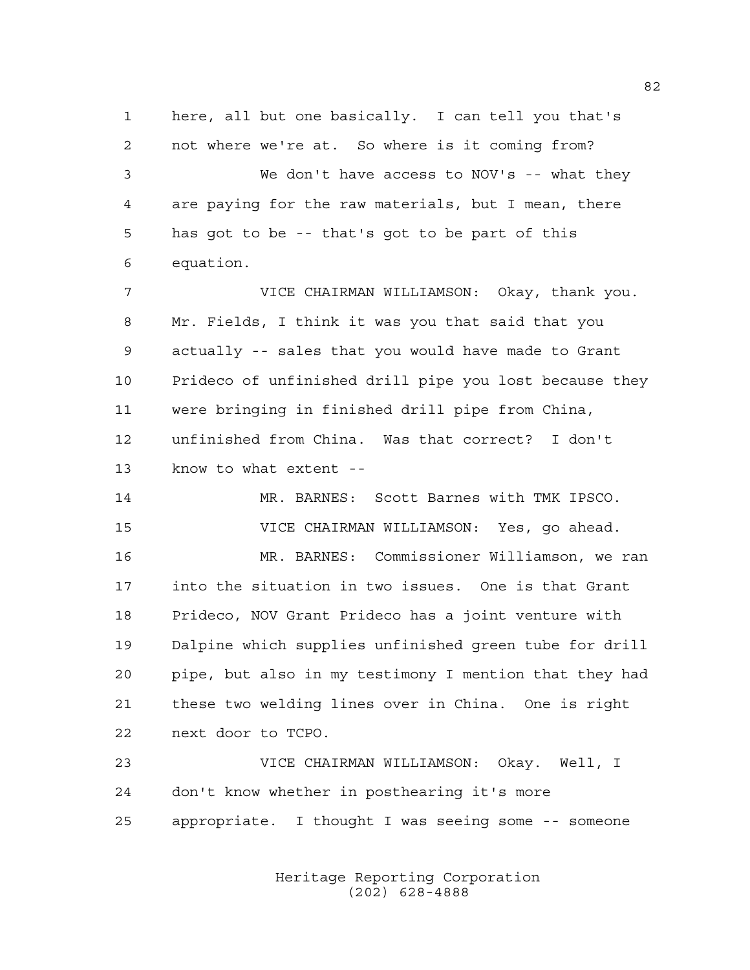here, all but one basically. I can tell you that's not where we're at. So where is it coming from? We don't have access to NOV's -- what they are paying for the raw materials, but I mean, there has got to be -- that's got to be part of this equation.

 VICE CHAIRMAN WILLIAMSON: Okay, thank you. Mr. Fields, I think it was you that said that you actually -- sales that you would have made to Grant Prideco of unfinished drill pipe you lost because they were bringing in finished drill pipe from China, unfinished from China. Was that correct? I don't know to what extent --

 MR. BARNES: Scott Barnes with TMK IPSCO. VICE CHAIRMAN WILLIAMSON: Yes, go ahead.

 MR. BARNES: Commissioner Williamson, we ran into the situation in two issues. One is that Grant Prideco, NOV Grant Prideco has a joint venture with Dalpine which supplies unfinished green tube for drill pipe, but also in my testimony I mention that they had these two welding lines over in China. One is right next door to TCPO.

 VICE CHAIRMAN WILLIAMSON: Okay. Well, I don't know whether in posthearing it's more appropriate. I thought I was seeing some -- someone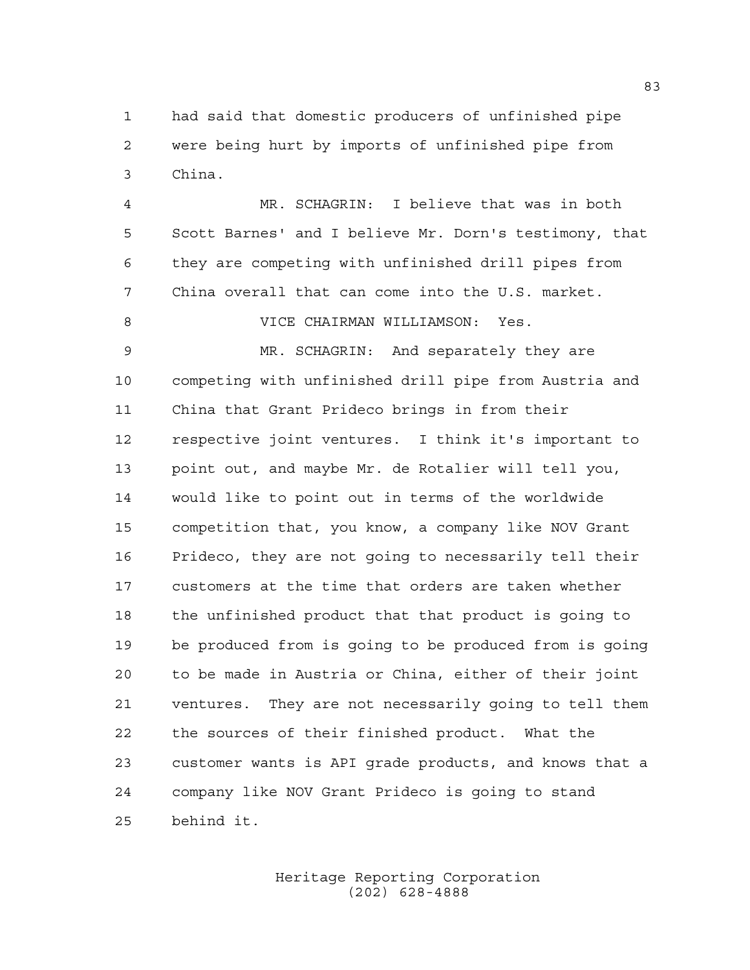had said that domestic producers of unfinished pipe were being hurt by imports of unfinished pipe from China.

 MR. SCHAGRIN: I believe that was in both Scott Barnes' and I believe Mr. Dorn's testimony, that they are competing with unfinished drill pipes from China overall that can come into the U.S. market. VICE CHAIRMAN WILLIAMSON: Yes. MR. SCHAGRIN: And separately they are competing with unfinished drill pipe from Austria and China that Grant Prideco brings in from their respective joint ventures. I think it's important to point out, and maybe Mr. de Rotalier will tell you, would like to point out in terms of the worldwide competition that, you know, a company like NOV Grant Prideco, they are not going to necessarily tell their customers at the time that orders are taken whether the unfinished product that that product is going to be produced from is going to be produced from is going to be made in Austria or China, either of their joint ventures. They are not necessarily going to tell them the sources of their finished product. What the customer wants is API grade products, and knows that a company like NOV Grant Prideco is going to stand behind it.

> Heritage Reporting Corporation (202) 628-4888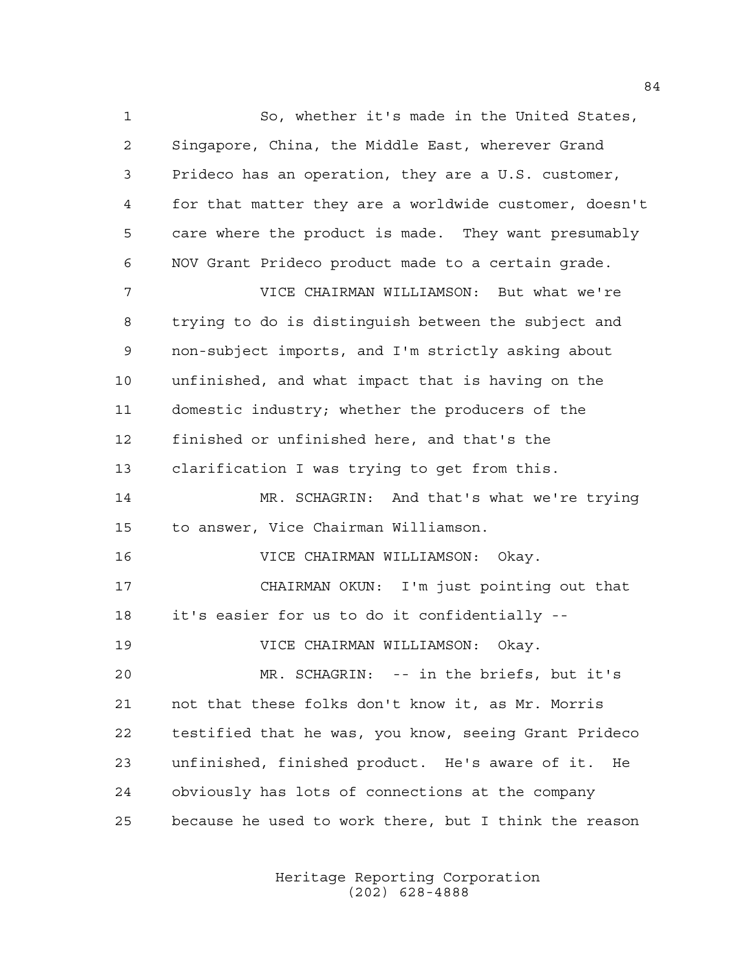So, whether it's made in the United States, Singapore, China, the Middle East, wherever Grand Prideco has an operation, they are a U.S. customer, for that matter they are a worldwide customer, doesn't care where the product is made. They want presumably NOV Grant Prideco product made to a certain grade. VICE CHAIRMAN WILLIAMSON: But what we're trying to do is distinguish between the subject and non-subject imports, and I'm strictly asking about unfinished, and what impact that is having on the domestic industry; whether the producers of the finished or unfinished here, and that's the clarification I was trying to get from this. MR. SCHAGRIN: And that's what we're trying to answer, Vice Chairman Williamson. VICE CHAIRMAN WILLIAMSON: Okay. CHAIRMAN OKUN: I'm just pointing out that it's easier for us to do it confidentially -- VICE CHAIRMAN WILLIAMSON: Okay. MR. SCHAGRIN: -- in the briefs, but it's not that these folks don't know it, as Mr. Morris testified that he was, you know, seeing Grant Prideco unfinished, finished product. He's aware of it. He obviously has lots of connections at the company because he used to work there, but I think the reason

> Heritage Reporting Corporation (202) 628-4888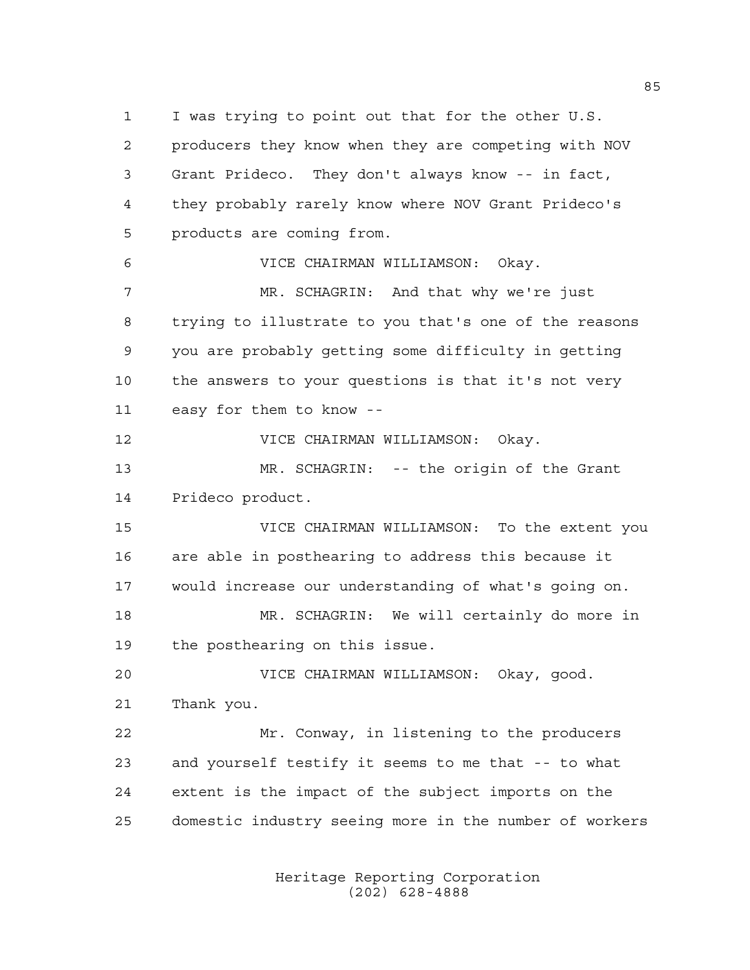I was trying to point out that for the other U.S. producers they know when they are competing with NOV Grant Prideco. They don't always know -- in fact, they probably rarely know where NOV Grant Prideco's products are coming from. VICE CHAIRMAN WILLIAMSON: Okay. MR. SCHAGRIN: And that why we're just

 trying to illustrate to you that's one of the reasons you are probably getting some difficulty in getting the answers to your questions is that it's not very easy for them to know --

VICE CHAIRMAN WILLIAMSON: Okay.

 MR. SCHAGRIN: -- the origin of the Grant Prideco product.

 VICE CHAIRMAN WILLIAMSON: To the extent you are able in posthearing to address this because it would increase our understanding of what's going on.

 MR. SCHAGRIN: We will certainly do more in the posthearing on this issue.

 VICE CHAIRMAN WILLIAMSON: Okay, good. Thank you.

 Mr. Conway, in listening to the producers and yourself testify it seems to me that -- to what extent is the impact of the subject imports on the domestic industry seeing more in the number of workers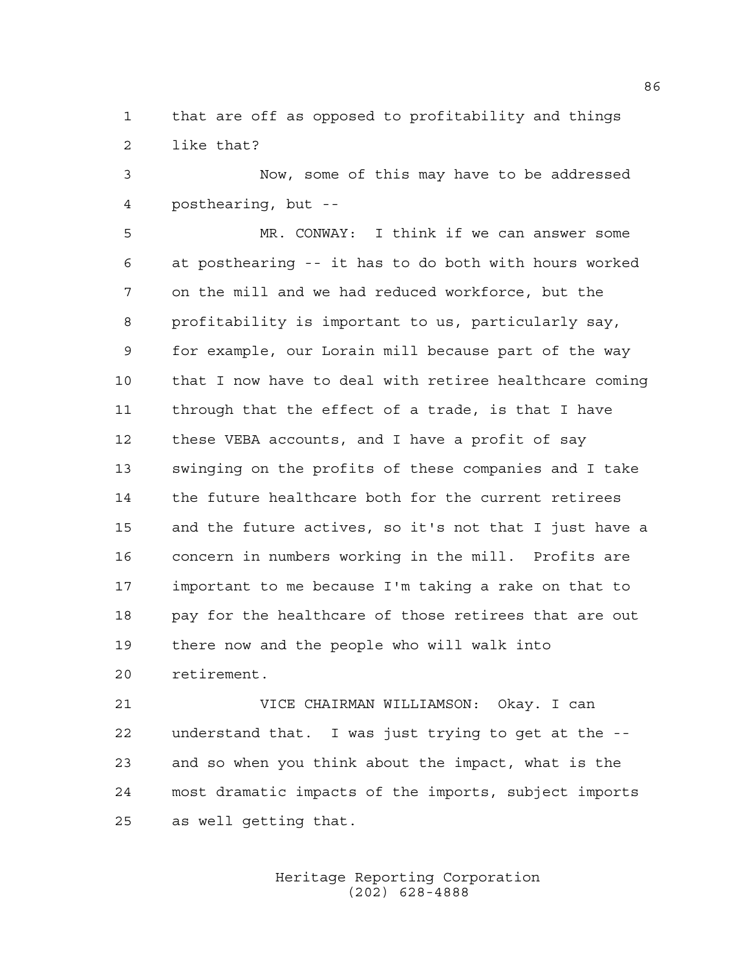that are off as opposed to profitability and things like that?

 Now, some of this may have to be addressed posthearing, but --

 MR. CONWAY: I think if we can answer some at posthearing -- it has to do both with hours worked on the mill and we had reduced workforce, but the profitability is important to us, particularly say, for example, our Lorain mill because part of the way that I now have to deal with retiree healthcare coming through that the effect of a trade, is that I have these VEBA accounts, and I have a profit of say swinging on the profits of these companies and I take the future healthcare both for the current retirees and the future actives, so it's not that I just have a concern in numbers working in the mill. Profits are important to me because I'm taking a rake on that to pay for the healthcare of those retirees that are out there now and the people who will walk into retirement.

 VICE CHAIRMAN WILLIAMSON: Okay. I can understand that. I was just trying to get at the -- and so when you think about the impact, what is the most dramatic impacts of the imports, subject imports as well getting that.

> Heritage Reporting Corporation (202) 628-4888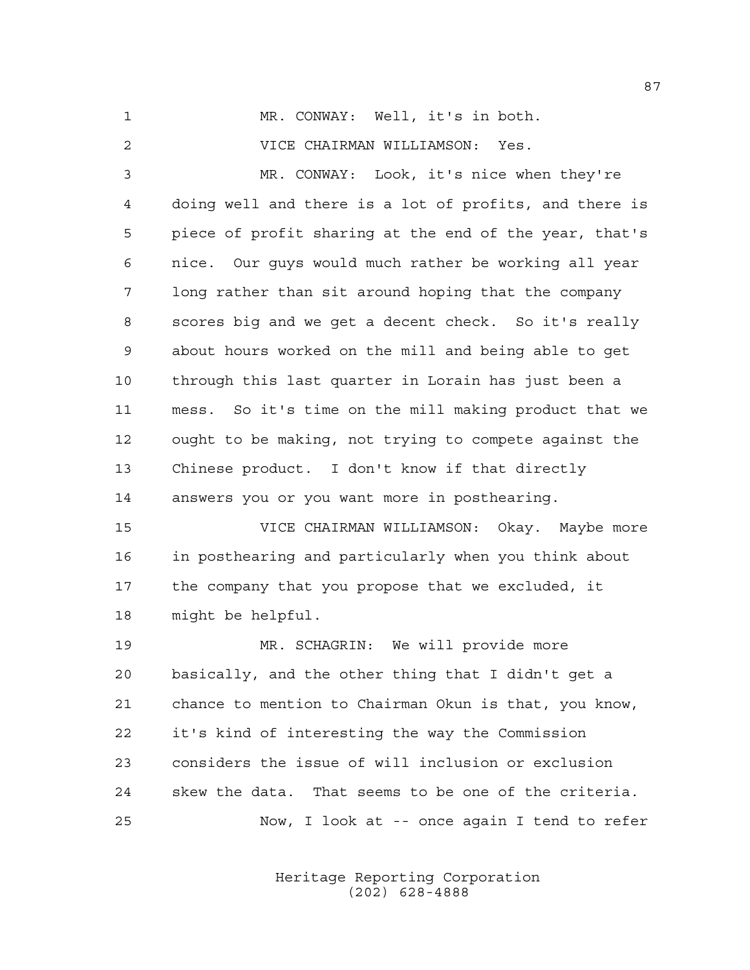MR. CONWAY: Well, it's in both. VICE CHAIRMAN WILLIAMSON: Yes. MR. CONWAY: Look, it's nice when they're doing well and there is a lot of profits, and there is piece of profit sharing at the end of the year, that's nice. Our guys would much rather be working all year long rather than sit around hoping that the company scores big and we get a decent check. So it's really about hours worked on the mill and being able to get through this last quarter in Lorain has just been a mess. So it's time on the mill making product that we ought to be making, not trying to compete against the Chinese product. I don't know if that directly answers you or you want more in posthearing. VICE CHAIRMAN WILLIAMSON: Okay. Maybe more in posthearing and particularly when you think about the company that you propose that we excluded, it might be helpful.

 MR. SCHAGRIN: We will provide more basically, and the other thing that I didn't get a chance to mention to Chairman Okun is that, you know, it's kind of interesting the way the Commission considers the issue of will inclusion or exclusion skew the data. That seems to be one of the criteria. Now, I look at -- once again I tend to refer

> Heritage Reporting Corporation (202) 628-4888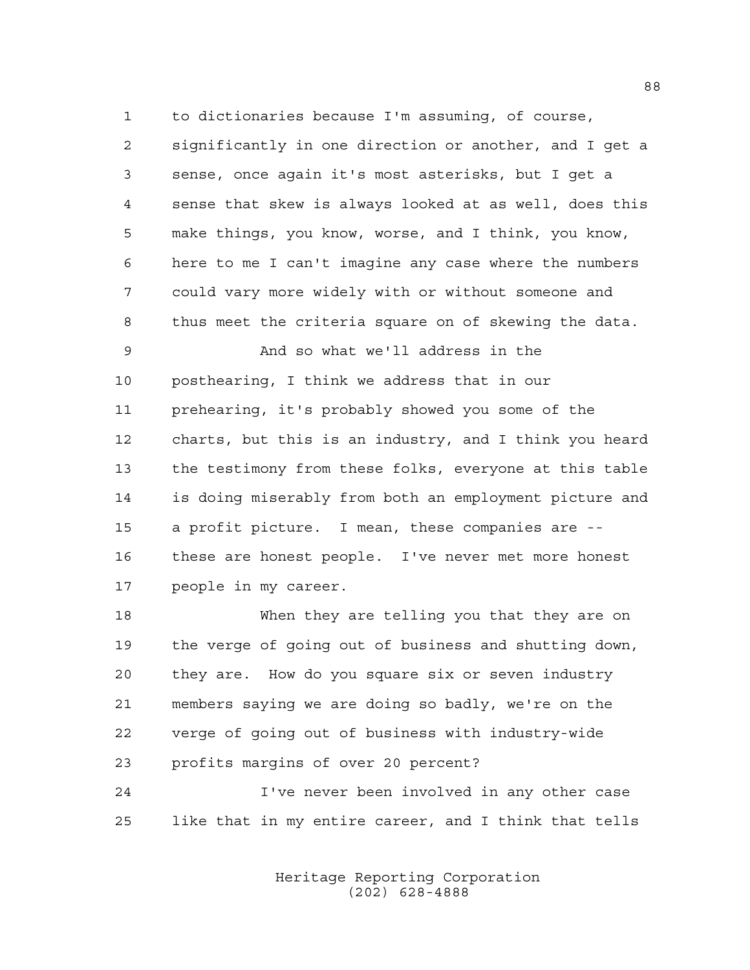to dictionaries because I'm assuming, of course,

 significantly in one direction or another, and I get a sense, once again it's most asterisks, but I get a sense that skew is always looked at as well, does this make things, you know, worse, and I think, you know, here to me I can't imagine any case where the numbers could vary more widely with or without someone and thus meet the criteria square on of skewing the data.

 And so what we'll address in the posthearing, I think we address that in our prehearing, it's probably showed you some of the charts, but this is an industry, and I think you heard the testimony from these folks, everyone at this table is doing miserably from both an employment picture and a profit picture. I mean, these companies are -- these are honest people. I've never met more honest people in my career.

 When they are telling you that they are on the verge of going out of business and shutting down, they are. How do you square six or seven industry members saying we are doing so badly, we're on the verge of going out of business with industry-wide profits margins of over 20 percent?

 I've never been involved in any other case like that in my entire career, and I think that tells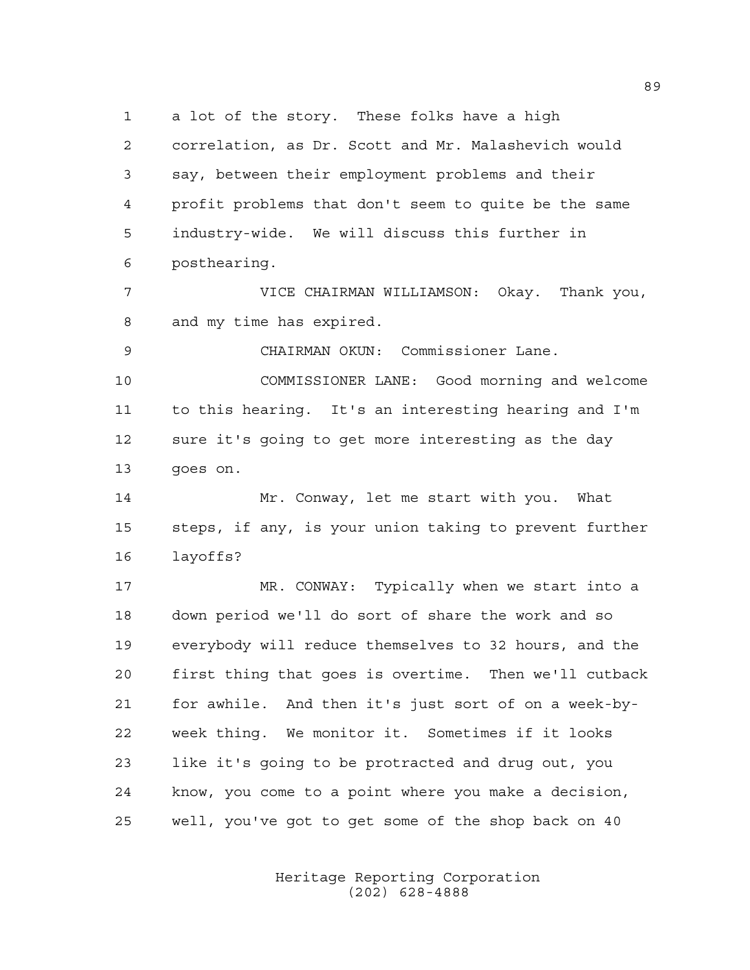a lot of the story. These folks have a high correlation, as Dr. Scott and Mr. Malashevich would say, between their employment problems and their profit problems that don't seem to quite be the same industry-wide. We will discuss this further in posthearing.

 VICE CHAIRMAN WILLIAMSON: Okay. Thank you, and my time has expired.

 CHAIRMAN OKUN: Commissioner Lane. COMMISSIONER LANE: Good morning and welcome to this hearing. It's an interesting hearing and I'm sure it's going to get more interesting as the day goes on.

 Mr. Conway, let me start with you. What steps, if any, is your union taking to prevent further layoffs?

 MR. CONWAY: Typically when we start into a down period we'll do sort of share the work and so everybody will reduce themselves to 32 hours, and the first thing that goes is overtime. Then we'll cutback for awhile. And then it's just sort of on a week-by- week thing. We monitor it. Sometimes if it looks like it's going to be protracted and drug out, you know, you come to a point where you make a decision, well, you've got to get some of the shop back on 40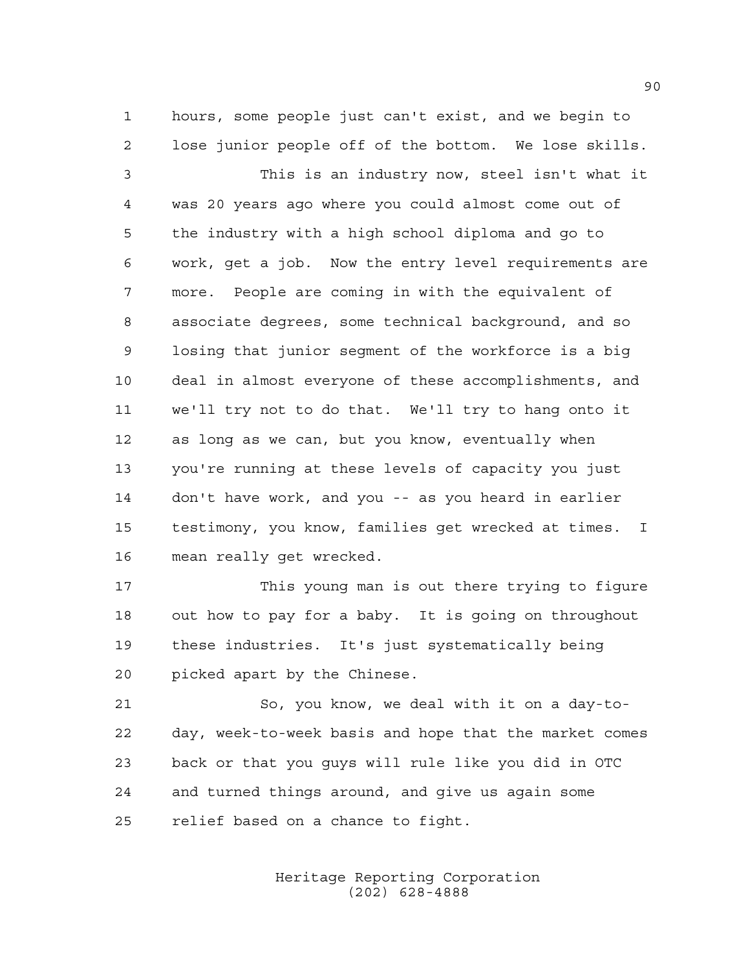hours, some people just can't exist, and we begin to lose junior people off of the bottom. We lose skills.

 This is an industry now, steel isn't what it was 20 years ago where you could almost come out of the industry with a high school diploma and go to work, get a job. Now the entry level requirements are more. People are coming in with the equivalent of associate degrees, some technical background, and so losing that junior segment of the workforce is a big deal in almost everyone of these accomplishments, and we'll try not to do that. We'll try to hang onto it as long as we can, but you know, eventually when you're running at these levels of capacity you just don't have work, and you -- as you heard in earlier testimony, you know, families get wrecked at times. I mean really get wrecked.

 This young man is out there trying to figure out how to pay for a baby. It is going on throughout these industries. It's just systematically being picked apart by the Chinese.

 So, you know, we deal with it on a day-to- day, week-to-week basis and hope that the market comes back or that you guys will rule like you did in OTC and turned things around, and give us again some relief based on a chance to fight.

> Heritage Reporting Corporation (202) 628-4888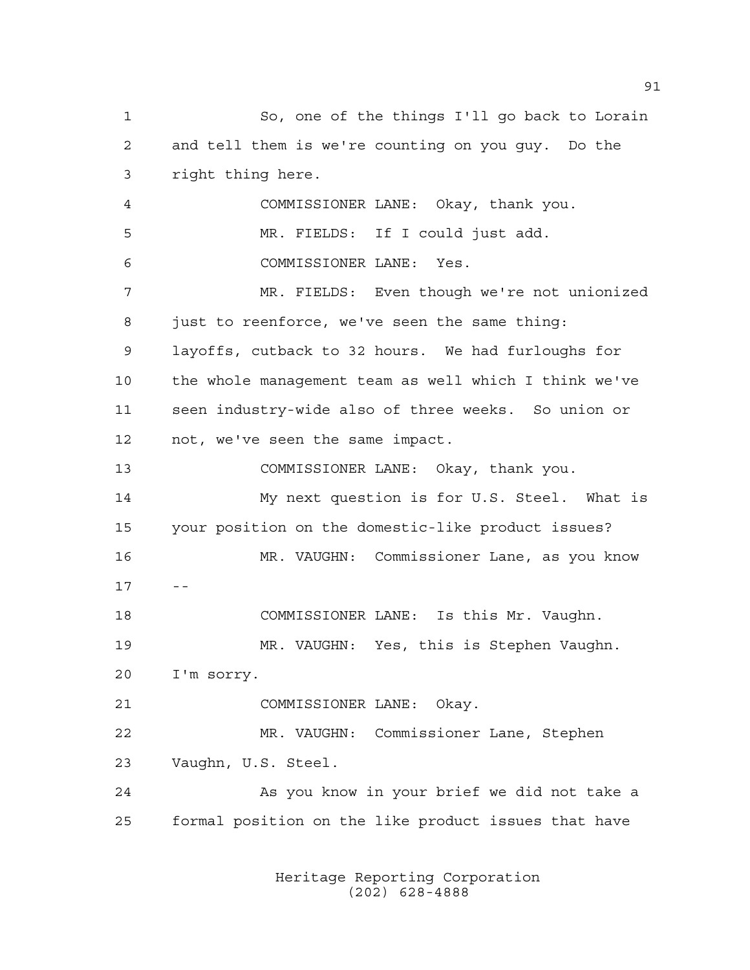So, one of the things I'll go back to Lorain and tell them is we're counting on you guy. Do the right thing here. COMMISSIONER LANE: Okay, thank you. MR. FIELDS: If I could just add. COMMISSIONER LANE: Yes. MR. FIELDS: Even though we're not unionized just to reenforce, we've seen the same thing: layoffs, cutback to 32 hours. We had furloughs for the whole management team as well which I think we've seen industry-wide also of three weeks. So union or not, we've seen the same impact. COMMISSIONER LANE: Okay, thank you. My next question is for U.S. Steel. What is your position on the domestic-like product issues? MR. VAUGHN: Commissioner Lane, as you know COMMISSIONER LANE: Is this Mr. Vaughn. MR. VAUGHN: Yes, this is Stephen Vaughn. I'm sorry. COMMISSIONER LANE: Okay. MR. VAUGHN: Commissioner Lane, Stephen Vaughn, U.S. Steel. 24 As you know in your brief we did not take a formal position on the like product issues that have

> Heritage Reporting Corporation (202) 628-4888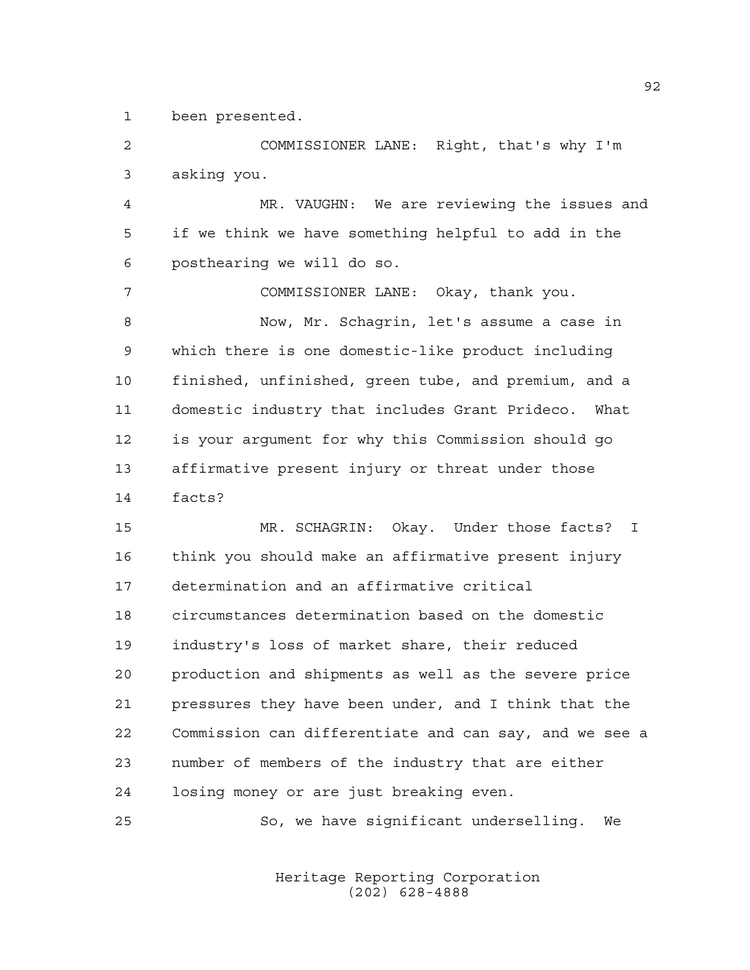been presented.

 COMMISSIONER LANE: Right, that's why I'm asking you.

 MR. VAUGHN: We are reviewing the issues and if we think we have something helpful to add in the posthearing we will do so.

 COMMISSIONER LANE: Okay, thank you. Now, Mr. Schagrin, let's assume a case in which there is one domestic-like product including finished, unfinished, green tube, and premium, and a domestic industry that includes Grant Prideco. What is your argument for why this Commission should go affirmative present injury or threat under those facts?

 MR. SCHAGRIN: Okay. Under those facts? I think you should make an affirmative present injury determination and an affirmative critical circumstances determination based on the domestic industry's loss of market share, their reduced production and shipments as well as the severe price pressures they have been under, and I think that the Commission can differentiate and can say, and we see a number of members of the industry that are either losing money or are just breaking even.

So, we have significant underselling. We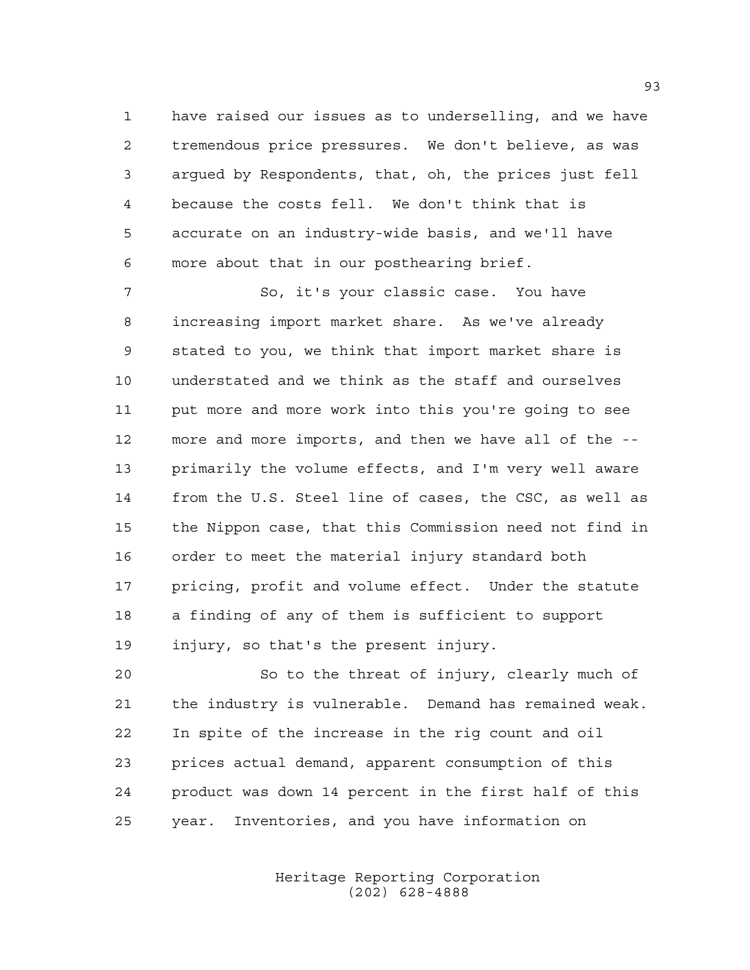have raised our issues as to underselling, and we have tremendous price pressures. We don't believe, as was argued by Respondents, that, oh, the prices just fell because the costs fell. We don't think that is accurate on an industry-wide basis, and we'll have more about that in our posthearing brief.

 So, it's your classic case. You have increasing import market share. As we've already stated to you, we think that import market share is understated and we think as the staff and ourselves put more and more work into this you're going to see more and more imports, and then we have all of the -- primarily the volume effects, and I'm very well aware from the U.S. Steel line of cases, the CSC, as well as the Nippon case, that this Commission need not find in order to meet the material injury standard both pricing, profit and volume effect. Under the statute a finding of any of them is sufficient to support injury, so that's the present injury.

 So to the threat of injury, clearly much of the industry is vulnerable. Demand has remained weak. In spite of the increase in the rig count and oil prices actual demand, apparent consumption of this product was down 14 percent in the first half of this year. Inventories, and you have information on

> Heritage Reporting Corporation (202) 628-4888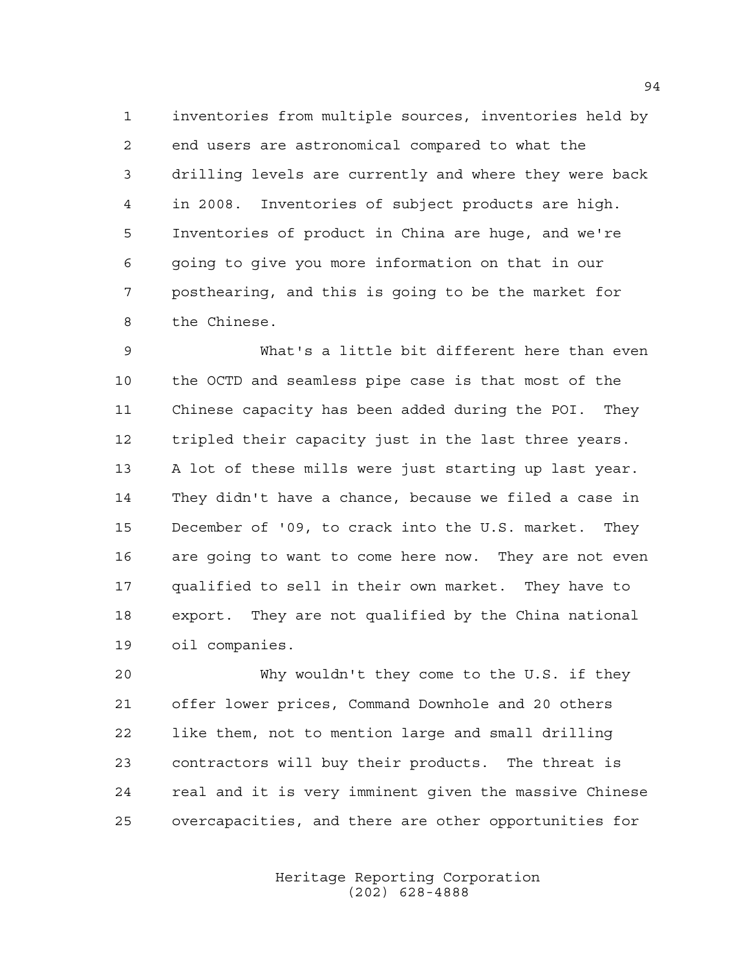inventories from multiple sources, inventories held by end users are astronomical compared to what the drilling levels are currently and where they were back in 2008. Inventories of subject products are high. Inventories of product in China are huge, and we're going to give you more information on that in our posthearing, and this is going to be the market for the Chinese.

 What's a little bit different here than even the OCTD and seamless pipe case is that most of the Chinese capacity has been added during the POI. They tripled their capacity just in the last three years. A lot of these mills were just starting up last year. They didn't have a chance, because we filed a case in December of '09, to crack into the U.S. market. They are going to want to come here now. They are not even qualified to sell in their own market. They have to export. They are not qualified by the China national oil companies.

 Why wouldn't they come to the U.S. if they offer lower prices, Command Downhole and 20 others like them, not to mention large and small drilling contractors will buy their products. The threat is real and it is very imminent given the massive Chinese overcapacities, and there are other opportunities for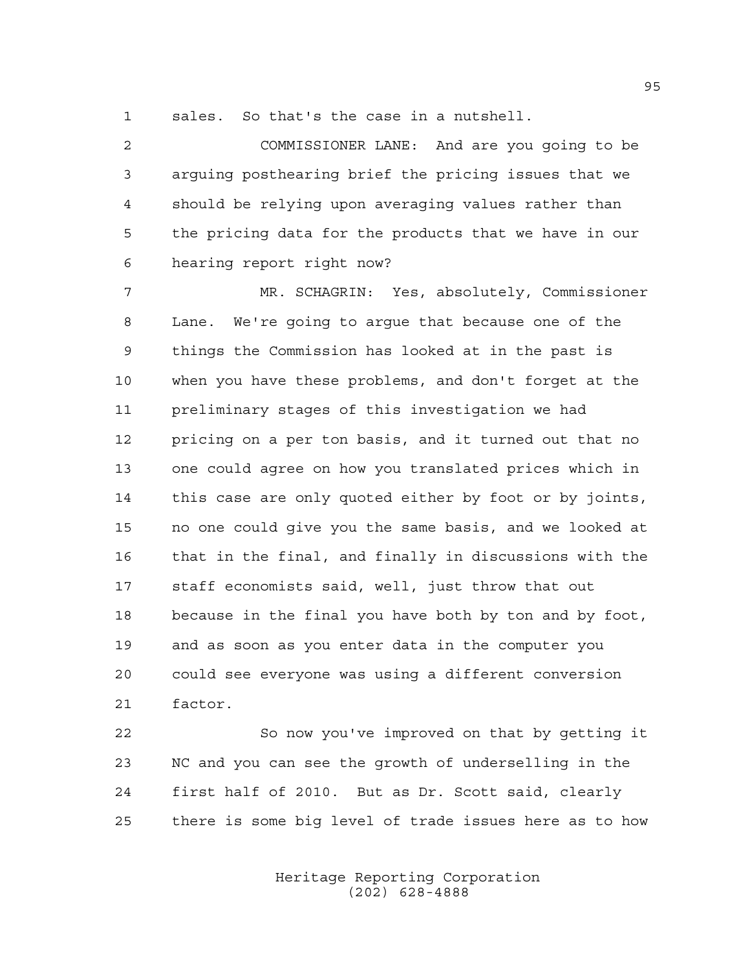sales. So that's the case in a nutshell.

 COMMISSIONER LANE: And are you going to be arguing posthearing brief the pricing issues that we should be relying upon averaging values rather than the pricing data for the products that we have in our hearing report right now?

 MR. SCHAGRIN: Yes, absolutely, Commissioner Lane. We're going to argue that because one of the things the Commission has looked at in the past is when you have these problems, and don't forget at the preliminary stages of this investigation we had pricing on a per ton basis, and it turned out that no one could agree on how you translated prices which in this case are only quoted either by foot or by joints, no one could give you the same basis, and we looked at that in the final, and finally in discussions with the staff economists said, well, just throw that out because in the final you have both by ton and by foot, and as soon as you enter data in the computer you could see everyone was using a different conversion factor.

 So now you've improved on that by getting it NC and you can see the growth of underselling in the first half of 2010. But as Dr. Scott said, clearly there is some big level of trade issues here as to how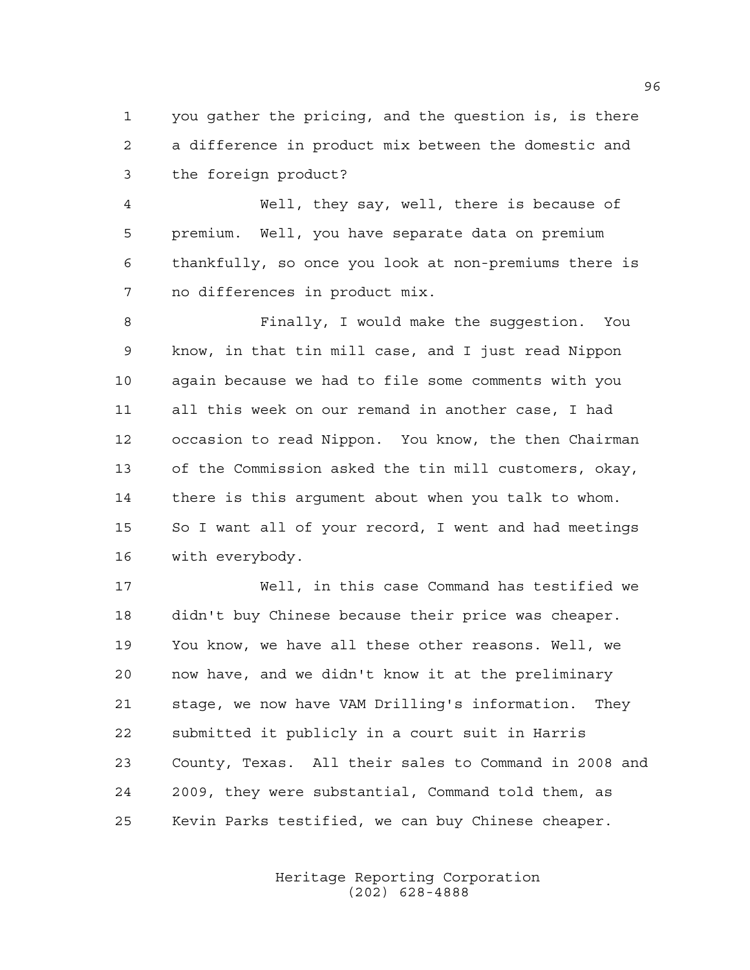you gather the pricing, and the question is, is there a difference in product mix between the domestic and the foreign product?

 Well, they say, well, there is because of premium. Well, you have separate data on premium thankfully, so once you look at non-premiums there is no differences in product mix.

 Finally, I would make the suggestion. You know, in that tin mill case, and I just read Nippon again because we had to file some comments with you all this week on our remand in another case, I had occasion to read Nippon. You know, the then Chairman of the Commission asked the tin mill customers, okay, there is this argument about when you talk to whom. So I want all of your record, I went and had meetings with everybody.

 Well, in this case Command has testified we didn't buy Chinese because their price was cheaper. You know, we have all these other reasons. Well, we now have, and we didn't know it at the preliminary stage, we now have VAM Drilling's information. They submitted it publicly in a court suit in Harris County, Texas. All their sales to Command in 2008 and 2009, they were substantial, Command told them, as Kevin Parks testified, we can buy Chinese cheaper.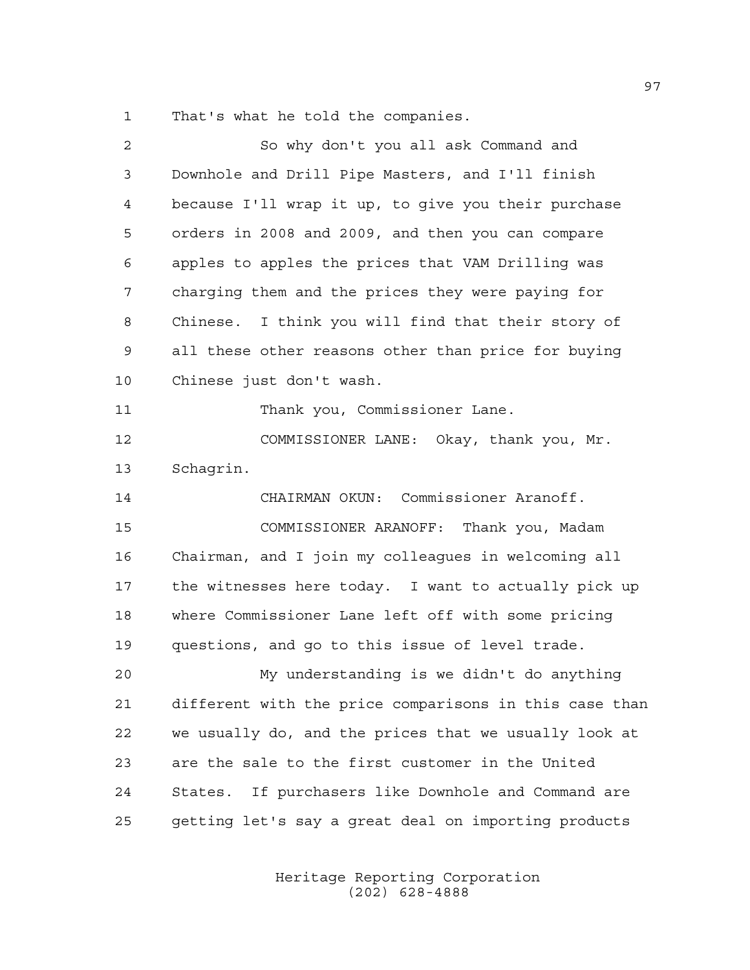That's what he told the companies.

| $\mathbf{2}$ | So why don't you all ask Command and                   |
|--------------|--------------------------------------------------------|
| 3            | Downhole and Drill Pipe Masters, and I'll finish       |
| 4            | because I'll wrap it up, to give you their purchase    |
| 5            | orders in 2008 and 2009, and then you can compare      |
| 6            | apples to apples the prices that VAM Drilling was      |
| 7            | charging them and the prices they were paying for      |
| 8            | Chinese. I think you will find that their story of     |
| 9            | all these other reasons other than price for buying    |
| 10           | Chinese just don't wash.                               |
| 11           | Thank you, Commissioner Lane.                          |
| 12           | COMMISSIONER LANE: Okay, thank you, Mr.                |
| 13           | Schagrin.                                              |
| 14           | CHAIRMAN OKUN: Commissioner Aranoff.                   |
| 15           | COMMISSIONER ARANOFF: Thank you, Madam                 |
| 16           | Chairman, and I join my colleagues in welcoming all    |
| 17           | the witnesses here today. I want to actually pick up   |
| 18           | where Commissioner Lane left off with some pricing     |
| 19           | questions, and go to this issue of level trade.        |
| 20           | My understanding is we didn't do anything              |
| 21           | different with the price comparisons in this case than |
| 22           | we usually do, and the prices that we usually look at  |
| 23           | are the sale to the first customer in the United       |
| 24           | If purchasers like Downhole and Command are<br>States. |
| 25           | getting let's say a great deal on importing products   |
|              |                                                        |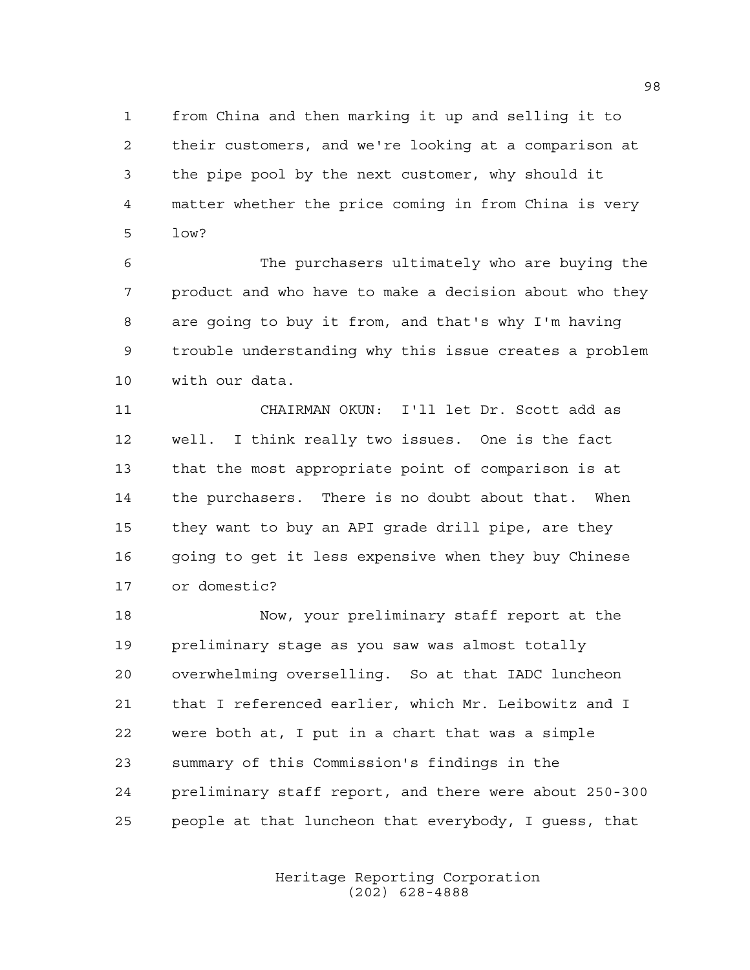from China and then marking it up and selling it to their customers, and we're looking at a comparison at the pipe pool by the next customer, why should it matter whether the price coming in from China is very low?

 The purchasers ultimately who are buying the product and who have to make a decision about who they are going to buy it from, and that's why I'm having trouble understanding why this issue creates a problem with our data.

 CHAIRMAN OKUN: I'll let Dr. Scott add as well. I think really two issues. One is the fact that the most appropriate point of comparison is at the purchasers. There is no doubt about that. When they want to buy an API grade drill pipe, are they 16 going to get it less expensive when they buy Chinese or domestic?

 Now, your preliminary staff report at the preliminary stage as you saw was almost totally overwhelming overselling. So at that IADC luncheon that I referenced earlier, which Mr. Leibowitz and I were both at, I put in a chart that was a simple summary of this Commission's findings in the preliminary staff report, and there were about 250-300 people at that luncheon that everybody, I guess, that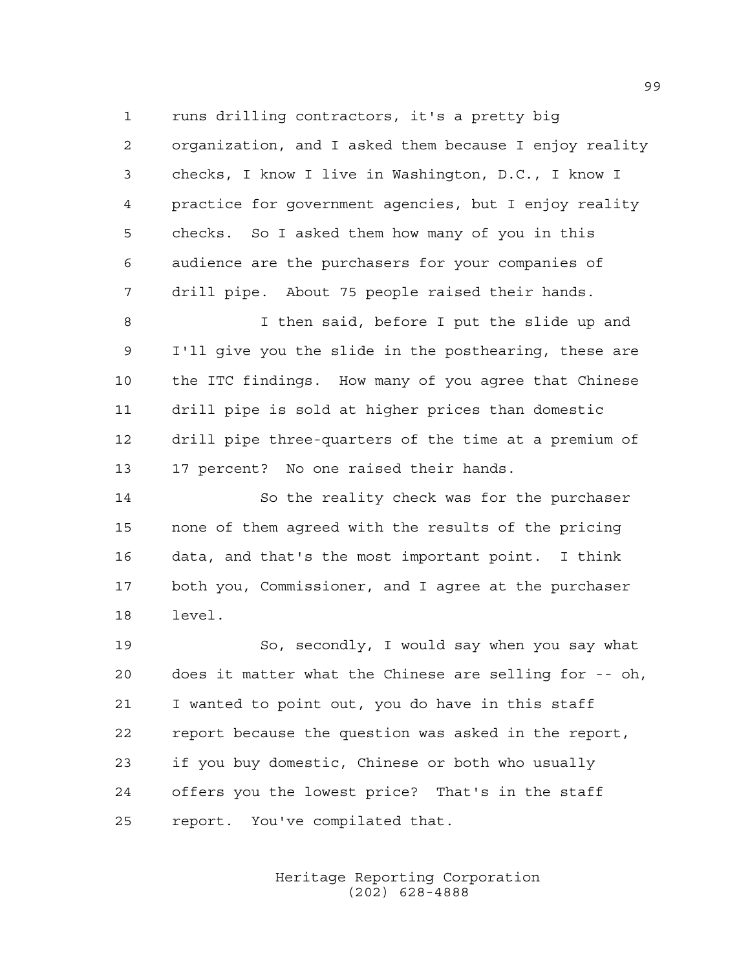runs drilling contractors, it's a pretty big

 organization, and I asked them because I enjoy reality checks, I know I live in Washington, D.C., I know I practice for government agencies, but I enjoy reality checks. So I asked them how many of you in this audience are the purchasers for your companies of drill pipe. About 75 people raised their hands.

8 I then said, before I put the slide up and I'll give you the slide in the posthearing, these are the ITC findings. How many of you agree that Chinese drill pipe is sold at higher prices than domestic drill pipe three-quarters of the time at a premium of 17 percent? No one raised their hands.

 So the reality check was for the purchaser none of them agreed with the results of the pricing data, and that's the most important point. I think both you, Commissioner, and I agree at the purchaser level.

 So, secondly, I would say when you say what does it matter what the Chinese are selling for -- oh, I wanted to point out, you do have in this staff report because the question was asked in the report, if you buy domestic, Chinese or both who usually offers you the lowest price? That's in the staff report. You've compilated that.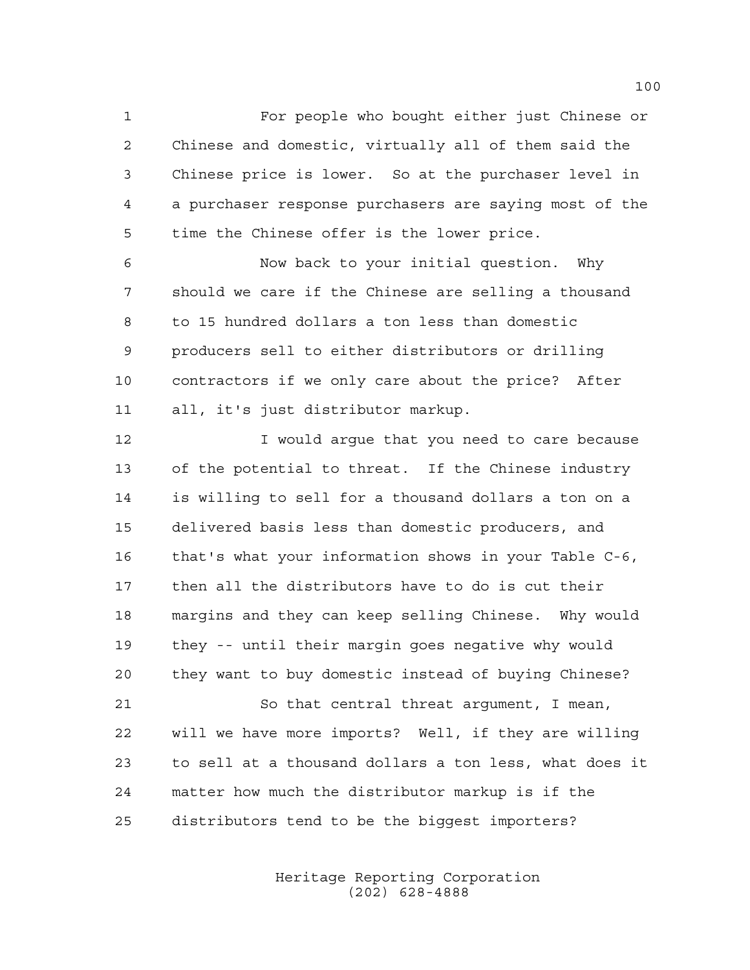For people who bought either just Chinese or Chinese and domestic, virtually all of them said the Chinese price is lower. So at the purchaser level in a purchaser response purchasers are saying most of the time the Chinese offer is the lower price.

 Now back to your initial question. Why should we care if the Chinese are selling a thousand to 15 hundred dollars a ton less than domestic producers sell to either distributors or drilling contractors if we only care about the price? After all, it's just distributor markup.

**I** would arque that you need to care because of the potential to threat. If the Chinese industry is willing to sell for a thousand dollars a ton on a delivered basis less than domestic producers, and that's what your information shows in your Table C-6, then all the distributors have to do is cut their margins and they can keep selling Chinese. Why would they -- until their margin goes negative why would they want to buy domestic instead of buying Chinese?

 So that central threat argument, I mean, will we have more imports? Well, if they are willing to sell at a thousand dollars a ton less, what does it matter how much the distributor markup is if the distributors tend to be the biggest importers?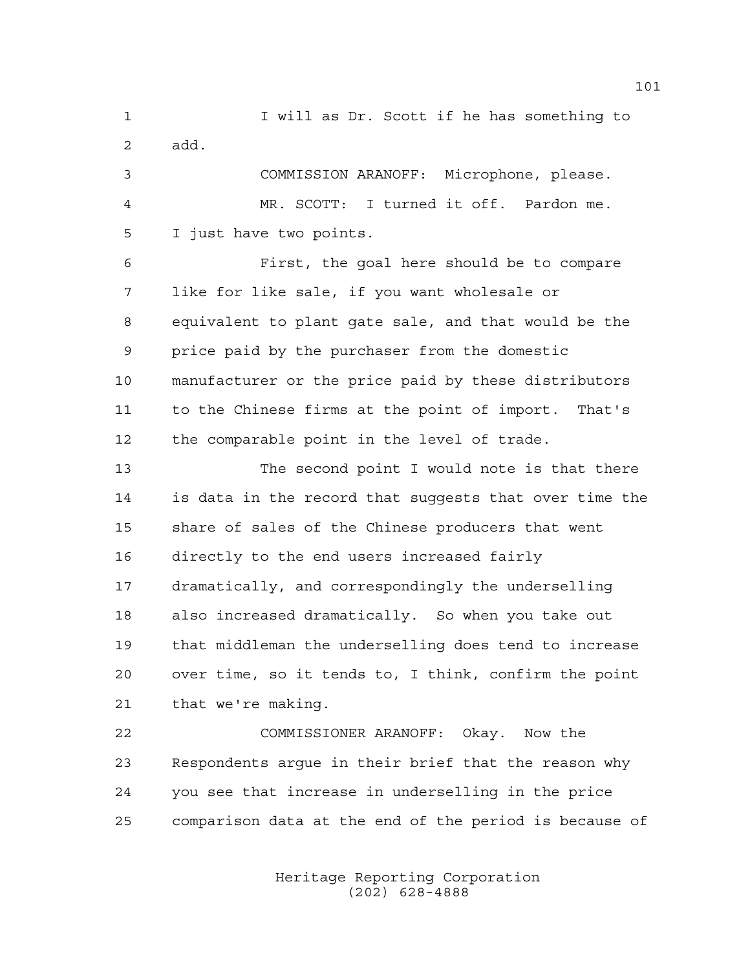I will as Dr. Scott if he has something to add. COMMISSION ARANOFF: Microphone, please.

 MR. SCOTT: I turned it off. Pardon me. I just have two points.

 First, the goal here should be to compare like for like sale, if you want wholesale or equivalent to plant gate sale, and that would be the price paid by the purchaser from the domestic manufacturer or the price paid by these distributors to the Chinese firms at the point of import. That's the comparable point in the level of trade.

 The second point I would note is that there is data in the record that suggests that over time the share of sales of the Chinese producers that went directly to the end users increased fairly dramatically, and correspondingly the underselling also increased dramatically. So when you take out that middleman the underselling does tend to increase over time, so it tends to, I think, confirm the point that we're making.

 COMMISSIONER ARANOFF: Okay. Now the Respondents argue in their brief that the reason why you see that increase in underselling in the price comparison data at the end of the period is because of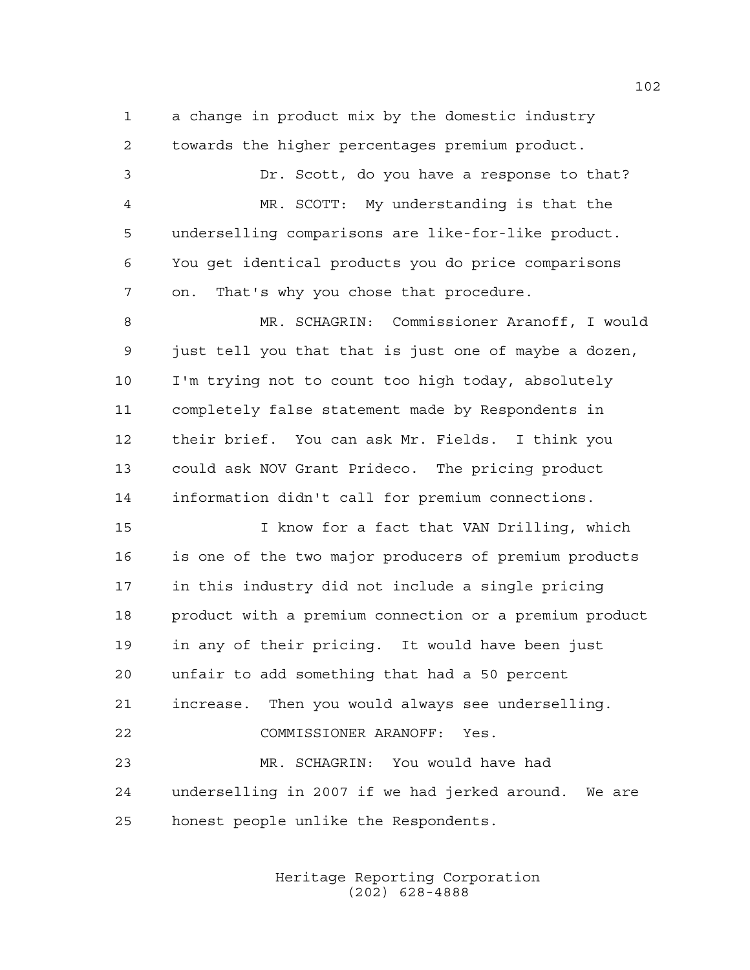a change in product mix by the domestic industry towards the higher percentages premium product.

 Dr. Scott, do you have a response to that? MR. SCOTT: My understanding is that the underselling comparisons are like-for-like product. You get identical products you do price comparisons on. That's why you chose that procedure.

 MR. SCHAGRIN: Commissioner Aranoff, I would just tell you that that is just one of maybe a dozen, I'm trying not to count too high today, absolutely completely false statement made by Respondents in their brief. You can ask Mr. Fields. I think you could ask NOV Grant Prideco. The pricing product information didn't call for premium connections.

 I know for a fact that VAN Drilling, which is one of the two major producers of premium products in this industry did not include a single pricing product with a premium connection or a premium product in any of their pricing. It would have been just unfair to add something that had a 50 percent increase. Then you would always see underselling. COMMISSIONER ARANOFF: Yes. MR. SCHAGRIN: You would have had underselling in 2007 if we had jerked around. We are honest people unlike the Respondents.

> Heritage Reporting Corporation (202) 628-4888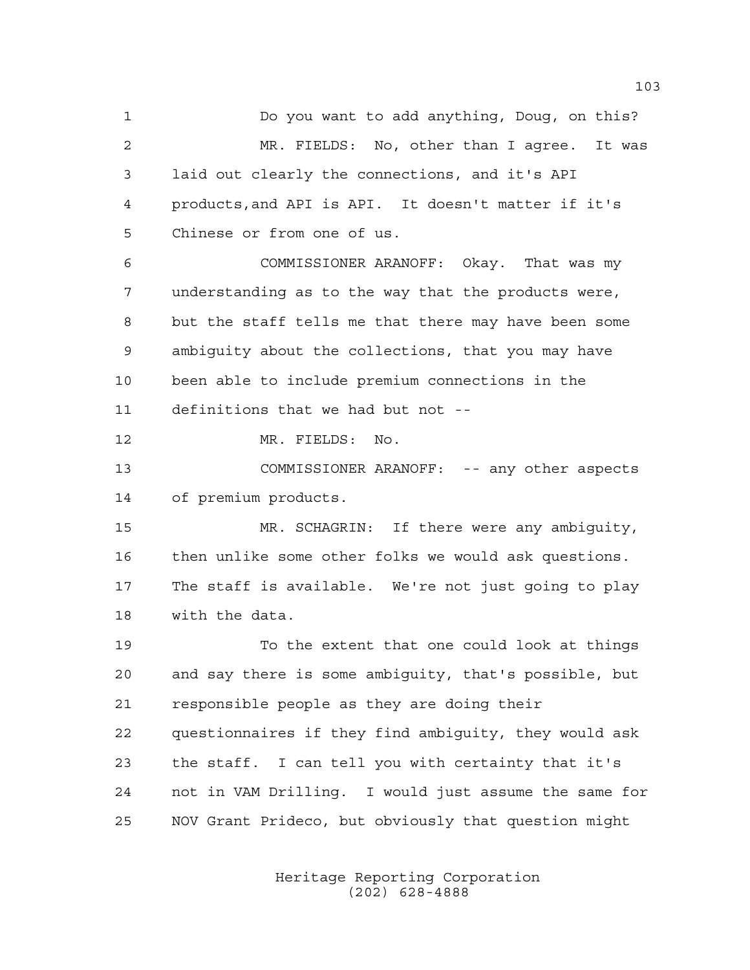Do you want to add anything, Doug, on this? MR. FIELDS: No, other than I agree. It was laid out clearly the connections, and it's API products,and API is API. It doesn't matter if it's Chinese or from one of us. COMMISSIONER ARANOFF: Okay. That was my

 understanding as to the way that the products were, but the staff tells me that there may have been some ambiguity about the collections, that you may have been able to include premium connections in the definitions that we had but not --

MR. FIELDS: No.

 COMMISSIONER ARANOFF: -- any other aspects of premium products.

 MR. SCHAGRIN: If there were any ambiguity, then unlike some other folks we would ask questions. The staff is available. We're not just going to play with the data.

 To the extent that one could look at things and say there is some ambiguity, that's possible, but responsible people as they are doing their questionnaires if they find ambiguity, they would ask the staff. I can tell you with certainty that it's not in VAM Drilling. I would just assume the same for NOV Grant Prideco, but obviously that question might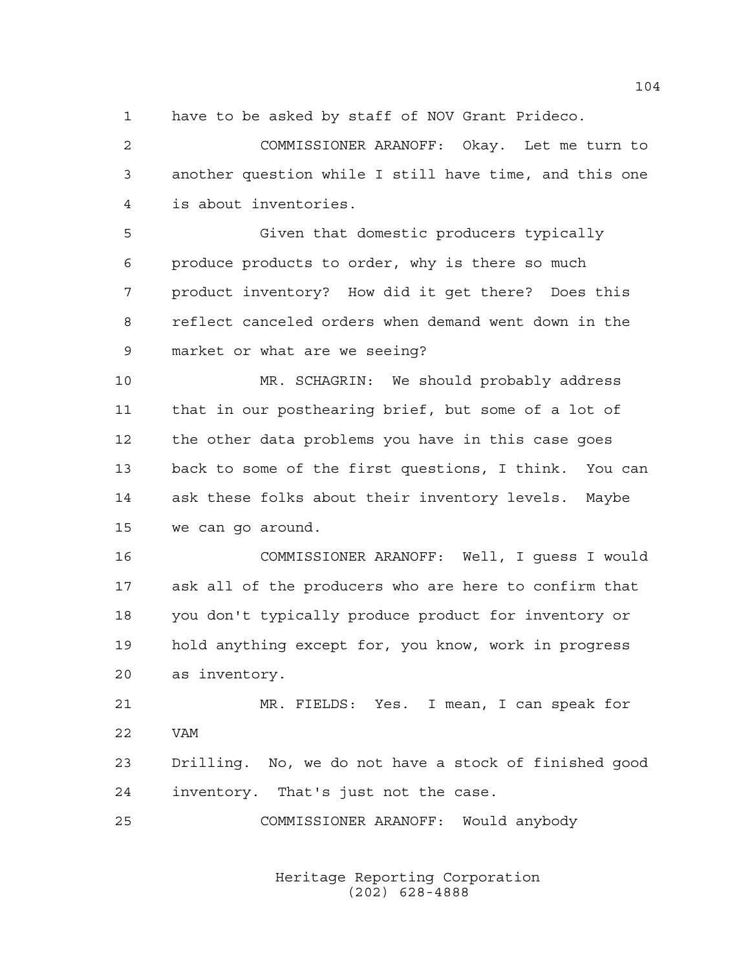have to be asked by staff of NOV Grant Prideco.

 COMMISSIONER ARANOFF: Okay. Let me turn to another question while I still have time, and this one is about inventories.

 Given that domestic producers typically produce products to order, why is there so much product inventory? How did it get there? Does this reflect canceled orders when demand went down in the market or what are we seeing?

 MR. SCHAGRIN: We should probably address that in our posthearing brief, but some of a lot of the other data problems you have in this case goes back to some of the first questions, I think. You can ask these folks about their inventory levels. Maybe we can go around.

 COMMISSIONER ARANOFF: Well, I guess I would ask all of the producers who are here to confirm that you don't typically produce product for inventory or hold anything except for, you know, work in progress as inventory.

 MR. FIELDS: Yes. I mean, I can speak for VAM Drilling. No, we do not have a stock of finished good inventory. That's just not the case.

COMMISSIONER ARANOFF: Would anybody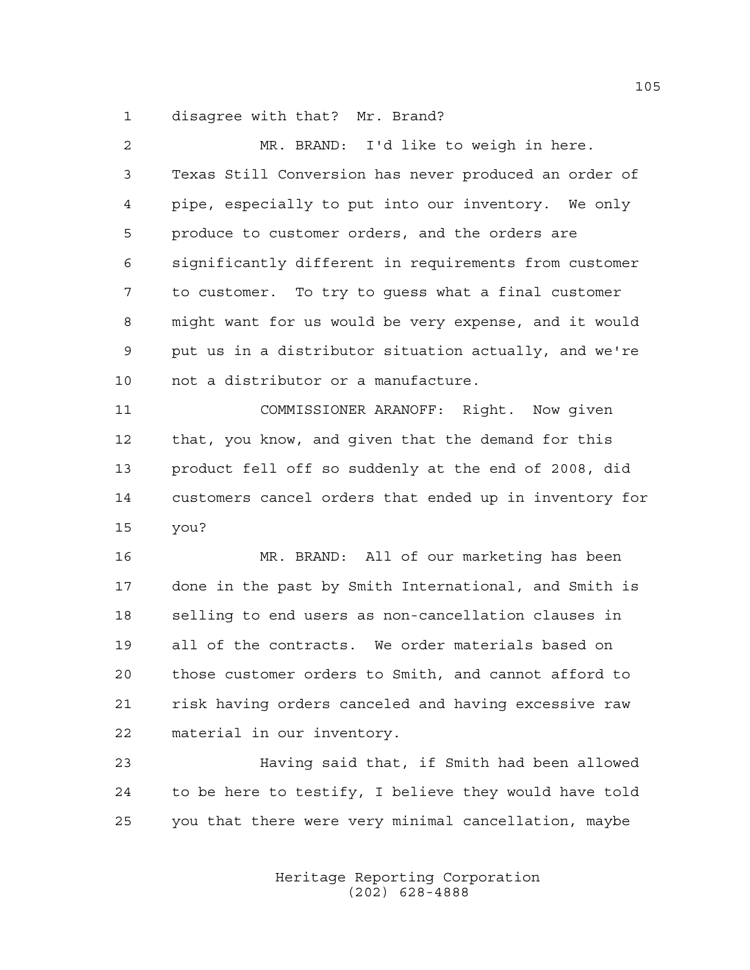disagree with that? Mr. Brand?

| 2  | MR. BRAND: I'd like to weigh in here.                  |
|----|--------------------------------------------------------|
| 3  | Texas Still Conversion has never produced an order of  |
| 4  | pipe, especially to put into our inventory. We only    |
| 5  | produce to customer orders, and the orders are         |
| 6  | significantly different in requirements from customer  |
| 7  | to customer. To try to guess what a final customer     |
| 8  | might want for us would be very expense, and it would  |
| 9  | put us in a distributor situation actually, and we're  |
| 10 | not a distributor or a manufacture.                    |
| 11 | COMMISSIONER ARANOFF: Right. Now given                 |
| 12 | that, you know, and given that the demand for this     |
| 13 | product fell off so suddenly at the end of 2008, did   |
| 14 | customers cancel orders that ended up in inventory for |
| 15 | you?                                                   |
| 16 | MR. BRAND: All of our marketing has been               |
| 17 | done in the past by Smith International, and Smith is  |
| 18 | selling to end users as non-cancellation clauses in    |
| 19 | all of the contracts. We order materials based on      |
| 20 | those customer orders to Smith, and cannot afford to   |
| 21 | risk having orders canceled and having excessive raw   |
| 22 | material in our inventory.                             |
| 23 | Having said that, if Smith had been allowed            |

 to be here to testify, I believe they would have told you that there were very minimal cancellation, maybe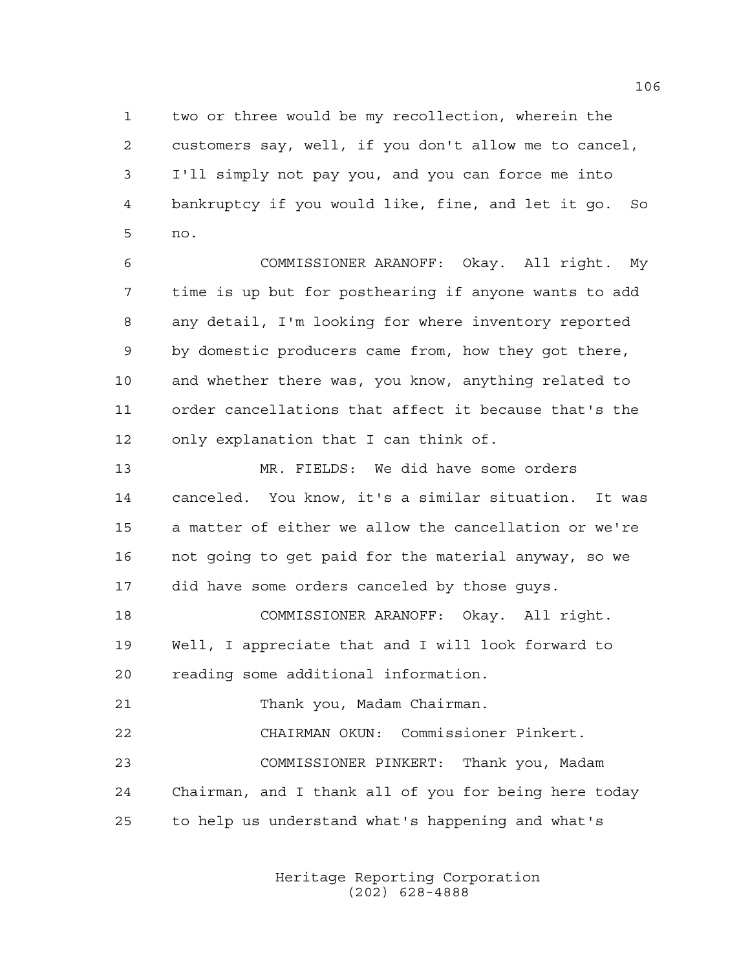two or three would be my recollection, wherein the customers say, well, if you don't allow me to cancel, I'll simply not pay you, and you can force me into bankruptcy if you would like, fine, and let it go. So no.

 COMMISSIONER ARANOFF: Okay. All right. My time is up but for posthearing if anyone wants to add any detail, I'm looking for where inventory reported by domestic producers came from, how they got there, and whether there was, you know, anything related to order cancellations that affect it because that's the only explanation that I can think of.

 MR. FIELDS: We did have some orders canceled. You know, it's a similar situation. It was a matter of either we allow the cancellation or we're not going to get paid for the material anyway, so we did have some orders canceled by those guys.

 COMMISSIONER ARANOFF: Okay. All right. Well, I appreciate that and I will look forward to reading some additional information.

Thank you, Madam Chairman.

 CHAIRMAN OKUN: Commissioner Pinkert. COMMISSIONER PINKERT: Thank you, Madam Chairman, and I thank all of you for being here today to help us understand what's happening and what's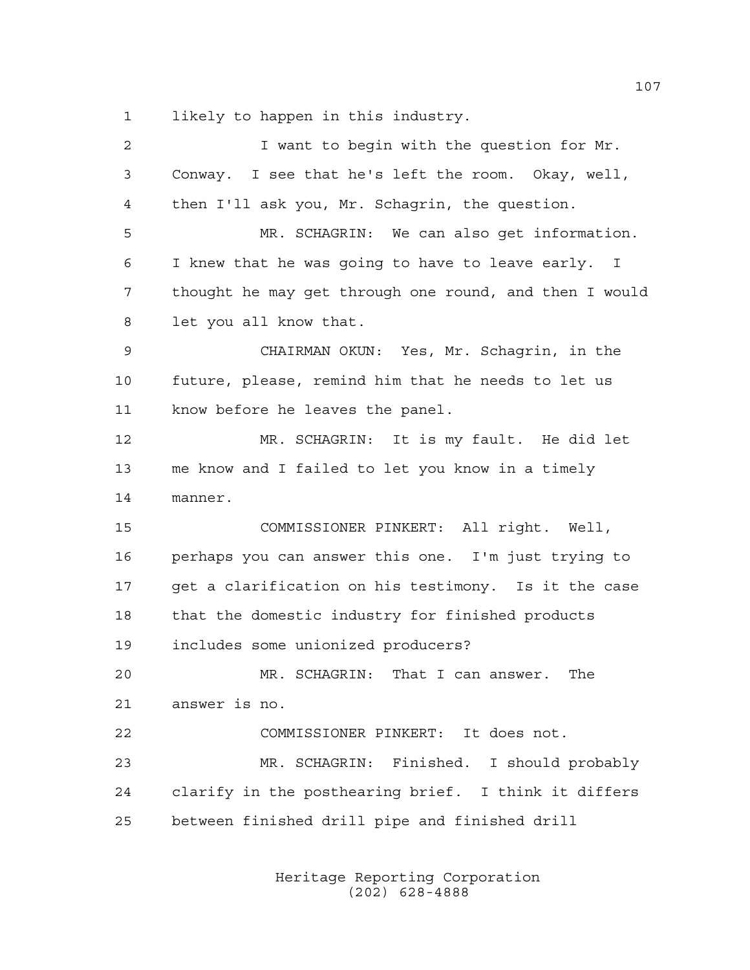likely to happen in this industry.

| I want to begin with the question for Mr.              |
|--------------------------------------------------------|
| Conway. I see that he's left the room. Okay, well,     |
| then I'll ask you, Mr. Schagrin, the question.         |
| MR. SCHAGRIN: We can also get information.             |
| I knew that he was going to have to leave early. I     |
| thought he may get through one round, and then I would |
| let you all know that.                                 |
| CHAIRMAN OKUN: Yes, Mr. Schagrin, in the               |
| future, please, remind him that he needs to let us     |
| know before he leaves the panel.                       |
| MR. SCHAGRIN: It is my fault. He did let               |
| me know and I failed to let you know in a timely       |
| manner.                                                |
| COMMISSIONER PINKERT: All right. Well,                 |
| perhaps you can answer this one. I'm just trying to    |
| get a clarification on his testimony. Is it the case   |
| that the domestic industry for finished products       |
| includes some unionized producers?                     |
| MR. SCHAGRIN: That I can answer.<br>The                |
| answer is no.                                          |
| COMMISSIONER PINKERT: It does not.                     |
| MR. SCHAGRIN: Finished. I should probably              |
| clarify in the posthearing brief. I think it differs   |
|                                                        |
|                                                        |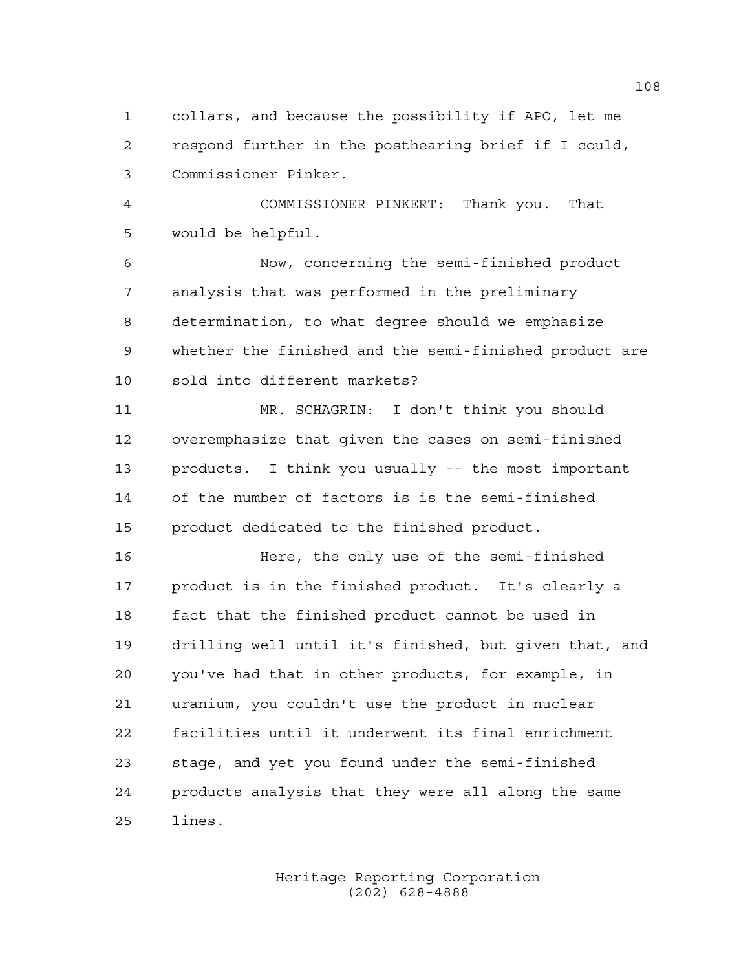collars, and because the possibility if APO, let me respond further in the posthearing brief if I could, Commissioner Pinker.

 COMMISSIONER PINKERT: Thank you. That would be helpful.

 Now, concerning the semi-finished product analysis that was performed in the preliminary determination, to what degree should we emphasize whether the finished and the semi-finished product are sold into different markets?

 MR. SCHAGRIN: I don't think you should overemphasize that given the cases on semi-finished products. I think you usually -- the most important of the number of factors is is the semi-finished product dedicated to the finished product.

 Here, the only use of the semi-finished product is in the finished product. It's clearly a fact that the finished product cannot be used in drilling well until it's finished, but given that, and you've had that in other products, for example, in uranium, you couldn't use the product in nuclear facilities until it underwent its final enrichment stage, and yet you found under the semi-finished products analysis that they were all along the same lines.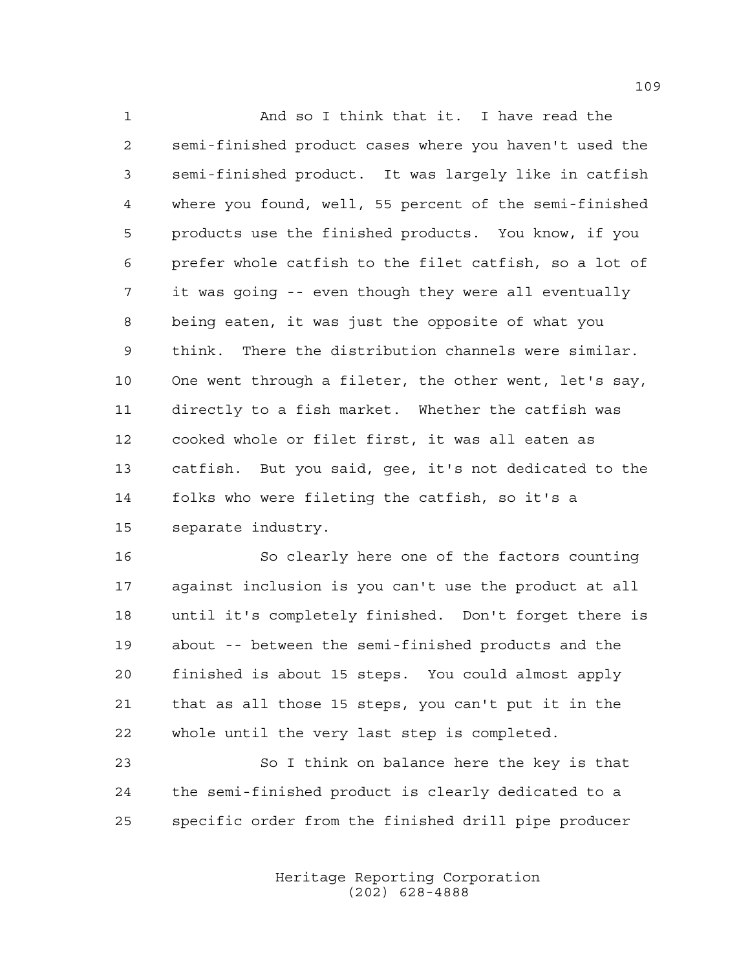And so I think that it. I have read the semi-finished product cases where you haven't used the semi-finished product. It was largely like in catfish where you found, well, 55 percent of the semi-finished products use the finished products. You know, if you prefer whole catfish to the filet catfish, so a lot of it was going -- even though they were all eventually being eaten, it was just the opposite of what you think. There the distribution channels were similar. One went through a fileter, the other went, let's say, directly to a fish market. Whether the catfish was cooked whole or filet first, it was all eaten as catfish. But you said, gee, it's not dedicated to the folks who were fileting the catfish, so it's a separate industry.

 So clearly here one of the factors counting against inclusion is you can't use the product at all until it's completely finished. Don't forget there is about -- between the semi-finished products and the finished is about 15 steps. You could almost apply that as all those 15 steps, you can't put it in the whole until the very last step is completed.

 So I think on balance here the key is that the semi-finished product is clearly dedicated to a specific order from the finished drill pipe producer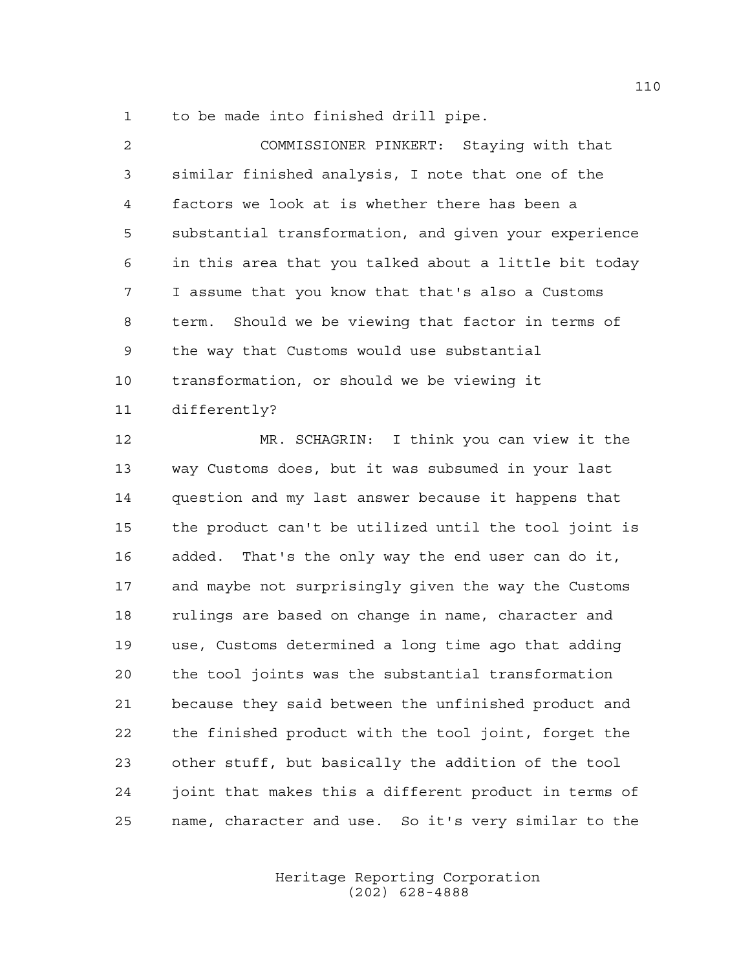to be made into finished drill pipe.

| 2               | COMMISSIONER PINKERT: Staying with that               |
|-----------------|-------------------------------------------------------|
| $\mathfrak{Z}$  | similar finished analysis, I note that one of the     |
| $\overline{4}$  | factors we look at is whether there has been a        |
| 5               | substantial transformation, and given your experience |
| 6               | in this area that you talked about a little bit today |
| 7               | I assume that you know that that's also a Customs     |
| 8               | term. Should we be viewing that factor in terms of    |
| -9              | the way that Customs would use substantial            |
| 10              | transformation, or should we be viewing it            |
| 11 <sub>1</sub> | differently?                                          |
| 12              | MR. SCHAGRIN: I think you can view it the             |

 way Customs does, but it was subsumed in your last question and my last answer because it happens that the product can't be utilized until the tool joint is added. That's the only way the end user can do it, and maybe not surprisingly given the way the Customs rulings are based on change in name, character and use, Customs determined a long time ago that adding the tool joints was the substantial transformation because they said between the unfinished product and the finished product with the tool joint, forget the other stuff, but basically the addition of the tool joint that makes this a different product in terms of name, character and use. So it's very similar to the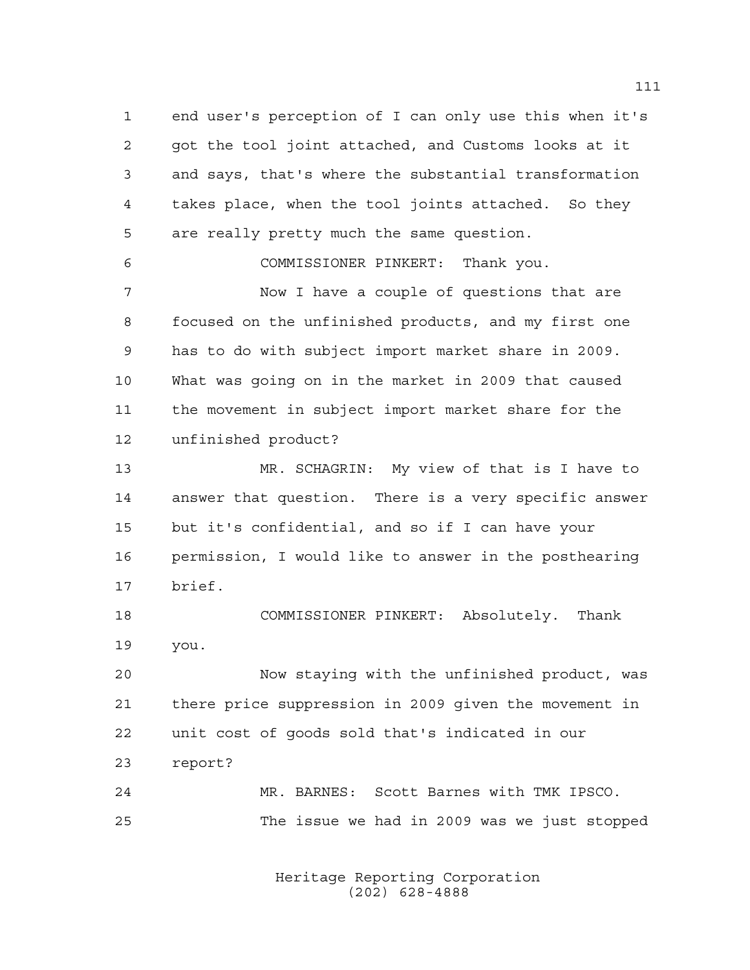end user's perception of I can only use this when it's got the tool joint attached, and Customs looks at it and says, that's where the substantial transformation takes place, when the tool joints attached. So they are really pretty much the same question.

COMMISSIONER PINKERT: Thank you.

 Now I have a couple of questions that are focused on the unfinished products, and my first one has to do with subject import market share in 2009. What was going on in the market in 2009 that caused the movement in subject import market share for the unfinished product?

 MR. SCHAGRIN: My view of that is I have to answer that question. There is a very specific answer but it's confidential, and so if I can have your permission, I would like to answer in the posthearing brief.

 COMMISSIONER PINKERT: Absolutely. Thank you.

 Now staying with the unfinished product, was there price suppression in 2009 given the movement in unit cost of goods sold that's indicated in our report?

 MR. BARNES: Scott Barnes with TMK IPSCO. The issue we had in 2009 was we just stopped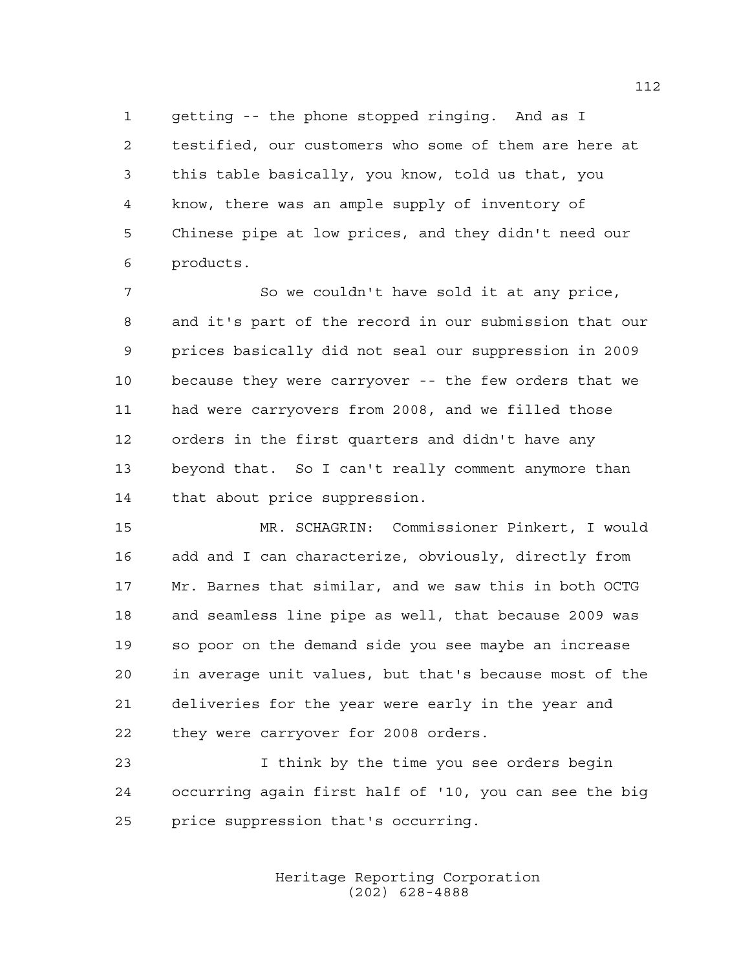getting -- the phone stopped ringing. And as I testified, our customers who some of them are here at this table basically, you know, told us that, you know, there was an ample supply of inventory of Chinese pipe at low prices, and they didn't need our products.

 So we couldn't have sold it at any price, and it's part of the record in our submission that our prices basically did not seal our suppression in 2009 because they were carryover -- the few orders that we had were carryovers from 2008, and we filled those orders in the first quarters and didn't have any beyond that. So I can't really comment anymore than that about price suppression.

 MR. SCHAGRIN: Commissioner Pinkert, I would add and I can characterize, obviously, directly from Mr. Barnes that similar, and we saw this in both OCTG and seamless line pipe as well, that because 2009 was so poor on the demand side you see maybe an increase in average unit values, but that's because most of the deliveries for the year were early in the year and they were carryover for 2008 orders.

 I think by the time you see orders begin occurring again first half of '10, you can see the big price suppression that's occurring.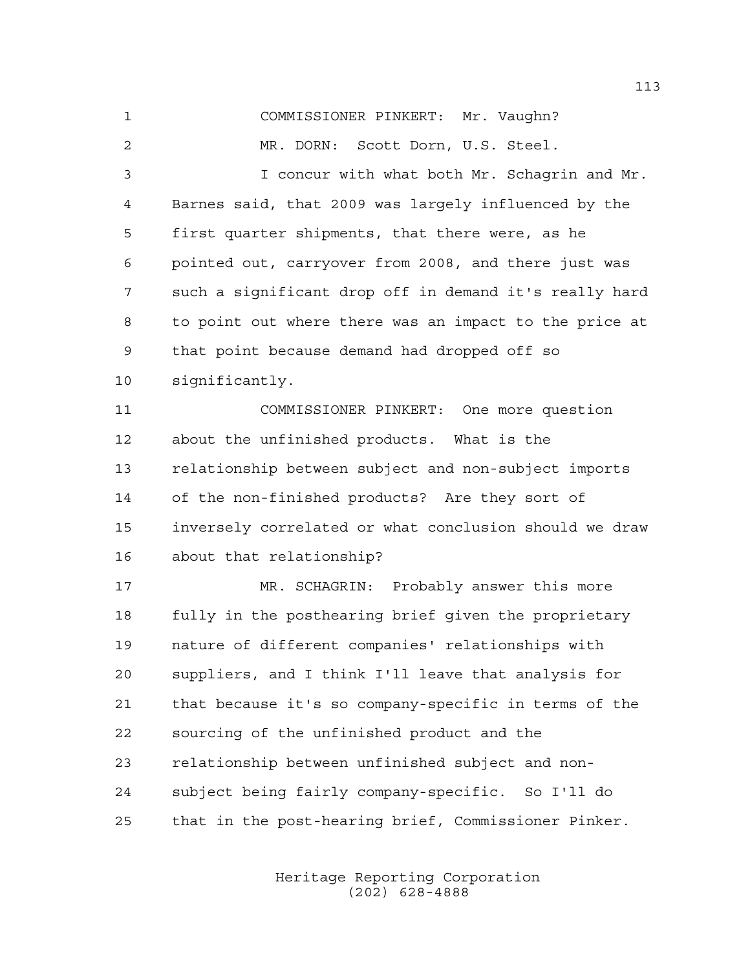COMMISSIONER PINKERT: Mr. Vaughn? MR. DORN: Scott Dorn, U.S. Steel. I concur with what both Mr. Schagrin and Mr. Barnes said, that 2009 was largely influenced by the first quarter shipments, that there were, as he pointed out, carryover from 2008, and there just was such a significant drop off in demand it's really hard to point out where there was an impact to the price at that point because demand had dropped off so significantly. COMMISSIONER PINKERT: One more question about the unfinished products. What is the relationship between subject and non-subject imports of the non-finished products? Are they sort of inversely correlated or what conclusion should we draw about that relationship? MR. SCHAGRIN: Probably answer this more fully in the posthearing brief given the proprietary nature of different companies' relationships with suppliers, and I think I'll leave that analysis for that because it's so company-specific in terms of the sourcing of the unfinished product and the relationship between unfinished subject and non-subject being fairly company-specific. So I'll do

that in the post-hearing brief, Commissioner Pinker.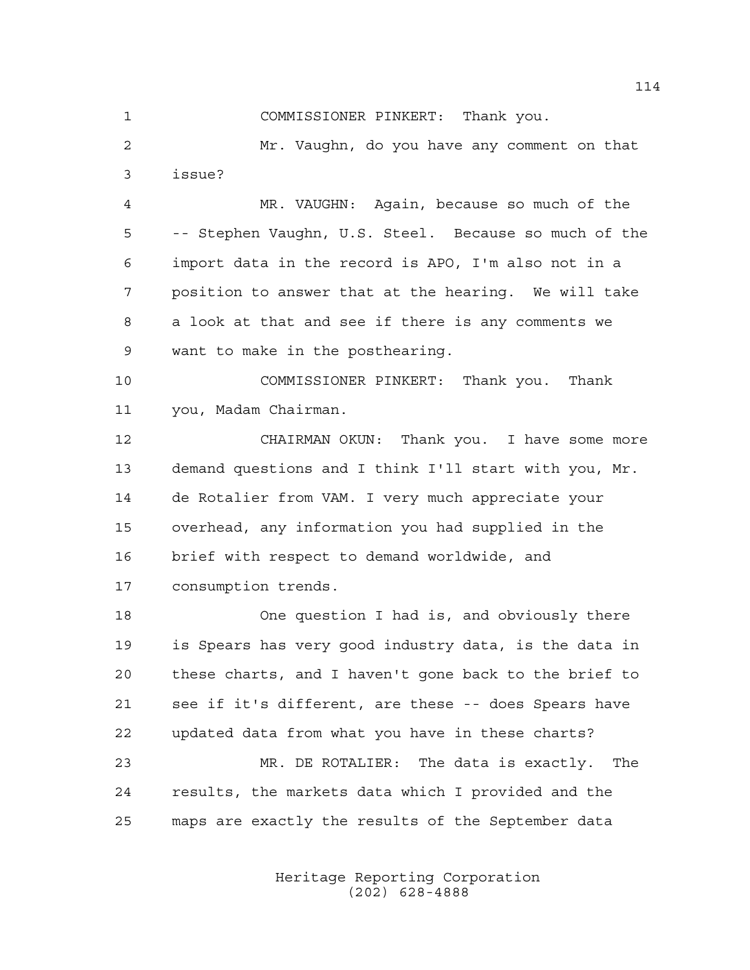COMMISSIONER PINKERT: Thank you.

 Mr. Vaughn, do you have any comment on that issue?

 MR. VAUGHN: Again, because so much of the -- Stephen Vaughn, U.S. Steel. Because so much of the import data in the record is APO, I'm also not in a position to answer that at the hearing. We will take a look at that and see if there is any comments we want to make in the posthearing.

 COMMISSIONER PINKERT: Thank you. Thank you, Madam Chairman.

 CHAIRMAN OKUN: Thank you. I have some more demand questions and I think I'll start with you, Mr. de Rotalier from VAM. I very much appreciate your overhead, any information you had supplied in the brief with respect to demand worldwide, and consumption trends.

 One question I had is, and obviously there is Spears has very good industry data, is the data in these charts, and I haven't gone back to the brief to see if it's different, are these -- does Spears have updated data from what you have in these charts? MR. DE ROTALIER: The data is exactly. The results, the markets data which I provided and the maps are exactly the results of the September data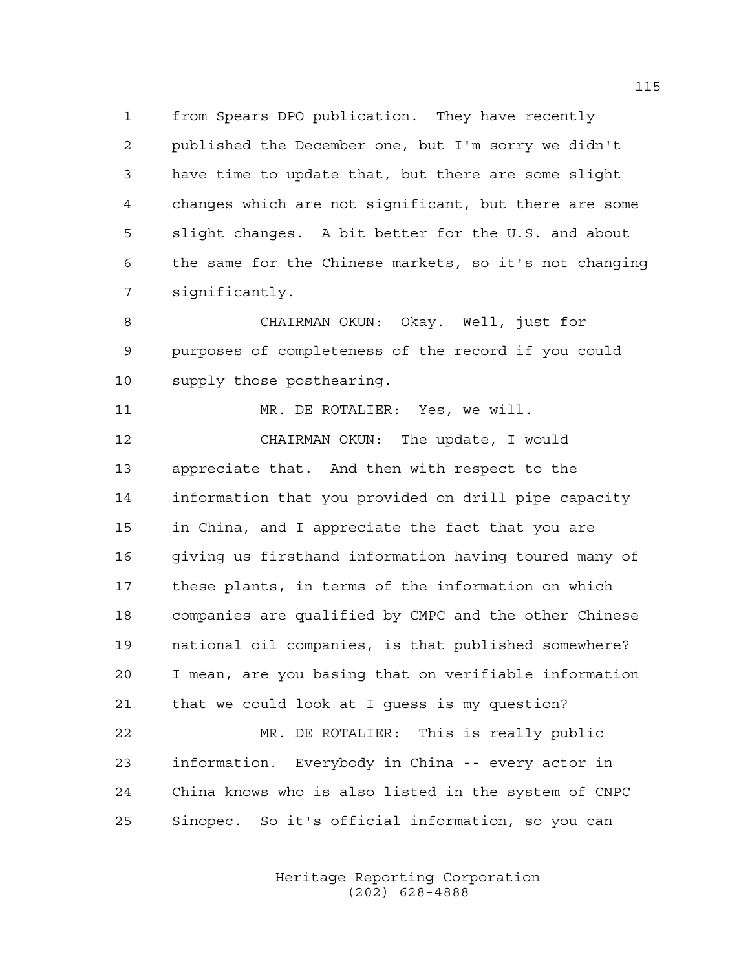from Spears DPO publication. They have recently published the December one, but I'm sorry we didn't have time to update that, but there are some slight changes which are not significant, but there are some slight changes. A bit better for the U.S. and about the same for the Chinese markets, so it's not changing significantly.

 CHAIRMAN OKUN: Okay. Well, just for purposes of completeness of the record if you could supply those posthearing.

 MR. DE ROTALIER: Yes, we will. CHAIRMAN OKUN: The update, I would appreciate that. And then with respect to the information that you provided on drill pipe capacity in China, and I appreciate the fact that you are giving us firsthand information having toured many of these plants, in terms of the information on which companies are qualified by CMPC and the other Chinese national oil companies, is that published somewhere? I mean, are you basing that on verifiable information that we could look at I guess is my question? MR. DE ROTALIER: This is really public information. Everybody in China -- every actor in China knows who is also listed in the system of CNPC Sinopec. So it's official information, so you can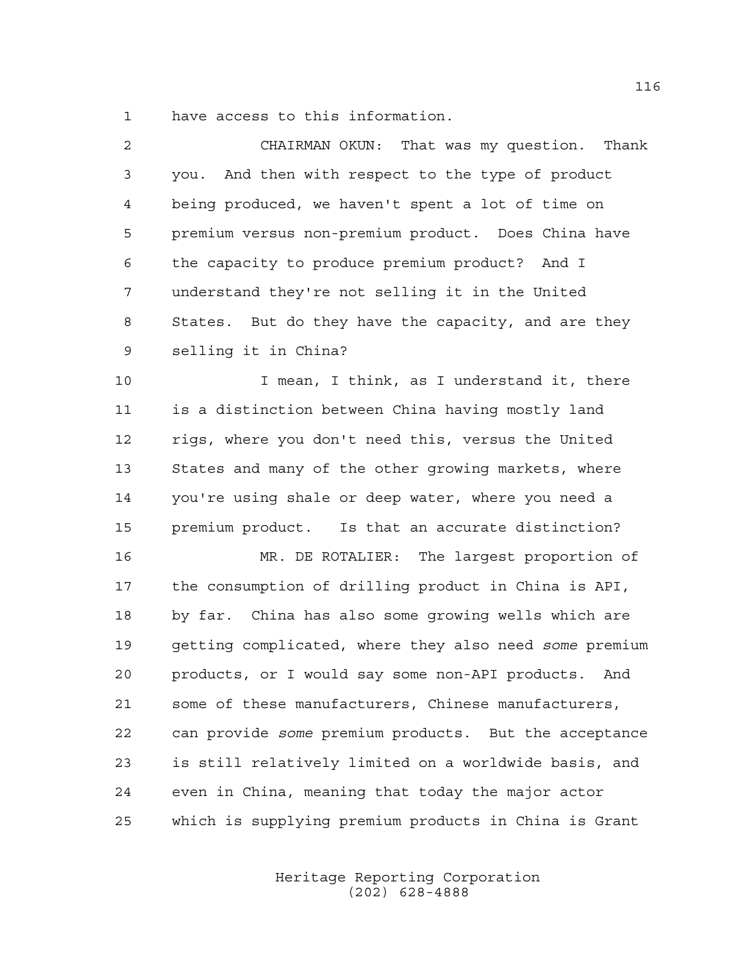have access to this information.

| $\overline{a}$ | CHAIRMAN OKUN: That was my question. Thank             |
|----------------|--------------------------------------------------------|
| 3              | you. And then with respect to the type of product      |
| 4              | being produced, we haven't spent a lot of time on      |
| 5              | premium versus non-premium product. Does China have    |
| 6              | the capacity to produce premium product? And I         |
| 7              | understand they're not selling it in the United        |
| 8              | States. But do they have the capacity, and are they    |
| $\mathsf 9$    | selling it in China?                                   |
| 10             | I mean, I think, as I understand it, there             |
| 11             | is a distinction between China having mostly land      |
| 12             | rigs, where you don't need this, versus the United     |
| 13             | States and many of the other growing markets, where    |
| 14             | you're using shale or deep water, where you need a     |
| 15             | premium product. Is that an accurate distinction?      |
| 16             | MR. DE ROTALIER: The largest proportion of             |
| 17             | the consumption of drilling product in China is API,   |
| 18             | by far. China has also some growing wells which are    |
| 19             | getting complicated, where they also need some premium |
| 20             | products, or I would say some non-API products.<br>And |
| 21             | some of these manufacturers, Chinese manufacturers,    |
| 22             | can provide some premium products. But the acceptance  |
| 23             | is still relatively limited on a worldwide basis, and  |
|                |                                                        |

which is supplying premium products in China is Grant

even in China, meaning that today the major actor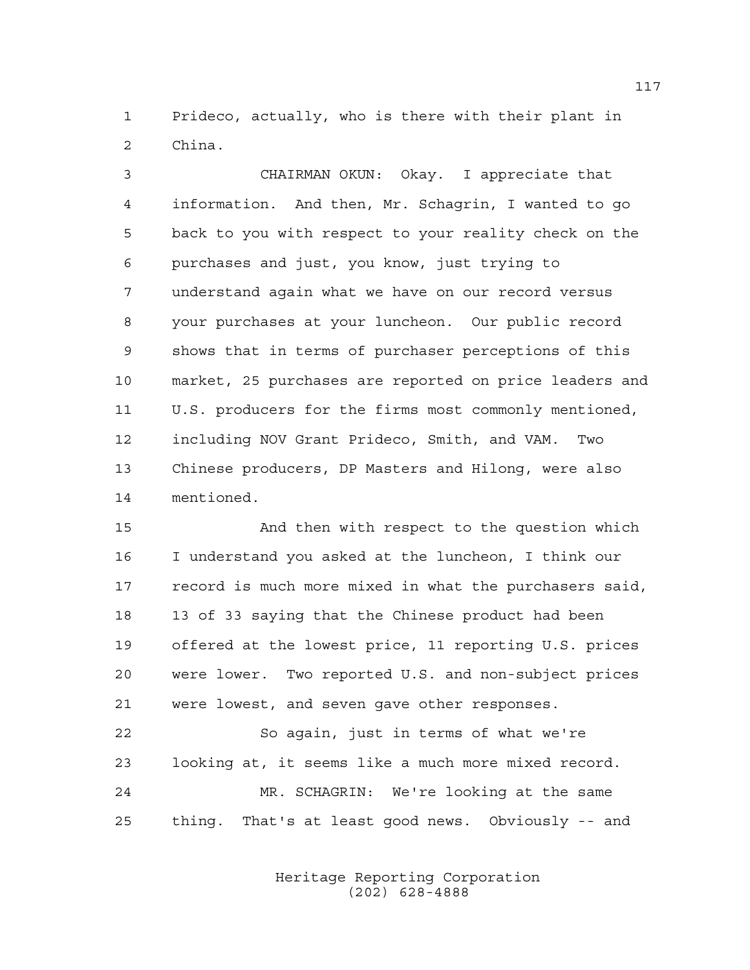Prideco, actually, who is there with their plant in China.

 CHAIRMAN OKUN: Okay. I appreciate that information. And then, Mr. Schagrin, I wanted to go back to you with respect to your reality check on the purchases and just, you know, just trying to understand again what we have on our record versus your purchases at your luncheon. Our public record shows that in terms of purchaser perceptions of this market, 25 purchases are reported on price leaders and U.S. producers for the firms most commonly mentioned, including NOV Grant Prideco, Smith, and VAM. Two Chinese producers, DP Masters and Hilong, were also mentioned.

 And then with respect to the question which I understand you asked at the luncheon, I think our record is much more mixed in what the purchasers said, 13 of 33 saying that the Chinese product had been offered at the lowest price, 11 reporting U.S. prices were lower. Two reported U.S. and non-subject prices were lowest, and seven gave other responses.

 So again, just in terms of what we're looking at, it seems like a much more mixed record. MR. SCHAGRIN: We're looking at the same thing. That's at least good news. Obviously -- and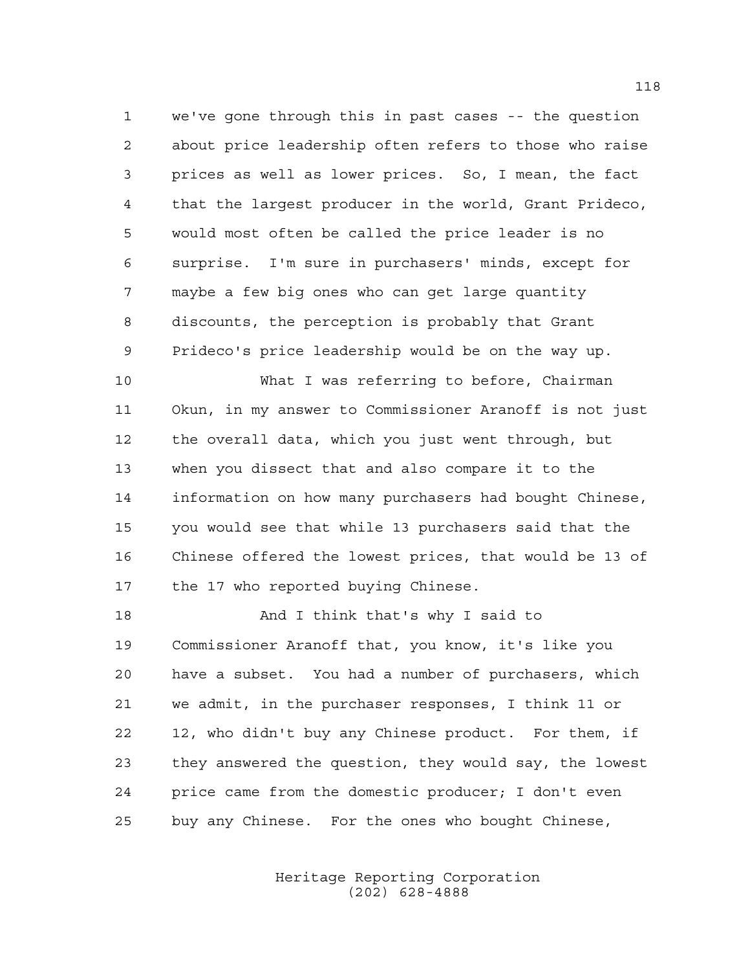we've gone through this in past cases -- the question about price leadership often refers to those who raise prices as well as lower prices. So, I mean, the fact that the largest producer in the world, Grant Prideco, would most often be called the price leader is no surprise. I'm sure in purchasers' minds, except for maybe a few big ones who can get large quantity discounts, the perception is probably that Grant Prideco's price leadership would be on the way up.

 What I was referring to before, Chairman Okun, in my answer to Commissioner Aranoff is not just the overall data, which you just went through, but when you dissect that and also compare it to the information on how many purchasers had bought Chinese, you would see that while 13 purchasers said that the Chinese offered the lowest prices, that would be 13 of 17 the 17 who reported buying Chinese.

 And I think that's why I said to Commissioner Aranoff that, you know, it's like you have a subset. You had a number of purchasers, which we admit, in the purchaser responses, I think 11 or 12, who didn't buy any Chinese product. For them, if they answered the question, they would say, the lowest price came from the domestic producer; I don't even buy any Chinese. For the ones who bought Chinese,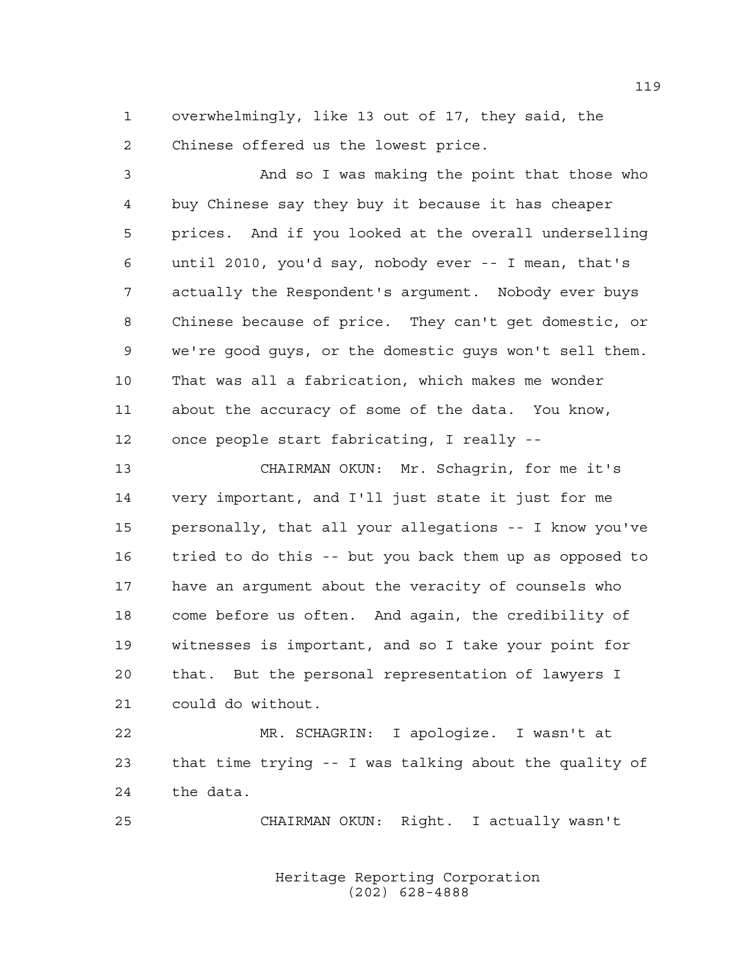overwhelmingly, like 13 out of 17, they said, the Chinese offered us the lowest price.

 And so I was making the point that those who buy Chinese say they buy it because it has cheaper prices. And if you looked at the overall underselling until 2010, you'd say, nobody ever -- I mean, that's actually the Respondent's argument. Nobody ever buys Chinese because of price. They can't get domestic, or we're good guys, or the domestic guys won't sell them. That was all a fabrication, which makes me wonder about the accuracy of some of the data. You know, once people start fabricating, I really --

 CHAIRMAN OKUN: Mr. Schagrin, for me it's very important, and I'll just state it just for me personally, that all your allegations -- I know you've tried to do this -- but you back them up as opposed to have an argument about the veracity of counsels who come before us often. And again, the credibility of witnesses is important, and so I take your point for that. But the personal representation of lawyers I could do without.

 MR. SCHAGRIN: I apologize. I wasn't at that time trying -- I was talking about the quality of the data.

CHAIRMAN OKUN: Right. I actually wasn't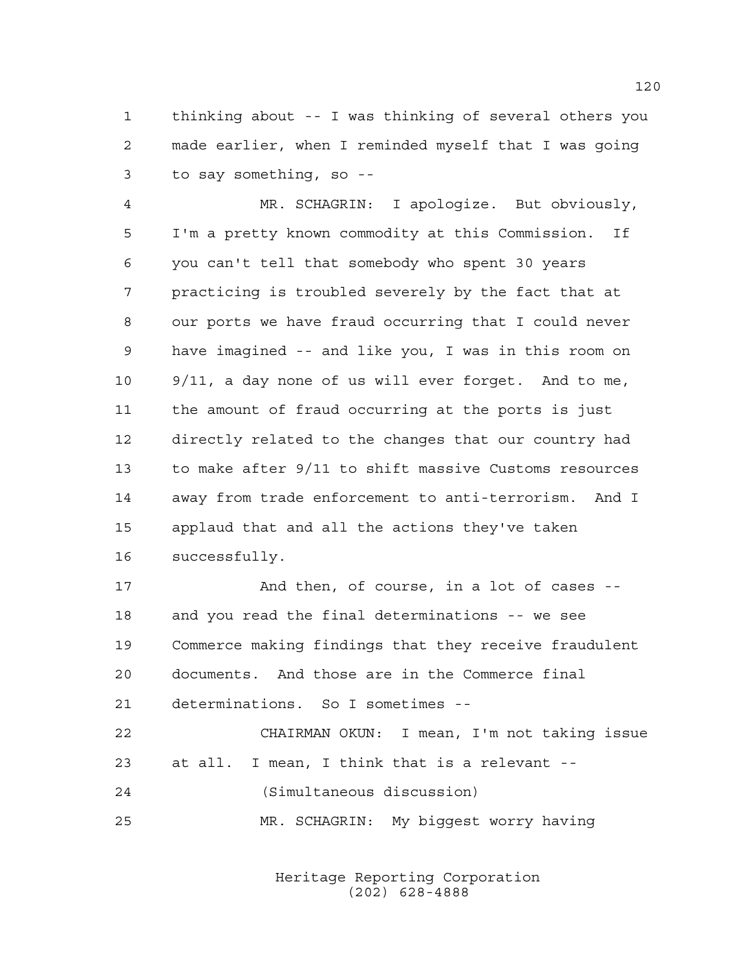thinking about -- I was thinking of several others you made earlier, when I reminded myself that I was going to say something, so --

 MR. SCHAGRIN: I apologize. But obviously, I'm a pretty known commodity at this Commission. If you can't tell that somebody who spent 30 years practicing is troubled severely by the fact that at our ports we have fraud occurring that I could never have imagined -- and like you, I was in this room on 9/11, a day none of us will ever forget. And to me, the amount of fraud occurring at the ports is just directly related to the changes that our country had to make after 9/11 to shift massive Customs resources away from trade enforcement to anti-terrorism. And I applaud that and all the actions they've taken successfully.

 And then, of course, in a lot of cases -- and you read the final determinations -- we see Commerce making findings that they receive fraudulent documents. And those are in the Commerce final determinations. So I sometimes --

 CHAIRMAN OKUN: I mean, I'm not taking issue at all. I mean, I think that is a relevant -- (Simultaneous discussion) MR. SCHAGRIN: My biggest worry having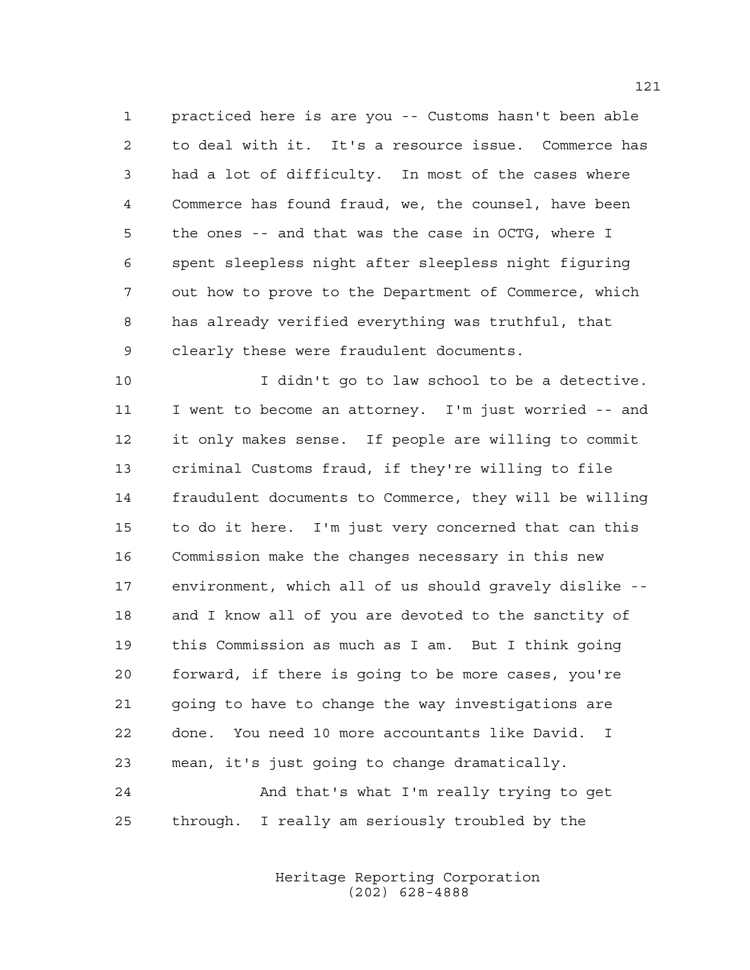practiced here is are you -- Customs hasn't been able to deal with it. It's a resource issue. Commerce has had a lot of difficulty. In most of the cases where Commerce has found fraud, we, the counsel, have been the ones -- and that was the case in OCTG, where I spent sleepless night after sleepless night figuring out how to prove to the Department of Commerce, which has already verified everything was truthful, that clearly these were fraudulent documents.

 I didn't go to law school to be a detective. I went to become an attorney. I'm just worried -- and it only makes sense. If people are willing to commit criminal Customs fraud, if they're willing to file fraudulent documents to Commerce, they will be willing to do it here. I'm just very concerned that can this Commission make the changes necessary in this new environment, which all of us should gravely dislike -- and I know all of you are devoted to the sanctity of this Commission as much as I am. But I think going forward, if there is going to be more cases, you're going to have to change the way investigations are done. You need 10 more accountants like David. I mean, it's just going to change dramatically. And that's what I'm really trying to get

> Heritage Reporting Corporation (202) 628-4888

through. I really am seriously troubled by the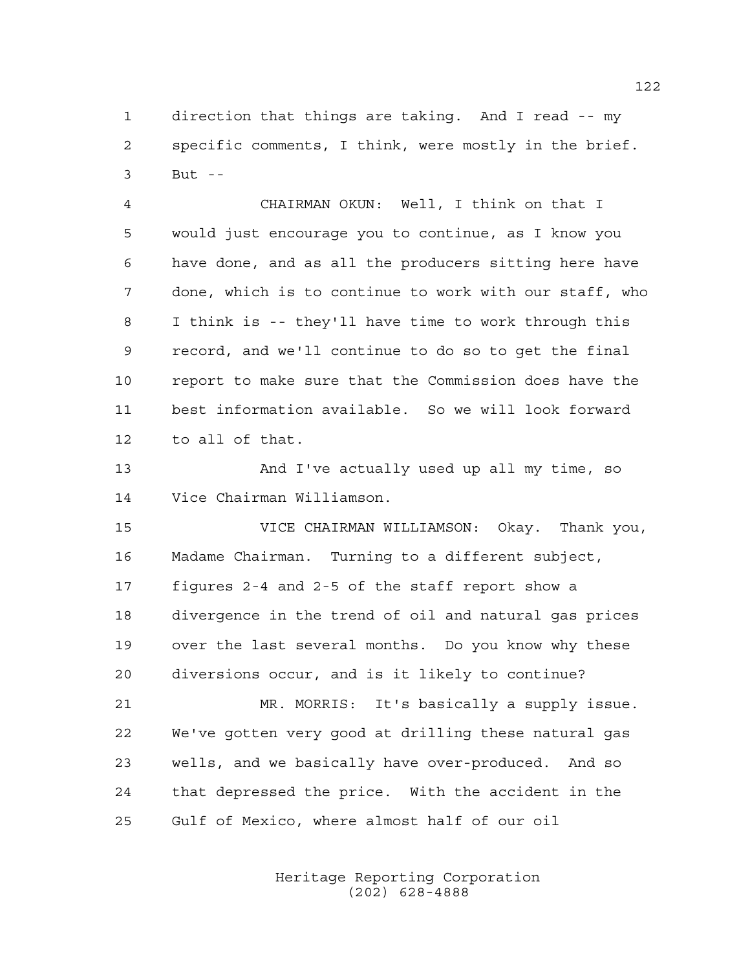direction that things are taking. And I read -- my specific comments, I think, were mostly in the brief. But --

 CHAIRMAN OKUN: Well, I think on that I would just encourage you to continue, as I know you have done, and as all the producers sitting here have done, which is to continue to work with our staff, who I think is -- they'll have time to work through this record, and we'll continue to do so to get the final report to make sure that the Commission does have the best information available. So we will look forward to all of that.

 And I've actually used up all my time, so Vice Chairman Williamson.

 VICE CHAIRMAN WILLIAMSON: Okay. Thank you, Madame Chairman. Turning to a different subject, figures 2-4 and 2-5 of the staff report show a divergence in the trend of oil and natural gas prices over the last several months. Do you know why these diversions occur, and is it likely to continue?

 MR. MORRIS: It's basically a supply issue. We've gotten very good at drilling these natural gas wells, and we basically have over-produced. And so that depressed the price. With the accident in the Gulf of Mexico, where almost half of our oil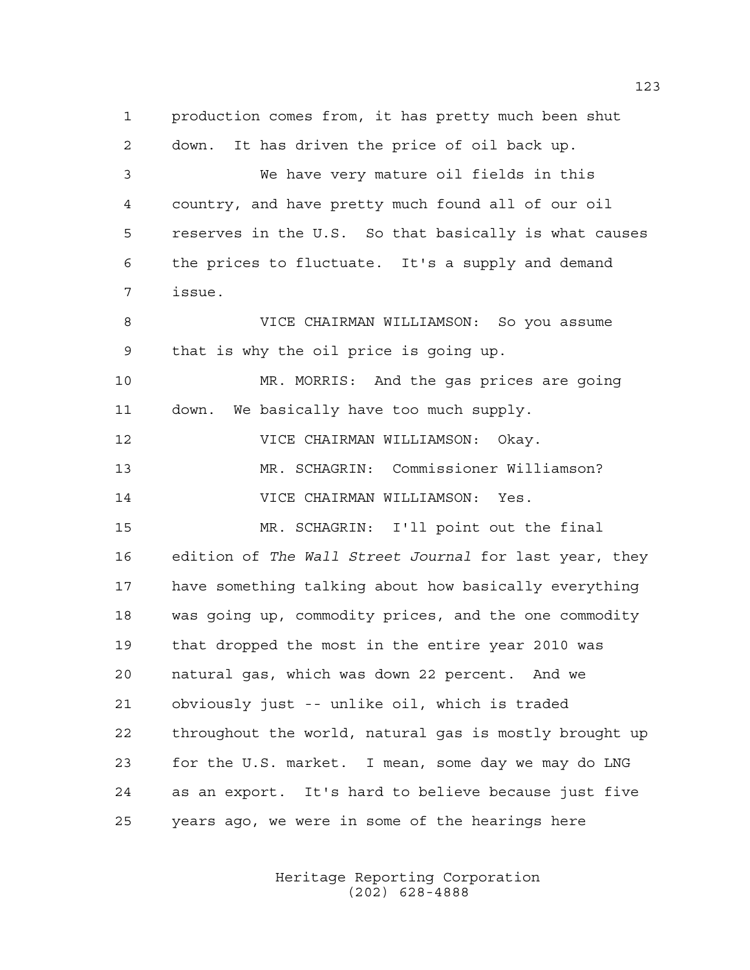production comes from, it has pretty much been shut down. It has driven the price of oil back up. We have very mature oil fields in this country, and have pretty much found all of our oil reserves in the U.S. So that basically is what causes the prices to fluctuate. It's a supply and demand issue. VICE CHAIRMAN WILLIAMSON: So you assume that is why the oil price is going up. MR. MORRIS: And the gas prices are going down. We basically have too much supply. VICE CHAIRMAN WILLIAMSON: Okay. MR. SCHAGRIN: Commissioner Williamson? VICE CHAIRMAN WILLIAMSON: Yes. MR. SCHAGRIN: I'll point out the final edition of *The Wall Street Journal* for last year, they have something talking about how basically everything was going up, commodity prices, and the one commodity that dropped the most in the entire year 2010 was natural gas, which was down 22 percent. And we obviously just -- unlike oil, which is traded throughout the world, natural gas is mostly brought up for the U.S. market. I mean, some day we may do LNG as an export. It's hard to believe because just five years ago, we were in some of the hearings here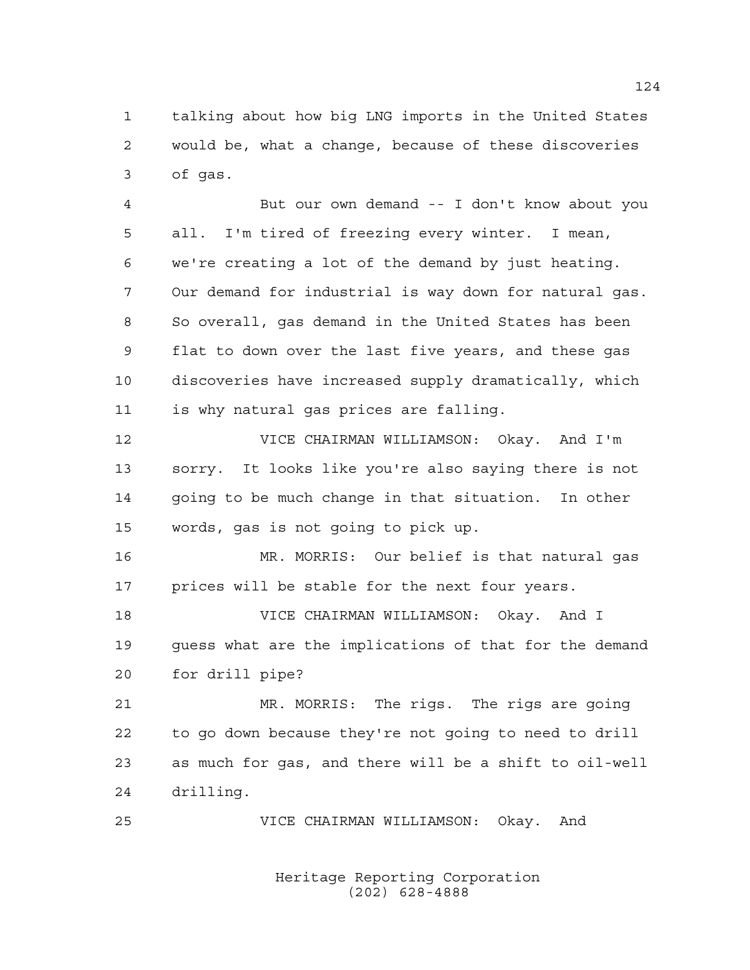talking about how big LNG imports in the United States would be, what a change, because of these discoveries of gas.

 But our own demand -- I don't know about you all. I'm tired of freezing every winter. I mean, we're creating a lot of the demand by just heating. Our demand for industrial is way down for natural gas. So overall, gas demand in the United States has been flat to down over the last five years, and these gas discoveries have increased supply dramatically, which is why natural gas prices are falling.

 VICE CHAIRMAN WILLIAMSON: Okay. And I'm sorry. It looks like you're also saying there is not going to be much change in that situation. In other words, gas is not going to pick up.

 MR. MORRIS: Our belief is that natural gas 17 prices will be stable for the next four years.

 VICE CHAIRMAN WILLIAMSON: Okay. And I guess what are the implications of that for the demand for drill pipe?

 MR. MORRIS: The rigs. The rigs are going to go down because they're not going to need to drill as much for gas, and there will be a shift to oil-well drilling.

VICE CHAIRMAN WILLIAMSON: Okay. And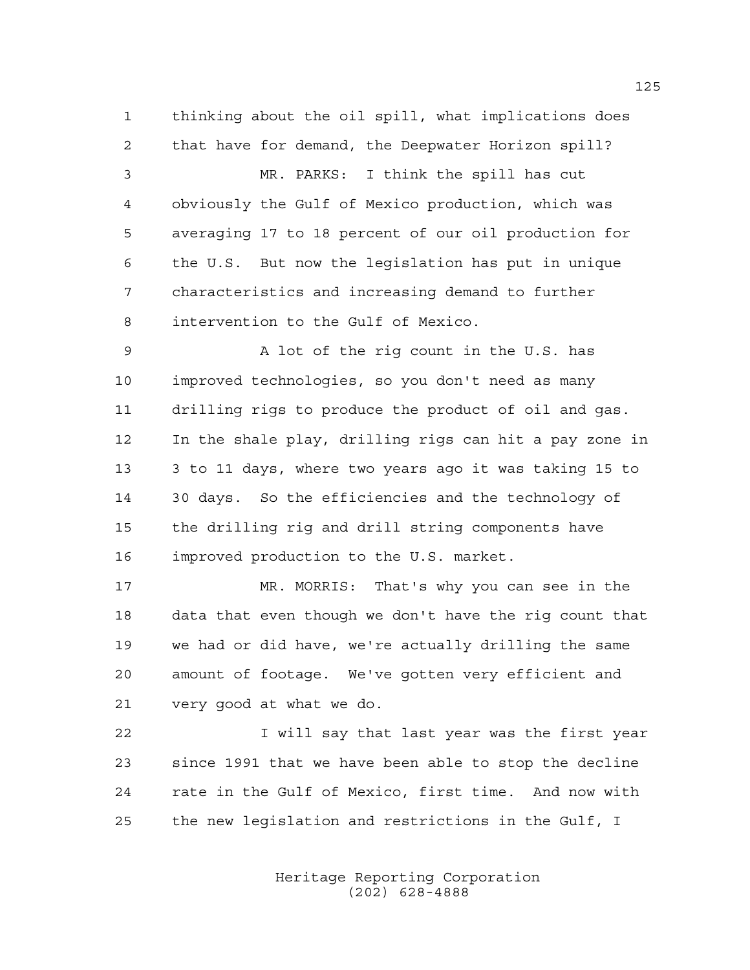thinking about the oil spill, what implications does that have for demand, the Deepwater Horizon spill?

 MR. PARKS: I think the spill has cut obviously the Gulf of Mexico production, which was averaging 17 to 18 percent of our oil production for the U.S. But now the legislation has put in unique characteristics and increasing demand to further intervention to the Gulf of Mexico.

 A lot of the rig count in the U.S. has improved technologies, so you don't need as many drilling rigs to produce the product of oil and gas. In the shale play, drilling rigs can hit a pay zone in 3 to 11 days, where two years ago it was taking 15 to 30 days. So the efficiencies and the technology of the drilling rig and drill string components have improved production to the U.S. market.

 MR. MORRIS: That's why you can see in the data that even though we don't have the rig count that we had or did have, we're actually drilling the same amount of footage. We've gotten very efficient and very good at what we do.

 I will say that last year was the first year since 1991 that we have been able to stop the decline rate in the Gulf of Mexico, first time. And now with the new legislation and restrictions in the Gulf, I

> Heritage Reporting Corporation (202) 628-4888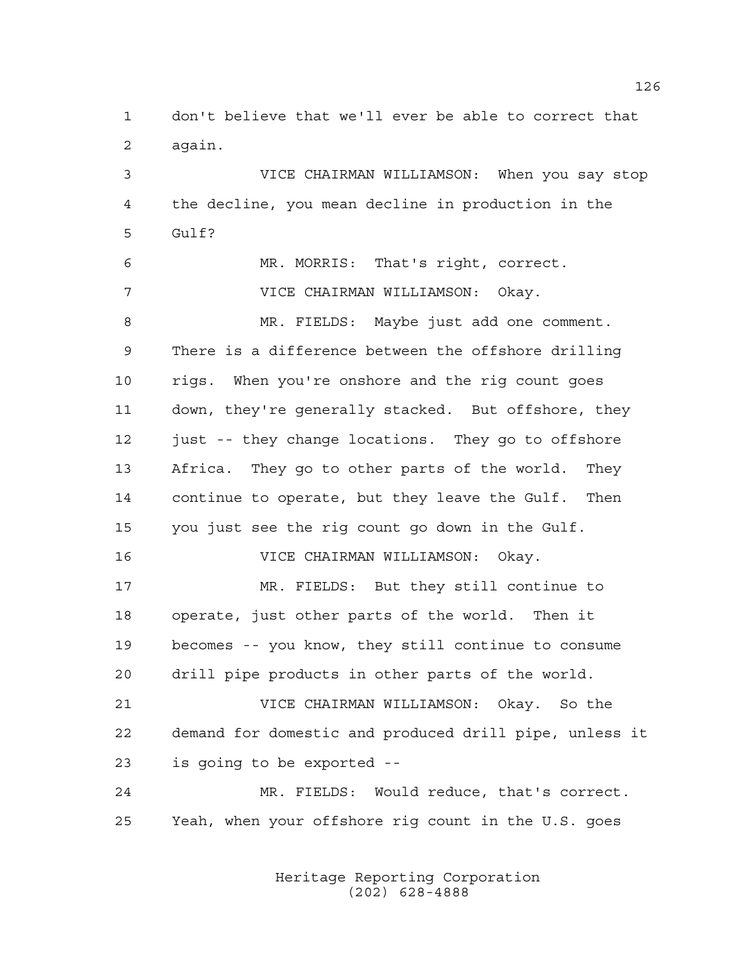don't believe that we'll ever be able to correct that again.

 VICE CHAIRMAN WILLIAMSON: When you say stop the decline, you mean decline in production in the Gulf? MR. MORRIS: That's right, correct. VICE CHAIRMAN WILLIAMSON: Okay. MR. FIELDS: Maybe just add one comment. There is a difference between the offshore drilling rigs. When you're onshore and the rig count goes down, they're generally stacked. But offshore, they 12 just -- they change locations. They go to offshore Africa. They go to other parts of the world. They continue to operate, but they leave the Gulf. Then you just see the rig count go down in the Gulf. VICE CHAIRMAN WILLIAMSON: Okay. MR. FIELDS: But they still continue to operate, just other parts of the world. Then it becomes -- you know, they still continue to consume drill pipe products in other parts of the world. VICE CHAIRMAN WILLIAMSON: Okay. So the demand for domestic and produced drill pipe, unless it is going to be exported -- MR. FIELDS: Would reduce, that's correct. Yeah, when your offshore rig count in the U.S. goes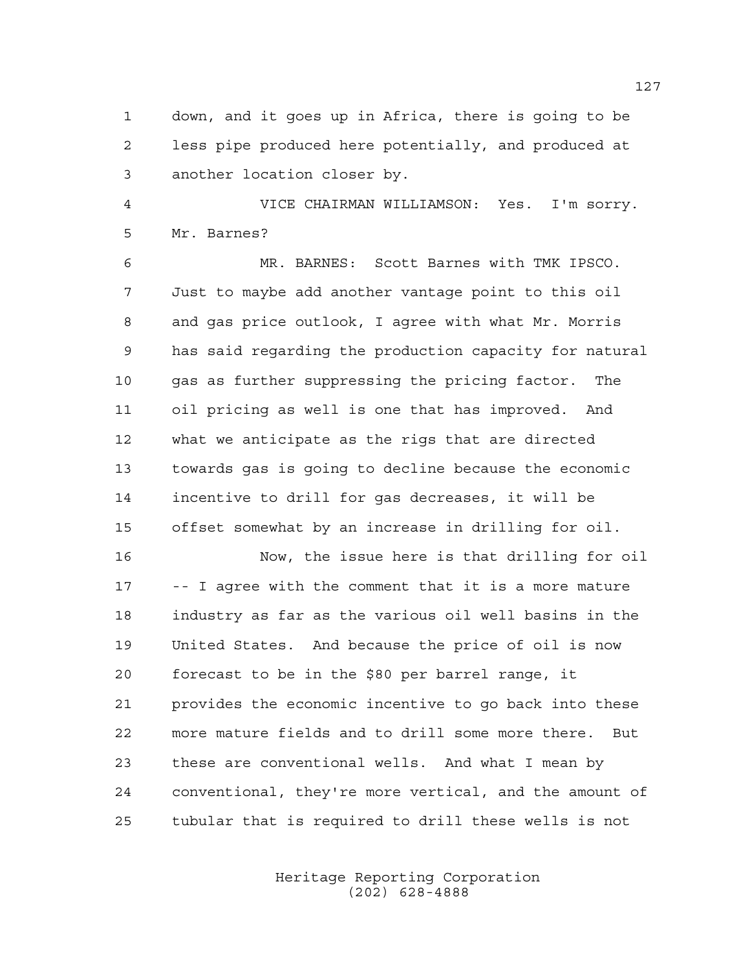down, and it goes up in Africa, there is going to be less pipe produced here potentially, and produced at another location closer by.

 VICE CHAIRMAN WILLIAMSON: Yes. I'm sorry. Mr. Barnes?

 MR. BARNES: Scott Barnes with TMK IPSCO. Just to maybe add another vantage point to this oil and gas price outlook, I agree with what Mr. Morris has said regarding the production capacity for natural gas as further suppressing the pricing factor. The oil pricing as well is one that has improved. And what we anticipate as the rigs that are directed towards gas is going to decline because the economic incentive to drill for gas decreases, it will be offset somewhat by an increase in drilling for oil.

 Now, the issue here is that drilling for oil -- I agree with the comment that it is a more mature industry as far as the various oil well basins in the United States. And because the price of oil is now forecast to be in the \$80 per barrel range, it provides the economic incentive to go back into these more mature fields and to drill some more there. But these are conventional wells. And what I mean by conventional, they're more vertical, and the amount of tubular that is required to drill these wells is not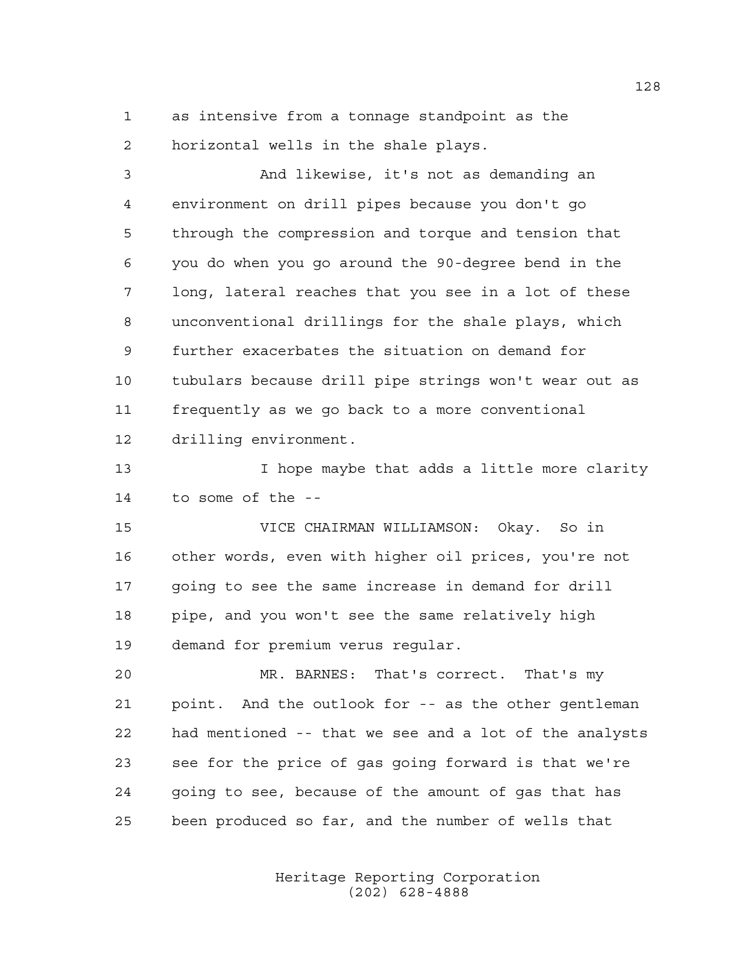as intensive from a tonnage standpoint as the horizontal wells in the shale plays.

 And likewise, it's not as demanding an environment on drill pipes because you don't go through the compression and torque and tension that you do when you go around the 90-degree bend in the long, lateral reaches that you see in a lot of these unconventional drillings for the shale plays, which further exacerbates the situation on demand for tubulars because drill pipe strings won't wear out as frequently as we go back to a more conventional drilling environment.

 I hope maybe that adds a little more clarity to some of the --

 VICE CHAIRMAN WILLIAMSON: Okay. So in other words, even with higher oil prices, you're not going to see the same increase in demand for drill pipe, and you won't see the same relatively high demand for premium verus regular.

 MR. BARNES: That's correct. That's my point. And the outlook for -- as the other gentleman had mentioned -- that we see and a lot of the analysts see for the price of gas going forward is that we're going to see, because of the amount of gas that has been produced so far, and the number of wells that

> Heritage Reporting Corporation (202) 628-4888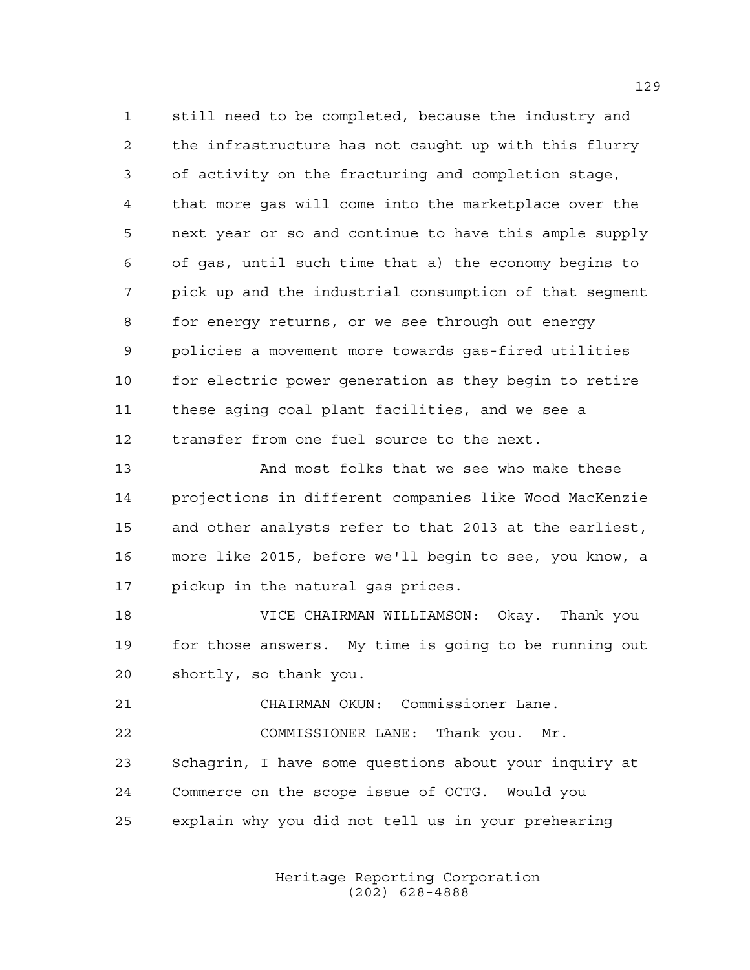still need to be completed, because the industry and the infrastructure has not caught up with this flurry of activity on the fracturing and completion stage, that more gas will come into the marketplace over the next year or so and continue to have this ample supply of gas, until such time that a) the economy begins to pick up and the industrial consumption of that segment for energy returns, or we see through out energy policies a movement more towards gas-fired utilities for electric power generation as they begin to retire these aging coal plant facilities, and we see a transfer from one fuel source to the next.

 And most folks that we see who make these projections in different companies like Wood MacKenzie and other analysts refer to that 2013 at the earliest, more like 2015, before we'll begin to see, you know, a pickup in the natural gas prices.

 VICE CHAIRMAN WILLIAMSON: Okay. Thank you for those answers. My time is going to be running out shortly, so thank you.

 CHAIRMAN OKUN: Commissioner Lane. COMMISSIONER LANE: Thank you. Mr. Schagrin, I have some questions about your inquiry at Commerce on the scope issue of OCTG. Would you explain why you did not tell us in your prehearing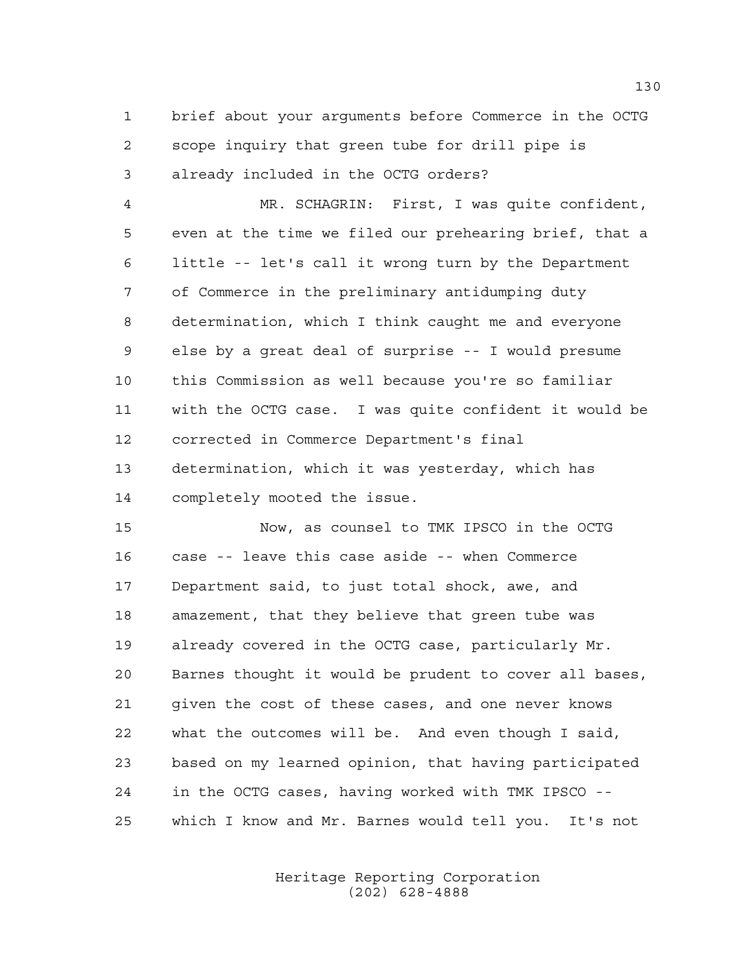brief about your arguments before Commerce in the OCTG scope inquiry that green tube for drill pipe is already included in the OCTG orders?

 MR. SCHAGRIN: First, I was quite confident, even at the time we filed our prehearing brief, that a little -- let's call it wrong turn by the Department of Commerce in the preliminary antidumping duty determination, which I think caught me and everyone else by a great deal of surprise -- I would presume this Commission as well because you're so familiar with the OCTG case. I was quite confident it would be corrected in Commerce Department's final determination, which it was yesterday, which has completely mooted the issue.

 Now, as counsel to TMK IPSCO in the OCTG case -- leave this case aside -- when Commerce Department said, to just total shock, awe, and amazement, that they believe that green tube was already covered in the OCTG case, particularly Mr. Barnes thought it would be prudent to cover all bases, given the cost of these cases, and one never knows what the outcomes will be. And even though I said, based on my learned opinion, that having participated in the OCTG cases, having worked with TMK IPSCO -- which I know and Mr. Barnes would tell you. It's not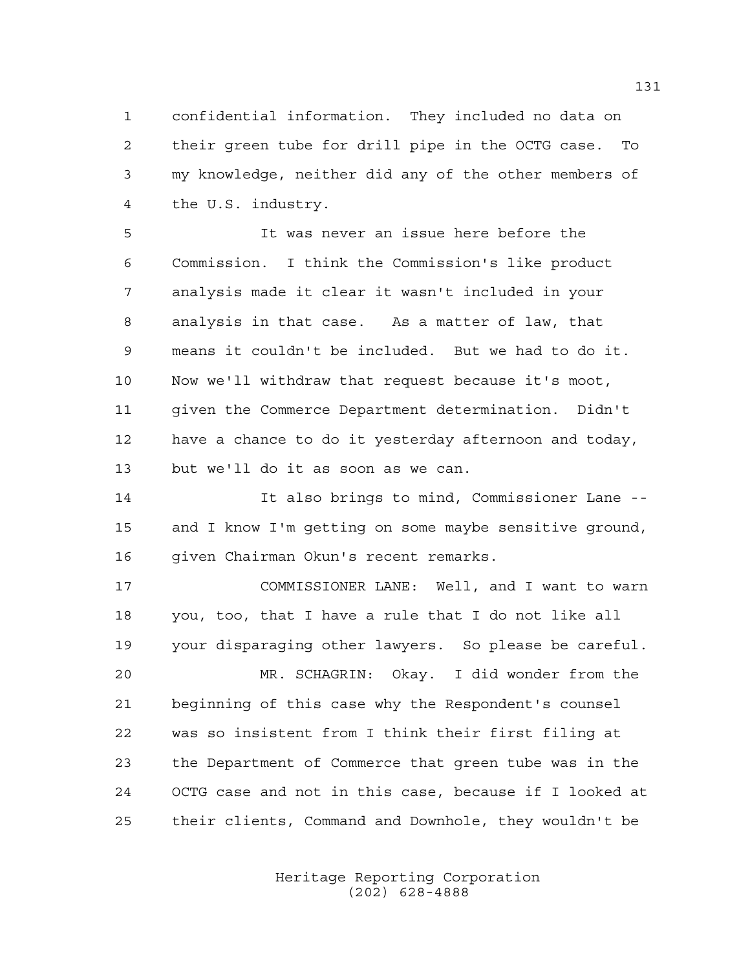confidential information. They included no data on their green tube for drill pipe in the OCTG case. To my knowledge, neither did any of the other members of the U.S. industry.

 It was never an issue here before the Commission. I think the Commission's like product analysis made it clear it wasn't included in your analysis in that case. As a matter of law, that means it couldn't be included. But we had to do it. Now we'll withdraw that request because it's moot, given the Commerce Department determination. Didn't have a chance to do it yesterday afternoon and today, but we'll do it as soon as we can.

 It also brings to mind, Commissioner Lane -- and I know I'm getting on some maybe sensitive ground, given Chairman Okun's recent remarks.

 COMMISSIONER LANE: Well, and I want to warn you, too, that I have a rule that I do not like all your disparaging other lawyers. So please be careful. MR. SCHAGRIN: Okay. I did wonder from the beginning of this case why the Respondent's counsel

 was so insistent from I think their first filing at the Department of Commerce that green tube was in the OCTG case and not in this case, because if I looked at their clients, Command and Downhole, they wouldn't be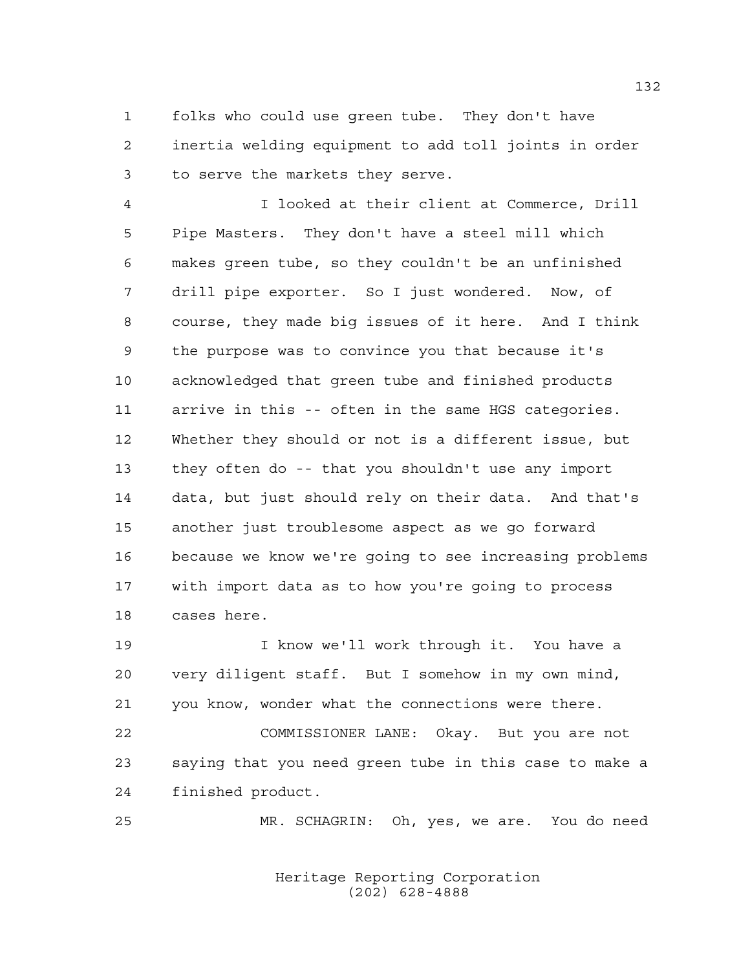folks who could use green tube. They don't have inertia welding equipment to add toll joints in order to serve the markets they serve.

 I looked at their client at Commerce, Drill Pipe Masters. They don't have a steel mill which makes green tube, so they couldn't be an unfinished drill pipe exporter. So I just wondered. Now, of course, they made big issues of it here. And I think the purpose was to convince you that because it's acknowledged that green tube and finished products arrive in this -- often in the same HGS categories. Whether they should or not is a different issue, but they often do -- that you shouldn't use any import data, but just should rely on their data. And that's another just troublesome aspect as we go forward because we know we're going to see increasing problems with import data as to how you're going to process cases here.

 I know we'll work through it. You have a very diligent staff. But I somehow in my own mind, you know, wonder what the connections were there.

 COMMISSIONER LANE: Okay. But you are not saying that you need green tube in this case to make a finished product.

MR. SCHAGRIN: Oh, yes, we are. You do need

Heritage Reporting Corporation (202) 628-4888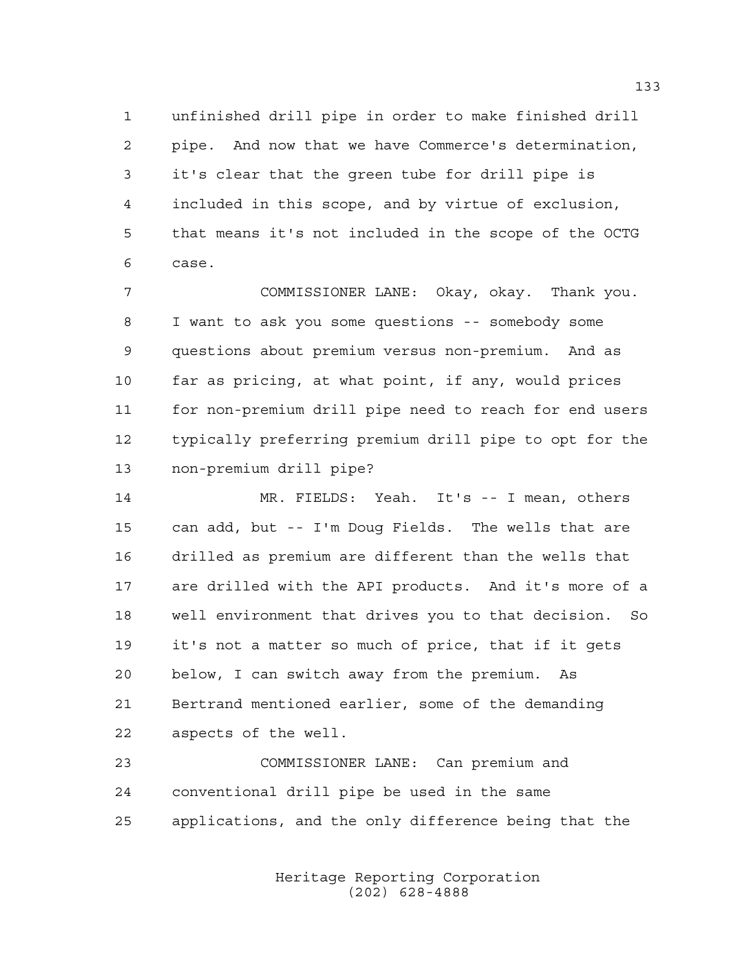unfinished drill pipe in order to make finished drill pipe. And now that we have Commerce's determination, it's clear that the green tube for drill pipe is included in this scope, and by virtue of exclusion, that means it's not included in the scope of the OCTG case.

 COMMISSIONER LANE: Okay, okay. Thank you. I want to ask you some questions -- somebody some questions about premium versus non-premium. And as far as pricing, at what point, if any, would prices for non-premium drill pipe need to reach for end users typically preferring premium drill pipe to opt for the non-premium drill pipe?

 MR. FIELDS: Yeah. It's -- I mean, others can add, but -- I'm Doug Fields. The wells that are drilled as premium are different than the wells that are drilled with the API products. And it's more of a well environment that drives you to that decision. So it's not a matter so much of price, that if it gets below, I can switch away from the premium. As Bertrand mentioned earlier, some of the demanding aspects of the well.

 COMMISSIONER LANE: Can premium and conventional drill pipe be used in the same applications, and the only difference being that the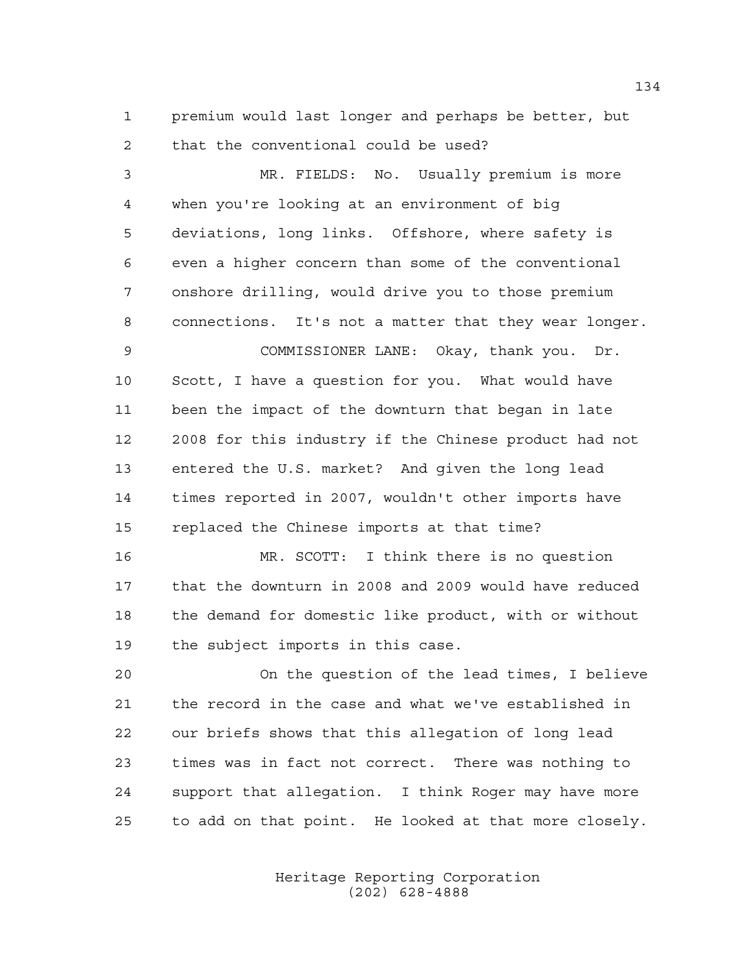premium would last longer and perhaps be better, but that the conventional could be used?

 MR. FIELDS: No. Usually premium is more when you're looking at an environment of big deviations, long links. Offshore, where safety is even a higher concern than some of the conventional onshore drilling, would drive you to those premium connections. It's not a matter that they wear longer. COMMISSIONER LANE: Okay, thank you. Dr. Scott, I have a question for you. What would have been the impact of the downturn that began in late 2008 for this industry if the Chinese product had not entered the U.S. market? And given the long lead times reported in 2007, wouldn't other imports have replaced the Chinese imports at that time? MR. SCOTT: I think there is no question that the downturn in 2008 and 2009 would have reduced the demand for domestic like product, with or without the subject imports in this case. On the question of the lead times, I believe the record in the case and what we've established in our briefs shows that this allegation of long lead times was in fact not correct. There was nothing to support that allegation. I think Roger may have more

to add on that point. He looked at that more closely.

Heritage Reporting Corporation (202) 628-4888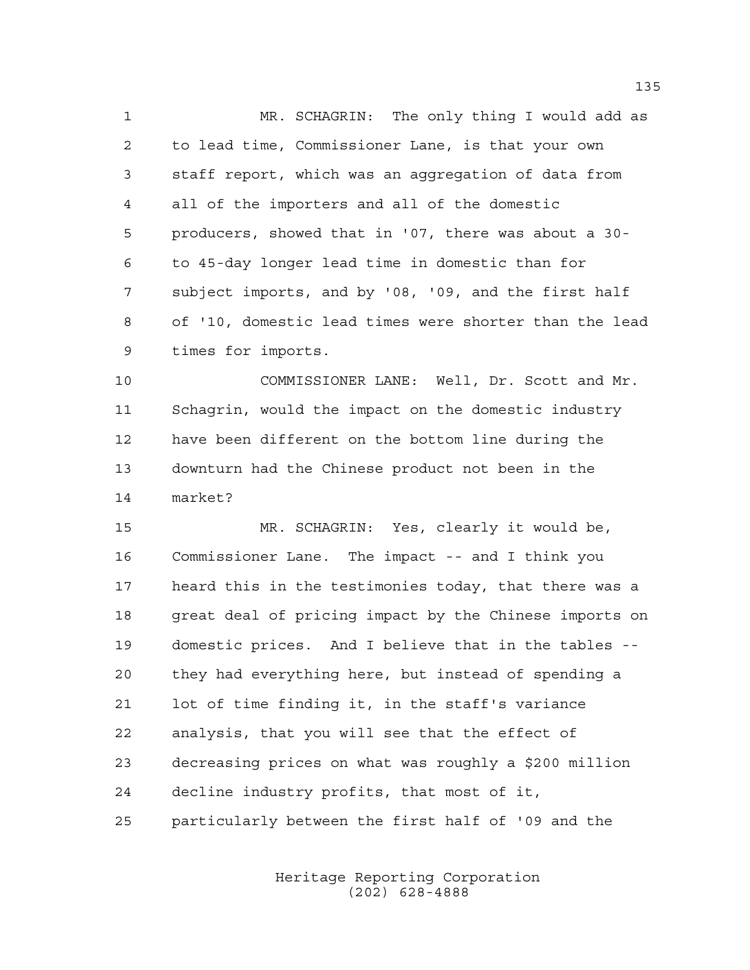MR. SCHAGRIN: The only thing I would add as to lead time, Commissioner Lane, is that your own staff report, which was an aggregation of data from all of the importers and all of the domestic producers, showed that in '07, there was about a 30- to 45-day longer lead time in domestic than for subject imports, and by '08, '09, and the first half of '10, domestic lead times were shorter than the lead times for imports.

 COMMISSIONER LANE: Well, Dr. Scott and Mr. Schagrin, would the impact on the domestic industry have been different on the bottom line during the downturn had the Chinese product not been in the market?

 MR. SCHAGRIN: Yes, clearly it would be, Commissioner Lane. The impact -- and I think you heard this in the testimonies today, that there was a great deal of pricing impact by the Chinese imports on domestic prices. And I believe that in the tables -- they had everything here, but instead of spending a lot of time finding it, in the staff's variance analysis, that you will see that the effect of decreasing prices on what was roughly a \$200 million decline industry profits, that most of it, particularly between the first half of '09 and the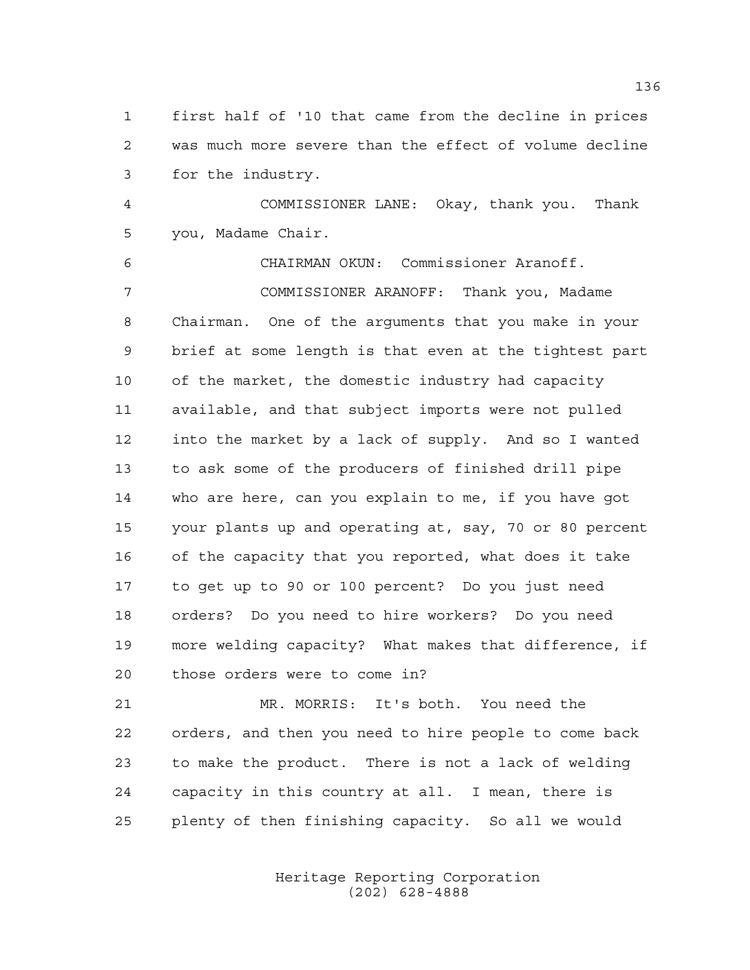first half of '10 that came from the decline in prices was much more severe than the effect of volume decline for the industry.

 COMMISSIONER LANE: Okay, thank you. Thank you, Madame Chair.

 CHAIRMAN OKUN: Commissioner Aranoff. COMMISSIONER ARANOFF: Thank you, Madame Chairman. One of the arguments that you make in your brief at some length is that even at the tightest part of the market, the domestic industry had capacity available, and that subject imports were not pulled into the market by a lack of supply. And so I wanted to ask some of the producers of finished drill pipe who are here, can you explain to me, if you have got your plants up and operating at, say, 70 or 80 percent of the capacity that you reported, what does it take to get up to 90 or 100 percent? Do you just need orders? Do you need to hire workers? Do you need more welding capacity? What makes that difference, if those orders were to come in?

 MR. MORRIS: It's both. You need the orders, and then you need to hire people to come back to make the product. There is not a lack of welding capacity in this country at all. I mean, there is plenty of then finishing capacity. So all we would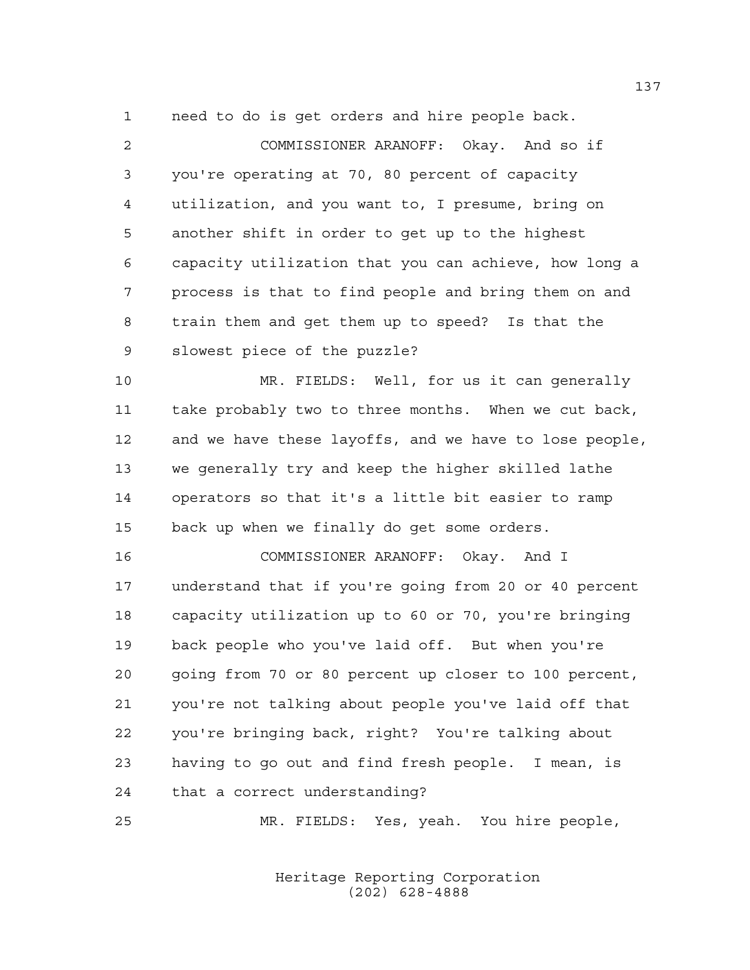need to do is get orders and hire people back.

 COMMISSIONER ARANOFF: Okay. And so if you're operating at 70, 80 percent of capacity utilization, and you want to, I presume, bring on another shift in order to get up to the highest capacity utilization that you can achieve, how long a process is that to find people and bring them on and train them and get them up to speed? Is that the slowest piece of the puzzle? MR. FIELDS: Well, for us it can generally

 take probably two to three months. When we cut back, and we have these layoffs, and we have to lose people, we generally try and keep the higher skilled lathe operators so that it's a little bit easier to ramp back up when we finally do get some orders.

 COMMISSIONER ARANOFF: Okay. And I understand that if you're going from 20 or 40 percent capacity utilization up to 60 or 70, you're bringing back people who you've laid off. But when you're going from 70 or 80 percent up closer to 100 percent, you're not talking about people you've laid off that you're bringing back, right? You're talking about having to go out and find fresh people. I mean, is that a correct understanding?

MR. FIELDS: Yes, yeah. You hire people,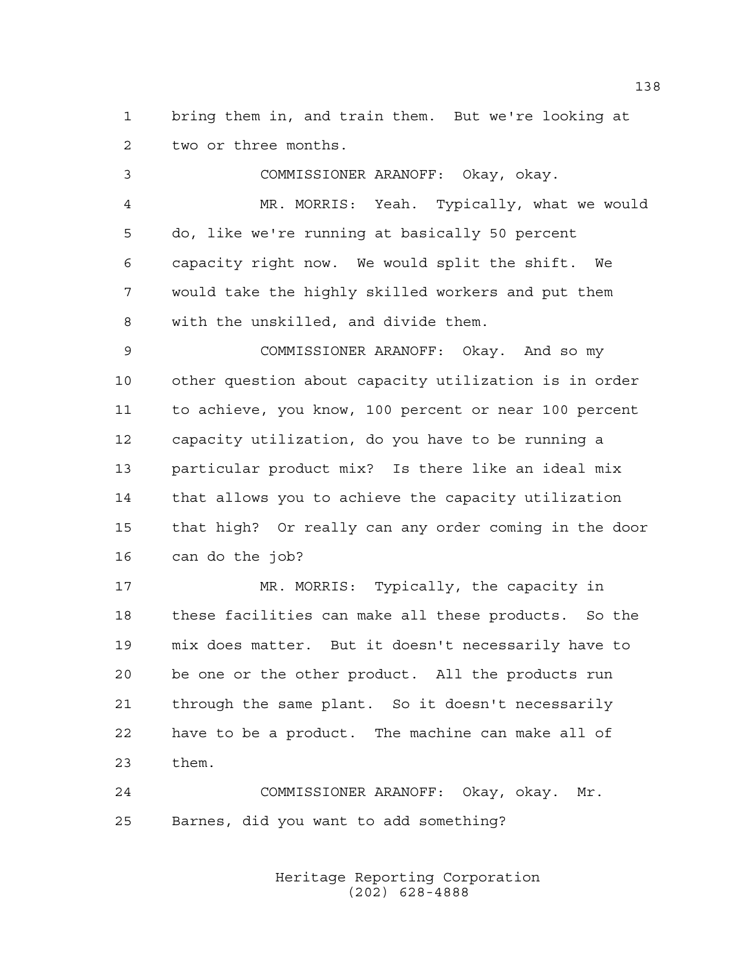bring them in, and train them. But we're looking at two or three months.

 COMMISSIONER ARANOFF: Okay, okay. MR. MORRIS: Yeah. Typically, what we would do, like we're running at basically 50 percent capacity right now. We would split the shift. We would take the highly skilled workers and put them with the unskilled, and divide them. COMMISSIONER ARANOFF: Okay. And so my other question about capacity utilization is in order to achieve, you know, 100 percent or near 100 percent capacity utilization, do you have to be running a particular product mix? Is there like an ideal mix that allows you to achieve the capacity utilization that high? Or really can any order coming in the door can do the job? MR. MORRIS: Typically, the capacity in these facilities can make all these products. So the mix does matter. But it doesn't necessarily have to be one or the other product. All the products run through the same plant. So it doesn't necessarily

 have to be a product. The machine can make all of them.

 COMMISSIONER ARANOFF: Okay, okay. Mr. Barnes, did you want to add something?

> Heritage Reporting Corporation (202) 628-4888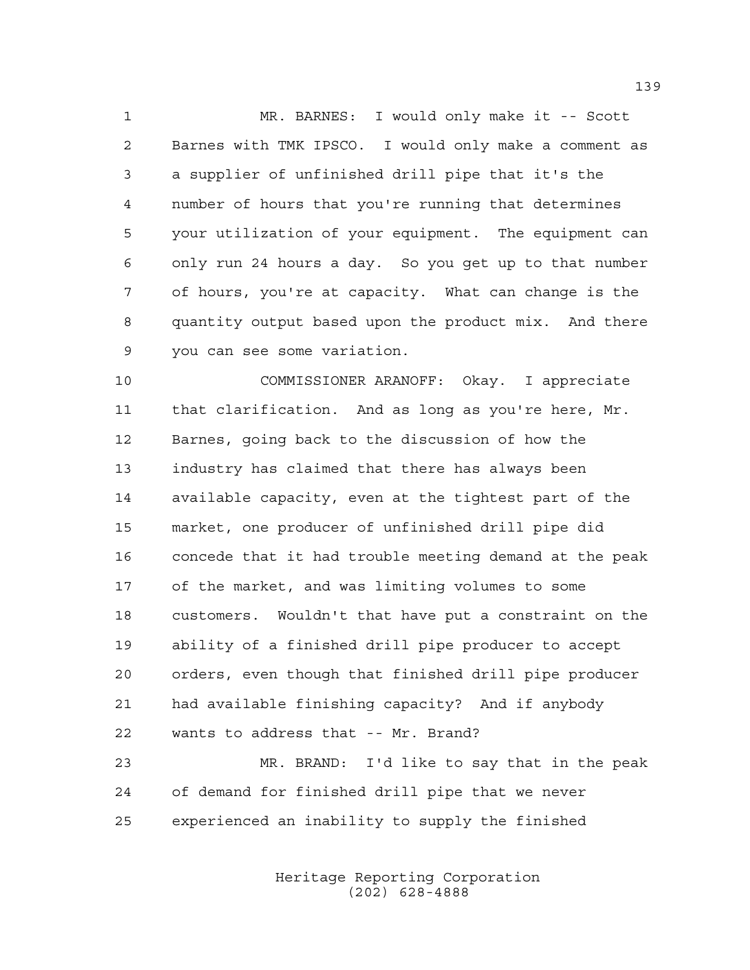MR. BARNES: I would only make it -- Scott Barnes with TMK IPSCO. I would only make a comment as a supplier of unfinished drill pipe that it's the number of hours that you're running that determines your utilization of your equipment. The equipment can only run 24 hours a day. So you get up to that number of hours, you're at capacity. What can change is the quantity output based upon the product mix. And there you can see some variation.

 COMMISSIONER ARANOFF: Okay. I appreciate that clarification. And as long as you're here, Mr. Barnes, going back to the discussion of how the industry has claimed that there has always been available capacity, even at the tightest part of the market, one producer of unfinished drill pipe did concede that it had trouble meeting demand at the peak of the market, and was limiting volumes to some customers. Wouldn't that have put a constraint on the ability of a finished drill pipe producer to accept orders, even though that finished drill pipe producer had available finishing capacity? And if anybody wants to address that -- Mr. Brand?

 MR. BRAND: I'd like to say that in the peak of demand for finished drill pipe that we never experienced an inability to supply the finished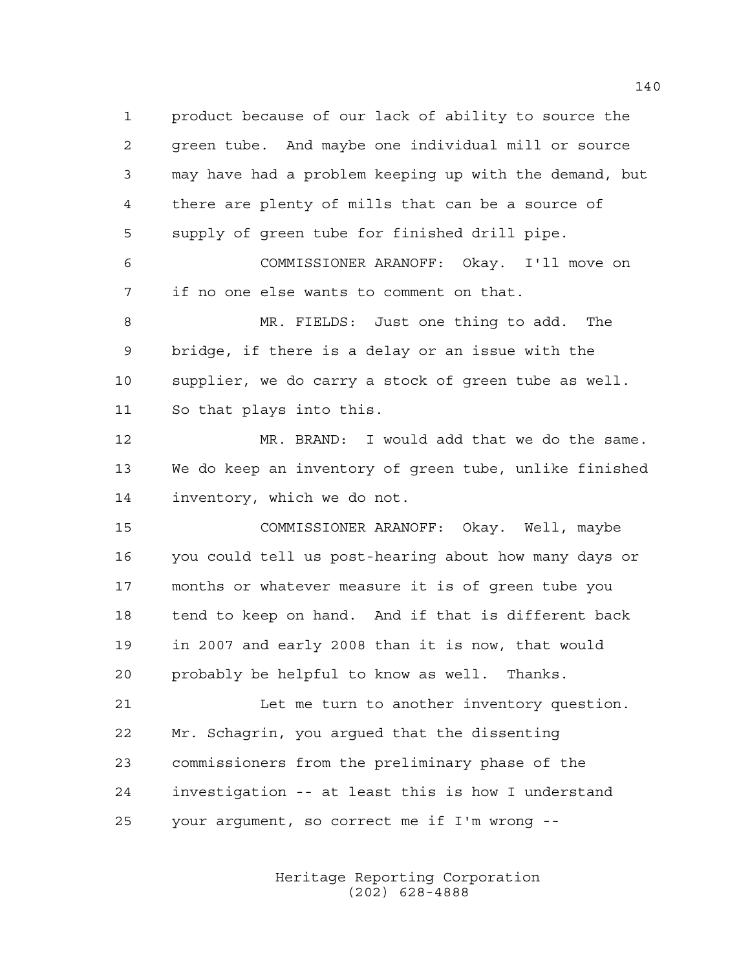product because of our lack of ability to source the green tube. And maybe one individual mill or source may have had a problem keeping up with the demand, but there are plenty of mills that can be a source of supply of green tube for finished drill pipe.

 COMMISSIONER ARANOFF: Okay. I'll move on if no one else wants to comment on that.

 MR. FIELDS: Just one thing to add. The bridge, if there is a delay or an issue with the supplier, we do carry a stock of green tube as well. So that plays into this.

 MR. BRAND: I would add that we do the same. We do keep an inventory of green tube, unlike finished inventory, which we do not.

 COMMISSIONER ARANOFF: Okay. Well, maybe you could tell us post-hearing about how many days or months or whatever measure it is of green tube you tend to keep on hand. And if that is different back in 2007 and early 2008 than it is now, that would probably be helpful to know as well. Thanks.

21 Let me turn to another inventory question. Mr. Schagrin, you argued that the dissenting commissioners from the preliminary phase of the investigation -- at least this is how I understand your argument, so correct me if I'm wrong --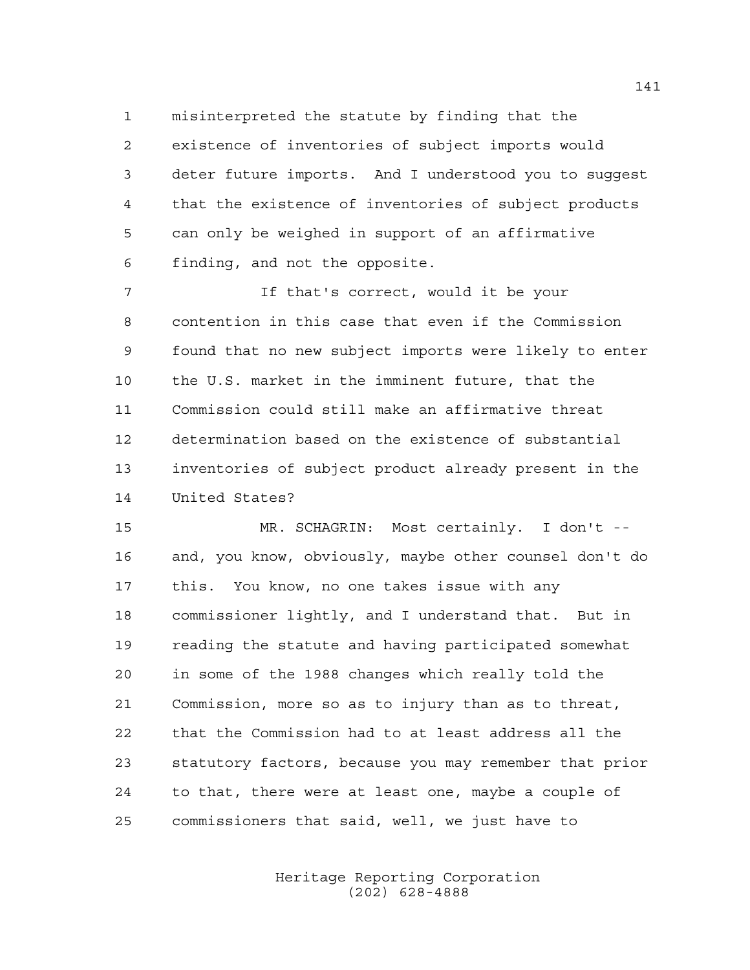misinterpreted the statute by finding that the existence of inventories of subject imports would deter future imports. And I understood you to suggest that the existence of inventories of subject products can only be weighed in support of an affirmative finding, and not the opposite.

 If that's correct, would it be your contention in this case that even if the Commission found that no new subject imports were likely to enter the U.S. market in the imminent future, that the Commission could still make an affirmative threat determination based on the existence of substantial inventories of subject product already present in the United States?

 MR. SCHAGRIN: Most certainly. I don't -- and, you know, obviously, maybe other counsel don't do this. You know, no one takes issue with any commissioner lightly, and I understand that. But in reading the statute and having participated somewhat in some of the 1988 changes which really told the Commission, more so as to injury than as to threat, that the Commission had to at least address all the statutory factors, because you may remember that prior to that, there were at least one, maybe a couple of commissioners that said, well, we just have to

> Heritage Reporting Corporation (202) 628-4888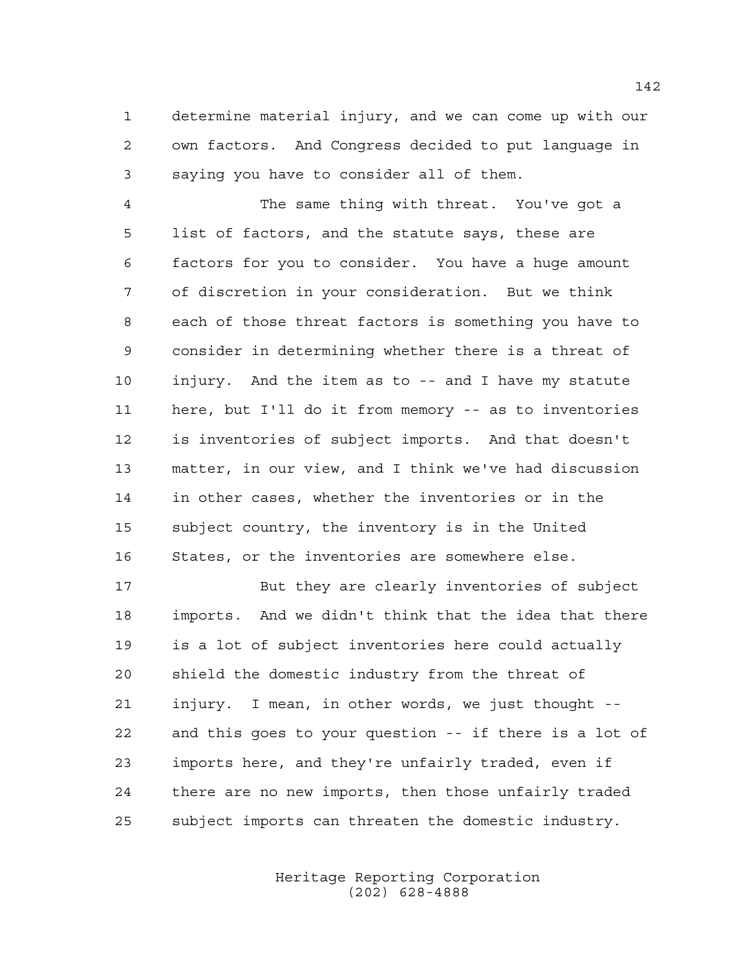determine material injury, and we can come up with our own factors. And Congress decided to put language in saying you have to consider all of them.

 The same thing with threat. You've got a list of factors, and the statute says, these are factors for you to consider. You have a huge amount of discretion in your consideration. But we think each of those threat factors is something you have to consider in determining whether there is a threat of injury. And the item as to -- and I have my statute here, but I'll do it from memory -- as to inventories is inventories of subject imports. And that doesn't matter, in our view, and I think we've had discussion in other cases, whether the inventories or in the subject country, the inventory is in the United States, or the inventories are somewhere else.

 But they are clearly inventories of subject imports. And we didn't think that the idea that there is a lot of subject inventories here could actually shield the domestic industry from the threat of injury. I mean, in other words, we just thought -- and this goes to your question -- if there is a lot of imports here, and they're unfairly traded, even if there are no new imports, then those unfairly traded subject imports can threaten the domestic industry.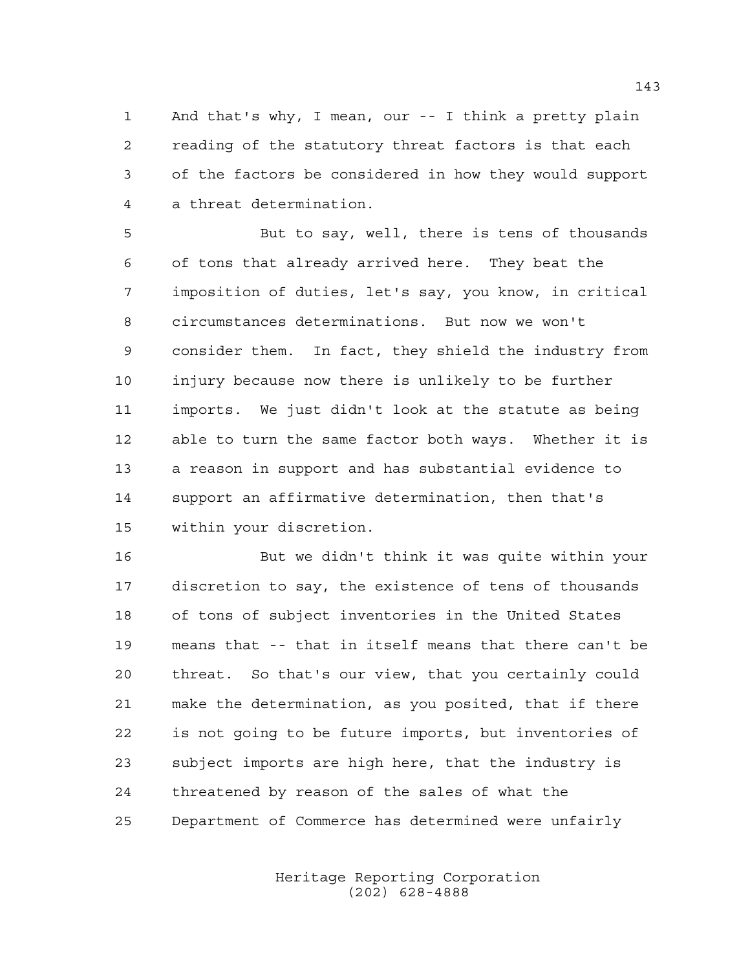And that's why, I mean, our -- I think a pretty plain reading of the statutory threat factors is that each of the factors be considered in how they would support a threat determination.

 But to say, well, there is tens of thousands of tons that already arrived here. They beat the imposition of duties, let's say, you know, in critical circumstances determinations. But now we won't consider them. In fact, they shield the industry from injury because now there is unlikely to be further imports. We just didn't look at the statute as being able to turn the same factor both ways. Whether it is a reason in support and has substantial evidence to support an affirmative determination, then that's within your discretion.

 But we didn't think it was quite within your discretion to say, the existence of tens of thousands of tons of subject inventories in the United States means that -- that in itself means that there can't be threat. So that's our view, that you certainly could make the determination, as you posited, that if there is not going to be future imports, but inventories of subject imports are high here, that the industry is threatened by reason of the sales of what the Department of Commerce has determined were unfairly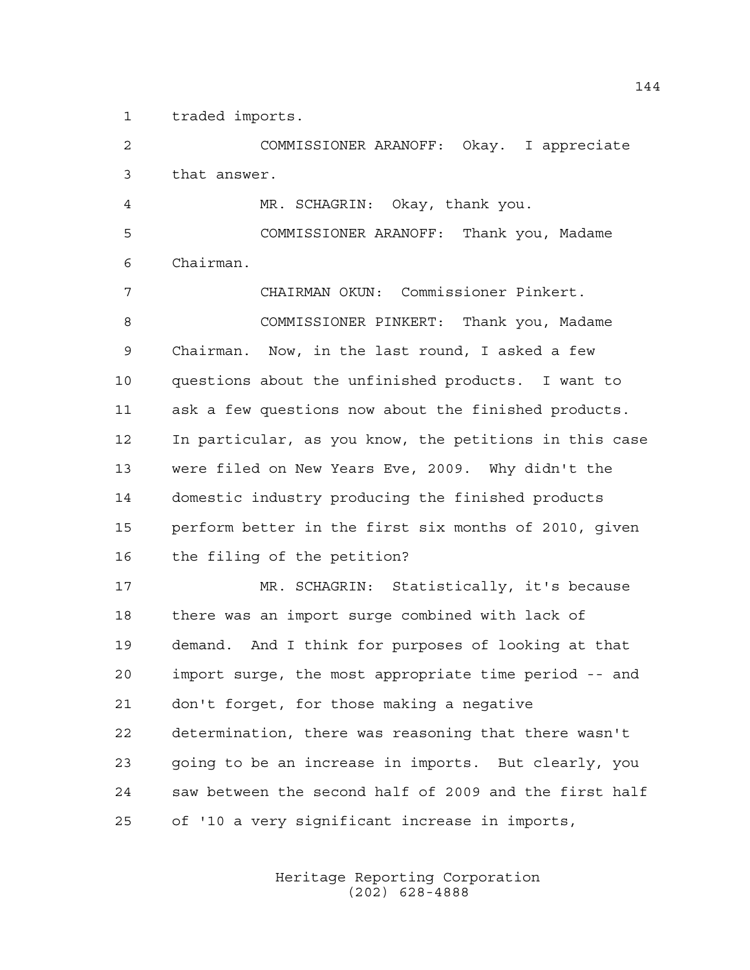traded imports.

 COMMISSIONER ARANOFF: Okay. I appreciate that answer.

 MR. SCHAGRIN: Okay, thank you. COMMISSIONER ARANOFF: Thank you, Madame Chairman.

 CHAIRMAN OKUN: Commissioner Pinkert. COMMISSIONER PINKERT: Thank you, Madame Chairman. Now, in the last round, I asked a few questions about the unfinished products. I want to ask a few questions now about the finished products. In particular, as you know, the petitions in this case were filed on New Years Eve, 2009. Why didn't the domestic industry producing the finished products perform better in the first six months of 2010, given the filing of the petition?

 MR. SCHAGRIN: Statistically, it's because there was an import surge combined with lack of demand. And I think for purposes of looking at that import surge, the most appropriate time period -- and don't forget, for those making a negative determination, there was reasoning that there wasn't going to be an increase in imports. But clearly, you saw between the second half of 2009 and the first half of '10 a very significant increase in imports,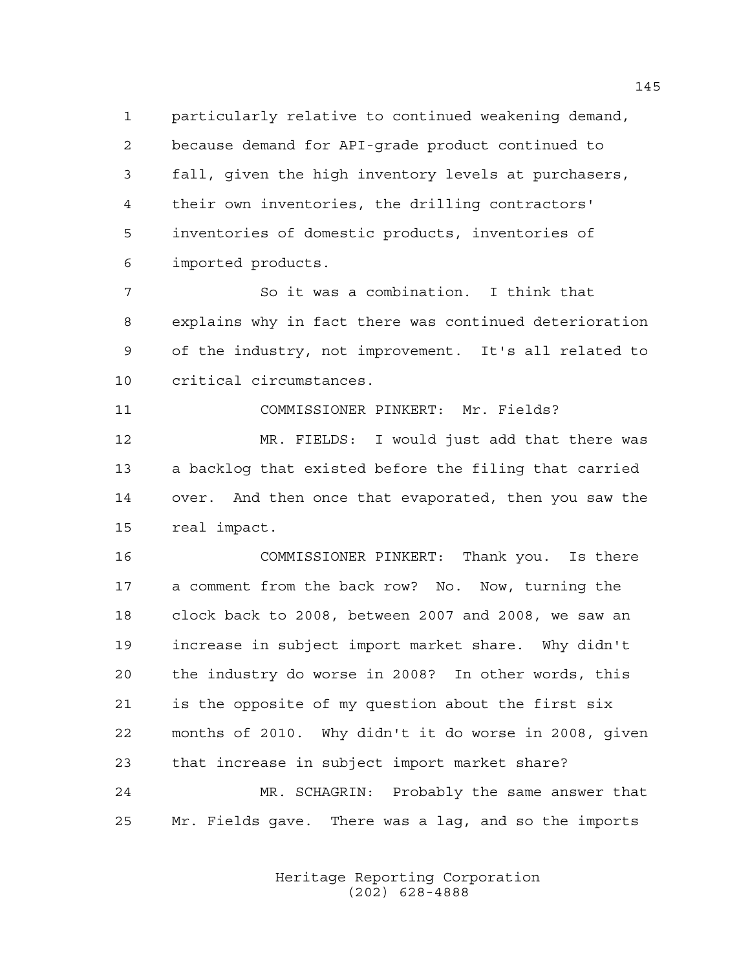particularly relative to continued weakening demand, because demand for API-grade product continued to fall, given the high inventory levels at purchasers, their own inventories, the drilling contractors' inventories of domestic products, inventories of imported products.

 So it was a combination. I think that explains why in fact there was continued deterioration of the industry, not improvement. It's all related to critical circumstances.

COMMISSIONER PINKERT: Mr. Fields?

 MR. FIELDS: I would just add that there was a backlog that existed before the filing that carried over. And then once that evaporated, then you saw the real impact.

 COMMISSIONER PINKERT: Thank you. Is there a comment from the back row? No. Now, turning the clock back to 2008, between 2007 and 2008, we saw an increase in subject import market share. Why didn't the industry do worse in 2008? In other words, this is the opposite of my question about the first six months of 2010. Why didn't it do worse in 2008, given that increase in subject import market share?

 MR. SCHAGRIN: Probably the same answer that Mr. Fields gave. There was a lag, and so the imports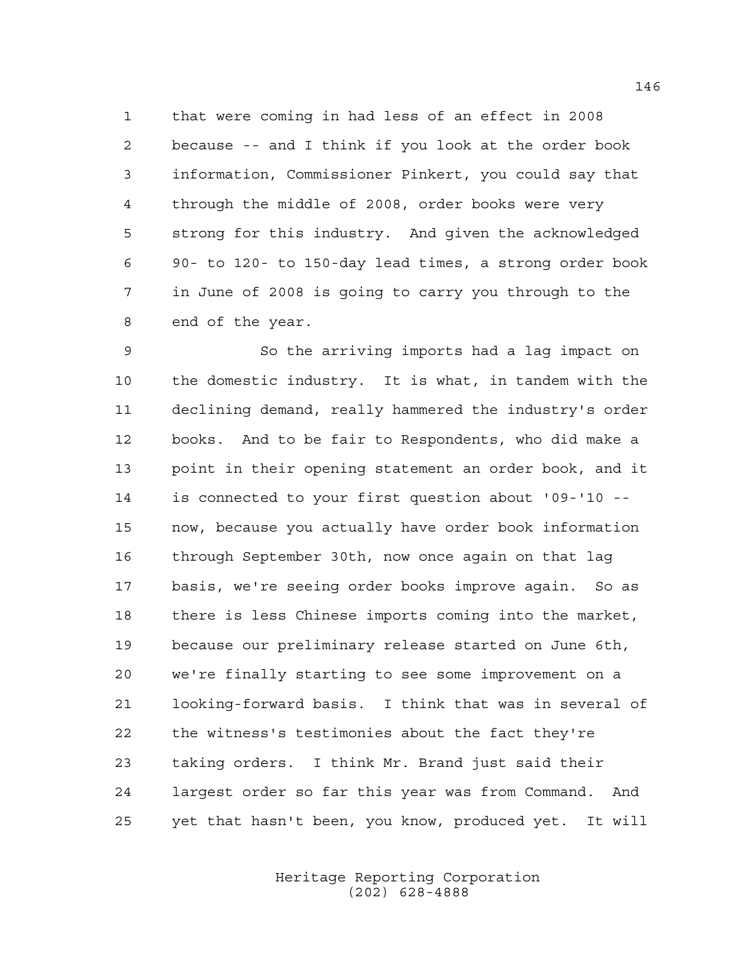that were coming in had less of an effect in 2008 because -- and I think if you look at the order book information, Commissioner Pinkert, you could say that through the middle of 2008, order books were very strong for this industry. And given the acknowledged 90- to 120- to 150-day lead times, a strong order book in June of 2008 is going to carry you through to the end of the year.

 So the arriving imports had a lag impact on the domestic industry. It is what, in tandem with the declining demand, really hammered the industry's order books. And to be fair to Respondents, who did make a point in their opening statement an order book, and it is connected to your first question about '09-'10 -- now, because you actually have order book information through September 30th, now once again on that lag basis, we're seeing order books improve again. So as there is less Chinese imports coming into the market, because our preliminary release started on June 6th, we're finally starting to see some improvement on a looking-forward basis. I think that was in several of the witness's testimonies about the fact they're taking orders. I think Mr. Brand just said their largest order so far this year was from Command. And yet that hasn't been, you know, produced yet. It will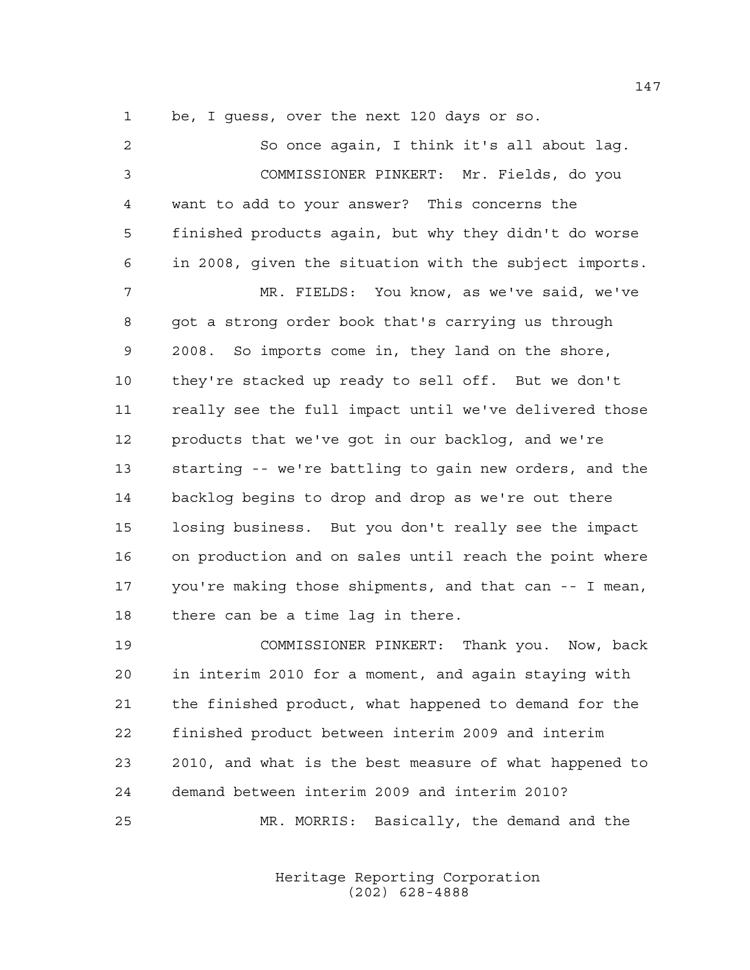be, I guess, over the next 120 days or so.

 So once again, I think it's all about lag. COMMISSIONER PINKERT: Mr. Fields, do you want to add to your answer? This concerns the finished products again, but why they didn't do worse in 2008, given the situation with the subject imports. MR. FIELDS: You know, as we've said, we've got a strong order book that's carrying us through 2008. So imports come in, they land on the shore, they're stacked up ready to sell off. But we don't really see the full impact until we've delivered those products that we've got in our backlog, and we're starting -- we're battling to gain new orders, and the backlog begins to drop and drop as we're out there losing business. But you don't really see the impact on production and on sales until reach the point where you're making those shipments, and that can -- I mean, there can be a time lag in there.

 COMMISSIONER PINKERT: Thank you. Now, back in interim 2010 for a moment, and again staying with the finished product, what happened to demand for the finished product between interim 2009 and interim 2010, and what is the best measure of what happened to demand between interim 2009 and interim 2010? MR. MORRIS: Basically, the demand and the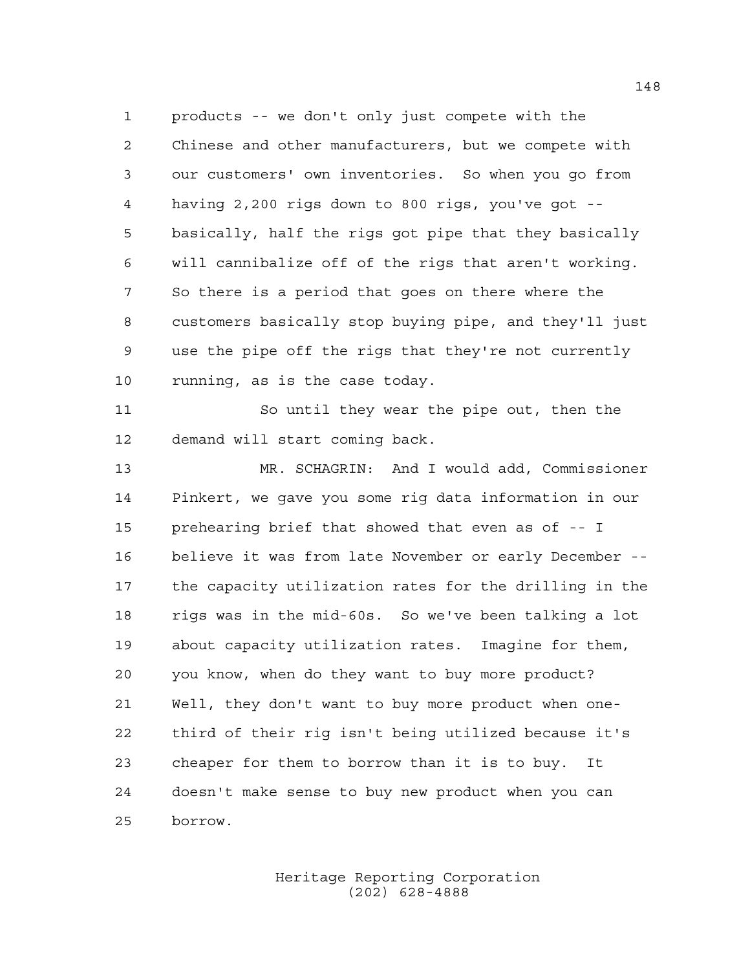products -- we don't only just compete with the Chinese and other manufacturers, but we compete with our customers' own inventories. So when you go from having 2,200 rigs down to 800 rigs, you've got -- basically, half the rigs got pipe that they basically will cannibalize off of the rigs that aren't working. So there is a period that goes on there where the customers basically stop buying pipe, and they'll just use the pipe off the rigs that they're not currently running, as is the case today.

 So until they wear the pipe out, then the demand will start coming back.

 MR. SCHAGRIN: And I would add, Commissioner Pinkert, we gave you some rig data information in our prehearing brief that showed that even as of -- I believe it was from late November or early December -- the capacity utilization rates for the drilling in the rigs was in the mid-60s. So we've been talking a lot about capacity utilization rates. Imagine for them, you know, when do they want to buy more product? Well, they don't want to buy more product when one- third of their rig isn't being utilized because it's cheaper for them to borrow than it is to buy. It doesn't make sense to buy new product when you can borrow.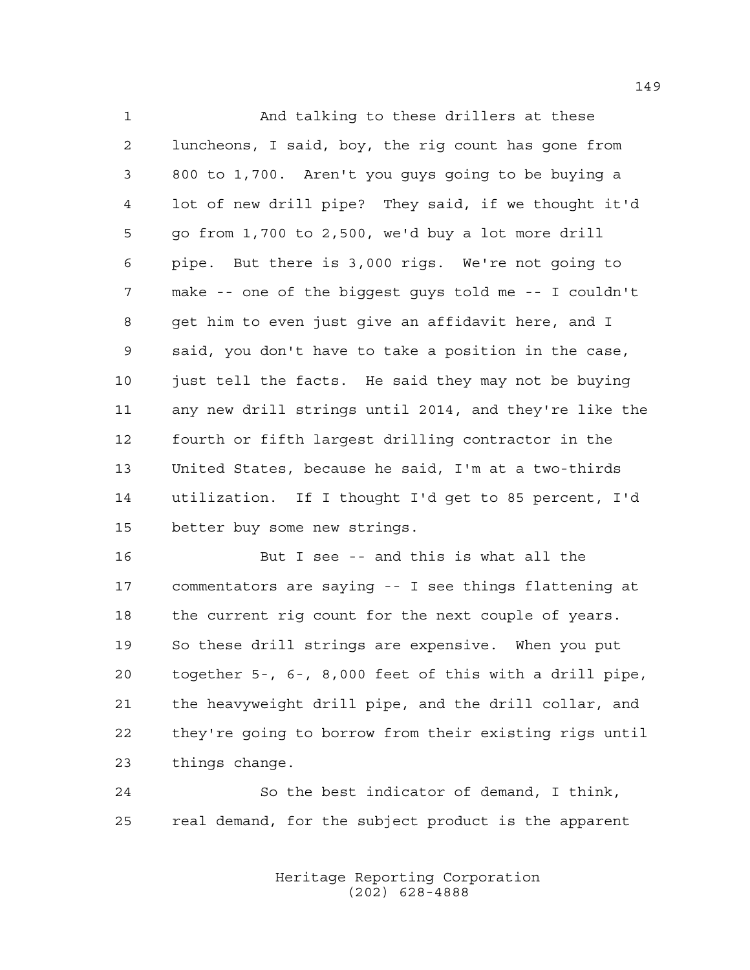And talking to these drillers at these luncheons, I said, boy, the rig count has gone from 800 to 1,700. Aren't you guys going to be buying a lot of new drill pipe? They said, if we thought it'd go from 1,700 to 2,500, we'd buy a lot more drill pipe. But there is 3,000 rigs. We're not going to make -- one of the biggest guys told me -- I couldn't get him to even just give an affidavit here, and I said, you don't have to take a position in the case, 10 just tell the facts. He said they may not be buying any new drill strings until 2014, and they're like the fourth or fifth largest drilling contractor in the United States, because he said, I'm at a two-thirds utilization. If I thought I'd get to 85 percent, I'd better buy some new strings.

 But I see -- and this is what all the commentators are saying -- I see things flattening at the current rig count for the next couple of years. So these drill strings are expensive. When you put together 5-, 6-, 8,000 feet of this with a drill pipe, the heavyweight drill pipe, and the drill collar, and they're going to borrow from their existing rigs until things change.

 So the best indicator of demand, I think, real demand, for the subject product is the apparent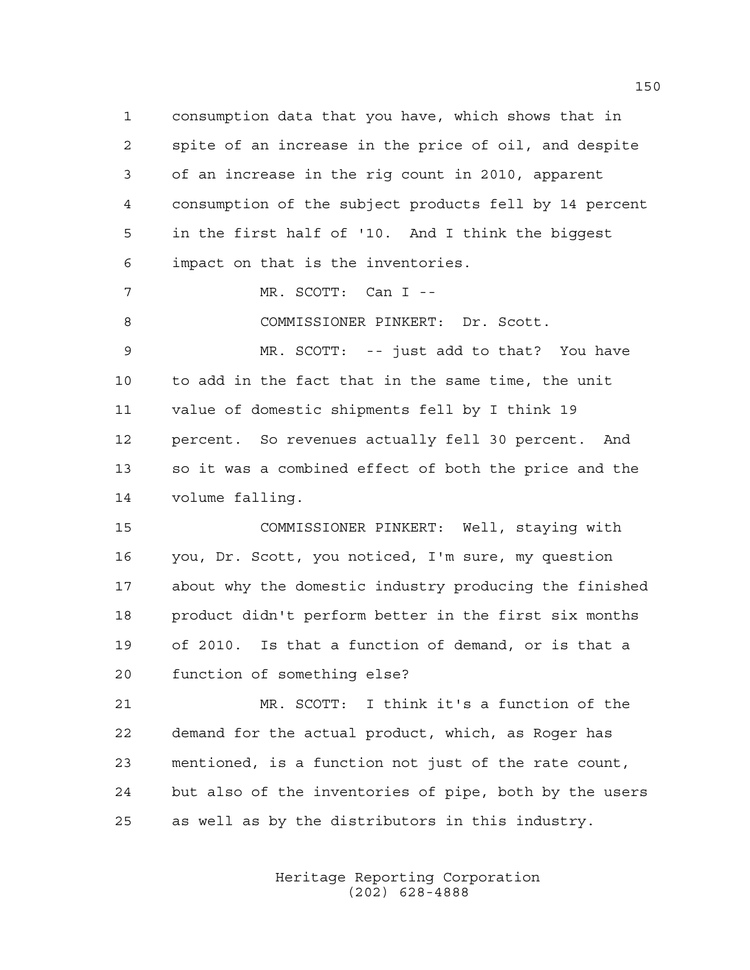consumption data that you have, which shows that in spite of an increase in the price of oil, and despite of an increase in the rig count in 2010, apparent consumption of the subject products fell by 14 percent in the first half of '10. And I think the biggest impact on that is the inventories.

MR. SCOTT: Can I --

8 COMMISSIONER PINKERT: Dr. Scott.

 MR. SCOTT: -- just add to that? You have to add in the fact that in the same time, the unit value of domestic shipments fell by I think 19 percent. So revenues actually fell 30 percent. And so it was a combined effect of both the price and the volume falling.

 COMMISSIONER PINKERT: Well, staying with you, Dr. Scott, you noticed, I'm sure, my question about why the domestic industry producing the finished product didn't perform better in the first six months of 2010. Is that a function of demand, or is that a function of something else?

 MR. SCOTT: I think it's a function of the demand for the actual product, which, as Roger has mentioned, is a function not just of the rate count, but also of the inventories of pipe, both by the users as well as by the distributors in this industry.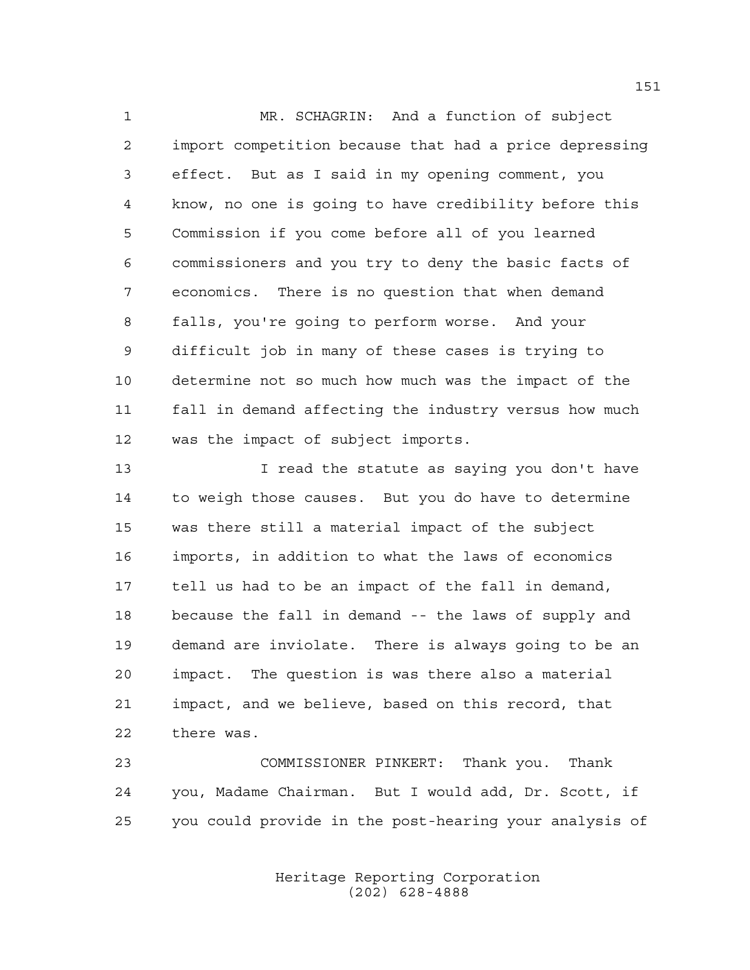MR. SCHAGRIN: And a function of subject import competition because that had a price depressing effect. But as I said in my opening comment, you know, no one is going to have credibility before this Commission if you come before all of you learned commissioners and you try to deny the basic facts of economics. There is no question that when demand falls, you're going to perform worse. And your difficult job in many of these cases is trying to determine not so much how much was the impact of the fall in demand affecting the industry versus how much was the impact of subject imports.

 I read the statute as saying you don't have to weigh those causes. But you do have to determine was there still a material impact of the subject imports, in addition to what the laws of economics tell us had to be an impact of the fall in demand, because the fall in demand -- the laws of supply and demand are inviolate. There is always going to be an impact. The question is was there also a material impact, and we believe, based on this record, that there was.

 COMMISSIONER PINKERT: Thank you. Thank you, Madame Chairman. But I would add, Dr. Scott, if you could provide in the post-hearing your analysis of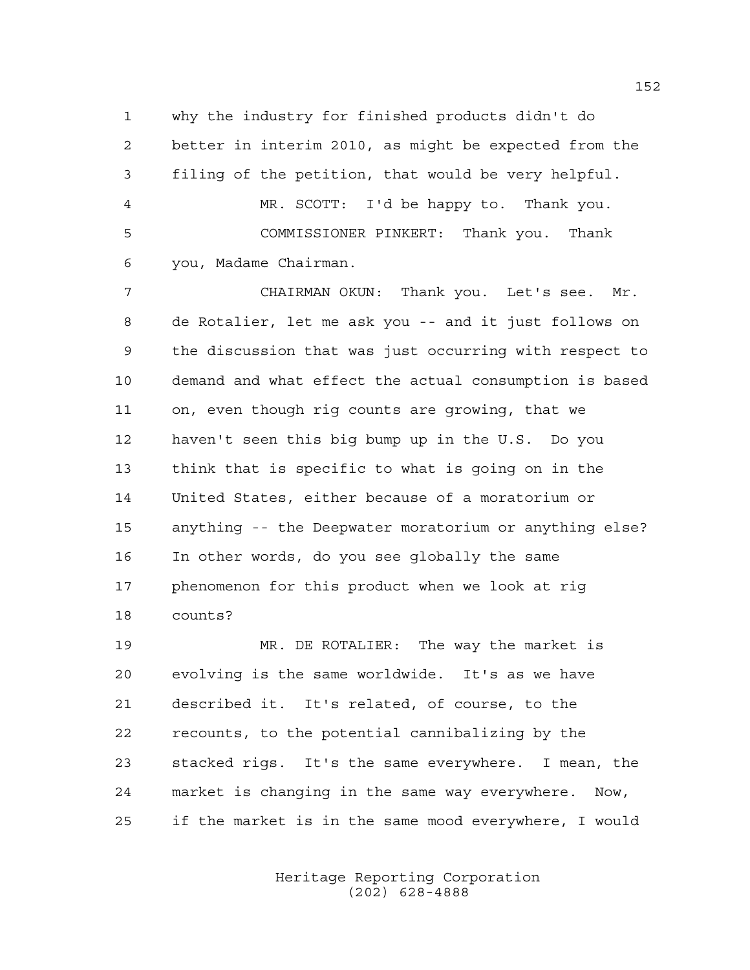why the industry for finished products didn't do better in interim 2010, as might be expected from the filing of the petition, that would be very helpful. MR. SCOTT: I'd be happy to. Thank you. COMMISSIONER PINKERT: Thank you. Thank you, Madame Chairman.

 CHAIRMAN OKUN: Thank you. Let's see. Mr. de Rotalier, let me ask you -- and it just follows on the discussion that was just occurring with respect to demand and what effect the actual consumption is based on, even though rig counts are growing, that we haven't seen this big bump up in the U.S. Do you think that is specific to what is going on in the United States, either because of a moratorium or anything -- the Deepwater moratorium or anything else? In other words, do you see globally the same phenomenon for this product when we look at rig counts?

 MR. DE ROTALIER: The way the market is evolving is the same worldwide. It's as we have described it. It's related, of course, to the recounts, to the potential cannibalizing by the stacked rigs. It's the same everywhere. I mean, the market is changing in the same way everywhere. Now, if the market is in the same mood everywhere, I would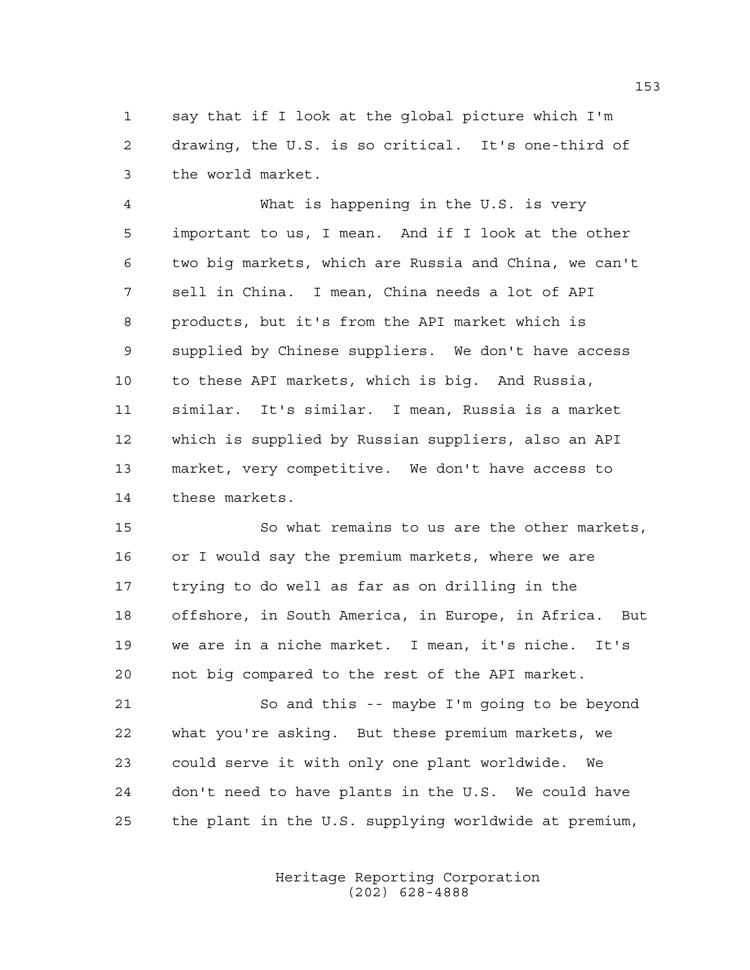say that if I look at the global picture which I'm drawing, the U.S. is so critical. It's one-third of the world market.

 What is happening in the U.S. is very important to us, I mean. And if I look at the other two big markets, which are Russia and China, we can't sell in China. I mean, China needs a lot of API products, but it's from the API market which is supplied by Chinese suppliers. We don't have access to these API markets, which is big. And Russia, similar. It's similar. I mean, Russia is a market which is supplied by Russian suppliers, also an API market, very competitive. We don't have access to these markets.

 So what remains to us are the other markets, or I would say the premium markets, where we are trying to do well as far as on drilling in the offshore, in South America, in Europe, in Africa. But we are in a niche market. I mean, it's niche. It's not big compared to the rest of the API market.

 So and this -- maybe I'm going to be beyond what you're asking. But these premium markets, we could serve it with only one plant worldwide. We don't need to have plants in the U.S. We could have the plant in the U.S. supplying worldwide at premium,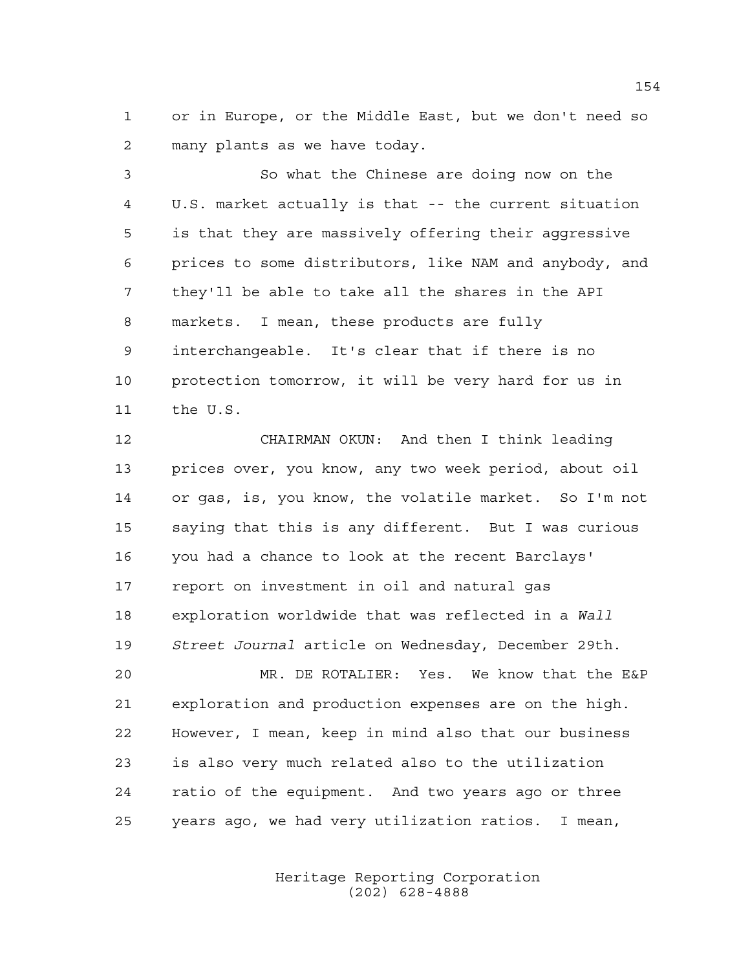or in Europe, or the Middle East, but we don't need so many plants as we have today.

 So what the Chinese are doing now on the U.S. market actually is that -- the current situation is that they are massively offering their aggressive prices to some distributors, like NAM and anybody, and they'll be able to take all the shares in the API markets. I mean, these products are fully interchangeable. It's clear that if there is no protection tomorrow, it will be very hard for us in the U.S.

 CHAIRMAN OKUN: And then I think leading prices over, you know, any two week period, about oil or gas, is, you know, the volatile market. So I'm not saying that this is any different. But I was curious you had a chance to look at the recent Barclays' report on investment in oil and natural gas exploration worldwide that was reflected in a *Wall Street Journal* article on Wednesday, December 29th.

 MR. DE ROTALIER: Yes. We know that the E&P exploration and production expenses are on the high. However, I mean, keep in mind also that our business is also very much related also to the utilization ratio of the equipment. And two years ago or three years ago, we had very utilization ratios. I mean,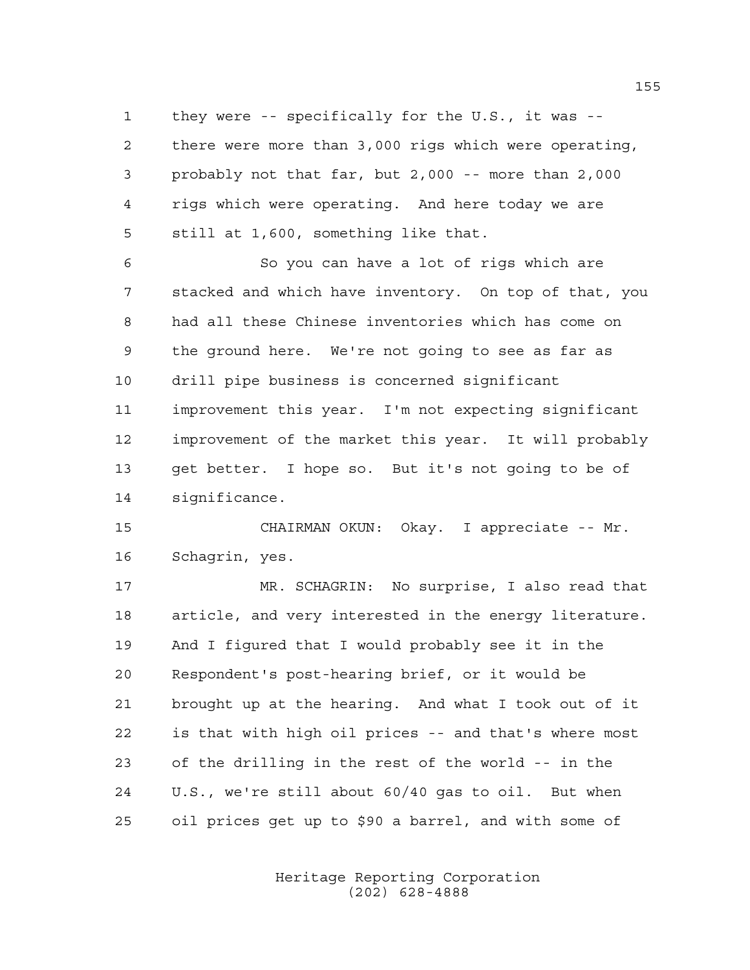they were -- specifically for the U.S., it was -- there were more than 3,000 rigs which were operating, probably not that far, but 2,000 -- more than 2,000 rigs which were operating. And here today we are still at 1,600, something like that.

 So you can have a lot of rigs which are stacked and which have inventory. On top of that, you had all these Chinese inventories which has come on the ground here. We're not going to see as far as drill pipe business is concerned significant improvement this year. I'm not expecting significant improvement of the market this year. It will probably get better. I hope so. But it's not going to be of significance.

 CHAIRMAN OKUN: Okay. I appreciate -- Mr. Schagrin, yes.

 MR. SCHAGRIN: No surprise, I also read that article, and very interested in the energy literature. And I figured that I would probably see it in the Respondent's post-hearing brief, or it would be brought up at the hearing. And what I took out of it is that with high oil prices -- and that's where most of the drilling in the rest of the world -- in the U.S., we're still about 60/40 gas to oil. But when oil prices get up to \$90 a barrel, and with some of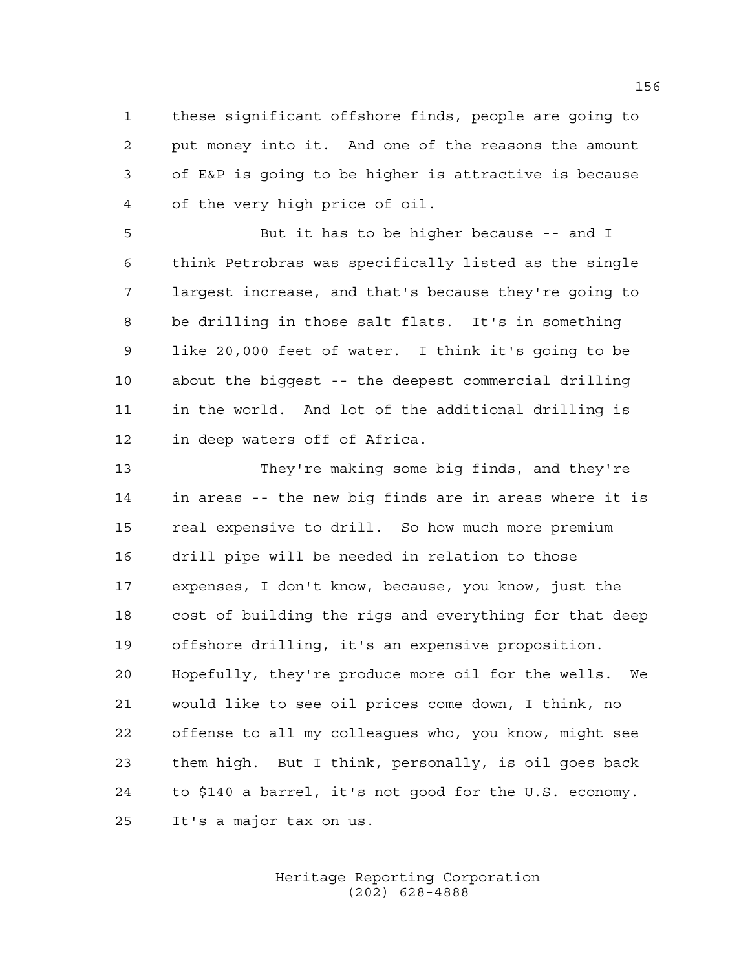these significant offshore finds, people are going to put money into it. And one of the reasons the amount of E&P is going to be higher is attractive is because of the very high price of oil.

 But it has to be higher because -- and I think Petrobras was specifically listed as the single largest increase, and that's because they're going to be drilling in those salt flats. It's in something like 20,000 feet of water. I think it's going to be about the biggest -- the deepest commercial drilling in the world. And lot of the additional drilling is in deep waters off of Africa.

 They're making some big finds, and they're in areas -- the new big finds are in areas where it is real expensive to drill. So how much more premium drill pipe will be needed in relation to those expenses, I don't know, because, you know, just the cost of building the rigs and everything for that deep offshore drilling, it's an expensive proposition. Hopefully, they're produce more oil for the wells. We would like to see oil prices come down, I think, no offense to all my colleagues who, you know, might see them high. But I think, personally, is oil goes back to \$140 a barrel, it's not good for the U.S. economy. It's a major tax on us.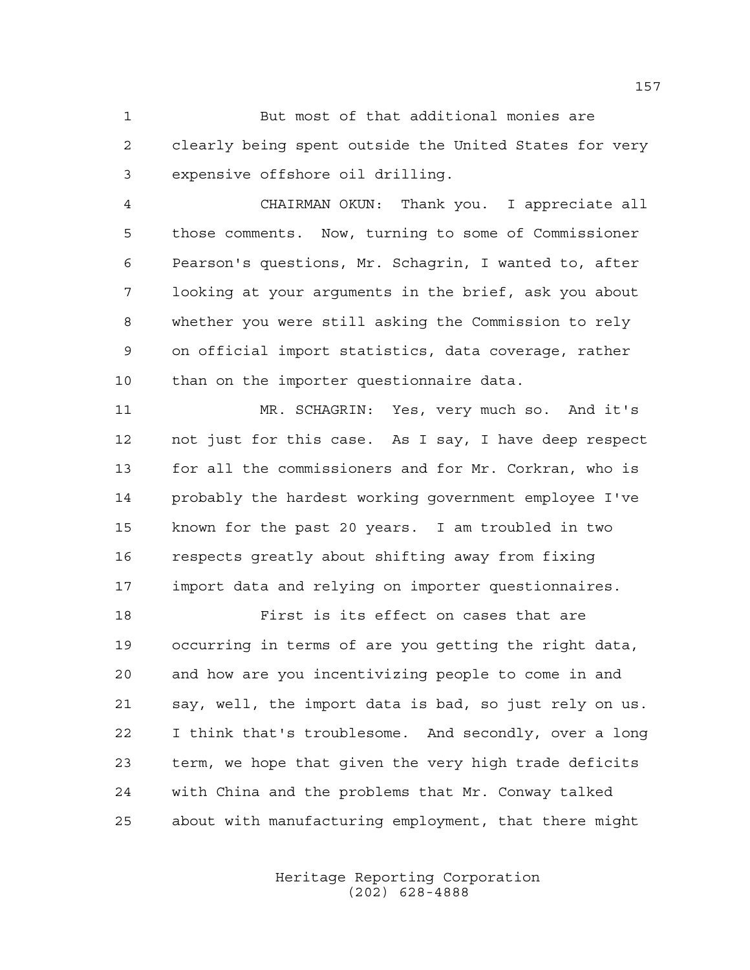But most of that additional monies are clearly being spent outside the United States for very expensive offshore oil drilling.

 CHAIRMAN OKUN: Thank you. I appreciate all those comments. Now, turning to some of Commissioner Pearson's questions, Mr. Schagrin, I wanted to, after looking at your arguments in the brief, ask you about whether you were still asking the Commission to rely on official import statistics, data coverage, rather than on the importer questionnaire data.

 MR. SCHAGRIN: Yes, very much so. And it's not just for this case. As I say, I have deep respect for all the commissioners and for Mr. Corkran, who is probably the hardest working government employee I've known for the past 20 years. I am troubled in two respects greatly about shifting away from fixing import data and relying on importer questionnaires.

 First is its effect on cases that are occurring in terms of are you getting the right data, and how are you incentivizing people to come in and say, well, the import data is bad, so just rely on us. I think that's troublesome. And secondly, over a long term, we hope that given the very high trade deficits with China and the problems that Mr. Conway talked about with manufacturing employment, that there might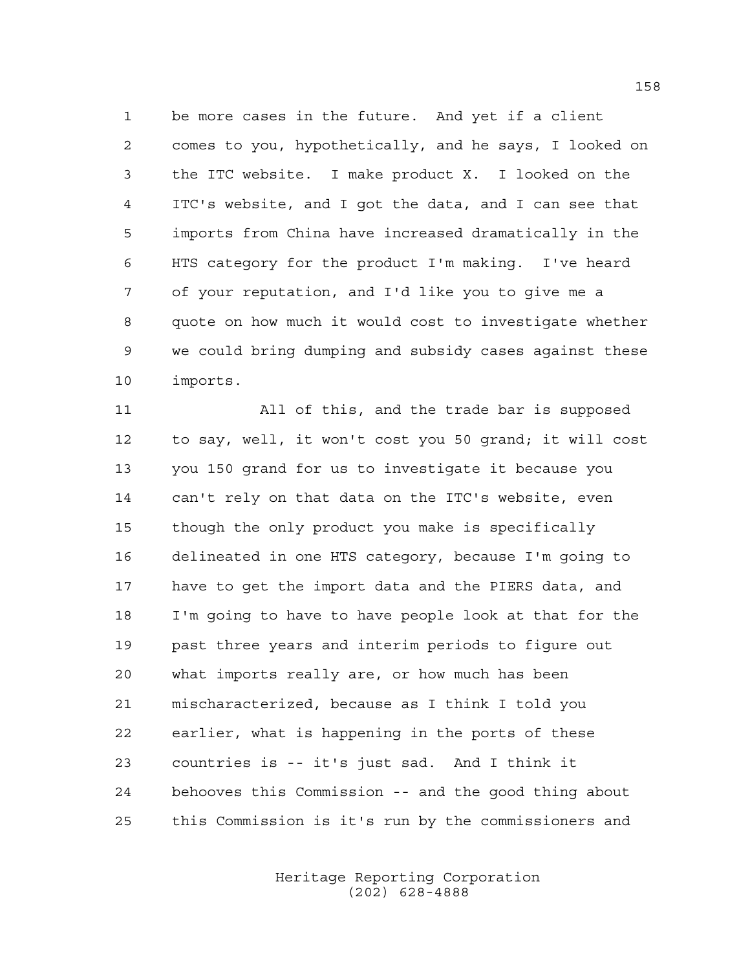be more cases in the future. And yet if a client comes to you, hypothetically, and he says, I looked on the ITC website. I make product X. I looked on the ITC's website, and I got the data, and I can see that imports from China have increased dramatically in the HTS category for the product I'm making. I've heard of your reputation, and I'd like you to give me a quote on how much it would cost to investigate whether we could bring dumping and subsidy cases against these imports.

 All of this, and the trade bar is supposed to say, well, it won't cost you 50 grand; it will cost you 150 grand for us to investigate it because you can't rely on that data on the ITC's website, even though the only product you make is specifically delineated in one HTS category, because I'm going to have to get the import data and the PIERS data, and I'm going to have to have people look at that for the past three years and interim periods to figure out what imports really are, or how much has been mischaracterized, because as I think I told you earlier, what is happening in the ports of these countries is -- it's just sad. And I think it behooves this Commission -- and the good thing about this Commission is it's run by the commissioners and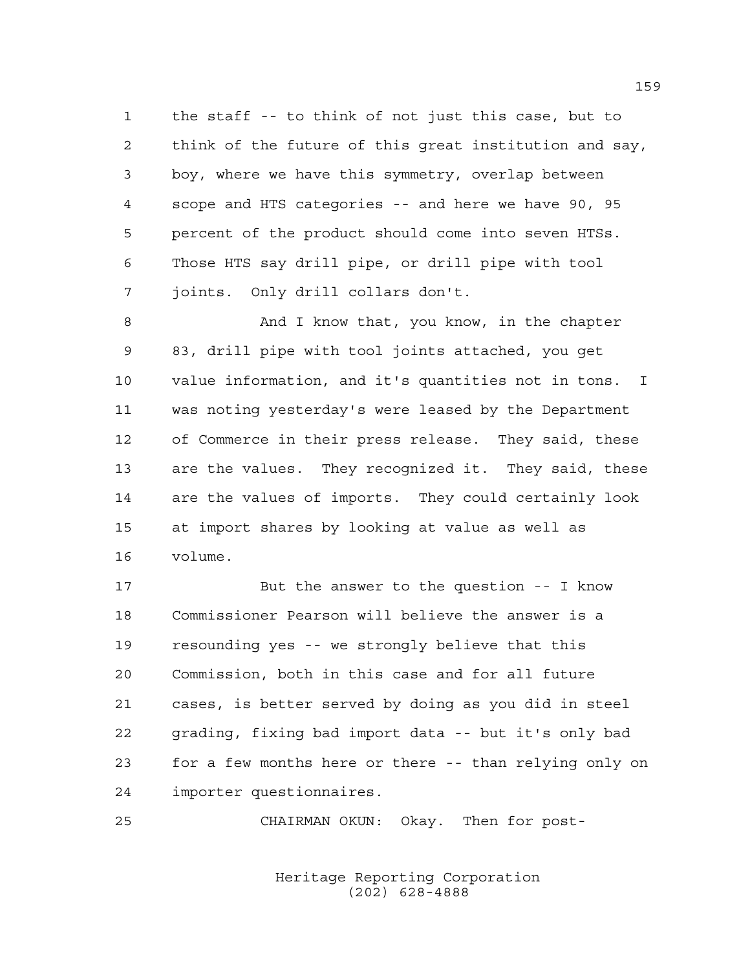the staff -- to think of not just this case, but to think of the future of this great institution and say, boy, where we have this symmetry, overlap between scope and HTS categories -- and here we have 90, 95 percent of the product should come into seven HTSs. Those HTS say drill pipe, or drill pipe with tool joints. Only drill collars don't.

8 And I know that, you know, in the chapter 83, drill pipe with tool joints attached, you get value information, and it's quantities not in tons. I was noting yesterday's were leased by the Department of Commerce in their press release. They said, these are the values. They recognized it. They said, these are the values of imports. They could certainly look at import shares by looking at value as well as volume.

 But the answer to the question -- I know Commissioner Pearson will believe the answer is a resounding yes -- we strongly believe that this Commission, both in this case and for all future cases, is better served by doing as you did in steel grading, fixing bad import data -- but it's only bad for a few months here or there -- than relying only on importer questionnaires.

CHAIRMAN OKUN: Okay. Then for post-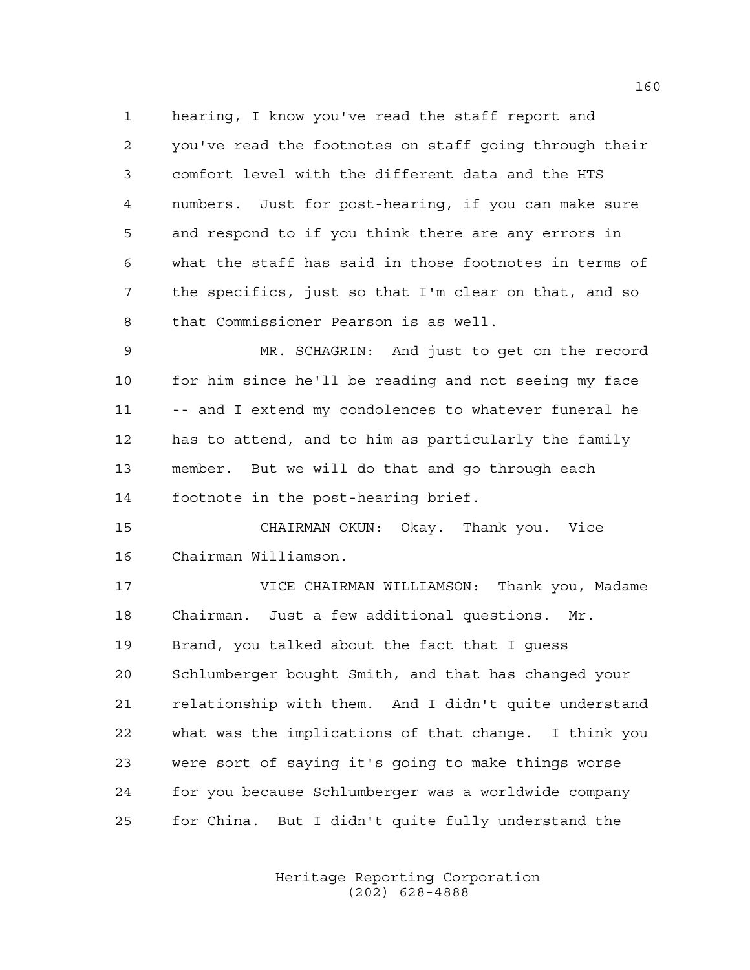hearing, I know you've read the staff report and you've read the footnotes on staff going through their comfort level with the different data and the HTS numbers. Just for post-hearing, if you can make sure and respond to if you think there are any errors in what the staff has said in those footnotes in terms of the specifics, just so that I'm clear on that, and so that Commissioner Pearson is as well.

 MR. SCHAGRIN: And just to get on the record for him since he'll be reading and not seeing my face -- and I extend my condolences to whatever funeral he has to attend, and to him as particularly the family member. But we will do that and go through each footnote in the post-hearing brief.

 CHAIRMAN OKUN: Okay. Thank you. Vice Chairman Williamson.

 VICE CHAIRMAN WILLIAMSON: Thank you, Madame Chairman. Just a few additional questions. Mr. Brand, you talked about the fact that I guess Schlumberger bought Smith, and that has changed your relationship with them. And I didn't quite understand what was the implications of that change. I think you were sort of saying it's going to make things worse for you because Schlumberger was a worldwide company for China. But I didn't quite fully understand the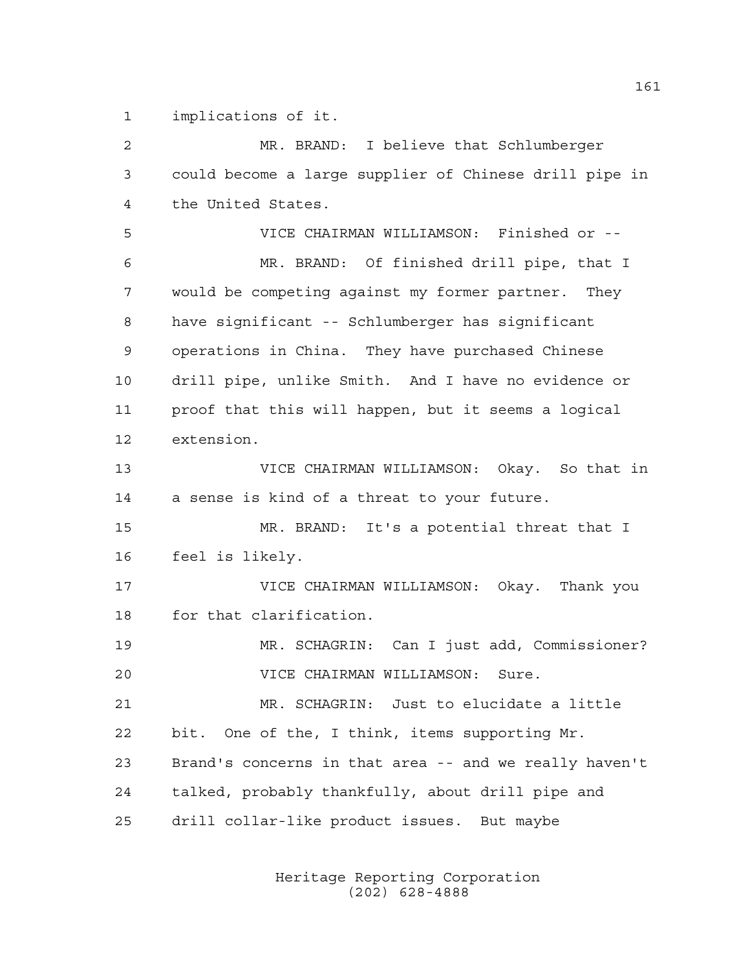implications of it.

 MR. BRAND: I believe that Schlumberger could become a large supplier of Chinese drill pipe in the United States. VICE CHAIRMAN WILLIAMSON: Finished or -- MR. BRAND: Of finished drill pipe, that I would be competing against my former partner. They have significant -- Schlumberger has significant operations in China. They have purchased Chinese drill pipe, unlike Smith. And I have no evidence or proof that this will happen, but it seems a logical extension. VICE CHAIRMAN WILLIAMSON: Okay. So that in a sense is kind of a threat to your future. MR. BRAND: It's a potential threat that I feel is likely. VICE CHAIRMAN WILLIAMSON: Okay. Thank you for that clarification. MR. SCHAGRIN: Can I just add, Commissioner? VICE CHAIRMAN WILLIAMSON: Sure. MR. SCHAGRIN: Just to elucidate a little bit. One of the, I think, items supporting Mr. Brand's concerns in that area -- and we really haven't talked, probably thankfully, about drill pipe and drill collar-like product issues. But maybe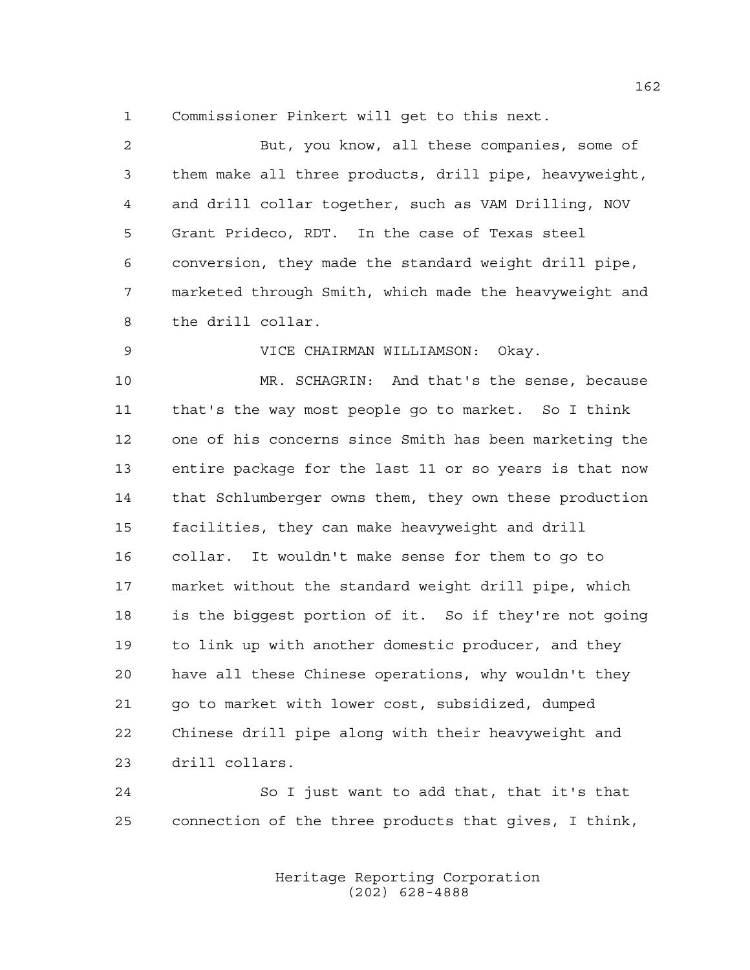Commissioner Pinkert will get to this next.

 But, you know, all these companies, some of them make all three products, drill pipe, heavyweight, and drill collar together, such as VAM Drilling, NOV Grant Prideco, RDT. In the case of Texas steel conversion, they made the standard weight drill pipe, marketed through Smith, which made the heavyweight and the drill collar.

VICE CHAIRMAN WILLIAMSON: Okay.

 MR. SCHAGRIN: And that's the sense, because that's the way most people go to market. So I think one of his concerns since Smith has been marketing the entire package for the last 11 or so years is that now that Schlumberger owns them, they own these production facilities, they can make heavyweight and drill collar. It wouldn't make sense for them to go to market without the standard weight drill pipe, which is the biggest portion of it. So if they're not going to link up with another domestic producer, and they have all these Chinese operations, why wouldn't they go to market with lower cost, subsidized, dumped Chinese drill pipe along with their heavyweight and drill collars.

 So I just want to add that, that it's that connection of the three products that gives, I think,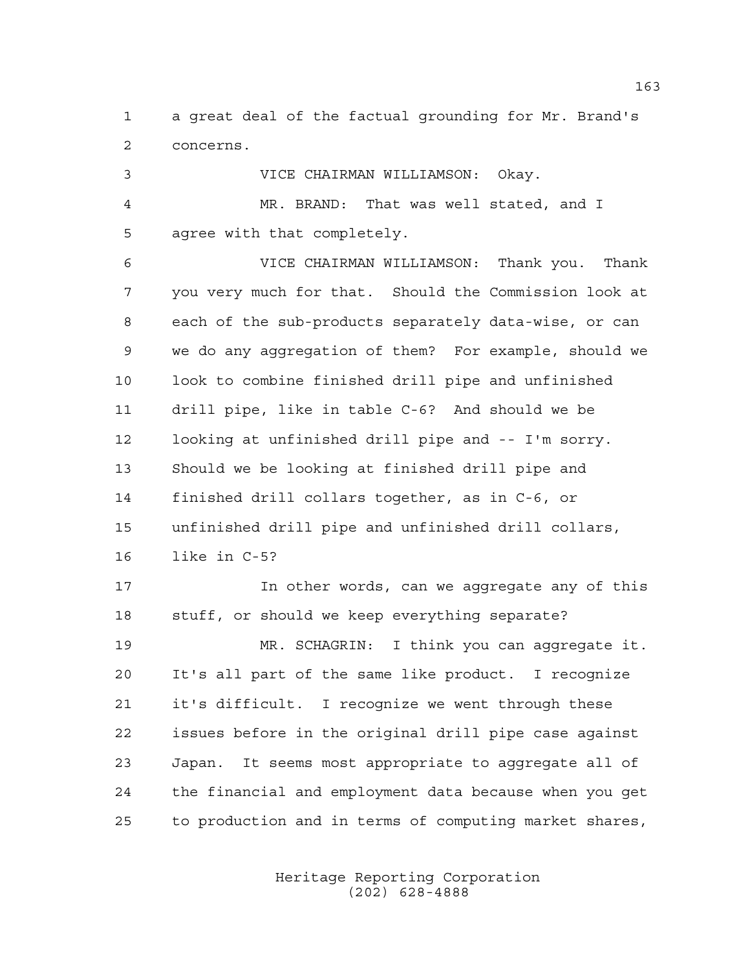a great deal of the factual grounding for Mr. Brand's concerns.

 VICE CHAIRMAN WILLIAMSON: Okay. MR. BRAND: That was well stated, and I agree with that completely. VICE CHAIRMAN WILLIAMSON: Thank you. Thank you very much for that. Should the Commission look at each of the sub-products separately data-wise, or can we do any aggregation of them? For example, should we look to combine finished drill pipe and unfinished drill pipe, like in table C-6? And should we be looking at unfinished drill pipe and -- I'm sorry. Should we be looking at finished drill pipe and finished drill collars together, as in C-6, or unfinished drill pipe and unfinished drill collars, like in C-5? In other words, can we aggregate any of this stuff, or should we keep everything separate? MR. SCHAGRIN: I think you can aggregate it.

 It's all part of the same like product. I recognize it's difficult. I recognize we went through these issues before in the original drill pipe case against Japan. It seems most appropriate to aggregate all of the financial and employment data because when you get to production and in terms of computing market shares,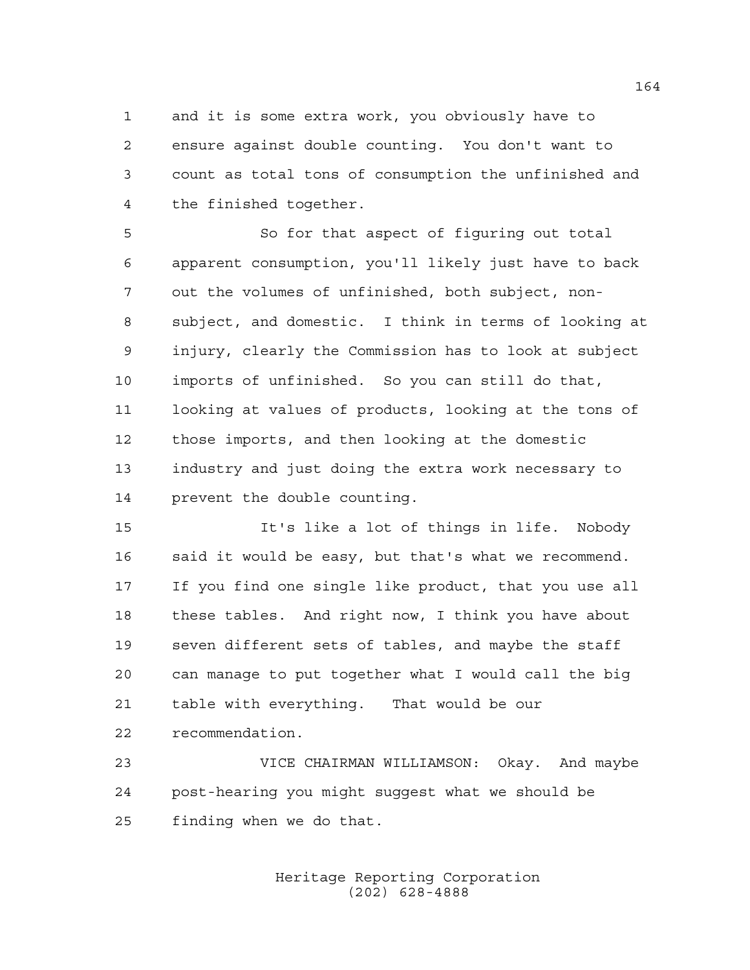and it is some extra work, you obviously have to ensure against double counting. You don't want to count as total tons of consumption the unfinished and the finished together.

 So for that aspect of figuring out total apparent consumption, you'll likely just have to back out the volumes of unfinished, both subject, non- subject, and domestic. I think in terms of looking at injury, clearly the Commission has to look at subject imports of unfinished. So you can still do that, looking at values of products, looking at the tons of those imports, and then looking at the domestic industry and just doing the extra work necessary to prevent the double counting.

 It's like a lot of things in life. Nobody said it would be easy, but that's what we recommend. If you find one single like product, that you use all these tables. And right now, I think you have about seven different sets of tables, and maybe the staff can manage to put together what I would call the big table with everything. That would be our recommendation.

 VICE CHAIRMAN WILLIAMSON: Okay. And maybe post-hearing you might suggest what we should be finding when we do that.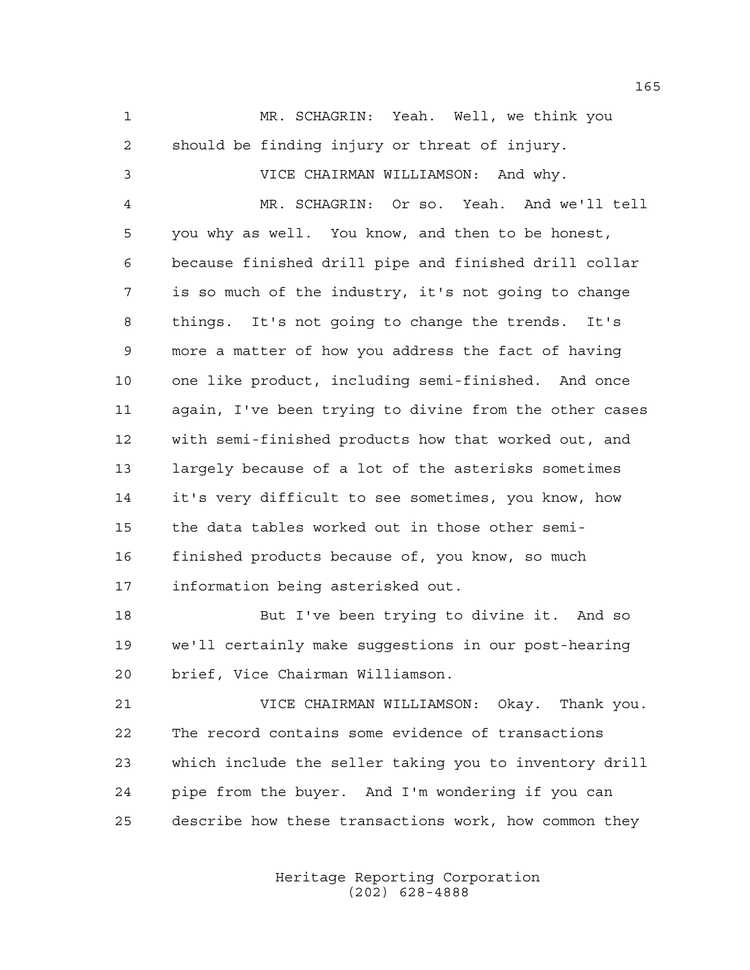MR. SCHAGRIN: Yeah. Well, we think you should be finding injury or threat of injury. VICE CHAIRMAN WILLIAMSON: And why. MR. SCHAGRIN: Or so. Yeah. And we'll tell you why as well. You know, and then to be honest, because finished drill pipe and finished drill collar is so much of the industry, it's not going to change things. It's not going to change the trends. It's more a matter of how you address the fact of having one like product, including semi-finished. And once again, I've been trying to divine from the other cases with semi-finished products how that worked out, and largely because of a lot of the asterisks sometimes it's very difficult to see sometimes, you know, how the data tables worked out in those other semi- finished products because of, you know, so much information being asterisked out. But I've been trying to divine it. And so

 we'll certainly make suggestions in our post-hearing brief, Vice Chairman Williamson.

 VICE CHAIRMAN WILLIAMSON: Okay. Thank you. The record contains some evidence of transactions which include the seller taking you to inventory drill pipe from the buyer. And I'm wondering if you can describe how these transactions work, how common they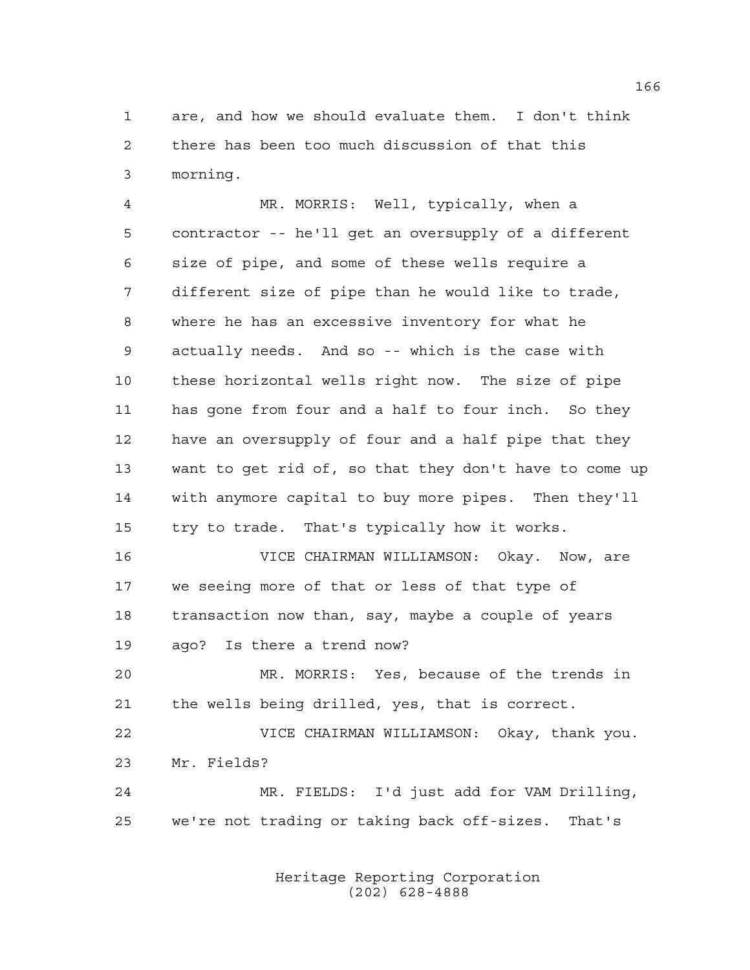are, and how we should evaluate them. I don't think there has been too much discussion of that this morning.

 MR. MORRIS: Well, typically, when a contractor -- he'll get an oversupply of a different size of pipe, and some of these wells require a different size of pipe than he would like to trade, where he has an excessive inventory for what he actually needs. And so -- which is the case with these horizontal wells right now. The size of pipe has gone from four and a half to four inch. So they have an oversupply of four and a half pipe that they want to get rid of, so that they don't have to come up with anymore capital to buy more pipes. Then they'll try to trade. That's typically how it works.

 VICE CHAIRMAN WILLIAMSON: Okay. Now, are we seeing more of that or less of that type of transaction now than, say, maybe a couple of years ago? Is there a trend now?

 MR. MORRIS: Yes, because of the trends in the wells being drilled, yes, that is correct.

 VICE CHAIRMAN WILLIAMSON: Okay, thank you. Mr. Fields?

 MR. FIELDS: I'd just add for VAM Drilling, we're not trading or taking back off-sizes. That's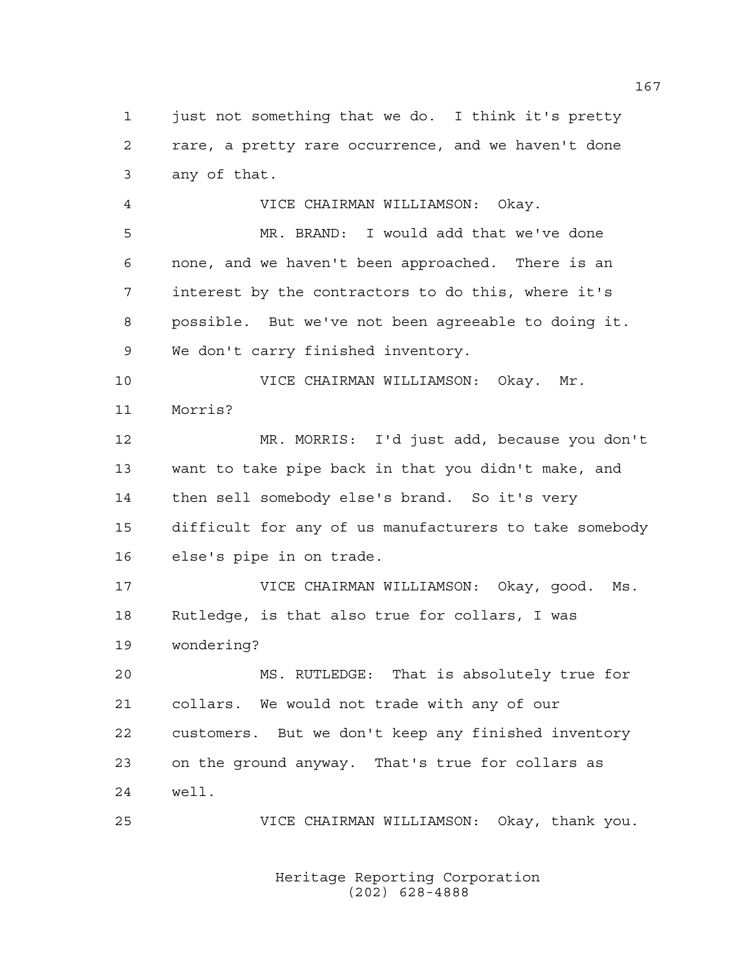just not something that we do. I think it's pretty rare, a pretty rare occurrence, and we haven't done any of that.

 VICE CHAIRMAN WILLIAMSON: Okay. MR. BRAND: I would add that we've done none, and we haven't been approached. There is an interest by the contractors to do this, where it's possible. But we've not been agreeable to doing it. We don't carry finished inventory.

 VICE CHAIRMAN WILLIAMSON: Okay. Mr. Morris?

 MR. MORRIS: I'd just add, because you don't want to take pipe back in that you didn't make, and then sell somebody else's brand. So it's very difficult for any of us manufacturers to take somebody else's pipe in on trade.

 VICE CHAIRMAN WILLIAMSON: Okay, good. Ms. Rutledge, is that also true for collars, I was wondering?

 MS. RUTLEDGE: That is absolutely true for collars. We would not trade with any of our customers. But we don't keep any finished inventory on the ground anyway. That's true for collars as well.

VICE CHAIRMAN WILLIAMSON: Okay, thank you.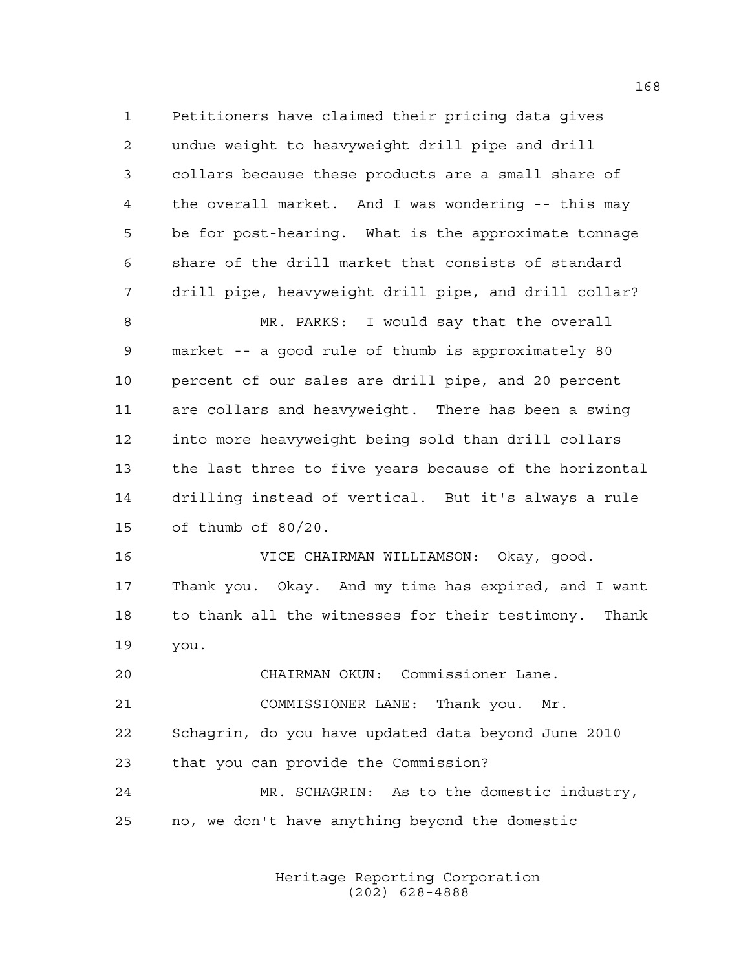Petitioners have claimed their pricing data gives undue weight to heavyweight drill pipe and drill collars because these products are a small share of the overall market. And I was wondering -- this may be for post-hearing. What is the approximate tonnage share of the drill market that consists of standard drill pipe, heavyweight drill pipe, and drill collar? MR. PARKS: I would say that the overall market -- a good rule of thumb is approximately 80 percent of our sales are drill pipe, and 20 percent are collars and heavyweight. There has been a swing into more heavyweight being sold than drill collars the last three to five years because of the horizontal drilling instead of vertical. But it's always a rule of thumb of 80/20. VICE CHAIRMAN WILLIAMSON: Okay, good. Thank you. Okay. And my time has expired, and I want to thank all the witnesses for their testimony. Thank you.

CHAIRMAN OKUN: Commissioner Lane.

COMMISSIONER LANE: Thank you. Mr.

 Schagrin, do you have updated data beyond June 2010 that you can provide the Commission?

 MR. SCHAGRIN: As to the domestic industry, no, we don't have anything beyond the domestic

> Heritage Reporting Corporation (202) 628-4888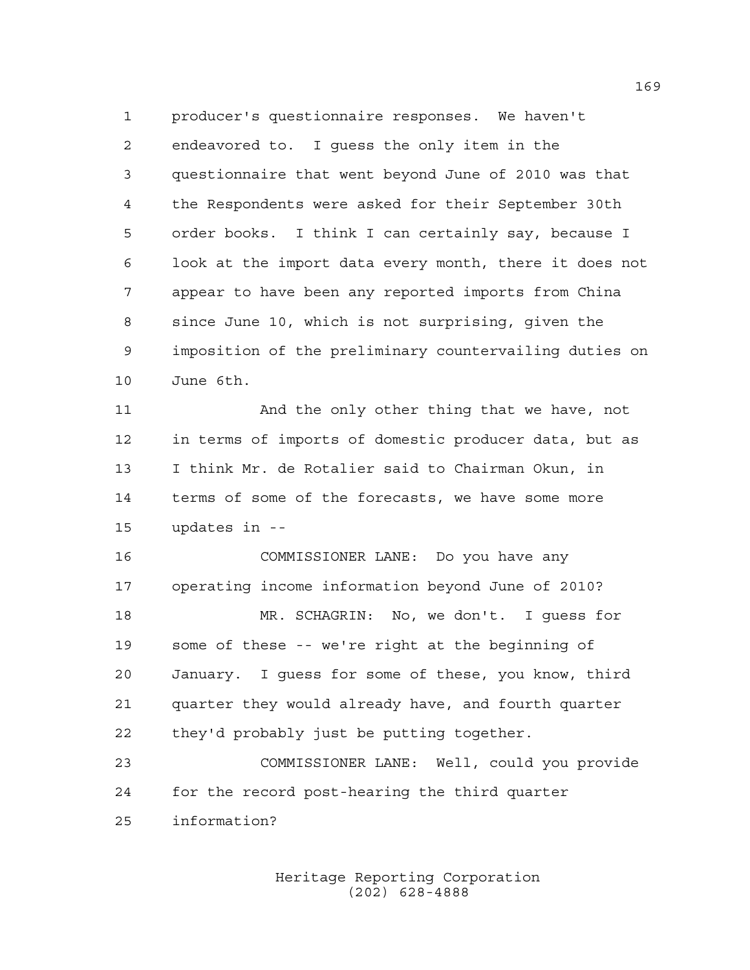producer's questionnaire responses. We haven't endeavored to. I guess the only item in the questionnaire that went beyond June of 2010 was that the Respondents were asked for their September 30th order books. I think I can certainly say, because I look at the import data every month, there it does not appear to have been any reported imports from China since June 10, which is not surprising, given the imposition of the preliminary countervailing duties on June 6th.

11 And the only other thing that we have, not in terms of imports of domestic producer data, but as I think Mr. de Rotalier said to Chairman Okun, in terms of some of the forecasts, we have some more updates in --

 COMMISSIONER LANE: Do you have any operating income information beyond June of 2010? MR. SCHAGRIN: No, we don't. I guess for some of these -- we're right at the beginning of January. I guess for some of these, you know, third quarter they would already have, and fourth quarter they'd probably just be putting together.

 COMMISSIONER LANE: Well, could you provide for the record post-hearing the third quarter information?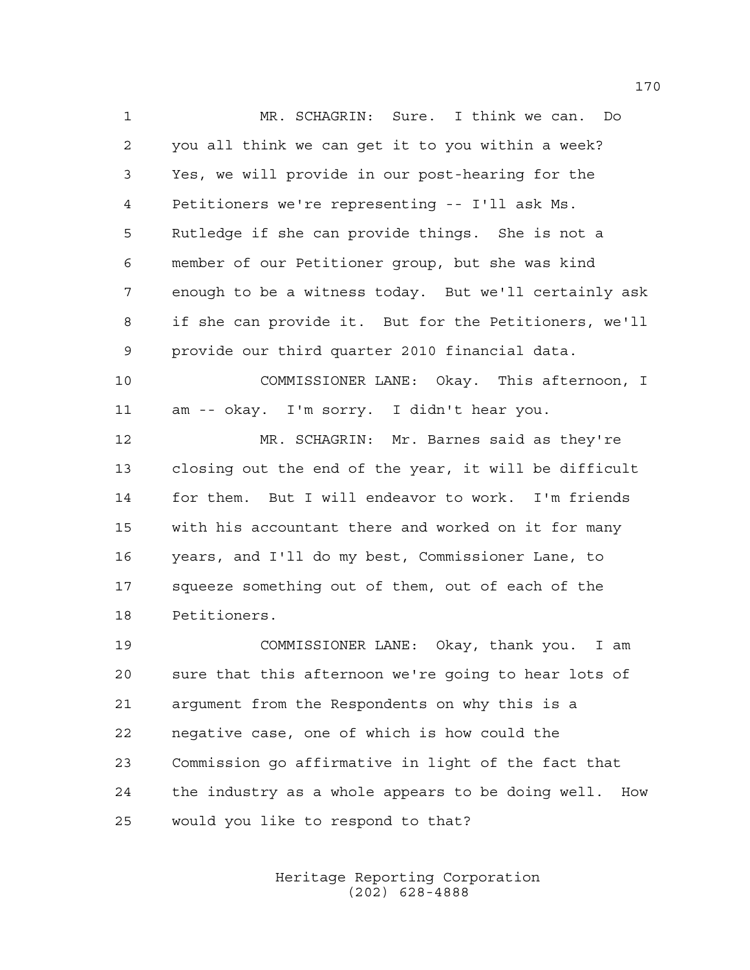MR. SCHAGRIN: Sure. I think we can. Do you all think we can get it to you within a week? Yes, we will provide in our post-hearing for the Petitioners we're representing -- I'll ask Ms. Rutledge if she can provide things. She is not a member of our Petitioner group, but she was kind enough to be a witness today. But we'll certainly ask if she can provide it. But for the Petitioners, we'll provide our third quarter 2010 financial data. COMMISSIONER LANE: Okay. This afternoon, I am -- okay. I'm sorry. I didn't hear you. MR. SCHAGRIN: Mr. Barnes said as they're closing out the end of the year, it will be difficult for them. But I will endeavor to work. I'm friends with his accountant there and worked on it for many years, and I'll do my best, Commissioner Lane, to

 squeeze something out of them, out of each of the Petitioners.

 COMMISSIONER LANE: Okay, thank you. I am sure that this afternoon we're going to hear lots of argument from the Respondents on why this is a negative case, one of which is how could the Commission go affirmative in light of the fact that the industry as a whole appears to be doing well. How would you like to respond to that?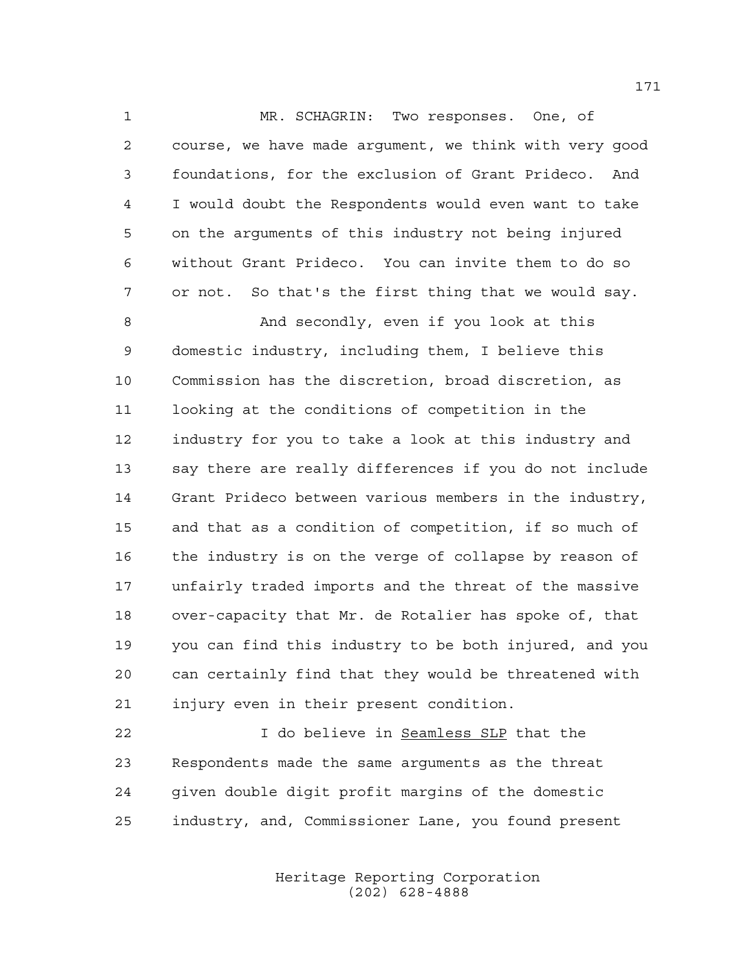MR. SCHAGRIN: Two responses. One, of course, we have made argument, we think with very good foundations, for the exclusion of Grant Prideco. And I would doubt the Respondents would even want to take on the arguments of this industry not being injured without Grant Prideco. You can invite them to do so or not. So that's the first thing that we would say.

 And secondly, even if you look at this domestic industry, including them, I believe this Commission has the discretion, broad discretion, as looking at the conditions of competition in the industry for you to take a look at this industry and say there are really differences if you do not include Grant Prideco between various members in the industry, and that as a condition of competition, if so much of the industry is on the verge of collapse by reason of unfairly traded imports and the threat of the massive over-capacity that Mr. de Rotalier has spoke of, that you can find this industry to be both injured, and you can certainly find that they would be threatened with injury even in their present condition.

 I do believe in Seamless SLP that the Respondents made the same arguments as the threat given double digit profit margins of the domestic industry, and, Commissioner Lane, you found present

> Heritage Reporting Corporation (202) 628-4888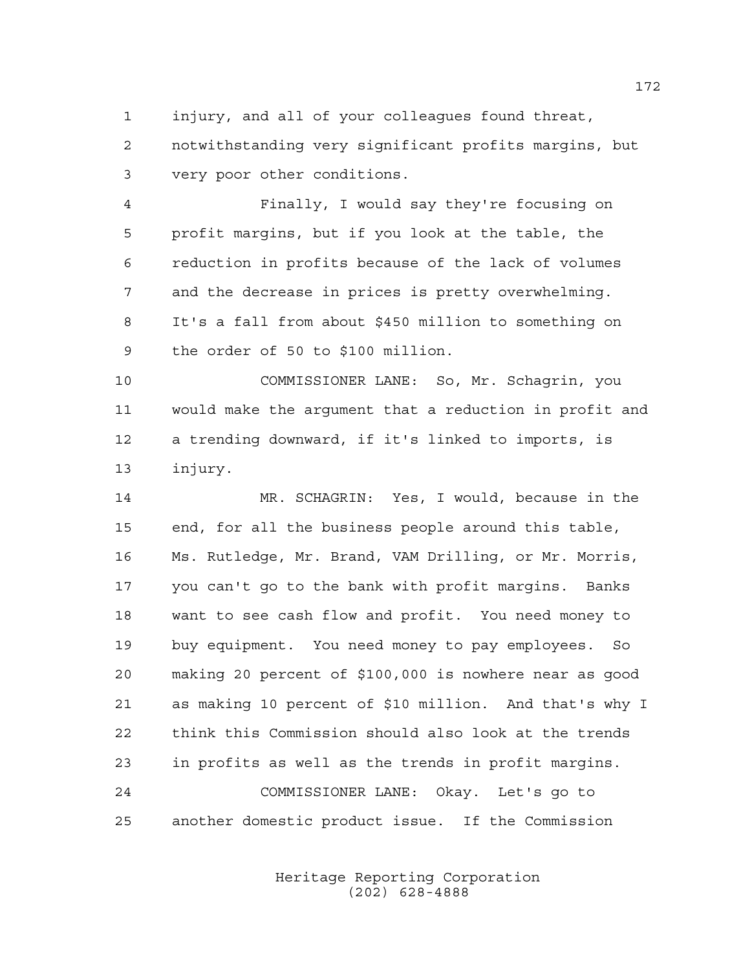injury, and all of your colleagues found threat, notwithstanding very significant profits margins, but very poor other conditions.

 Finally, I would say they're focusing on profit margins, but if you look at the table, the reduction in profits because of the lack of volumes and the decrease in prices is pretty overwhelming. It's a fall from about \$450 million to something on the order of 50 to \$100 million.

 COMMISSIONER LANE: So, Mr. Schagrin, you would make the argument that a reduction in profit and a trending downward, if it's linked to imports, is injury.

 MR. SCHAGRIN: Yes, I would, because in the end, for all the business people around this table, Ms. Rutledge, Mr. Brand, VAM Drilling, or Mr. Morris, you can't go to the bank with profit margins. Banks want to see cash flow and profit. You need money to buy equipment. You need money to pay employees. So making 20 percent of \$100,000 is nowhere near as good as making 10 percent of \$10 million. And that's why I think this Commission should also look at the trends in profits as well as the trends in profit margins. COMMISSIONER LANE: Okay. Let's go to another domestic product issue. If the Commission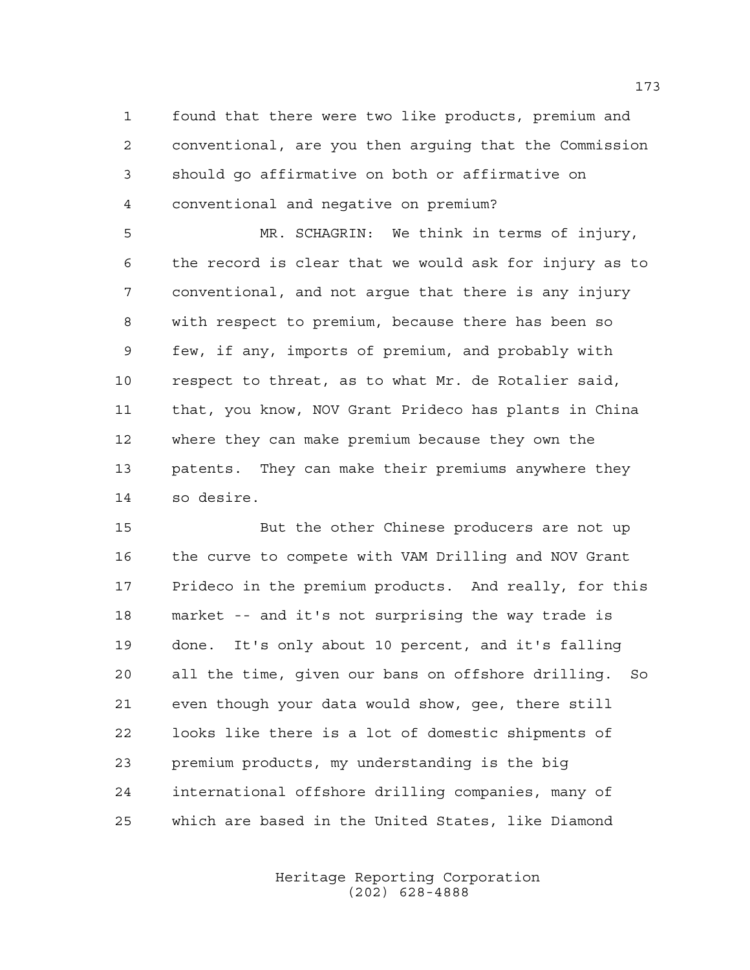found that there were two like products, premium and conventional, are you then arguing that the Commission should go affirmative on both or affirmative on conventional and negative on premium?

 MR. SCHAGRIN: We think in terms of injury, the record is clear that we would ask for injury as to conventional, and not argue that there is any injury with respect to premium, because there has been so few, if any, imports of premium, and probably with respect to threat, as to what Mr. de Rotalier said, that, you know, NOV Grant Prideco has plants in China where they can make premium because they own the patents. They can make their premiums anywhere they so desire.

 But the other Chinese producers are not up the curve to compete with VAM Drilling and NOV Grant Prideco in the premium products. And really, for this market -- and it's not surprising the way trade is done. It's only about 10 percent, and it's falling all the time, given our bans on offshore drilling. So even though your data would show, gee, there still looks like there is a lot of domestic shipments of premium products, my understanding is the big international offshore drilling companies, many of which are based in the United States, like Diamond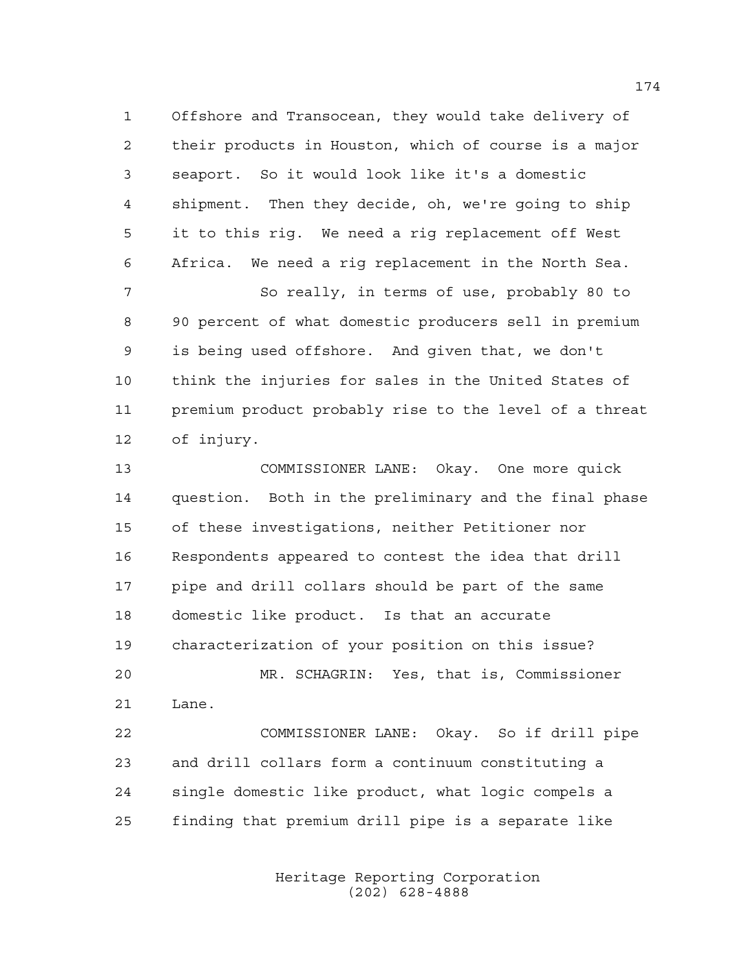Offshore and Transocean, they would take delivery of their products in Houston, which of course is a major seaport. So it would look like it's a domestic shipment. Then they decide, oh, we're going to ship it to this rig. We need a rig replacement off West Africa. We need a rig replacement in the North Sea.

 So really, in terms of use, probably 80 to 90 percent of what domestic producers sell in premium is being used offshore. And given that, we don't think the injuries for sales in the United States of premium product probably rise to the level of a threat of injury.

 COMMISSIONER LANE: Okay. One more quick question. Both in the preliminary and the final phase of these investigations, neither Petitioner nor Respondents appeared to contest the idea that drill pipe and drill collars should be part of the same domestic like product. Is that an accurate characterization of your position on this issue? MR. SCHAGRIN: Yes, that is, Commissioner Lane.

 COMMISSIONER LANE: Okay. So if drill pipe and drill collars form a continuum constituting a single domestic like product, what logic compels a finding that premium drill pipe is a separate like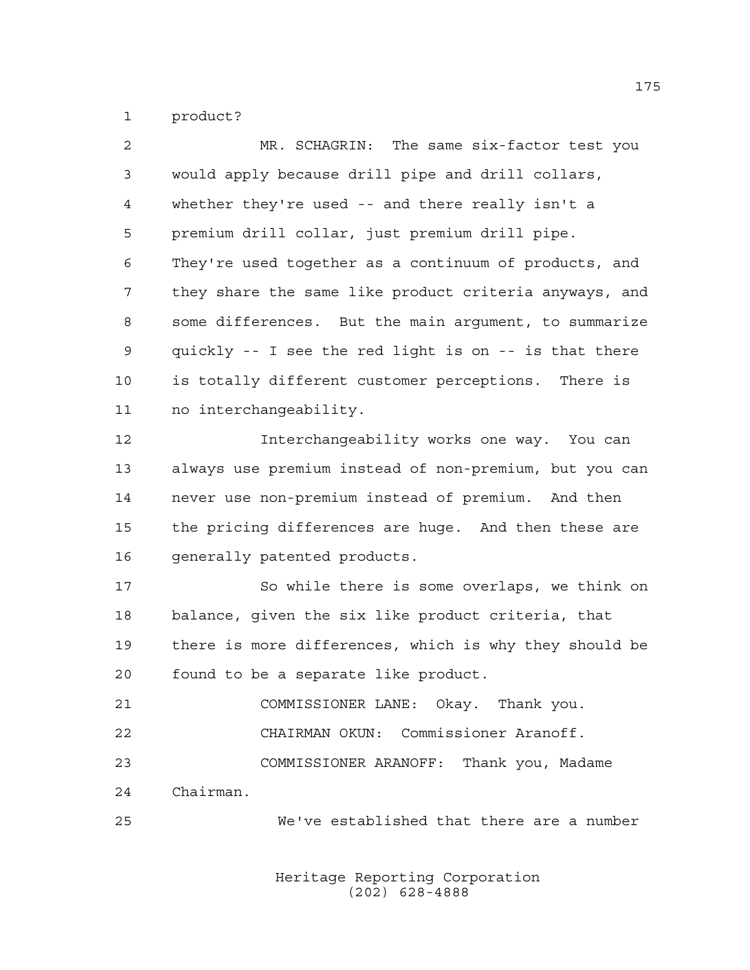product?

| MR. SCHAGRIN: The same six-factor test you             |
|--------------------------------------------------------|
| would apply because drill pipe and drill collars,      |
| whether they're used -- and there really isn't a       |
| premium drill collar, just premium drill pipe.         |
| They're used together as a continuum of products, and  |
| they share the same like product criteria anyways, and |
| some differences. But the main argument, to summarize  |
| quickly -- I see the red light is on -- is that there  |
| is totally different customer perceptions. There is    |
| no interchangeability.                                 |
| Interchangeability works one way. You can              |
| always use premium instead of non-premium, but you can |
| never use non-premium instead of premium. And then     |
| the pricing differences are huge. And then these are   |
| generally patented products.                           |
| So while there is some overlaps, we think on           |
| balance, given the six like product criteria, that     |
| there is more differences, which is why they should be |
| found to be a separate like product.                   |
| COMMISSIONER LANE: Okay. Thank you.                    |
| CHAIRMAN OKUN: Commissioner Aranoff.                   |
| COMMISSIONER ARANOFF: Thank you, Madame                |
| Chairman.                                              |
| We've established that there are a number              |
|                                                        |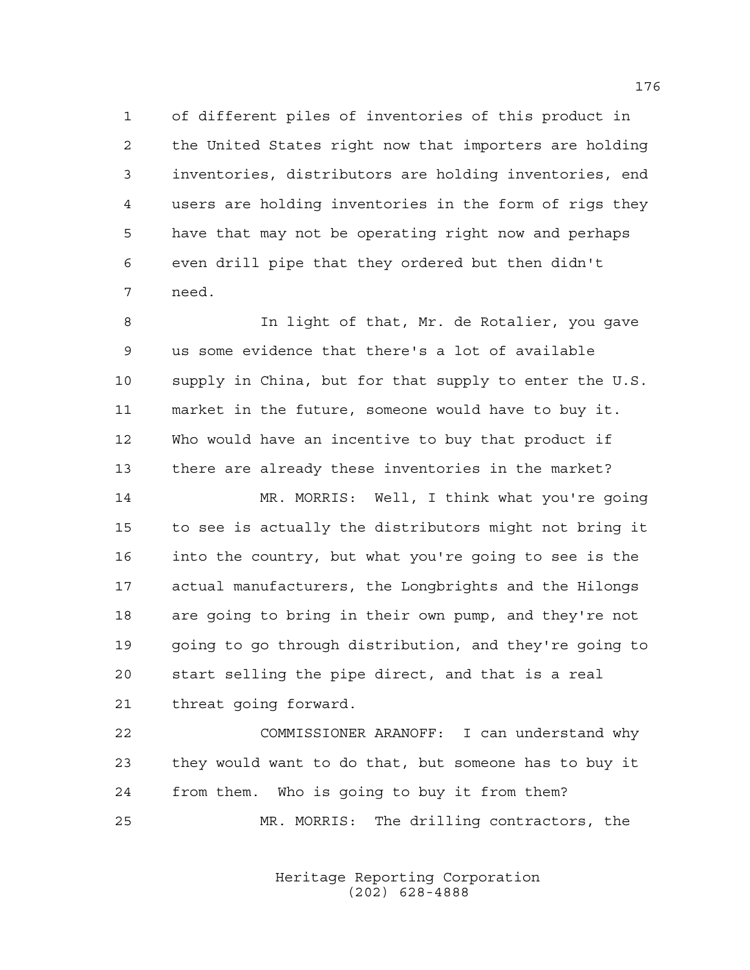of different piles of inventories of this product in the United States right now that importers are holding inventories, distributors are holding inventories, end users are holding inventories in the form of rigs they have that may not be operating right now and perhaps even drill pipe that they ordered but then didn't need.

 In light of that, Mr. de Rotalier, you gave us some evidence that there's a lot of available supply in China, but for that supply to enter the U.S. market in the future, someone would have to buy it. Who would have an incentive to buy that product if there are already these inventories in the market?

 MR. MORRIS: Well, I think what you're going to see is actually the distributors might not bring it into the country, but what you're going to see is the actual manufacturers, the Longbrights and the Hilongs are going to bring in their own pump, and they're not going to go through distribution, and they're going to start selling the pipe direct, and that is a real threat going forward.

 COMMISSIONER ARANOFF: I can understand why they would want to do that, but someone has to buy it from them. Who is going to buy it from them? MR. MORRIS: The drilling contractors, the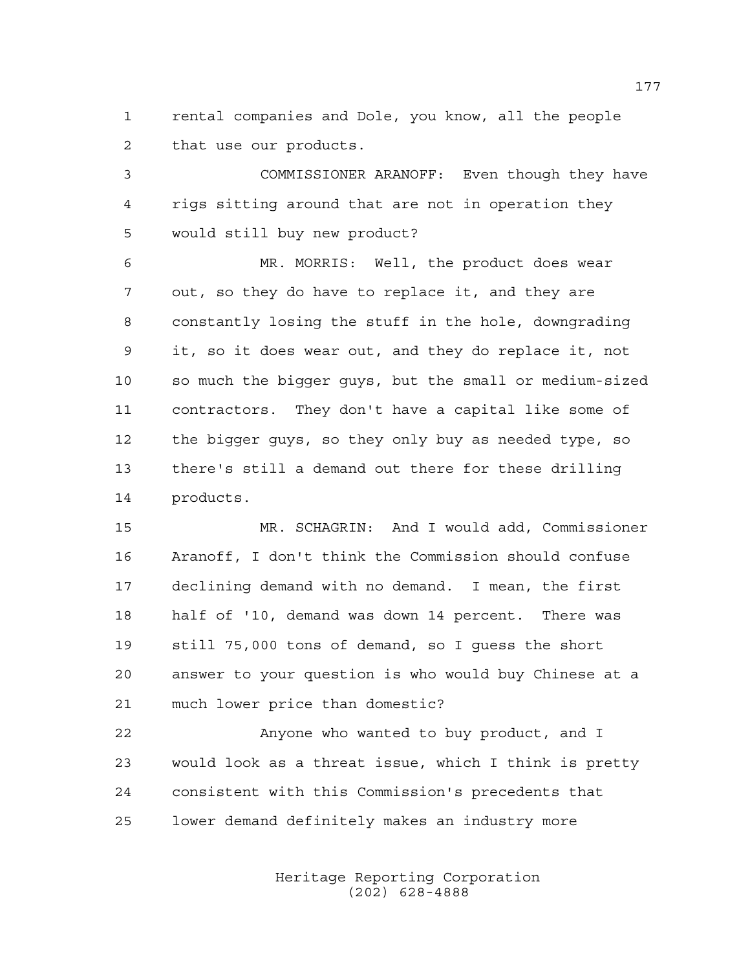rental companies and Dole, you know, all the people that use our products.

 COMMISSIONER ARANOFF: Even though they have rigs sitting around that are not in operation they would still buy new product?

 MR. MORRIS: Well, the product does wear out, so they do have to replace it, and they are constantly losing the stuff in the hole, downgrading it, so it does wear out, and they do replace it, not so much the bigger guys, but the small or medium-sized contractors. They don't have a capital like some of the bigger guys, so they only buy as needed type, so there's still a demand out there for these drilling products.

 MR. SCHAGRIN: And I would add, Commissioner Aranoff, I don't think the Commission should confuse declining demand with no demand. I mean, the first half of '10, demand was down 14 percent. There was still 75,000 tons of demand, so I guess the short answer to your question is who would buy Chinese at a much lower price than domestic?

 Anyone who wanted to buy product, and I would look as a threat issue, which I think is pretty consistent with this Commission's precedents that lower demand definitely makes an industry more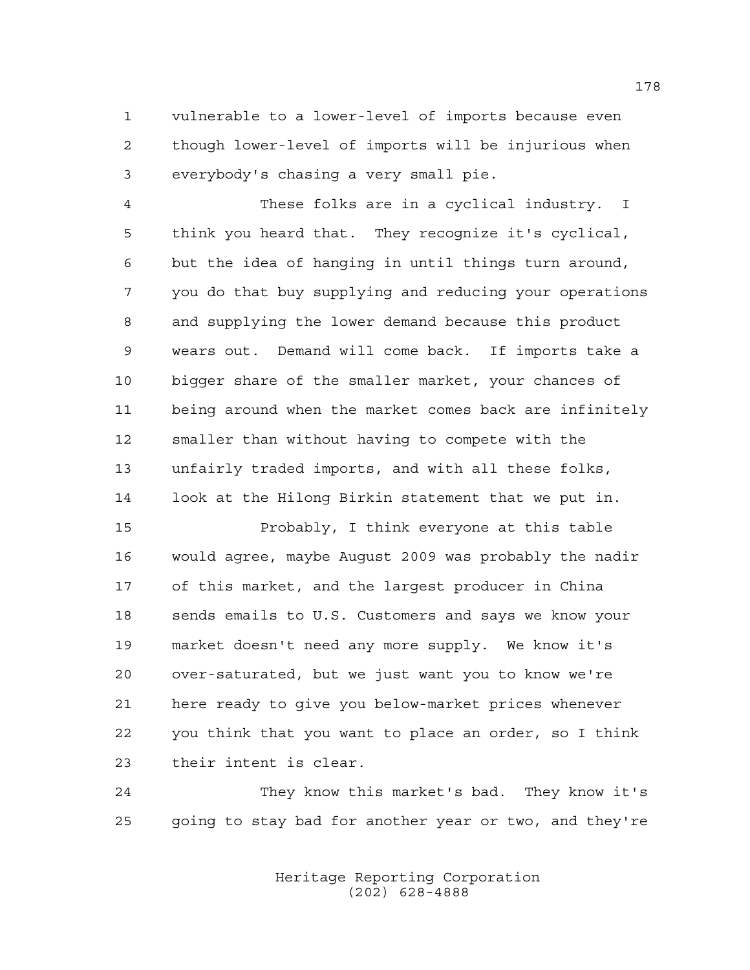vulnerable to a lower-level of imports because even though lower-level of imports will be injurious when everybody's chasing a very small pie.

 These folks are in a cyclical industry. I think you heard that. They recognize it's cyclical, but the idea of hanging in until things turn around, you do that buy supplying and reducing your operations and supplying the lower demand because this product wears out. Demand will come back. If imports take a bigger share of the smaller market, your chances of being around when the market comes back are infinitely smaller than without having to compete with the unfairly traded imports, and with all these folks, look at the Hilong Birkin statement that we put in.

 Probably, I think everyone at this table would agree, maybe August 2009 was probably the nadir of this market, and the largest producer in China sends emails to U.S. Customers and says we know your market doesn't need any more supply. We know it's over-saturated, but we just want you to know we're here ready to give you below-market prices whenever you think that you want to place an order, so I think their intent is clear.

 They know this market's bad. They know it's going to stay bad for another year or two, and they're

> Heritage Reporting Corporation (202) 628-4888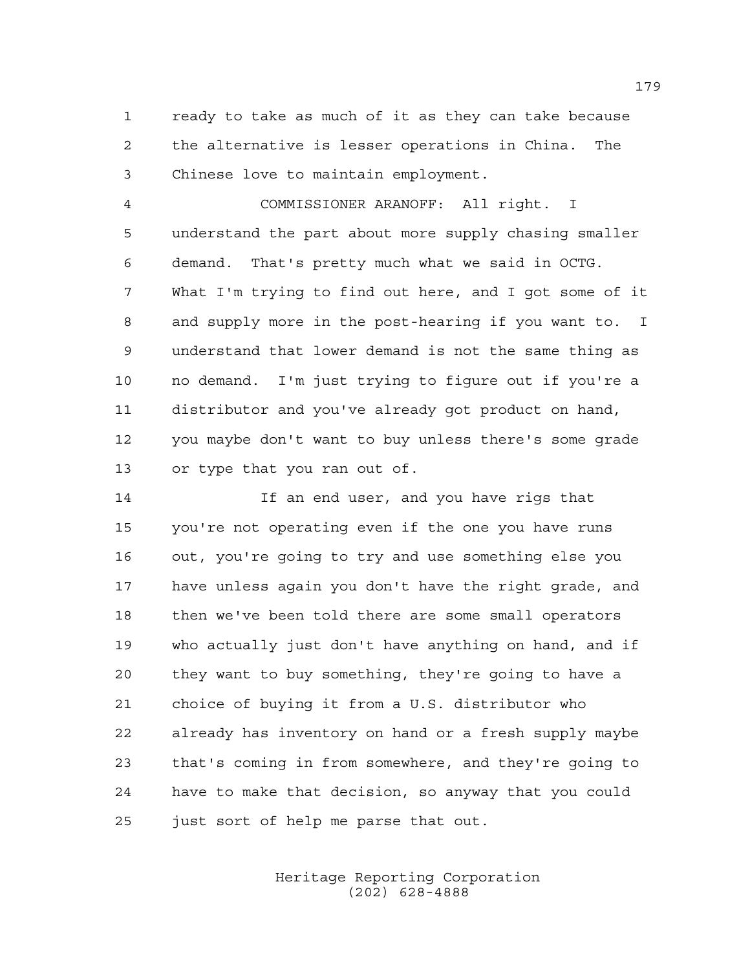ready to take as much of it as they can take because the alternative is lesser operations in China. The Chinese love to maintain employment.

 COMMISSIONER ARANOFF: All right. I understand the part about more supply chasing smaller demand. That's pretty much what we said in OCTG. What I'm trying to find out here, and I got some of it and supply more in the post-hearing if you want to. I understand that lower demand is not the same thing as no demand. I'm just trying to figure out if you're a distributor and you've already got product on hand, you maybe don't want to buy unless there's some grade or type that you ran out of.

 If an end user, and you have rigs that you're not operating even if the one you have runs out, you're going to try and use something else you have unless again you don't have the right grade, and then we've been told there are some small operators who actually just don't have anything on hand, and if they want to buy something, they're going to have a choice of buying it from a U.S. distributor who already has inventory on hand or a fresh supply maybe that's coming in from somewhere, and they're going to have to make that decision, so anyway that you could just sort of help me parse that out.

> Heritage Reporting Corporation (202) 628-4888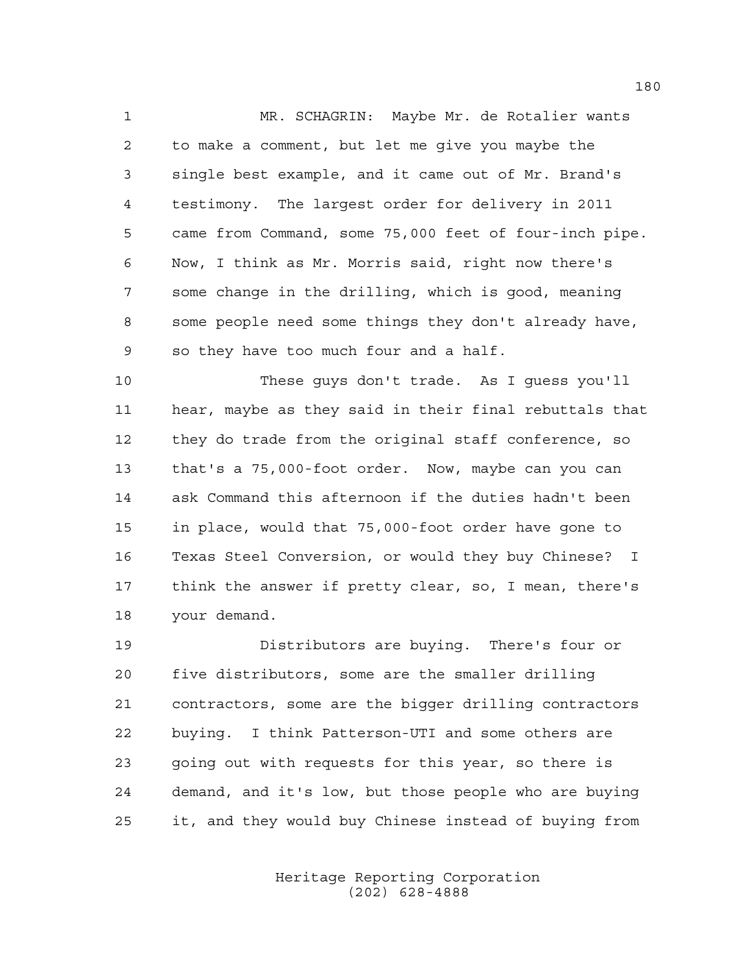MR. SCHAGRIN: Maybe Mr. de Rotalier wants to make a comment, but let me give you maybe the single best example, and it came out of Mr. Brand's testimony. The largest order for delivery in 2011 came from Command, some 75,000 feet of four-inch pipe. Now, I think as Mr. Morris said, right now there's some change in the drilling, which is good, meaning some people need some things they don't already have, so they have too much four and a half.

 These guys don't trade. As I guess you'll hear, maybe as they said in their final rebuttals that they do trade from the original staff conference, so that's a 75,000-foot order. Now, maybe can you can ask Command this afternoon if the duties hadn't been in place, would that 75,000-foot order have gone to Texas Steel Conversion, or would they buy Chinese? I think the answer if pretty clear, so, I mean, there's your demand.

 Distributors are buying. There's four or five distributors, some are the smaller drilling contractors, some are the bigger drilling contractors buying. I think Patterson-UTI and some others are going out with requests for this year, so there is demand, and it's low, but those people who are buying it, and they would buy Chinese instead of buying from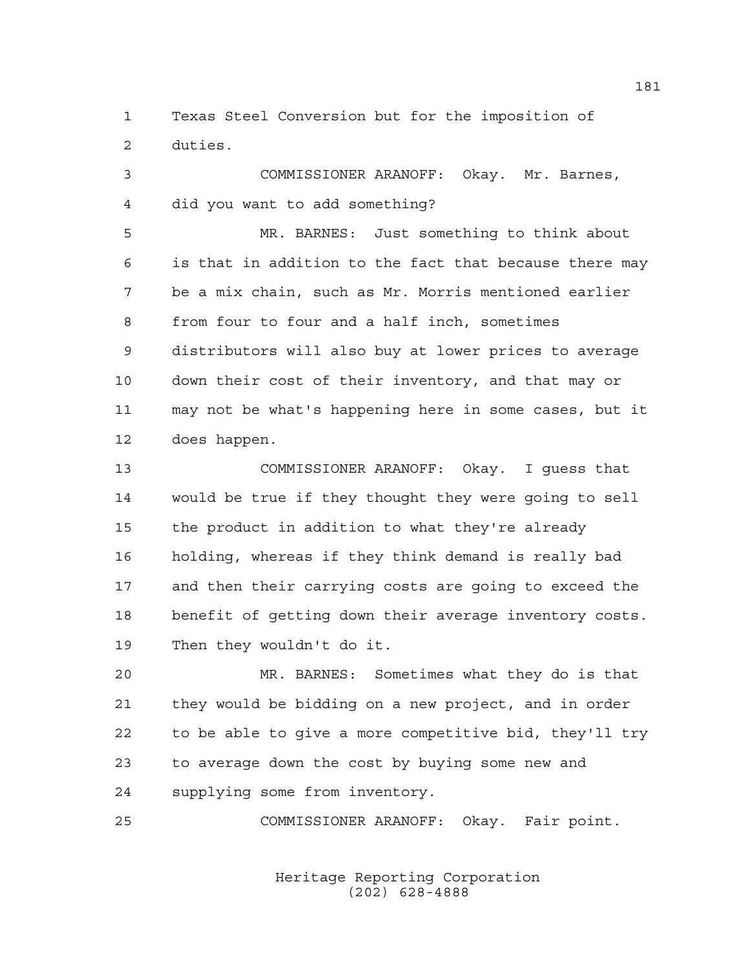Texas Steel Conversion but for the imposition of duties.

 COMMISSIONER ARANOFF: Okay. Mr. Barnes, did you want to add something?

 MR. BARNES: Just something to think about is that in addition to the fact that because there may be a mix chain, such as Mr. Morris mentioned earlier from four to four and a half inch, sometimes distributors will also buy at lower prices to average down their cost of their inventory, and that may or may not be what's happening here in some cases, but it does happen.

 COMMISSIONER ARANOFF: Okay. I guess that would be true if they thought they were going to sell the product in addition to what they're already holding, whereas if they think demand is really bad and then their carrying costs are going to exceed the benefit of getting down their average inventory costs. Then they wouldn't do it.

 MR. BARNES: Sometimes what they do is that they would be bidding on a new project, and in order to be able to give a more competitive bid, they'll try to average down the cost by buying some new and supplying some from inventory.

COMMISSIONER ARANOFF: Okay. Fair point.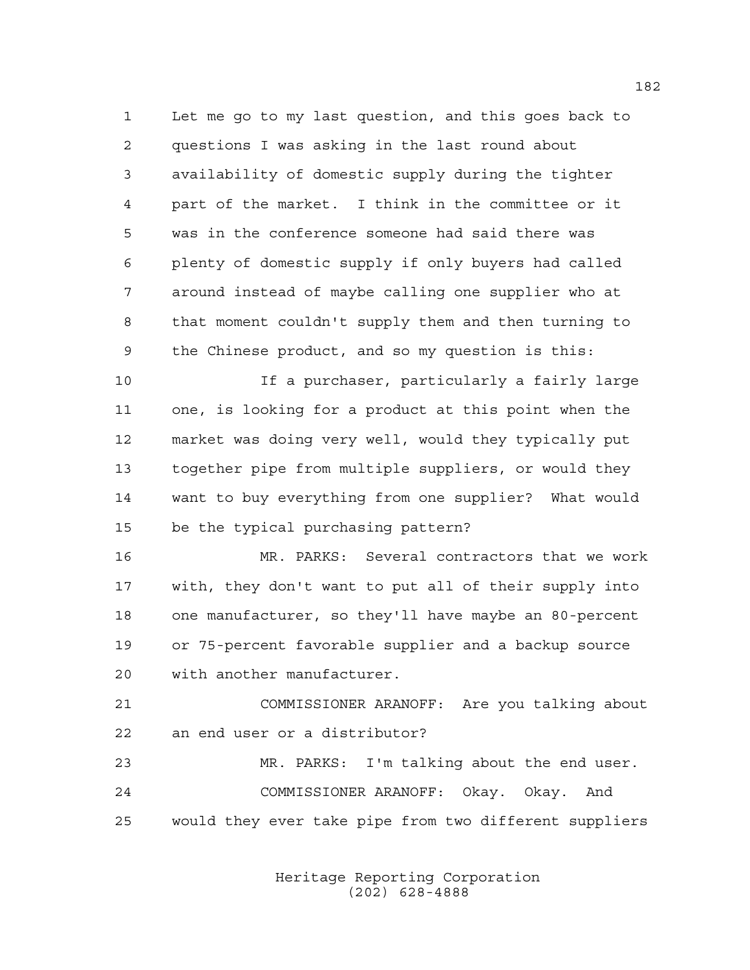Let me go to my last question, and this goes back to questions I was asking in the last round about availability of domestic supply during the tighter part of the market. I think in the committee or it was in the conference someone had said there was plenty of domestic supply if only buyers had called around instead of maybe calling one supplier who at that moment couldn't supply them and then turning to the Chinese product, and so my question is this:

 If a purchaser, particularly a fairly large one, is looking for a product at this point when the market was doing very well, would they typically put together pipe from multiple suppliers, or would they want to buy everything from one supplier? What would be the typical purchasing pattern?

 MR. PARKS: Several contractors that we work with, they don't want to put all of their supply into one manufacturer, so they'll have maybe an 80-percent or 75-percent favorable supplier and a backup source with another manufacturer.

 COMMISSIONER ARANOFF: Are you talking about an end user or a distributor?

 MR. PARKS: I'm talking about the end user. COMMISSIONER ARANOFF: Okay. Okay. And would they ever take pipe from two different suppliers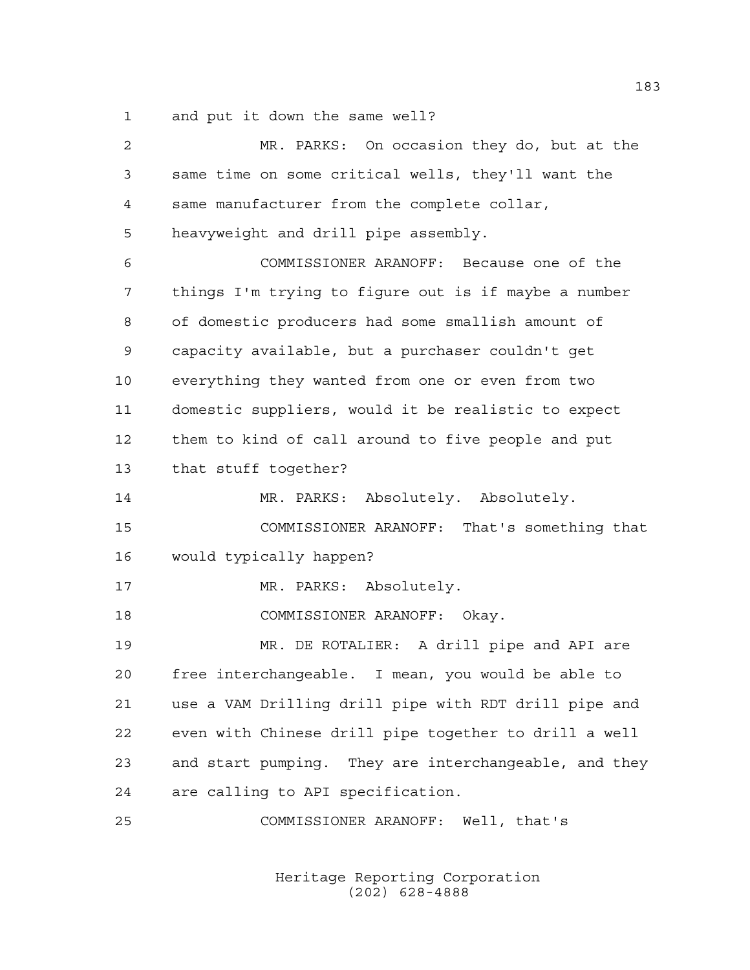and put it down the same well?

| $\overline{a}$ | MR. PARKS: On occasion they do, but at the            |
|----------------|-------------------------------------------------------|
| 3              | same time on some critical wells, they'll want the    |
| 4              | same manufacturer from the complete collar,           |
| 5              | heavyweight and drill pipe assembly.                  |
| 6              | COMMISSIONER ARANOFF: Because one of the              |
| 7              | things I'm trying to figure out is if maybe a number  |
| 8              | of domestic producers had some smallish amount of     |
| 9              | capacity available, but a purchaser couldn't get      |
| 10             | everything they wanted from one or even from two      |
| 11             | domestic suppliers, would it be realistic to expect   |
| 12             | them to kind of call around to five people and put    |
| 13             | that stuff together?                                  |
| 14             | MR. PARKS: Absolutely. Absolutely.                    |
| 15             | COMMISSIONER ARANOFF: That's something that           |
| 16             | would typically happen?                               |
| 17             | MR. PARKS: Absolutely.                                |
| 18             | COMMISSIONER ARANOFF: Okay.                           |
| 19             | MR. DE ROTALIER: A drill pipe and API are             |
| 20             | free interchangeable. I mean, you would be able to    |
| 21             | use a VAM Drilling drill pipe with RDT drill pipe and |
| 22             | even with Chinese drill pipe together to drill a well |
| 23             | and start pumping. They are interchangeable, and they |
| 24             | are calling to API specification.                     |
| 25             | COMMISSIONER ARANOFF: Well, that's                    |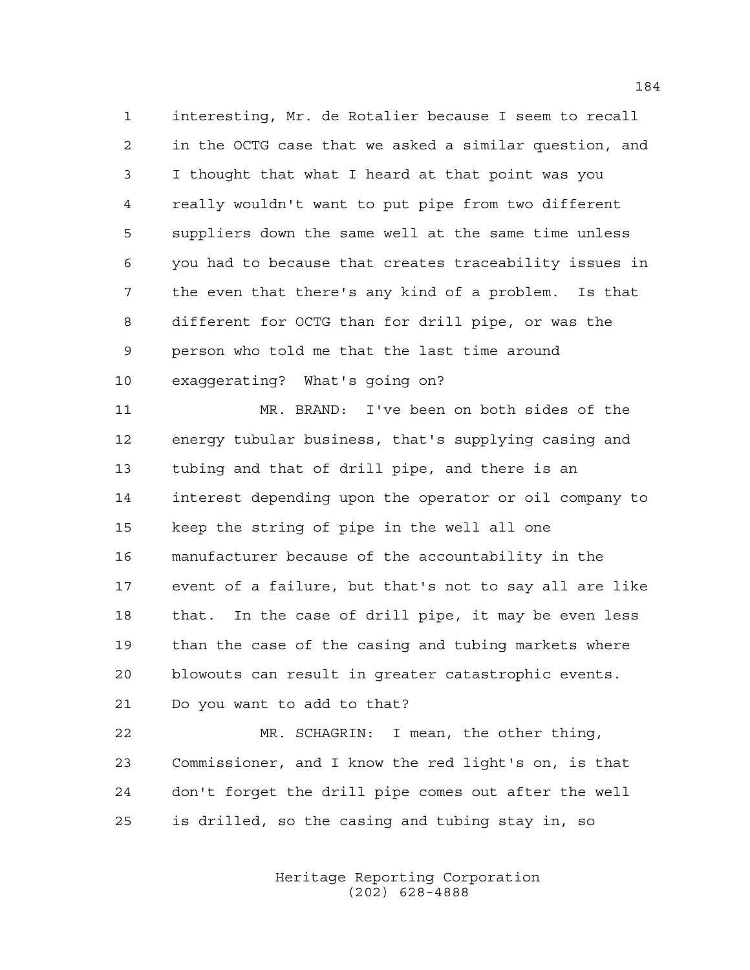interesting, Mr. de Rotalier because I seem to recall in the OCTG case that we asked a similar question, and I thought that what I heard at that point was you really wouldn't want to put pipe from two different suppliers down the same well at the same time unless you had to because that creates traceability issues in the even that there's any kind of a problem. Is that different for OCTG than for drill pipe, or was the person who told me that the last time around exaggerating? What's going on?

 MR. BRAND: I've been on both sides of the energy tubular business, that's supplying casing and tubing and that of drill pipe, and there is an interest depending upon the operator or oil company to keep the string of pipe in the well all one manufacturer because of the accountability in the event of a failure, but that's not to say all are like that. In the case of drill pipe, it may be even less than the case of the casing and tubing markets where blowouts can result in greater catastrophic events. Do you want to add to that?

 MR. SCHAGRIN: I mean, the other thing, Commissioner, and I know the red light's on, is that don't forget the drill pipe comes out after the well is drilled, so the casing and tubing stay in, so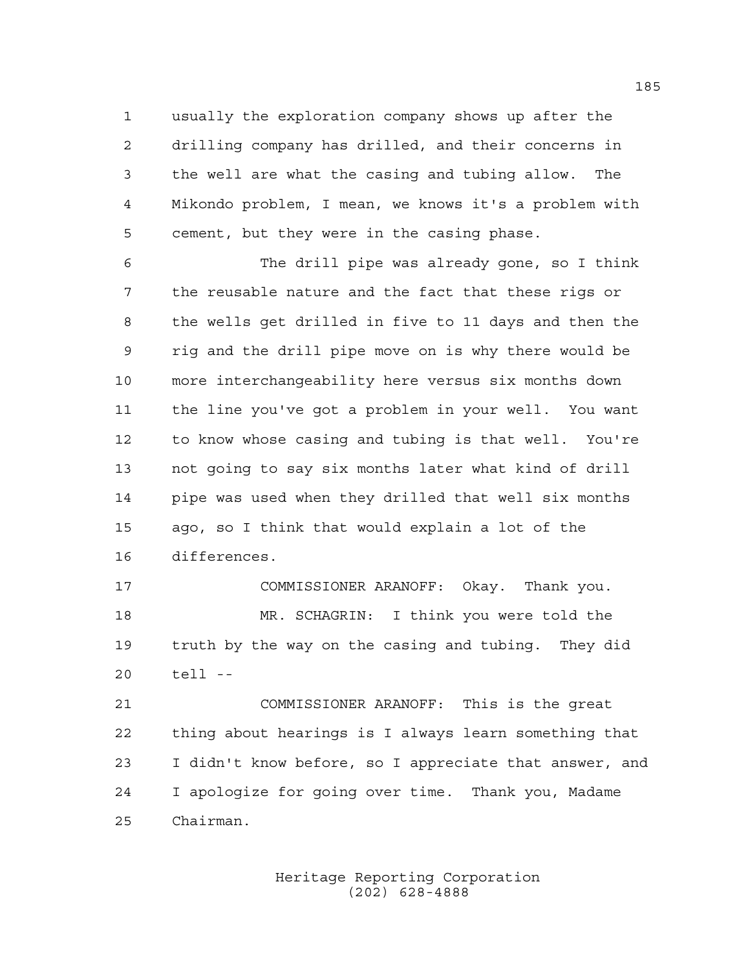usually the exploration company shows up after the drilling company has drilled, and their concerns in the well are what the casing and tubing allow. The Mikondo problem, I mean, we knows it's a problem with cement, but they were in the casing phase.

 The drill pipe was already gone, so I think the reusable nature and the fact that these rigs or the wells get drilled in five to 11 days and then the rig and the drill pipe move on is why there would be more interchangeability here versus six months down the line you've got a problem in your well. You want to know whose casing and tubing is that well. You're not going to say six months later what kind of drill pipe was used when they drilled that well six months ago, so I think that would explain a lot of the differences.

 COMMISSIONER ARANOFF: Okay. Thank you. MR. SCHAGRIN: I think you were told the truth by the way on the casing and tubing. They did tell --

 COMMISSIONER ARANOFF: This is the great thing about hearings is I always learn something that I didn't know before, so I appreciate that answer, and I apologize for going over time. Thank you, Madame Chairman.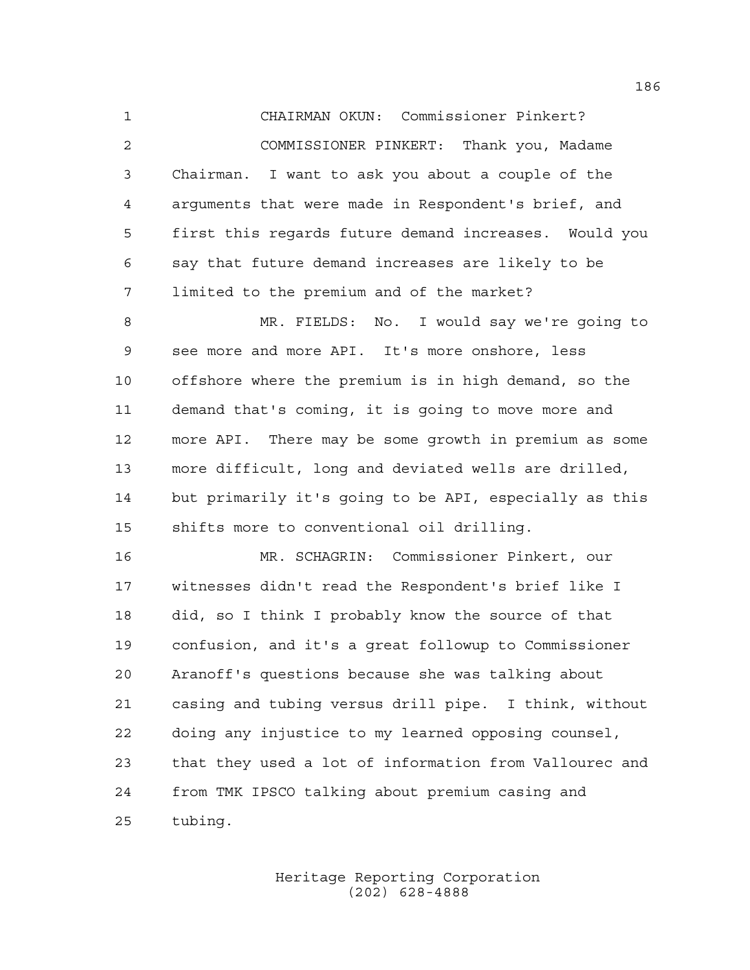CHAIRMAN OKUN: Commissioner Pinkert? COMMISSIONER PINKERT: Thank you, Madame Chairman. I want to ask you about a couple of the arguments that were made in Respondent's brief, and first this regards future demand increases. Would you say that future demand increases are likely to be limited to the premium and of the market?

 MR. FIELDS: No. I would say we're going to see more and more API. It's more onshore, less offshore where the premium is in high demand, so the demand that's coming, it is going to move more and more API. There may be some growth in premium as some more difficult, long and deviated wells are drilled, but primarily it's going to be API, especially as this shifts more to conventional oil drilling.

 MR. SCHAGRIN: Commissioner Pinkert, our witnesses didn't read the Respondent's brief like I did, so I think I probably know the source of that confusion, and it's a great followup to Commissioner Aranoff's questions because she was talking about casing and tubing versus drill pipe. I think, without doing any injustice to my learned opposing counsel, that they used a lot of information from Vallourec and from TMK IPSCO talking about premium casing and tubing.

> Heritage Reporting Corporation (202) 628-4888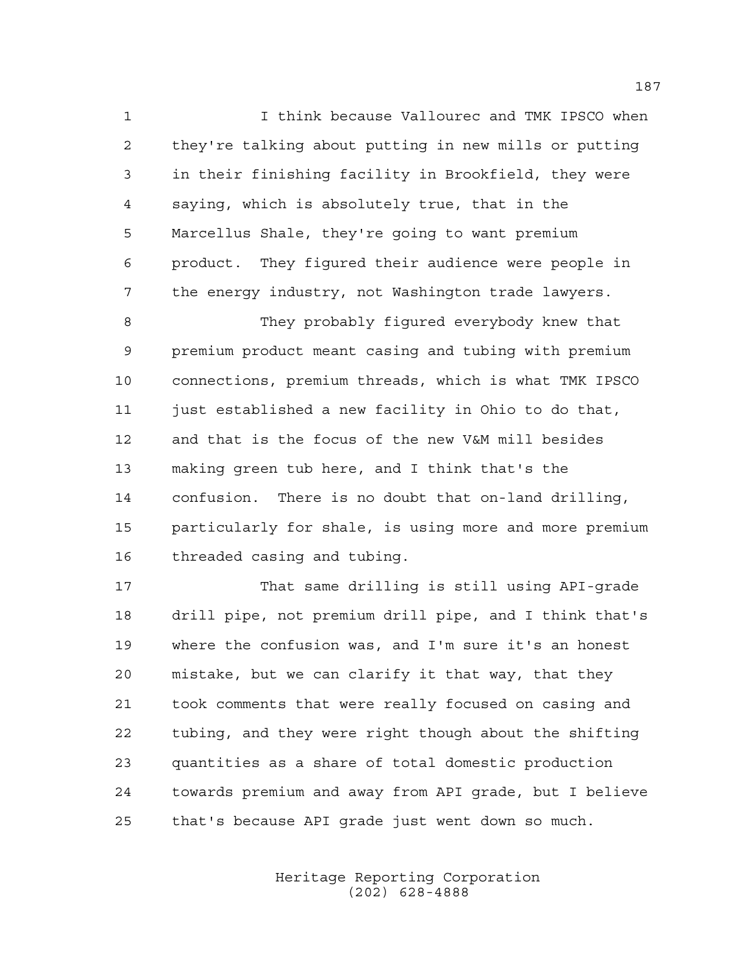I think because Vallourec and TMK IPSCO when they're talking about putting in new mills or putting in their finishing facility in Brookfield, they were saying, which is absolutely true, that in the Marcellus Shale, they're going to want premium product. They figured their audience were people in the energy industry, not Washington trade lawyers.

 They probably figured everybody knew that premium product meant casing and tubing with premium connections, premium threads, which is what TMK IPSCO just established a new facility in Ohio to do that, and that is the focus of the new V&M mill besides making green tub here, and I think that's the confusion. There is no doubt that on-land drilling, particularly for shale, is using more and more premium threaded casing and tubing.

 That same drilling is still using API-grade drill pipe, not premium drill pipe, and I think that's where the confusion was, and I'm sure it's an honest mistake, but we can clarify it that way, that they took comments that were really focused on casing and tubing, and they were right though about the shifting quantities as a share of total domestic production towards premium and away from API grade, but I believe that's because API grade just went down so much.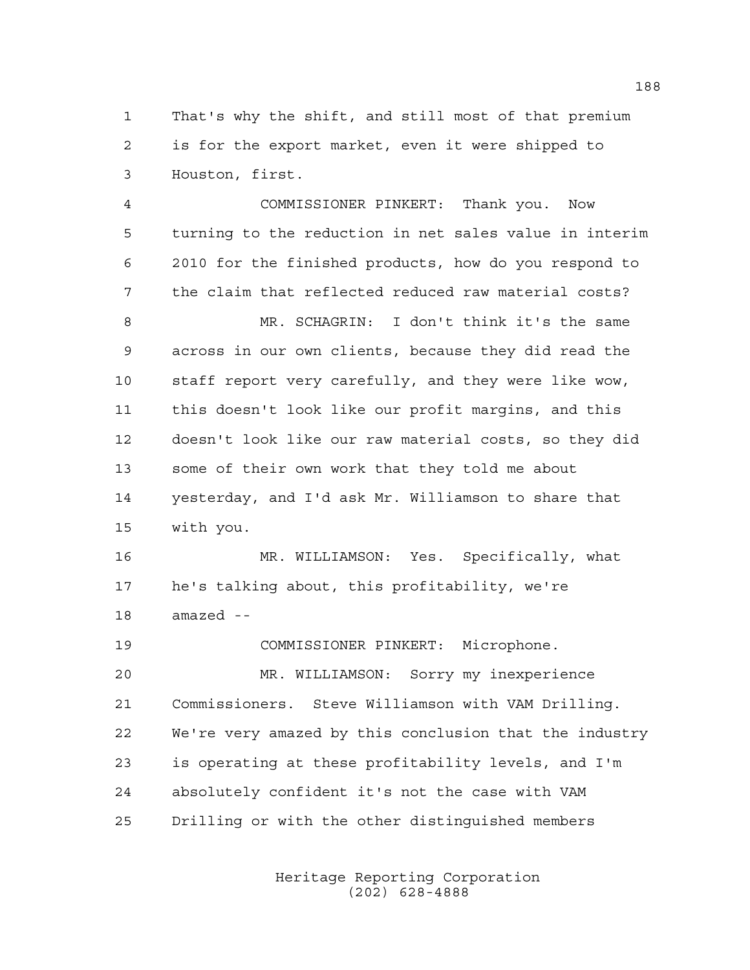That's why the shift, and still most of that premium is for the export market, even it were shipped to Houston, first.

 COMMISSIONER PINKERT: Thank you. Now turning to the reduction in net sales value in interim 2010 for the finished products, how do you respond to the claim that reflected reduced raw material costs? MR. SCHAGRIN: I don't think it's the same across in our own clients, because they did read the staff report very carefully, and they were like wow, this doesn't look like our profit margins, and this doesn't look like our raw material costs, so they did some of their own work that they told me about yesterday, and I'd ask Mr. Williamson to share that with you.

 MR. WILLIAMSON: Yes. Specifically, what he's talking about, this profitability, we're amazed --

 COMMISSIONER PINKERT: Microphone. MR. WILLIAMSON: Sorry my inexperience Commissioners. Steve Williamson with VAM Drilling. We're very amazed by this conclusion that the industry is operating at these profitability levels, and I'm absolutely confident it's not the case with VAM Drilling or with the other distinguished members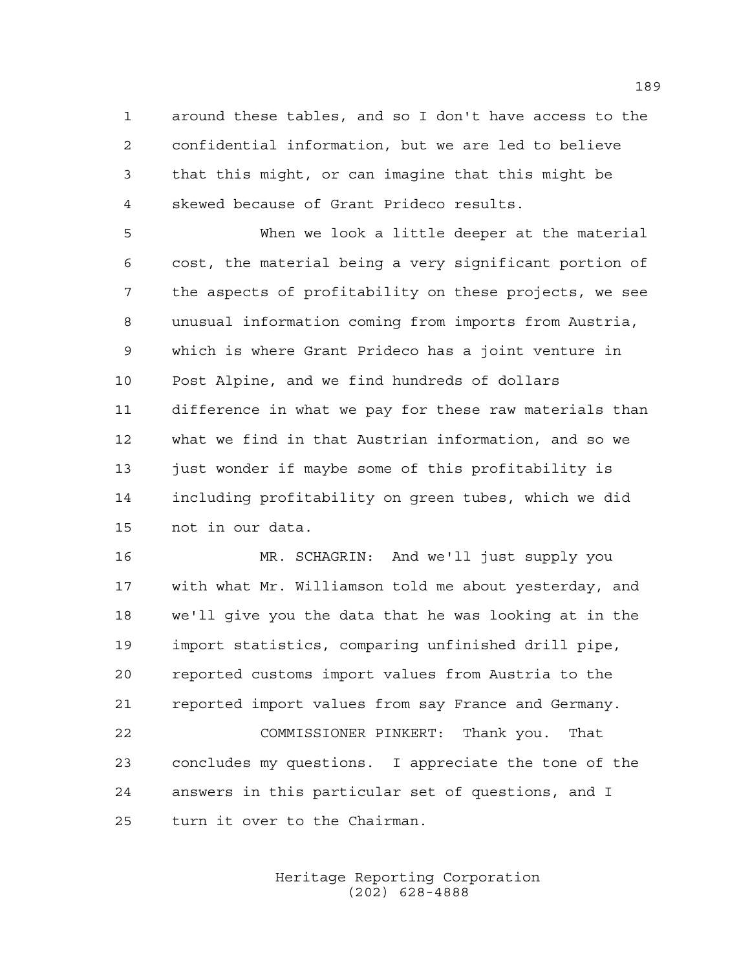around these tables, and so I don't have access to the confidential information, but we are led to believe that this might, or can imagine that this might be skewed because of Grant Prideco results.

 When we look a little deeper at the material cost, the material being a very significant portion of the aspects of profitability on these projects, we see unusual information coming from imports from Austria, which is where Grant Prideco has a joint venture in Post Alpine, and we find hundreds of dollars difference in what we pay for these raw materials than what we find in that Austrian information, and so we 13 just wonder if maybe some of this profitability is including profitability on green tubes, which we did not in our data.

 MR. SCHAGRIN: And we'll just supply you with what Mr. Williamson told me about yesterday, and we'll give you the data that he was looking at in the import statistics, comparing unfinished drill pipe, reported customs import values from Austria to the reported import values from say France and Germany. COMMISSIONER PINKERT: Thank you. That concludes my questions. I appreciate the tone of the answers in this particular set of questions, and I turn it over to the Chairman.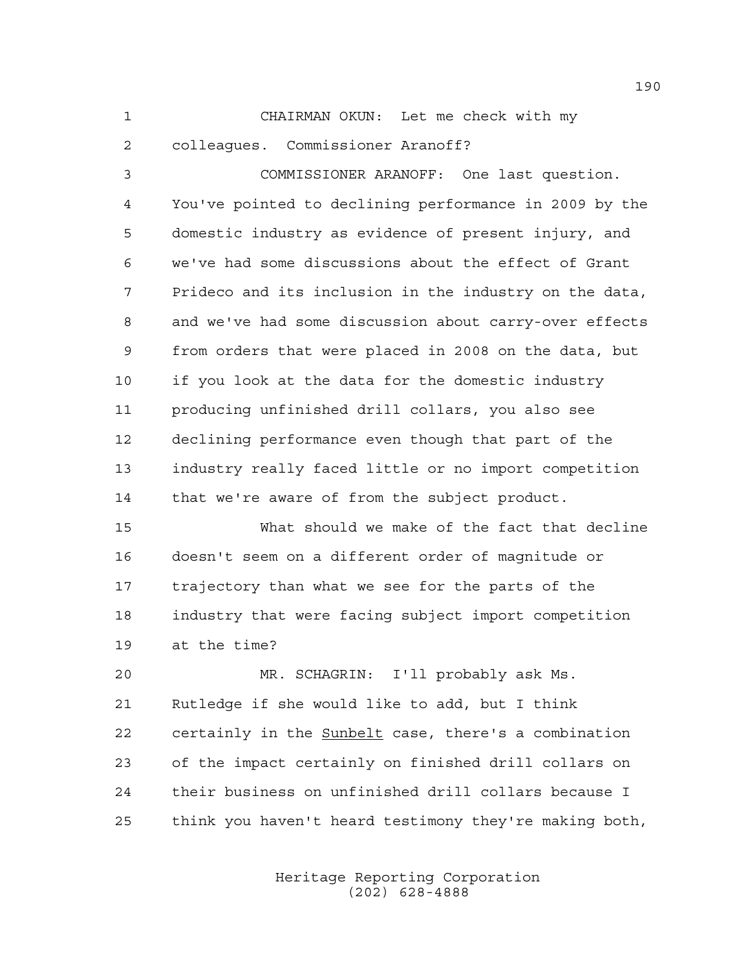CHAIRMAN OKUN: Let me check with my

colleagues. Commissioner Aranoff?

 COMMISSIONER ARANOFF: One last question. You've pointed to declining performance in 2009 by the domestic industry as evidence of present injury, and we've had some discussions about the effect of Grant Prideco and its inclusion in the industry on the data, and we've had some discussion about carry-over effects from orders that were placed in 2008 on the data, but if you look at the data for the domestic industry producing unfinished drill collars, you also see declining performance even though that part of the industry really faced little or no import competition that we're aware of from the subject product.

 What should we make of the fact that decline doesn't seem on a different order of magnitude or trajectory than what we see for the parts of the industry that were facing subject import competition at the time?

 MR. SCHAGRIN: I'll probably ask Ms. Rutledge if she would like to add, but I think certainly in the Sunbelt case, there's a combination of the impact certainly on finished drill collars on their business on unfinished drill collars because I think you haven't heard testimony they're making both,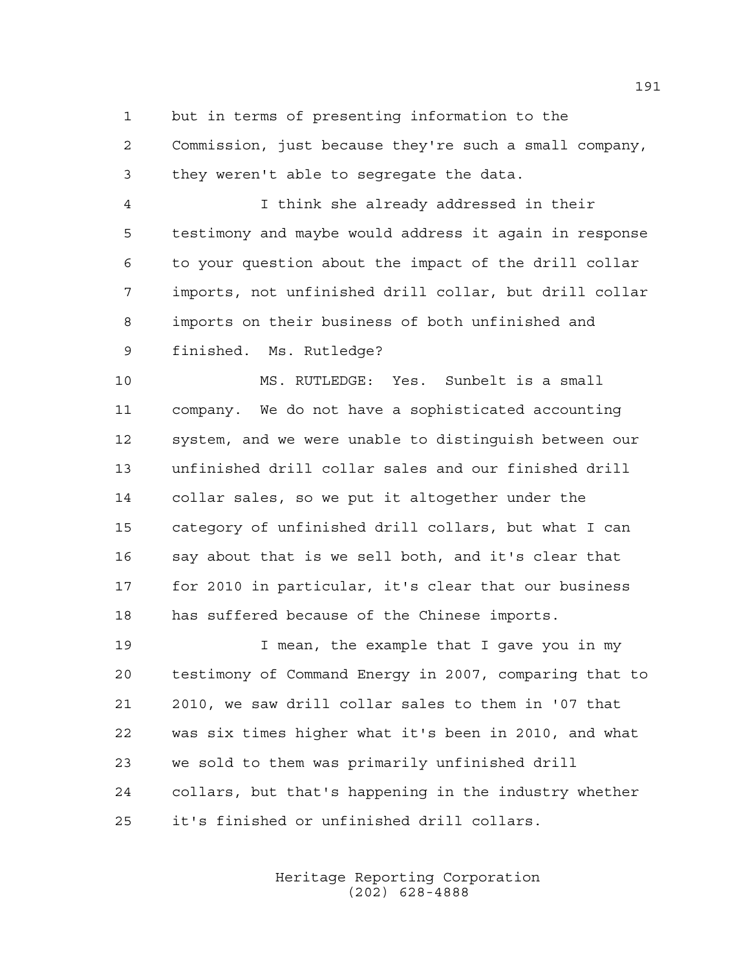but in terms of presenting information to the

 Commission, just because they're such a small company, they weren't able to segregate the data.

 I think she already addressed in their testimony and maybe would address it again in response to your question about the impact of the drill collar imports, not unfinished drill collar, but drill collar imports on their business of both unfinished and finished. Ms. Rutledge?

 MS. RUTLEDGE: Yes. Sunbelt is a small company. We do not have a sophisticated accounting system, and we were unable to distinguish between our unfinished drill collar sales and our finished drill collar sales, so we put it altogether under the category of unfinished drill collars, but what I can say about that is we sell both, and it's clear that for 2010 in particular, it's clear that our business has suffered because of the Chinese imports.

 I mean, the example that I gave you in my testimony of Command Energy in 2007, comparing that to 2010, we saw drill collar sales to them in '07 that was six times higher what it's been in 2010, and what we sold to them was primarily unfinished drill collars, but that's happening in the industry whether it's finished or unfinished drill collars.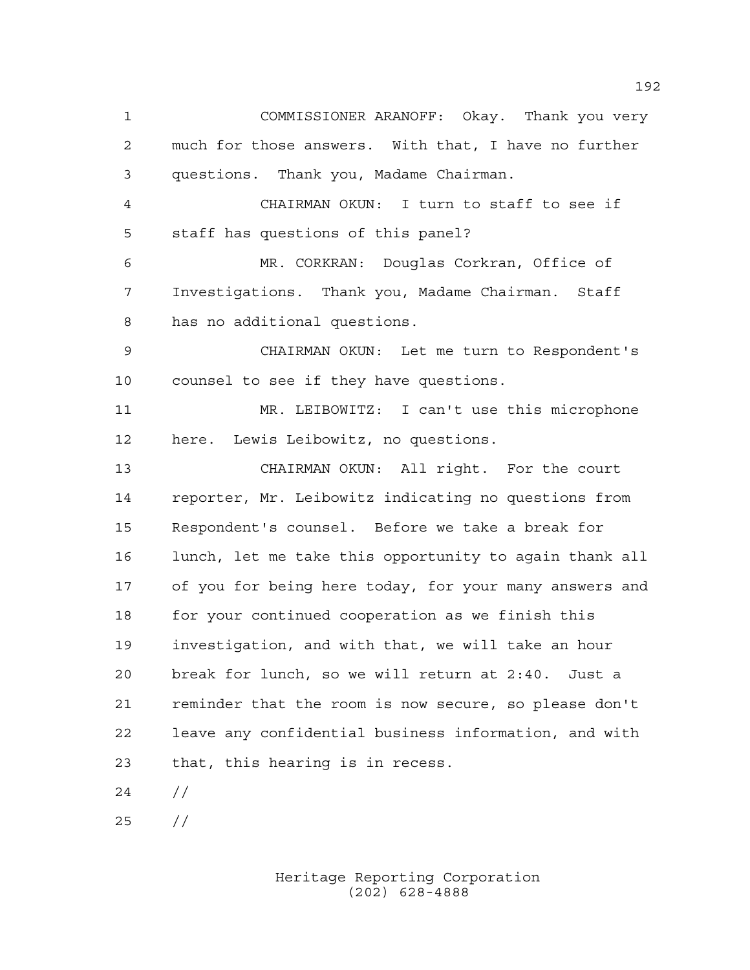COMMISSIONER ARANOFF: Okay. Thank you very much for those answers. With that, I have no further questions. Thank you, Madame Chairman. CHAIRMAN OKUN: I turn to staff to see if staff has questions of this panel? MR. CORKRAN: Douglas Corkran, Office of Investigations. Thank you, Madame Chairman. Staff has no additional questions. CHAIRMAN OKUN: Let me turn to Respondent's counsel to see if they have questions. MR. LEIBOWITZ: I can't use this microphone here. Lewis Leibowitz, no questions. CHAIRMAN OKUN: All right. For the court reporter, Mr. Leibowitz indicating no questions from Respondent's counsel. Before we take a break for lunch, let me take this opportunity to again thank all of you for being here today, for your many answers and for your continued cooperation as we finish this investigation, and with that, we will take an hour break for lunch, so we will return at 2:40. Just a reminder that the room is now secure, so please don't leave any confidential business information, and with that, this hearing is in recess. //

//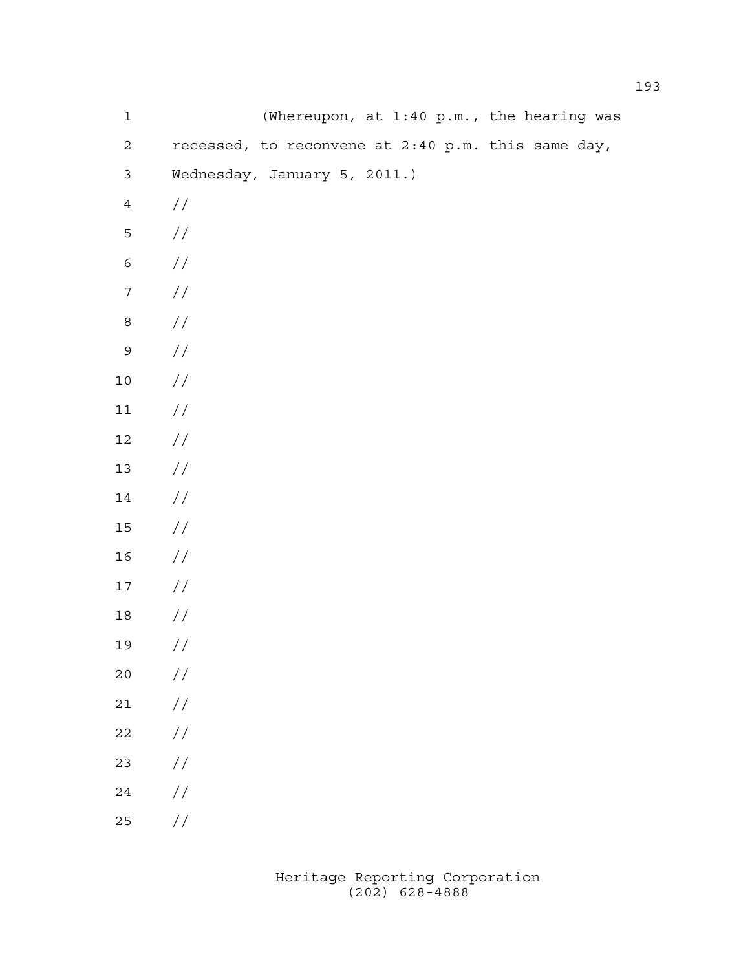| $\mathbf 1$      | (Whereupon, at 1:40 p.m., the hearing was          |
|------------------|----------------------------------------------------|
| $\mathbf{2}$     | recessed, to reconvene at 2:40 p.m. this same day, |
| $\mathfrak{Z}$   | Wednesday, January 5, 2011.)                       |
| $\,4$            | $\frac{1}{2}$                                      |
| 5                | $\sqrt{}$                                          |
| $\epsilon$       | $\frac{1}{2}$                                      |
| $\boldsymbol{7}$ | $\sqrt{}$                                          |
| $\,8\,$          | $\sqrt{}$                                          |
| 9                | $\frac{1}{2}$                                      |
| $1\,0$           | $\sqrt{}$                                          |
| $11\,$           | $\sqrt{}$                                          |
| $12\,$           | $\sqrt{}$                                          |
| $13$             | $\frac{1}{2}$                                      |
| 14               | $\sqrt{}$                                          |
| $15\,$           | $\sqrt{}$                                          |
| 16               | $\frac{1}{2}$                                      |
| $17$             | $\frac{1}{2}$                                      |
| $18\,$           | //                                                 |
| 19               | $\frac{1}{2}$                                      |
| $20$             | $\frac{1}{2}$                                      |
| $2\,1$           | $\!/\!$                                            |
| $2\sqrt{2}$      | $\frac{1}{2}$                                      |
| 23               | $\!/\!$                                            |
| $2\sqrt{4}$      | $\frac{1}{2}$                                      |
| 25               | $\!/\!$                                            |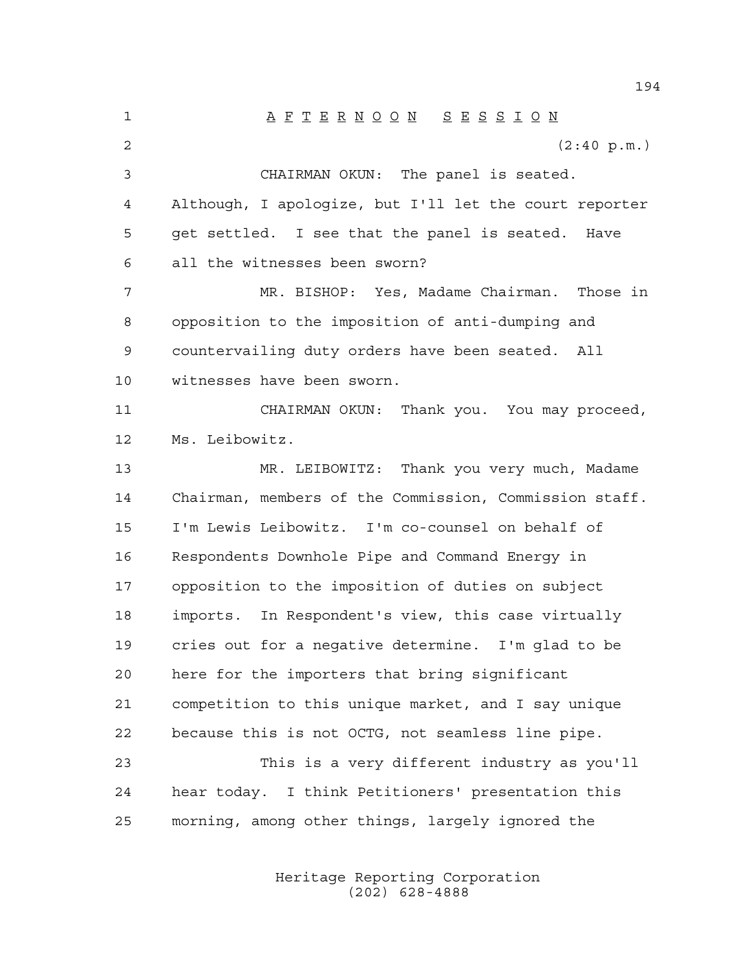A F T E R N O O N S E S S I O N  $(2:40 \text{ p.m.})$  CHAIRMAN OKUN: The panel is seated. Although, I apologize, but I'll let the court reporter get settled. I see that the panel is seated. Have all the witnesses been sworn? MR. BISHOP: Yes, Madame Chairman. Those in opposition to the imposition of anti-dumping and countervailing duty orders have been seated. All witnesses have been sworn. CHAIRMAN OKUN: Thank you. You may proceed, Ms. Leibowitz. MR. LEIBOWITZ: Thank you very much, Madame Chairman, members of the Commission, Commission staff. I'm Lewis Leibowitz. I'm co-counsel on behalf of Respondents Downhole Pipe and Command Energy in opposition to the imposition of duties on subject imports. In Respondent's view, this case virtually cries out for a negative determine. I'm glad to be here for the importers that bring significant competition to this unique market, and I say unique because this is not OCTG, not seamless line pipe. This is a very different industry as you'll hear today. I think Petitioners' presentation this morning, among other things, largely ignored the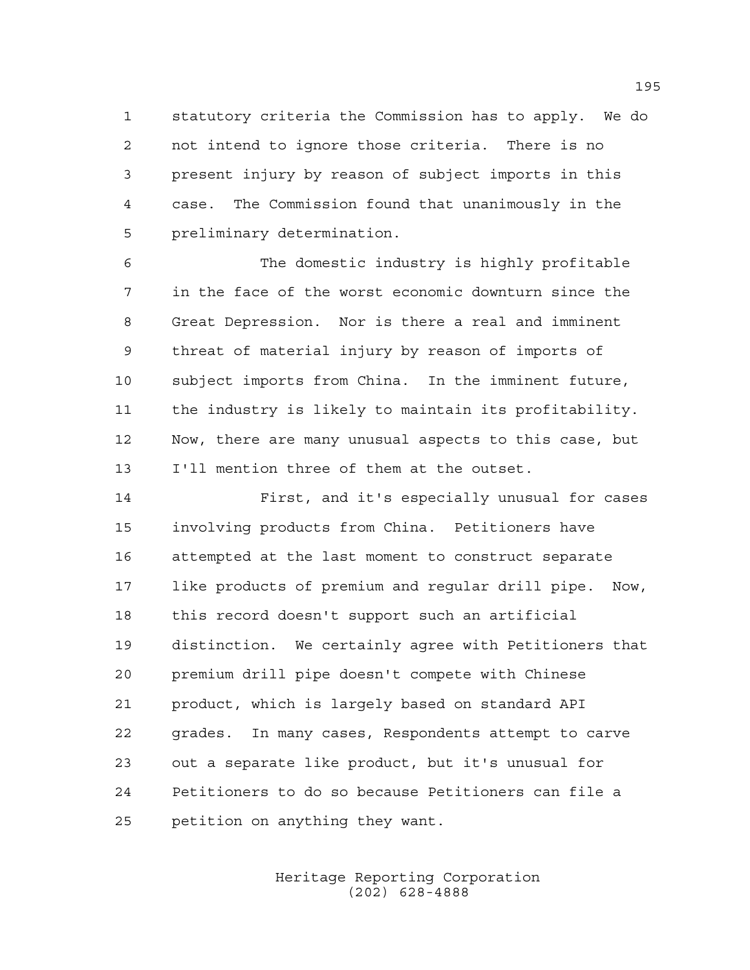statutory criteria the Commission has to apply. We do not intend to ignore those criteria. There is no present injury by reason of subject imports in this case. The Commission found that unanimously in the preliminary determination.

 The domestic industry is highly profitable in the face of the worst economic downturn since the Great Depression. Nor is there a real and imminent threat of material injury by reason of imports of subject imports from China. In the imminent future, the industry is likely to maintain its profitability. Now, there are many unusual aspects to this case, but I'll mention three of them at the outset.

 First, and it's especially unusual for cases involving products from China. Petitioners have attempted at the last moment to construct separate like products of premium and regular drill pipe. Now, this record doesn't support such an artificial distinction. We certainly agree with Petitioners that premium drill pipe doesn't compete with Chinese product, which is largely based on standard API grades. In many cases, Respondents attempt to carve out a separate like product, but it's unusual for Petitioners to do so because Petitioners can file a petition on anything they want.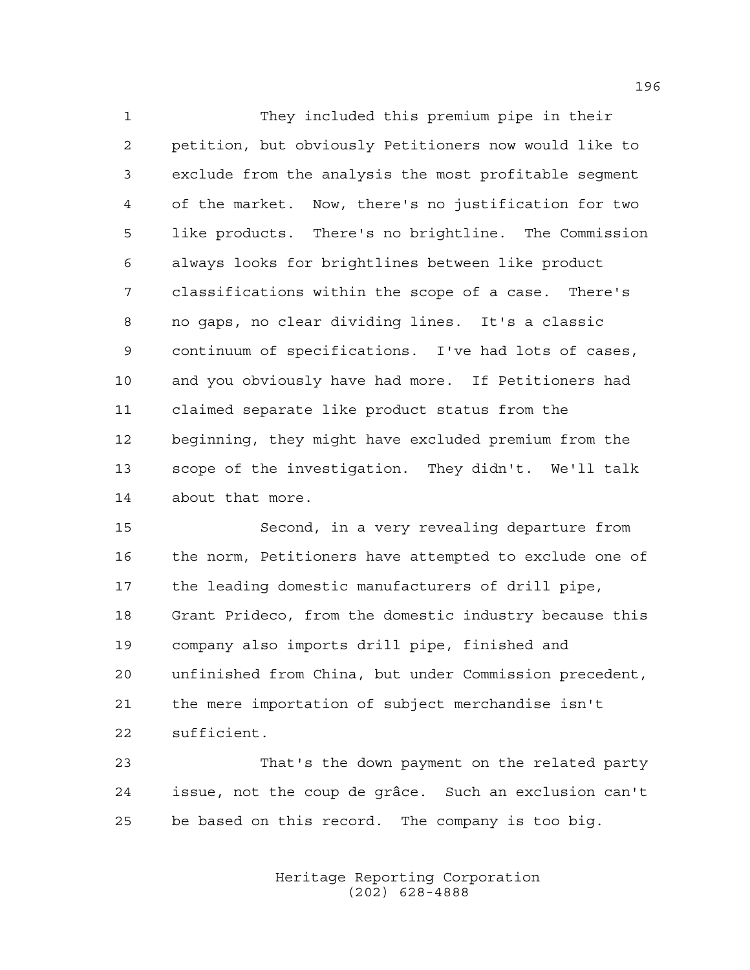They included this premium pipe in their petition, but obviously Petitioners now would like to exclude from the analysis the most profitable segment of the market. Now, there's no justification for two like products. There's no brightline. The Commission always looks for brightlines between like product classifications within the scope of a case. There's no gaps, no clear dividing lines. It's a classic continuum of specifications. I've had lots of cases, and you obviously have had more. If Petitioners had claimed separate like product status from the beginning, they might have excluded premium from the scope of the investigation. They didn't. We'll talk about that more.

 Second, in a very revealing departure from the norm, Petitioners have attempted to exclude one of the leading domestic manufacturers of drill pipe, Grant Prideco, from the domestic industry because this company also imports drill pipe, finished and unfinished from China, but under Commission precedent, the mere importation of subject merchandise isn't sufficient.

 That's the down payment on the related party issue, not the coup de grâce. Such an exclusion can't be based on this record. The company is too big.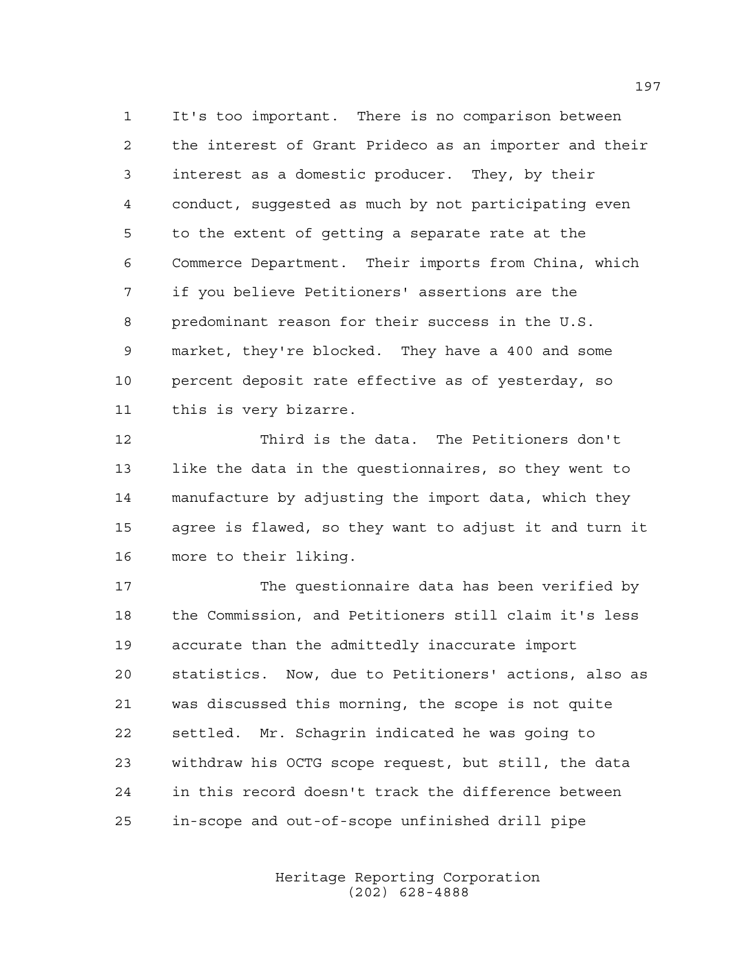It's too important. There is no comparison between the interest of Grant Prideco as an importer and their interest as a domestic producer. They, by their conduct, suggested as much by not participating even to the extent of getting a separate rate at the Commerce Department. Their imports from China, which if you believe Petitioners' assertions are the predominant reason for their success in the U.S. market, they're blocked. They have a 400 and some percent deposit rate effective as of yesterday, so this is very bizarre.

 Third is the data. The Petitioners don't like the data in the questionnaires, so they went to manufacture by adjusting the import data, which they agree is flawed, so they want to adjust it and turn it more to their liking.

 The questionnaire data has been verified by the Commission, and Petitioners still claim it's less accurate than the admittedly inaccurate import statistics. Now, due to Petitioners' actions, also as was discussed this morning, the scope is not quite settled. Mr. Schagrin indicated he was going to withdraw his OCTG scope request, but still, the data in this record doesn't track the difference between in-scope and out-of-scope unfinished drill pipe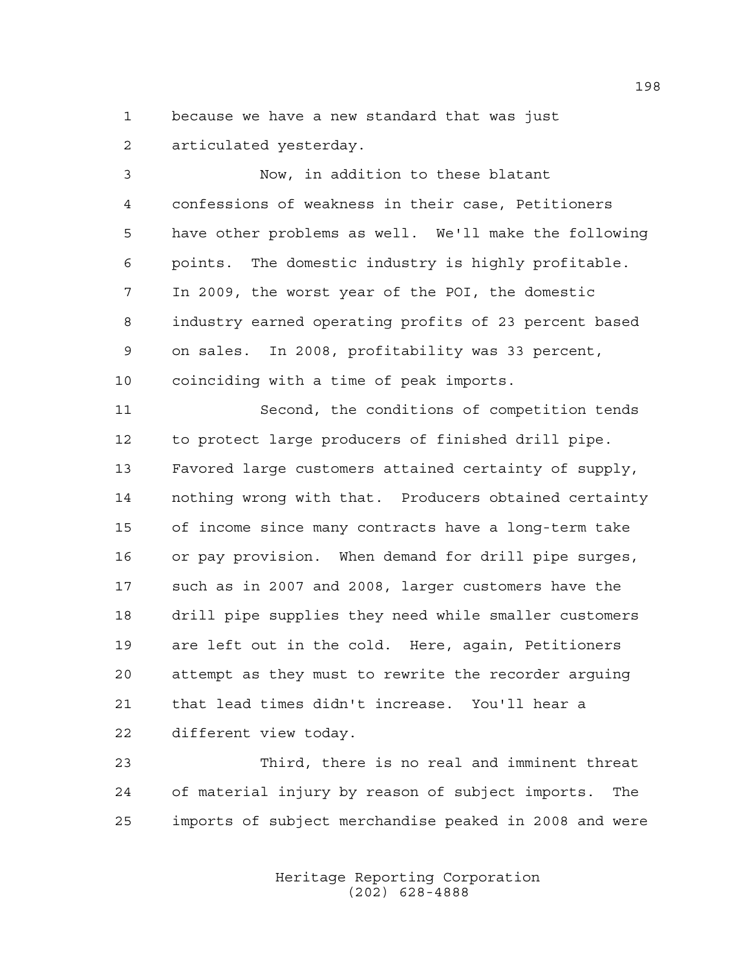because we have a new standard that was just articulated yesterday.

 Now, in addition to these blatant confessions of weakness in their case, Petitioners have other problems as well. We'll make the following points. The domestic industry is highly profitable. In 2009, the worst year of the POI, the domestic industry earned operating profits of 23 percent based on sales. In 2008, profitability was 33 percent, coinciding with a time of peak imports.

 Second, the conditions of competition tends to protect large producers of finished drill pipe. Favored large customers attained certainty of supply, nothing wrong with that. Producers obtained certainty of income since many contracts have a long-term take or pay provision. When demand for drill pipe surges, such as in 2007 and 2008, larger customers have the drill pipe supplies they need while smaller customers are left out in the cold. Here, again, Petitioners attempt as they must to rewrite the recorder arguing that lead times didn't increase. You'll hear a different view today.

 Third, there is no real and imminent threat of material injury by reason of subject imports. The imports of subject merchandise peaked in 2008 and were

> Heritage Reporting Corporation (202) 628-4888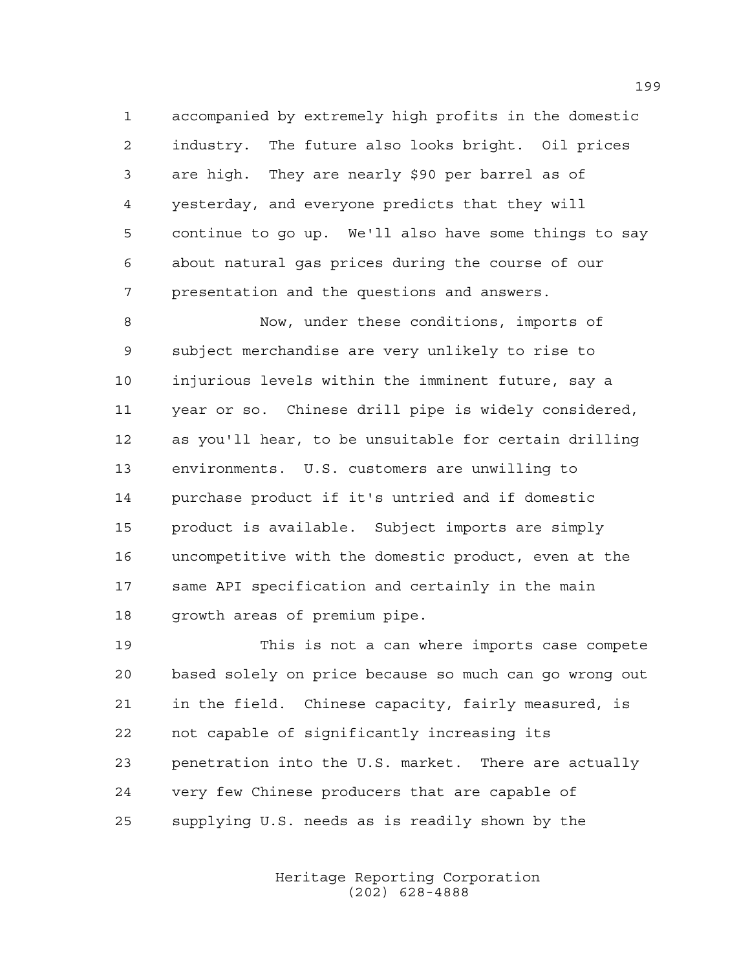accompanied by extremely high profits in the domestic industry. The future also looks bright. Oil prices are high. They are nearly \$90 per barrel as of yesterday, and everyone predicts that they will continue to go up. We'll also have some things to say about natural gas prices during the course of our presentation and the questions and answers.

 Now, under these conditions, imports of subject merchandise are very unlikely to rise to injurious levels within the imminent future, say a year or so. Chinese drill pipe is widely considered, as you'll hear, to be unsuitable for certain drilling environments. U.S. customers are unwilling to purchase product if it's untried and if domestic product is available. Subject imports are simply uncompetitive with the domestic product, even at the same API specification and certainly in the main growth areas of premium pipe.

 This is not a can where imports case compete based solely on price because so much can go wrong out in the field. Chinese capacity, fairly measured, is not capable of significantly increasing its penetration into the U.S. market. There are actually very few Chinese producers that are capable of supplying U.S. needs as is readily shown by the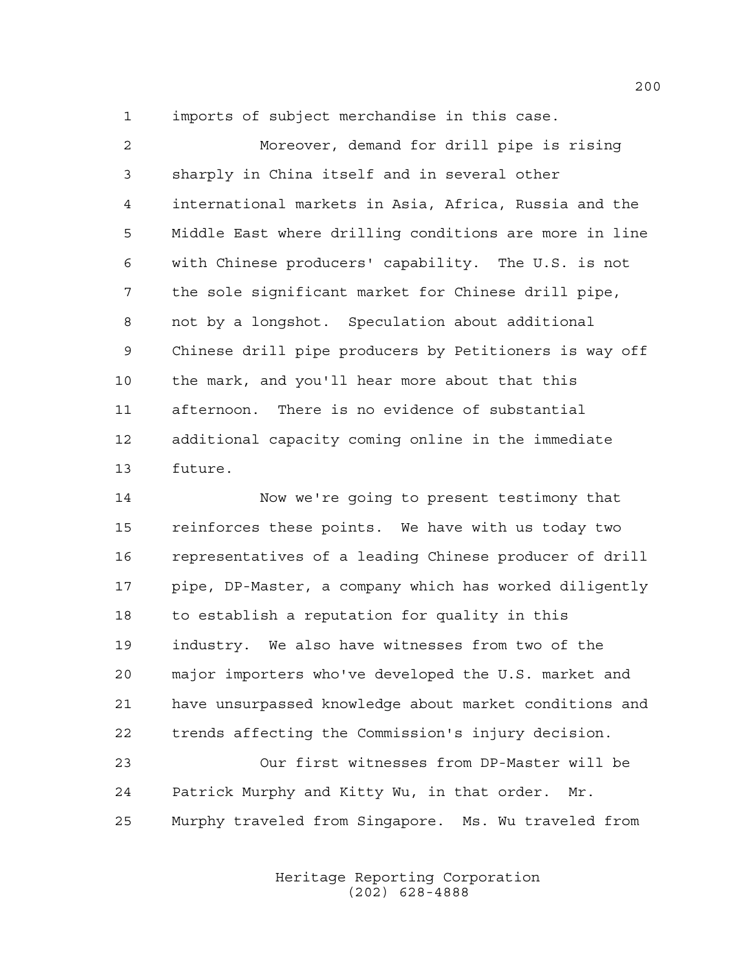imports of subject merchandise in this case.

 Moreover, demand for drill pipe is rising sharply in China itself and in several other international markets in Asia, Africa, Russia and the Middle East where drilling conditions are more in line with Chinese producers' capability. The U.S. is not the sole significant market for Chinese drill pipe, not by a longshot. Speculation about additional Chinese drill pipe producers by Petitioners is way off the mark, and you'll hear more about that this afternoon. There is no evidence of substantial additional capacity coming online in the immediate future.

 Now we're going to present testimony that reinforces these points. We have with us today two representatives of a leading Chinese producer of drill pipe, DP-Master, a company which has worked diligently to establish a reputation for quality in this industry. We also have witnesses from two of the major importers who've developed the U.S. market and have unsurpassed knowledge about market conditions and trends affecting the Commission's injury decision.

 Our first witnesses from DP-Master will be Patrick Murphy and Kitty Wu, in that order. Mr. Murphy traveled from Singapore. Ms. Wu traveled from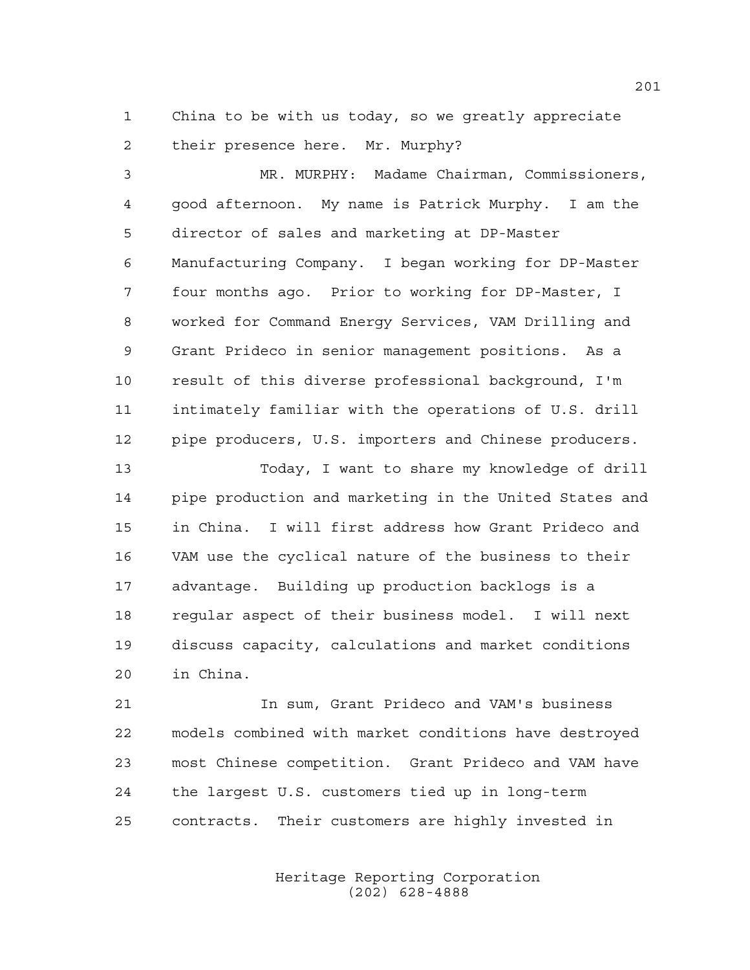China to be with us today, so we greatly appreciate their presence here. Mr. Murphy?

 MR. MURPHY: Madame Chairman, Commissioners, good afternoon. My name is Patrick Murphy. I am the director of sales and marketing at DP-Master Manufacturing Company. I began working for DP-Master four months ago. Prior to working for DP-Master, I worked for Command Energy Services, VAM Drilling and Grant Prideco in senior management positions. As a result of this diverse professional background, I'm intimately familiar with the operations of U.S. drill pipe producers, U.S. importers and Chinese producers.

 Today, I want to share my knowledge of drill pipe production and marketing in the United States and in China. I will first address how Grant Prideco and VAM use the cyclical nature of the business to their advantage. Building up production backlogs is a regular aspect of their business model. I will next discuss capacity, calculations and market conditions in China.

 In sum, Grant Prideco and VAM's business models combined with market conditions have destroyed most Chinese competition. Grant Prideco and VAM have the largest U.S. customers tied up in long-term contracts. Their customers are highly invested in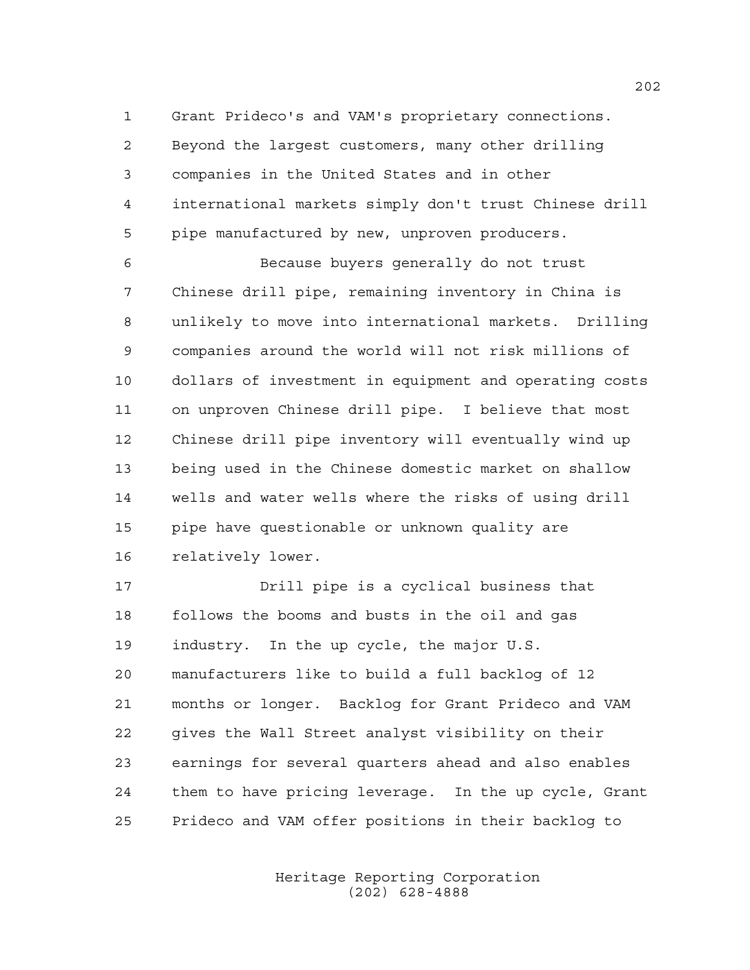Grant Prideco's and VAM's proprietary connections. Beyond the largest customers, many other drilling companies in the United States and in other international markets simply don't trust Chinese drill pipe manufactured by new, unproven producers.

 Because buyers generally do not trust Chinese drill pipe, remaining inventory in China is unlikely to move into international markets. Drilling companies around the world will not risk millions of dollars of investment in equipment and operating costs on unproven Chinese drill pipe. I believe that most Chinese drill pipe inventory will eventually wind up being used in the Chinese domestic market on shallow wells and water wells where the risks of using drill pipe have questionable or unknown quality are relatively lower.

 Drill pipe is a cyclical business that follows the booms and busts in the oil and gas industry. In the up cycle, the major U.S. manufacturers like to build a full backlog of 12 months or longer. Backlog for Grant Prideco and VAM gives the Wall Street analyst visibility on their earnings for several quarters ahead and also enables them to have pricing leverage. In the up cycle, Grant Prideco and VAM offer positions in their backlog to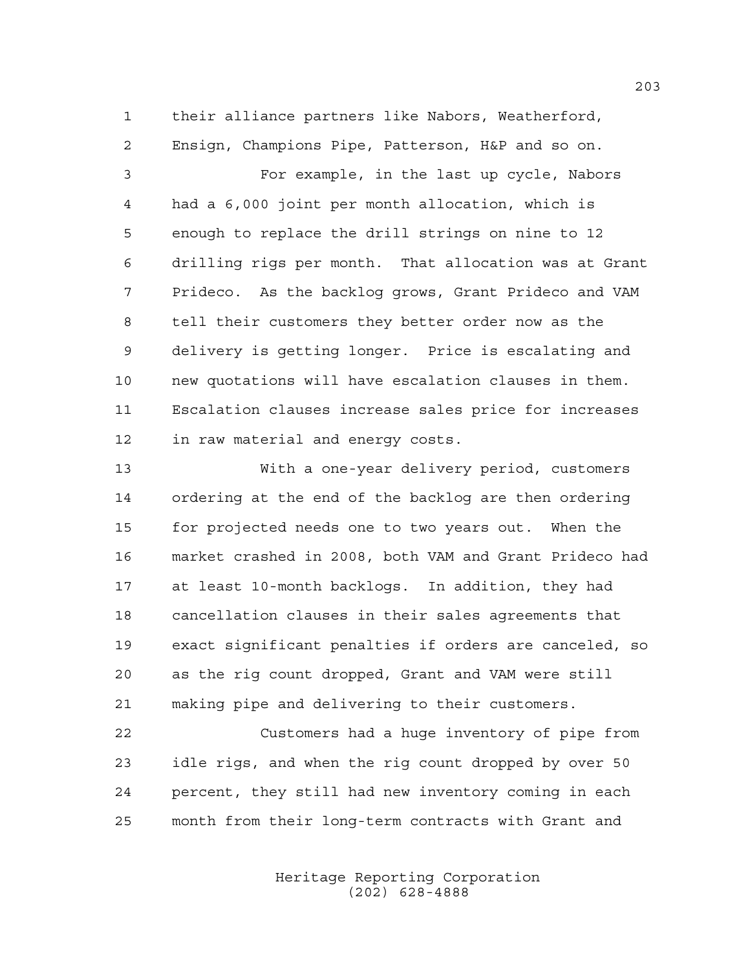their alliance partners like Nabors, Weatherford, Ensign, Champions Pipe, Patterson, H&P and so on.

 For example, in the last up cycle, Nabors had a 6,000 joint per month allocation, which is enough to replace the drill strings on nine to 12 drilling rigs per month. That allocation was at Grant Prideco. As the backlog grows, Grant Prideco and VAM tell their customers they better order now as the delivery is getting longer. Price is escalating and new quotations will have escalation clauses in them. Escalation clauses increase sales price for increases in raw material and energy costs.

 With a one-year delivery period, customers ordering at the end of the backlog are then ordering for projected needs one to two years out. When the market crashed in 2008, both VAM and Grant Prideco had at least 10-month backlogs. In addition, they had cancellation clauses in their sales agreements that exact significant penalties if orders are canceled, so as the rig count dropped, Grant and VAM were still making pipe and delivering to their customers.

 Customers had a huge inventory of pipe from idle rigs, and when the rig count dropped by over 50 percent, they still had new inventory coming in each month from their long-term contracts with Grant and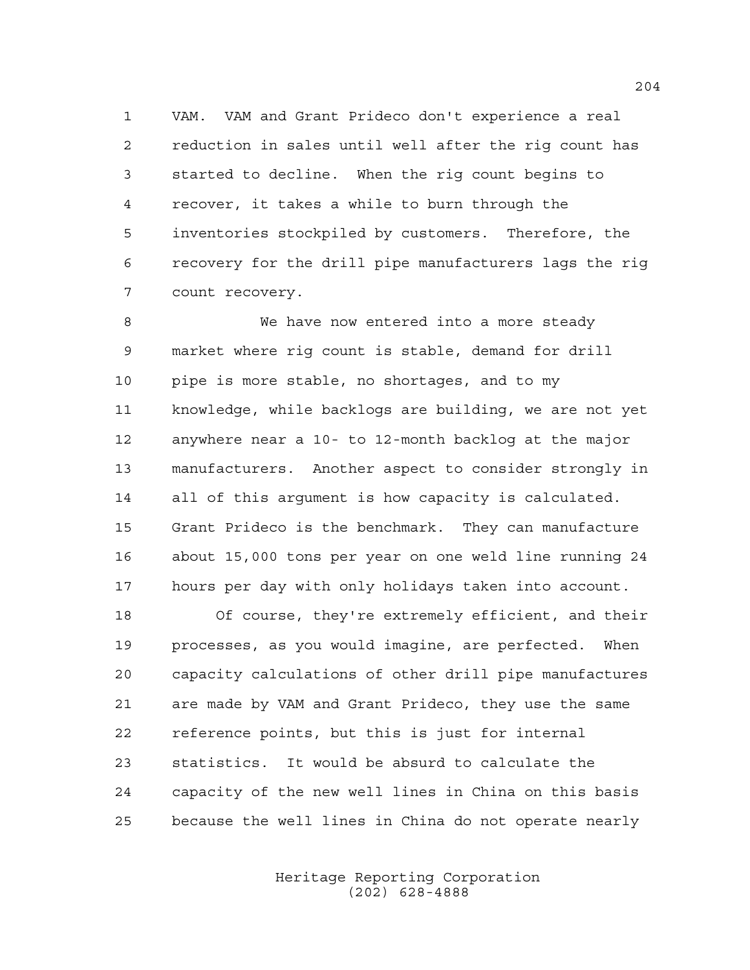VAM. VAM and Grant Prideco don't experience a real reduction in sales until well after the rig count has started to decline. When the rig count begins to recover, it takes a while to burn through the inventories stockpiled by customers. Therefore, the recovery for the drill pipe manufacturers lags the rig count recovery.

 We have now entered into a more steady market where rig count is stable, demand for drill pipe is more stable, no shortages, and to my knowledge, while backlogs are building, we are not yet anywhere near a 10- to 12-month backlog at the major manufacturers. Another aspect to consider strongly in all of this argument is how capacity is calculated. Grant Prideco is the benchmark. They can manufacture about 15,000 tons per year on one weld line running 24 hours per day with only holidays taken into account.

 Of course, they're extremely efficient, and their processes, as you would imagine, are perfected. When capacity calculations of other drill pipe manufactures are made by VAM and Grant Prideco, they use the same reference points, but this is just for internal statistics. It would be absurd to calculate the capacity of the new well lines in China on this basis because the well lines in China do not operate nearly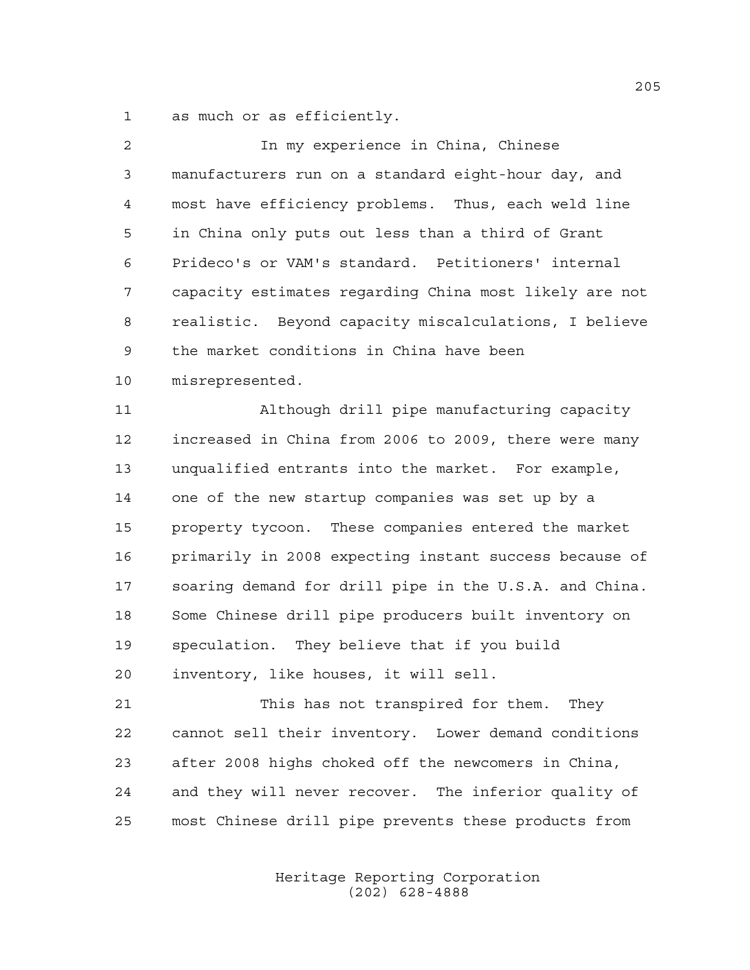as much or as efficiently.

| $\overline{2}$ | In my experience in China, Chinese                     |
|----------------|--------------------------------------------------------|
| 3              | manufacturers run on a standard eight-hour day, and    |
| 4              | most have efficiency problems. Thus, each weld line    |
| 5              | in China only puts out less than a third of Grant      |
| 6              | Prideco's or VAM's standard. Petitioners' internal     |
| 7              | capacity estimates regarding China most likely are not |
| 8              | realistic. Beyond capacity miscalculations, I believe  |
| 9              | the market conditions in China have been               |
| 10             | misrepresented.                                        |
| 11             | Although drill pipe manufacturing capacity             |
| 12             | increased in China from 2006 to 2009, there were many  |
| 13             | unqualified entrants into the market. For example,     |
| 14             | one of the new startup companies was set up by a       |
| 15             | property tycoon. These companies entered the market    |
| 16             | primarily in 2008 expecting instant success because of |
| 17             | soaring demand for drill pipe in the U.S.A. and China. |
| 18             | Some Chinese drill pipe producers built inventory on   |
| 19             | speculation. They believe that if you build            |
| 20             | inventory, like houses, it will sell.                  |
| 21             | This has not transpired for them. They                 |
| 22             | cannot sell their inventory. Lower demand conditions   |
| 23             | after 2008 highs choked off the newcomers in China,    |
| 24             | and they will never recover. The inferior quality of   |
| 25             | most Chinese drill pipe prevents these products from   |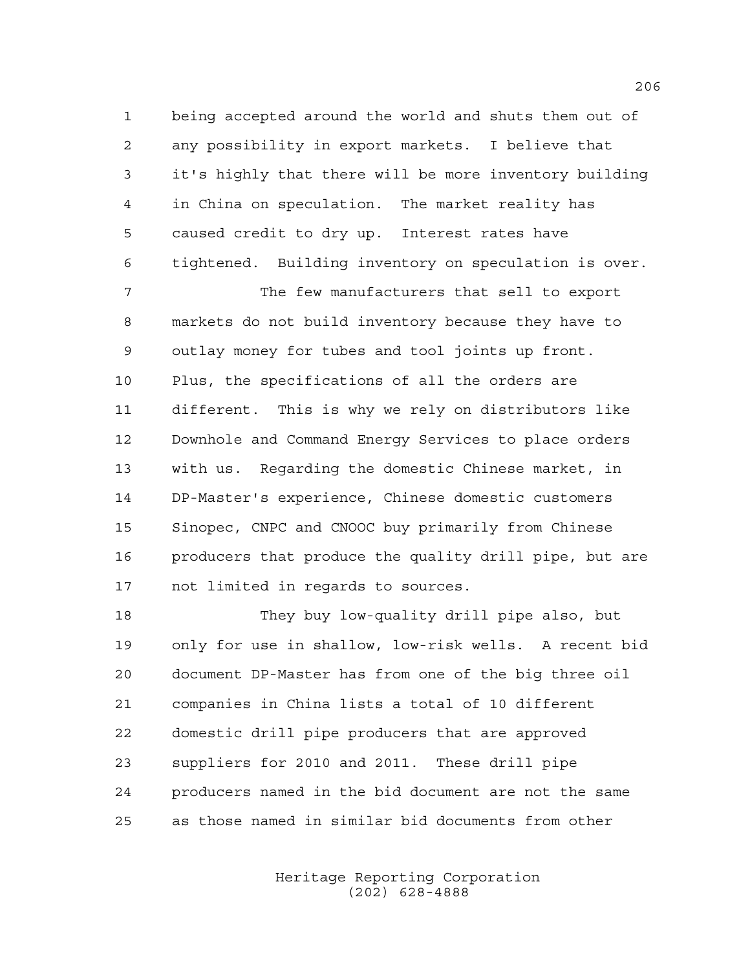being accepted around the world and shuts them out of any possibility in export markets. I believe that it's highly that there will be more inventory building in China on speculation. The market reality has caused credit to dry up. Interest rates have tightened. Building inventory on speculation is over.

 The few manufacturers that sell to export markets do not build inventory because they have to outlay money for tubes and tool joints up front. Plus, the specifications of all the orders are different. This is why we rely on distributors like Downhole and Command Energy Services to place orders with us. Regarding the domestic Chinese market, in DP-Master's experience, Chinese domestic customers Sinopec, CNPC and CNOOC buy primarily from Chinese 16 producers that produce the quality drill pipe, but are not limited in regards to sources.

 They buy low-quality drill pipe also, but only for use in shallow, low-risk wells. A recent bid document DP-Master has from one of the big three oil companies in China lists a total of 10 different domestic drill pipe producers that are approved suppliers for 2010 and 2011. These drill pipe producers named in the bid document are not the same as those named in similar bid documents from other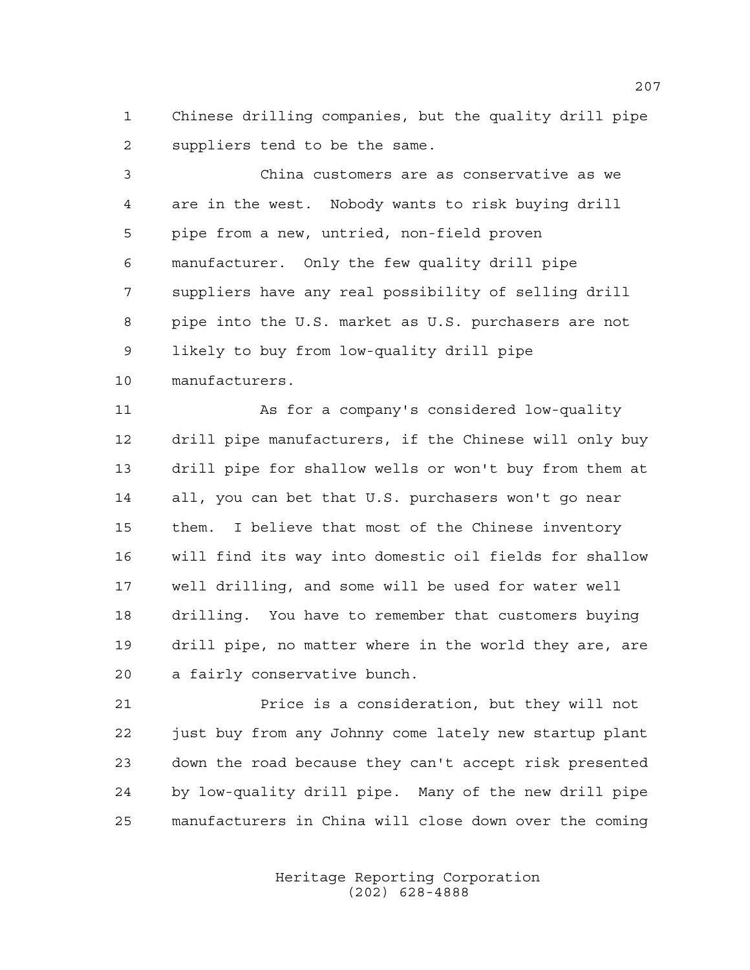Chinese drilling companies, but the quality drill pipe suppliers tend to be the same.

 China customers are as conservative as we are in the west. Nobody wants to risk buying drill pipe from a new, untried, non-field proven manufacturer. Only the few quality drill pipe suppliers have any real possibility of selling drill pipe into the U.S. market as U.S. purchasers are not likely to buy from low-quality drill pipe manufacturers.

 As for a company's considered low-quality drill pipe manufacturers, if the Chinese will only buy drill pipe for shallow wells or won't buy from them at all, you can bet that U.S. purchasers won't go near them. I believe that most of the Chinese inventory will find its way into domestic oil fields for shallow well drilling, and some will be used for water well drilling. You have to remember that customers buying drill pipe, no matter where in the world they are, are a fairly conservative bunch.

 Price is a consideration, but they will not just buy from any Johnny come lately new startup plant down the road because they can't accept risk presented by low-quality drill pipe. Many of the new drill pipe manufacturers in China will close down over the coming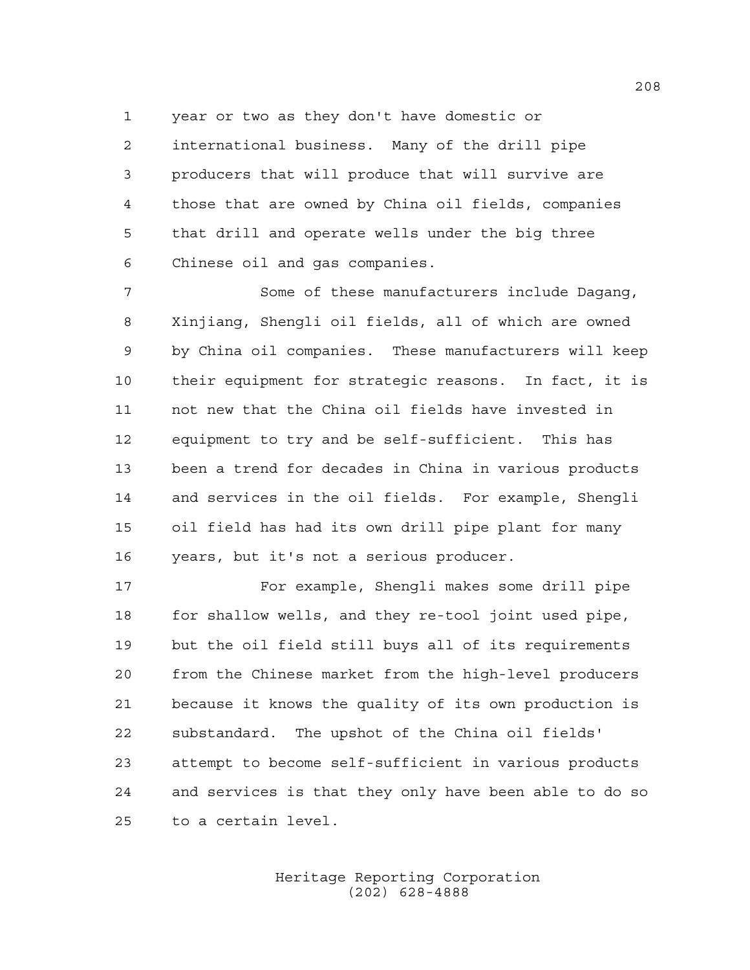year or two as they don't have domestic or international business. Many of the drill pipe producers that will produce that will survive are those that are owned by China oil fields, companies that drill and operate wells under the big three Chinese oil and gas companies.

 Some of these manufacturers include Dagang, Xinjiang, Shengli oil fields, all of which are owned by China oil companies. These manufacturers will keep their equipment for strategic reasons. In fact, it is not new that the China oil fields have invested in equipment to try and be self-sufficient. This has been a trend for decades in China in various products and services in the oil fields. For example, Shengli oil field has had its own drill pipe plant for many years, but it's not a serious producer.

 For example, Shengli makes some drill pipe for shallow wells, and they re-tool joint used pipe, but the oil field still buys all of its requirements from the Chinese market from the high-level producers because it knows the quality of its own production is substandard. The upshot of the China oil fields' attempt to become self-sufficient in various products and services is that they only have been able to do so to a certain level.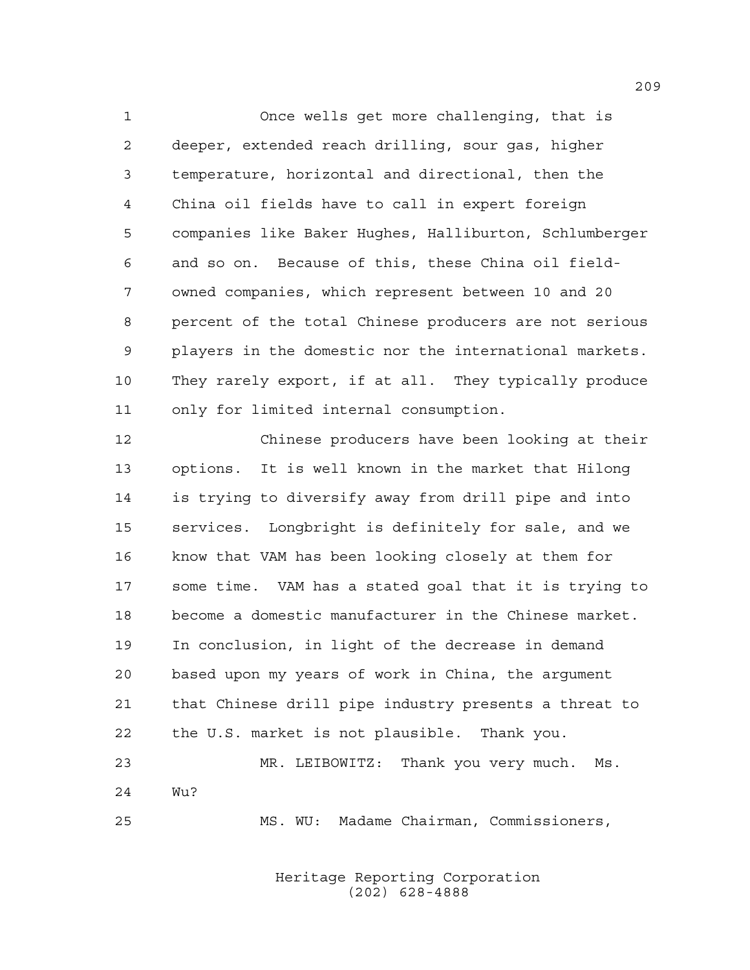Once wells get more challenging, that is deeper, extended reach drilling, sour gas, higher temperature, horizontal and directional, then the China oil fields have to call in expert foreign companies like Baker Hughes, Halliburton, Schlumberger and so on. Because of this, these China oil field- owned companies, which represent between 10 and 20 percent of the total Chinese producers are not serious players in the domestic nor the international markets. They rarely export, if at all. They typically produce only for limited internal consumption.

 Chinese producers have been looking at their options. It is well known in the market that Hilong is trying to diversify away from drill pipe and into services. Longbright is definitely for sale, and we know that VAM has been looking closely at them for some time. VAM has a stated goal that it is trying to become a domestic manufacturer in the Chinese market. In conclusion, in light of the decrease in demand based upon my years of work in China, the argument that Chinese drill pipe industry presents a threat to the U.S. market is not plausible. Thank you. MR. LEIBOWITZ: Thank you very much. Ms. Wu? MS. WU: Madame Chairman, Commissioners,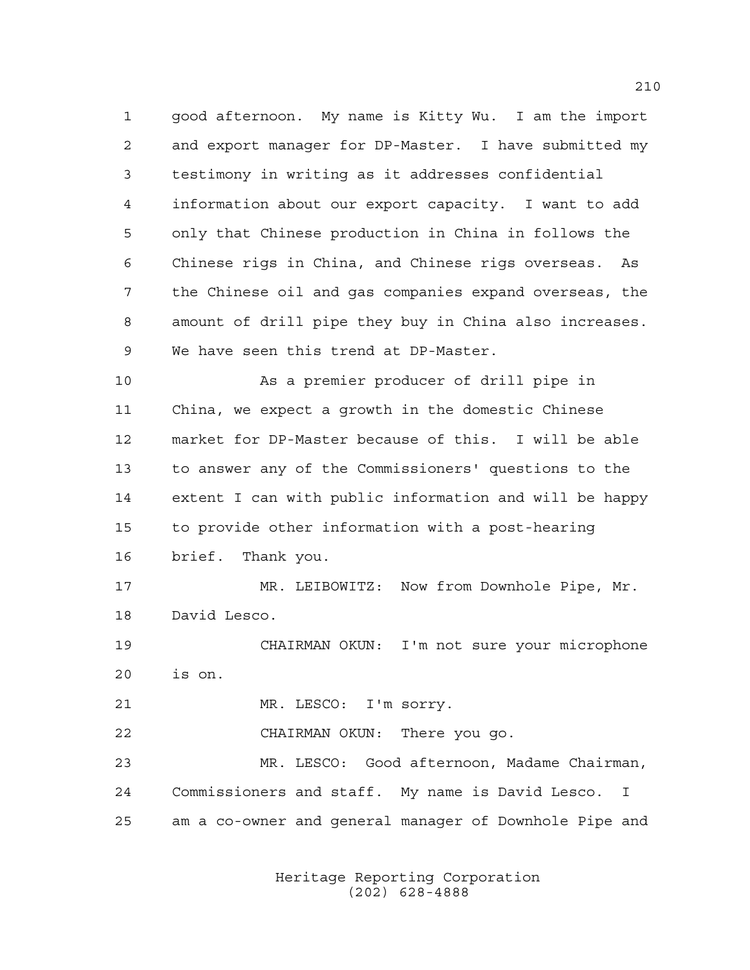good afternoon. My name is Kitty Wu. I am the import and export manager for DP-Master. I have submitted my testimony in writing as it addresses confidential information about our export capacity. I want to add only that Chinese production in China in follows the Chinese rigs in China, and Chinese rigs overseas. As the Chinese oil and gas companies expand overseas, the amount of drill pipe they buy in China also increases. We have seen this trend at DP-Master.

 As a premier producer of drill pipe in China, we expect a growth in the domestic Chinese market for DP-Master because of this. I will be able to answer any of the Commissioners' questions to the extent I can with public information and will be happy to provide other information with a post-hearing brief. Thank you.

17 MR. LEIBOWITZ: Now from Downhole Pipe, Mr. David Lesco.

 CHAIRMAN OKUN: I'm not sure your microphone is on.

21 MR. LESCO: I'm sorry.

CHAIRMAN OKUN: There you go.

 MR. LESCO: Good afternoon, Madame Chairman, Commissioners and staff. My name is David Lesco. I am a co-owner and general manager of Downhole Pipe and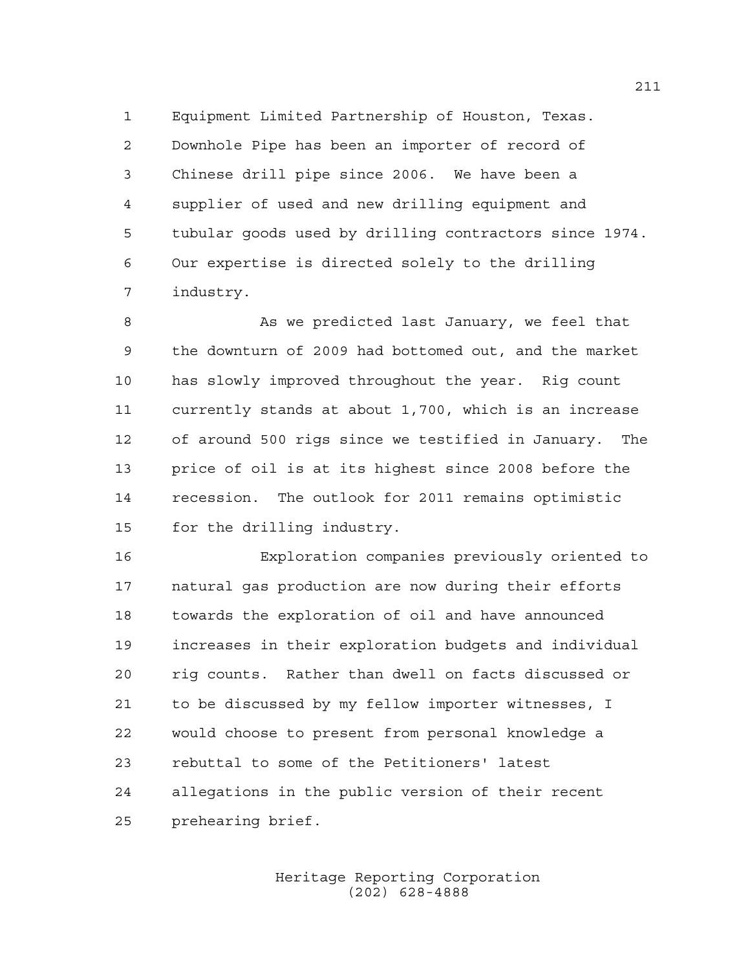Equipment Limited Partnership of Houston, Texas. Downhole Pipe has been an importer of record of Chinese drill pipe since 2006. We have been a supplier of used and new drilling equipment and tubular goods used by drilling contractors since 1974. Our expertise is directed solely to the drilling industry.

8 As we predicted last January, we feel that the downturn of 2009 had bottomed out, and the market has slowly improved throughout the year. Rig count currently stands at about 1,700, which is an increase of around 500 rigs since we testified in January. The price of oil is at its highest since 2008 before the recession. The outlook for 2011 remains optimistic for the drilling industry.

 Exploration companies previously oriented to natural gas production are now during their efforts towards the exploration of oil and have announced increases in their exploration budgets and individual rig counts. Rather than dwell on facts discussed or to be discussed by my fellow importer witnesses, I would choose to present from personal knowledge a rebuttal to some of the Petitioners' latest allegations in the public version of their recent prehearing brief.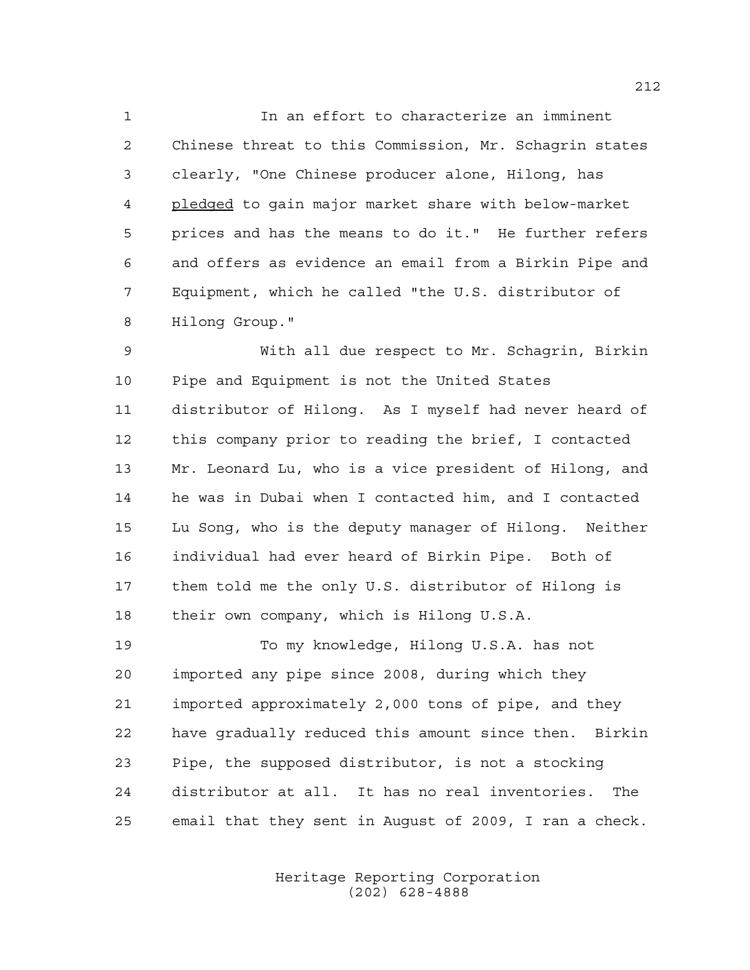In an effort to characterize an imminent Chinese threat to this Commission, Mr. Schagrin states clearly, "One Chinese producer alone, Hilong, has pledged to gain major market share with below-market prices and has the means to do it." He further refers and offers as evidence an email from a Birkin Pipe and Equipment, which he called "the U.S. distributor of Hilong Group."

 With all due respect to Mr. Schagrin, Birkin Pipe and Equipment is not the United States distributor of Hilong. As I myself had never heard of this company prior to reading the brief, I contacted Mr. Leonard Lu, who is a vice president of Hilong, and he was in Dubai when I contacted him, and I contacted Lu Song, who is the deputy manager of Hilong. Neither individual had ever heard of Birkin Pipe. Both of them told me the only U.S. distributor of Hilong is their own company, which is Hilong U.S.A.

 To my knowledge, Hilong U.S.A. has not imported any pipe since 2008, during which they imported approximately 2,000 tons of pipe, and they have gradually reduced this amount since then. Birkin Pipe, the supposed distributor, is not a stocking distributor at all. It has no real inventories. The email that they sent in August of 2009, I ran a check.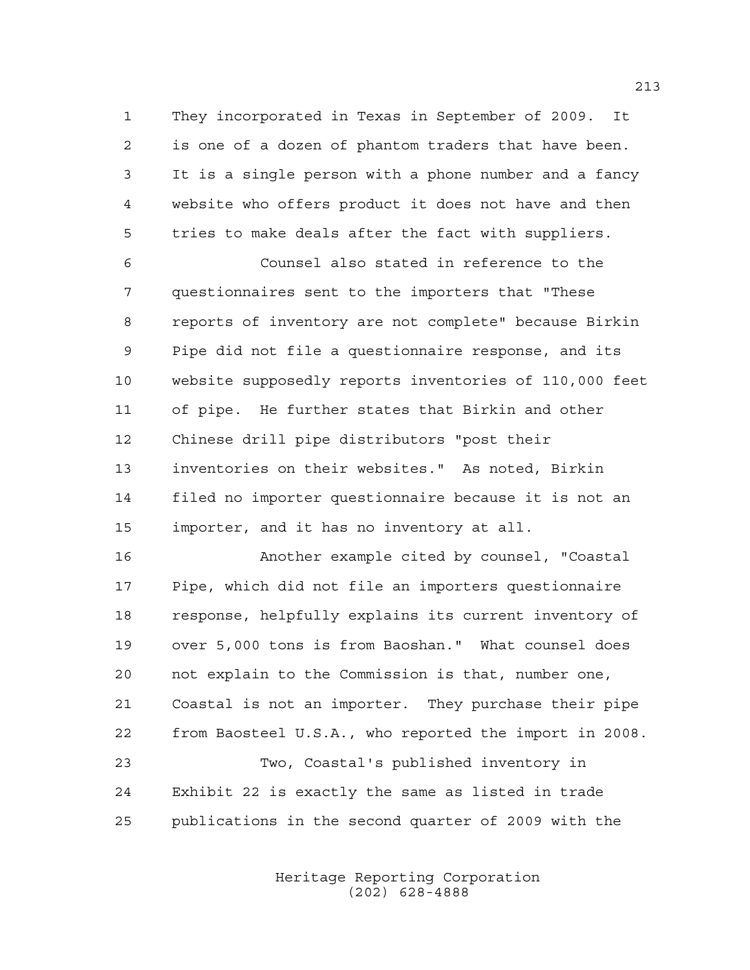They incorporated in Texas in September of 2009. It is one of a dozen of phantom traders that have been. It is a single person with a phone number and a fancy website who offers product it does not have and then tries to make deals after the fact with suppliers.

 Counsel also stated in reference to the questionnaires sent to the importers that "These reports of inventory are not complete" because Birkin Pipe did not file a questionnaire response, and its website supposedly reports inventories of 110,000 feet of pipe. He further states that Birkin and other Chinese drill pipe distributors "post their inventories on their websites." As noted, Birkin filed no importer questionnaire because it is not an importer, and it has no inventory at all.

 Another example cited by counsel, "Coastal Pipe, which did not file an importers questionnaire response, helpfully explains its current inventory of over 5,000 tons is from Baoshan." What counsel does not explain to the Commission is that, number one, Coastal is not an importer. They purchase their pipe from Baosteel U.S.A., who reported the import in 2008. Two, Coastal's published inventory in Exhibit 22 is exactly the same as listed in trade publications in the second quarter of 2009 with the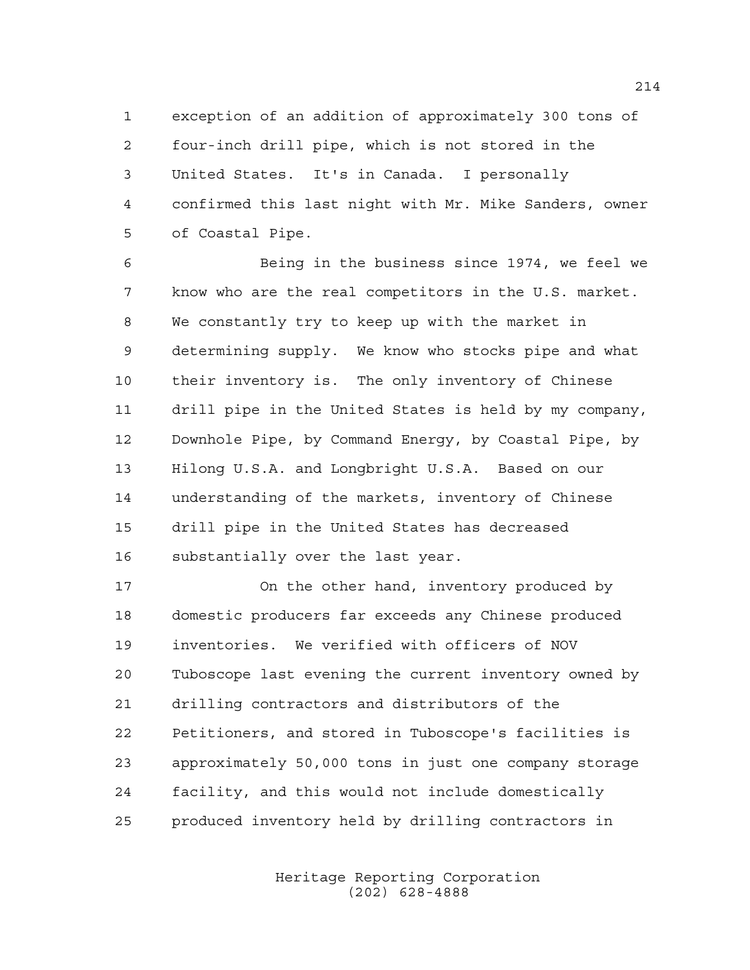exception of an addition of approximately 300 tons of four-inch drill pipe, which is not stored in the United States. It's in Canada. I personally confirmed this last night with Mr. Mike Sanders, owner of Coastal Pipe.

 Being in the business since 1974, we feel we know who are the real competitors in the U.S. market. We constantly try to keep up with the market in determining supply. We know who stocks pipe and what their inventory is. The only inventory of Chinese drill pipe in the United States is held by my company, Downhole Pipe, by Command Energy, by Coastal Pipe, by Hilong U.S.A. and Longbright U.S.A. Based on our understanding of the markets, inventory of Chinese drill pipe in the United States has decreased substantially over the last year.

 On the other hand, inventory produced by domestic producers far exceeds any Chinese produced inventories. We verified with officers of NOV Tuboscope last evening the current inventory owned by drilling contractors and distributors of the Petitioners, and stored in Tuboscope's facilities is approximately 50,000 tons in just one company storage facility, and this would not include domestically produced inventory held by drilling contractors in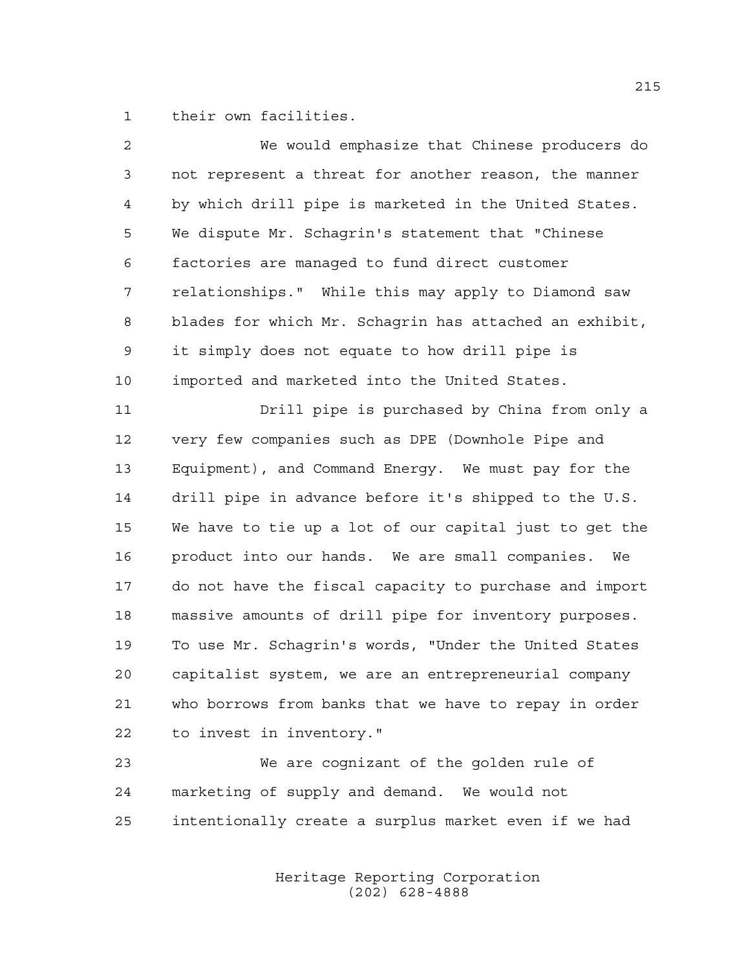their own facilities.

| $\overline{2}$ | We would emphasize that Chinese producers do           |
|----------------|--------------------------------------------------------|
| 3              | not represent a threat for another reason, the manner  |
| 4              | by which drill pipe is marketed in the United States.  |
| 5              | We dispute Mr. Schagrin's statement that "Chinese      |
| 6              | factories are managed to fund direct customer          |
| 7              | relationships." While this may apply to Diamond saw    |
| 8              | blades for which Mr. Schagrin has attached an exhibit, |
| $\mathsf 9$    | it simply does not equate to how drill pipe is         |
| 10             | imported and marketed into the United States.          |
| 11             | Drill pipe is purchased by China from only a           |
| 12             | very few companies such as DPE (Downhole Pipe and      |
| 13             | Equipment), and Command Energy. We must pay for the    |
| 14             | drill pipe in advance before it's shipped to the U.S.  |
| 15             | We have to tie up a lot of our capital just to get the |
| 16             | product into our hands. We are small companies. We     |
| 17             | do not have the fiscal capacity to purchase and import |
| 18             | massive amounts of drill pipe for inventory purposes.  |
| 19             | To use Mr. Schagrin's words, "Under the United States  |
| 20             | capitalist system, we are an entrepreneurial company   |
| 21             | who borrows from banks that we have to repay in order  |
| 22             | to invest in inventory."                               |
| 23             | We are cognizant of the golden rule of                 |
| 24             | marketing of supply and demand. We would not           |

intentionally create a surplus market even if we had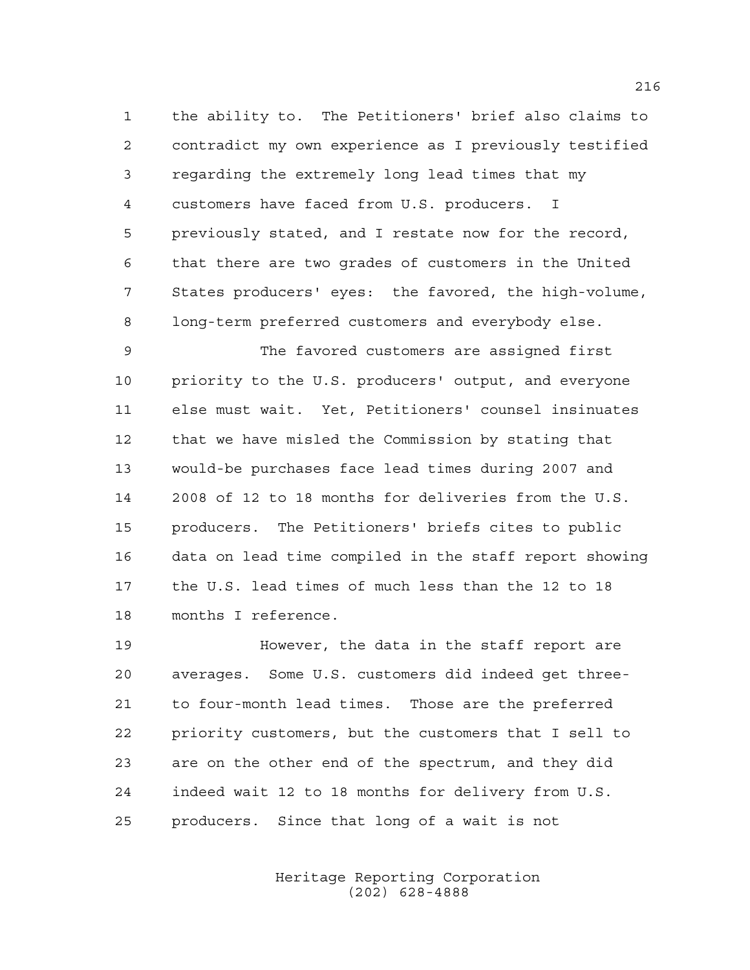the ability to. The Petitioners' brief also claims to contradict my own experience as I previously testified regarding the extremely long lead times that my customers have faced from U.S. producers. I previously stated, and I restate now for the record, that there are two grades of customers in the United States producers' eyes: the favored, the high-volume, long-term preferred customers and everybody else.

 The favored customers are assigned first priority to the U.S. producers' output, and everyone else must wait. Yet, Petitioners' counsel insinuates that we have misled the Commission by stating that would-be purchases face lead times during 2007 and 2008 of 12 to 18 months for deliveries from the U.S. producers. The Petitioners' briefs cites to public data on lead time compiled in the staff report showing the U.S. lead times of much less than the 12 to 18 months I reference.

**However, the data in the staff report are**  averages. Some U.S. customers did indeed get three- to four-month lead times. Those are the preferred priority customers, but the customers that I sell to are on the other end of the spectrum, and they did indeed wait 12 to 18 months for delivery from U.S. producers. Since that long of a wait is not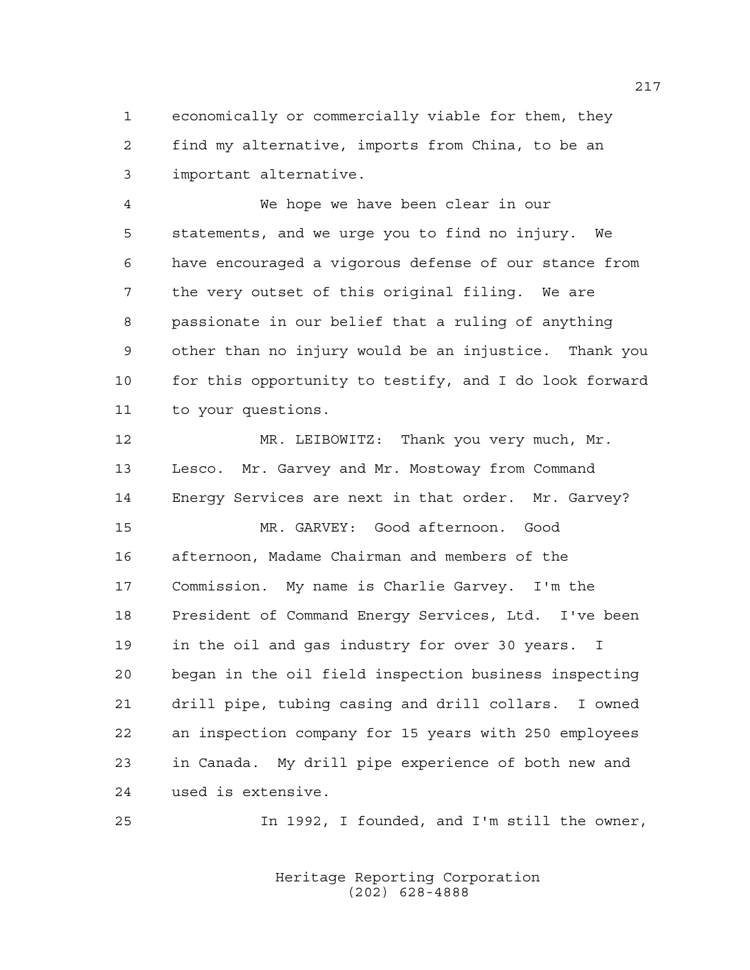economically or commercially viable for them, they find my alternative, imports from China, to be an important alternative.

 We hope we have been clear in our statements, and we urge you to find no injury. We have encouraged a vigorous defense of our stance from the very outset of this original filing. We are passionate in our belief that a ruling of anything other than no injury would be an injustice. Thank you for this opportunity to testify, and I do look forward to your questions.

 MR. LEIBOWITZ: Thank you very much, Mr. Lesco. Mr. Garvey and Mr. Mostoway from Command Energy Services are next in that order. Mr. Garvey? MR. GARVEY: Good afternoon. Good afternoon, Madame Chairman and members of the Commission. My name is Charlie Garvey. I'm the President of Command Energy Services, Ltd. I've been in the oil and gas industry for over 30 years. I began in the oil field inspection business inspecting drill pipe, tubing casing and drill collars. I owned an inspection company for 15 years with 250 employees in Canada. My drill pipe experience of both new and used is extensive.

In 1992, I founded, and I'm still the owner,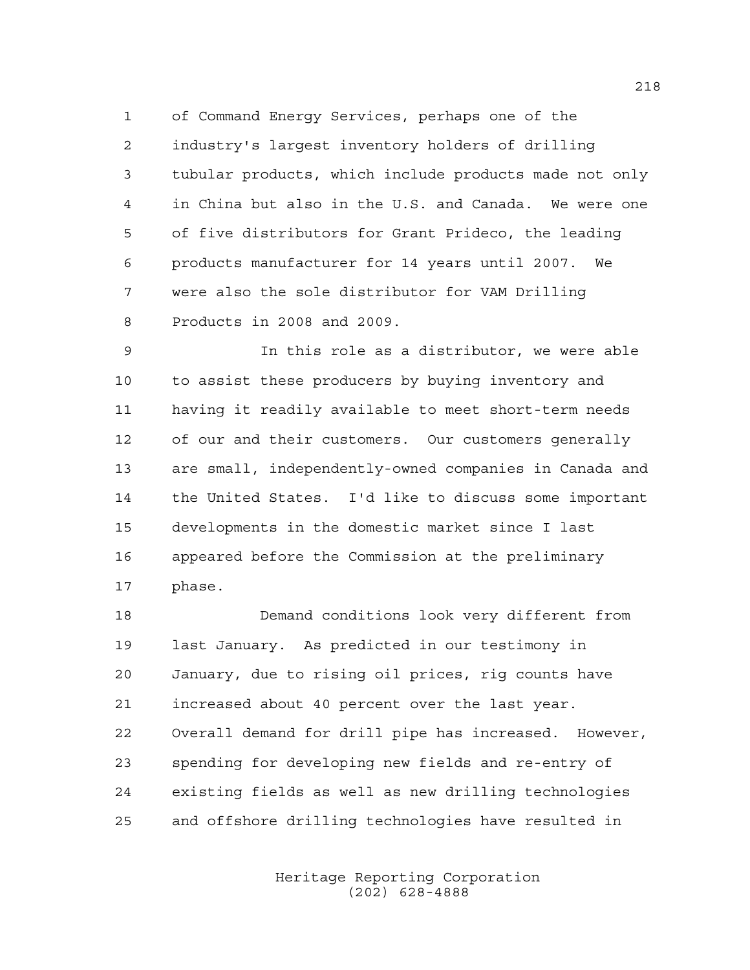of Command Energy Services, perhaps one of the industry's largest inventory holders of drilling tubular products, which include products made not only in China but also in the U.S. and Canada. We were one of five distributors for Grant Prideco, the leading products manufacturer for 14 years until 2007. We were also the sole distributor for VAM Drilling Products in 2008 and 2009.

 In this role as a distributor, we were able to assist these producers by buying inventory and having it readily available to meet short-term needs of our and their customers. Our customers generally are small, independently-owned companies in Canada and the United States. I'd like to discuss some important developments in the domestic market since I last appeared before the Commission at the preliminary phase.

 Demand conditions look very different from last January. As predicted in our testimony in January, due to rising oil prices, rig counts have increased about 40 percent over the last year. Overall demand for drill pipe has increased. However, spending for developing new fields and re-entry of existing fields as well as new drilling technologies and offshore drilling technologies have resulted in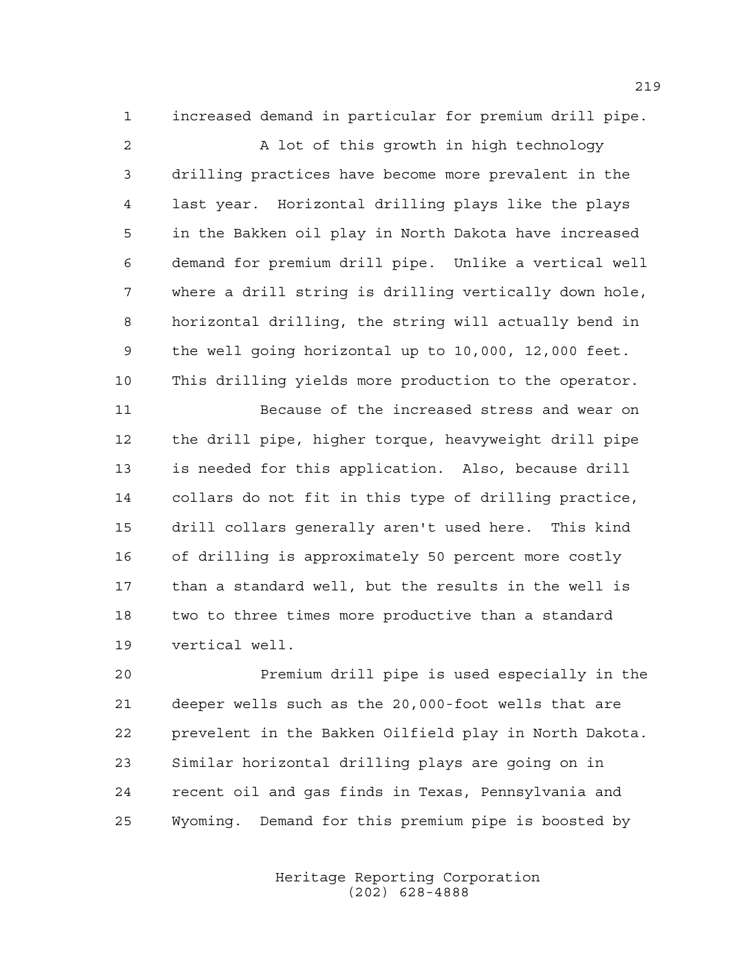increased demand in particular for premium drill pipe.

 A lot of this growth in high technology drilling practices have become more prevalent in the last year. Horizontal drilling plays like the plays in the Bakken oil play in North Dakota have increased demand for premium drill pipe. Unlike a vertical well where a drill string is drilling vertically down hole, horizontal drilling, the string will actually bend in the well going horizontal up to 10,000, 12,000 feet. This drilling yields more production to the operator.

 Because of the increased stress and wear on the drill pipe, higher torque, heavyweight drill pipe is needed for this application. Also, because drill collars do not fit in this type of drilling practice, drill collars generally aren't used here. This kind of drilling is approximately 50 percent more costly than a standard well, but the results in the well is two to three times more productive than a standard vertical well.

 Premium drill pipe is used especially in the deeper wells such as the 20,000-foot wells that are prevelent in the Bakken Oilfield play in North Dakota. Similar horizontal drilling plays are going on in recent oil and gas finds in Texas, Pennsylvania and Wyoming. Demand for this premium pipe is boosted by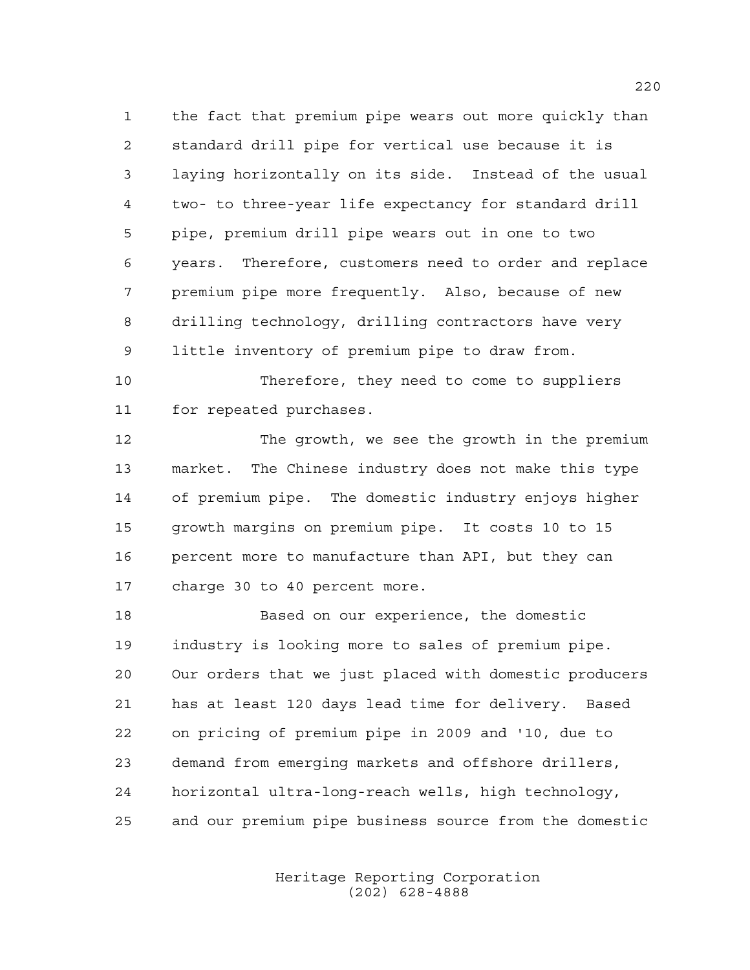the fact that premium pipe wears out more quickly than standard drill pipe for vertical use because it is laying horizontally on its side. Instead of the usual two- to three-year life expectancy for standard drill pipe, premium drill pipe wears out in one to two years. Therefore, customers need to order and replace premium pipe more frequently. Also, because of new drilling technology, drilling contractors have very little inventory of premium pipe to draw from.

 Therefore, they need to come to suppliers for repeated purchases.

 The growth, we see the growth in the premium market. The Chinese industry does not make this type of premium pipe. The domestic industry enjoys higher growth margins on premium pipe. It costs 10 to 15 percent more to manufacture than API, but they can charge 30 to 40 percent more.

 Based on our experience, the domestic industry is looking more to sales of premium pipe. Our orders that we just placed with domestic producers has at least 120 days lead time for delivery. Based on pricing of premium pipe in 2009 and '10, due to demand from emerging markets and offshore drillers, horizontal ultra-long-reach wells, high technology, and our premium pipe business source from the domestic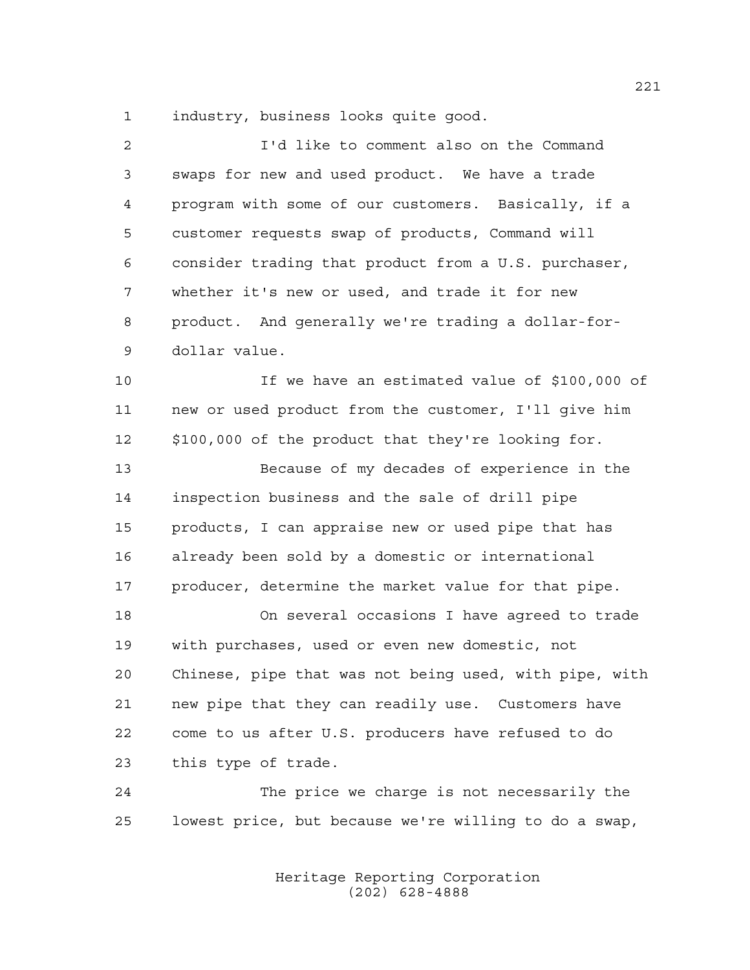industry, business looks quite good.

| $\overline{a}$ | I'd like to comment also on the Command                |
|----------------|--------------------------------------------------------|
| 3              | swaps for new and used product. We have a trade        |
| 4              | program with some of our customers. Basically, if a    |
| 5              | customer requests swap of products, Command will       |
| 6              | consider trading that product from a U.S. purchaser,   |
| 7              | whether it's new or used, and trade it for new         |
| 8              | product. And generally we're trading a dollar-for-     |
| 9              | dollar value.                                          |
| 10             | If we have an estimated value of \$100,000 of          |
| 11             | new or used product from the customer, I'll give him   |
| 12             | \$100,000 of the product that they're looking for.     |
| 13             | Because of my decades of experience in the             |
| 14             | inspection business and the sale of drill pipe         |
| 15             | products, I can appraise new or used pipe that has     |
| 16             | already been sold by a domestic or international       |
| 17             | producer, determine the market value for that pipe.    |
| 18             | On several occasions I have agreed to trade            |
| 19             | with purchases, used or even new domestic, not         |
| 20             | Chinese, pipe that was not being used, with pipe, with |
| 21             | new pipe that they can readily use. Customers have     |
| 22             | come to us after U.S. producers have refused to do     |
| 23             | this type of trade.                                    |
| 24             | The price we charge is not necessarily the             |
| 25             | lowest price, but because we're willing to do a swap,  |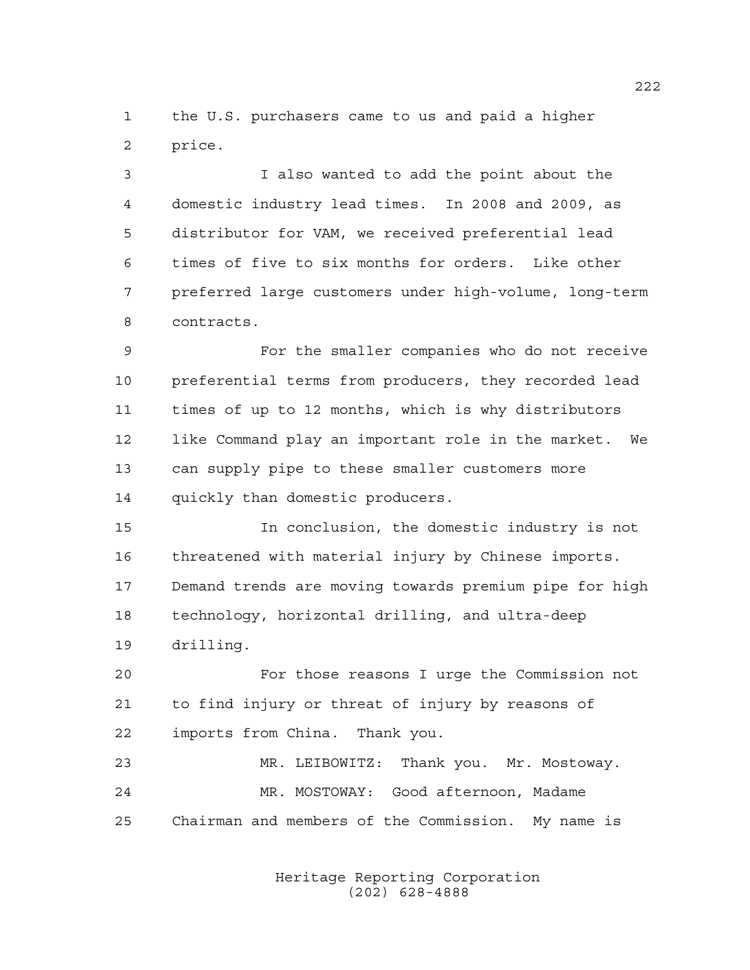the U.S. purchasers came to us and paid a higher price.

 I also wanted to add the point about the domestic industry lead times. In 2008 and 2009, as distributor for VAM, we received preferential lead times of five to six months for orders. Like other preferred large customers under high-volume, long-term contracts.

 For the smaller companies who do not receive preferential terms from producers, they recorded lead times of up to 12 months, which is why distributors like Command play an important role in the market. We can supply pipe to these smaller customers more quickly than domestic producers.

 In conclusion, the domestic industry is not threatened with material injury by Chinese imports. Demand trends are moving towards premium pipe for high technology, horizontal drilling, and ultra-deep drilling.

 For those reasons I urge the Commission not to find injury or threat of injury by reasons of imports from China. Thank you.

 MR. LEIBOWITZ: Thank you. Mr. Mostoway. MR. MOSTOWAY: Good afternoon, Madame Chairman and members of the Commission. My name is

> Heritage Reporting Corporation (202) 628-4888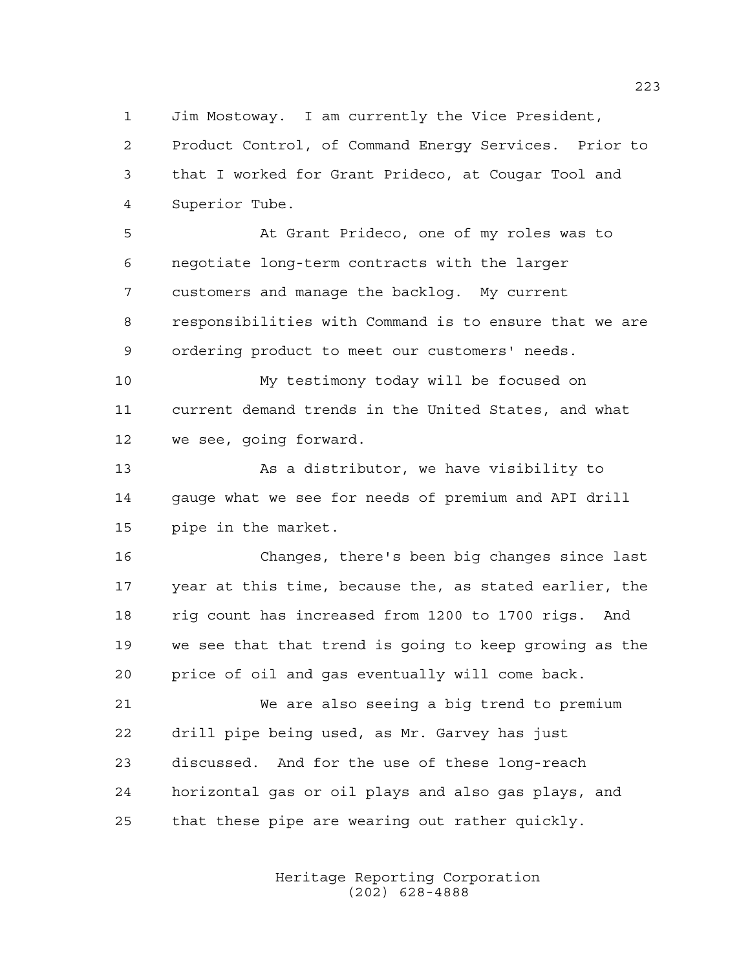Jim Mostoway. I am currently the Vice President,

 Product Control, of Command Energy Services. Prior to that I worked for Grant Prideco, at Cougar Tool and Superior Tube.

 At Grant Prideco, one of my roles was to negotiate long-term contracts with the larger customers and manage the backlog. My current responsibilities with Command is to ensure that we are ordering product to meet our customers' needs.

 My testimony today will be focused on current demand trends in the United States, and what we see, going forward.

 As a distributor, we have visibility to gauge what we see for needs of premium and API drill pipe in the market.

 Changes, there's been big changes since last year at this time, because the, as stated earlier, the rig count has increased from 1200 to 1700 rigs. And we see that that trend is going to keep growing as the price of oil and gas eventually will come back.

 We are also seeing a big trend to premium drill pipe being used, as Mr. Garvey has just discussed. And for the use of these long-reach horizontal gas or oil plays and also gas plays, and that these pipe are wearing out rather quickly.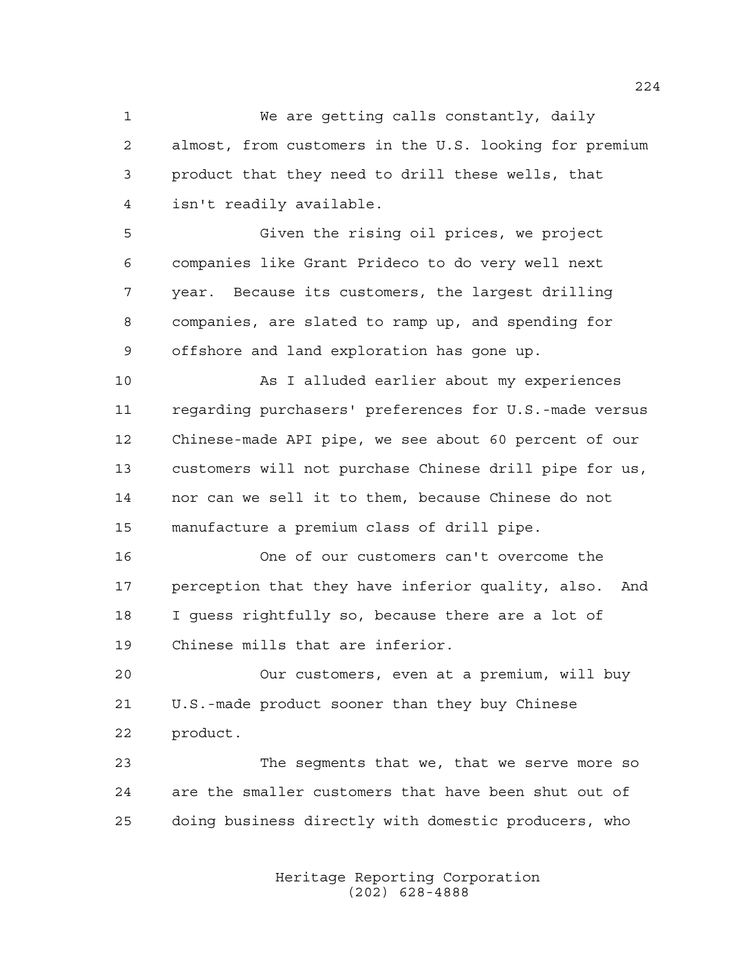We are getting calls constantly, daily almost, from customers in the U.S. looking for premium product that they need to drill these wells, that isn't readily available.

 Given the rising oil prices, we project companies like Grant Prideco to do very well next year. Because its customers, the largest drilling companies, are slated to ramp up, and spending for offshore and land exploration has gone up.

 As I alluded earlier about my experiences regarding purchasers' preferences for U.S.-made versus Chinese-made API pipe, we see about 60 percent of our customers will not purchase Chinese drill pipe for us, nor can we sell it to them, because Chinese do not manufacture a premium class of drill pipe.

 One of our customers can't overcome the perception that they have inferior quality, also. And I guess rightfully so, because there are a lot of Chinese mills that are inferior.

 Our customers, even at a premium, will buy U.S.-made product sooner than they buy Chinese product.

 The segments that we, that we serve more so are the smaller customers that have been shut out of doing business directly with domestic producers, who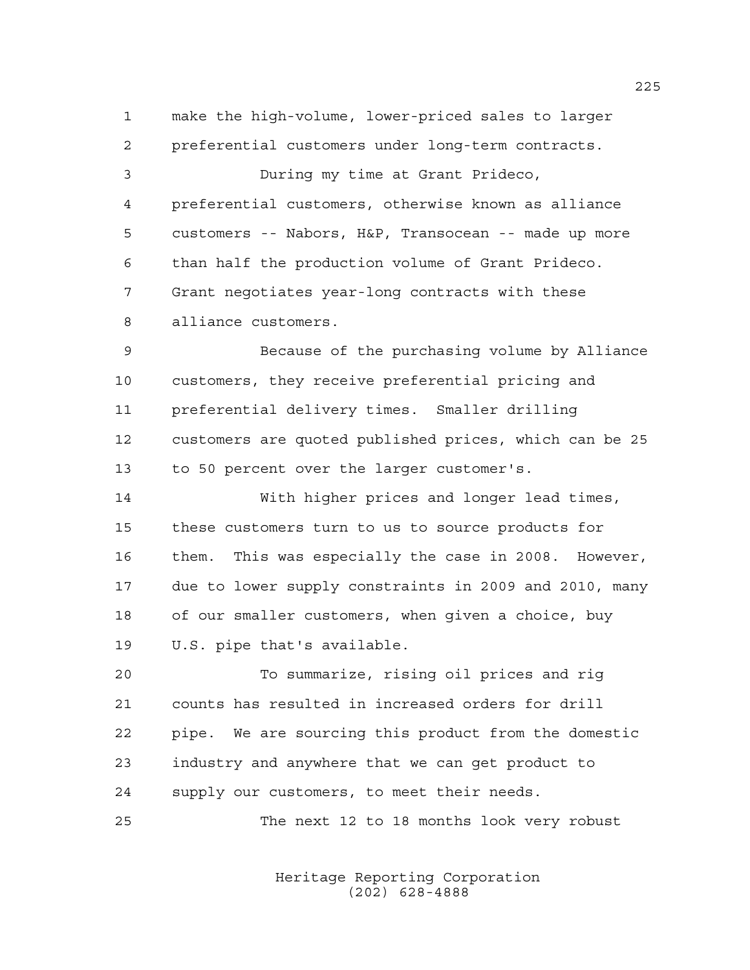make the high-volume, lower-priced sales to larger preferential customers under long-term contracts. During my time at Grant Prideco, preferential customers, otherwise known as alliance customers -- Nabors, H&P, Transocean -- made up more than half the production volume of Grant Prideco. Grant negotiates year-long contracts with these alliance customers. Because of the purchasing volume by Alliance customers, they receive preferential pricing and preferential delivery times. Smaller drilling customers are quoted published prices, which can be 25 to 50 percent over the larger customer's. With higher prices and longer lead times, these customers turn to us to source products for them. This was especially the case in 2008. However, due to lower supply constraints in 2009 and 2010, many of our smaller customers, when given a choice, buy U.S. pipe that's available. To summarize, rising oil prices and rig counts has resulted in increased orders for drill pipe. We are sourcing this product from the domestic industry and anywhere that we can get product to supply our customers, to meet their needs. The next 12 to 18 months look very robust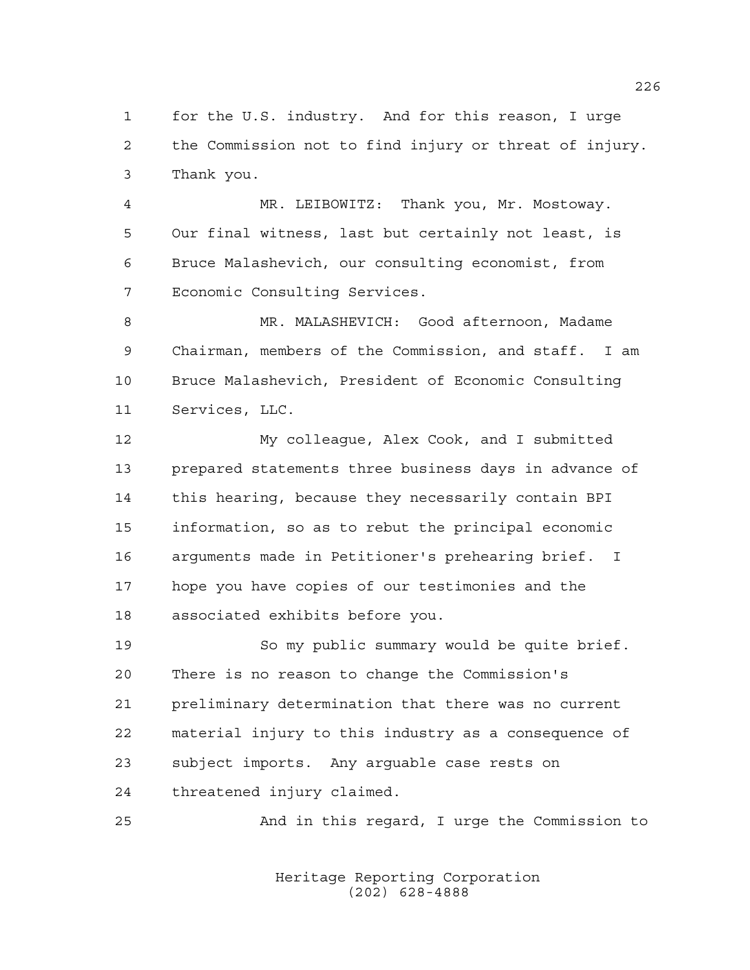for the U.S. industry. And for this reason, I urge the Commission not to find injury or threat of injury. Thank you.

 MR. LEIBOWITZ: Thank you, Mr. Mostoway. Our final witness, last but certainly not least, is Bruce Malashevich, our consulting economist, from Economic Consulting Services.

 MR. MALASHEVICH: Good afternoon, Madame Chairman, members of the Commission, and staff. I am Bruce Malashevich, President of Economic Consulting Services, LLC.

 My colleague, Alex Cook, and I submitted prepared statements three business days in advance of this hearing, because they necessarily contain BPI information, so as to rebut the principal economic arguments made in Petitioner's prehearing brief. I hope you have copies of our testimonies and the associated exhibits before you.

 So my public summary would be quite brief. There is no reason to change the Commission's preliminary determination that there was no current material injury to this industry as a consequence of subject imports. Any arguable case rests on threatened injury claimed.

And in this regard, I urge the Commission to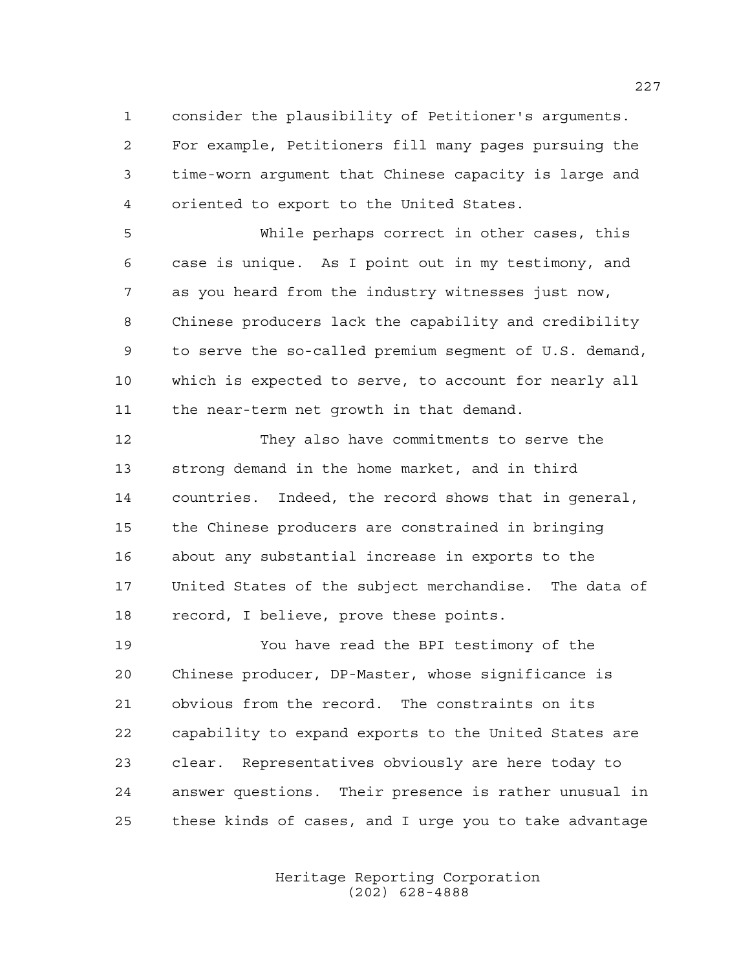consider the plausibility of Petitioner's arguments. For example, Petitioners fill many pages pursuing the time-worn argument that Chinese capacity is large and oriented to export to the United States.

 While perhaps correct in other cases, this case is unique. As I point out in my testimony, and as you heard from the industry witnesses just now, Chinese producers lack the capability and credibility to serve the so-called premium segment of U.S. demand, which is expected to serve, to account for nearly all the near-term net growth in that demand.

 They also have commitments to serve the strong demand in the home market, and in third countries. Indeed, the record shows that in general, the Chinese producers are constrained in bringing about any substantial increase in exports to the United States of the subject merchandise. The data of record, I believe, prove these points.

 You have read the BPI testimony of the Chinese producer, DP-Master, whose significance is obvious from the record. The constraints on its capability to expand exports to the United States are clear. Representatives obviously are here today to answer questions. Their presence is rather unusual in these kinds of cases, and I urge you to take advantage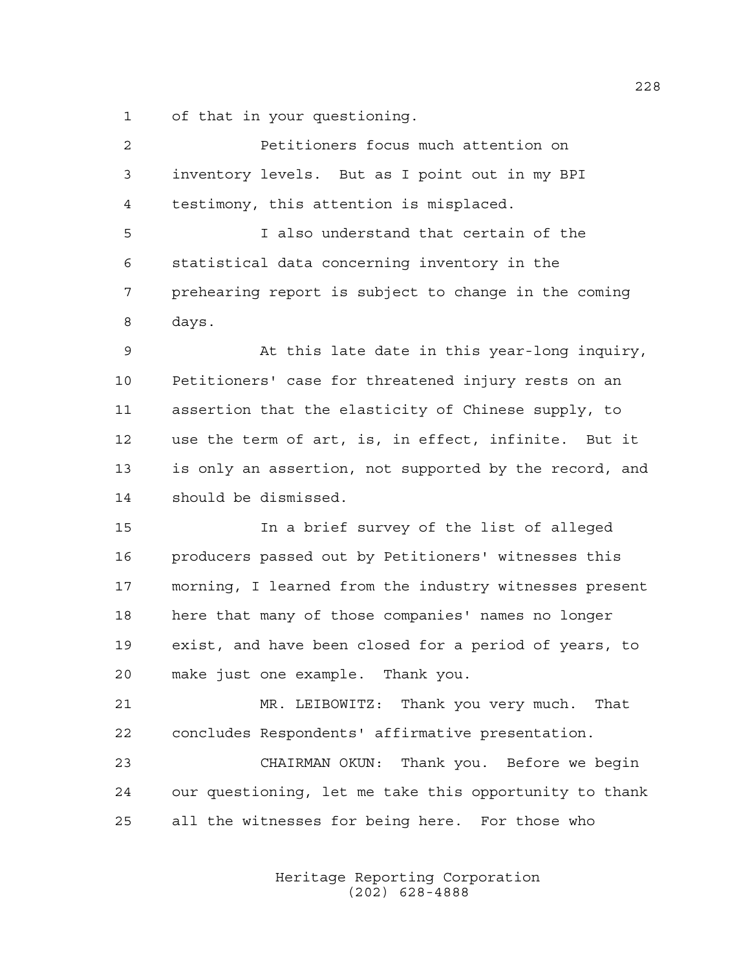of that in your questioning.

| $\overline{2}$ | Petitioners focus much attention on                    |
|----------------|--------------------------------------------------------|
| 3              | inventory levels. But as I point out in my BPI         |
| $\overline{4}$ | testimony, this attention is misplaced.                |
| 5              | I also understand that certain of the                  |
| 6              | statistical data concerning inventory in the           |
| 7              | prehearing report is subject to change in the coming   |
| 8              | days.                                                  |
| 9              | At this late date in this year-long inquiry,           |
| 10             | Petitioners' case for threatened injury rests on an    |
| 11             | assertion that the elasticity of Chinese supply, to    |
| 12             | use the term of art, is, in effect, infinite. But it   |
| 13             | is only an assertion, not supported by the record, and |
| 14             | should be dismissed.                                   |
| 15             | In a brief survey of the list of alleged               |
| 16             | producers passed out by Petitioners' witnesses this    |
| 17             | morning, I learned from the industry witnesses present |
| 18             | here that many of those companies' names no longer     |
| 19             | exist, and have been closed for a period of years, to  |
| 20             | make just one example.<br>Thank you.                   |
| 21             | MR. LEIBOWITZ: Thank you very much. That               |
| 22             | concludes Respondents' affirmative presentation.       |
| 23             | CHAIRMAN OKUN: Thank you. Before we begin              |
| 24             | our questioning, let me take this opportunity to thank |
| 25             | all the witnesses for being here. For those who        |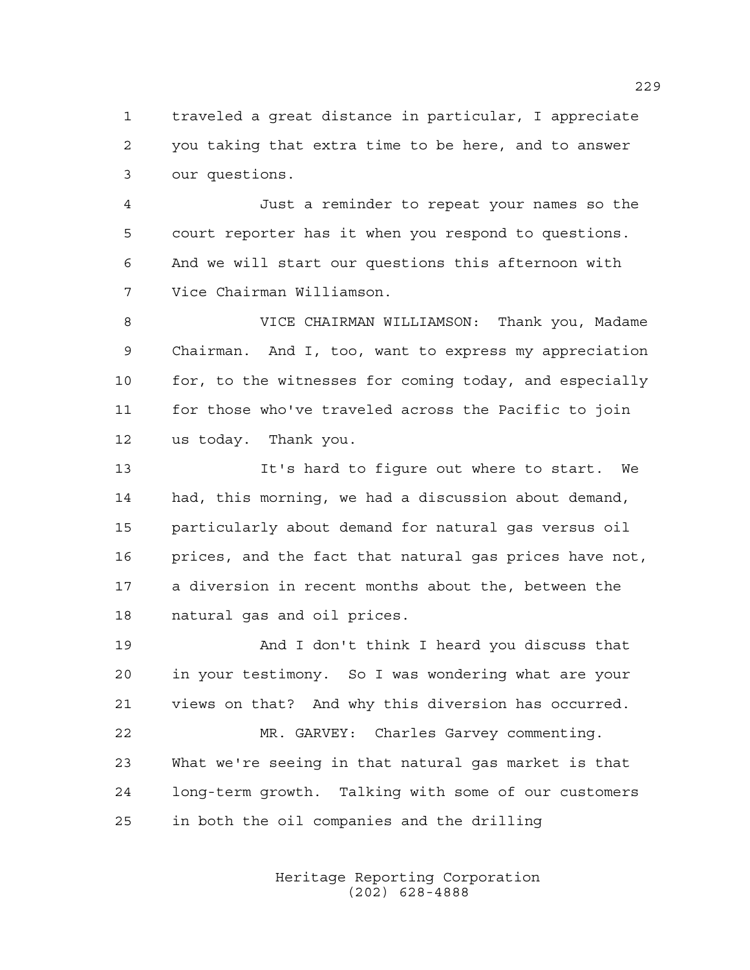traveled a great distance in particular, I appreciate you taking that extra time to be here, and to answer our questions.

 Just a reminder to repeat your names so the court reporter has it when you respond to questions. And we will start our questions this afternoon with Vice Chairman Williamson.

 VICE CHAIRMAN WILLIAMSON: Thank you, Madame Chairman. And I, too, want to express my appreciation 10 for, to the witnesses for coming today, and especially for those who've traveled across the Pacific to join us today. Thank you.

 It's hard to figure out where to start. We had, this morning, we had a discussion about demand, particularly about demand for natural gas versus oil prices, and the fact that natural gas prices have not, a diversion in recent months about the, between the natural gas and oil prices.

 And I don't think I heard you discuss that in your testimony. So I was wondering what are your views on that? And why this diversion has occurred.

 MR. GARVEY: Charles Garvey commenting. What we're seeing in that natural gas market is that long-term growth. Talking with some of our customers in both the oil companies and the drilling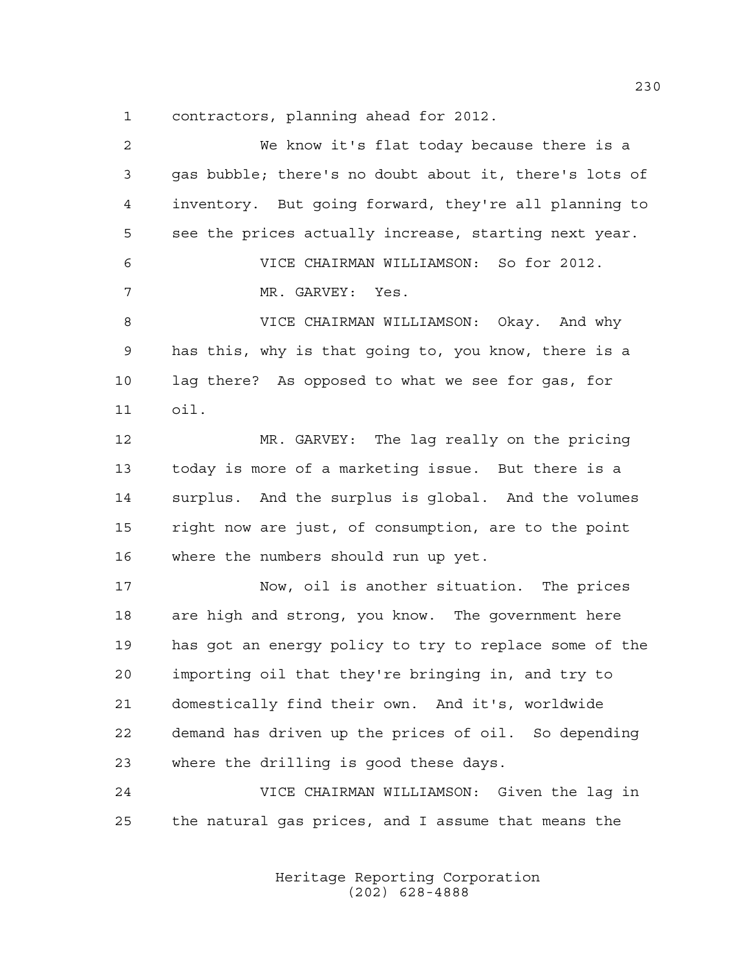contractors, planning ahead for 2012.

| 2  | We know it's flat today because there is a             |
|----|--------------------------------------------------------|
| 3  | gas bubble; there's no doubt about it, there's lots of |
| 4  | inventory. But going forward, they're all planning to  |
| 5  | see the prices actually increase, starting next year.  |
| 6  | VICE CHAIRMAN WILLIAMSON: So for 2012.                 |
| 7  | MR. GARVEY: Yes.                                       |
| 8  | VICE CHAIRMAN WILLIAMSON: Okay. And why                |
| 9  | has this, why is that going to, you know, there is a   |
| 10 | lag there? As opposed to what we see for gas, for      |
| 11 | oil.                                                   |
| 12 | MR. GARVEY: The lag really on the pricing              |
| 13 | today is more of a marketing issue. But there is a     |
| 14 | surplus. And the surplus is global. And the volumes    |
| 15 | right now are just, of consumption, are to the point   |
| 16 | where the numbers should run up yet.                   |
| 17 | Now, oil is another situation. The prices              |
| 18 | are high and strong, you know. The government here     |
| 19 | has got an energy policy to try to replace some of the |
| 20 | importing oil that they're bringing in, and try to     |
| 21 | domestically find their own. And it's, worldwide       |
| 22 | demand has driven up the prices of oil. So depending   |
| 23 | where the drilling is good these days.                 |
| 24 | VICE CHAIRMAN WILLIAMSON: Given the lag in             |
| 25 | the natural gas prices, and I assume that means the    |
|    |                                                        |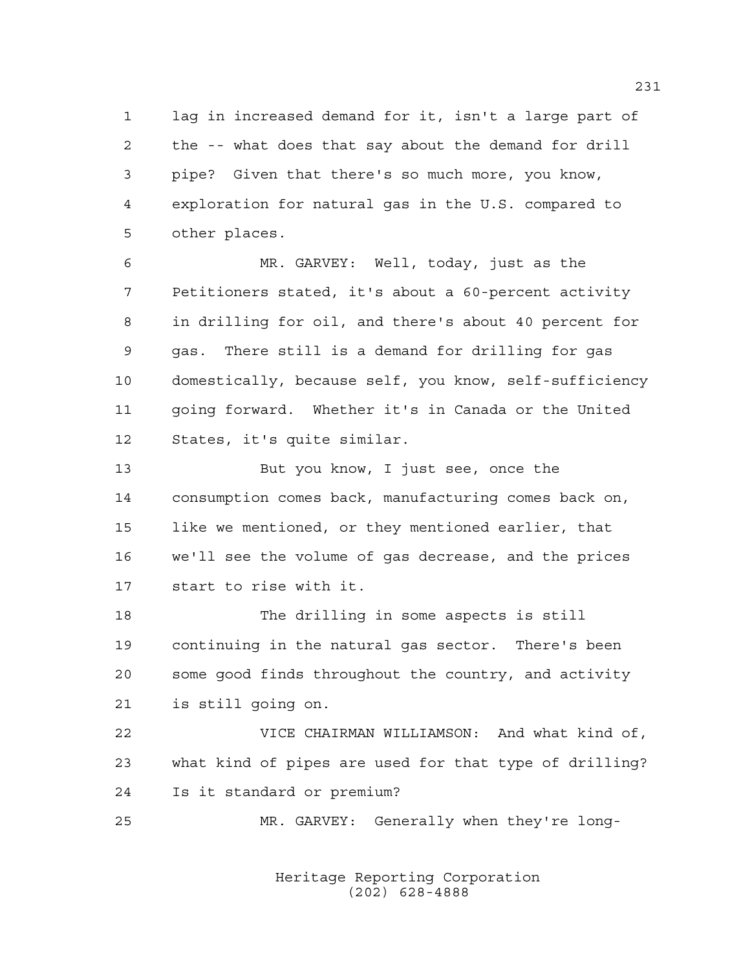lag in increased demand for it, isn't a large part of the -- what does that say about the demand for drill pipe? Given that there's so much more, you know, exploration for natural gas in the U.S. compared to other places.

 MR. GARVEY: Well, today, just as the Petitioners stated, it's about a 60-percent activity in drilling for oil, and there's about 40 percent for gas. There still is a demand for drilling for gas domestically, because self, you know, self-sufficiency going forward. Whether it's in Canada or the United States, it's quite similar.

 But you know, I just see, once the consumption comes back, manufacturing comes back on, like we mentioned, or they mentioned earlier, that we'll see the volume of gas decrease, and the prices start to rise with it.

 The drilling in some aspects is still continuing in the natural gas sector. There's been some good finds throughout the country, and activity is still going on.

 VICE CHAIRMAN WILLIAMSON: And what kind of, what kind of pipes are used for that type of drilling? Is it standard or premium?

MR. GARVEY: Generally when they're long-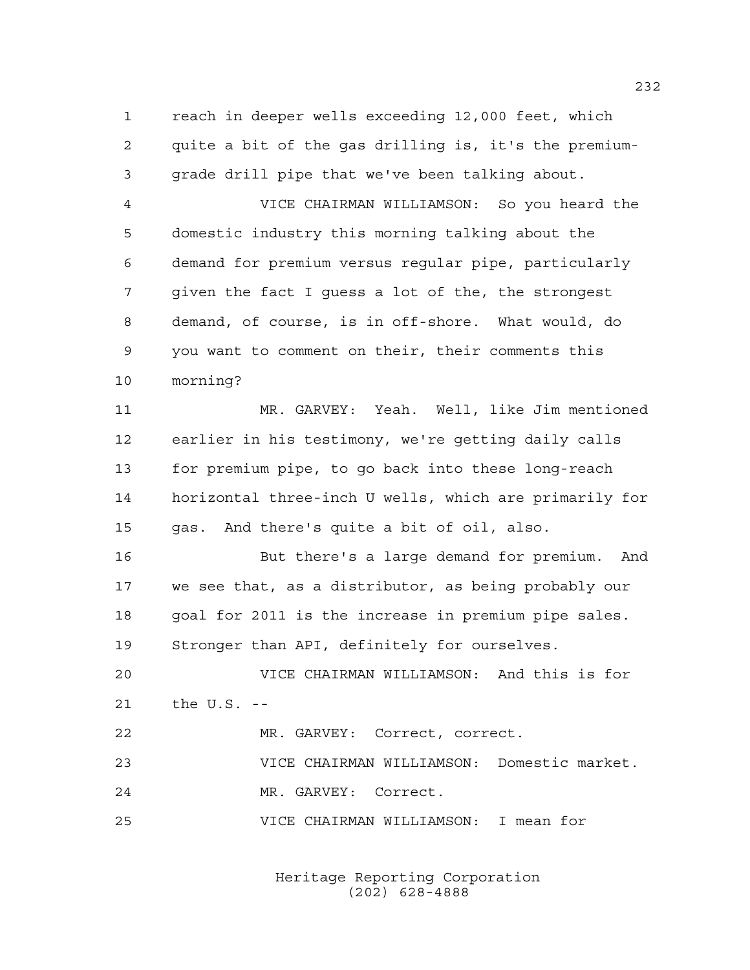reach in deeper wells exceeding 12,000 feet, which quite a bit of the gas drilling is, it's the premium-grade drill pipe that we've been talking about.

 VICE CHAIRMAN WILLIAMSON: So you heard the domestic industry this morning talking about the demand for premium versus regular pipe, particularly given the fact I guess a lot of the, the strongest demand, of course, is in off-shore. What would, do you want to comment on their, their comments this morning?

 MR. GARVEY: Yeah. Well, like Jim mentioned earlier in his testimony, we're getting daily calls for premium pipe, to go back into these long-reach horizontal three-inch U wells, which are primarily for gas. And there's quite a bit of oil, also.

 But there's a large demand for premium. And we see that, as a distributor, as being probably our 18 goal for 2011 is the increase in premium pipe sales. Stronger than API, definitely for ourselves.

 VICE CHAIRMAN WILLIAMSON: And this is for the U.S. --

 MR. GARVEY: Correct, correct. VICE CHAIRMAN WILLIAMSON: Domestic market. MR. GARVEY: Correct. VICE CHAIRMAN WILLIAMSON: I mean for

> Heritage Reporting Corporation (202) 628-4888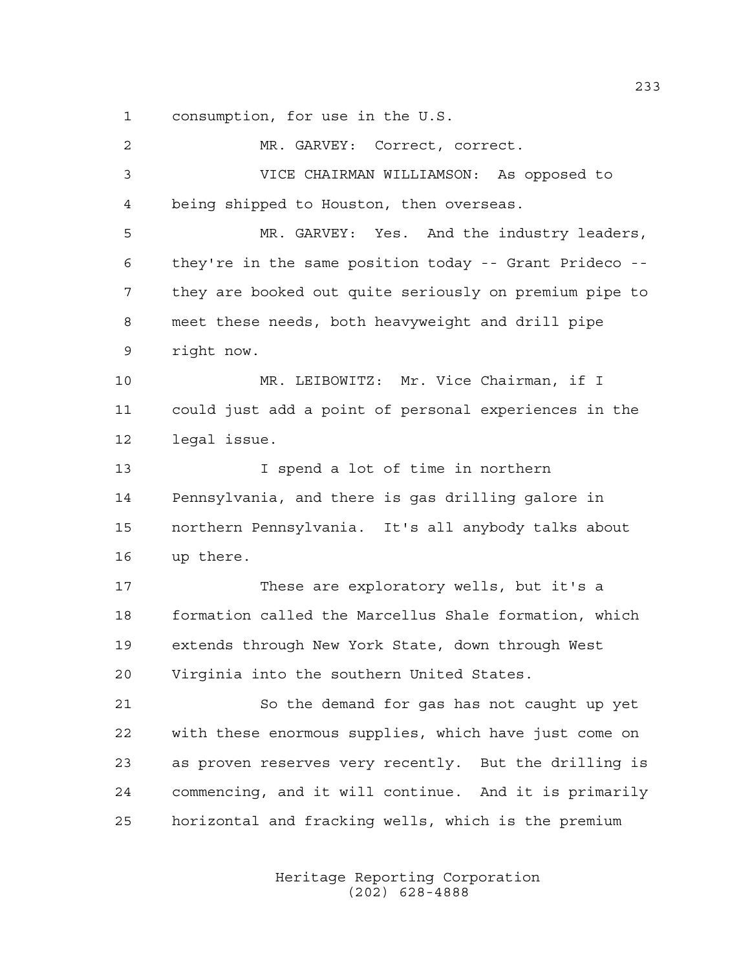consumption, for use in the U.S.

 MR. GARVEY: Correct, correct. VICE CHAIRMAN WILLIAMSON: As opposed to being shipped to Houston, then overseas. MR. GARVEY: Yes. And the industry leaders, they're in the same position today -- Grant Prideco -- they are booked out quite seriously on premium pipe to meet these needs, both heavyweight and drill pipe right now. MR. LEIBOWITZ: Mr. Vice Chairman, if I could just add a point of personal experiences in the legal issue. I spend a lot of time in northern Pennsylvania, and there is gas drilling galore in northern Pennsylvania. It's all anybody talks about up there. These are exploratory wells, but it's a formation called the Marcellus Shale formation, which extends through New York State, down through West Virginia into the southern United States. So the demand for gas has not caught up yet with these enormous supplies, which have just come on as proven reserves very recently. But the drilling is commencing, and it will continue. And it is primarily horizontal and fracking wells, which is the premium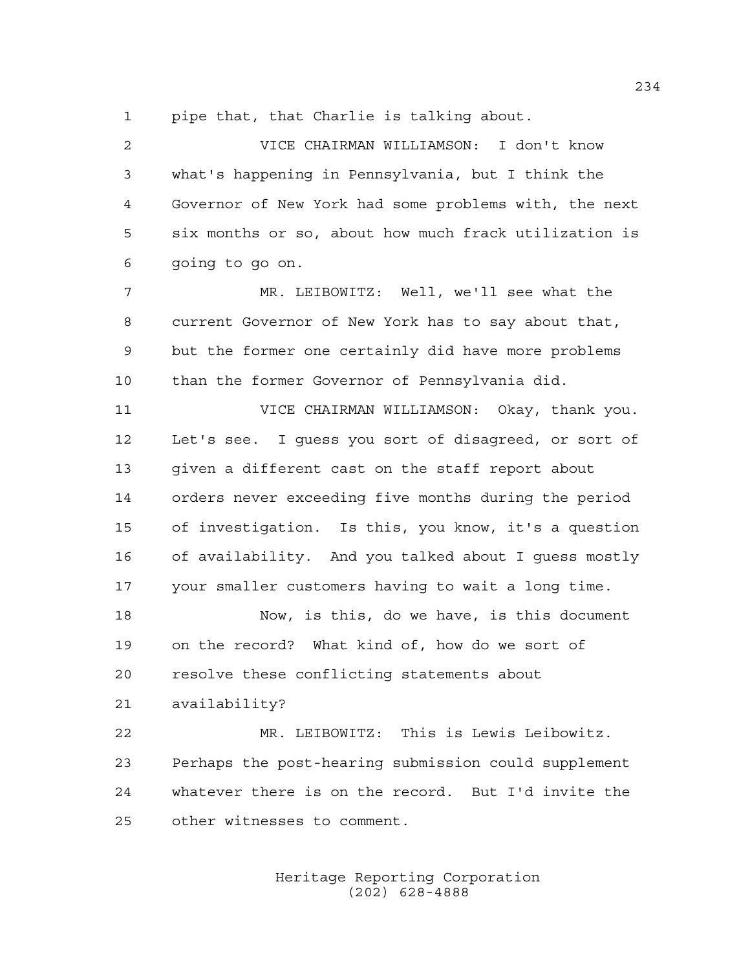pipe that, that Charlie is talking about.

 VICE CHAIRMAN WILLIAMSON: I don't know what's happening in Pennsylvania, but I think the Governor of New York had some problems with, the next six months or so, about how much frack utilization is going to go on.

 MR. LEIBOWITZ: Well, we'll see what the current Governor of New York has to say about that, but the former one certainly did have more problems than the former Governor of Pennsylvania did.

 VICE CHAIRMAN WILLIAMSON: Okay, thank you. Let's see. I guess you sort of disagreed, or sort of given a different cast on the staff report about orders never exceeding five months during the period of investigation. Is this, you know, it's a question of availability. And you talked about I guess mostly your smaller customers having to wait a long time.

 Now, is this, do we have, is this document on the record? What kind of, how do we sort of resolve these conflicting statements about

availability?

 MR. LEIBOWITZ: This is Lewis Leibowitz. Perhaps the post-hearing submission could supplement whatever there is on the record. But I'd invite the other witnesses to comment.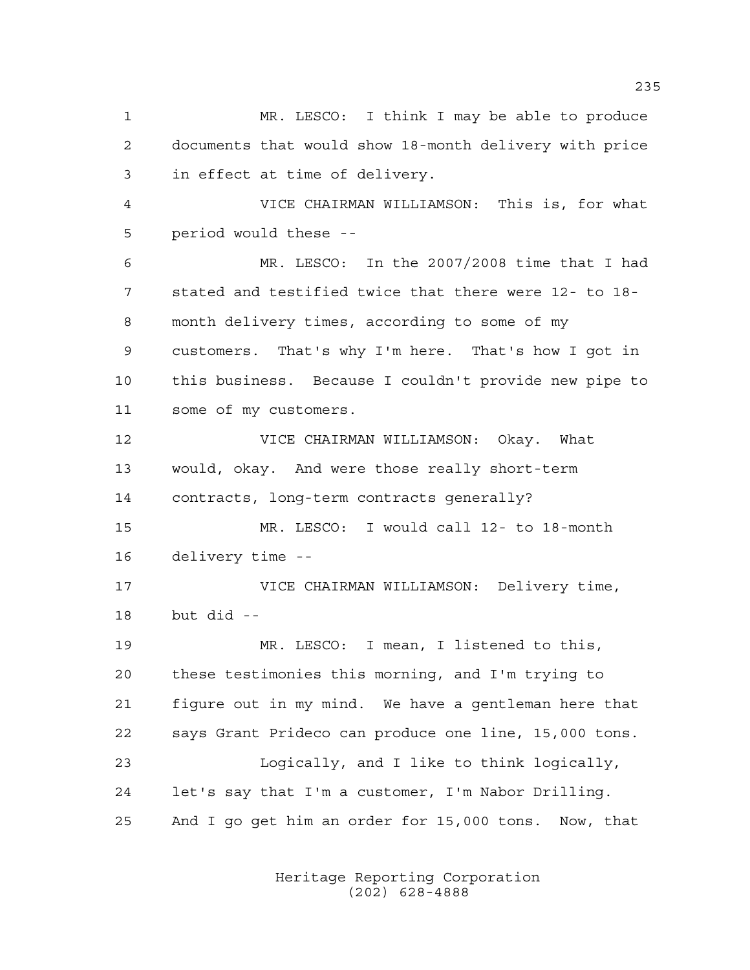MR. LESCO: I think I may be able to produce documents that would show 18-month delivery with price in effect at time of delivery. VICE CHAIRMAN WILLIAMSON: This is, for what period would these -- MR. LESCO: In the 2007/2008 time that I had stated and testified twice that there were 12- to 18- month delivery times, according to some of my customers. That's why I'm here. That's how I got in this business. Because I couldn't provide new pipe to some of my customers. VICE CHAIRMAN WILLIAMSON: Okay. What would, okay. And were those really short-term contracts, long-term contracts generally? MR. LESCO: I would call 12- to 18-month delivery time -- VICE CHAIRMAN WILLIAMSON: Delivery time, but did -- MR. LESCO: I mean, I listened to this, these testimonies this morning, and I'm trying to figure out in my mind. We have a gentleman here that says Grant Prideco can produce one line, 15,000 tons. Logically, and I like to think logically, let's say that I'm a customer, I'm Nabor Drilling. And I go get him an order for 15,000 tons. Now, that

> Heritage Reporting Corporation (202) 628-4888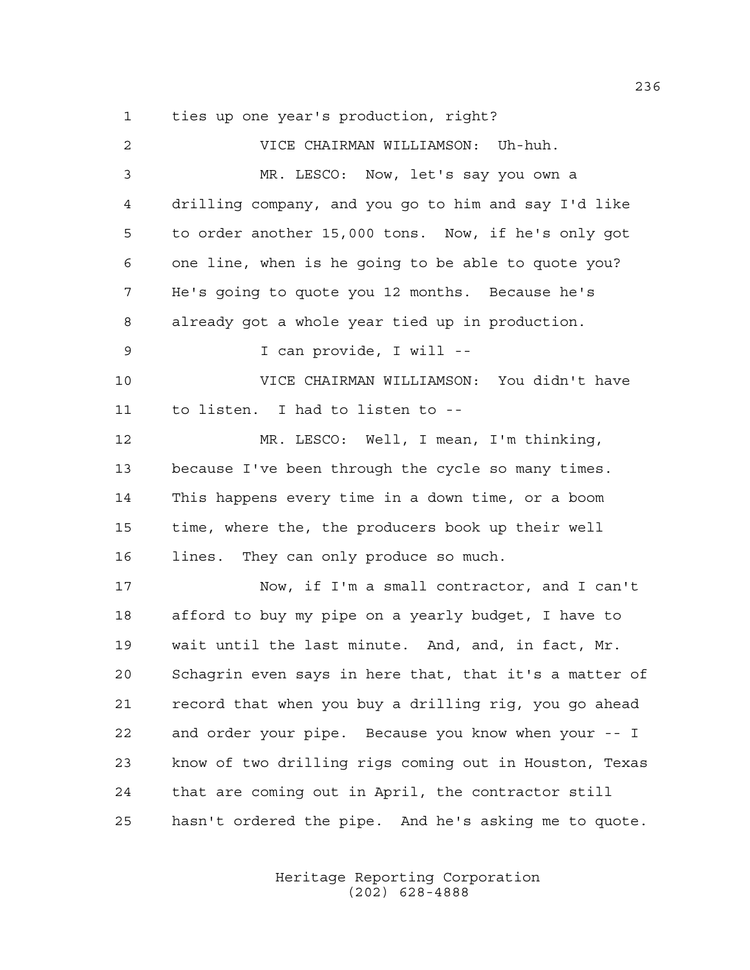ties up one year's production, right?

| 2  | VICE CHAIRMAN WILLIAMSON: Uh-huh.                      |
|----|--------------------------------------------------------|
| 3  | MR. LESCO: Now, let's say you own a                    |
| 4  | drilling company, and you go to him and say I'd like   |
| 5  | to order another 15,000 tons. Now, if he's only got    |
| 6  | one line, when is he going to be able to quote you?    |
| 7  | He's going to quote you 12 months. Because he's        |
| 8  | already got a whole year tied up in production.        |
| 9  | I can provide, I will --                               |
| 10 | VICE CHAIRMAN WILLIAMSON: You didn't have              |
| 11 | to listen. I had to listen to --                       |
| 12 | MR. LESCO: Well, I mean, I'm thinking,                 |
| 13 | because I've been through the cycle so many times.     |
| 14 | This happens every time in a down time, or a boom      |
| 15 | time, where the, the producers book up their well      |
| 16 | They can only produce so much.<br>lines.               |
| 17 | Now, if I'm a small contractor, and I can't            |
| 18 | afford to buy my pipe on a yearly budget, I have to    |
| 19 | wait until the last minute. And, and, in fact, Mr.     |
| 20 | Schagrin even says in here that, that it's a matter of |
| 21 | record that when you buy a drilling rig, you go ahead  |
| 22 | and order your pipe. Because you know when your -- I   |
| 23 | know of two drilling rigs coming out in Houston, Texas |
| 24 | that are coming out in April, the contractor still     |
| 25 | hasn't ordered the pipe. And he's asking me to quote.  |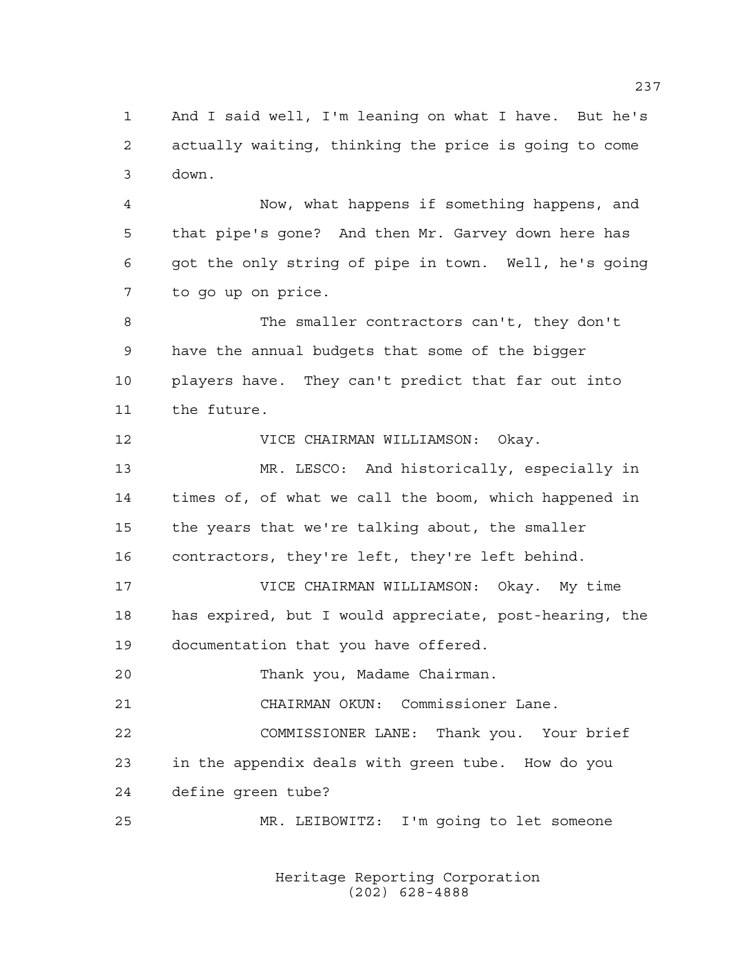And I said well, I'm leaning on what I have. But he's actually waiting, thinking the price is going to come down.

 Now, what happens if something happens, and that pipe's gone? And then Mr. Garvey down here has got the only string of pipe in town. Well, he's going to go up on price.

 The smaller contractors can't, they don't have the annual budgets that some of the bigger players have. They can't predict that far out into the future.

VICE CHAIRMAN WILLIAMSON: Okay.

 MR. LESCO: And historically, especially in times of, of what we call the boom, which happened in the years that we're talking about, the smaller contractors, they're left, they're left behind.

 VICE CHAIRMAN WILLIAMSON: Okay. My time has expired, but I would appreciate, post-hearing, the documentation that you have offered.

Thank you, Madame Chairman.

CHAIRMAN OKUN: Commissioner Lane.

 COMMISSIONER LANE: Thank you. Your brief in the appendix deals with green tube. How do you define green tube?

MR. LEIBOWITZ: I'm going to let someone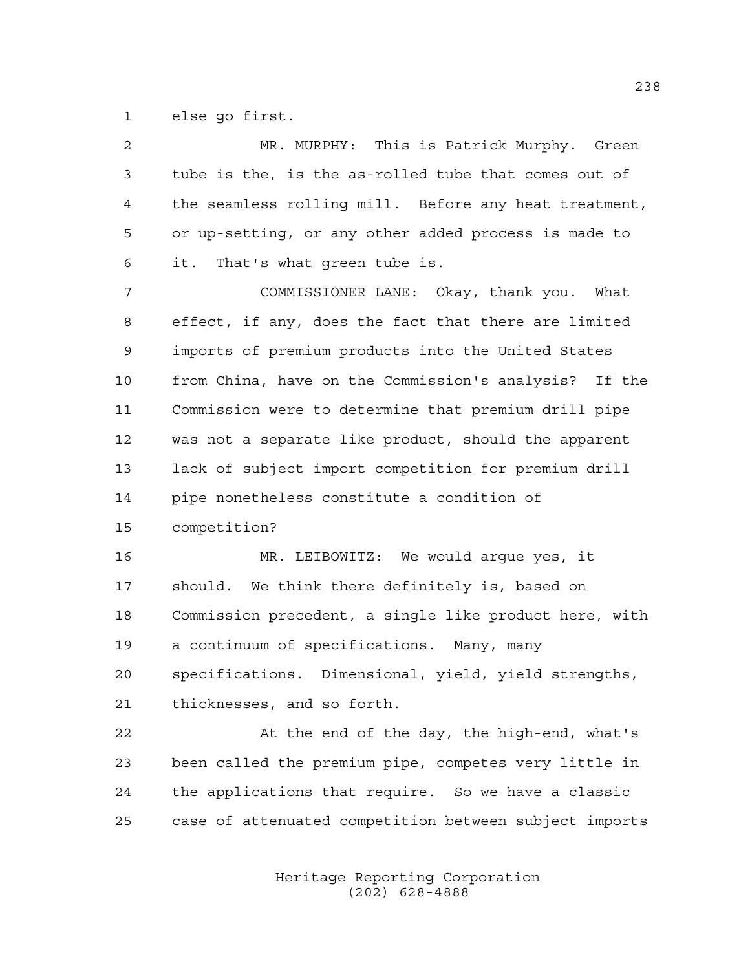else go first.

| $\overline{2}$ | MR. MURPHY: This is Patrick Murphy. Green              |
|----------------|--------------------------------------------------------|
| 3              | tube is the, is the as-rolled tube that comes out of   |
| 4              | the seamless rolling mill. Before any heat treatment,  |
| 5              | or up-setting, or any other added process is made to   |
| 6              | it. That's what green tube is.                         |
| 7              | COMMISSIONER LANE: Okay, thank you. What               |
| 8              | effect, if any, does the fact that there are limited   |
| 9              | imports of premium products into the United States     |
| 10             | from China, have on the Commission's analysis? If the  |
| 11             | Commission were to determine that premium drill pipe   |
| 12             | was not a separate like product, should the apparent   |
| 13             | lack of subject import competition for premium drill   |
| 14             | pipe nonetheless constitute a condition of             |
| 15             | competition?                                           |
| 16             | MR. LEIBOWITZ: We would argue yes, it                  |
| 17             | should. We think there definitely is, based on         |
| 18             | Commission precedent, a single like product here, with |
| 19             | a continuum of specifications. Many, many              |
| 20             | specifications. Dimensional, yield, yield strengths,   |
| 21             | thicknesses, and so forth.                             |
| 22             | At the end of the day, the high-end, what's            |
| 23             | been called the premium pipe, competes very little in  |
|                |                                                        |
| 24             | the applications that require. So we have a classic    |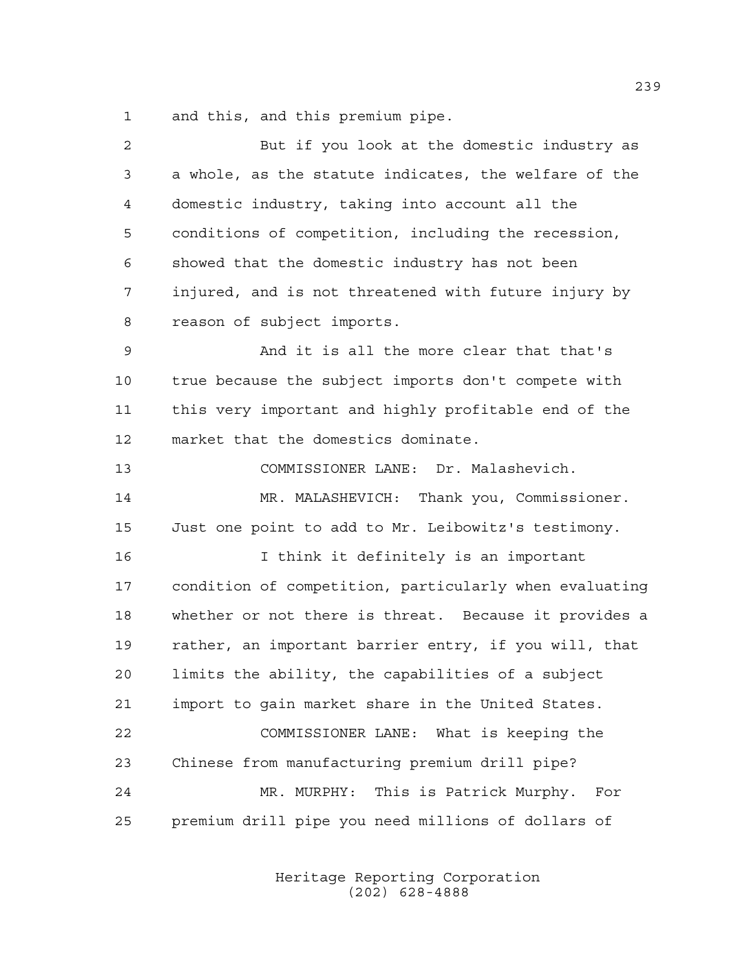and this, and this premium pipe.

| 2  | But if you look at the domestic industry as            |
|----|--------------------------------------------------------|
| 3  | a whole, as the statute indicates, the welfare of the  |
| 4  | domestic industry, taking into account all the         |
| 5  | conditions of competition, including the recession,    |
| 6  | showed that the domestic industry has not been         |
| 7  | injured, and is not threatened with future injury by   |
| 8  | reason of subject imports.                             |
| 9  | And it is all the more clear that that's               |
| 10 | true because the subject imports don't compete with    |
| 11 | this very important and highly profitable end of the   |
| 12 | market that the domestics dominate.                    |
| 13 | COMMISSIONER LANE: Dr. Malashevich.                    |
| 14 | MR. MALASHEVICH: Thank you, Commissioner.              |
| 15 | Just one point to add to Mr. Leibowitz's testimony.    |
| 16 | I think it definitely is an important                  |
| 17 | condition of competition, particularly when evaluating |
| 18 | whether or not there is threat. Because it provides a  |
| 19 | rather, an important barrier entry, if you will, that  |
| 20 | limits the ability, the capabilities of a subject      |
| 21 | import to gain market share in the United States.      |
| 22 | COMMISSIONER LANE: What is keeping the                 |
| 23 | Chinese from manufacturing premium drill pipe?         |
| 24 | MR. MURPHY: This is Patrick Murphy.<br>For             |
| 25 | premium drill pipe you need millions of dollars of     |
|    |                                                        |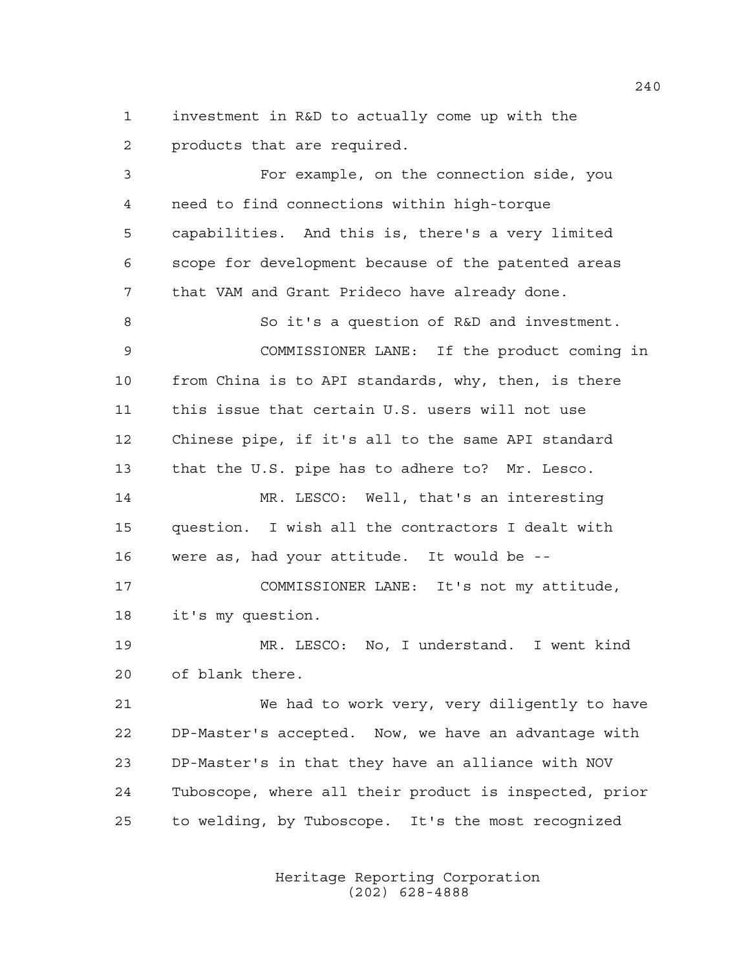investment in R&D to actually come up with the products that are required.

 For example, on the connection side, you need to find connections within high-torque capabilities. And this is, there's a very limited scope for development because of the patented areas that VAM and Grant Prideco have already done. So it's a question of R&D and investment. COMMISSIONER LANE: If the product coming in from China is to API standards, why, then, is there this issue that certain U.S. users will not use Chinese pipe, if it's all to the same API standard that the U.S. pipe has to adhere to? Mr. Lesco. MR. LESCO: Well, that's an interesting question. I wish all the contractors I dealt with were as, had your attitude. It would be -- COMMISSIONER LANE: It's not my attitude, it's my question. MR. LESCO: No, I understand. I went kind of blank there. We had to work very, very diligently to have DP-Master's accepted. Now, we have an advantage with DP-Master's in that they have an alliance with NOV Tuboscope, where all their product is inspected, prior to welding, by Tuboscope. It's the most recognized

> Heritage Reporting Corporation (202) 628-4888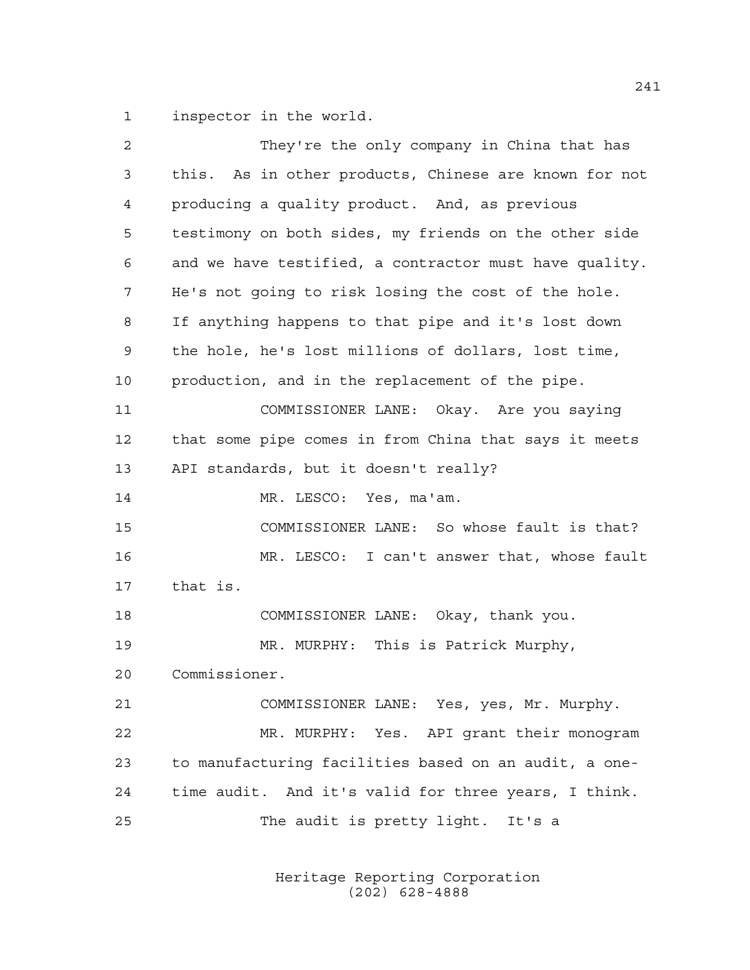inspector in the world.

| 2  | They're the only company in China that has             |
|----|--------------------------------------------------------|
| 3  | this. As in other products, Chinese are known for not  |
| 4  | producing a quality product. And, as previous          |
| 5  | testimony on both sides, my friends on the other side  |
| 6  | and we have testified, a contractor must have quality. |
| 7  | He's not going to risk losing the cost of the hole.    |
| 8  | If anything happens to that pipe and it's lost down    |
| 9  | the hole, he's lost millions of dollars, lost time,    |
| 10 | production, and in the replacement of the pipe.        |
| 11 | COMMISSIONER LANE: Okay. Are you saying                |
| 12 | that some pipe comes in from China that says it meets  |
| 13 | API standards, but it doesn't really?                  |
| 14 | MR. LESCO: Yes, ma'am.                                 |
| 15 | COMMISSIONER LANE: So whose fault is that?             |
|    |                                                        |
| 16 | MR. LESCO: I can't answer that, whose fault            |
| 17 | that is.                                               |
| 18 | COMMISSIONER LANE: Okay, thank you.                    |
| 19 | MR. MURPHY: This is Patrick Murphy,                    |
| 20 | Commissioner.                                          |
| 21 | COMMISSIONER LANE: Yes, yes, Mr. Murphy.               |
| 22 | MR. MURPHY: Yes. API grant their monogram              |
| 23 | to manufacturing facilities based on an audit, a one-  |
| 24 | time audit. And it's valid for three years, I think.   |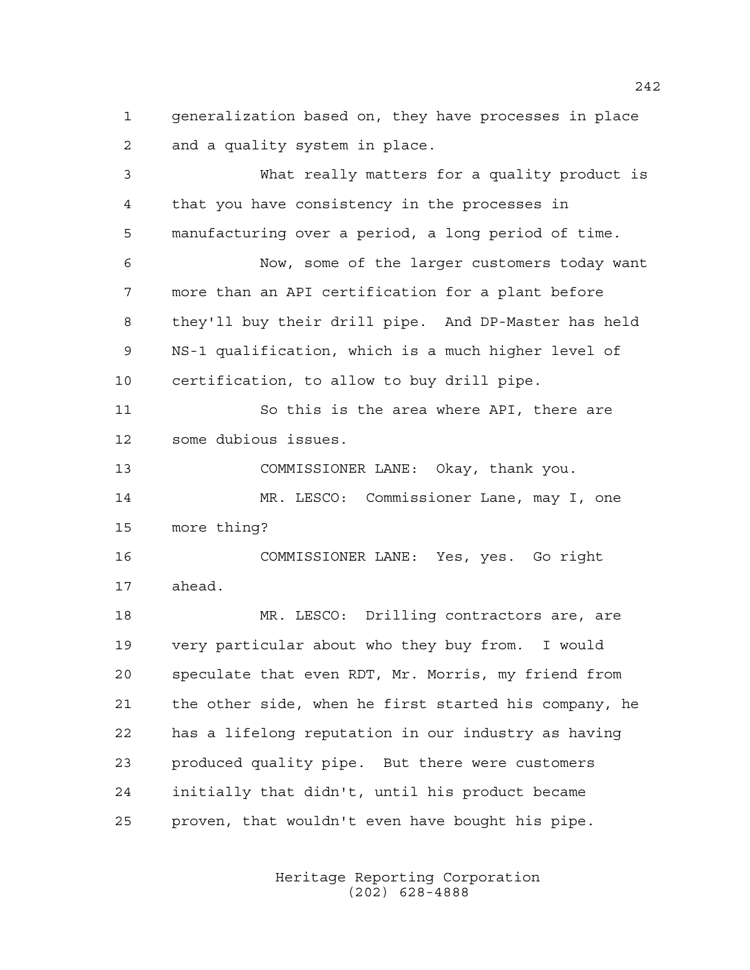generalization based on, they have processes in place and a quality system in place.

 What really matters for a quality product is that you have consistency in the processes in manufacturing over a period, a long period of time. Now, some of the larger customers today want more than an API certification for a plant before they'll buy their drill pipe. And DP-Master has held NS-1 qualification, which is a much higher level of certification, to allow to buy drill pipe. So this is the area where API, there are some dubious issues. COMMISSIONER LANE: Okay, thank you. MR. LESCO: Commissioner Lane, may I, one more thing? COMMISSIONER LANE: Yes, yes. Go right ahead. MR. LESCO: Drilling contractors are, are very particular about who they buy from. I would speculate that even RDT, Mr. Morris, my friend from the other side, when he first started his company, he has a lifelong reputation in our industry as having produced quality pipe. But there were customers initially that didn't, until his product became proven, that wouldn't even have bought his pipe.

> Heritage Reporting Corporation (202) 628-4888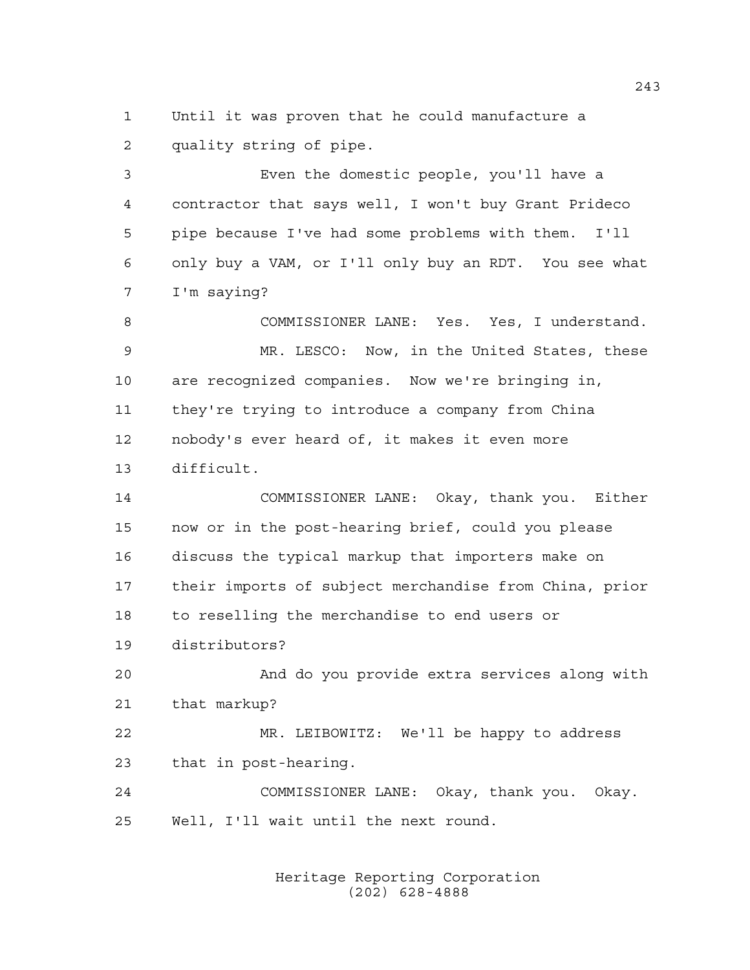Until it was proven that he could manufacture a quality string of pipe.

 Even the domestic people, you'll have a contractor that says well, I won't buy Grant Prideco pipe because I've had some problems with them. I'll only buy a VAM, or I'll only buy an RDT. You see what I'm saying?

 COMMISSIONER LANE: Yes. Yes, I understand. MR. LESCO: Now, in the United States, these are recognized companies. Now we're bringing in, they're trying to introduce a company from China nobody's ever heard of, it makes it even more difficult.

 COMMISSIONER LANE: Okay, thank you. Either now or in the post-hearing brief, could you please discuss the typical markup that importers make on their imports of subject merchandise from China, prior to reselling the merchandise to end users or distributors?

 And do you provide extra services along with that markup?

 MR. LEIBOWITZ: We'll be happy to address that in post-hearing.

 COMMISSIONER LANE: Okay, thank you. Okay. Well, I'll wait until the next round.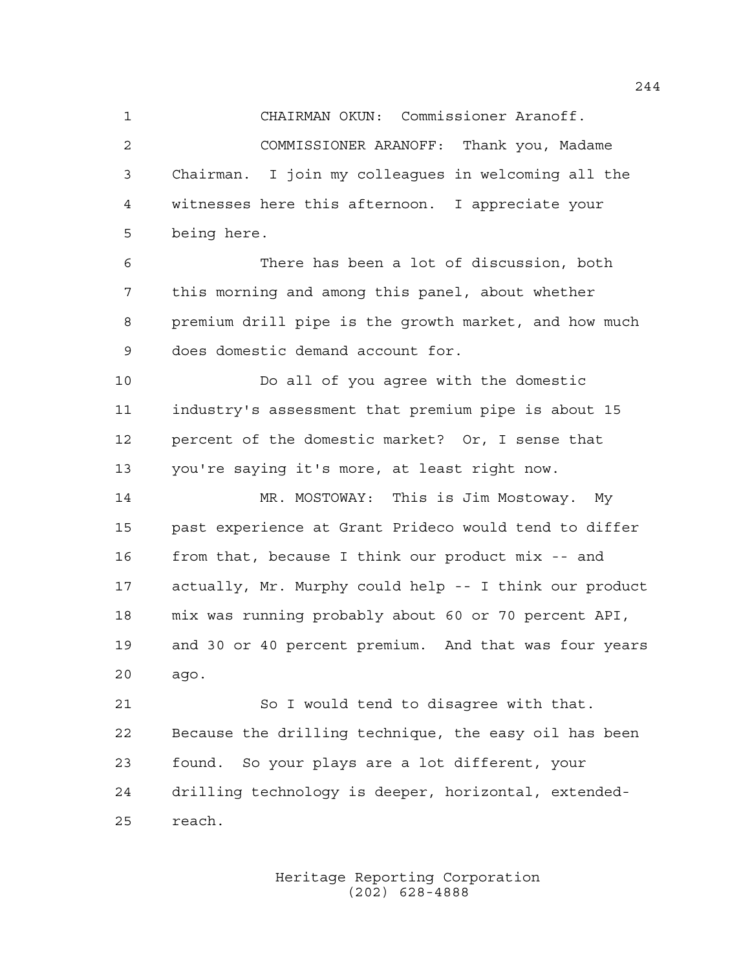CHAIRMAN OKUN: Commissioner Aranoff. COMMISSIONER ARANOFF: Thank you, Madame Chairman. I join my colleagues in welcoming all the witnesses here this afternoon. I appreciate your being here.

 There has been a lot of discussion, both this morning and among this panel, about whether premium drill pipe is the growth market, and how much does domestic demand account for.

 Do all of you agree with the domestic industry's assessment that premium pipe is about 15 percent of the domestic market? Or, I sense that you're saying it's more, at least right now.

 MR. MOSTOWAY: This is Jim Mostoway. My past experience at Grant Prideco would tend to differ from that, because I think our product mix -- and actually, Mr. Murphy could help -- I think our product mix was running probably about 60 or 70 percent API, and 30 or 40 percent premium. And that was four years ago.

 So I would tend to disagree with that. Because the drilling technique, the easy oil has been found. So your plays are a lot different, your drilling technology is deeper, horizontal, extended-reach.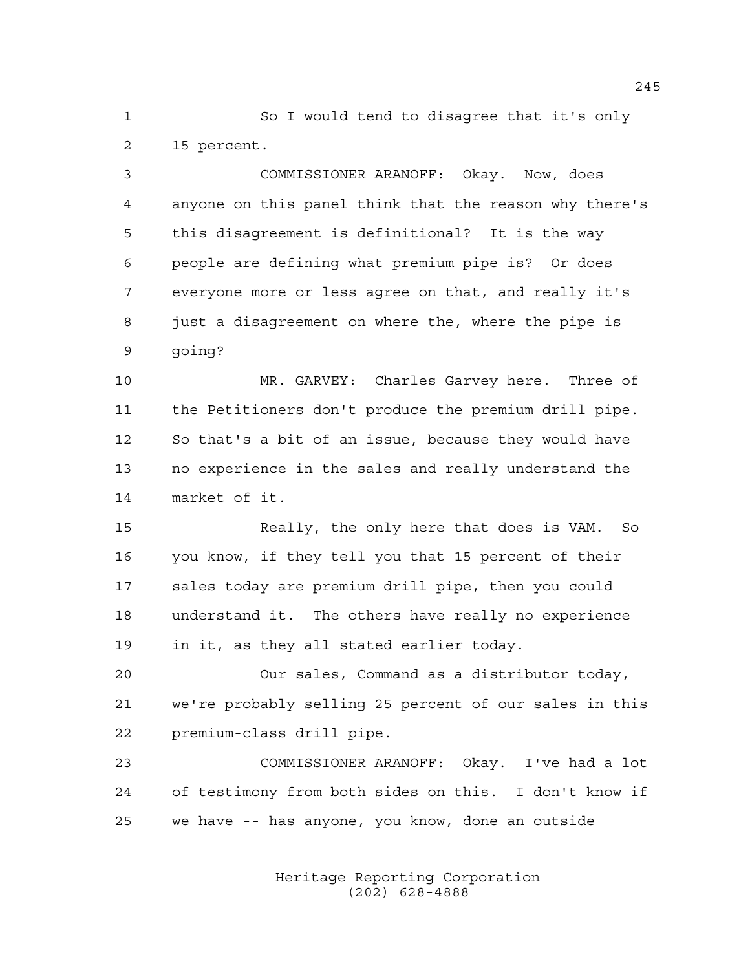So I would tend to disagree that it's only 15 percent.

 COMMISSIONER ARANOFF: Okay. Now, does anyone on this panel think that the reason why there's this disagreement is definitional? It is the way people are defining what premium pipe is? Or does everyone more or less agree on that, and really it's just a disagreement on where the, where the pipe is going?

 MR. GARVEY: Charles Garvey here. Three of the Petitioners don't produce the premium drill pipe. So that's a bit of an issue, because they would have no experience in the sales and really understand the market of it.

 Really, the only here that does is VAM. So you know, if they tell you that 15 percent of their sales today are premium drill pipe, then you could understand it. The others have really no experience in it, as they all stated earlier today.

 Our sales, Command as a distributor today, we're probably selling 25 percent of our sales in this premium-class drill pipe.

 COMMISSIONER ARANOFF: Okay. I've had a lot of testimony from both sides on this. I don't know if we have -- has anyone, you know, done an outside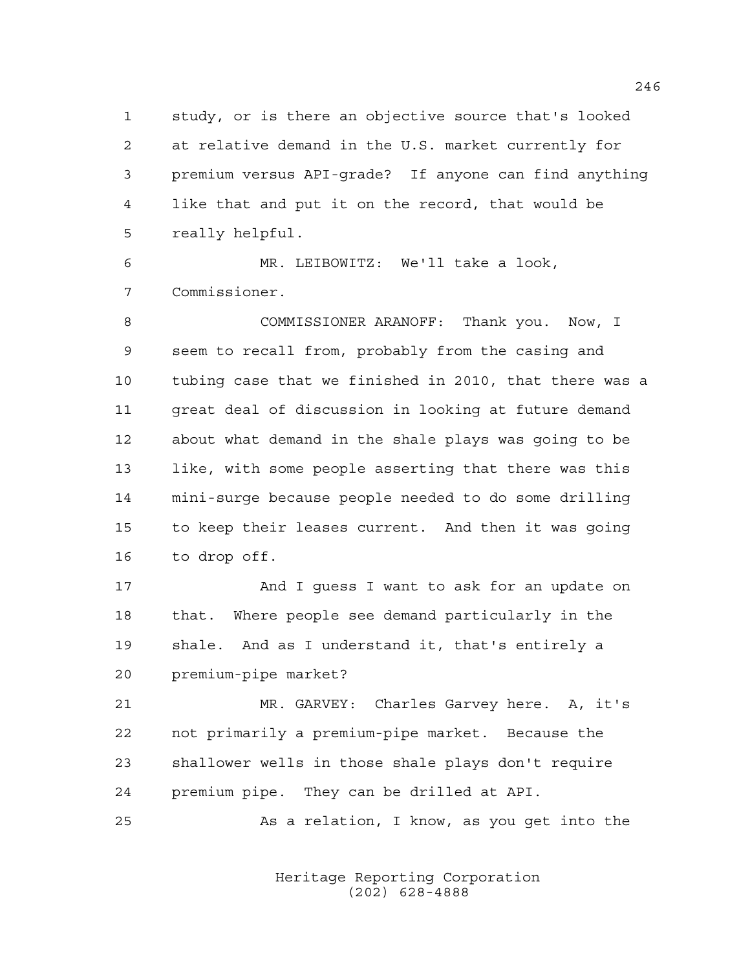study, or is there an objective source that's looked at relative demand in the U.S. market currently for premium versus API-grade? If anyone can find anything like that and put it on the record, that would be really helpful.

 MR. LEIBOWITZ: We'll take a look, Commissioner.

 COMMISSIONER ARANOFF: Thank you. Now, I seem to recall from, probably from the casing and tubing case that we finished in 2010, that there was a great deal of discussion in looking at future demand about what demand in the shale plays was going to be like, with some people asserting that there was this mini-surge because people needed to do some drilling to keep their leases current. And then it was going to drop off.

17 And I guess I want to ask for an update on that. Where people see demand particularly in the shale. And as I understand it, that's entirely a premium-pipe market?

 MR. GARVEY: Charles Garvey here. A, it's not primarily a premium-pipe market. Because the shallower wells in those shale plays don't require premium pipe. They can be drilled at API.

As a relation, I know, as you get into the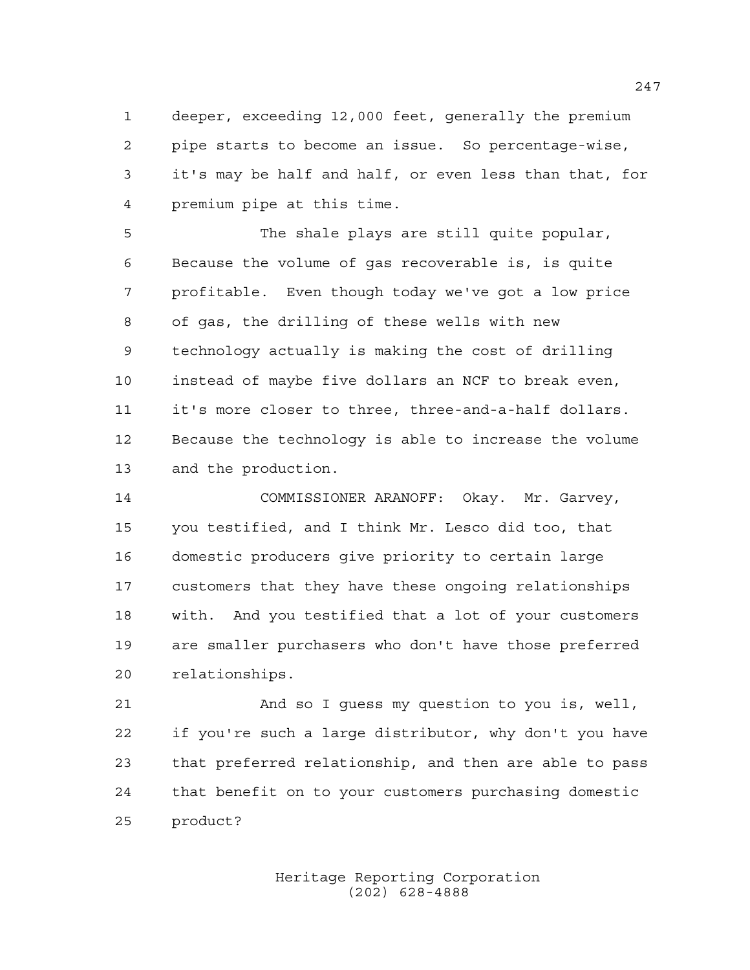deeper, exceeding 12,000 feet, generally the premium pipe starts to become an issue. So percentage-wise, it's may be half and half, or even less than that, for premium pipe at this time.

 The shale plays are still quite popular, Because the volume of gas recoverable is, is quite profitable. Even though today we've got a low price of gas, the drilling of these wells with new technology actually is making the cost of drilling instead of maybe five dollars an NCF to break even, it's more closer to three, three-and-a-half dollars. Because the technology is able to increase the volume and the production.

 COMMISSIONER ARANOFF: Okay. Mr. Garvey, you testified, and I think Mr. Lesco did too, that domestic producers give priority to certain large customers that they have these ongoing relationships with. And you testified that a lot of your customers are smaller purchasers who don't have those preferred relationships.

 And so I guess my question to you is, well, if you're such a large distributor, why don't you have that preferred relationship, and then are able to pass that benefit on to your customers purchasing domestic product?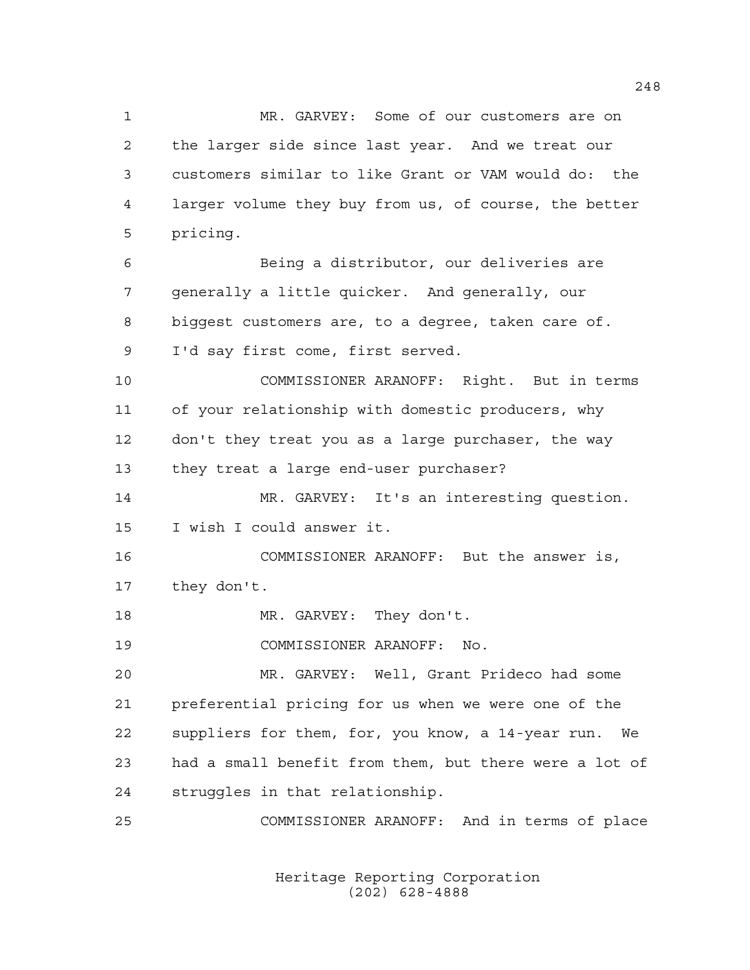MR. GARVEY: Some of our customers are on the larger side since last year. And we treat our customers similar to like Grant or VAM would do: the larger volume they buy from us, of course, the better pricing. Being a distributor, our deliveries are generally a little quicker. And generally, our biggest customers are, to a degree, taken care of. I'd say first come, first served. COMMISSIONER ARANOFF: Right. But in terms of your relationship with domestic producers, why don't they treat you as a large purchaser, the way they treat a large end-user purchaser? MR. GARVEY: It's an interesting question. I wish I could answer it.

 COMMISSIONER ARANOFF: But the answer is, they don't.

18 MR. GARVEY: They don't.

COMMISSIONER ARANOFF: No.

 MR. GARVEY: Well, Grant Prideco had some preferential pricing for us when we were one of the suppliers for them, for, you know, a 14-year run. We had a small benefit from them, but there were a lot of struggles in that relationship.

COMMISSIONER ARANOFF: And in terms of place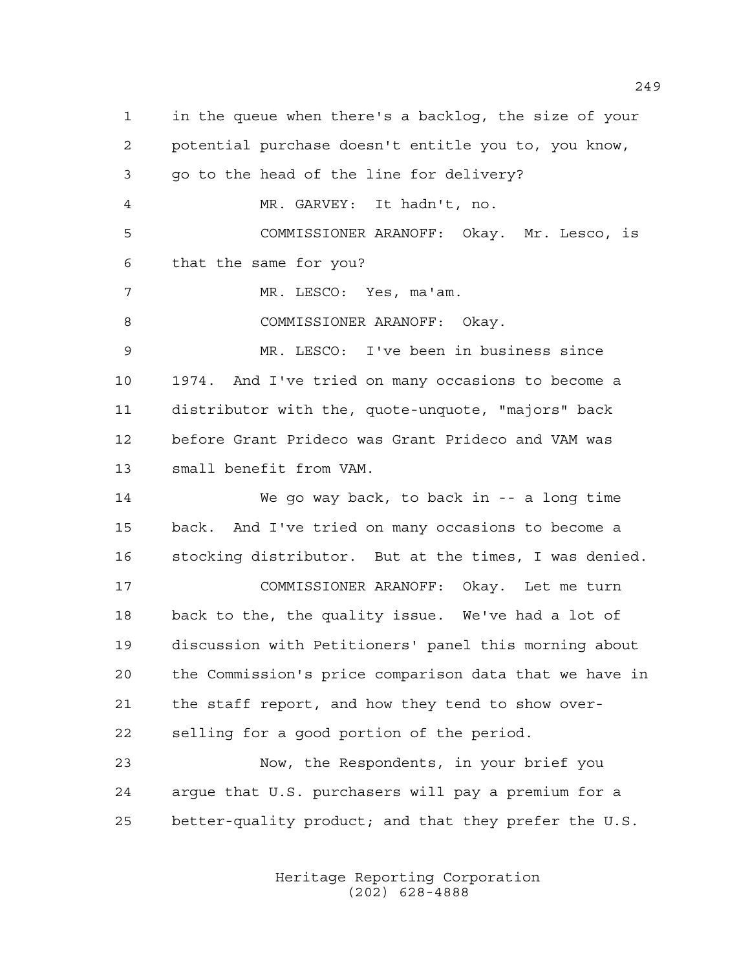in the queue when there's a backlog, the size of your potential purchase doesn't entitle you to, you know, go to the head of the line for delivery? MR. GARVEY: It hadn't, no. COMMISSIONER ARANOFF: Okay. Mr. Lesco, is that the same for you? MR. LESCO: Yes, ma'am. 8 COMMISSIONER ARANOFF: Okay. MR. LESCO: I've been in business since 1974. And I've tried on many occasions to become a distributor with the, quote-unquote, "majors" back before Grant Prideco was Grant Prideco and VAM was small benefit from VAM. We go way back, to back in -- a long time back. And I've tried on many occasions to become a stocking distributor. But at the times, I was denied. COMMISSIONER ARANOFF: Okay. Let me turn back to the, the quality issue. We've had a lot of discussion with Petitioners' panel this morning about the Commission's price comparison data that we have in the staff report, and how they tend to show over- selling for a good portion of the period. Now, the Respondents, in your brief you argue that U.S. purchasers will pay a premium for a better-quality product; and that they prefer the U.S.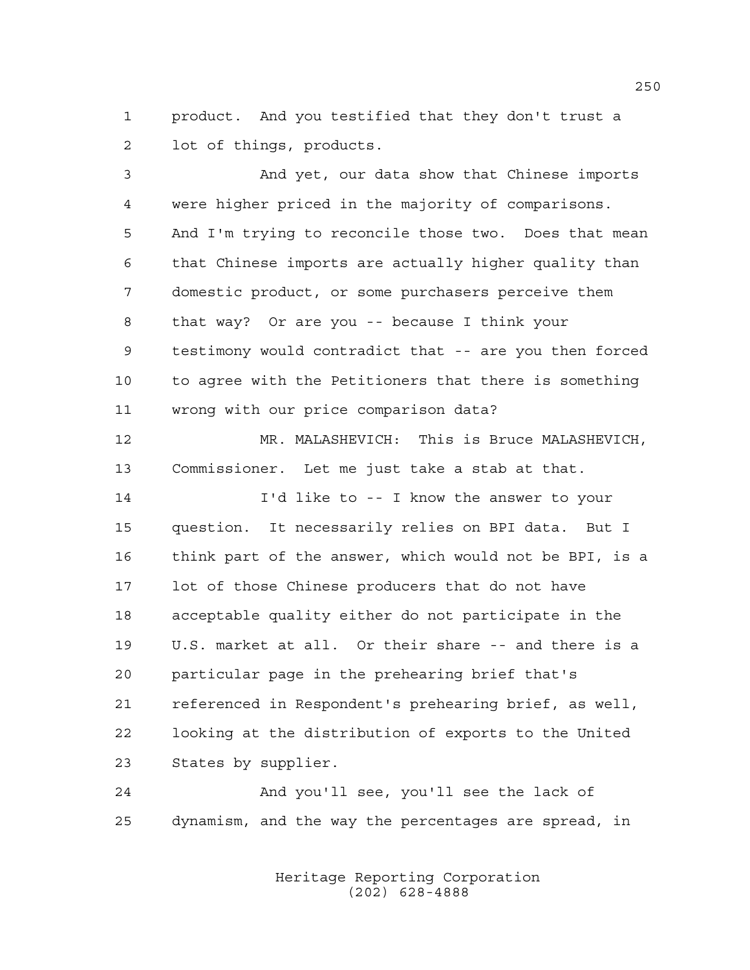product. And you testified that they don't trust a lot of things, products.

 And yet, our data show that Chinese imports were higher priced in the majority of comparisons. And I'm trying to reconcile those two. Does that mean that Chinese imports are actually higher quality than domestic product, or some purchasers perceive them that way? Or are you -- because I think your testimony would contradict that -- are you then forced to agree with the Petitioners that there is something wrong with our price comparison data? MR. MALASHEVICH: This is Bruce MALASHEVICH, Commissioner. Let me just take a stab at that.

 I'd like to -- I know the answer to your question. It necessarily relies on BPI data. But I think part of the answer, which would not be BPI, is a lot of those Chinese producers that do not have acceptable quality either do not participate in the U.S. market at all. Or their share -- and there is a particular page in the prehearing brief that's referenced in Respondent's prehearing brief, as well, looking at the distribution of exports to the United States by supplier.

 And you'll see, you'll see the lack of dynamism, and the way the percentages are spread, in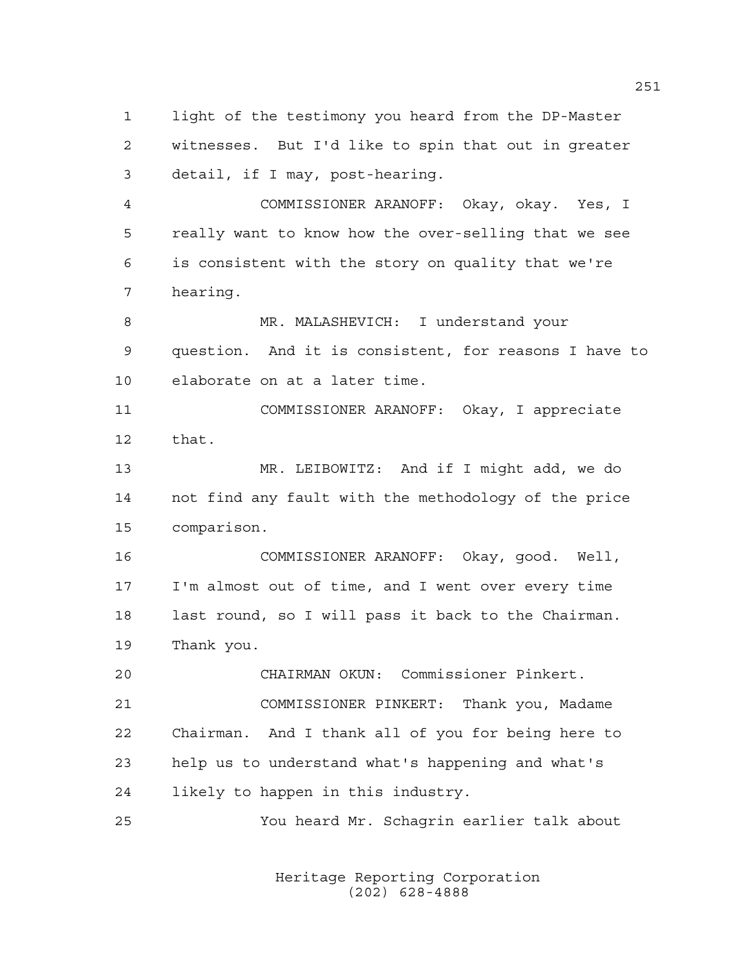light of the testimony you heard from the DP-Master witnesses. But I'd like to spin that out in greater detail, if I may, post-hearing.

 COMMISSIONER ARANOFF: Okay, okay. Yes, I really want to know how the over-selling that we see is consistent with the story on quality that we're hearing.

 MR. MALASHEVICH: I understand your question. And it is consistent, for reasons I have to elaborate on at a later time.

 COMMISSIONER ARANOFF: Okay, I appreciate that.

 MR. LEIBOWITZ: And if I might add, we do not find any fault with the methodology of the price comparison.

 COMMISSIONER ARANOFF: Okay, good. Well, I'm almost out of time, and I went over every time last round, so I will pass it back to the Chairman. Thank you.

 CHAIRMAN OKUN: Commissioner Pinkert. COMMISSIONER PINKERT: Thank you, Madame Chairman. And I thank all of you for being here to help us to understand what's happening and what's likely to happen in this industry.

You heard Mr. Schagrin earlier talk about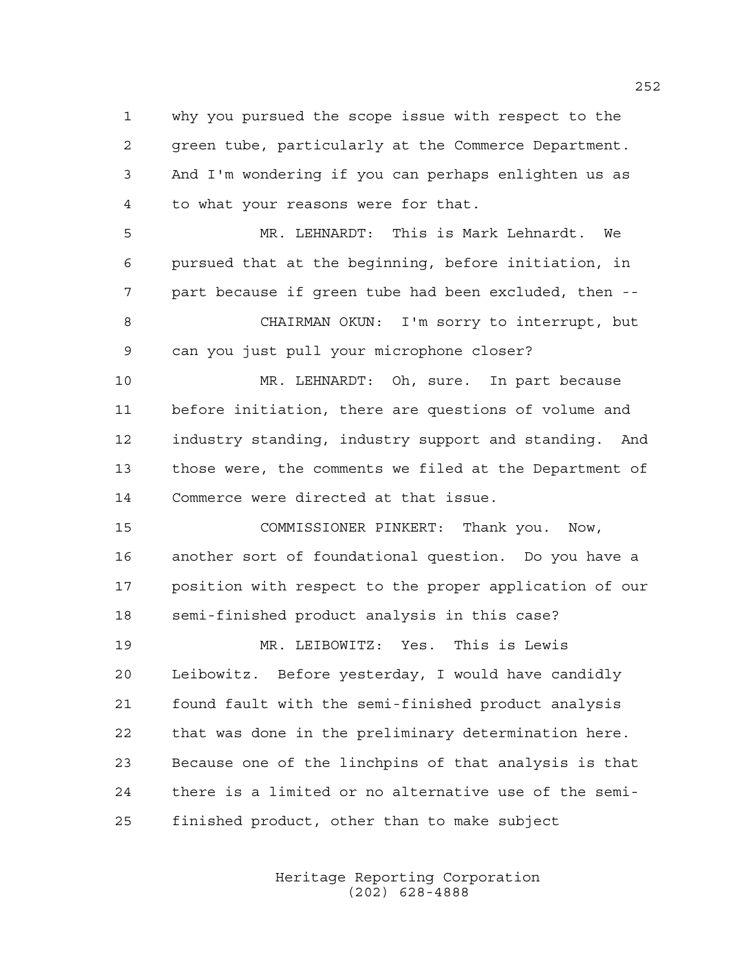why you pursued the scope issue with respect to the green tube, particularly at the Commerce Department. And I'm wondering if you can perhaps enlighten us as to what your reasons were for that.

 MR. LEHNARDT: This is Mark Lehnardt. We pursued that at the beginning, before initiation, in part because if green tube had been excluded, then -- CHAIRMAN OKUN: I'm sorry to interrupt, but can you just pull your microphone closer?

 MR. LEHNARDT: Oh, sure. In part because before initiation, there are questions of volume and industry standing, industry support and standing. And those were, the comments we filed at the Department of Commerce were directed at that issue.

 COMMISSIONER PINKERT: Thank you. Now, another sort of foundational question. Do you have a position with respect to the proper application of our semi-finished product analysis in this case?

 MR. LEIBOWITZ: Yes. This is Lewis Leibowitz. Before yesterday, I would have candidly found fault with the semi-finished product analysis that was done in the preliminary determination here. Because one of the linchpins of that analysis is that there is a limited or no alternative use of the semi-finished product, other than to make subject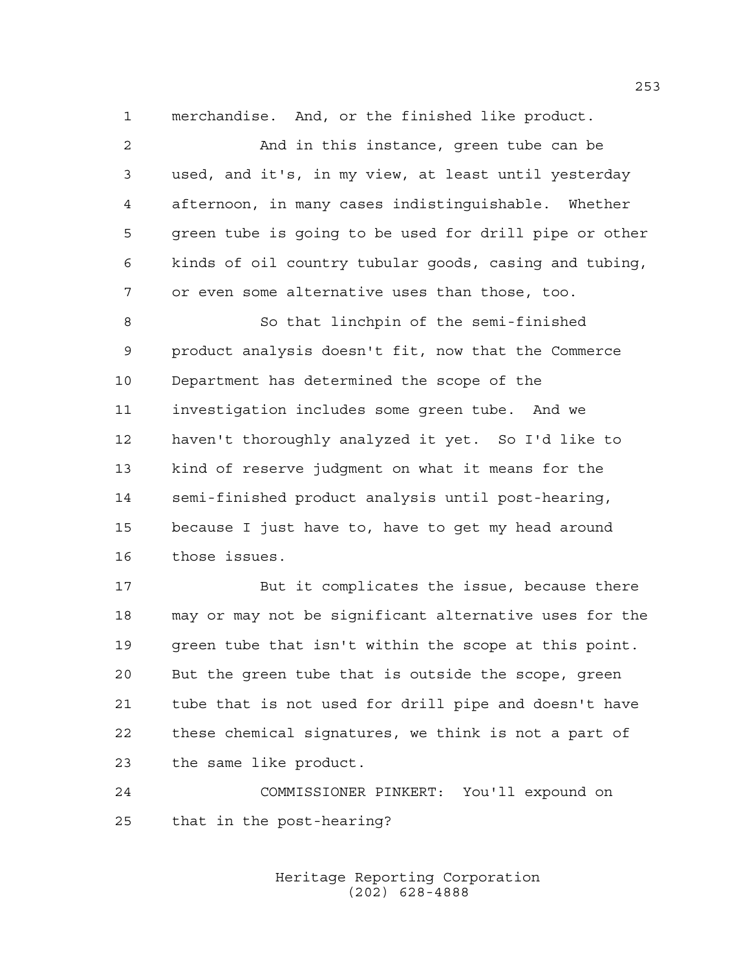merchandise. And, or the finished like product.

| $\overline{2}$ | And in this instance, green tube can be                |
|----------------|--------------------------------------------------------|
| 3              | used, and it's, in my view, at least until yesterday   |
| 4              | afternoon, in many cases indistinquishable. Whether    |
| 5              | green tube is going to be used for drill pipe or other |
| 6              | kinds of oil country tubular goods, casing and tubing, |
| 7              | or even some alternative uses than those, too.         |
| 8              | So that linchpin of the semi-finished                  |
| $\mathsf 9$    | product analysis doesn't fit, now that the Commerce    |
| 10             | Department has determined the scope of the             |
| 11             | investigation includes some green tube. And we         |
| 12             | haven't thoroughly analyzed it yet. So I'd like to     |
| 13             | kind of reserve judgment on what it means for the      |
| 14             | semi-finished product analysis until post-hearing,     |
| 15             | because I just have to, have to get my head around     |
| 16             | those issues.                                          |
| 17             | But it complicates the issue, because there            |
| 18             | may or may not be significant alternative uses for the |
| 19             | green tube that isn't within the scope at this point.  |
|                |                                                        |

 But the green tube that is outside the scope, green tube that is not used for drill pipe and doesn't have these chemical signatures, we think is not a part of the same like product.

 COMMISSIONER PINKERT: You'll expound on that in the post-hearing?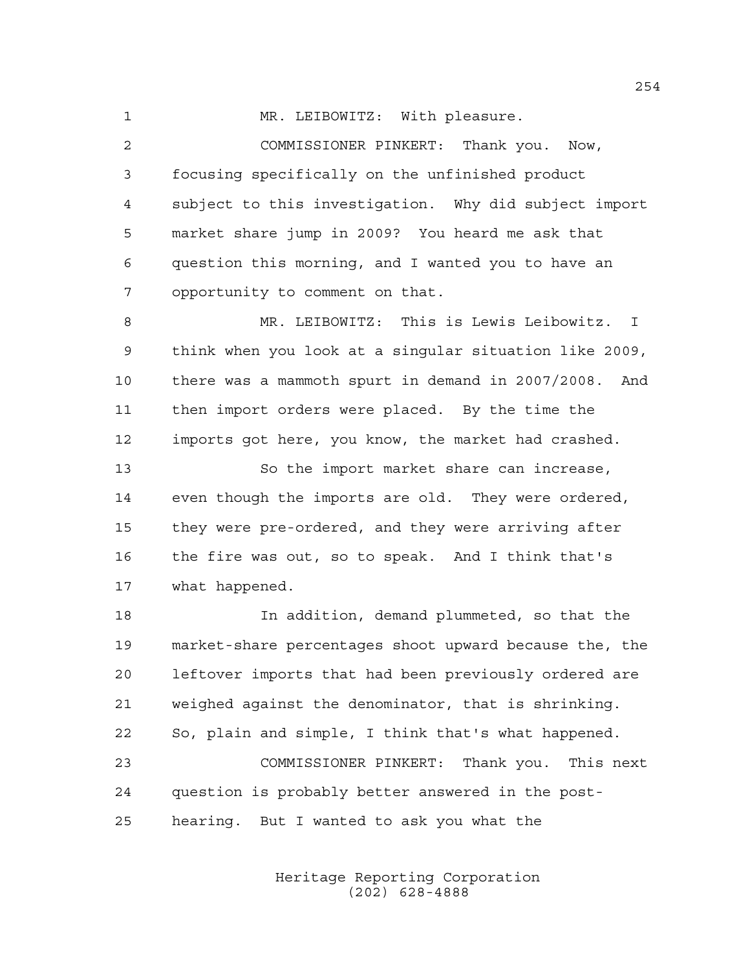1 MR. LEIBOWITZ: With pleasure.

 COMMISSIONER PINKERT: Thank you. Now, focusing specifically on the unfinished product subject to this investigation. Why did subject import market share jump in 2009? You heard me ask that question this morning, and I wanted you to have an opportunity to comment on that.

 MR. LEIBOWITZ: This is Lewis Leibowitz. I think when you look at a singular situation like 2009, there was a mammoth spurt in demand in 2007/2008. And then import orders were placed. By the time the imports got here, you know, the market had crashed.

 So the import market share can increase, even though the imports are old. They were ordered, they were pre-ordered, and they were arriving after the fire was out, so to speak. And I think that's what happened.

 In addition, demand plummeted, so that the market-share percentages shoot upward because the, the leftover imports that had been previously ordered are weighed against the denominator, that is shrinking. So, plain and simple, I think that's what happened. COMMISSIONER PINKERT: Thank you. This next question is probably better answered in the post-

hearing. But I wanted to ask you what the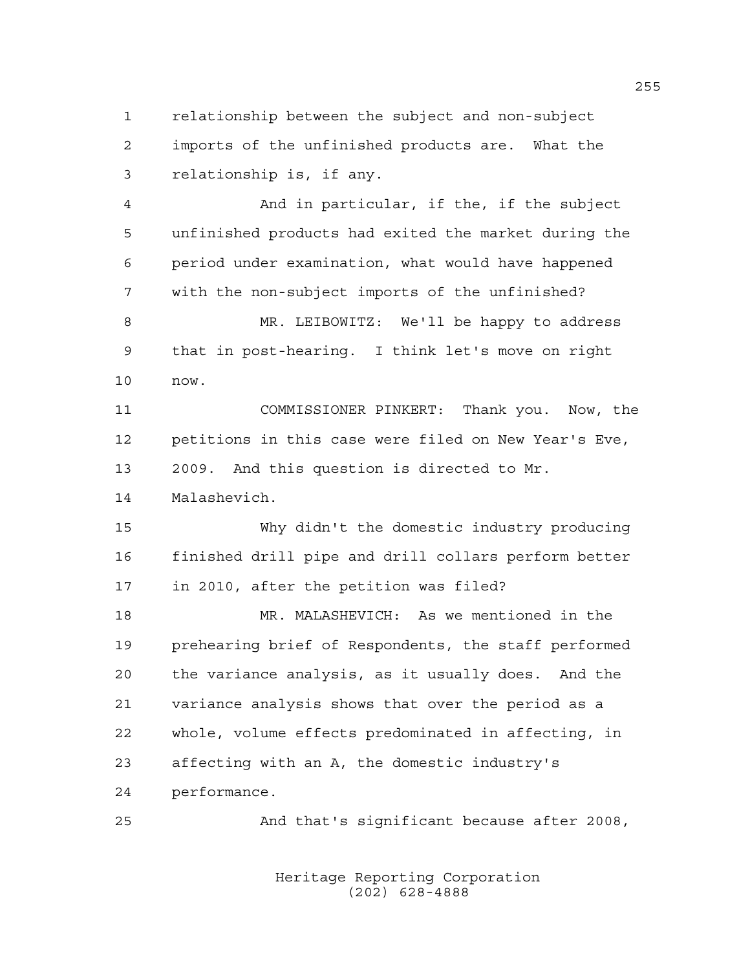relationship between the subject and non-subject imports of the unfinished products are. What the relationship is, if any.

 And in particular, if the, if the subject unfinished products had exited the market during the period under examination, what would have happened with the non-subject imports of the unfinished?

 MR. LEIBOWITZ: We'll be happy to address that in post-hearing. I think let's move on right now.

 COMMISSIONER PINKERT: Thank you. Now, the petitions in this case were filed on New Year's Eve, 2009. And this question is directed to Mr.

Malashevich.

 Why didn't the domestic industry producing finished drill pipe and drill collars perform better in 2010, after the petition was filed?

 MR. MALASHEVICH: As we mentioned in the prehearing brief of Respondents, the staff performed the variance analysis, as it usually does. And the variance analysis shows that over the period as a whole, volume effects predominated in affecting, in affecting with an A, the domestic industry's performance.

And that's significant because after 2008,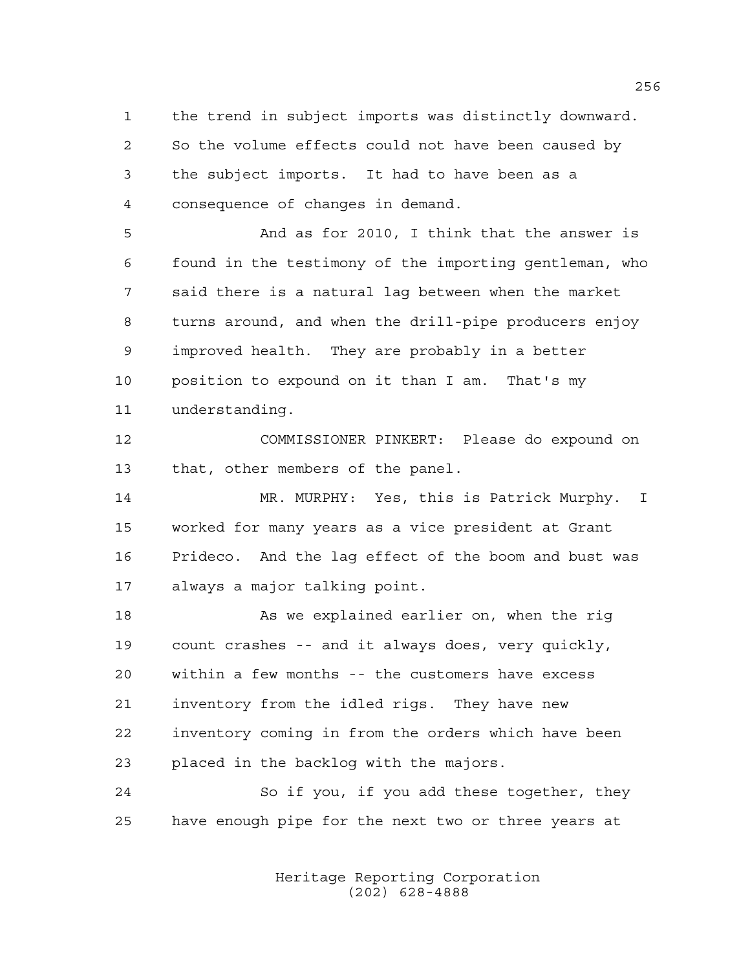the trend in subject imports was distinctly downward. So the volume effects could not have been caused by the subject imports. It had to have been as a consequence of changes in demand.

 And as for 2010, I think that the answer is found in the testimony of the importing gentleman, who said there is a natural lag between when the market turns around, and when the drill-pipe producers enjoy improved health. They are probably in a better position to expound on it than I am. That's my understanding.

 COMMISSIONER PINKERT: Please do expound on that, other members of the panel.

 MR. MURPHY: Yes, this is Patrick Murphy. I worked for many years as a vice president at Grant Prideco. And the lag effect of the boom and bust was always a major talking point.

 As we explained earlier on, when the rig count crashes -- and it always does, very quickly, within a few months -- the customers have excess inventory from the idled rigs. They have new inventory coming in from the orders which have been placed in the backlog with the majors.

 So if you, if you add these together, they have enough pipe for the next two or three years at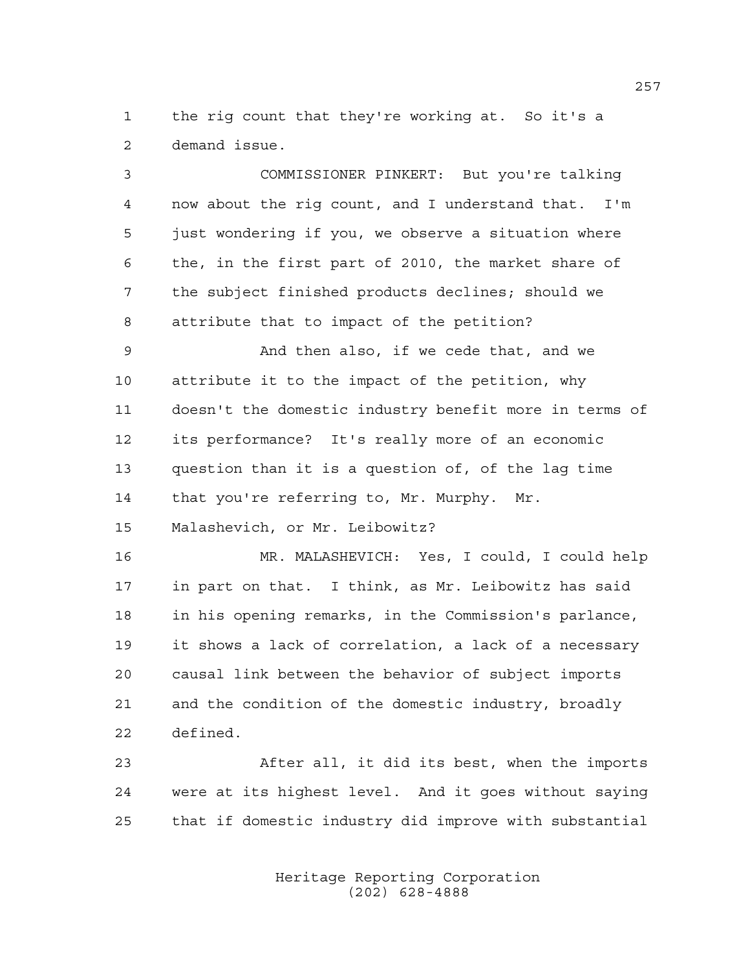the rig count that they're working at. So it's a demand issue.

 COMMISSIONER PINKERT: But you're talking now about the rig count, and I understand that. I'm just wondering if you, we observe a situation where the, in the first part of 2010, the market share of the subject finished products declines; should we attribute that to impact of the petition? And then also, if we cede that, and we attribute it to the impact of the petition, why doesn't the domestic industry benefit more in terms of its performance? It's really more of an economic question than it is a question of, of the lag time 14 that you're referring to, Mr. Murphy. Mr. Malashevich, or Mr. Leibowitz? MR. MALASHEVICH: Yes, I could, I could help in part on that. I think, as Mr. Leibowitz has said in his opening remarks, in the Commission's parlance, it shows a lack of correlation, a lack of a necessary causal link between the behavior of subject imports and the condition of the domestic industry, broadly defined.

 After all, it did its best, when the imports were at its highest level. And it goes without saying that if domestic industry did improve with substantial

> Heritage Reporting Corporation (202) 628-4888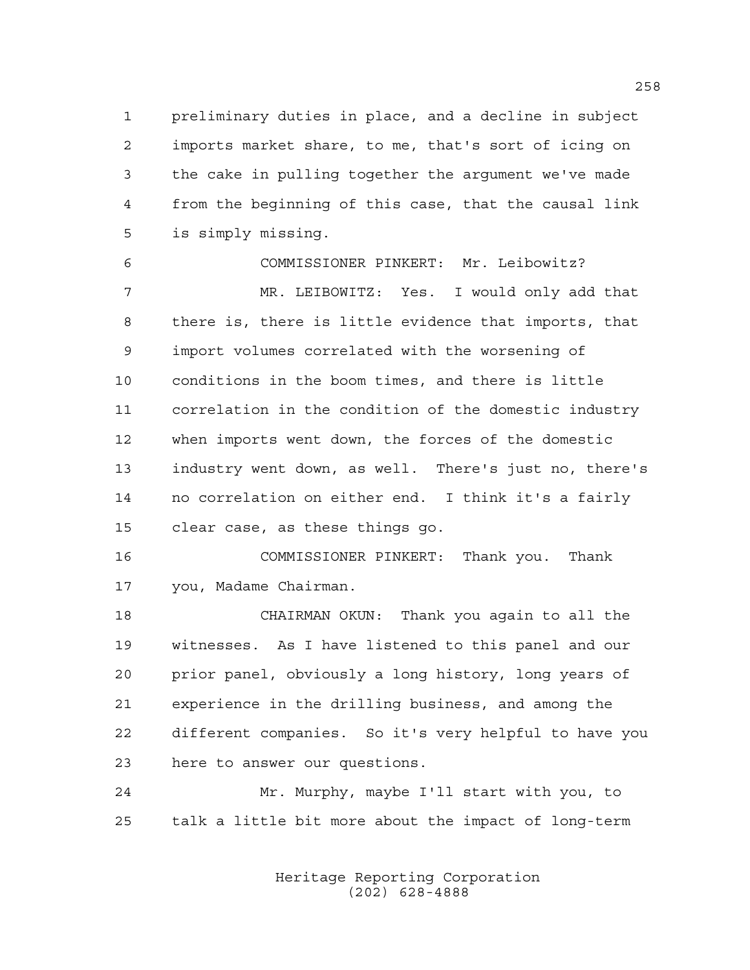preliminary duties in place, and a decline in subject imports market share, to me, that's sort of icing on the cake in pulling together the argument we've made from the beginning of this case, that the causal link is simply missing.

 COMMISSIONER PINKERT: Mr. Leibowitz? MR. LEIBOWITZ: Yes. I would only add that there is, there is little evidence that imports, that import volumes correlated with the worsening of conditions in the boom times, and there is little correlation in the condition of the domestic industry when imports went down, the forces of the domestic industry went down, as well. There's just no, there's no correlation on either end. I think it's a fairly clear case, as these things go.

 COMMISSIONER PINKERT: Thank you. Thank you, Madame Chairman.

 CHAIRMAN OKUN: Thank you again to all the witnesses. As I have listened to this panel and our prior panel, obviously a long history, long years of experience in the drilling business, and among the different companies. So it's very helpful to have you here to answer our questions.

 Mr. Murphy, maybe I'll start with you, to talk a little bit more about the impact of long-term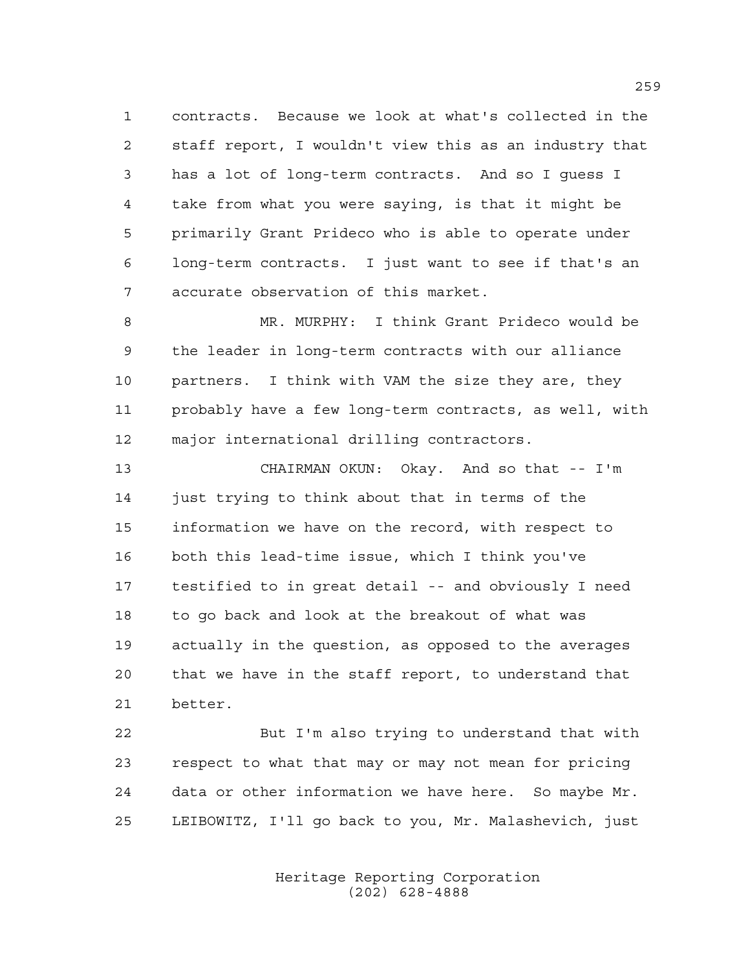contracts. Because we look at what's collected in the staff report, I wouldn't view this as an industry that has a lot of long-term contracts. And so I guess I take from what you were saying, is that it might be primarily Grant Prideco who is able to operate under long-term contracts. I just want to see if that's an accurate observation of this market.

 MR. MURPHY: I think Grant Prideco would be the leader in long-term contracts with our alliance partners. I think with VAM the size they are, they probably have a few long-term contracts, as well, with major international drilling contractors.

 CHAIRMAN OKUN: Okay. And so that -- I'm just trying to think about that in terms of the information we have on the record, with respect to both this lead-time issue, which I think you've testified to in great detail -- and obviously I need to go back and look at the breakout of what was actually in the question, as opposed to the averages that we have in the staff report, to understand that better.

 But I'm also trying to understand that with respect to what that may or may not mean for pricing data or other information we have here. So maybe Mr. LEIBOWITZ, I'll go back to you, Mr. Malashevich, just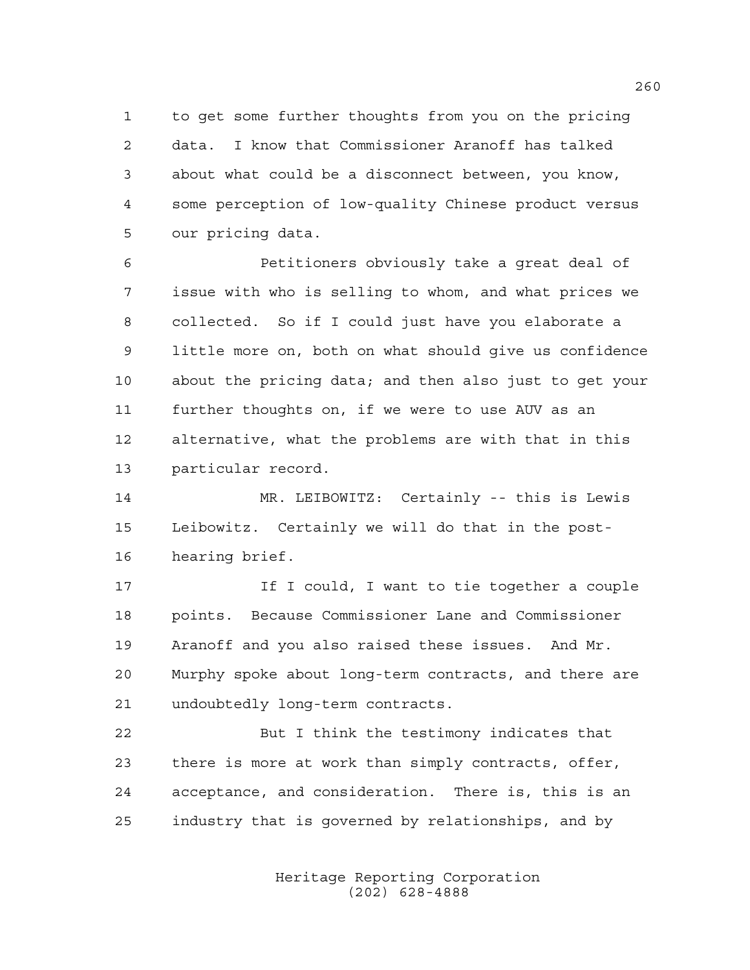to get some further thoughts from you on the pricing data. I know that Commissioner Aranoff has talked about what could be a disconnect between, you know, some perception of low-quality Chinese product versus our pricing data.

 Petitioners obviously take a great deal of issue with who is selling to whom, and what prices we collected. So if I could just have you elaborate a little more on, both on what should give us confidence about the pricing data; and then also just to get your further thoughts on, if we were to use AUV as an alternative, what the problems are with that in this particular record.

 MR. LEIBOWITZ: Certainly -- this is Lewis Leibowitz. Certainly we will do that in the post-hearing brief.

17 17 If I could, I want to tie together a couple points. Because Commissioner Lane and Commissioner Aranoff and you also raised these issues. And Mr. Murphy spoke about long-term contracts, and there are undoubtedly long-term contracts.

 But I think the testimony indicates that there is more at work than simply contracts, offer, acceptance, and consideration. There is, this is an industry that is governed by relationships, and by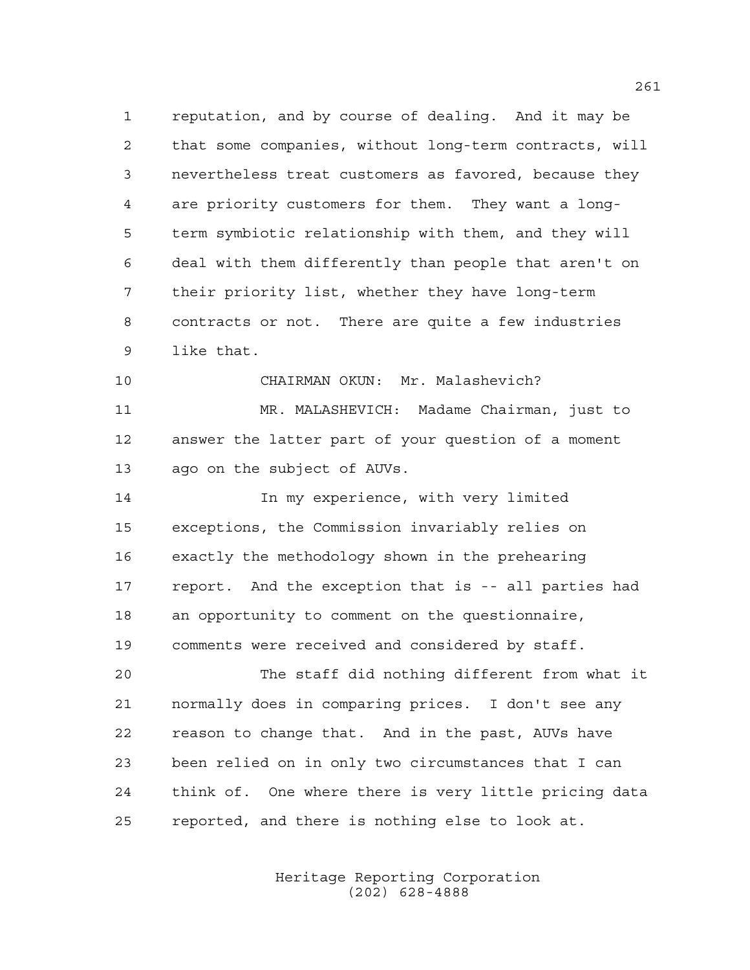reputation, and by course of dealing. And it may be that some companies, without long-term contracts, will nevertheless treat customers as favored, because they are priority customers for them. They want a long- term symbiotic relationship with them, and they will deal with them differently than people that aren't on their priority list, whether they have long-term contracts or not. There are quite a few industries like that.

 MR. MALASHEVICH: Madame Chairman, just to answer the latter part of your question of a moment ago on the subject of AUVs.

CHAIRMAN OKUN: Mr. Malashevich?

 In my experience, with very limited exceptions, the Commission invariably relies on exactly the methodology shown in the prehearing report. And the exception that is -- all parties had an opportunity to comment on the questionnaire, comments were received and considered by staff.

 The staff did nothing different from what it normally does in comparing prices. I don't see any reason to change that. And in the past, AUVs have been relied on in only two circumstances that I can think of. One where there is very little pricing data reported, and there is nothing else to look at.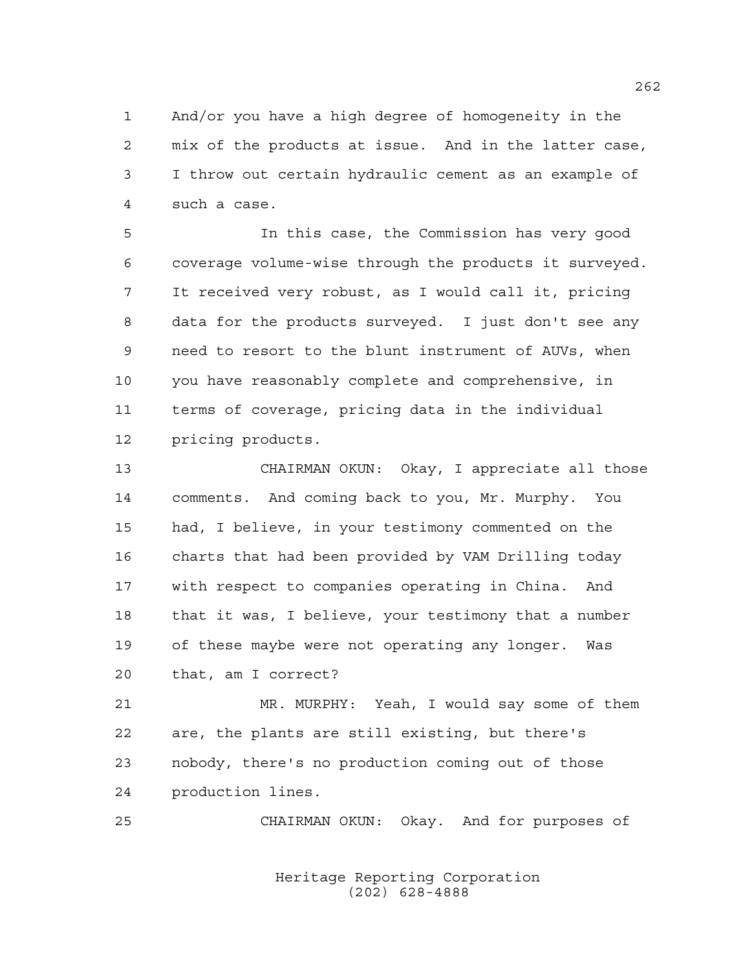And/or you have a high degree of homogeneity in the mix of the products at issue. And in the latter case, I throw out certain hydraulic cement as an example of such a case.

 In this case, the Commission has very good coverage volume-wise through the products it surveyed. It received very robust, as I would call it, pricing data for the products surveyed. I just don't see any need to resort to the blunt instrument of AUVs, when you have reasonably complete and comprehensive, in terms of coverage, pricing data in the individual pricing products.

 CHAIRMAN OKUN: Okay, I appreciate all those comments. And coming back to you, Mr. Murphy. You had, I believe, in your testimony commented on the charts that had been provided by VAM Drilling today with respect to companies operating in China. And that it was, I believe, your testimony that a number of these maybe were not operating any longer. Was that, am I correct?

 MR. MURPHY: Yeah, I would say some of them are, the plants are still existing, but there's nobody, there's no production coming out of those production lines.

CHAIRMAN OKUN: Okay. And for purposes of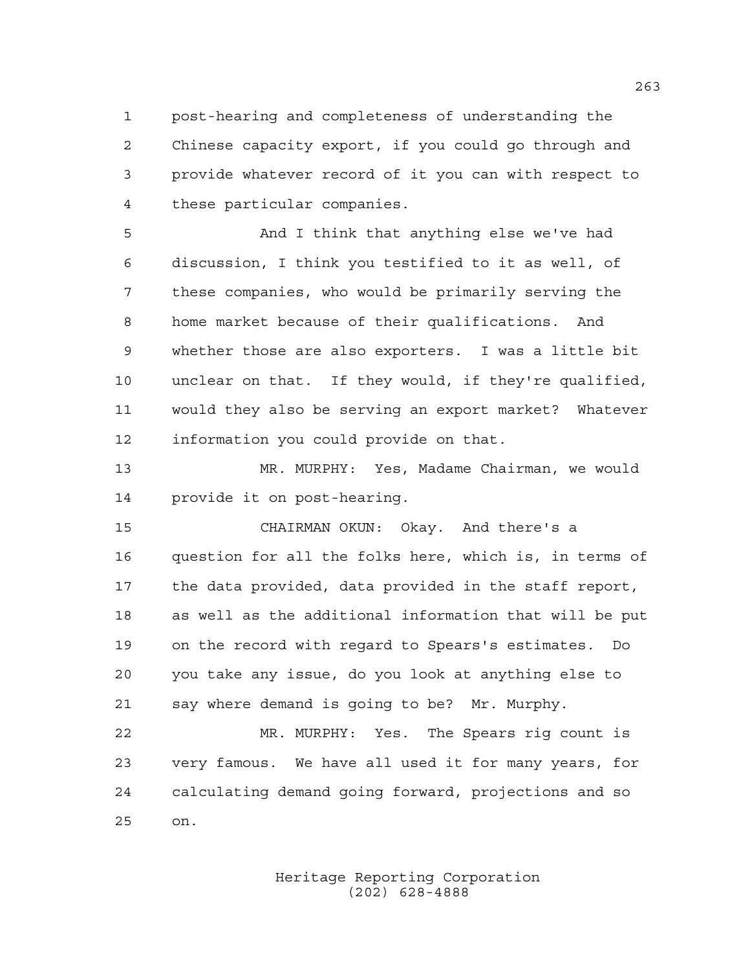post-hearing and completeness of understanding the Chinese capacity export, if you could go through and provide whatever record of it you can with respect to these particular companies.

 And I think that anything else we've had discussion, I think you testified to it as well, of these companies, who would be primarily serving the home market because of their qualifications. And whether those are also exporters. I was a little bit unclear on that. If they would, if they're qualified, would they also be serving an export market? Whatever information you could provide on that.

 MR. MURPHY: Yes, Madame Chairman, we would provide it on post-hearing.

 CHAIRMAN OKUN: Okay. And there's a question for all the folks here, which is, in terms of the data provided, data provided in the staff report, as well as the additional information that will be put on the record with regard to Spears's estimates. Do you take any issue, do you look at anything else to say where demand is going to be? Mr. Murphy.

 MR. MURPHY: Yes. The Spears rig count is very famous. We have all used it for many years, for calculating demand going forward, projections and so on.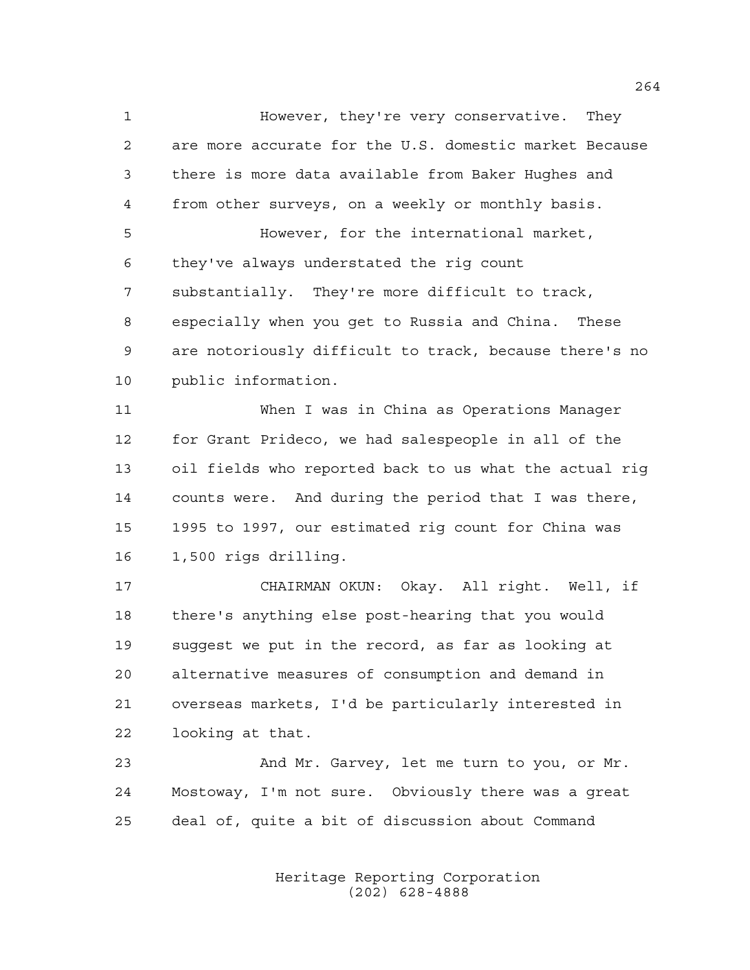However, they're very conservative. They are more accurate for the U.S. domestic market Because there is more data available from Baker Hughes and from other surveys, on a weekly or monthly basis. However, for the international market, they've always understated the rig count substantially. They're more difficult to track, especially when you get to Russia and China. These are notoriously difficult to track, because there's no public information.

 When I was in China as Operations Manager for Grant Prideco, we had salespeople in all of the oil fields who reported back to us what the actual rig counts were. And during the period that I was there, 1995 to 1997, our estimated rig count for China was 1,500 rigs drilling.

 CHAIRMAN OKUN: Okay. All right. Well, if there's anything else post-hearing that you would suggest we put in the record, as far as looking at alternative measures of consumption and demand in overseas markets, I'd be particularly interested in looking at that.

 And Mr. Garvey, let me turn to you, or Mr. Mostoway, I'm not sure. Obviously there was a great deal of, quite a bit of discussion about Command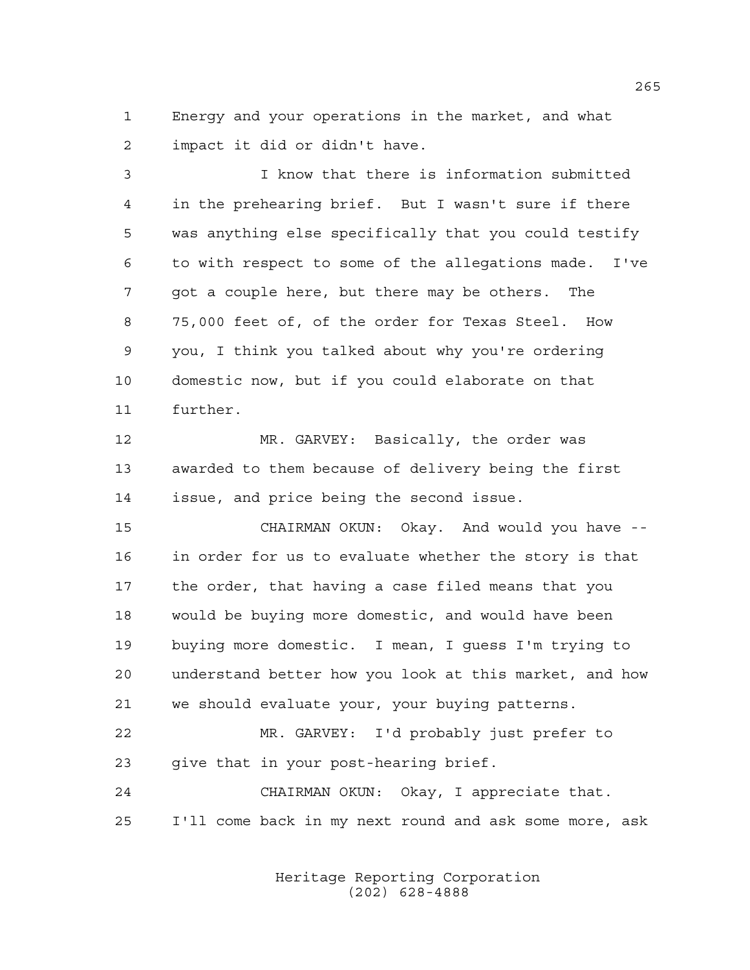Energy and your operations in the market, and what impact it did or didn't have.

 I know that there is information submitted in the prehearing brief. But I wasn't sure if there was anything else specifically that you could testify to with respect to some of the allegations made. I've got a couple here, but there may be others. The 75,000 feet of, of the order for Texas Steel. How you, I think you talked about why you're ordering domestic now, but if you could elaborate on that further.

 MR. GARVEY: Basically, the order was awarded to them because of delivery being the first issue, and price being the second issue.

 CHAIRMAN OKUN: Okay. And would you have -- in order for us to evaluate whether the story is that the order, that having a case filed means that you would be buying more domestic, and would have been buying more domestic. I mean, I guess I'm trying to understand better how you look at this market, and how we should evaluate your, your buying patterns.

 MR. GARVEY: I'd probably just prefer to give that in your post-hearing brief.

 CHAIRMAN OKUN: Okay, I appreciate that. I'll come back in my next round and ask some more, ask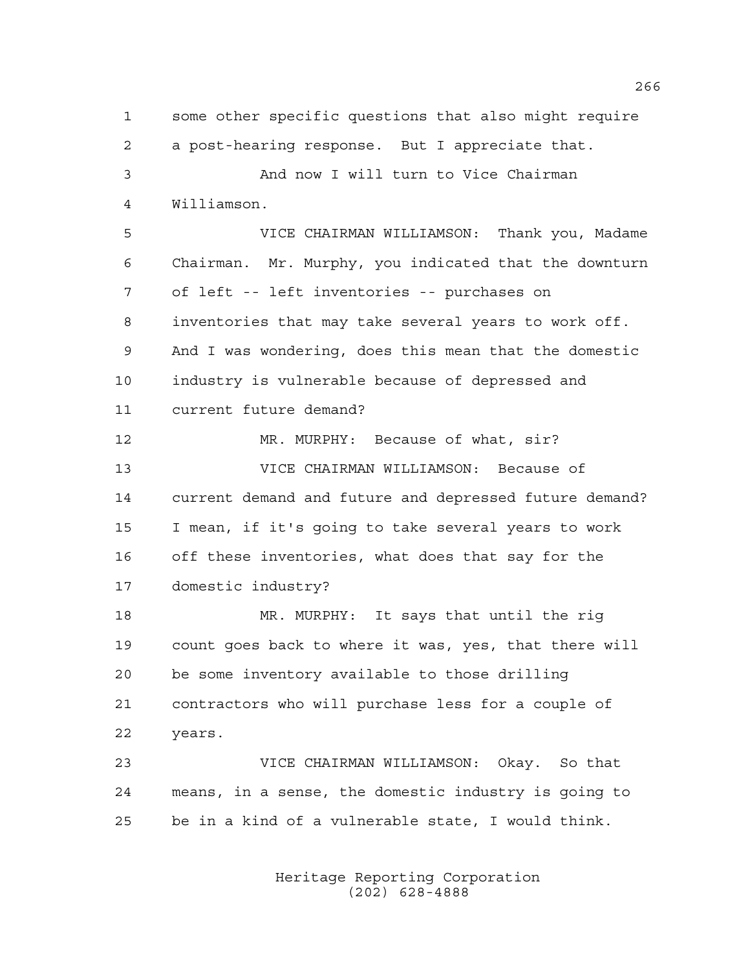some other specific questions that also might require a post-hearing response. But I appreciate that. And now I will turn to Vice Chairman Williamson. VICE CHAIRMAN WILLIAMSON: Thank you, Madame Chairman. Mr. Murphy, you indicated that the downturn of left -- left inventories -- purchases on inventories that may take several years to work off. And I was wondering, does this mean that the domestic industry is vulnerable because of depressed and current future demand? MR. MURPHY: Because of what, sir? VICE CHAIRMAN WILLIAMSON: Because of current demand and future and depressed future demand? I mean, if it's going to take several years to work off these inventories, what does that say for the domestic industry? MR. MURPHY: It says that until the rig count goes back to where it was, yes, that there will be some inventory available to those drilling contractors who will purchase less for a couple of years. VICE CHAIRMAN WILLIAMSON: Okay. So that means, in a sense, the domestic industry is going to be in a kind of a vulnerable state, I would think.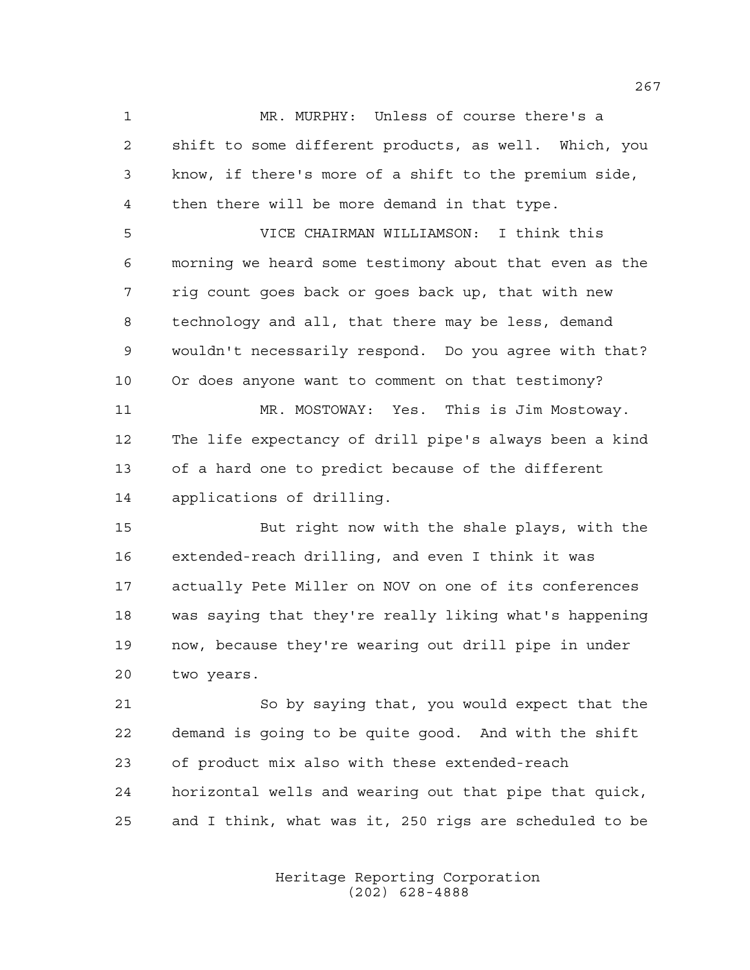MR. MURPHY: Unless of course there's a shift to some different products, as well. Which, you know, if there's more of a shift to the premium side, then there will be more demand in that type.

 VICE CHAIRMAN WILLIAMSON: I think this morning we heard some testimony about that even as the rig count goes back or goes back up, that with new technology and all, that there may be less, demand wouldn't necessarily respond. Do you agree with that? Or does anyone want to comment on that testimony?

 MR. MOSTOWAY: Yes. This is Jim Mostoway. The life expectancy of drill pipe's always been a kind of a hard one to predict because of the different applications of drilling.

 But right now with the shale plays, with the extended-reach drilling, and even I think it was actually Pete Miller on NOV on one of its conferences was saying that they're really liking what's happening now, because they're wearing out drill pipe in under two years.

 So by saying that, you would expect that the demand is going to be quite good. And with the shift of product mix also with these extended-reach horizontal wells and wearing out that pipe that quick, and I think, what was it, 250 rigs are scheduled to be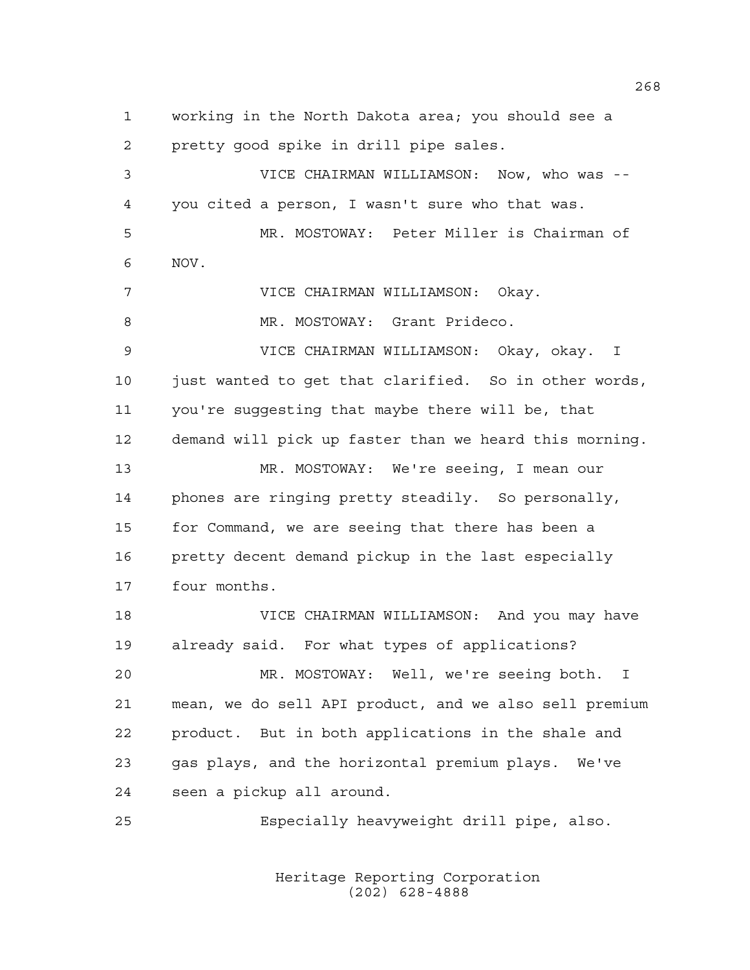working in the North Dakota area; you should see a pretty good spike in drill pipe sales. VICE CHAIRMAN WILLIAMSON: Now, who was -- you cited a person, I wasn't sure who that was. MR. MOSTOWAY: Peter Miller is Chairman of NOV. VICE CHAIRMAN WILLIAMSON: Okay. 8 MR. MOSTOWAY: Grant Prideco. VICE CHAIRMAN WILLIAMSON: Okay, okay. I 10 just wanted to get that clarified. So in other words, you're suggesting that maybe there will be, that demand will pick up faster than we heard this morning. MR. MOSTOWAY: We're seeing, I mean our phones are ringing pretty steadily. So personally, for Command, we are seeing that there has been a 16 pretty decent demand pickup in the last especially four months. VICE CHAIRMAN WILLIAMSON: And you may have already said. For what types of applications? MR. MOSTOWAY: Well, we're seeing both. I mean, we do sell API product, and we also sell premium product. But in both applications in the shale and gas plays, and the horizontal premium plays. We've seen a pickup all around. Especially heavyweight drill pipe, also.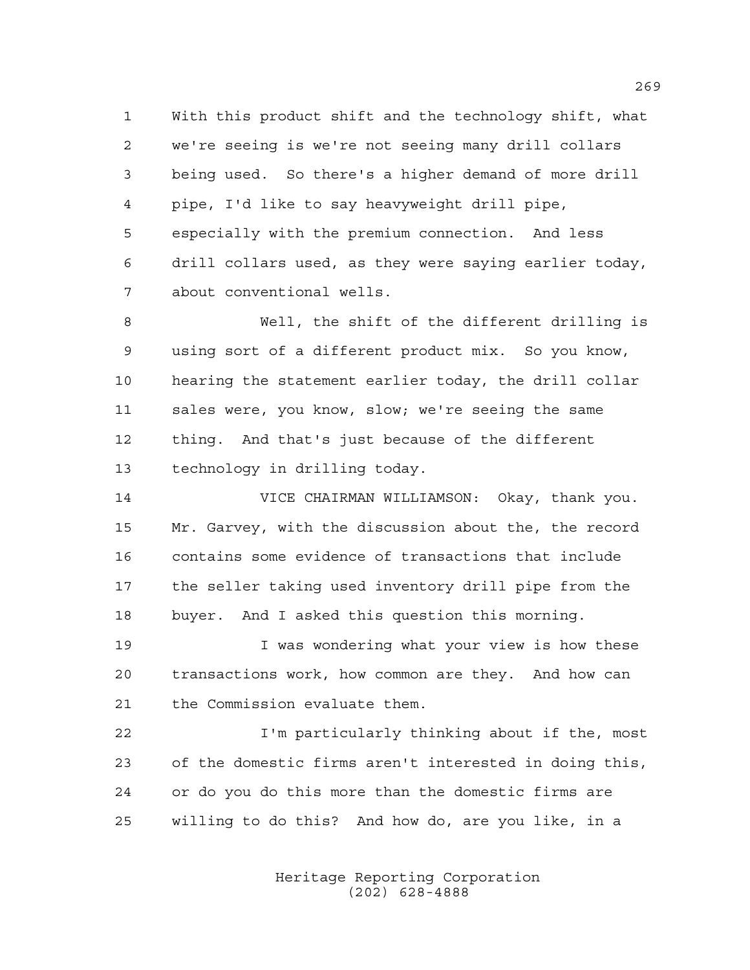With this product shift and the technology shift, what we're seeing is we're not seeing many drill collars being used. So there's a higher demand of more drill pipe, I'd like to say heavyweight drill pipe, especially with the premium connection. And less drill collars used, as they were saying earlier today, about conventional wells.

 Well, the shift of the different drilling is using sort of a different product mix. So you know, hearing the statement earlier today, the drill collar sales were, you know, slow; we're seeing the same thing. And that's just because of the different technology in drilling today.

 VICE CHAIRMAN WILLIAMSON: Okay, thank you. Mr. Garvey, with the discussion about the, the record contains some evidence of transactions that include the seller taking used inventory drill pipe from the buyer. And I asked this question this morning.

19 10 I was wondering what your view is how these transactions work, how common are they. And how can the Commission evaluate them.

 I'm particularly thinking about if the, most of the domestic firms aren't interested in doing this, or do you do this more than the domestic firms are willing to do this? And how do, are you like, in a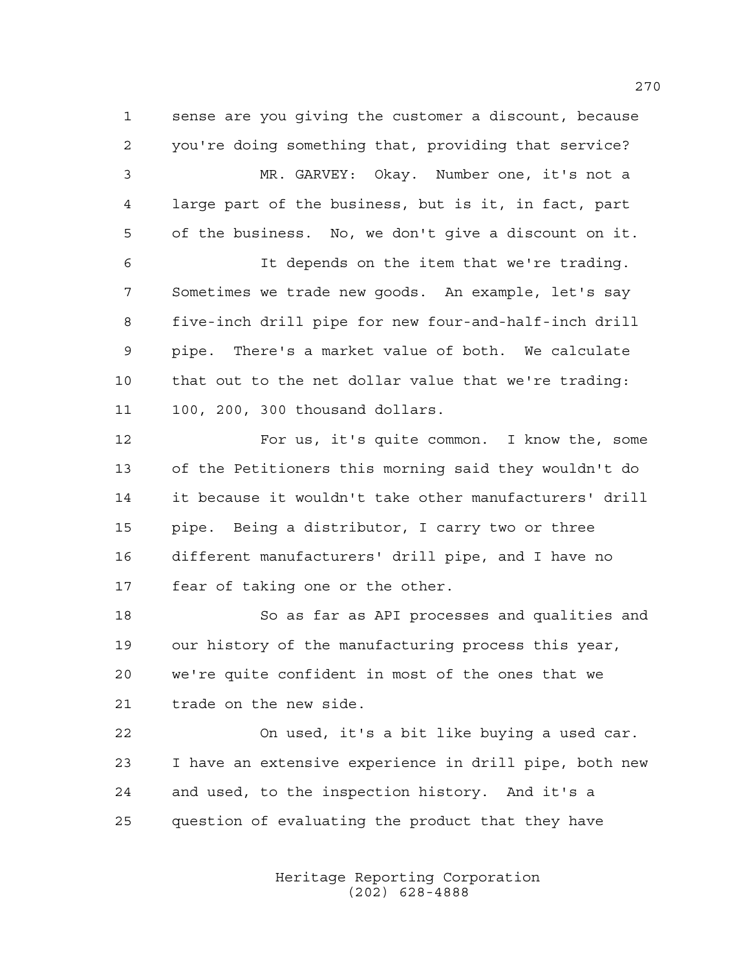sense are you giving the customer a discount, because you're doing something that, providing that service?

 MR. GARVEY: Okay. Number one, it's not a large part of the business, but is it, in fact, part of the business. No, we don't give a discount on it.

 It depends on the item that we're trading. Sometimes we trade new goods. An example, let's say five-inch drill pipe for new four-and-half-inch drill pipe. There's a market value of both. We calculate that out to the net dollar value that we're trading: 100, 200, 300 thousand dollars.

 For us, it's quite common. I know the, some of the Petitioners this morning said they wouldn't do it because it wouldn't take other manufacturers' drill pipe. Being a distributor, I carry two or three different manufacturers' drill pipe, and I have no fear of taking one or the other.

 So as far as API processes and qualities and our history of the manufacturing process this year, we're quite confident in most of the ones that we trade on the new side.

 On used, it's a bit like buying a used car. I have an extensive experience in drill pipe, both new and used, to the inspection history. And it's a question of evaluating the product that they have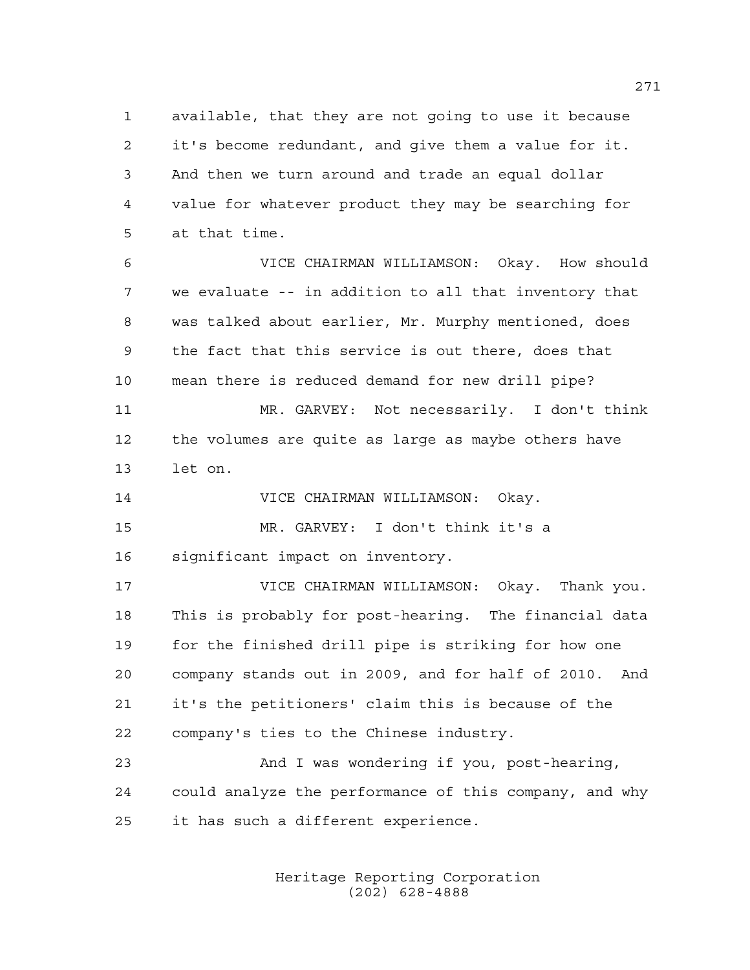available, that they are not going to use it because it's become redundant, and give them a value for it. And then we turn around and trade an equal dollar value for whatever product they may be searching for at that time.

 VICE CHAIRMAN WILLIAMSON: Okay. How should we evaluate -- in addition to all that inventory that was talked about earlier, Mr. Murphy mentioned, does the fact that this service is out there, does that mean there is reduced demand for new drill pipe?

 MR. GARVEY: Not necessarily. I don't think the volumes are quite as large as maybe others have let on.

VICE CHAIRMAN WILLIAMSON: Okay.

 MR. GARVEY: I don't think it's a significant impact on inventory.

 VICE CHAIRMAN WILLIAMSON: Okay. Thank you. This is probably for post-hearing. The financial data for the finished drill pipe is striking for how one company stands out in 2009, and for half of 2010. And it's the petitioners' claim this is because of the company's ties to the Chinese industry.

 And I was wondering if you, post-hearing, could analyze the performance of this company, and why it has such a different experience.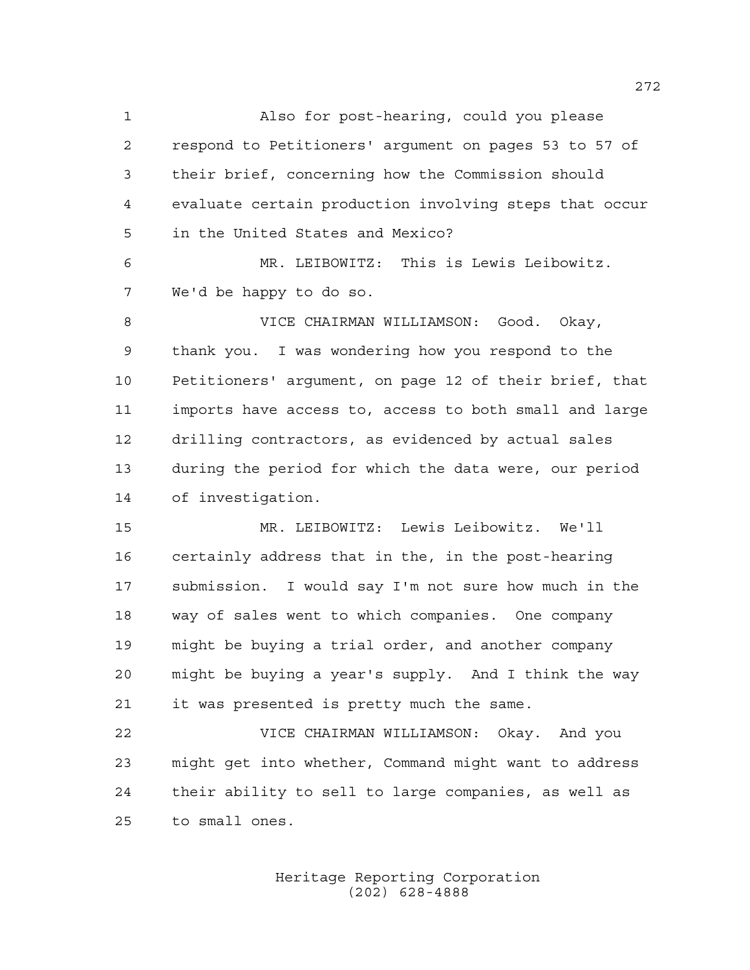Also for post-hearing, could you please respond to Petitioners' argument on pages 53 to 57 of their brief, concerning how the Commission should evaluate certain production involving steps that occur in the United States and Mexico?

 MR. LEIBOWITZ: This is Lewis Leibowitz. We'd be happy to do so.

 VICE CHAIRMAN WILLIAMSON: Good. Okay, thank you. I was wondering how you respond to the Petitioners' argument, on page 12 of their brief, that imports have access to, access to both small and large drilling contractors, as evidenced by actual sales during the period for which the data were, our period of investigation.

 MR. LEIBOWITZ: Lewis Leibowitz. We'll certainly address that in the, in the post-hearing submission. I would say I'm not sure how much in the way of sales went to which companies. One company might be buying a trial order, and another company might be buying a year's supply. And I think the way it was presented is pretty much the same.

 VICE CHAIRMAN WILLIAMSON: Okay. And you might get into whether, Command might want to address their ability to sell to large companies, as well as to small ones.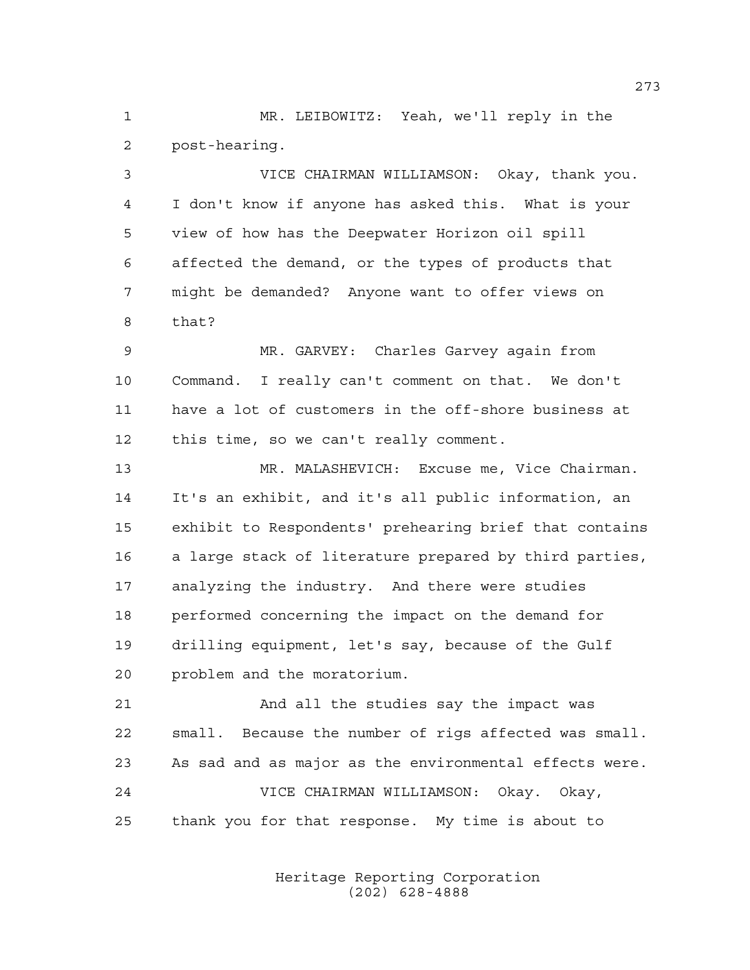MR. LEIBOWITZ: Yeah, we'll reply in the post-hearing.

 VICE CHAIRMAN WILLIAMSON: Okay, thank you. I don't know if anyone has asked this. What is your view of how has the Deepwater Horizon oil spill affected the demand, or the types of products that might be demanded? Anyone want to offer views on that?

 MR. GARVEY: Charles Garvey again from Command. I really can't comment on that. We don't have a lot of customers in the off-shore business at this time, so we can't really comment.

 MR. MALASHEVICH: Excuse me, Vice Chairman. It's an exhibit, and it's all public information, an exhibit to Respondents' prehearing brief that contains a large stack of literature prepared by third parties, analyzing the industry. And there were studies performed concerning the impact on the demand for drilling equipment, let's say, because of the Gulf problem and the moratorium.

 And all the studies say the impact was small. Because the number of rigs affected was small. As sad and as major as the environmental effects were. VICE CHAIRMAN WILLIAMSON: Okay. Okay, thank you for that response. My time is about to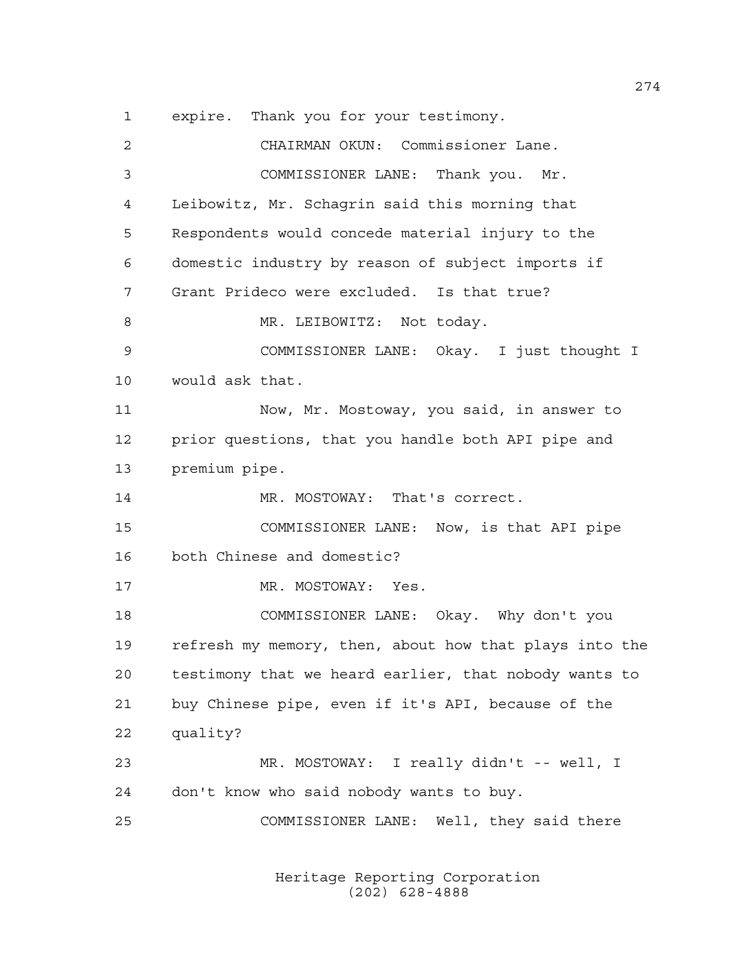expire. Thank you for your testimony. CHAIRMAN OKUN: Commissioner Lane. COMMISSIONER LANE: Thank you. Mr. Leibowitz, Mr. Schagrin said this morning that Respondents would concede material injury to the domestic industry by reason of subject imports if Grant Prideco were excluded. Is that true? 8 MR. LEIBOWITZ: Not today. COMMISSIONER LANE: Okay. I just thought I would ask that. Now, Mr. Mostoway, you said, in answer to prior questions, that you handle both API pipe and premium pipe. 14 MR. MOSTOWAY: That's correct. COMMISSIONER LANE: Now, is that API pipe both Chinese and domestic? 17 MR. MOSTOWAY: Yes. COMMISSIONER LANE: Okay. Why don't you refresh my memory, then, about how that plays into the testimony that we heard earlier, that nobody wants to buy Chinese pipe, even if it's API, because of the quality? MR. MOSTOWAY: I really didn't -- well, I don't know who said nobody wants to buy. COMMISSIONER LANE: Well, they said there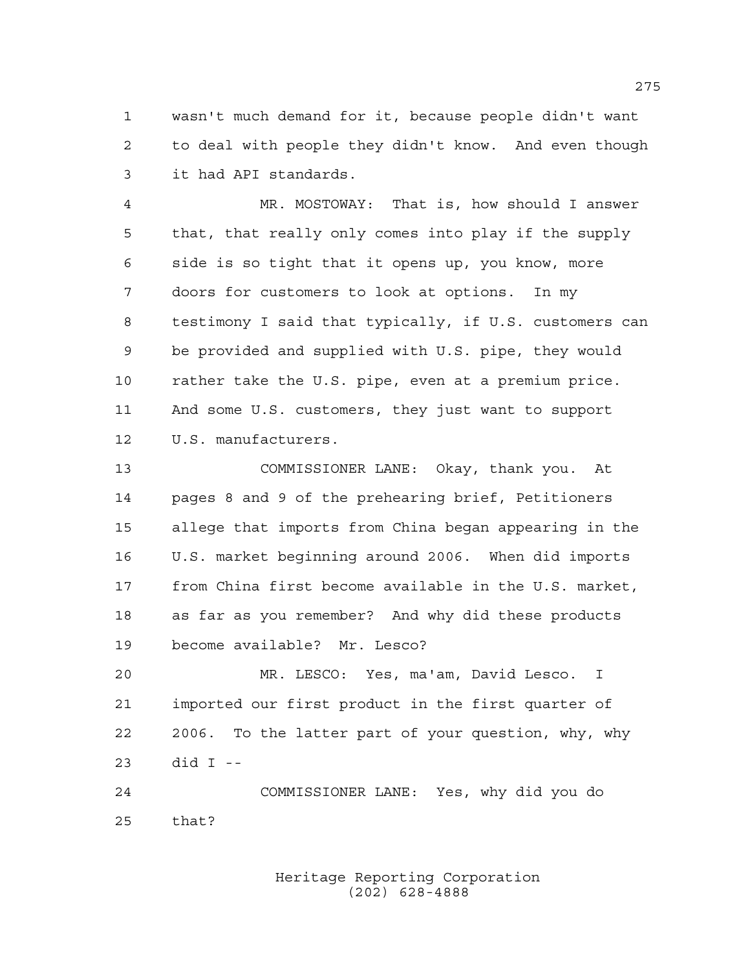wasn't much demand for it, because people didn't want to deal with people they didn't know. And even though it had API standards.

 MR. MOSTOWAY: That is, how should I answer that, that really only comes into play if the supply side is so tight that it opens up, you know, more doors for customers to look at options. In my testimony I said that typically, if U.S. customers can be provided and supplied with U.S. pipe, they would rather take the U.S. pipe, even at a premium price. And some U.S. customers, they just want to support U.S. manufacturers.

 COMMISSIONER LANE: Okay, thank you. At pages 8 and 9 of the prehearing brief, Petitioners allege that imports from China began appearing in the U.S. market beginning around 2006. When did imports from China first become available in the U.S. market, as far as you remember? And why did these products become available? Mr. Lesco?

 MR. LESCO: Yes, ma'am, David Lesco. I imported our first product in the first quarter of 2006. To the latter part of your question, why, why did I --

 COMMISSIONER LANE: Yes, why did you do that?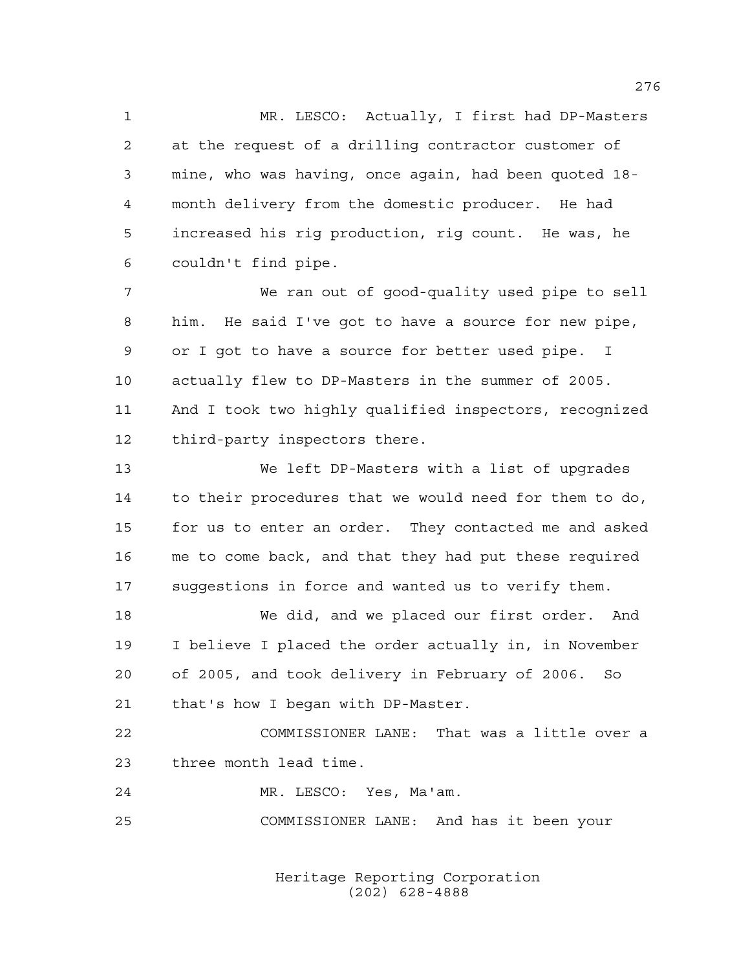MR. LESCO: Actually, I first had DP-Masters at the request of a drilling contractor customer of mine, who was having, once again, had been quoted 18- month delivery from the domestic producer. He had increased his rig production, rig count. He was, he couldn't find pipe.

 We ran out of good-quality used pipe to sell him. He said I've got to have a source for new pipe, or I got to have a source for better used pipe. I actually flew to DP-Masters in the summer of 2005. And I took two highly qualified inspectors, recognized third-party inspectors there.

 We left DP-Masters with a list of upgrades to their procedures that we would need for them to do, for us to enter an order. They contacted me and asked me to come back, and that they had put these required suggestions in force and wanted us to verify them.

 We did, and we placed our first order. And I believe I placed the order actually in, in November of 2005, and took delivery in February of 2006. So that's how I began with DP-Master.

 COMMISSIONER LANE: That was a little over a three month lead time.

MR. LESCO: Yes, Ma'am.

COMMISSIONER LANE: And has it been your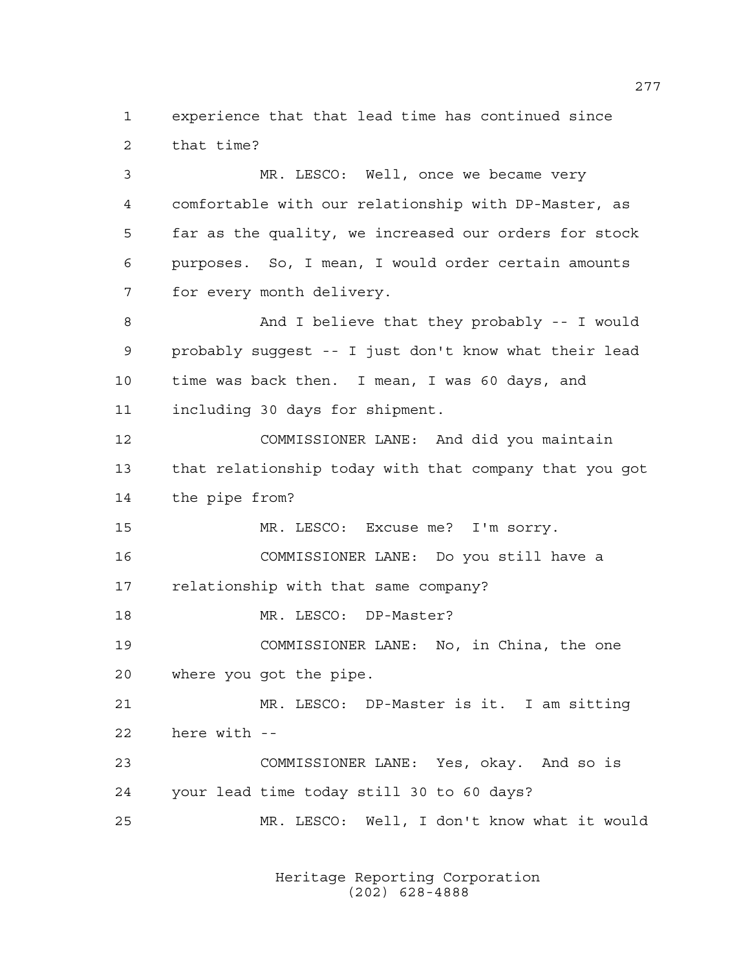experience that that lead time has continued since that time?

 MR. LESCO: Well, once we became very comfortable with our relationship with DP-Master, as far as the quality, we increased our orders for stock purposes. So, I mean, I would order certain amounts for every month delivery. And I believe that they probably -- I would probably suggest -- I just don't know what their lead time was back then. I mean, I was 60 days, and including 30 days for shipment. COMMISSIONER LANE: And did you maintain that relationship today with that company that you got the pipe from? MR. LESCO: Excuse me? I'm sorry. COMMISSIONER LANE: Do you still have a relationship with that same company? 18 MR. LESCO: DP-Master? COMMISSIONER LANE: No, in China, the one where you got the pipe. MR. LESCO: DP-Master is it. I am sitting here with -- COMMISSIONER LANE: Yes, okay. And so is your lead time today still 30 to 60 days? MR. LESCO: Well, I don't know what it would

> Heritage Reporting Corporation (202) 628-4888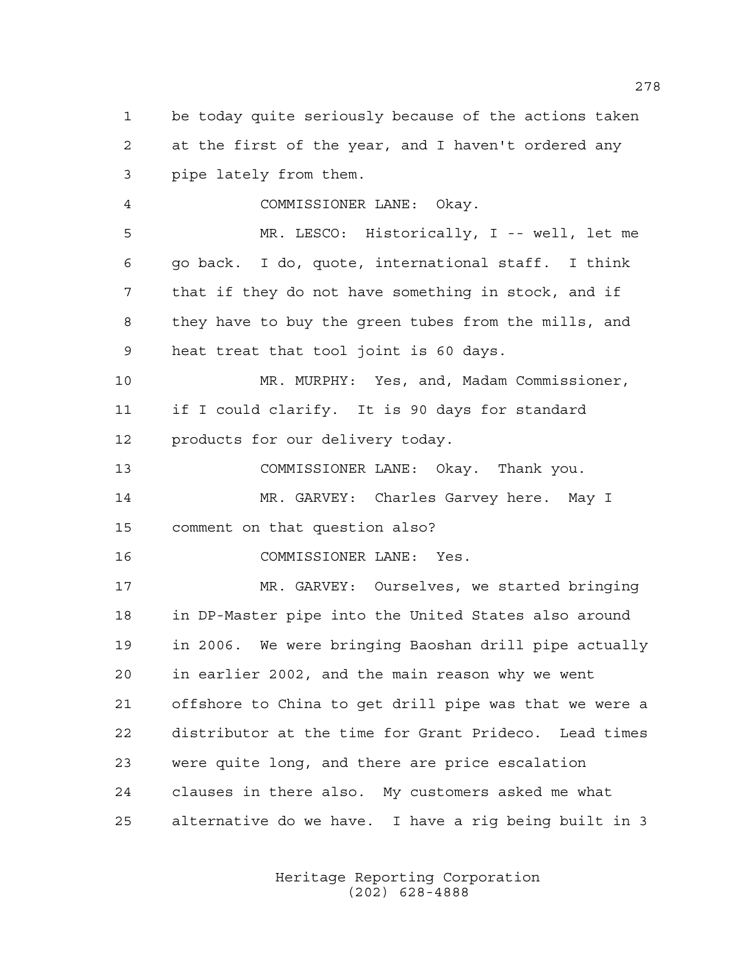be today quite seriously because of the actions taken at the first of the year, and I haven't ordered any pipe lately from them. COMMISSIONER LANE: Okay. MR. LESCO: Historically, I -- well, let me go back. I do, quote, international staff. I think that if they do not have something in stock, and if they have to buy the green tubes from the mills, and heat treat that tool joint is 60 days. MR. MURPHY: Yes, and, Madam Commissioner, if I could clarify. It is 90 days for standard products for our delivery today. COMMISSIONER LANE: Okay. Thank you. MR. GARVEY: Charles Garvey here. May I

comment on that question also?

COMMISSIONER LANE: Yes.

 MR. GARVEY: Ourselves, we started bringing in DP-Master pipe into the United States also around in 2006. We were bringing Baoshan drill pipe actually in earlier 2002, and the main reason why we went offshore to China to get drill pipe was that we were a distributor at the time for Grant Prideco. Lead times were quite long, and there are price escalation clauses in there also. My customers asked me what alternative do we have. I have a rig being built in 3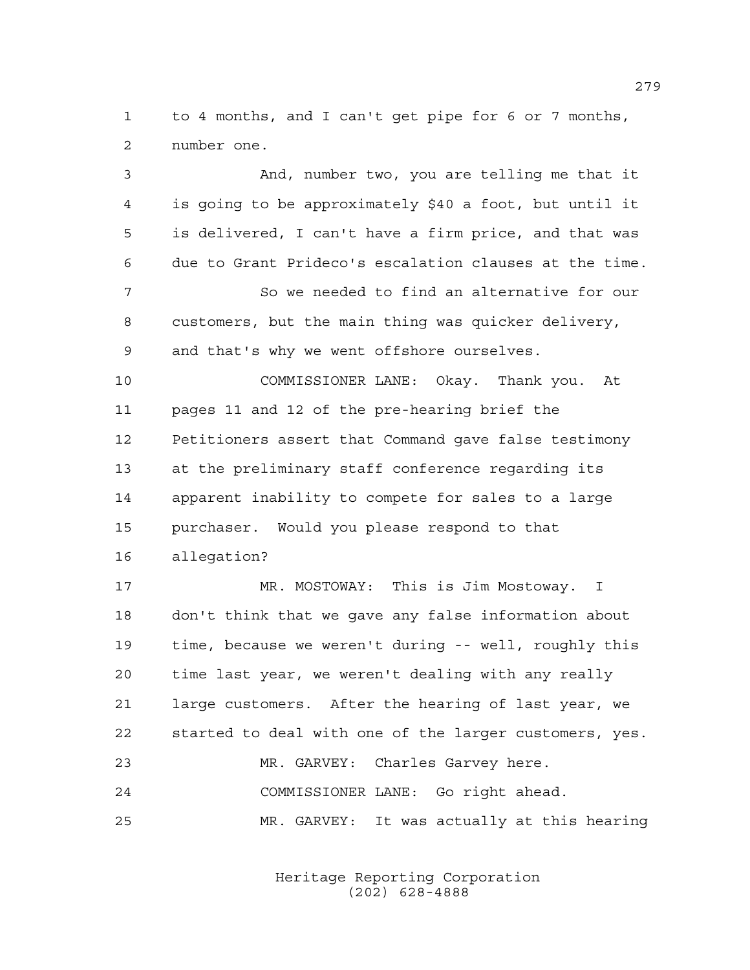to 4 months, and I can't get pipe for 6 or 7 months, number one.

 And, number two, you are telling me that it is going to be approximately \$40 a foot, but until it is delivered, I can't have a firm price, and that was due to Grant Prideco's escalation clauses at the time. So we needed to find an alternative for our customers, but the main thing was quicker delivery, and that's why we went offshore ourselves. COMMISSIONER LANE: Okay. Thank you. At pages 11 and 12 of the pre-hearing brief the Petitioners assert that Command gave false testimony at the preliminary staff conference regarding its apparent inability to compete for sales to a large purchaser. Would you please respond to that allegation? MR. MOSTOWAY: This is Jim Mostoway. I don't think that we gave any false information about time, because we weren't during -- well, roughly this time last year, we weren't dealing with any really large customers. After the hearing of last year, we started to deal with one of the larger customers, yes. MR. GARVEY: Charles Garvey here. COMMISSIONER LANE: Go right ahead. MR. GARVEY: It was actually at this hearing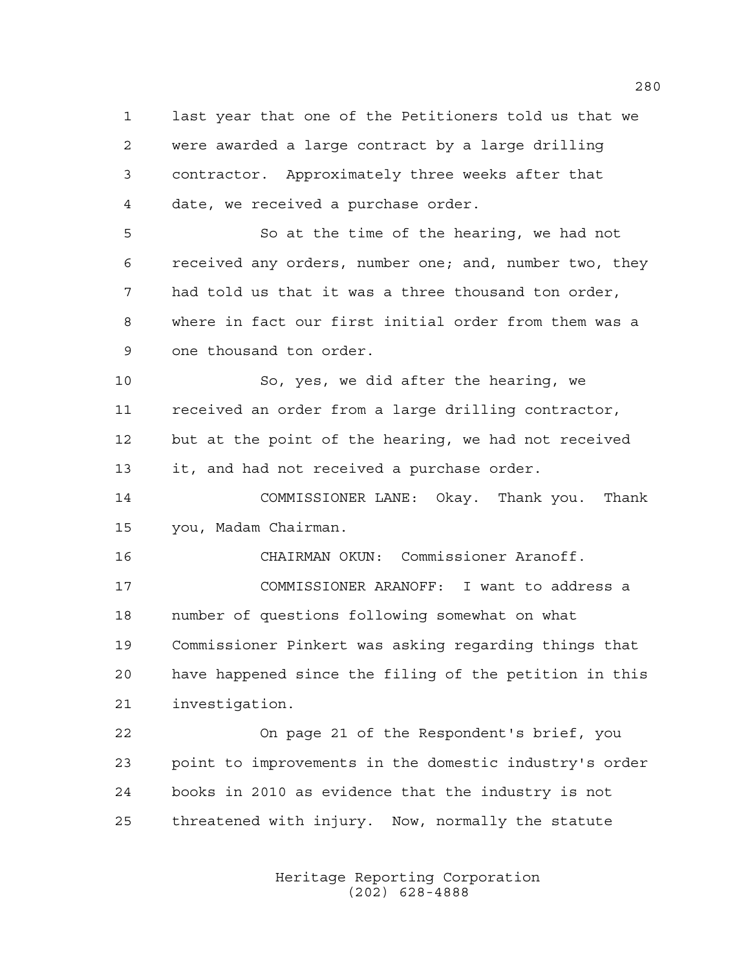last year that one of the Petitioners told us that we were awarded a large contract by a large drilling contractor. Approximately three weeks after that date, we received a purchase order. So at the time of the hearing, we had not received any orders, number one; and, number two, they had told us that it was a three thousand ton order,

 where in fact our first initial order from them was a one thousand ton order.

 So, yes, we did after the hearing, we received an order from a large drilling contractor, but at the point of the hearing, we had not received it, and had not received a purchase order.

 COMMISSIONER LANE: Okay. Thank you. Thank you, Madam Chairman.

CHAIRMAN OKUN: Commissioner Aranoff.

 COMMISSIONER ARANOFF: I want to address a number of questions following somewhat on what Commissioner Pinkert was asking regarding things that have happened since the filing of the petition in this investigation.

 On page 21 of the Respondent's brief, you point to improvements in the domestic industry's order books in 2010 as evidence that the industry is not threatened with injury. Now, normally the statute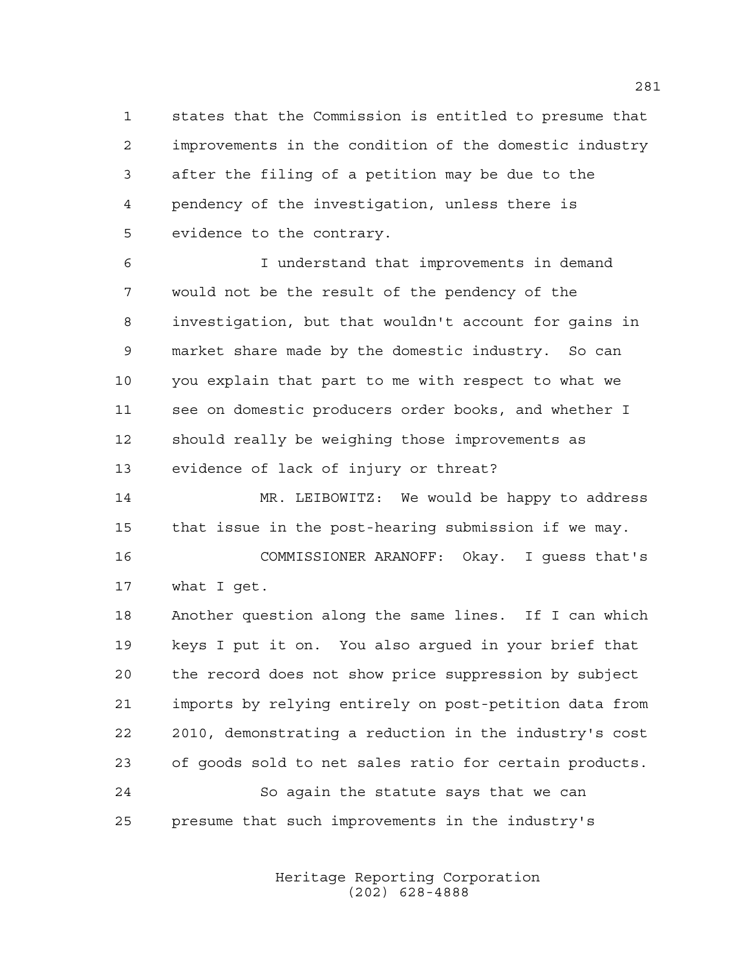states that the Commission is entitled to presume that improvements in the condition of the domestic industry after the filing of a petition may be due to the pendency of the investigation, unless there is evidence to the contrary.

 I understand that improvements in demand would not be the result of the pendency of the investigation, but that wouldn't account for gains in market share made by the domestic industry. So can you explain that part to me with respect to what we see on domestic producers order books, and whether I should really be weighing those improvements as evidence of lack of injury or threat?

 MR. LEIBOWITZ: We would be happy to address that issue in the post-hearing submission if we may. COMMISSIONER ARANOFF: Okay. I guess that's

what I get.

 Another question along the same lines. If I can which keys I put it on. You also argued in your brief that the record does not show price suppression by subject imports by relying entirely on post-petition data from 2010, demonstrating a reduction in the industry's cost of goods sold to net sales ratio for certain products. So again the statute says that we can

presume that such improvements in the industry's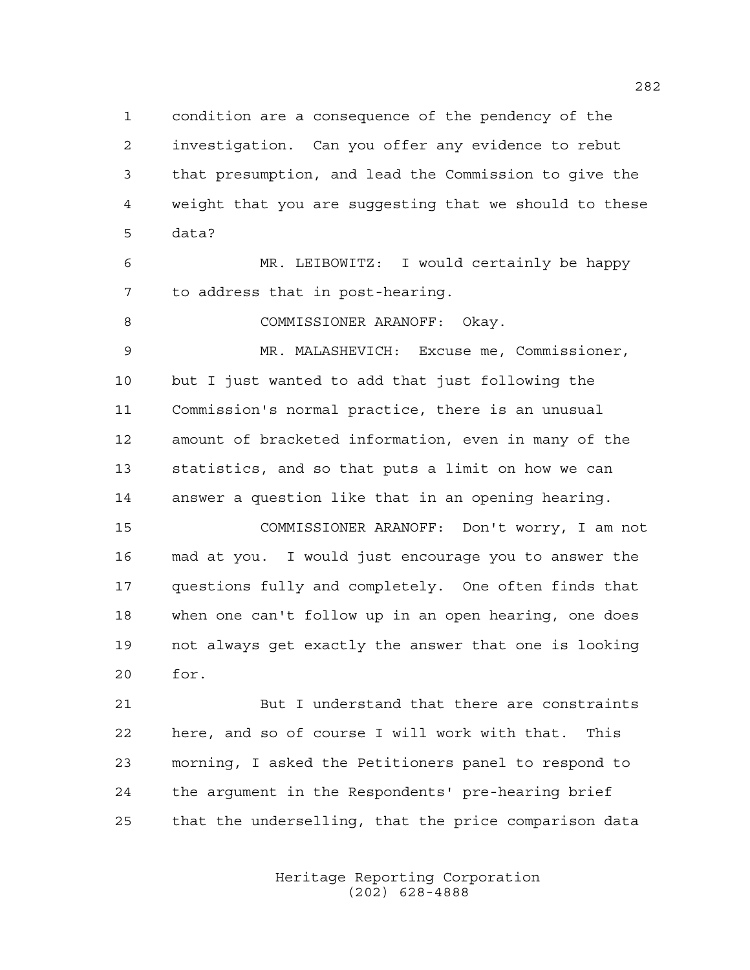condition are a consequence of the pendency of the investigation. Can you offer any evidence to rebut that presumption, and lead the Commission to give the weight that you are suggesting that we should to these data?

 MR. LEIBOWITZ: I would certainly be happy to address that in post-hearing.

8 COMMISSIONER ARANOFF: Okay.

 MR. MALASHEVICH: Excuse me, Commissioner, but I just wanted to add that just following the Commission's normal practice, there is an unusual amount of bracketed information, even in many of the statistics, and so that puts a limit on how we can answer a question like that in an opening hearing.

 COMMISSIONER ARANOFF: Don't worry, I am not mad at you. I would just encourage you to answer the questions fully and completely. One often finds that when one can't follow up in an open hearing, one does not always get exactly the answer that one is looking for.

 But I understand that there are constraints here, and so of course I will work with that. This morning, I asked the Petitioners panel to respond to the argument in the Respondents' pre-hearing brief that the underselling, that the price comparison data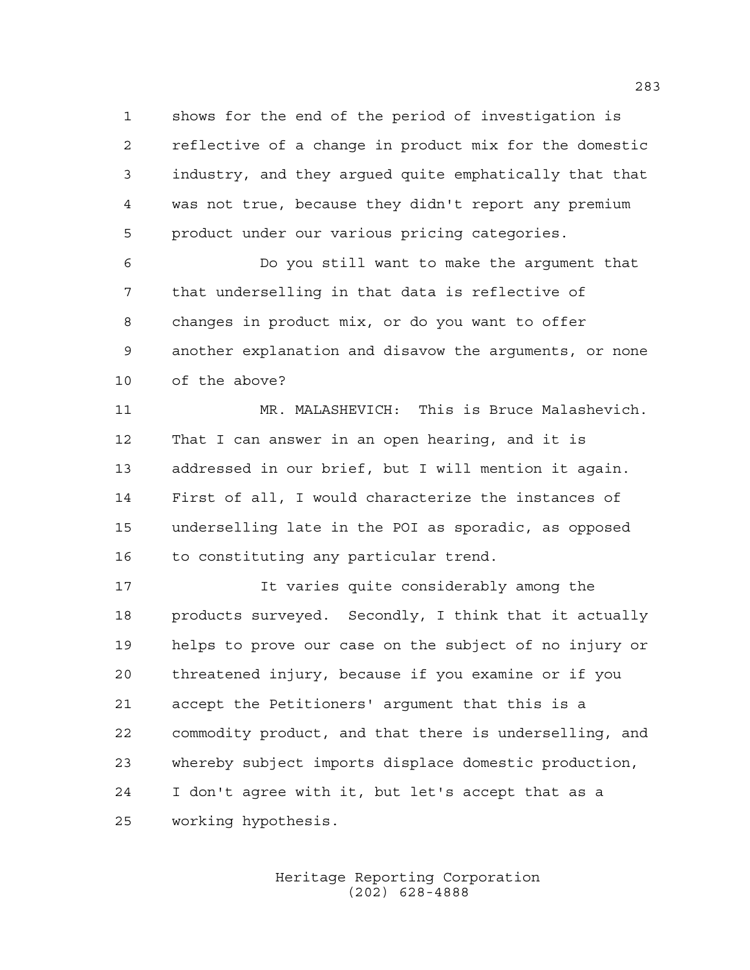shows for the end of the period of investigation is reflective of a change in product mix for the domestic industry, and they argued quite emphatically that that was not true, because they didn't report any premium product under our various pricing categories.

 Do you still want to make the argument that that underselling in that data is reflective of changes in product mix, or do you want to offer another explanation and disavow the arguments, or none of the above?

 MR. MALASHEVICH: This is Bruce Malashevich. That I can answer in an open hearing, and it is addressed in our brief, but I will mention it again. First of all, I would characterize the instances of underselling late in the POI as sporadic, as opposed 16 to constituting any particular trend.

 It varies quite considerably among the products surveyed. Secondly, I think that it actually helps to prove our case on the subject of no injury or threatened injury, because if you examine or if you accept the Petitioners' argument that this is a commodity product, and that there is underselling, and whereby subject imports displace domestic production, I don't agree with it, but let's accept that as a working hypothesis.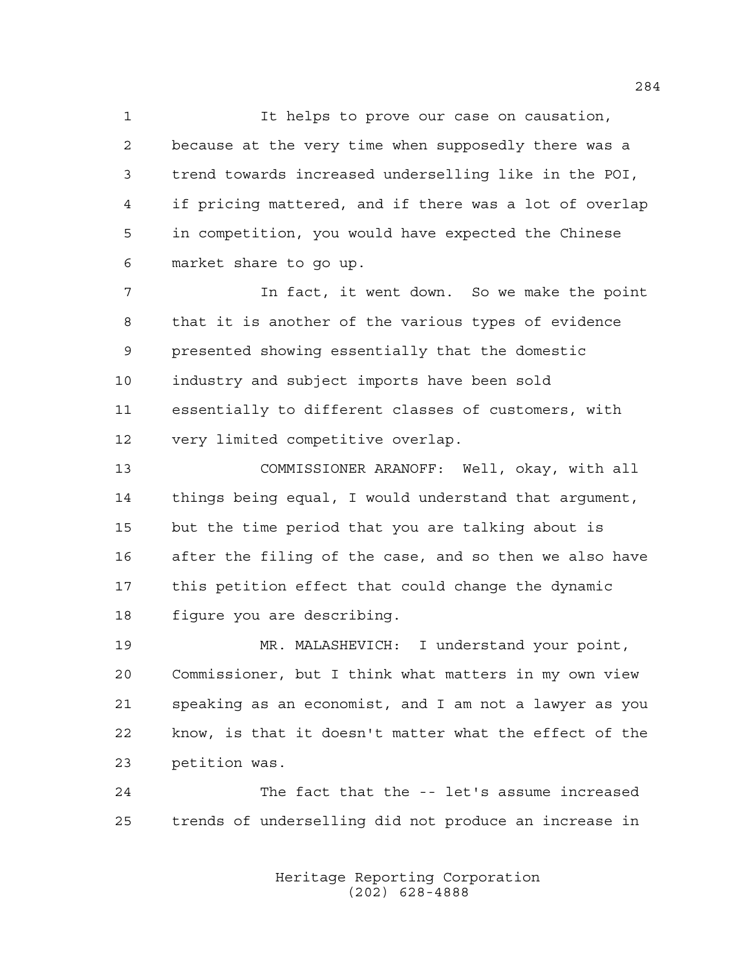It helps to prove our case on causation, because at the very time when supposedly there was a trend towards increased underselling like in the POI, if pricing mattered, and if there was a lot of overlap in competition, you would have expected the Chinese market share to go up.

 In fact, it went down. So we make the point that it is another of the various types of evidence presented showing essentially that the domestic industry and subject imports have been sold essentially to different classes of customers, with very limited competitive overlap.

 COMMISSIONER ARANOFF: Well, okay, with all things being equal, I would understand that argument, but the time period that you are talking about is after the filing of the case, and so then we also have this petition effect that could change the dynamic figure you are describing.

 MR. MALASHEVICH: I understand your point, Commissioner, but I think what matters in my own view speaking as an economist, and I am not a lawyer as you know, is that it doesn't matter what the effect of the petition was.

 The fact that the -- let's assume increased trends of underselling did not produce an increase in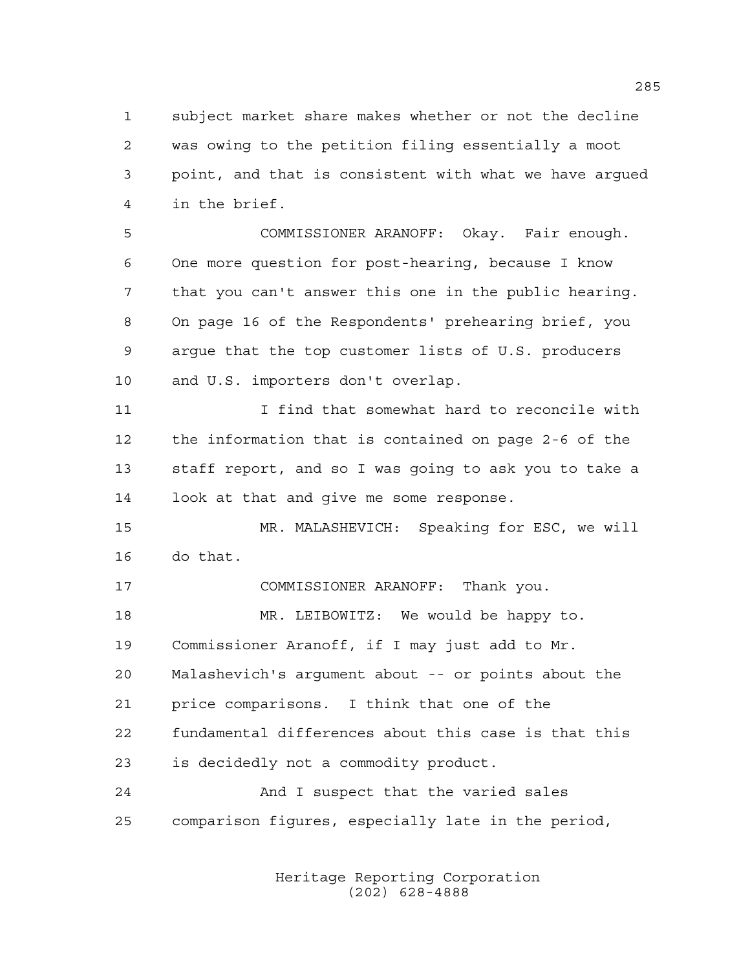subject market share makes whether or not the decline was owing to the petition filing essentially a moot point, and that is consistent with what we have argued in the brief.

 COMMISSIONER ARANOFF: Okay. Fair enough. One more question for post-hearing, because I know that you can't answer this one in the public hearing. On page 16 of the Respondents' prehearing brief, you argue that the top customer lists of U.S. producers and U.S. importers don't overlap.

 I find that somewhat hard to reconcile with the information that is contained on page 2-6 of the staff report, and so I was going to ask you to take a look at that and give me some response.

 MR. MALASHEVICH: Speaking for ESC, we will do that.

 COMMISSIONER ARANOFF: Thank you. MR. LEIBOWITZ: We would be happy to. Commissioner Aranoff, if I may just add to Mr. Malashevich's argument about -- or points about the price comparisons. I think that one of the fundamental differences about this case is that this is decidedly not a commodity product. And I suspect that the varied sales comparison figures, especially late in the period,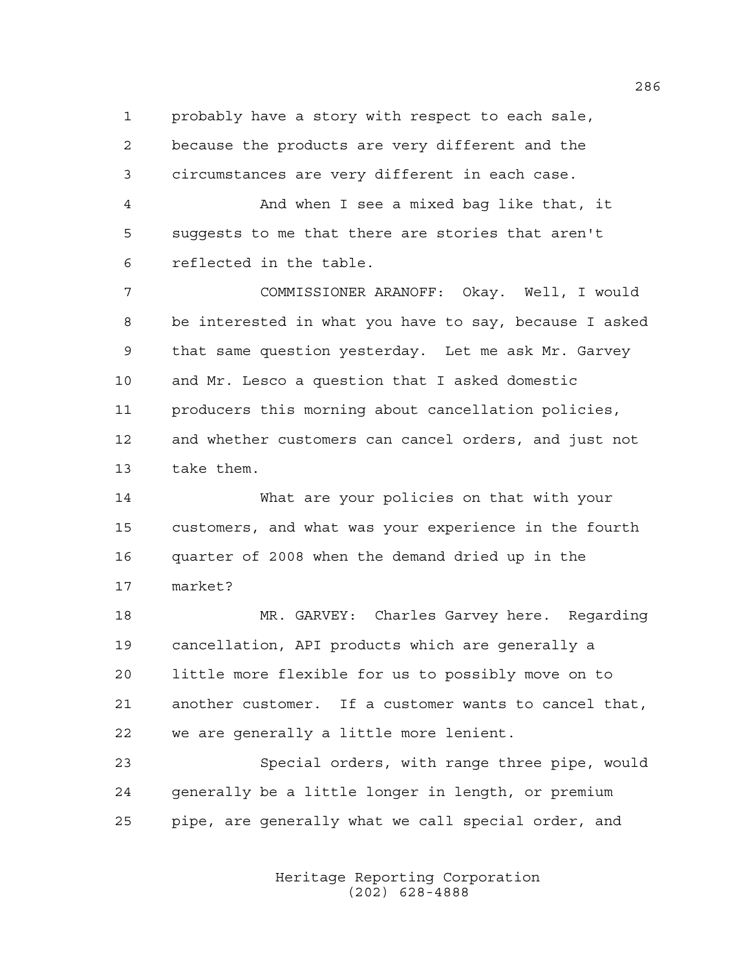probably have a story with respect to each sale, because the products are very different and the

circumstances are very different in each case.

 And when I see a mixed bag like that, it suggests to me that there are stories that aren't reflected in the table.

 COMMISSIONER ARANOFF: Okay. Well, I would be interested in what you have to say, because I asked that same question yesterday. Let me ask Mr. Garvey and Mr. Lesco a question that I asked domestic producers this morning about cancellation policies, and whether customers can cancel orders, and just not take them.

 What are your policies on that with your customers, and what was your experience in the fourth quarter of 2008 when the demand dried up in the market?

 MR. GARVEY: Charles Garvey here. Regarding cancellation, API products which are generally a little more flexible for us to possibly move on to another customer. If a customer wants to cancel that, we are generally a little more lenient.

 Special orders, with range three pipe, would generally be a little longer in length, or premium pipe, are generally what we call special order, and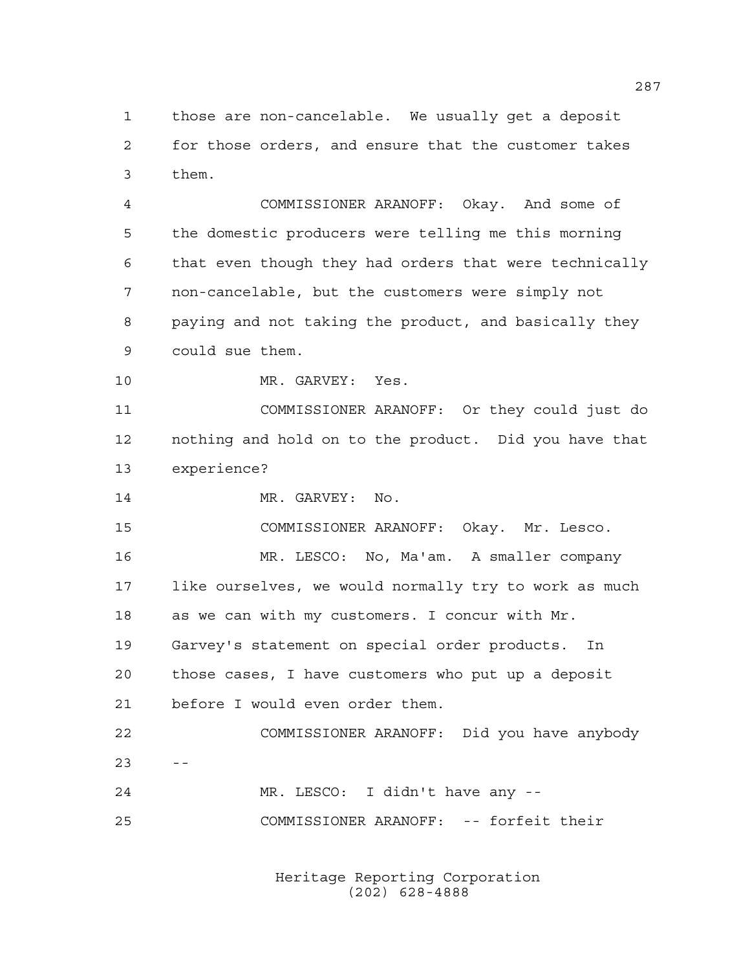those are non-cancelable. We usually get a deposit for those orders, and ensure that the customer takes them.

 COMMISSIONER ARANOFF: Okay. And some of the domestic producers were telling me this morning that even though they had orders that were technically non-cancelable, but the customers were simply not paying and not taking the product, and basically they could sue them.

MR. GARVEY: Yes.

 COMMISSIONER ARANOFF: Or they could just do nothing and hold on to the product. Did you have that experience?

14 MR. GARVEY: No.

COMMISSIONER ARANOFF: Okay. Mr. Lesco.

 MR. LESCO: No, Ma'am. A smaller company like ourselves, we would normally try to work as much as we can with my customers. I concur with Mr. Garvey's statement on special order products. In

 those cases, I have customers who put up a deposit before I would even order them.

 COMMISSIONER ARANOFF: Did you have anybody  $23 - -$ 

 MR. LESCO: I didn't have any -- COMMISSIONER ARANOFF: -- forfeit their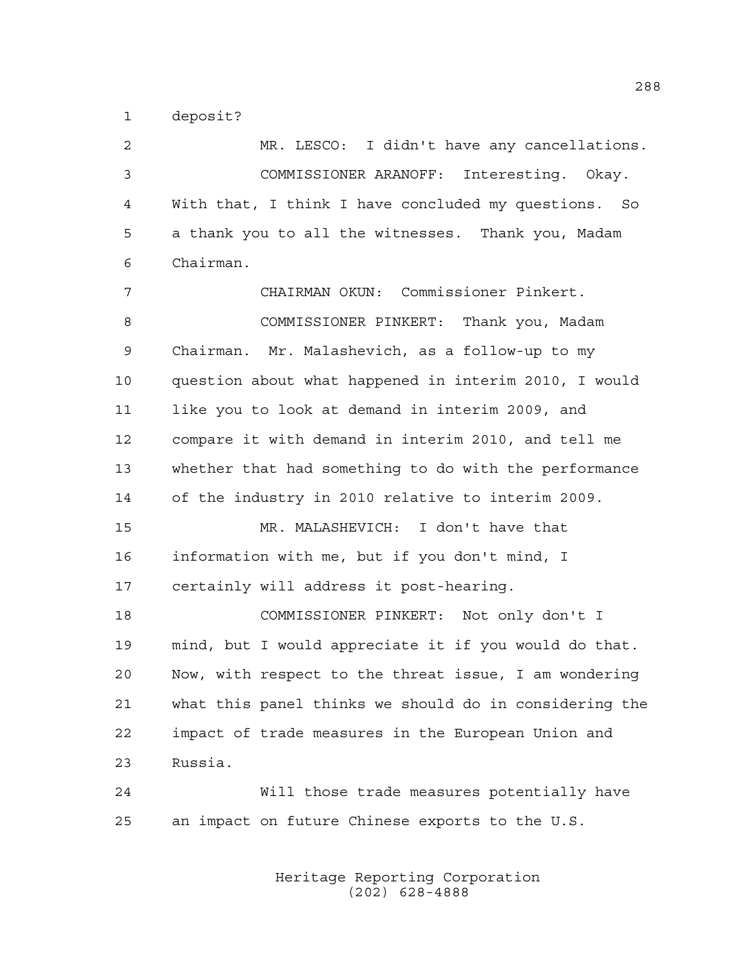deposit?

 MR. LESCO: I didn't have any cancellations. COMMISSIONER ARANOFF: Interesting. Okay. With that, I think I have concluded my questions. So a thank you to all the witnesses. Thank you, Madam Chairman. CHAIRMAN OKUN: Commissioner Pinkert. COMMISSIONER PINKERT: Thank you, Madam Chairman. Mr. Malashevich, as a follow-up to my question about what happened in interim 2010, I would like you to look at demand in interim 2009, and compare it with demand in interim 2010, and tell me whether that had something to do with the performance of the industry in 2010 relative to interim 2009. MR. MALASHEVICH: I don't have that information with me, but if you don't mind, I certainly will address it post-hearing. COMMISSIONER PINKERT: Not only don't I mind, but I would appreciate it if you would do that. Now, with respect to the threat issue, I am wondering what this panel thinks we should do in considering the impact of trade measures in the European Union and Russia. Will those trade measures potentially have an impact on future Chinese exports to the U.S.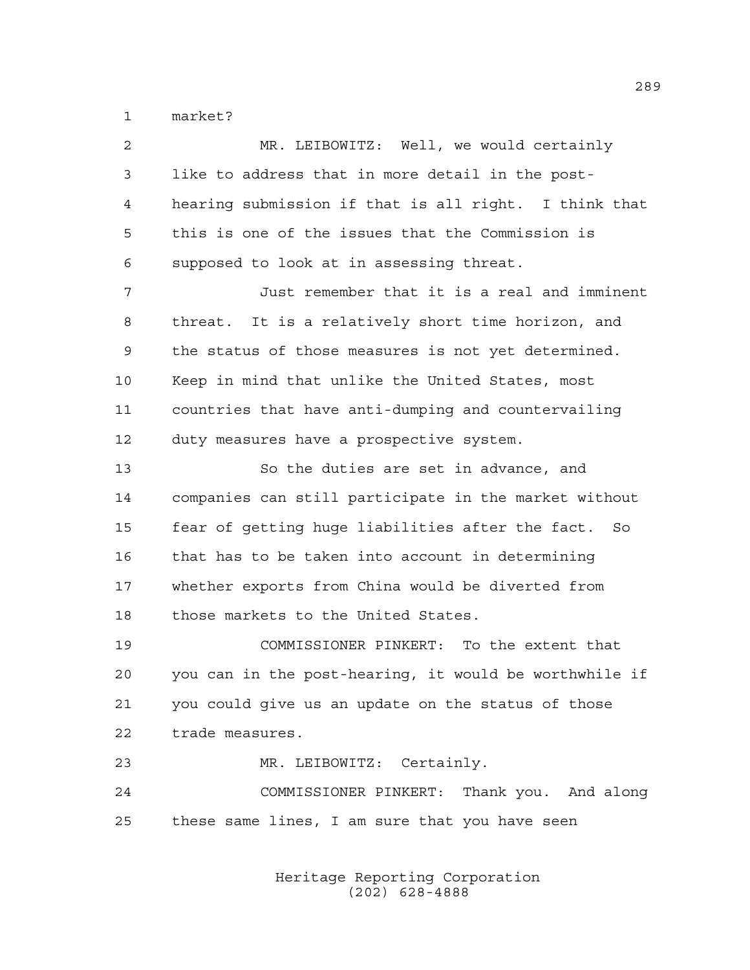market?

| $\overline{a}$ | MR. LEIBOWITZ: Well, we would certainly                |
|----------------|--------------------------------------------------------|
| 3              | like to address that in more detail in the post-       |
| 4              | hearing submission if that is all right. I think that  |
| 5              | this is one of the issues that the Commission is       |
| 6              | supposed to look at in assessing threat.               |
| 7              | Just remember that it is a real and imminent           |
| 8              | threat. It is a relatively short time horizon, and     |
| 9              | the status of those measures is not yet determined.    |
| 10             | Keep in mind that unlike the United States, most       |
| 11             | countries that have anti-dumping and countervailing    |
| 12             | duty measures have a prospective system.               |
| 13             | So the duties are set in advance, and                  |
| 14             | companies can still participate in the market without  |
| 15             | fear of getting huge liabilities after the fact. So    |
| 16             | that has to be taken into account in determining       |
| 17             | whether exports from China would be diverted from      |
| 18             | those markets to the United States.                    |
| 19             | COMMISSIONER PINKERT: To the extent that               |
| 20             | you can in the post-hearing, it would be worthwhile if |
| 21             | you could give us an update on the status of those     |
| 22             | trade measures.                                        |
| 23             | MR. LEIBOWITZ: Certainly.                              |
| 24             | COMMISSIONER PINKERT: Thank you. And along             |
| 25             | these same lines, I am sure that you have seen         |
|                |                                                        |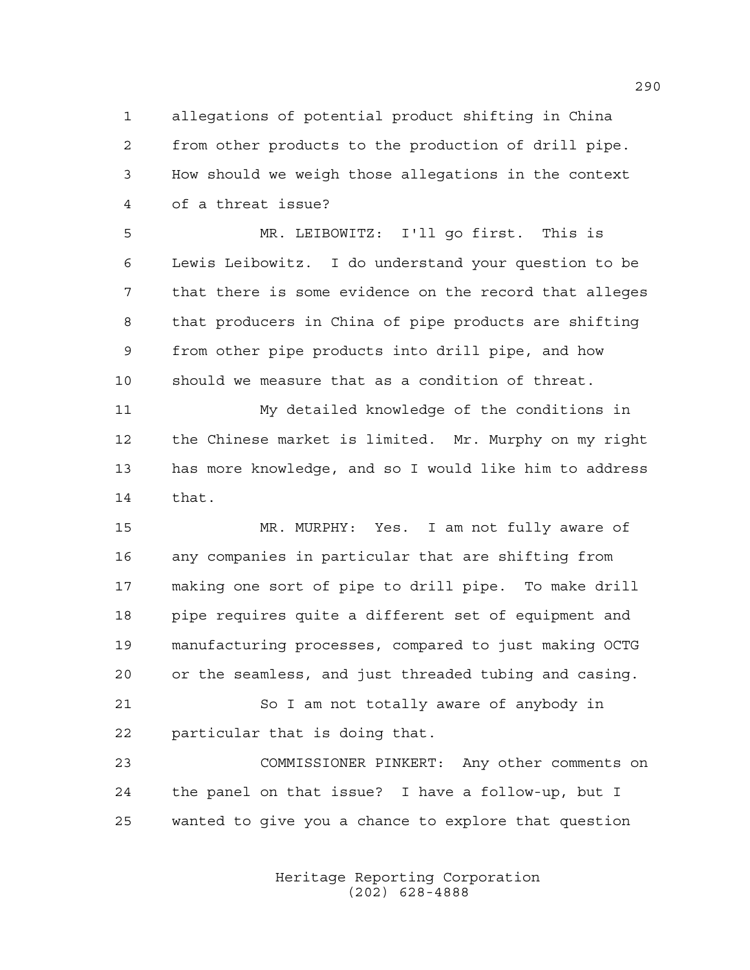allegations of potential product shifting in China from other products to the production of drill pipe. How should we weigh those allegations in the context of a threat issue?

 MR. LEIBOWITZ: I'll go first. This is Lewis Leibowitz. I do understand your question to be that there is some evidence on the record that alleges that producers in China of pipe products are shifting from other pipe products into drill pipe, and how should we measure that as a condition of threat.

 My detailed knowledge of the conditions in the Chinese market is limited. Mr. Murphy on my right has more knowledge, and so I would like him to address that.

 MR. MURPHY: Yes. I am not fully aware of any companies in particular that are shifting from making one sort of pipe to drill pipe. To make drill pipe requires quite a different set of equipment and manufacturing processes, compared to just making OCTG or the seamless, and just threaded tubing and casing.

21 So I am not totally aware of anybody in particular that is doing that.

 COMMISSIONER PINKERT: Any other comments on the panel on that issue? I have a follow-up, but I wanted to give you a chance to explore that question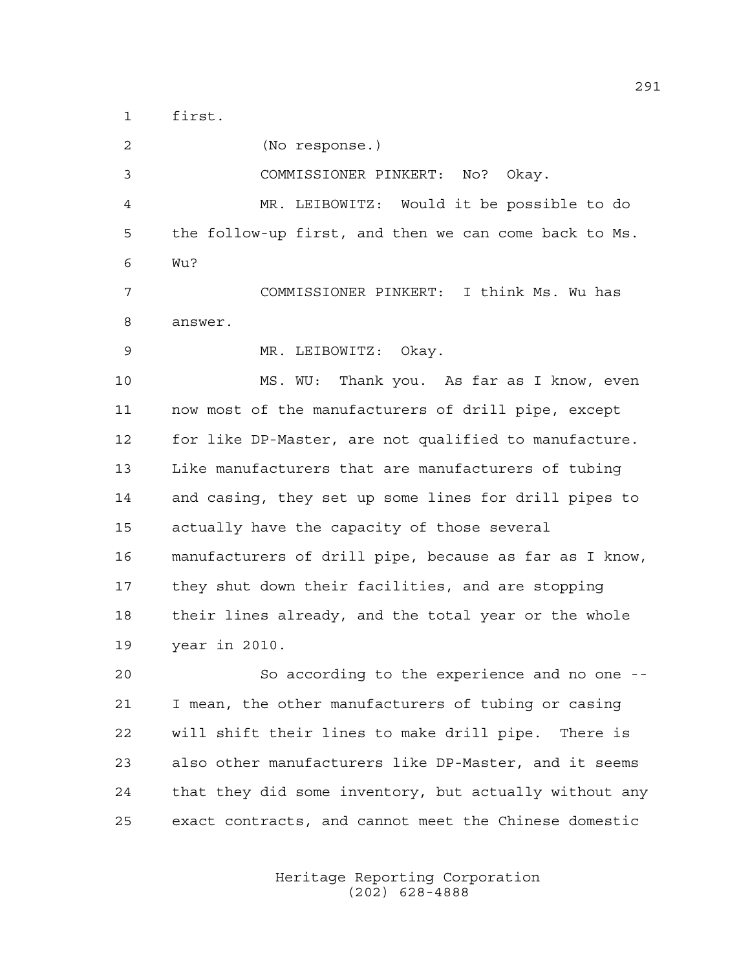first.

 (No response.) COMMISSIONER PINKERT: No? Okay. MR. LEIBOWITZ: Would it be possible to do the follow-up first, and then we can come back to Ms. Wu? COMMISSIONER PINKERT: I think Ms. Wu has answer. MR. LEIBOWITZ: Okay. MS. WU: Thank you. As far as I know, even now most of the manufacturers of drill pipe, except for like DP-Master, are not qualified to manufacture. Like manufacturers that are manufacturers of tubing and casing, they set up some lines for drill pipes to actually have the capacity of those several manufacturers of drill pipe, because as far as I know, they shut down their facilities, and are stopping their lines already, and the total year or the whole year in 2010. So according to the experience and no one --

 I mean, the other manufacturers of tubing or casing will shift their lines to make drill pipe. There is also other manufacturers like DP-Master, and it seems that they did some inventory, but actually without any exact contracts, and cannot meet the Chinese domestic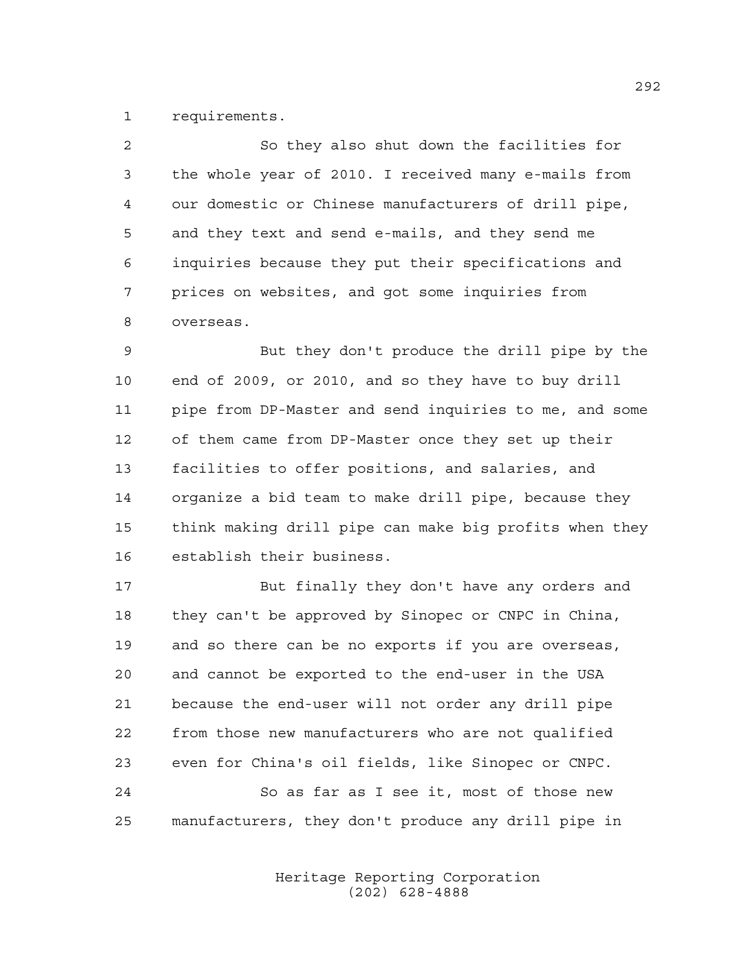requirements.

| $\mathcal{L}$ | So they also shut down the facilities for            |
|---------------|------------------------------------------------------|
| $\mathbf{3}$  | the whole year of 2010. I received many e-mails from |
| 4             | our domestic or Chinese manufacturers of drill pipe, |
| -5            | and they text and send e-mails, and they send me     |
| 6             | inquiries because they put their specifications and  |
| 7             | prices on websites, and got some inquiries from      |
| 8             | overseas.                                            |
| 9             | But they don't produce the drill pipe by the         |

 end of 2009, or 2010, and so they have to buy drill pipe from DP-Master and send inquiries to me, and some of them came from DP-Master once they set up their facilities to offer positions, and salaries, and organize a bid team to make drill pipe, because they think making drill pipe can make big profits when they establish their business.

 But finally they don't have any orders and they can't be approved by Sinopec or CNPC in China, and so there can be no exports if you are overseas, and cannot be exported to the end-user in the USA because the end-user will not order any drill pipe from those new manufacturers who are not qualified even for China's oil fields, like Sinopec or CNPC. So as far as I see it, most of those new manufacturers, they don't produce any drill pipe in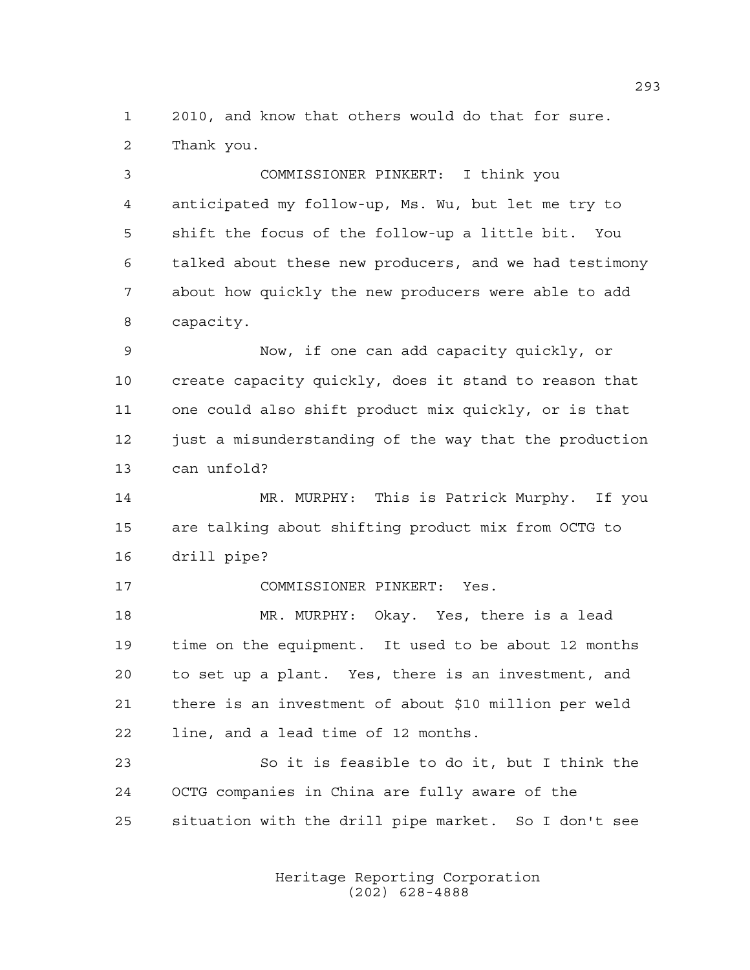2010, and know that others would do that for sure. Thank you.

 COMMISSIONER PINKERT: I think you anticipated my follow-up, Ms. Wu, but let me try to shift the focus of the follow-up a little bit. You talked about these new producers, and we had testimony about how quickly the new producers were able to add capacity.

 Now, if one can add capacity quickly, or create capacity quickly, does it stand to reason that one could also shift product mix quickly, or is that 12 just a misunderstanding of the way that the production can unfold?

 MR. MURPHY: This is Patrick Murphy. If you are talking about shifting product mix from OCTG to drill pipe?

COMMISSIONER PINKERT: Yes.

 MR. MURPHY: Okay. Yes, there is a lead time on the equipment. It used to be about 12 months to set up a plant. Yes, there is an investment, and there is an investment of about \$10 million per weld line, and a lead time of 12 months.

 So it is feasible to do it, but I think the OCTG companies in China are fully aware of the situation with the drill pipe market. So I don't see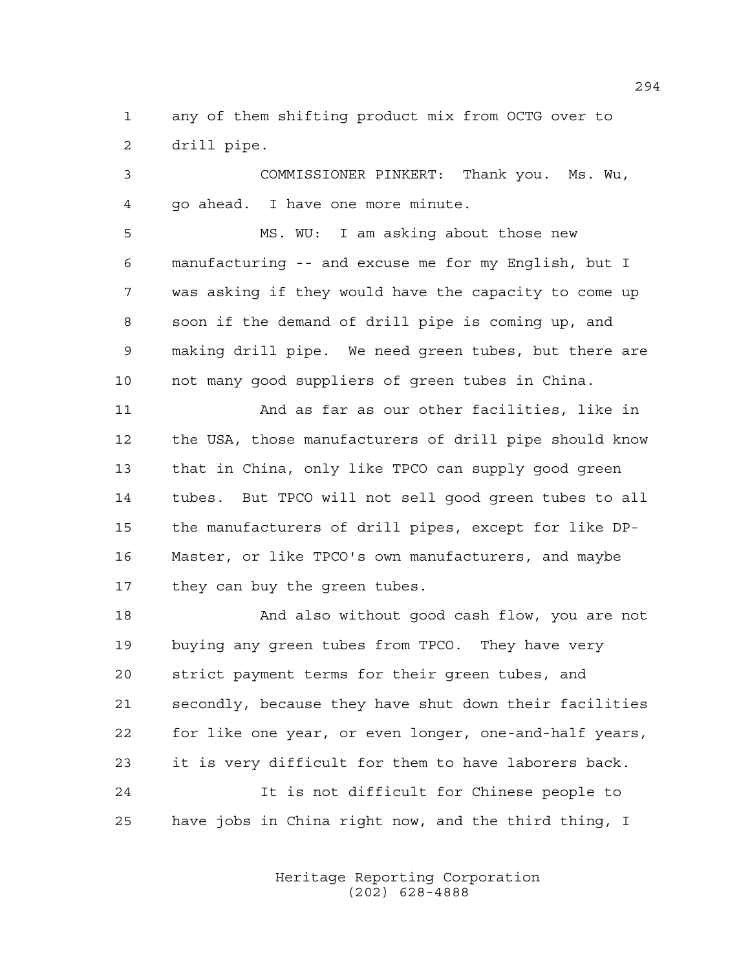any of them shifting product mix from OCTG over to drill pipe.

 COMMISSIONER PINKERT: Thank you. Ms. Wu, go ahead. I have one more minute.

 MS. WU: I am asking about those new manufacturing -- and excuse me for my English, but I was asking if they would have the capacity to come up soon if the demand of drill pipe is coming up, and making drill pipe. We need green tubes, but there are not many good suppliers of green tubes in China.

 And as far as our other facilities, like in the USA, those manufacturers of drill pipe should know that in China, only like TPCO can supply good green tubes. But TPCO will not sell good green tubes to all the manufacturers of drill pipes, except for like DP- Master, or like TPCO's own manufacturers, and maybe they can buy the green tubes.

 And also without good cash flow, you are not buying any green tubes from TPCO. They have very strict payment terms for their green tubes, and secondly, because they have shut down their facilities for like one year, or even longer, one-and-half years, it is very difficult for them to have laborers back. It is not difficult for Chinese people to

have jobs in China right now, and the third thing, I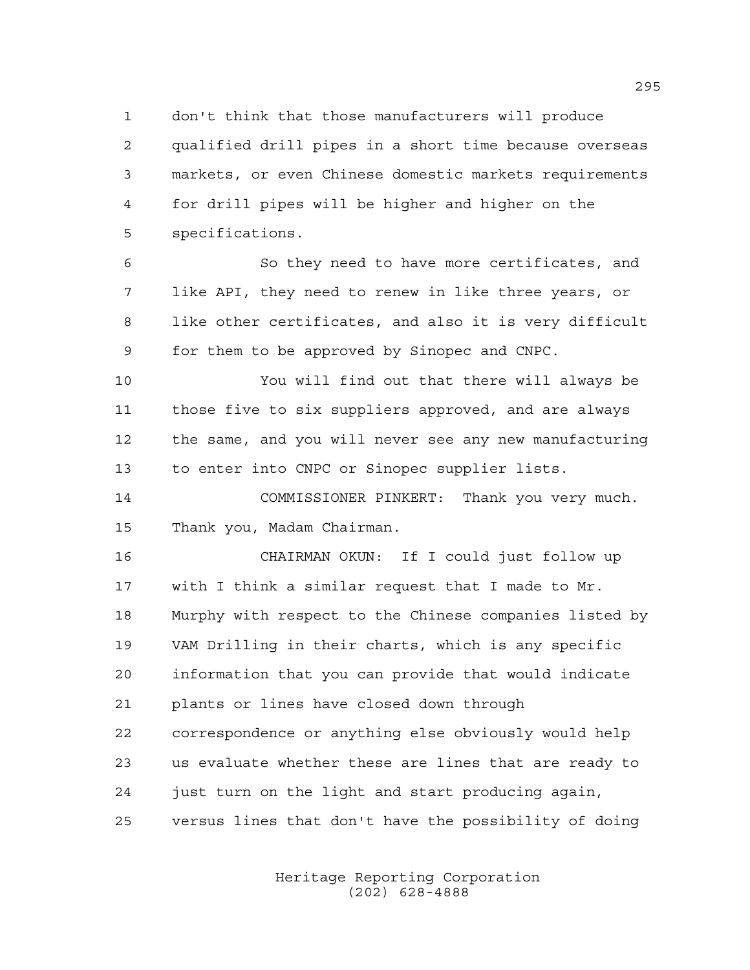don't think that those manufacturers will produce qualified drill pipes in a short time because overseas markets, or even Chinese domestic markets requirements for drill pipes will be higher and higher on the specifications.

 So they need to have more certificates, and like API, they need to renew in like three years, or like other certificates, and also it is very difficult for them to be approved by Sinopec and CNPC.

 You will find out that there will always be those five to six suppliers approved, and are always the same, and you will never see any new manufacturing to enter into CNPC or Sinopec supplier lists.

 COMMISSIONER PINKERT: Thank you very much. Thank you, Madam Chairman.

 CHAIRMAN OKUN: If I could just follow up with I think a similar request that I made to Mr. Murphy with respect to the Chinese companies listed by VAM Drilling in their charts, which is any specific information that you can provide that would indicate plants or lines have closed down through correspondence or anything else obviously would help us evaluate whether these are lines that are ready to just turn on the light and start producing again, versus lines that don't have the possibility of doing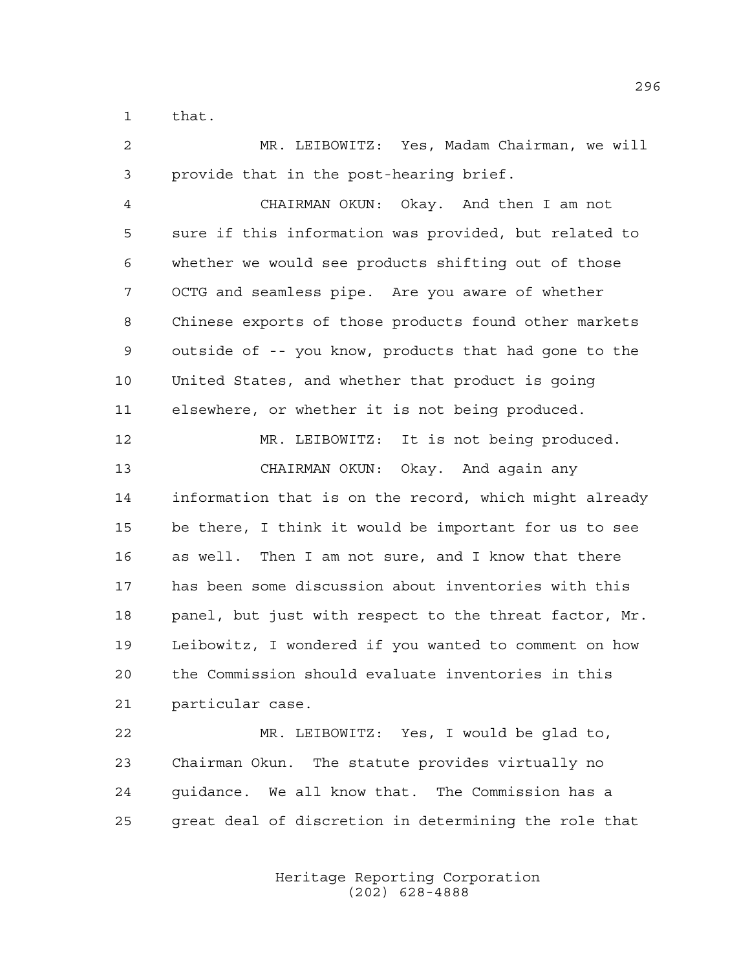that.

 MR. LEIBOWITZ: Yes, Madam Chairman, we will provide that in the post-hearing brief.

 CHAIRMAN OKUN: Okay. And then I am not sure if this information was provided, but related to whether we would see products shifting out of those OCTG and seamless pipe. Are you aware of whether Chinese exports of those products found other markets outside of -- you know, products that had gone to the United States, and whether that product is going elsewhere, or whether it is not being produced.

 MR. LEIBOWITZ: It is not being produced. CHAIRMAN OKUN: Okay. And again any information that is on the record, which might already be there, I think it would be important for us to see as well. Then I am not sure, and I know that there has been some discussion about inventories with this panel, but just with respect to the threat factor, Mr. Leibowitz, I wondered if you wanted to comment on how the Commission should evaluate inventories in this particular case.

 MR. LEIBOWITZ: Yes, I would be glad to, Chairman Okun. The statute provides virtually no guidance. We all know that. The Commission has a great deal of discretion in determining the role that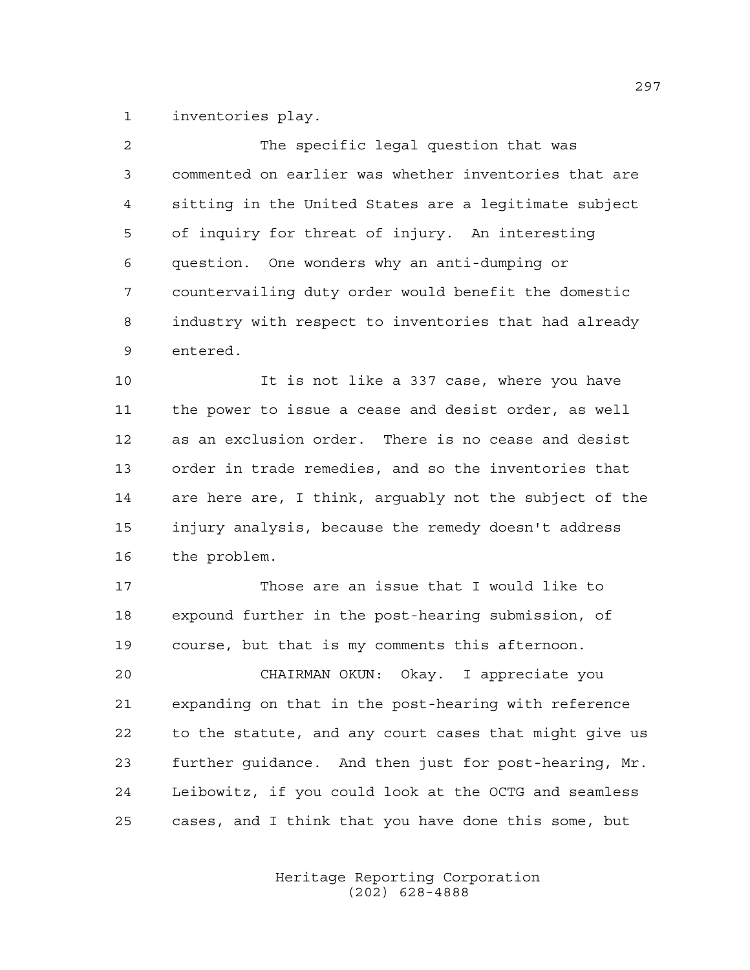inventories play.

| $\overline{a}$ | The specific legal question that was                   |
|----------------|--------------------------------------------------------|
| 3              | commented on earlier was whether inventories that are  |
| 4              | sitting in the United States are a legitimate subject  |
| 5              | of inquiry for threat of injury. An interesting        |
| 6              | question. One wonders why an anti-dumping or           |
| 7              | countervailing duty order would benefit the domestic   |
| 8              | industry with respect to inventories that had already  |
| 9              | entered.                                               |
| 10             | It is not like a 337 case, where you have              |
| 11             | the power to issue a cease and desist order, as well   |
| 12             | as an exclusion order. There is no cease and desist    |
| 13             | order in trade remedies, and so the inventories that   |
| 14             | are here are, I think, arguably not the subject of the |
| 15             | injury analysis, because the remedy doesn't address    |
| 16             | the problem.                                           |
| 17             | Those are an issue that I would like to                |
| 18             | expound further in the post-hearing submission, of     |
| 19             | course, but that is my comments this afternoon.        |
| 20             | CHAIRMAN OKUN:<br>Okay. I appreciate you               |
| 21             | expanding on that in the post-hearing with reference   |
| 22             | to the statute, and any court cases that might give us |
| 23             | further guidance. And then just for post-hearing, Mr.  |
| 24             | Leibowitz, if you could look at the OCTG and seamless  |
| 25             | cases, and I think that you have done this some, but   |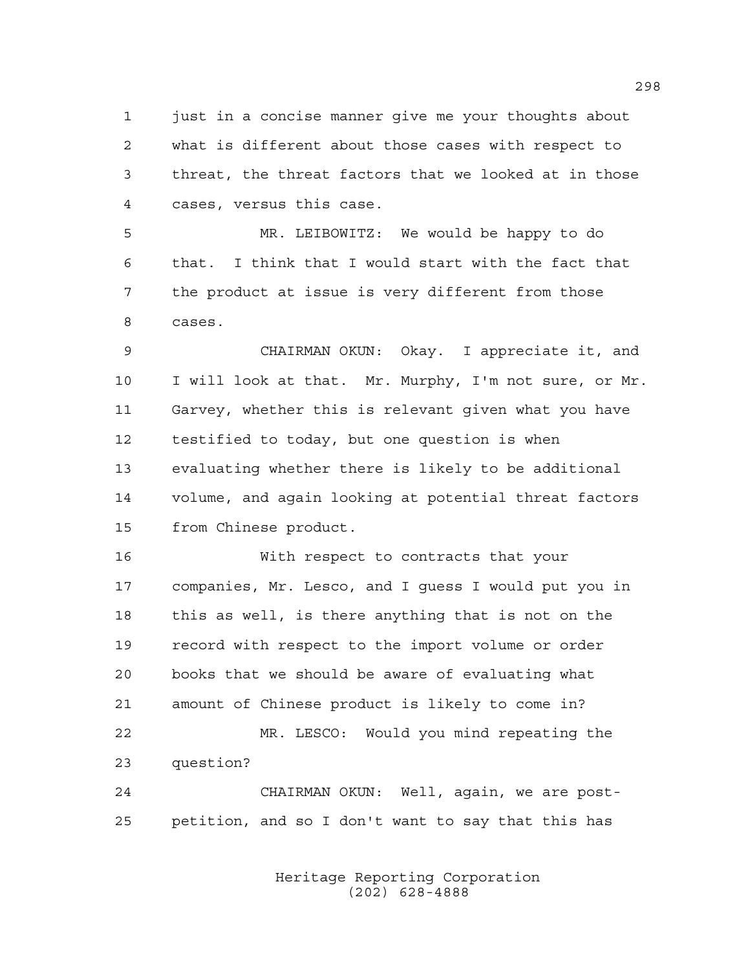just in a concise manner give me your thoughts about what is different about those cases with respect to threat, the threat factors that we looked at in those cases, versus this case.

 MR. LEIBOWITZ: We would be happy to do that. I think that I would start with the fact that the product at issue is very different from those cases.

 CHAIRMAN OKUN: Okay. I appreciate it, and I will look at that. Mr. Murphy, I'm not sure, or Mr. Garvey, whether this is relevant given what you have testified to today, but one question is when evaluating whether there is likely to be additional volume, and again looking at potential threat factors from Chinese product.

 With respect to contracts that your companies, Mr. Lesco, and I guess I would put you in this as well, is there anything that is not on the record with respect to the import volume or order books that we should be aware of evaluating what amount of Chinese product is likely to come in? MR. LESCO: Would you mind repeating the question? CHAIRMAN OKUN: Well, again, we are post-petition, and so I don't want to say that this has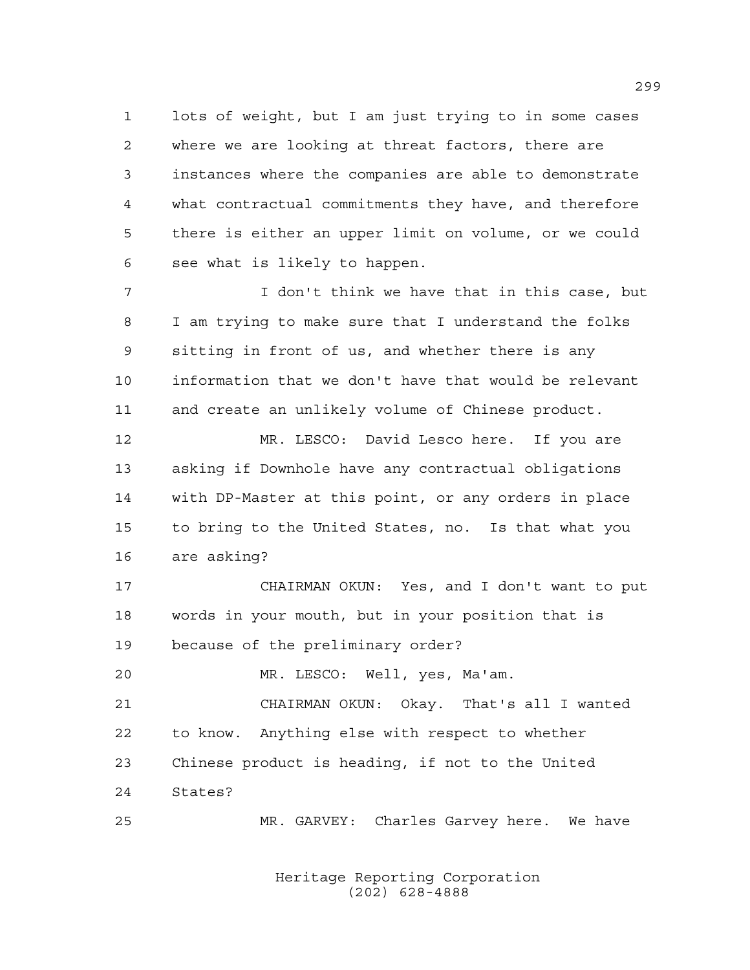lots of weight, but I am just trying to in some cases where we are looking at threat factors, there are instances where the companies are able to demonstrate what contractual commitments they have, and therefore there is either an upper limit on volume, or we could see what is likely to happen.

 I don't think we have that in this case, but I am trying to make sure that I understand the folks sitting in front of us, and whether there is any information that we don't have that would be relevant and create an unlikely volume of Chinese product.

 MR. LESCO: David Lesco here. If you are asking if Downhole have any contractual obligations with DP-Master at this point, or any orders in place to bring to the United States, no. Is that what you are asking?

 CHAIRMAN OKUN: Yes, and I don't want to put words in your mouth, but in your position that is because of the preliminary order?

MR. LESCO: Well, yes, Ma'am.

 CHAIRMAN OKUN: Okay. That's all I wanted to know. Anything else with respect to whether Chinese product is heading, if not to the United States?

MR. GARVEY: Charles Garvey here. We have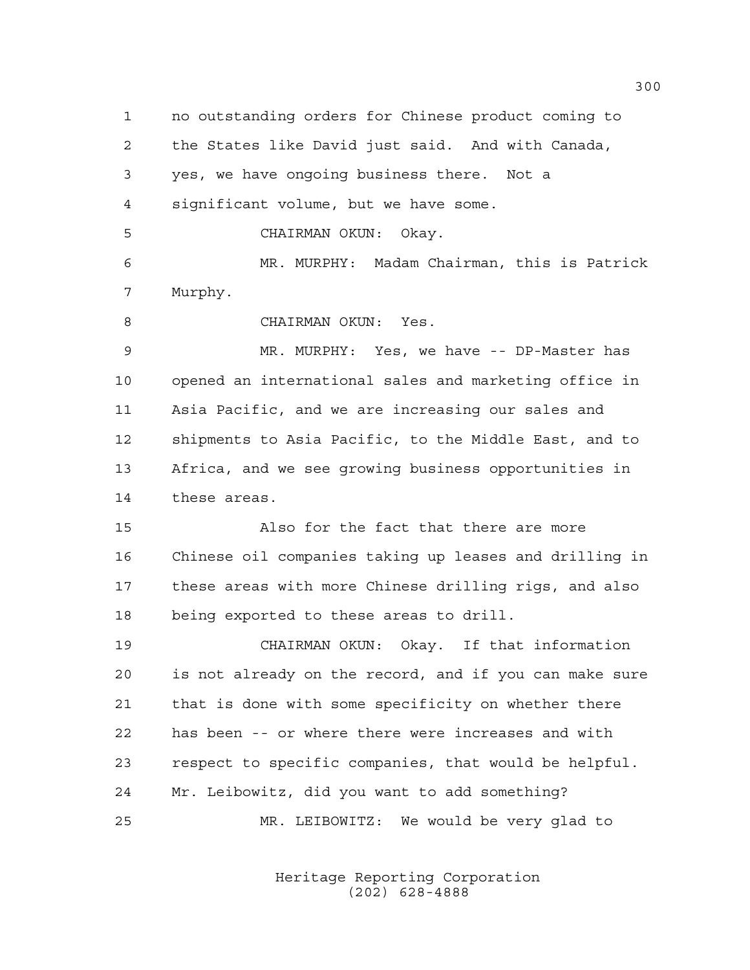no outstanding orders for Chinese product coming to the States like David just said. And with Canada, yes, we have ongoing business there. Not a significant volume, but we have some. CHAIRMAN OKUN: Okay. MR. MURPHY: Madam Chairman, this is Patrick Murphy. CHAIRMAN OKUN: Yes. MR. MURPHY: Yes, we have -- DP-Master has opened an international sales and marketing office in Asia Pacific, and we are increasing our sales and shipments to Asia Pacific, to the Middle East, and to Africa, and we see growing business opportunities in these areas. Also for the fact that there are more Chinese oil companies taking up leases and drilling in these areas with more Chinese drilling rigs, and also being exported to these areas to drill. CHAIRMAN OKUN: Okay. If that information is not already on the record, and if you can make sure that is done with some specificity on whether there has been -- or where there were increases and with respect to specific companies, that would be helpful. Mr. Leibowitz, did you want to add something? MR. LEIBOWITZ: We would be very glad to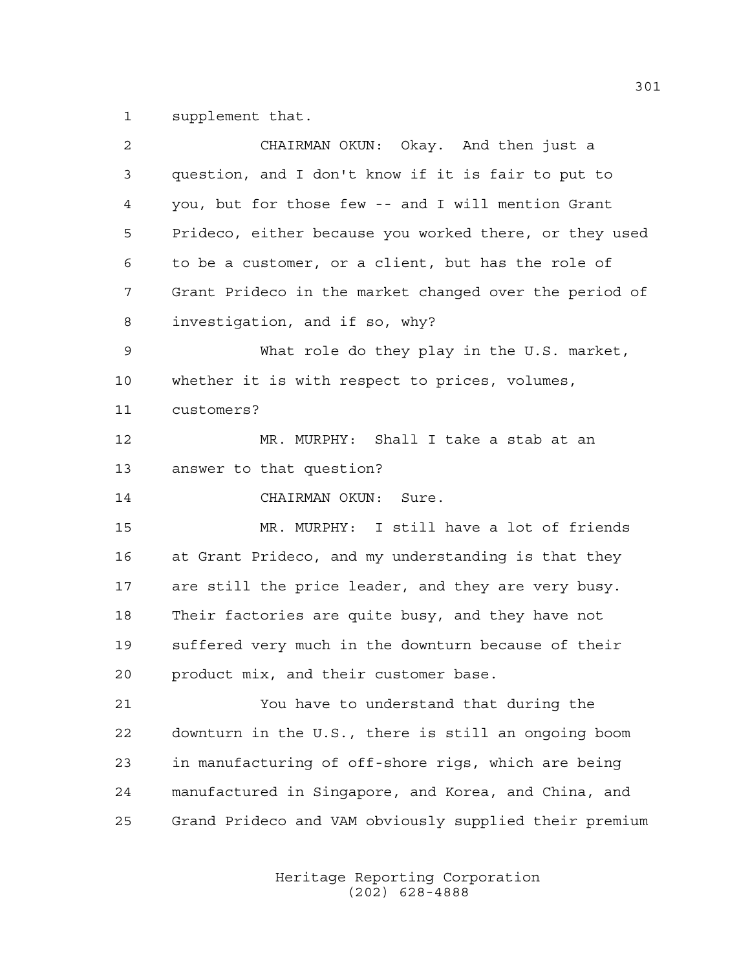supplement that.

| 2  | CHAIRMAN OKUN: Okay. And then just a                   |
|----|--------------------------------------------------------|
| 3  | question, and I don't know if it is fair to put to     |
| 4  | you, but for those few -- and I will mention Grant     |
| 5  | Prideco, either because you worked there, or they used |
| 6  | to be a customer, or a client, but has the role of     |
| 7  | Grant Prideco in the market changed over the period of |
| 8  | investigation, and if so, why?                         |
| 9  | What role do they play in the U.S. market,             |
| 10 | whether it is with respect to prices, volumes,         |
| 11 | customers?                                             |
| 12 | MR. MURPHY: Shall I take a stab at an                  |
| 13 | answer to that question?                               |
| 14 | CHAIRMAN OKUN: Sure.                                   |
| 15 | MR. MURPHY: I still have a lot of friends              |
| 16 | at Grant Prideco, and my understanding is that they    |
| 17 | are still the price leader, and they are very busy.    |
| 18 | Their factories are quite busy, and they have not      |
| 19 | suffered very much in the downturn because of their    |
| 20 | product mix, and their customer base.                  |
| 21 | You have to understand that during the                 |
| 22 | downturn in the U.S., there is still an ongoing boom   |
| 23 | in manufacturing of off-shore rigs, which are being    |
| 24 | manufactured in Singapore, and Korea, and China, and   |
| 25 | Grand Prideco and VAM obviously supplied their premium |
|    |                                                        |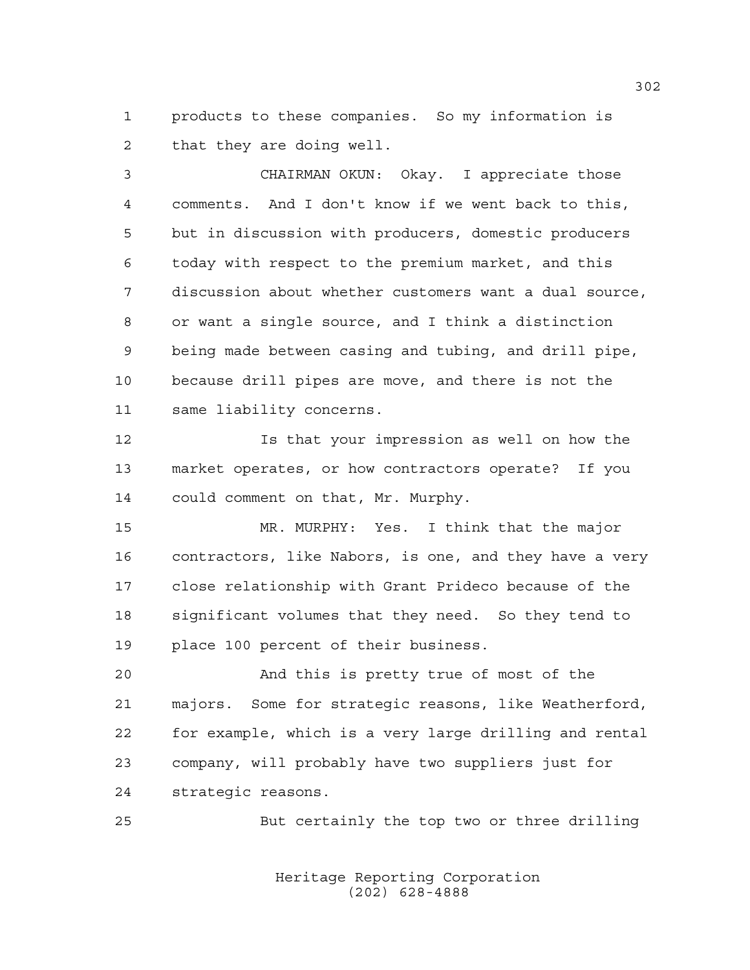products to these companies. So my information is that they are doing well.

 CHAIRMAN OKUN: Okay. I appreciate those comments. And I don't know if we went back to this, but in discussion with producers, domestic producers today with respect to the premium market, and this discussion about whether customers want a dual source, or want a single source, and I think a distinction being made between casing and tubing, and drill pipe, because drill pipes are move, and there is not the same liability concerns.

 Is that your impression as well on how the market operates, or how contractors operate? If you could comment on that, Mr. Murphy.

 MR. MURPHY: Yes. I think that the major contractors, like Nabors, is one, and they have a very close relationship with Grant Prideco because of the significant volumes that they need. So they tend to place 100 percent of their business.

 And this is pretty true of most of the majors. Some for strategic reasons, like Weatherford, for example, which is a very large drilling and rental company, will probably have two suppliers just for strategic reasons.

But certainly the top two or three drilling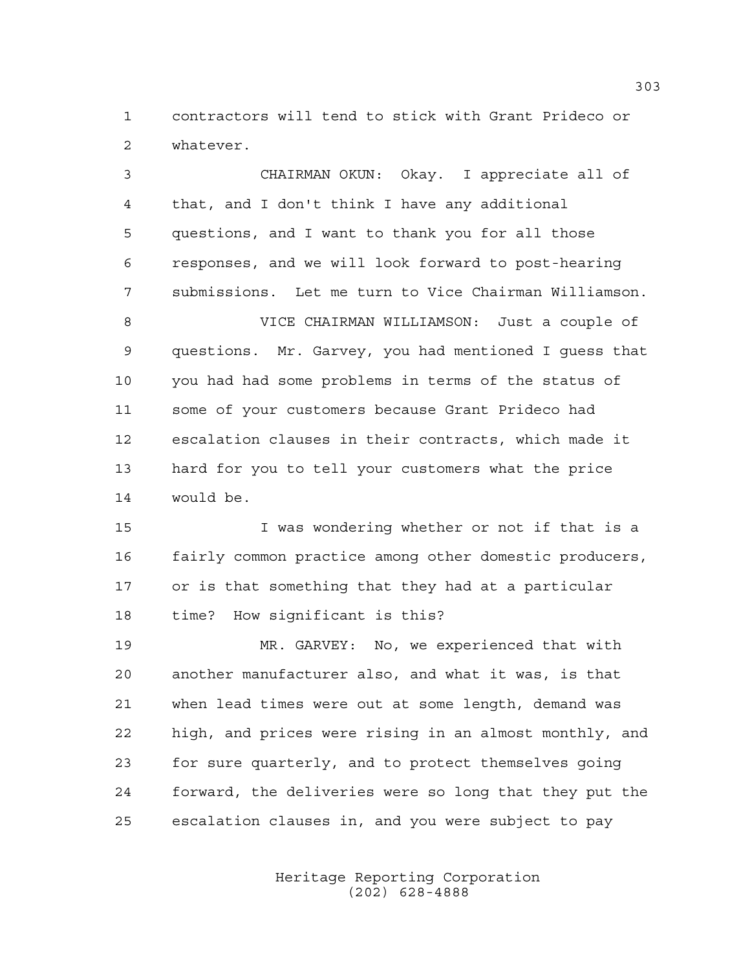contractors will tend to stick with Grant Prideco or whatever.

 CHAIRMAN OKUN: Okay. I appreciate all of that, and I don't think I have any additional questions, and I want to thank you for all those responses, and we will look forward to post-hearing submissions. Let me turn to Vice Chairman Williamson. VICE CHAIRMAN WILLIAMSON: Just a couple of questions. Mr. Garvey, you had mentioned I guess that you had had some problems in terms of the status of some of your customers because Grant Prideco had escalation clauses in their contracts, which made it hard for you to tell your customers what the price would be.

 I was wondering whether or not if that is a fairly common practice among other domestic producers, or is that something that they had at a particular time? How significant is this?

 MR. GARVEY: No, we experienced that with another manufacturer also, and what it was, is that when lead times were out at some length, demand was high, and prices were rising in an almost monthly, and for sure quarterly, and to protect themselves going forward, the deliveries were so long that they put the escalation clauses in, and you were subject to pay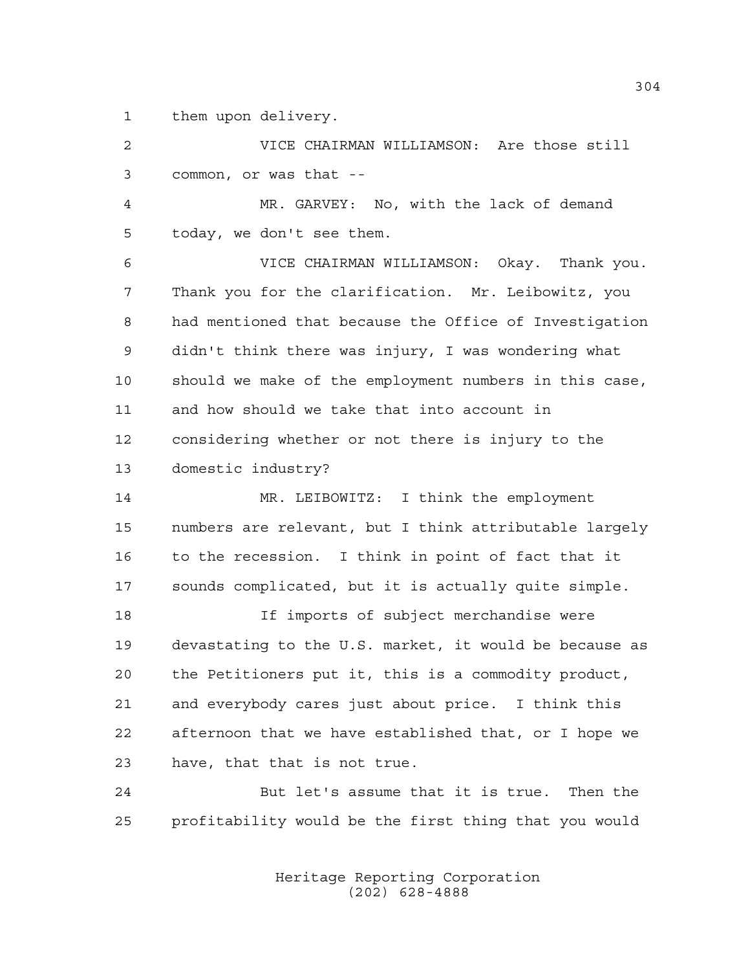them upon delivery.

 VICE CHAIRMAN WILLIAMSON: Are those still common, or was that --

 MR. GARVEY: No, with the lack of demand today, we don't see them.

 VICE CHAIRMAN WILLIAMSON: Okay. Thank you. Thank you for the clarification. Mr. Leibowitz, you had mentioned that because the Office of Investigation didn't think there was injury, I was wondering what should we make of the employment numbers in this case, and how should we take that into account in considering whether or not there is injury to the domestic industry?

 MR. LEIBOWITZ: I think the employment numbers are relevant, but I think attributable largely to the recession. I think in point of fact that it sounds complicated, but it is actually quite simple.

 If imports of subject merchandise were devastating to the U.S. market, it would be because as the Petitioners put it, this is a commodity product, and everybody cares just about price. I think this afternoon that we have established that, or I hope we have, that that is not true.

 But let's assume that it is true. Then the profitability would be the first thing that you would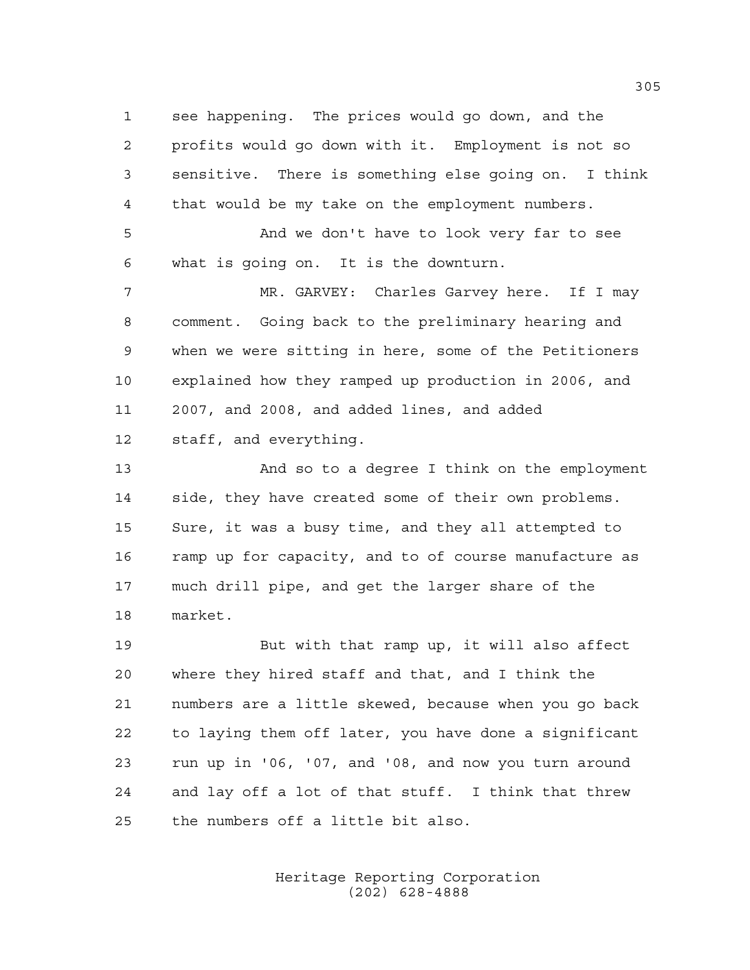see happening. The prices would go down, and the profits would go down with it. Employment is not so sensitive. There is something else going on. I think that would be my take on the employment numbers.

 And we don't have to look very far to see what is going on. It is the downturn.

 MR. GARVEY: Charles Garvey here. If I may comment. Going back to the preliminary hearing and when we were sitting in here, some of the Petitioners explained how they ramped up production in 2006, and 2007, and 2008, and added lines, and added staff, and everything.

 And so to a degree I think on the employment side, they have created some of their own problems. Sure, it was a busy time, and they all attempted to 16 ramp up for capacity, and to of course manufacture as much drill pipe, and get the larger share of the market.

 But with that ramp up, it will also affect where they hired staff and that, and I think the numbers are a little skewed, because when you go back to laying them off later, you have done a significant run up in '06, '07, and '08, and now you turn around and lay off a lot of that stuff. I think that threw the numbers off a little bit also.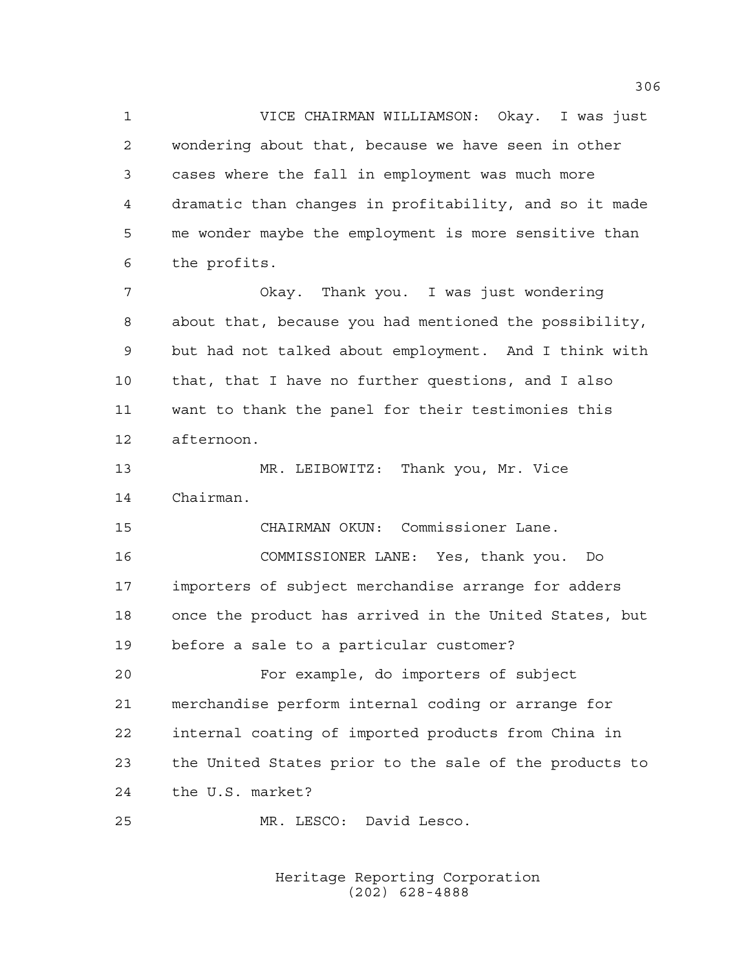VICE CHAIRMAN WILLIAMSON: Okay. I was just wondering about that, because we have seen in other cases where the fall in employment was much more dramatic than changes in profitability, and so it made me wonder maybe the employment is more sensitive than the profits. Okay. Thank you. I was just wondering

 about that, because you had mentioned the possibility, but had not talked about employment. And I think with that, that I have no further questions, and I also want to thank the panel for their testimonies this afternoon.

 MR. LEIBOWITZ: Thank you, Mr. Vice Chairman.

 CHAIRMAN OKUN: Commissioner Lane. COMMISSIONER LANE: Yes, thank you. Do importers of subject merchandise arrange for adders once the product has arrived in the United States, but before a sale to a particular customer?

 For example, do importers of subject merchandise perform internal coding or arrange for internal coating of imported products from China in the United States prior to the sale of the products to the U.S. market?

MR. LESCO: David Lesco.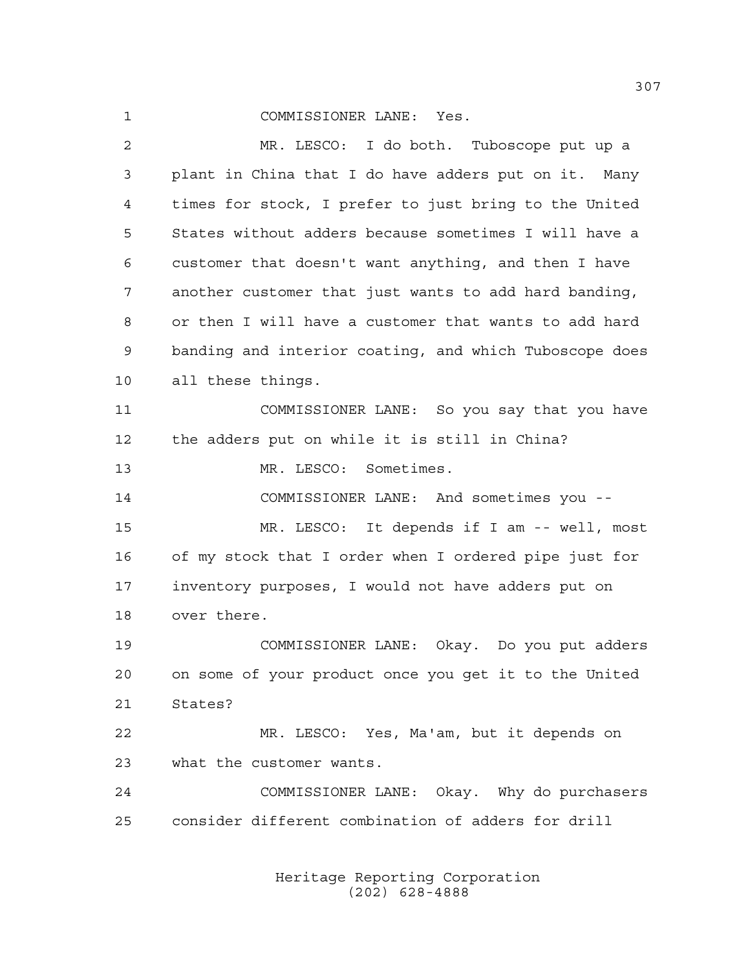## COMMISSIONER LANE: Yes.

 MR. LESCO: I do both. Tuboscope put up a plant in China that I do have adders put on it. Many times for stock, I prefer to just bring to the United States without adders because sometimes I will have a customer that doesn't want anything, and then I have another customer that just wants to add hard banding, or then I will have a customer that wants to add hard banding and interior coating, and which Tuboscope does all these things. COMMISSIONER LANE: So you say that you have the adders put on while it is still in China? MR. LESCO: Sometimes. COMMISSIONER LANE: And sometimes you -- MR. LESCO: It depends if I am -- well, most of my stock that I order when I ordered pipe just for inventory purposes, I would not have adders put on over there. COMMISSIONER LANE: Okay. Do you put adders on some of your product once you get it to the United States? MR. LESCO: Yes, Ma'am, but it depends on what the customer wants. COMMISSIONER LANE: Okay. Why do purchasers consider different combination of adders for drill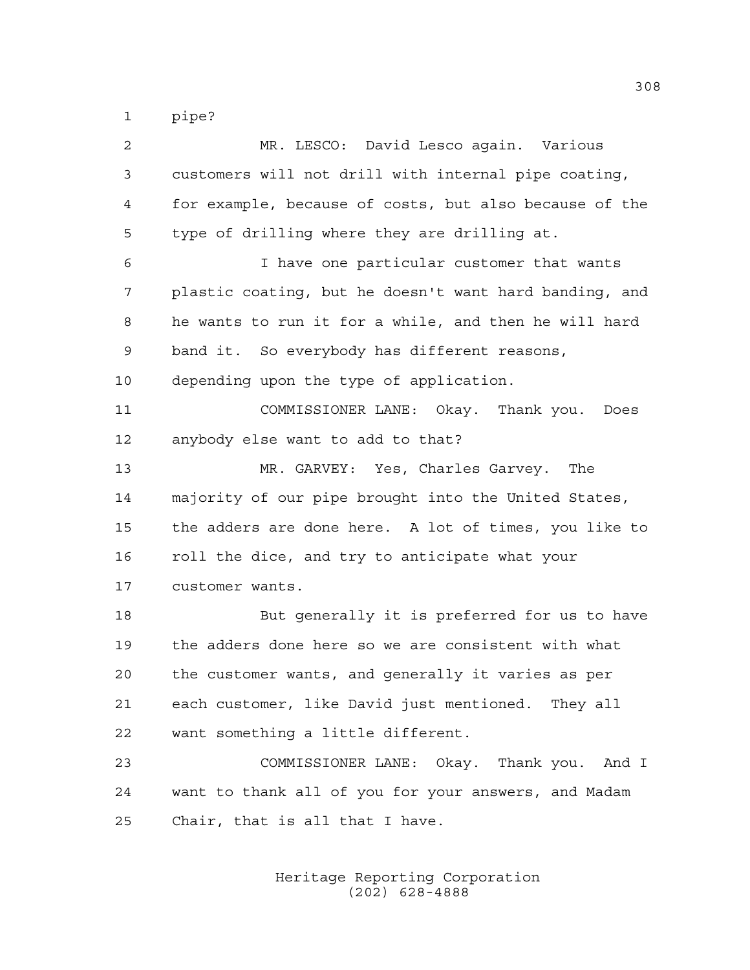pipe?

| $\overline{2}$ | MR. LESCO: David Lesco again. Various                  |
|----------------|--------------------------------------------------------|
| 3              | customers will not drill with internal pipe coating,   |
| 4              | for example, because of costs, but also because of the |
| 5              | type of drilling where they are drilling at.           |
| 6              | I have one particular customer that wants              |
| 7              | plastic coating, but he doesn't want hard banding, and |
| 8              | he wants to run it for a while, and then he will hard  |
| 9              | band it. So everybody has different reasons,           |
| 10             | depending upon the type of application.                |
| 11             | COMMISSIONER LANE: Okay. Thank you.<br>Does            |
| 12             | anybody else want to add to that?                      |
| 13             | MR. GARVEY: Yes, Charles Garvey. The                   |
| 14             | majority of our pipe brought into the United States,   |
| 15             | the adders are done here. A lot of times, you like to  |
| 16             | roll the dice, and try to anticipate what your         |
| 17             | customer wants.                                        |
| 18             | But generally it is preferred for us to have           |
| 19             | the adders done here so we are consistent with what    |
| 20             | the customer wants, and generally it varies as per     |
| 21             | each customer, like David just mentioned. They all     |
| 22             | want something a little different.                     |
| 23             | COMMISSIONER LANE: Okay. Thank you. And I              |
| 24             | want to thank all of you for your answers, and Madam   |
| 25             | Chair, that is all that I have.                        |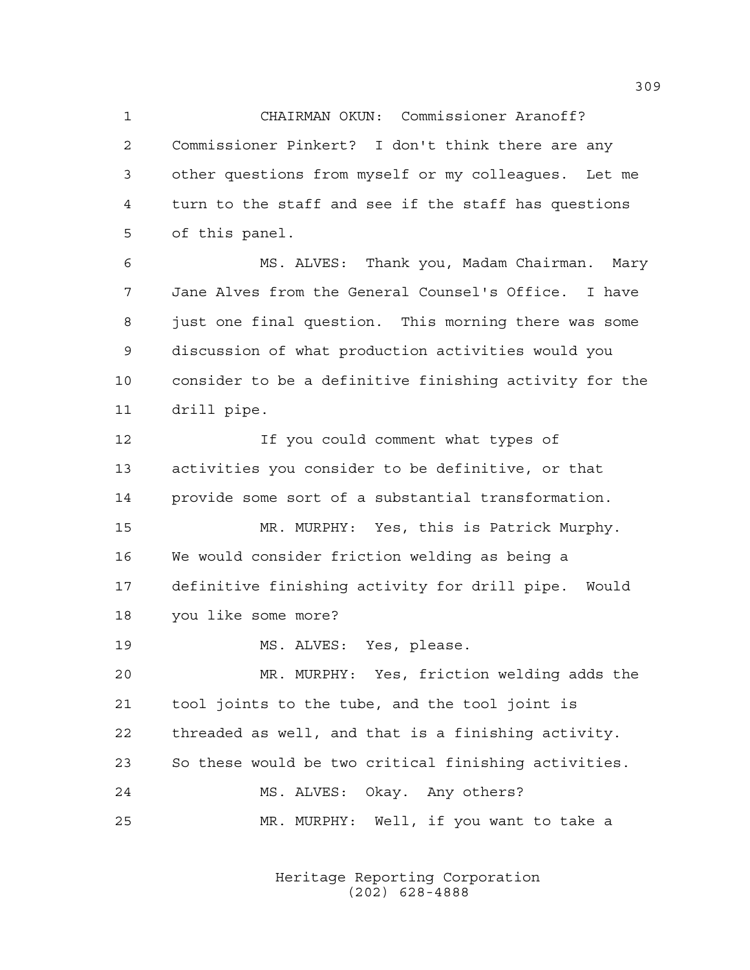CHAIRMAN OKUN: Commissioner Aranoff? Commissioner Pinkert? I don't think there are any other questions from myself or my colleagues. Let me turn to the staff and see if the staff has questions of this panel.

 MS. ALVES: Thank you, Madam Chairman. Mary Jane Alves from the General Counsel's Office. I have just one final question. This morning there was some discussion of what production activities would you consider to be a definitive finishing activity for the drill pipe.

 If you could comment what types of activities you consider to be definitive, or that provide some sort of a substantial transformation.

 MR. MURPHY: Yes, this is Patrick Murphy. We would consider friction welding as being a definitive finishing activity for drill pipe. Would you like some more?

MS. ALVES: Yes, please.

 MR. MURPHY: Yes, friction welding adds the tool joints to the tube, and the tool joint is threaded as well, and that is a finishing activity. So these would be two critical finishing activities. MS. ALVES: Okay. Any others? MR. MURPHY: Well, if you want to take a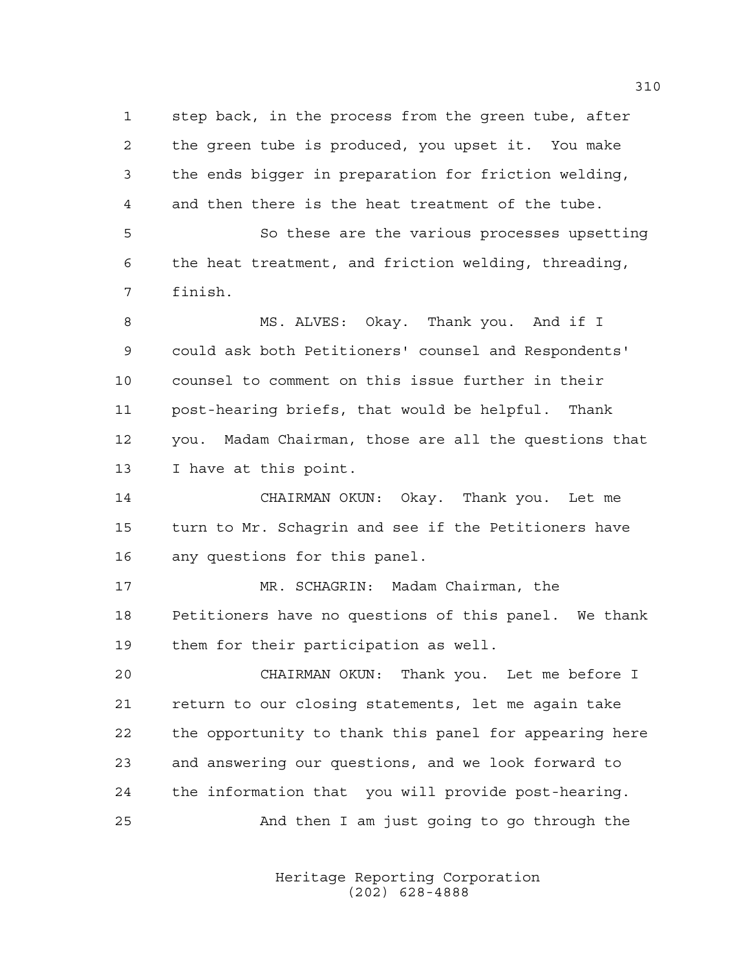step back, in the process from the green tube, after the green tube is produced, you upset it. You make the ends bigger in preparation for friction welding, and then there is the heat treatment of the tube. So these are the various processes upsetting the heat treatment, and friction welding, threading, finish. MS. ALVES: Okay. Thank you. And if I could ask both Petitioners' counsel and Respondents' counsel to comment on this issue further in their post-hearing briefs, that would be helpful. Thank you. Madam Chairman, those are all the questions that I have at this point. CHAIRMAN OKUN: Okay. Thank you. Let me turn to Mr. Schagrin and see if the Petitioners have any questions for this panel. MR. SCHAGRIN: Madam Chairman, the Petitioners have no questions of this panel. We thank them for their participation as well.

 CHAIRMAN OKUN: Thank you. Let me before I return to our closing statements, let me again take the opportunity to thank this panel for appearing here and answering our questions, and we look forward to the information that you will provide post-hearing. And then I am just going to go through the

> Heritage Reporting Corporation (202) 628-4888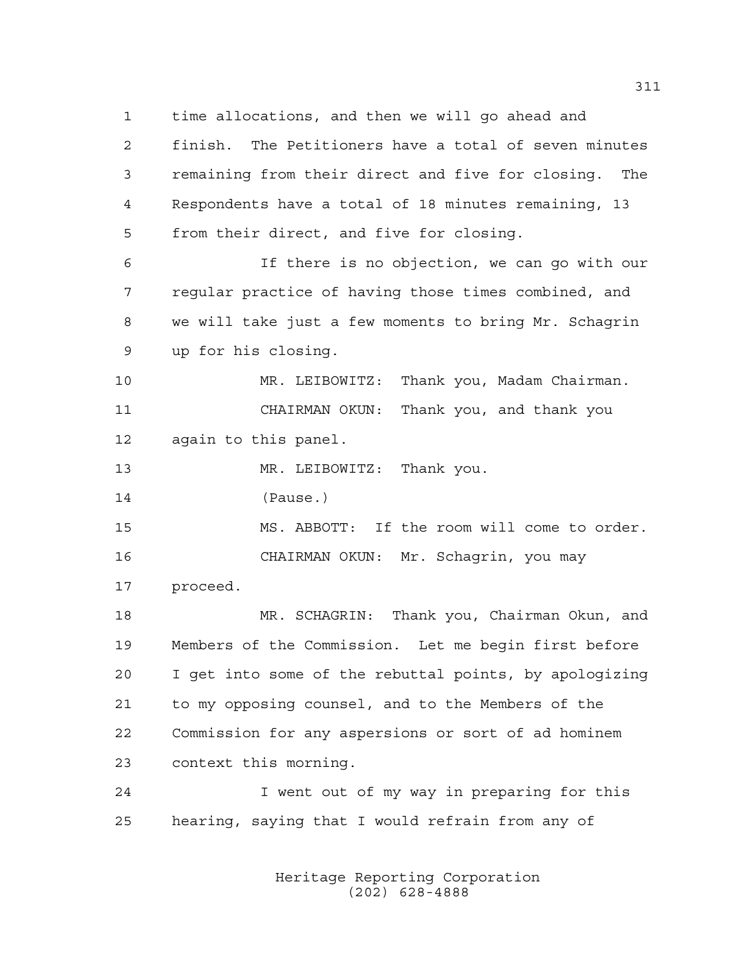time allocations, and then we will go ahead and finish. The Petitioners have a total of seven minutes remaining from their direct and five for closing. The Respondents have a total of 18 minutes remaining, 13 from their direct, and five for closing. If there is no objection, we can go with our regular practice of having those times combined, and

 we will take just a few moments to bring Mr. Schagrin up for his closing.

 MR. LEIBOWITZ: Thank you, Madam Chairman. CHAIRMAN OKUN: Thank you, and thank you again to this panel.

13 MR. LEIBOWITZ: Thank you.

(Pause.)

 MS. ABBOTT: If the room will come to order. CHAIRMAN OKUN: Mr. Schagrin, you may

proceed.

 MR. SCHAGRIN: Thank you, Chairman Okun, and Members of the Commission. Let me begin first before I get into some of the rebuttal points, by apologizing to my opposing counsel, and to the Members of the Commission for any aspersions or sort of ad hominem context this morning.

 I went out of my way in preparing for this hearing, saying that I would refrain from any of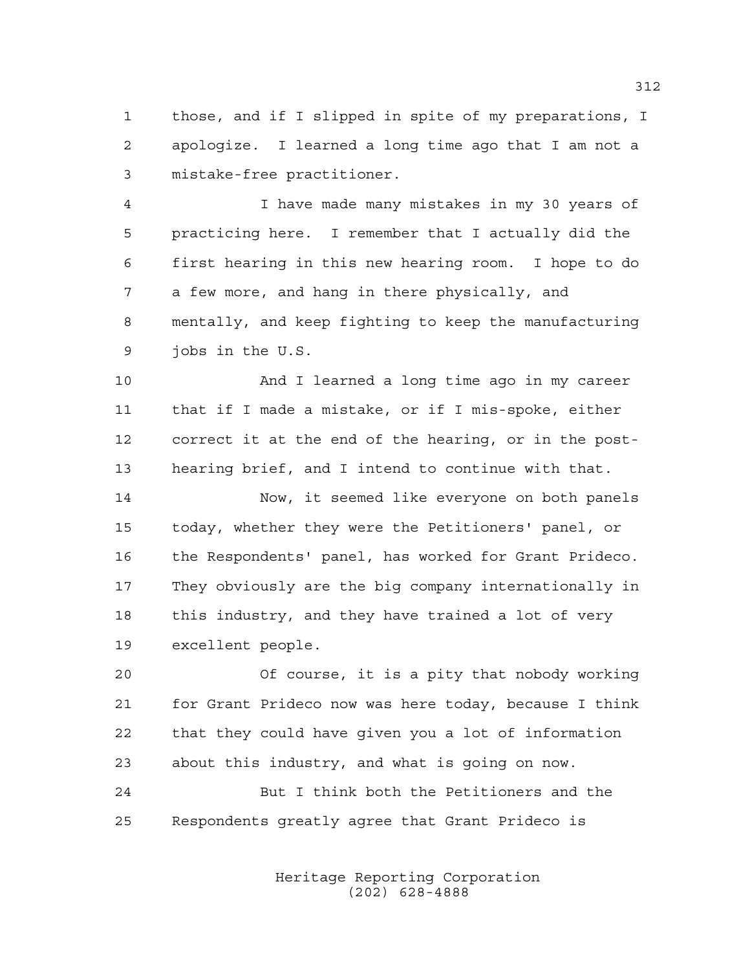those, and if I slipped in spite of my preparations, I apologize. I learned a long time ago that I am not a mistake-free practitioner.

 I have made many mistakes in my 30 years of practicing here. I remember that I actually did the first hearing in this new hearing room. I hope to do a few more, and hang in there physically, and mentally, and keep fighting to keep the manufacturing jobs in the U.S.

 And I learned a long time ago in my career that if I made a mistake, or if I mis-spoke, either correct it at the end of the hearing, or in the post-hearing brief, and I intend to continue with that.

 Now, it seemed like everyone on both panels today, whether they were the Petitioners' panel, or the Respondents' panel, has worked for Grant Prideco. They obviously are the big company internationally in this industry, and they have trained a lot of very excellent people.

 Of course, it is a pity that nobody working for Grant Prideco now was here today, because I think that they could have given you a lot of information about this industry, and what is going on now.

 But I think both the Petitioners and the Respondents greatly agree that Grant Prideco is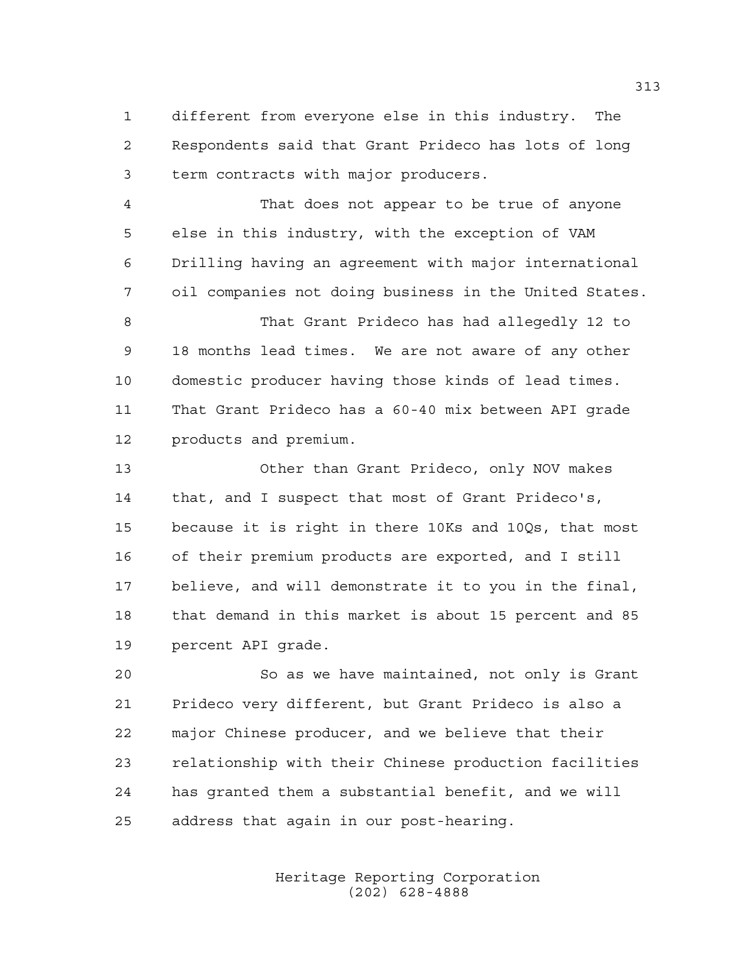different from everyone else in this industry. The Respondents said that Grant Prideco has lots of long term contracts with major producers.

 That does not appear to be true of anyone else in this industry, with the exception of VAM Drilling having an agreement with major international oil companies not doing business in the United States.

 That Grant Prideco has had allegedly 12 to 18 months lead times. We are not aware of any other domestic producer having those kinds of lead times. That Grant Prideco has a 60-40 mix between API grade products and premium.

 Other than Grant Prideco, only NOV makes that, and I suspect that most of Grant Prideco's, because it is right in there 10Ks and 10Qs, that most of their premium products are exported, and I still believe, and will demonstrate it to you in the final, that demand in this market is about 15 percent and 85 percent API grade.

 So as we have maintained, not only is Grant Prideco very different, but Grant Prideco is also a major Chinese producer, and we believe that their relationship with their Chinese production facilities has granted them a substantial benefit, and we will address that again in our post-hearing.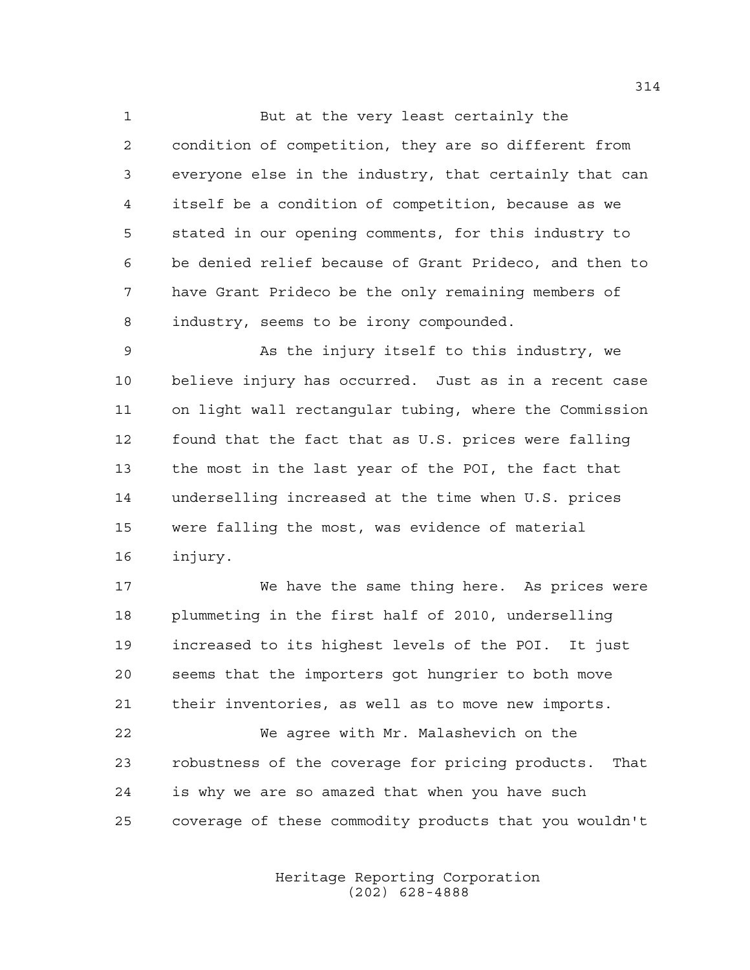But at the very least certainly the condition of competition, they are so different from everyone else in the industry, that certainly that can itself be a condition of competition, because as we stated in our opening comments, for this industry to be denied relief because of Grant Prideco, and then to have Grant Prideco be the only remaining members of industry, seems to be irony compounded.

 As the injury itself to this industry, we believe injury has occurred. Just as in a recent case on light wall rectangular tubing, where the Commission found that the fact that as U.S. prices were falling the most in the last year of the POI, the fact that underselling increased at the time when U.S. prices were falling the most, was evidence of material injury.

 We have the same thing here. As prices were plummeting in the first half of 2010, underselling increased to its highest levels of the POI. It just seems that the importers got hungrier to both move their inventories, as well as to move new imports. We agree with Mr. Malashevich on the robustness of the coverage for pricing products. That is why we are so amazed that when you have such

coverage of these commodity products that you wouldn't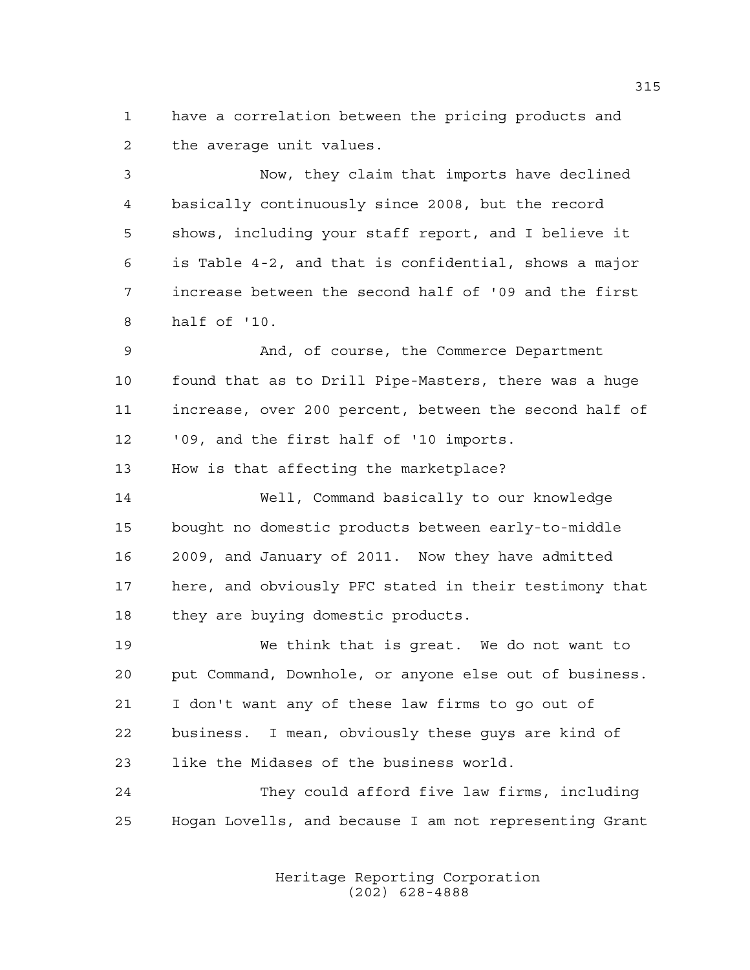have a correlation between the pricing products and the average unit values.

 Now, they claim that imports have declined basically continuously since 2008, but the record shows, including your staff report, and I believe it is Table 4-2, and that is confidential, shows a major increase between the second half of '09 and the first half of '10.

 And, of course, the Commerce Department found that as to Drill Pipe-Masters, there was a huge increase, over 200 percent, between the second half of '09, and the first half of '10 imports.

How is that affecting the marketplace?

 Well, Command basically to our knowledge bought no domestic products between early-to-middle 2009, and January of 2011. Now they have admitted here, and obviously PFC stated in their testimony that 18 they are buying domestic products.

 We think that is great. We do not want to put Command, Downhole, or anyone else out of business. I don't want any of these law firms to go out of business. I mean, obviously these guys are kind of like the Midases of the business world.

 They could afford five law firms, including Hogan Lovells, and because I am not representing Grant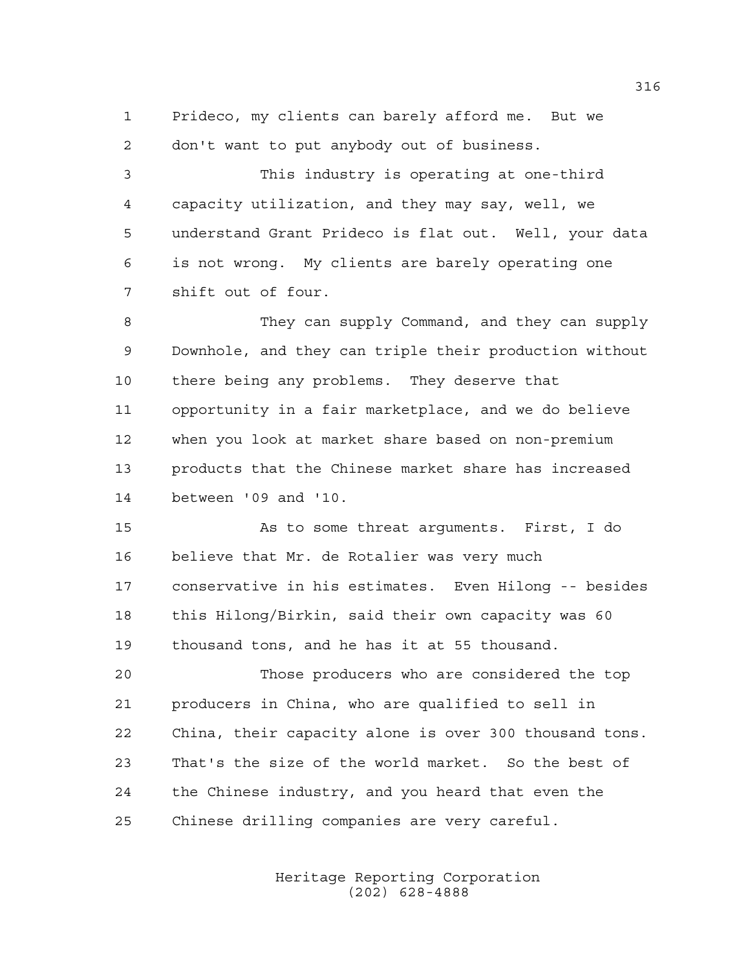Prideco, my clients can barely afford me. But we don't want to put anybody out of business.

 This industry is operating at one-third capacity utilization, and they may say, well, we understand Grant Prideco is flat out. Well, your data is not wrong. My clients are barely operating one shift out of four.

 They can supply Command, and they can supply Downhole, and they can triple their production without there being any problems. They deserve that opportunity in a fair marketplace, and we do believe when you look at market share based on non-premium products that the Chinese market share has increased between '09 and '10.

 As to some threat arguments. First, I do believe that Mr. de Rotalier was very much conservative in his estimates. Even Hilong -- besides this Hilong/Birkin, said their own capacity was 60 thousand tons, and he has it at 55 thousand.

 Those producers who are considered the top producers in China, who are qualified to sell in China, their capacity alone is over 300 thousand tons. That's the size of the world market. So the best of the Chinese industry, and you heard that even the Chinese drilling companies are very careful.

> Heritage Reporting Corporation (202) 628-4888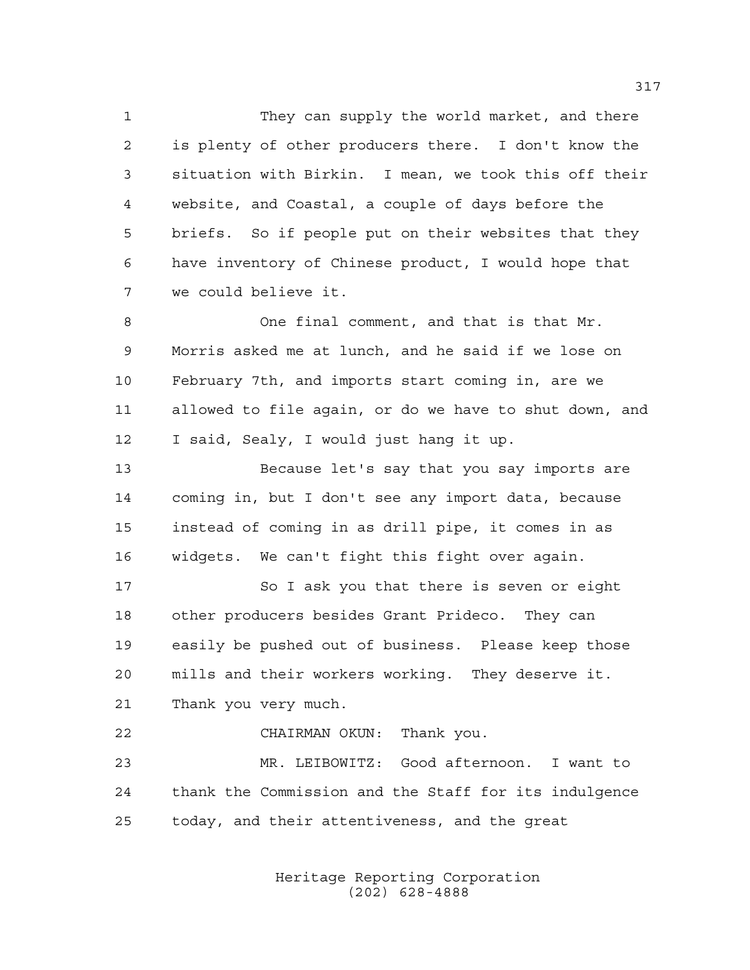They can supply the world market, and there is plenty of other producers there. I don't know the situation with Birkin. I mean, we took this off their website, and Coastal, a couple of days before the briefs. So if people put on their websites that they have inventory of Chinese product, I would hope that we could believe it.

 One final comment, and that is that Mr. Morris asked me at lunch, and he said if we lose on February 7th, and imports start coming in, are we allowed to file again, or do we have to shut down, and I said, Sealy, I would just hang it up.

 Because let's say that you say imports are coming in, but I don't see any import data, because instead of coming in as drill pipe, it comes in as widgets. We can't fight this fight over again.

 So I ask you that there is seven or eight other producers besides Grant Prideco. They can easily be pushed out of business. Please keep those mills and their workers working. They deserve it. Thank you very much.

 CHAIRMAN OKUN: Thank you. MR. LEIBOWITZ: Good afternoon. I want to thank the Commission and the Staff for its indulgence today, and their attentiveness, and the great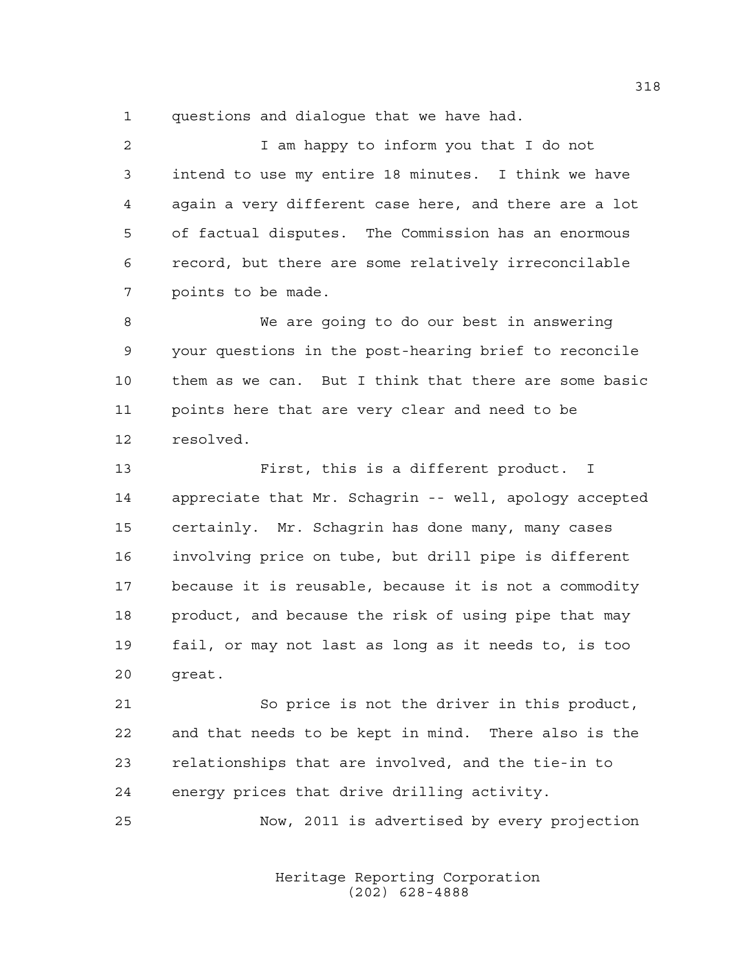questions and dialogue that we have had.

 I am happy to inform you that I do not intend to use my entire 18 minutes. I think we have again a very different case here, and there are a lot of factual disputes. The Commission has an enormous record, but there are some relatively irreconcilable points to be made.

 We are going to do our best in answering your questions in the post-hearing brief to reconcile them as we can. But I think that there are some basic points here that are very clear and need to be resolved.

 First, this is a different product. I appreciate that Mr. Schagrin -- well, apology accepted certainly. Mr. Schagrin has done many, many cases involving price on tube, but drill pipe is different because it is reusable, because it is not a commodity product, and because the risk of using pipe that may fail, or may not last as long as it needs to, is too great.

 So price is not the driver in this product, and that needs to be kept in mind. There also is the relationships that are involved, and the tie-in to energy prices that drive drilling activity.

Now, 2011 is advertised by every projection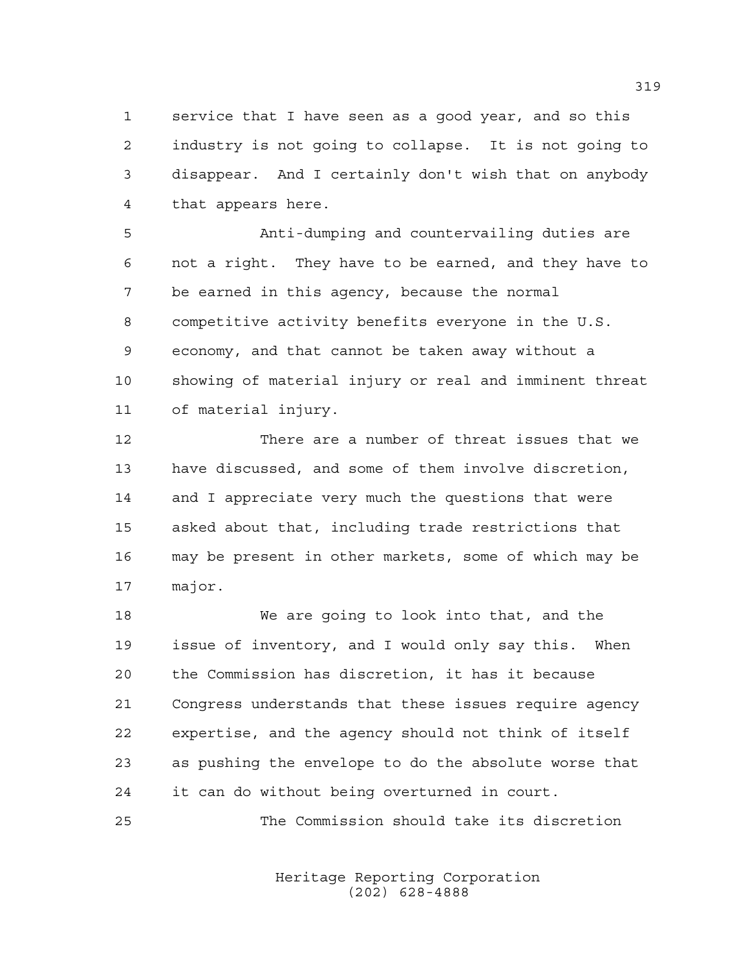service that I have seen as a good year, and so this industry is not going to collapse. It is not going to disappear. And I certainly don't wish that on anybody that appears here.

 Anti-dumping and countervailing duties are not a right. They have to be earned, and they have to be earned in this agency, because the normal competitive activity benefits everyone in the U.S. economy, and that cannot be taken away without a showing of material injury or real and imminent threat of material injury.

 There are a number of threat issues that we have discussed, and some of them involve discretion, and I appreciate very much the questions that were asked about that, including trade restrictions that may be present in other markets, some of which may be major.

 We are going to look into that, and the issue of inventory, and I would only say this. When the Commission has discretion, it has it because Congress understands that these issues require agency expertise, and the agency should not think of itself as pushing the envelope to do the absolute worse that it can do without being overturned in court.

The Commission should take its discretion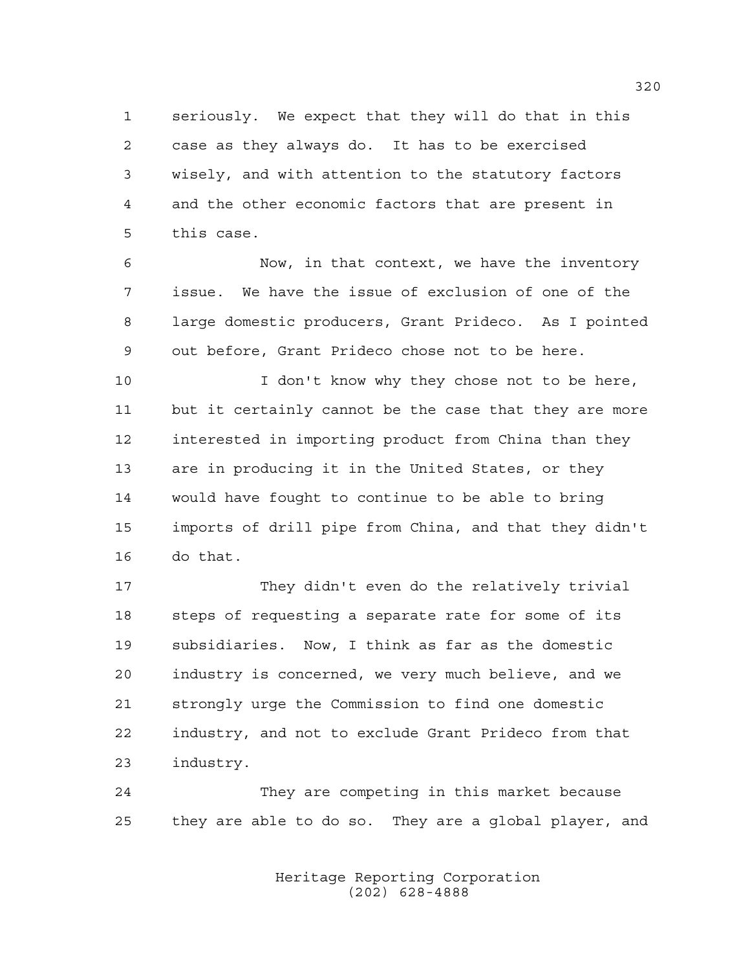seriously. We expect that they will do that in this case as they always do. It has to be exercised wisely, and with attention to the statutory factors and the other economic factors that are present in this case.

 Now, in that context, we have the inventory issue. We have the issue of exclusion of one of the large domestic producers, Grant Prideco. As I pointed out before, Grant Prideco chose not to be here.

10 I don't know why they chose not to be here, but it certainly cannot be the case that they are more interested in importing product from China than they are in producing it in the United States, or they would have fought to continue to be able to bring imports of drill pipe from China, and that they didn't do that.

 They didn't even do the relatively trivial steps of requesting a separate rate for some of its subsidiaries. Now, I think as far as the domestic industry is concerned, we very much believe, and we strongly urge the Commission to find one domestic industry, and not to exclude Grant Prideco from that industry.

 They are competing in this market because they are able to do so. They are a global player, and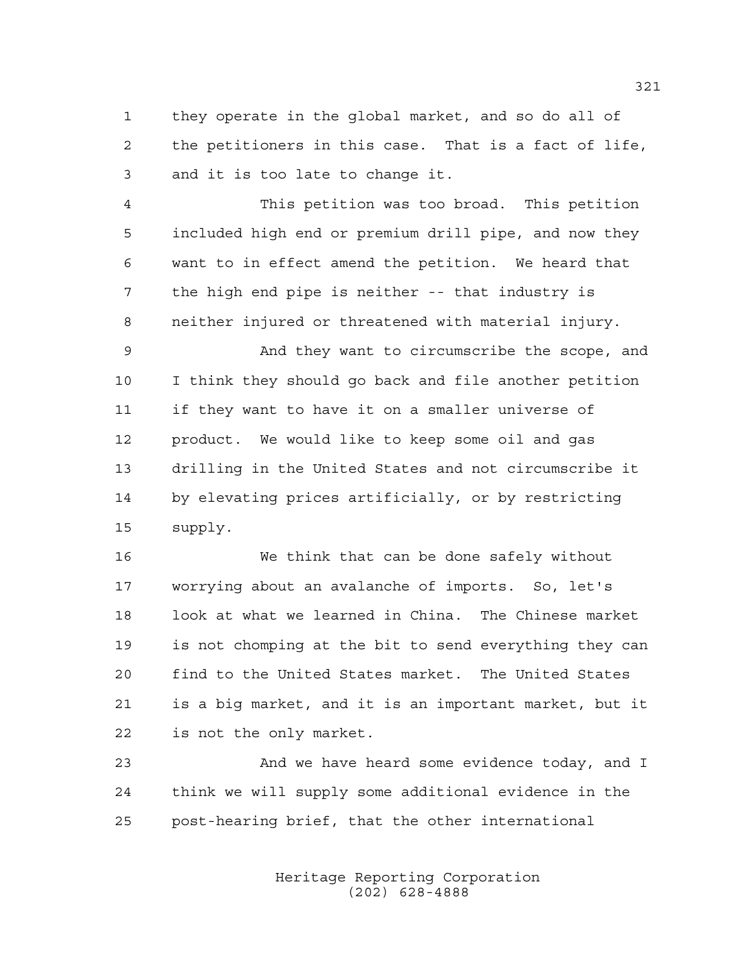they operate in the global market, and so do all of the petitioners in this case. That is a fact of life, and it is too late to change it.

 This petition was too broad. This petition included high end or premium drill pipe, and now they want to in effect amend the petition. We heard that the high end pipe is neither -- that industry is neither injured or threatened with material injury.

 And they want to circumscribe the scope, and I think they should go back and file another petition if they want to have it on a smaller universe of product. We would like to keep some oil and gas drilling in the United States and not circumscribe it by elevating prices artificially, or by restricting supply.

 We think that can be done safely without worrying about an avalanche of imports. So, let's look at what we learned in China. The Chinese market is not chomping at the bit to send everything they can find to the United States market. The United States is a big market, and it is an important market, but it is not the only market.

 And we have heard some evidence today, and I think we will supply some additional evidence in the post-hearing brief, that the other international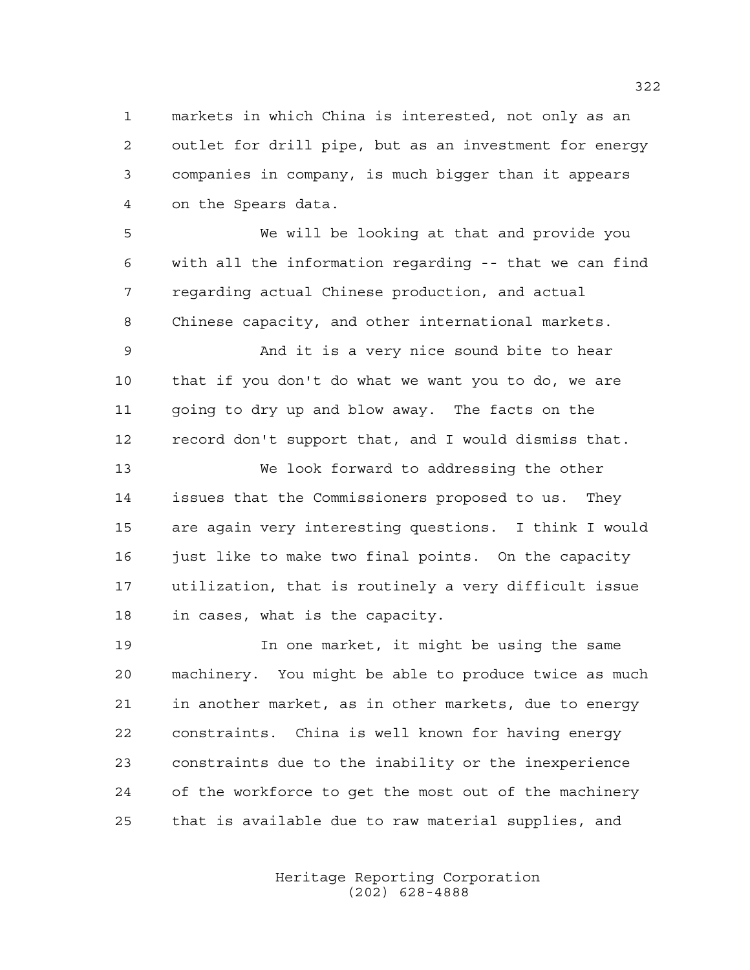markets in which China is interested, not only as an outlet for drill pipe, but as an investment for energy companies in company, is much bigger than it appears on the Spears data.

 We will be looking at that and provide you with all the information regarding -- that we can find regarding actual Chinese production, and actual Chinese capacity, and other international markets.

 And it is a very nice sound bite to hear that if you don't do what we want you to do, we are going to dry up and blow away. The facts on the record don't support that, and I would dismiss that.

 We look forward to addressing the other issues that the Commissioners proposed to us. They are again very interesting questions. I think I would 16 just like to make two final points. On the capacity utilization, that is routinely a very difficult issue in cases, what is the capacity.

 In one market, it might be using the same machinery. You might be able to produce twice as much in another market, as in other markets, due to energy constraints. China is well known for having energy constraints due to the inability or the inexperience of the workforce to get the most out of the machinery that is available due to raw material supplies, and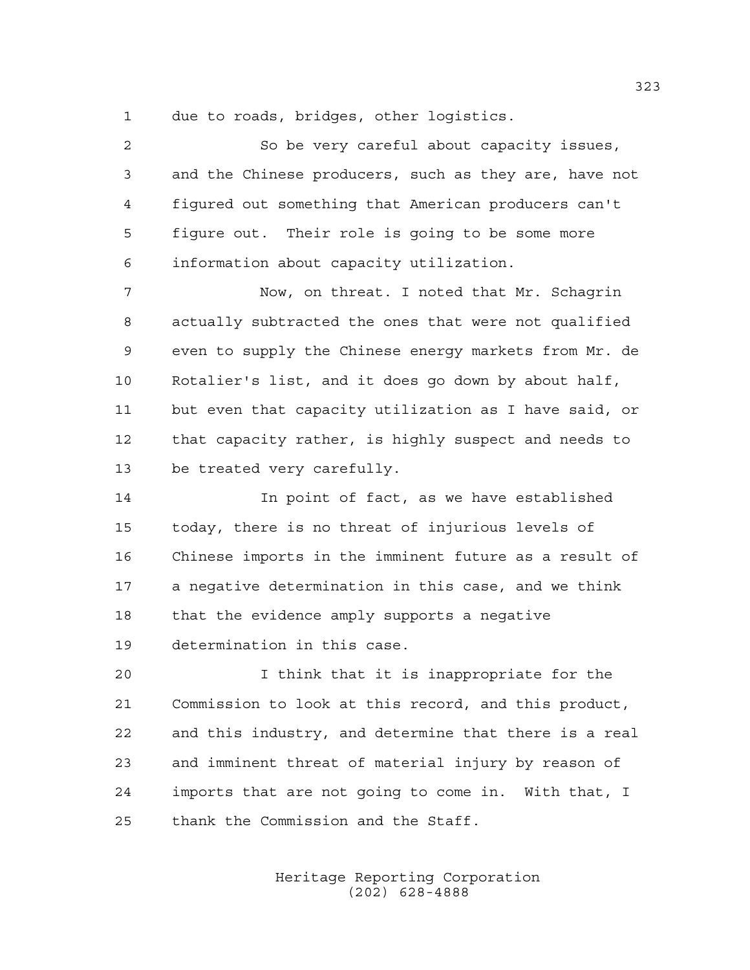due to roads, bridges, other logistics.

| $\overline{2}$ | So be very careful about capacity issues,             |
|----------------|-------------------------------------------------------|
| $\mathfrak{Z}$ | and the Chinese producers, such as they are, have not |
| 4              | figured out something that American producers can't   |
| 5              | figure out. Their role is going to be some more       |
| 6              | information about capacity utilization.               |
| 7              | Now, on threat. I noted that Mr. Schagrin             |
| 8              | actually subtracted the ones that were not qualified  |
| 9              | even to supply the Chinese energy markets from Mr. de |
| 10             | Rotalier's list, and it does go down by about half,   |
| 11             | but even that capacity utilization as I have said, or |
| 12             | that capacity rather, is highly suspect and needs to  |
| 13             | be treated very carefully.                            |
| 14             | In point of fact, as we have established              |
| 15             | today, there is no threat of injurious levels of      |
| 16             | Chinese imports in the imminent future as a result of |
| 17             | a negative determination in this case, and we think   |

that the evidence amply supports a negative

determination in this case.

 I think that it is inappropriate for the Commission to look at this record, and this product, and this industry, and determine that there is a real and imminent threat of material injury by reason of imports that are not going to come in. With that, I thank the Commission and the Staff.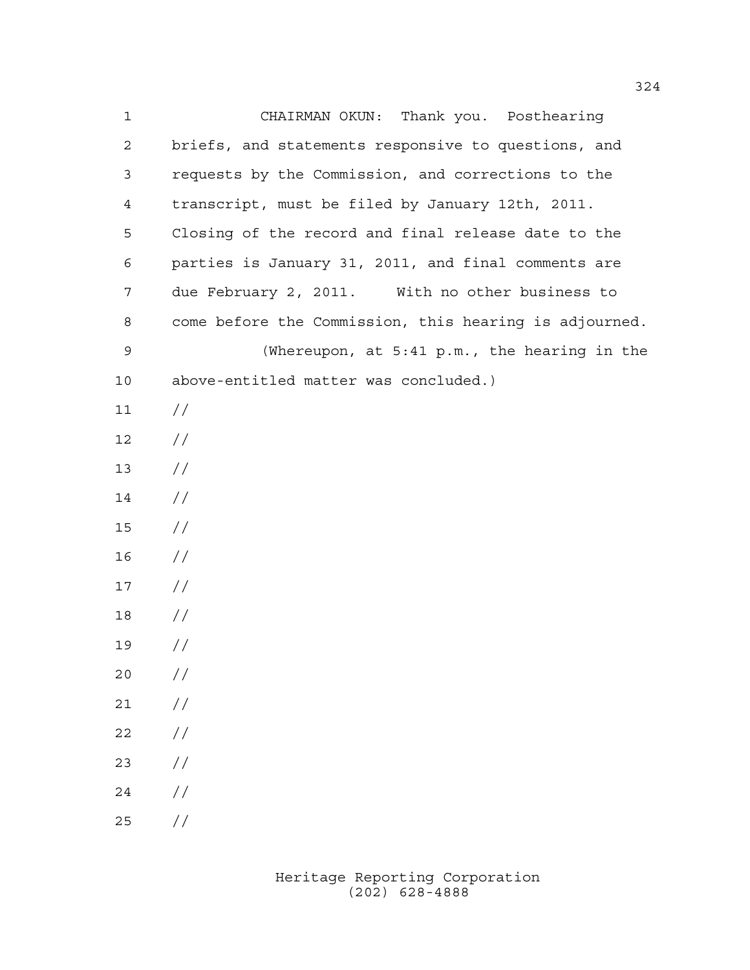CHAIRMAN OKUN: Thank you. Posthearing briefs, and statements responsive to questions, and requests by the Commission, and corrections to the transcript, must be filed by January 12th, 2011. Closing of the record and final release date to the parties is January 31, 2011, and final comments are due February 2, 2011. With no other business to come before the Commission, this hearing is adjourned. (Whereupon, at 5:41 p.m., the hearing in the above-entitled matter was concluded.)  $11 /$  // //  $14 /$  // //  $17 /$  // //  $20 /$  $21 /$  $22 / /$  //  $24 /$  $25 / /$ 

> Heritage Reporting Corporation (202) 628-4888